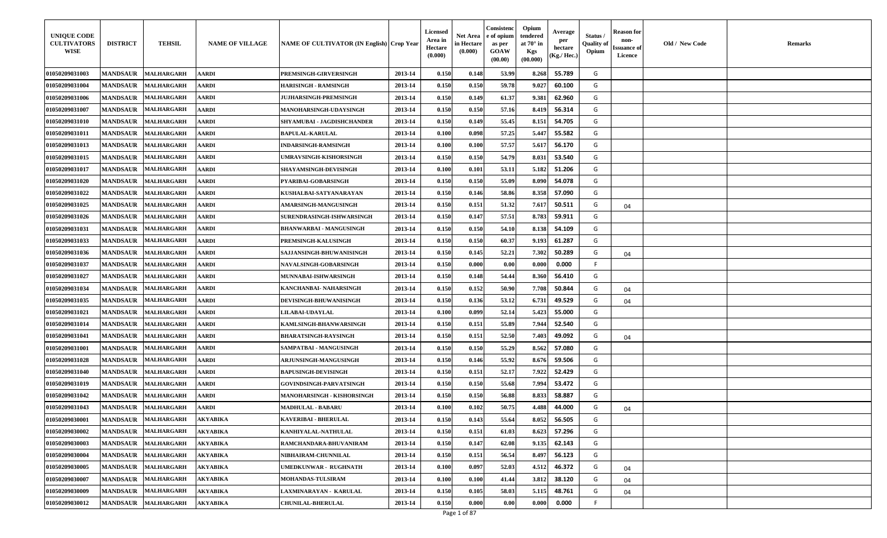| <b>UNIQUE CODE</b><br><b>CULTIVATORS</b><br><b>WISE</b> | <b>DISTRICT</b> | <b>TEHSIL</b>       | <b>NAME OF VILLAGE</b> | <b>NAME OF CULTIVATOR (IN English)</b> Crop Year |         | Licensed<br>Area in<br>Hectare<br>(0.000) | Net Area<br>in Hectare<br>(0.000) | Consistenc<br>e of opium<br>as per<br>GOAW<br>(00.00) | Opium<br>tendered<br>at $70^\circ$ in<br><b>Kgs</b><br>(00.000) | Average<br>per<br>hectare<br>(Kg./ Hec. | Status/<br><b>Quality of</b><br>Opium | Reason for<br>non-<br>ssuance of<br>Licence | Old / New Code | <b>Remarks</b> |
|---------------------------------------------------------|-----------------|---------------------|------------------------|--------------------------------------------------|---------|-------------------------------------------|-----------------------------------|-------------------------------------------------------|-----------------------------------------------------------------|-----------------------------------------|---------------------------------------|---------------------------------------------|----------------|----------------|
| 01050209031003                                          | <b>MANDSAUR</b> | <b>MALHARGARH</b>   | <b>AARDI</b>           | PREMSINGH-GIRVERSINGH                            | 2013-14 | 0.150                                     | 0.148                             | 53.99                                                 | 8.268                                                           | 55.789                                  | G                                     |                                             |                |                |
| 01050209031004                                          | <b>MANDSAUR</b> | <b>MALHARGARH</b>   | <b>AARDI</b>           | <b>HARISINGH - RAMSINGH</b>                      | 2013-14 | 0.150                                     | 0.150                             | 59.78                                                 | 9.027                                                           | 60.100                                  | G                                     |                                             |                |                |
| 01050209031006                                          | <b>MANDSAUR</b> | <b>MALHARGARH</b>   | <b>AARDI</b>           | <b>JUJHARSINGH-PREMSINGH</b>                     | 2013-14 | 0.150                                     | 0.149                             | 61.37                                                 | 9.381                                                           | 62.960                                  | G                                     |                                             |                |                |
| 01050209031007                                          | <b>MANDSAUR</b> | <b>MALHARGARH</b>   | <b>AARDI</b>           | MANOHARSINGH-UDAYSINGH                           | 2013-14 | 0.150                                     | 0.150                             | 57.16                                                 | 8.419                                                           | 56.314                                  | G                                     |                                             |                |                |
| 01050209031010                                          | <b>MANDSAUR</b> | <b>MALHARGARH</b>   | <b>AARDI</b>           | SHYAMUBAI - JAGDISHCHANDER                       | 2013-14 | 0.150                                     | 0.149                             | 55.45                                                 | 8.151                                                           | 54.705                                  | G                                     |                                             |                |                |
| 01050209031011                                          | <b>MANDSAUR</b> | <b>MALHARGARH</b>   | <b>AARDI</b>           | <b>BAPULAL-KARULAL</b>                           | 2013-14 | 0.100                                     | 0.098                             | 57.25                                                 | 5.447                                                           | 55.582                                  | G                                     |                                             |                |                |
| 01050209031013                                          | <b>MANDSAUR</b> | <b>MALHARGARH</b>   | <b>AARDI</b>           | <b>INDARSINGH-RAMSINGH</b>                       | 2013-14 | 0.100                                     | 0.100                             | 57.57                                                 | 5.617                                                           | 56.170                                  | G                                     |                                             |                |                |
| 01050209031015                                          | <b>MANDSAUR</b> | <b>MALHARGARH</b>   | <b>AARDI</b>           | UMRAVSINGH-KISHORSINGH                           | 2013-14 | 0.150                                     | 0.150                             | 54.79                                                 | 8.031                                                           | 53.540                                  | G                                     |                                             |                |                |
| 01050209031017                                          | <b>MANDSAUR</b> | <b>MALHARGARH</b>   | <b>AARDI</b>           | <b>SHAYAMSINGH-DEVISINGH</b>                     | 2013-14 | 0.100                                     | 0.101                             | 53.11                                                 | 5.182                                                           | 51.206                                  | G                                     |                                             |                |                |
| 01050209031020                                          | <b>MANDSAUR</b> | <b>MALHARGARH</b>   | <b>AARDI</b>           | PYARIBAI-GOBARSINGH                              | 2013-14 | 0.150                                     | 0.150                             | 55.09                                                 | 8.090                                                           | 54.078                                  | G                                     |                                             |                |                |
| 01050209031022                                          | <b>MANDSAUR</b> | <b>MALHARGARH</b>   | <b>AARDI</b>           | KUSHALBAI-SATYANARAYAN                           | 2013-14 | 0.150                                     | 0.146                             | 58.86                                                 | 8.358                                                           | 57.090                                  | G                                     |                                             |                |                |
| 01050209031025                                          | <b>MANDSAUR</b> | <b>MALHARGARH</b>   | <b>AARDI</b>           | <b>AMARSINGH-MANGUSINGH</b>                      | 2013-14 | 0.150                                     | 0.151                             | 51.32                                                 | 7.617                                                           | 50.511                                  | G                                     | 04                                          |                |                |
| 01050209031026                                          | <b>MANDSAUR</b> | <b>MALHARGARH</b>   | <b>AARDI</b>           | SURENDRASINGH-ISHWARSINGH                        | 2013-14 | 0.150                                     | 0.147                             | 57.51                                                 | 8.783                                                           | 59.911                                  | G                                     |                                             |                |                |
| 01050209031031                                          | <b>MANDSAUR</b> | <b>MALHARGARH</b>   | <b>AARDI</b>           | <b>BHANWARBAI - MANGUSINGH</b>                   | 2013-14 | 0.150                                     | 0.150                             | 54.10                                                 | 8.138                                                           | 54.109                                  | G                                     |                                             |                |                |
| 01050209031033                                          | <b>MANDSAUR</b> | <b>MALHARGARH</b>   | <b>AARDI</b>           | <b>PREMSINGH-KALUSINGH</b>                       | 2013-14 | 0.150                                     | 0.150                             | 60.37                                                 | 9.193                                                           | 61.287                                  | G                                     |                                             |                |                |
| 01050209031036                                          | <b>MANDSAUR</b> | <b>MALHARGARH</b>   | <b>AARDI</b>           | <b>SAJJANSINGH-BHUWANISINGH</b>                  | 2013-14 | 0.150                                     | 0.145                             | 52.21                                                 | 7.302                                                           | 50.289                                  | G                                     | 04                                          |                |                |
| 01050209031037                                          | <b>MANDSAUR</b> | <b>MALHARGARH</b>   | <b>AARDI</b>           | <b>NAVALSINGH-GOBARSINGH</b>                     | 2013-14 | 0.150                                     | 0.000                             | 0.00                                                  | 0.000                                                           | 0.000                                   | F.                                    |                                             |                |                |
| 01050209031027                                          | <b>MANDSAUR</b> | <b>MALHARGARH</b>   | <b>AARDI</b>           | <b>MUNNABAI-ISHWARSINGH</b>                      | 2013-14 | 0.150                                     | 0.148                             | 54.44                                                 | 8.360                                                           | 56.410                                  | G                                     |                                             |                |                |
| 01050209031034                                          | <b>MANDSAUR</b> | <b>MALHARGARH</b>   | <b>AARDI</b>           | KANCHANBAI- NAHARSINGH                           | 2013-14 | 0.150                                     | 0.152                             | 50.90                                                 | 7.708                                                           | 50.844                                  | G                                     | 04                                          |                |                |
| 01050209031035                                          | <b>MANDSAUR</b> | MALHARGARH          | <b>AARDI</b>           | <b>DEVISINGH-BHUWANISINGH</b>                    | 2013-14 | 0.150                                     | 0.136                             | 53.12                                                 | 6.731                                                           | 49.529                                  | G                                     | 04                                          |                |                |
| 01050209031021                                          | <b>MANDSAUR</b> | MALHARGARH          | <b>AARDI</b>           | LILABAI-UDAYLAL                                  | 2013-14 | 0.100                                     | 0.099                             | 52.14                                                 | 5.423                                                           | 55.000                                  | G                                     |                                             |                |                |
| 01050209031014                                          | <b>MANDSAUR</b> | <b>MALHARGARH</b>   | <b>AARDI</b>           | KAMLSINGH-BHANWARSINGH                           | 2013-14 | 0.150                                     | 0.151                             | 55.89                                                 | 7.944                                                           | 52.540                                  | G                                     |                                             |                |                |
| 01050209031041                                          | <b>MANDSAUR</b> | <b>MALHARGARH</b>   | <b>AARDI</b>           | <b>BHARATSINGH-RAYSINGH</b>                      | 2013-14 | 0.150                                     | 0.151                             | 52.50                                                 | 7.403                                                           | 49.092                                  | G                                     | 04                                          |                |                |
| 01050209031001                                          | <b>MANDSAUR</b> | <b>MALHARGARH</b>   | <b>AARDI</b>           | SAMPATBAI - MANGUSINGH                           | 2013-14 | 0.150                                     | 0.150                             | 55.29                                                 | 8.562                                                           | 57.080                                  | G                                     |                                             |                |                |
| 01050209031028                                          | <b>MANDSAUR</b> | <b>MALHARGARH</b>   | <b>AARDI</b>           | ARJUNSINGH-MANGUSINGH                            | 2013-14 | 0.150                                     | 0.146                             | 55.92                                                 | 8.676                                                           | 59.506                                  | G                                     |                                             |                |                |
| 01050209031040                                          | <b>MANDSAUR</b> | <b>MALHARGARH</b>   | <b>AARDI</b>           | <b>BAPUSINGH-DEVISINGH</b>                       | 2013-14 | 0.150                                     | 0.151                             | 52.17                                                 | 7.922                                                           | 52.429                                  | G                                     |                                             |                |                |
| 01050209031019                                          | <b>MANDSAUR</b> | <b>MALHARGARH</b>   | <b>AARDI</b>           | <b>GOVINDSINGH-PARVATSINGH</b>                   | 2013-14 | 0.150                                     | 0.150                             | 55.68                                                 | 7.994                                                           | 53.472                                  | G                                     |                                             |                |                |
| 01050209031042                                          | <b>MANDSAUR</b> | <b>MALHARGARH</b>   | <b>AARDI</b>           | MANOHARSINGH - KISHORSINGH                       | 2013-14 | 0.150                                     | 0.150                             | 56.88                                                 | 8.833                                                           | 58.887                                  | G                                     |                                             |                |                |
| 01050209031043                                          | <b>MANDSAUR</b> | <b>MALHARGARH</b>   | <b>AARDI</b>           | <b>MADHULAL - BABARU</b>                         | 2013-14 | 0.100                                     | 0.102                             | 50.75                                                 | 4.488                                                           | 44.000                                  | G                                     | 04                                          |                |                |
| 01050209030001                                          |                 | MANDSAUR MALHARGARH | <b>AKYABIKA</b>        | <b>KAVERIBAI - BHERULAL</b>                      | 2013-14 | 0.150                                     | 0.143                             | 55.64                                                 | 8.052                                                           | 56.505                                  | G                                     |                                             |                |                |
| 01050209030002                                          |                 | MANDSAUR MALHARGARH | <b>AKYABIKA</b>        | KANHIYALAL-NATHULAL                              | 2013-14 | 0.150                                     | 0.151                             | 61.03                                                 | 8.623                                                           | 57.296                                  | G                                     |                                             |                |                |
| 01050209030003                                          | <b>MANDSAUR</b> | <b>MALHARGARH</b>   | <b>AKYABIKA</b>        | RAMCHANDARA-BHUVANIRAM                           | 2013-14 | 0.150                                     | 0.147                             | 62.08                                                 | 9.135                                                           | 62.143                                  | G                                     |                                             |                |                |
| 01050209030004                                          | <b>MANDSAUR</b> | <b>MALHARGARH</b>   | <b>AKYABIKA</b>        | NIBHAIRAM-CHUNNILAL                              | 2013-14 | 0.150                                     | 0.151                             | 56.54                                                 | 8.497                                                           | 56.123                                  | G                                     |                                             |                |                |
| 01050209030005                                          | <b>MANDSAUR</b> | <b>MALHARGARH</b>   | <b>AKYABIKA</b>        | UMEDKUNWAR - RUGHNATH                            | 2013-14 | 0.100                                     | 0.097                             | 52.03                                                 | 4.512                                                           | 46.372                                  | G                                     | 04                                          |                |                |
| 01050209030007                                          |                 | MANDSAUR MALHARGARH | <b>AKYABIKA</b>        | <b>MOHANDAS-TULSIRAM</b>                         | 2013-14 | 0.100                                     | 0.100                             | 41.44                                                 | 3.812                                                           | 38.120                                  | G                                     | 04                                          |                |                |
| 01050209030009                                          | <b>MANDSAUR</b> | <b>MALHARGARH</b>   | <b>AKYABIKA</b>        | LAXMINARAYAN - KARULAL                           | 2013-14 | 0.150                                     | 0.105                             | 58.03                                                 | 5.115                                                           | 48.761                                  | G                                     | 04                                          |                |                |
| 01050209030012                                          | <b>MANDSAUR</b> | <b>MALHARGARH</b>   | <b>AKYABIKA</b>        | <b>CHUNILAL-BHERULAL</b>                         | 2013-14 | 0.150                                     | 0.000                             | 0.00                                                  | 0.000                                                           | 0.000                                   | F.                                    |                                             |                |                |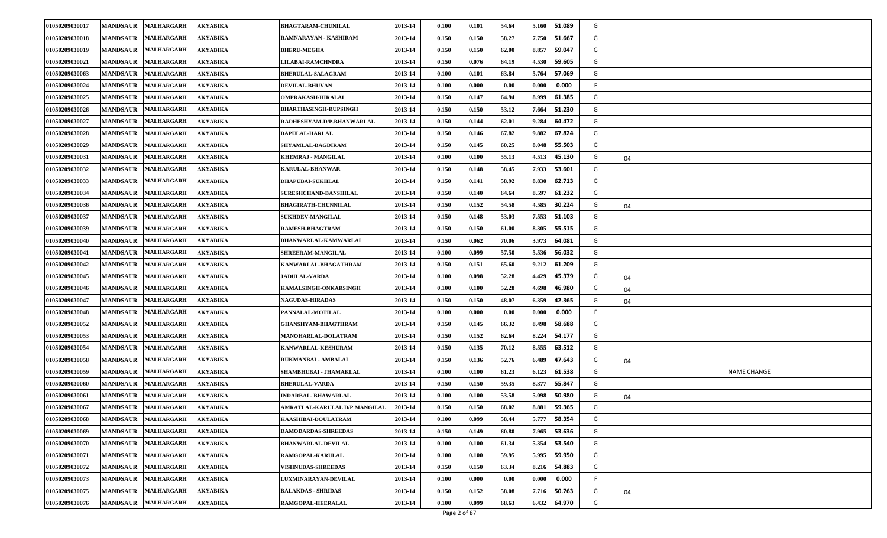| 01050209030017 | <b>MANDSAUR</b> | <b>MALHARGARH</b> | AKYABIKA        | <b>BHAGTARAM-CHUNILAL</b>     | 2013-14 | 0.100 | 0.101           | 54.64 | 5.160<br>51.089 | G   |    |                    |
|----------------|-----------------|-------------------|-----------------|-------------------------------|---------|-------|-----------------|-------|-----------------|-----|----|--------------------|
| 01050209030018 | <b>MANDSAUR</b> | <b>MALHARGARH</b> | AKYABIKA        | RAMNARAYAN - KASHIRAM         | 2013-14 | 0.150 | 0.150           | 58.27 | 7.750<br>51.667 | G   |    |                    |
| 01050209030019 | <b>MANDSAUR</b> | <b>MALHARGARH</b> | <b>AKYABIKA</b> | <b>BHERU-MEGHA</b>            | 2013-14 | 0.150 | 0.150           | 62.00 | 8.857<br>59.047 | G   |    |                    |
| 01050209030021 | <b>MANDSAUR</b> | <b>MALHARGARH</b> | AKYABIKA        | LILABAI-RAMCHNDRA             | 2013-14 | 0.150 | 0.076           | 64.19 | 4.530<br>59.605 | G   |    |                    |
| 01050209030063 | <b>MANDSAUR</b> | <b>MALHARGARH</b> | AKYABIKA        | <b>BHERULAL-SALAGRAM</b>      | 2013-14 | 0.100 | 0.101           | 63.84 | 57.069<br>5.764 | G   |    |                    |
| 01050209030024 | <b>MANDSAUR</b> | <b>MALHARGARH</b> | AKYABIKA        | <b>DEVILAL-BHUVAN</b>         | 2013-14 | 0.100 | 0.000           | 0.00  | 0.000<br>0.000  | F.  |    |                    |
| 01050209030025 | <b>MANDSAUR</b> | <b>MALHARGARH</b> | <b>AKYABIKA</b> | OMPRAKASH-HIRALAL             | 2013-14 | 0.150 | 0.147           | 64.94 | 61.385<br>8.999 | G   |    |                    |
| 01050209030026 | <b>MANDSAUR</b> | <b>MALHARGARH</b> | AKYABIKA        | <b>BHARTHASINGH-RUPSINGH</b>  | 2013-14 | 0.150 | 0.150           | 53.12 | 7.664<br>51.230 | G   |    |                    |
| 01050209030027 | <b>MANDSAUR</b> | <b>MALHARGARH</b> | AKYABIKA        | RADHESHYAM-D/P.BHANWARLAL     | 2013-14 | 0.150 | 0.144           | 62.01 | 9.284<br>64.472 | G   |    |                    |
| 01050209030028 | <b>MANDSAUR</b> | <b>MALHARGARH</b> | <b>AKYABIKA</b> | <b>BAPULAL-HARLAL</b>         | 2013-14 | 0.150 | 0.146           | 67.82 | 9.882<br>67.824 | G   |    |                    |
| 01050209030029 | <b>MANDSAUR</b> | <b>MALHARGARH</b> | <b>AKYABIKA</b> | SHYAMLAL-BAGDIRAM             | 2013-14 | 0.150 | 0.145           | 60.25 | 8.048<br>55.503 | G   |    |                    |
| 01050209030031 | <b>MANDSAUR</b> | <b>MALHARGARH</b> | AKYABIKA        | KHEMRAJ - MANGILAL            | 2013-14 | 0.100 | 0.100           | 55.13 | 4.513<br>45.130 | G   | 04 |                    |
| 01050209030032 | <b>MANDSAUR</b> | <b>MALHARGARH</b> | AKYABIKA        | <b>KARULAL-BHANWAR</b>        | 2013-14 | 0.150 | 0.148           | 58.45 | 7.933<br>53.601 | G   |    |                    |
| 01050209030033 | <b>MANDSAUR</b> | <b>MALHARGARH</b> | AKYABIKA        | <b>DHAPUBAI-SUKHLAL</b>       | 2013-14 | 0.150 | 0.141           | 58.92 | 8.830<br>62.713 | G   |    |                    |
| 01050209030034 | <b>MANDSAUR</b> | <b>MALHARGARH</b> | <b>AKYABIKA</b> | SURESHCHAND-BANSHILAL         | 2013-14 | 0.150 | 0.140           | 64.64 | 8.597<br>61.232 | G   |    |                    |
| 01050209030036 | <b>MANDSAUR</b> | <b>MALHARGARH</b> | AKYABIKA        | <b>BHAGIRATH-CHUNNILAL</b>    | 2013-14 | 0.150 | 0.152           | 54.58 | 4.585<br>30.224 | G   | 04 |                    |
| 01050209030037 | <b>MANDSAUR</b> | <b>MALHARGARH</b> | AKYABIKA        | <b>SUKHDEV-MANGILAL</b>       | 2013-14 | 0.150 | 0.148           | 53.03 | 7.553<br>51.103 | G   |    |                    |
| 01050209030039 | <b>MANDSAUR</b> | <b>MALHARGARH</b> | <b>AKYABIKA</b> | <b>RAMESH-BHAGTRAM</b>        | 2013-14 | 0.150 | 0.150           | 61.00 | 8.305<br>55.515 | G   |    |                    |
| 01050209030040 | <b>MANDSAUR</b> | <b>MALHARGARH</b> | <b>AKYABIKA</b> | <b>BHANWARLAL-KAMWARLAL</b>   | 2013-14 | 0.150 | 0.062           | 70.06 | 3.973<br>64.081 | G   |    |                    |
| 01050209030041 | <b>MANDSAUR</b> | <b>MALHARGARH</b> | AKYABIKA        | <b>SHREERAM-MANGILAL</b>      | 2013-14 | 0.100 | 0.099           | 57.50 | 5.536<br>56.032 | G   |    |                    |
| 01050209030042 | <b>MANDSAUR</b> | <b>MALHARGARH</b> | AKYABIKA        | KANWARLAL-BHAGATHRAM          | 2013-14 | 0.150 | 0.151           | 65.60 | 9.212<br>61.209 | G   |    |                    |
| 01050209030045 | <b>MANDSAUR</b> | <b>MALHARGARH</b> | <b>AKYABIKA</b> | <b>JADULAL-VARDA</b>          | 2013-14 | 0.100 | 0.098           | 52.28 | 4.429<br>45.379 | G   | 04 |                    |
| 01050209030046 | <b>MANDSAUR</b> | <b>MALHARGARH</b> | AKYABIKA        | KAMALSINGH-ONKARSINGH         | 2013-14 | 0.100 | 0.100           | 52.28 | 4.698<br>46.980 | G   | 04 |                    |
| 01050209030047 | <b>MANDSAUR</b> | <b>MALHARGARH</b> | AKYABIKA        | <b>NAGUDAS-HIRADAS</b>        | 2013-14 | 0.150 | 0.150           | 48.07 | 6.359<br>42.365 | G   | 04 |                    |
| 01050209030048 | <b>MANDSAUR</b> | <b>MALHARGARH</b> | AKYABIKA        | PANNALAL-MOTILAL              | 2013-14 | 0.100 | 0.000           | 0.00  | 0.000<br>0.000  | .F. |    |                    |
| 01050209030052 | <b>MANDSAUR</b> | <b>MALHARGARH</b> | <b>AKYABIKA</b> | <b>GHANSHYAM-BHAGTHRAM</b>    | 2013-14 | 0.150 | 0.145           | 66.32 | 58.688<br>8.498 | G   |    |                    |
| 01050209030053 | <b>MANDSAUR</b> | <b>MALHARGARH</b> | AKYABIKA        | <b>MANOHARLAL-DOLATRAM</b>    | 2013-14 | 0.150 | 0.152           | 62.64 | 8.224<br>54.177 | G   |    |                    |
| 01050209030054 | <b>MANDSAUR</b> | <b>MALHARGARH</b> | AKYABIKA        | <b>KANWARLAL-KESHURAM</b>     | 2013-14 | 0.150 | 0.135           | 70.12 | 8.555<br>63.512 | G   |    |                    |
| 01050209030058 | <b>MANDSAUR</b> | <b>MALHARGARH</b> | AKYABIKA        | RUKMANBAI - AMBALAL           | 2013-14 | 0.150 | 0.136           | 52.76 | 6.489<br>47.643 | G   | 04 |                    |
| 01050209030059 | <b>MANDSAUR</b> | <b>MALHARGARH</b> | <b>AKYABIKA</b> | SHAMBHUBAI - JHAMAKLAL        | 2013-14 | 0.100 | 0.100           | 61.23 | 6.123<br>61.538 | G   |    | <b>NAME CHANGE</b> |
| 01050209030060 | <b>MANDSAUR</b> | <b>MALHARGARH</b> | AKYABIKA        | <b>BHERULAL-VARDA</b>         | 2013-14 | 0.150 | 0.150           | 59.35 | 8.377<br>55.847 | G   |    |                    |
| 01050209030061 | <b>MANDSAUR</b> | <b>MALHARGARH</b> | AKYABIKA        | <b>INDARBAI - BHAWARLAL</b>   | 2013-14 | 0.100 | 0.100           | 53.58 | 5.098<br>50.980 | G   | 04 |                    |
| 01050209030067 | <b>MANDSAUR</b> | <b>MALHARGARH</b> | AKYABIKA        | AMRATLAL-KARULAL D/P MANGILAL | 2013-14 | 0.150 | 0.150           | 68.02 | 8.881<br>59.365 | G   |    |                    |
| 01050209030068 | <b>MANDSAUR</b> | <b>MALHARGARH</b> | <b>AKYABIKA</b> | KAASHIBAI-DOULATRAM           | 2013-14 | 0.100 | 0.099           | 58.44 | 5.777<br>58.354 | G   |    |                    |
| 01050209030069 | <b>MANDSAUR</b> | <b>MALHARGARH</b> | AKYABIKA        | <b>DAMODARDAS-SHREEDAS</b>    | 2013-14 | 0.150 | 0.149           | 60.80 | 7.965<br>53.636 | G   |    |                    |
| 01050209030070 | <b>MANDSAUR</b> | <b>MALHARGARH</b> | AKYABIKA        | <b>BHANWARLAL-DEVILAL</b>     | 2013-14 | 0.100 | 0.100           | 61.34 | 5.354<br>53.540 | G   |    |                    |
| 01050209030071 | <b>MANDSAUR</b> | <b>MALHARGARH</b> | AKYABIKA        | RAMGOPAL-KARULAL              | 2013-14 | 0.100 | 0.100           | 59.95 | 5.995<br>59.950 | G   |    |                    |
| 01050209030072 | <b>MANDSAUR</b> | <b>MALHARGARH</b> | <b>AKYABIKA</b> | <b>VISHNUDAS-SHREEDAS</b>     | 2013-14 | 0.150 | 0.150           | 63.34 | 8.216<br>54.883 | G   |    |                    |
| 01050209030073 | <b>MANDSAUR</b> | <b>MALHARGARH</b> | AKYABIKA        | LUXMINARAYAN-DEVILAL          | 2013-14 | 0.100 | 0.000           | 0.00  | 0.000<br>0.000  | .F. |    |                    |
| 01050209030075 | <b>MANDSAUR</b> | <b>MALHARGARH</b> | AKYABIKA        | <b>BALAKDAS - SHRIDAS</b>     | 2013-14 | 0.150 | 0.152           | 58.08 | 50.763<br>7.716 | G   | 04 |                    |
| 01050209030076 | <b>MANDSAUR</b> | <b>MALHARGARH</b> | <b>AKYABIKA</b> | RAMGOPAL-HEERALAL             | 2013-14 | 0.100 | 0.099<br>$\sim$ | 68.63 | 6.432<br>64.970 | G   |    |                    |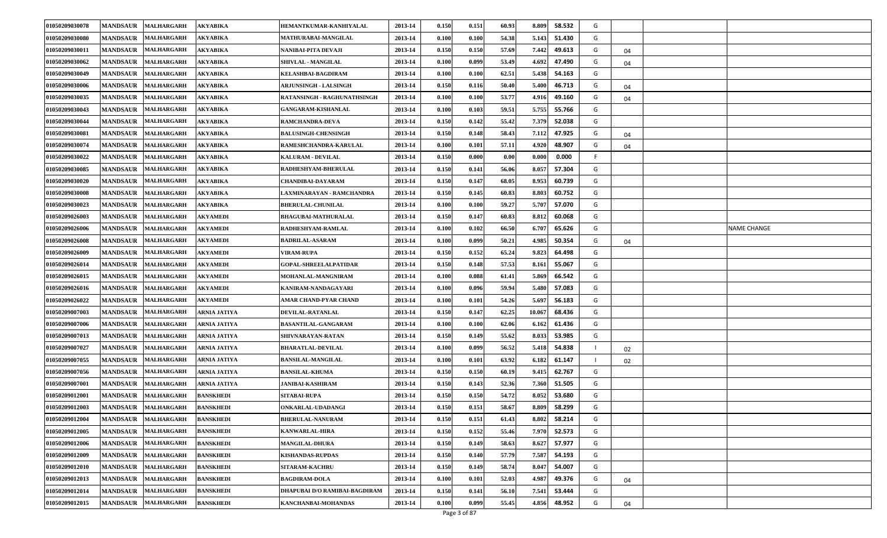| 01050209030078 | <b>MANDSAUR</b> | <b>MALHARGARH</b>   | AKYABIKA            | HEMANTKUMAR-KANHIYALAL        | 2013-14 | 0.150            | 0.151          | 60.93 | 8.809<br>58.532 | G |    |                    |
|----------------|-----------------|---------------------|---------------------|-------------------------------|---------|------------------|----------------|-------|-----------------|---|----|--------------------|
| 01050209030080 | <b>MANDSAUR</b> | <b>MALHARGARH</b>   | AKYABIKA            | MATHURABAI-MANGILAL           | 2013-14 | 0.100            | 0.100          | 54.38 | 5.143<br>51.430 | G |    |                    |
| 01050209030011 | <b>MANDSAUR</b> | <b>MALHARGARH</b>   | <b>AKYABIKA</b>     | NANIBAI-PITA DEVAJI           | 2013-14 | 0.150            | 0.150          | 57.69 | 7.442<br>49.613 | G | 04 |                    |
| 01050209030062 | <b>MANDSAUR</b> | <b>MALHARGARH</b>   | AKYABIKA            | <b>SHIVLAL - MANGILAL</b>     | 2013-14 | 0.100            | 0.099          | 53.49 | 4.692<br>47.490 | G | 04 |                    |
| 01050209030049 | <b>MANDSAUR</b> | <b>MALHARGARH</b>   | AKYABIKA            | KELASHBAI-BAGDIRAM            | 2013-14 | 0.100            | 0.100          | 62.51 | 5.438<br>54.163 | G |    |                    |
| 01050209030006 | <b>MANDSAUR</b> | <b>MALHARGARH</b>   | AKYABIKA            | <b>ARJUNSINGH - LALSINGH</b>  | 2013-14 | 0.150            | 0.116          | 50.40 | 5.400<br>46.713 | G | 04 |                    |
| 01050209030035 | <b>MANDSAUR</b> | <b>MALHARGARH</b>   | <b>AKYABIKA</b>     | RATANSINGH - RAGHUNATHSINGH   | 2013-14 | 0.100            | 0.100          | 53.77 | 4.916<br>49.160 | G | 04 |                    |
| 01050209030043 | <b>MANDSAUR</b> | <b>MALHARGARH</b>   | AKYABIKA            | <b>GANGARAM-KISHANLAL</b>     | 2013-14 | 0.100            | 0.103          | 59.51 | 5.755<br>55.766 | G |    |                    |
| 01050209030044 | <b>MANDSAUR</b> | <b>MALHARGARH</b>   | AKYABIKA            | RAMCHANDRA-DEVA               | 2013-14 | 0.150            | 0.142          | 55.42 | 52.038<br>7.379 | G |    |                    |
| 01050209030081 | <b>MANDSAUR</b> | <b>MALHARGARH</b>   | <b>AKYABIKA</b>     | <b>BALUSINGH-CHENSINGH</b>    | 2013-14 | 0.150            | 0.148          | 58.43 | 7.112<br>47.925 | G | 04 |                    |
| 01050209030074 | <b>MANDSAUR</b> | <b>MALHARGARH</b>   | AKYABIKA            | RAMESHCHANDRA-KARULAL         | 2013-14 | 0.100            | 0.101          | 57.11 | 4.920<br>48.907 | G | 04 |                    |
| 01050209030022 | <b>MANDSAUR</b> | <b>MALHARGARH</b>   | AKYABIKA            | <b>KALURAM - DEVILAL</b>      | 2013-14 | 0.150            | 0.000          | 0.00  | 0.000<br>0.000  |   |    |                    |
| 01050209030085 | <b>MANDSAUR</b> | <b>MALHARGARH</b>   | AKYABIKA            | RADHESHYAM-BHERULAL           | 2013-14 | 0.150            | 0.141          | 56.06 | 8.057<br>57.304 | G |    |                    |
| 01050209030020 | <b>MANDSAUR</b> | <b>MALHARGARH</b>   | <b>AKYABIKA</b>     | <b>CHANDIBAI-DAYARAM</b>      | 2013-14 | 0.150            | 0.147          | 68.05 | 8.953<br>60.739 | G |    |                    |
| 01050209030008 | <b>MANDSAUR</b> | <b>MALHARGARH</b>   | <b>AKYABIKA</b>     | LAXMINARAYAN - RAMCHANDRA     | 2013-14 | 0.150            | 0.145          | 60.83 | 8.803<br>60.752 | G |    |                    |
| 01050209030023 | <b>MANDSAUR</b> | <b>MALHARGARH</b>   | AKYABIKA            | <b>BHERULAL-CHUNILAL</b>      | 2013-14 | 0.100            | 0.100          | 59.27 | 5.707<br>57.070 | G |    |                    |
| 01050209026003 | <b>MANDSAUR</b> | <b>MALHARGARH</b>   | AKYAMEDI            | <b>BHAGUBAI-MATHURALAL</b>    | 2013-14 | 0.150            | 0.147          | 60.83 | 8.812<br>60.068 | G |    |                    |
| 01050209026006 | <b>MANDSAUR</b> | <b>MALHARGARH</b>   | <b>AKYAMEDI</b>     | RADHESHYAM-RAMLAL             | 2013-14 | 0.100            | 0.102          | 66.50 | 65.626<br>6.707 | G |    | <b>NAME CHANGE</b> |
| 01050209026008 | <b>MANDSAUR</b> | <b>MALHARGARH</b>   | <b>AKYAMEDI</b>     | <b>BADRILAL-ASARAM</b>        | 2013-14 | 0.100            | 0.099          | 50.21 | 4.985<br>50.354 | G | 04 |                    |
| 01050209026009 | <b>MANDSAUR</b> | <b>MALHARGARH</b>   | AKYAMEDI            | <b>VIRAM-RUPA</b>             | 2013-14 | 0.150            | 0.152          | 65.24 | 9.823<br>64.498 | G |    |                    |
| 01050209026014 | <b>MANDSAUR</b> | <b>MALHARGARH</b>   | AKYAMEDI            | <b>GOPAL-SHREELALPATIDAR</b>  | 2013-14 | 0.150            | 0.148          | 57.53 | 8.161<br>55.067 | G |    |                    |
| 01050209026015 | <b>MANDSAUR</b> | <b>MALHARGARH</b>   | <b>AKYAMEDI</b>     | MOHANLAL-MANGNIRAM            | 2013-14 | 0.100            | 0.088          | 61.41 | 5.869<br>66.542 | G |    |                    |
| 01050209026016 | <b>MANDSAUR</b> | <b>MALHARGARH</b>   | <b>AKYAMEDI</b>     | KANIRAM-NANDAGAYARI           | 2013-14 | 0.100            | 0.096          | 59.94 | 5.480<br>57.083 | G |    |                    |
| 01050209026022 | <b>MANDSAUR</b> | <b>MALHARGARH</b>   | AKYAMEDI            | AMAR CHAND-PYAR CHAND         | 2013-14 | 0.100            | 0.101          | 54.26 | 5.69<br>56.183  | G |    |                    |
| 01050209007003 | <b>MANDSAUR</b> | <b>MALHARGARH</b>   | ARNIA JATIYA        | DEVILAL-RATANLAL              | 2013-14 | 0.150            | 0.147          | 62.25 | 10.06<br>68.436 | G |    |                    |
| 01050209007006 | <b>MANDSAUR</b> | <b>MALHARGARH</b>   | ARNIA JATIYA        | <b>BASANTILAL-GANGARAM</b>    | 2013-14 | 0.100            | 0.100          | 62.06 | 61.436<br>6.162 | G |    |                    |
| 01050209007013 | <b>MANDSAUR</b> | <b>MALHARGARH</b>   | ARNIA JATIYA        | SHIVNARAYAN-RATAN             | 2013-14 | 0.150            | 0.149          | 55.62 | 53.985<br>8.033 | G |    |                    |
| 01050209007027 | <b>MANDSAUR</b> | <b>MALHARGARH</b>   | ARNIA JATIYA        | <b>BHARATLAL-DEVILAL</b>      | 2013-14 | 0.100            | 0.099          | 56.52 | 5.418<br>54.838 |   | 02 |                    |
| 01050209007055 | <b>MANDSAUR</b> | <b>MALHARGARH</b>   | <b>ARNIA JATIYA</b> | <b>BANSILAL-MANGILAL</b>      | 2013-14 | 0.100            | 0.101          | 63.92 | 6.182<br>61.147 |   | 02 |                    |
| 01050209007056 | <b>MANDSAUR</b> | <b>MALHARGARH</b>   | <b>ARNIA JATIYA</b> | <b>BANSILAL-KHUMA</b>         | 2013-14 | 0.150            | 0.150          | 60.19 | 9.415<br>62.767 | G |    |                    |
| 01050209007001 | <b>MANDSAUR</b> | <b>MALHARGARH</b>   | ARNIA JATIYA        | JANIBAI-KASHIRAM              | 2013-14 | 0.150            | 0.143          | 52.36 | 51.505<br>7.360 | G |    |                    |
| 01050209012001 | <b>MANDSAUR</b> | <b>MALHARGARH</b>   | <b>BANSKHEDI</b>    | <b>SITABAI-RUPA</b>           | 2013-14 | 0.150            | 0.150          | 54.72 | 8.052<br>53.680 | G |    |                    |
| 01050209012003 | <b>MANDSAUR</b> | <b>MALHARGARH</b>   | <b>BANSKHEDI</b>    | ONKARLAL-UDADANGI             | 2013-14 | 0.150            | 0.151          | 58.67 | 58.299<br>8.809 | G |    |                    |
| 01050209012004 |                 | MANDSAUR MALHARGARH | <b>BANSKHEDI</b>    | <b>BHERULAL-NANURAM</b>       | 2013-14 | 0.150            | 0.151          | 61.43 | 8.802<br>58.214 | G |    |                    |
| 01050209012005 | <b>MANDSAUR</b> | <b>MALHARGARH</b>   | <b>BANSKHEDI</b>    | KANWARLAL-HIRA                | 2013-14 | 0.150            | 0.152          | 55.46 | 52.573<br>7.970 | G |    |                    |
| 01050209012006 | <b>MANDSAUR</b> | <b>MALHARGARH</b>   | <b>BANSKHEDI</b>    | <b>MANGILAL-DHURA</b>         | 2013-14 | 0.150            | 0.149          | 58.63 | 8.627<br>57.977 | G |    |                    |
| 01050209012009 | <b>MANDSAUR</b> | <b>MALHARGARH</b>   | <b>BANSKHEDI</b>    | <b>KISHANDAS-RUPDAS</b>       | 2013-14 | 0.150            | 0.140          | 57.79 | 7.587<br>54.193 | G |    |                    |
| 01050209012010 | <b>MANDSAUR</b> | <b>MALHARGARH</b>   | <b>BANSKHEDI</b>    | <b>SITARAM-KACHRU</b>         | 2013-14 | 0.150            | 0.149          | 58.74 | 54.007<br>8.047 | G |    |                    |
| 01050209012013 | <b>MANDSAUR</b> | <b>MALHARGARH</b>   | <b>BANSKHEDI</b>    | <b>BAGDIRAM-DOLA</b>          | 2013-14 | 0.100            | 0.101          | 52.03 | 4.987<br>49.376 | G | 04 |                    |
| 01050209012014 | <b>MANDSAUR</b> | <b>MALHARGARH</b>   | <b>BANSKHEDI</b>    | DHAPUBAI D/O RAMIBAI-BAGDIRAM | 2013-14 | 0.150            | 0.141          | 56.10 | 7.541<br>53.444 | G |    |                    |
| 01050209012015 | <b>MANDSAUR</b> | <b>MALHARGARH</b>   | <b>BANSKHEDI</b>    | KANCHANBAI-MOHANDAS           | 2013-14 | 0.100<br>$D - D$ | 0.099<br>2.507 | 55.45 | 4.856<br>48.952 | G | 04 |                    |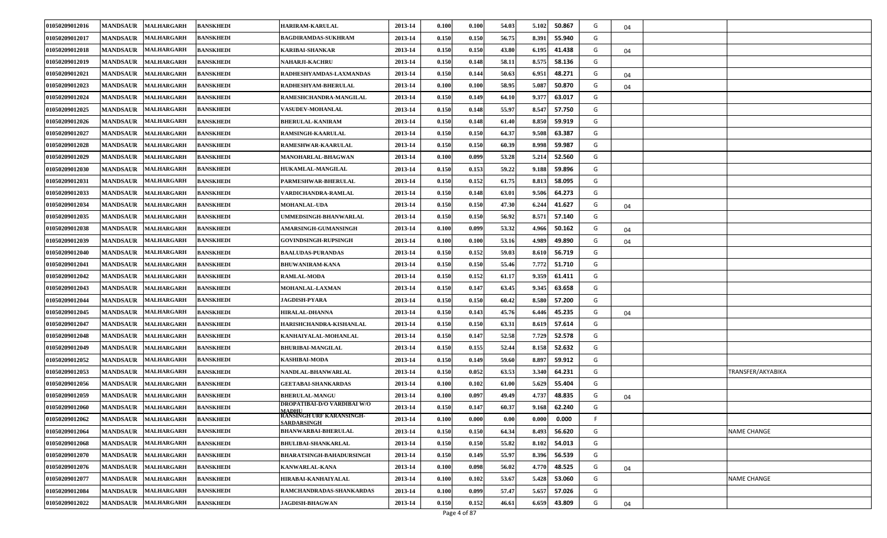| 01050209012016 | <b>MANDSAUR</b> | <b>MALHARGARH</b>   | <b>BANSKHEDI</b> | <b>HARIRAM-KARULAL</b>                                | 2013-14 | 0.100 | 0.100           | 54.03 | 5.102<br>50.867 | G | 04 |                    |
|----------------|-----------------|---------------------|------------------|-------------------------------------------------------|---------|-------|-----------------|-------|-----------------|---|----|--------------------|
| 01050209012017 | <b>MANDSAUR</b> | <b>MALHARGARH</b>   | <b>BANSKHEDI</b> | <b>BAGDIRAMDAS-SUKHRAM</b>                            | 2013-14 | 0.150 | 0.150           | 56.75 | 8.391<br>55.940 | G |    |                    |
| 01050209012018 | <b>MANDSAUR</b> | <b>MALHARGARH</b>   | <b>BANSKHEDI</b> | <b>KARIBAI-SHANKAR</b>                                | 2013-14 | 0.150 | 0.150           | 43.80 | 6.195<br>41.438 | G | 04 |                    |
| 01050209012019 | <b>MANDSAUR</b> | <b>MALHARGARH</b>   | <b>BANSKHEDI</b> | <b>NAHARJI-KACHRU</b>                                 | 2013-14 | 0.150 | 0.148           | 58.11 | 8.575<br>58.136 | G |    |                    |
| 01050209012021 | <b>MANDSAUR</b> | <b>MALHARGARH</b>   | <b>BANSKHEDI</b> | RADHESHYAMDAS-LAXMANDAS                               | 2013-14 | 0.150 | 0.144           | 50.63 | 6.951<br>48.271 | G | 04 |                    |
| 01050209012023 | <b>MANDSAUR</b> | <b>MALHARGARH</b>   | <b>BANSKHEDI</b> | RADHESHYAM-BHERULAL                                   | 2013-14 | 0.100 | 0.100           | 58.95 | 5.087<br>50.870 | G | 04 |                    |
| 01050209012024 | <b>MANDSAUR</b> | <b>MALHARGARH</b>   | <b>BANSKHEDI</b> | RAMESHCHANDRA-MANGILAL                                | 2013-14 | 0.150 | 0.149           | 64.10 | 9.377<br>63.017 | G |    |                    |
| 01050209012025 | <b>MANDSAUR</b> | <b>MALHARGARH</b>   | <b>BANSKHEDI</b> | <b>VASUDEV-MOHANLAL</b>                               | 2013-14 | 0.150 | 0.148           | 55.97 | 8.547<br>57.750 | G |    |                    |
| 01050209012026 | <b>MANDSAUR</b> | <b>MALHARGARH</b>   | <b>BANSKHEDI</b> | <b>BHERULAL-KANIRAM</b>                               | 2013-14 | 0.150 | 0.148           | 61.40 | 8.850<br>59.919 | G |    |                    |
| 01050209012027 | <b>MANDSAUR</b> | <b>MALHARGARH</b>   | <b>BANSKHEDI</b> | <b>RAMSINGH-KAARULAL</b>                              | 2013-14 | 0.150 | 0.150           | 64.37 | 9.508<br>63.387 | G |    |                    |
| 01050209012028 | <b>MANDSAUR</b> | <b>MALHARGARH</b>   | <b>BANSKHEDI</b> | RAMESHWAR-KAARULAL                                    | 2013-14 | 0.150 | 0.150           | 60.39 | 8.998<br>59.987 | G |    |                    |
| 01050209012029 | <b>MANDSAUR</b> | <b>MALHARGARH</b>   | <b>BANSKHEDI</b> | <b>MANOHARLAL-BHAGWAN</b>                             | 2013-14 | 0.100 | 0.099           | 53.28 | 52.560<br>5.214 | G |    |                    |
| 01050209012030 | <b>MANDSAUR</b> | <b>MALHARGARH</b>   | <b>BANSKHEDI</b> | HUKAMLAL-MANGILAL                                     | 2013-14 | 0.150 | 0.153           | 59.22 | 9.188<br>59.896 | G |    |                    |
| 01050209012031 | <b>MANDSAUR</b> | <b>MALHARGARH</b>   | <b>BANSKHEDI</b> | PARMESHWAR-BHERULAL                                   | 2013-14 | 0.150 | 0.152           | 61.75 | 8.813<br>58.095 | G |    |                    |
| 01050209012033 | <b>MANDSAUR</b> | <b>MALHARGARH</b>   | <b>BANSKHEDI</b> | VARDICHANDRA-RAMLAL                                   | 2013-14 | 0.150 | 0.148           | 63.01 | 9.506<br>64.273 | G |    |                    |
| 01050209012034 | <b>MANDSAUR</b> | <b>MALHARGARH</b>   | <b>BANSKHEDI</b> | <b>MOHANLAL-UDA</b>                                   | 2013-14 | 0.150 | 0.150           | 47.30 | 6.244<br>41.627 | G | 04 |                    |
| 01050209012035 | <b>MANDSAUR</b> | <b>MALHARGARH</b>   | <b>BANSKHEDI</b> | UMMEDSINGH-BHANWARLAL                                 | 2013-14 | 0.150 | 0.150           | 56.92 | 8.571<br>57.140 | G |    |                    |
| 01050209012038 | <b>MANDSAUR</b> | <b>MALHARGARH</b>   | <b>BANSKHEDI</b> | AMARSINGH-GUMANSINGH                                  | 2013-14 | 0.100 | 0.099           | 53.32 | 4.966<br>50.162 | G | 04 |                    |
| 01050209012039 | <b>MANDSAUR</b> | <b>MALHARGARH</b>   | <b>BANSKHEDI</b> | <b>GOVINDSINGH-RUPSINGH</b>                           | 2013-14 | 0.100 | 0.100           | 53.16 | 4.989<br>49.890 | G | 04 |                    |
| 01050209012040 | <b>MANDSAUR</b> | <b>MALHARGARH</b>   | <b>BANSKHEDI</b> | <b>BAALUDAS-PURANDAS</b>                              | 2013-14 | 0.150 | 0.152           | 59.03 | 56.719<br>8.610 | G |    |                    |
| 01050209012041 | <b>MANDSAUR</b> | <b>MALHARGARH</b>   | <b>BANSKHEDI</b> | <b>BHUWANIRAM-KANA</b>                                | 2013-14 | 0.150 | 0.150           | 55.46 | 7.772<br>51.710 | G |    |                    |
| 01050209012042 | <b>MANDSAUR</b> | <b>MALHARGARH</b>   | <b>BANSKHEDI</b> | <b>RAMLAL-MODA</b>                                    | 2013-14 | 0.150 | 0.152           | 61.17 | 9.359<br>61.411 | G |    |                    |
| 01050209012043 | <b>MANDSAUR</b> | <b>MALHARGARH</b>   | <b>BANSKHEDI</b> | MOHANLAL-LAXMAN                                       | 2013-14 | 0.150 | 0.147           | 63.45 | 9.345<br>63.658 | G |    |                    |
| 01050209012044 | <b>MANDSAUR</b> | <b>MALHARGARH</b>   | <b>BANSKHEDI</b> | <b>JAGDISH-PYARA</b>                                  | 2013-14 | 0.150 | 0.150           | 60.42 | 8.580<br>57.200 | G |    |                    |
| 01050209012045 | <b>MANDSAUR</b> | <b>MALHARGARH</b>   | <b>BANSKHEDI</b> | <b>HIRALAL-DHANNA</b>                                 | 2013-14 | 0.150 | 0.143           | 45.76 | 6.446<br>45.235 | G | 04 |                    |
| 01050209012047 | <b>MANDSAUR</b> | <b>MALHARGARH</b>   | <b>BANSKHEDI</b> | HARISHCHANDRA-KISHANLAL                               | 2013-14 | 0.150 | 0.150           | 63.31 | 8.619<br>57.614 | G |    |                    |
| 01050209012048 | <b>MANDSAUR</b> | <b>MALHARGARH</b>   | <b>BANSKHEDI</b> | KANHAIYALAL-MOHANLAL                                  | 2013-14 | 0.150 | 0.147           | 52.58 | 7.729<br>52.578 | G |    |                    |
| 01050209012049 | <b>MANDSAUR</b> | <b>MALHARGARH</b>   | <b>BANSKHEDI</b> | <b>BHURIBAI-MANGILAL</b>                              | 2013-14 | 0.150 | 0.155           | 52.44 | 8.158<br>52.632 | G |    |                    |
| 01050209012052 | <b>MANDSAUR</b> | <b>MALHARGARH</b>   | <b>BANSKHEDI</b> | KASHIBAI-MODA                                         | 2013-14 | 0.150 | 0.149           | 59.60 | 8.897<br>59.912 | G |    |                    |
| 01050209012053 | <b>MANDSAUR</b> | <b>MALHARGARH</b>   | <b>BANSKHEDI</b> | NANDLAL-BHANWARLAL                                    | 2013-14 | 0.150 | 0.052           | 63.53 | 64.231<br>3.340 | G |    | TRANSFER/AKYABIKA  |
| 01050209012056 | <b>MANDSAUR</b> | <b>MALHARGARH</b>   | <b>BANSKHEDI</b> | <b>GEETABAI-SHANKARDAS</b>                            | 2013-14 | 0.100 | 0.102           | 61.00 | 5.629<br>55.404 | G |    |                    |
| 01050209012059 | <b>MANDSAUR</b> | <b>MALHARGARH</b>   | <b>BANSKHEDI</b> | <b>BHERULAL-MANGU</b>                                 | 2013-14 | 0.100 | 0.097           | 49.49 | 48.835<br>4.737 | G | 04 |                    |
| 01050209012060 | <b>MANDSAUR</b> | <b>MALHARGARH</b>   | <b>BANSKHEDI</b> | <b>DROPATIBAI-D/O VARDIBAI W/O</b><br><b>MADHU</b>    | 2013-14 | 0.150 | 0.147           | 60.37 | 62.240<br>9.168 | G |    |                    |
| 01050209012062 |                 | MANDSAUR MALHARGARH | <b>BANSKHEDI</b> | <b>RANSINGH URF KARANSINGH-</b><br><b>SARDARSINGH</b> | 2013-14 | 0.100 | 0.000           | 0.00  | 0.000<br>0.000  |   |    |                    |
| 01050209012064 | <b>MANDSAUR</b> | <b>MALHARGARH</b>   | <b>BANSKHEDI</b> | <b>BHANWARBAI-BHERULAL</b>                            | 2013-14 | 0.150 | 0.150           | 64.34 | 8.493<br>56.620 | G |    | NAME CHANGE        |
| 01050209012068 | <b>MANDSAUR</b> | <b>MALHARGARH</b>   | <b>BANSKHEDI</b> | <b>BHULIBAI-SHANKARLAL</b>                            | 2013-14 | 0.150 | 0.150           | 55.82 | 8.102<br>54.013 | G |    |                    |
| 01050209012070 | <b>MANDSAUR</b> | <b>MALHARGARH</b>   | <b>BANSKHEDI</b> | <b>BHARATSINGH-BAHADURSINGH</b>                       | 2013-14 | 0.150 | 0.149           | 55.97 | 8.396<br>56.539 | G |    |                    |
| 01050209012076 | <b>MANDSAUR</b> | <b>MALHARGARH</b>   | <b>BANSKHEDI</b> | KANWARLAL-KANA                                        | 2013-14 | 0.100 | 0.098           | 56.02 | 4.770<br>48.525 | G | 04 |                    |
| 01050209012077 | <b>MANDSAUR</b> | <b>MALHARGARH</b>   | <b>BANSKHEDI</b> | HIRABAI-KANHAIYALAL                                   | 2013-14 | 0.100 | 0.102           | 53.67 | 53.060<br>5.428 | G |    | <b>NAME CHANGE</b> |
| 01050209012084 | <b>MANDSAUR</b> | <b>MALHARGARH</b>   | <b>BANSKHEDI</b> | RAMCHANDRADAS-SHANKARDAS                              | 2013-14 | 0.100 | 0.099           | 57.47 | 5.657<br>57.026 | G |    |                    |
| 01050209012022 | <b>MANDSAUR</b> | <b>MALHARGARH</b>   | <b>BANSKHEDI</b> | <b>JAGDISH-BHAGWAN</b>                                | 2013-14 | 0.150 | 0.152<br>$\sim$ | 46.61 | 6.659<br>43.809 | G | 04 |                    |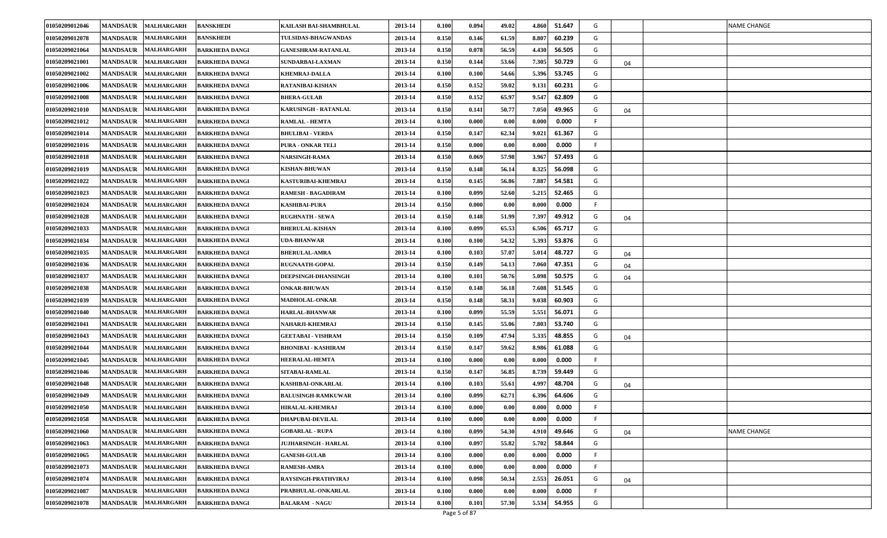| 01050209012046 | <b>MANDSAUR</b> | <b>MALHARGARH</b> | BANSKHEDI             | KAILASH BAI-SHAMBHULAL     | 2013-14 | 0.100 | 0.094 | 49.02 | 4.860 | 51.647 | G  |    | <b>NAME CHANGE</b> |
|----------------|-----------------|-------------------|-----------------------|----------------------------|---------|-------|-------|-------|-------|--------|----|----|--------------------|
| 01050209012078 | <b>MANDSAUR</b> | <b>MALHARGARH</b> | BANSKHEDI             | TULSIDAS-BHAGWANDAS        | 2013-14 | 0.150 | 0.146 | 61.59 | 8.807 | 60.239 | G  |    |                    |
| 01050209021064 | <b>MANDSAUR</b> | <b>MALHARGARH</b> | <b>BARKHEDA DANGI</b> | <b>GANESHRAM-RATANLAL</b>  | 2013-14 | 0.150 | 0.078 | 56.59 | 4.430 | 56.505 | G  |    |                    |
| 01050209021001 | <b>MANDSAUR</b> | <b>MALHARGARH</b> | BARKHEDA DANGI        | SUNDARBAI-LAXMAN           | 2013-14 | 0.150 | 0.144 | 53.66 | 7.305 | 50.729 | G  | 04 |                    |
| 01050209021002 | <b>MANDSAUR</b> | <b>MALHARGARH</b> | <b>BARKHEDA DANGI</b> | <b>KHEMRAJ-DALLA</b>       | 2013-14 | 0.100 | 0.100 | 54.66 | 5.396 | 53.745 | G  |    |                    |
| 01050209021006 | <b>MANDSAUR</b> | <b>MALHARGARH</b> | BARKHEDA DANGI        | <b>RATANIBAI-KISHAN</b>    | 2013-14 | 0.150 | 0.152 | 59.02 | 9.131 | 60.231 | G  |    |                    |
| 01050209021008 | <b>MANDSAUR</b> | <b>MALHARGARH</b> | <b>BARKHEDA DANGI</b> | <b>BHERA-GULAB</b>         | 2013-14 | 0.150 | 0.152 | 65.97 | 9.547 | 62.809 | G  |    |                    |
| 01050209021010 | <b>MANDSAUR</b> | <b>MALHARGARH</b> | <b>BARKHEDA DANGI</b> | KARUSINGH - RATANLAL       | 2013-14 | 0.150 | 0.141 | 50.77 | 7.050 | 49.965 | G  | 04 |                    |
| 01050209021012 | <b>MANDSAUR</b> | <b>MALHARGARH</b> | <b>BARKHEDA DANGI</b> | RAMLAL - HEMTA             | 2013-14 | 0.100 | 0.000 | 0.00  | 0.000 | 0.000  | F. |    |                    |
| 01050209021014 | <b>MANDSAUR</b> | <b>MALHARGARH</b> | <b>BARKHEDA DANGI</b> | <b>BHULIBAI - VERDA</b>    | 2013-14 | 0.150 | 0.147 | 62.34 | 9.021 | 61.367 | G  |    |                    |
| 01050209021016 | <b>MANDSAUR</b> | <b>MALHARGARH</b> | BARKHEDA DANGI        | <b>PURA - ONKAR TELI</b>   | 2013-14 | 0.150 | 0.000 | 0.00  | 0.000 | 0.000  | F. |    |                    |
| 01050209021018 | <b>MANDSAUR</b> | <b>MALHARGARH</b> | BARKHEDA DANGI        | <b>NARSINGH-RAMA</b>       | 2013-14 | 0.150 | 0.069 | 57.98 | 3.967 | 57.493 | G  |    |                    |
| 01050209021019 | <b>MANDSAUR</b> | <b>MALHARGARH</b> | BARKHEDA DANGI        | <b>KISHAN-BHUWAN</b>       | 2013-14 | 0.150 | 0.148 | 56.14 | 8.325 | 56.098 | G  |    |                    |
| 01050209021022 | <b>MANDSAUR</b> | <b>MALHARGARH</b> | <b>BARKHEDA DANGI</b> | KASTURIBAI-KHEMRAJ         | 2013-14 | 0.150 | 0.145 | 56.86 | 7.887 | 54.581 | G  |    |                    |
| 01050209021023 | <b>MANDSAUR</b> | <b>MALHARGARH</b> | BARKHEDA DANGI        | <b>RAMESH - BAGADIRAM</b>  | 2013-14 | 0.100 | 0.099 | 52.60 | 5.215 | 52.465 | G  |    |                    |
| 01050209021024 | <b>MANDSAUR</b> | <b>MALHARGARH</b> | <b>BARKHEDA DANGI</b> | <b>KASHIBAI-PURA</b>       | 2013-14 | 0.150 | 0.000 | 0.00  | 0.000 | 0.000  | F. |    |                    |
| 01050209021028 | <b>MANDSAUR</b> | <b>MALHARGARH</b> | BARKHEDA DANGI        | <b>RUGHNATH - SEWA</b>     | 2013-14 | 0.150 | 0.148 | 51.99 | 7.397 | 49.912 | G  | 04 |                    |
| 01050209021033 | <b>MANDSAUR</b> | <b>MALHARGARH</b> | <b>BARKHEDA DANGI</b> | <b>BHERULAL-KISHAN</b>     | 2013-14 | 0.100 | 0.099 | 65.53 | 6.506 | 65.717 | G  |    |                    |
| 01050209021034 | <b>MANDSAUR</b> | <b>MALHARGARH</b> | BARKHEDA DANGI        | <b>UDA-BHANWAR</b>         | 2013-14 | 0.100 | 0.100 | 54.32 | 5.393 | 53.876 | G  |    |                    |
| 01050209021035 | <b>MANDSAUR</b> | <b>MALHARGARH</b> | BARKHEDA DANGI        | <b>BHERULAL-AMRA</b>       | 2013-14 | 0.100 | 0.103 | 57.07 | 5.014 | 48.727 | G  | 04 |                    |
| 01050209021036 | <b>MANDSAUR</b> | <b>MALHARGARH</b> | <b>BARKHEDA DANGI</b> | <b>RUGNAATH-GOPAL</b>      | 2013-14 | 0.150 | 0.149 | 54.13 | 7.060 | 47.351 | G  | 04 |                    |
| 01050209021037 | <b>MANDSAUR</b> | <b>MALHARGARH</b> | <b>BARKHEDA DANGI</b> | <b>DEEPSINGH-DHANSINGH</b> | 2013-14 | 0.100 | 0.101 | 50.76 | 5.098 | 50.575 | G  | 04 |                    |
| 01050209021038 | <b>MANDSAUR</b> | <b>MALHARGARH</b> | BARKHEDA DANGI        | <b>ONKAR-BHUWAN</b>        | 2013-14 | 0.150 | 0.148 | 56.18 | 7.608 | 51.545 | G  |    |                    |
| 01050209021039 | <b>MANDSAUR</b> | <b>MALHARGARH</b> | <b>BARKHEDA DANGI</b> | <b>MADHOLAL-ONKAR</b>      | 2013-14 | 0.150 | 0.148 | 58.31 | 9.038 | 60.903 | G  |    |                    |
| 01050209021040 | <b>MANDSAUR</b> | <b>MALHARGARH</b> | <b>BARKHEDA DANGI</b> | <b>HARLAL-BHANWAR</b>      | 2013-14 | 0.100 | 0.099 | 55.59 | 5.551 | 56.071 | G  |    |                    |
| 01050209021041 | <b>MANDSAUR</b> | <b>MALHARGARH</b> | <b>BARKHEDA DANGI</b> | NAHARJI-KHEMRAJ            | 2013-14 | 0.150 | 0.145 | 55.06 | 7.803 | 53.740 | G  |    |                    |
| 01050209021043 | <b>MANDSAUR</b> | <b>MALHARGARH</b> | BARKHEDA DANGI        | <b>GEETABAI - VISHRAM</b>  | 2013-14 | 0.150 | 0.109 | 47.94 | 5.335 | 48.855 | G  | 04 |                    |
| 01050209021044 | <b>MANDSAUR</b> | <b>MALHARGARH</b> | <b>BARKHEDA DANGI</b> | <b>BHONIBAI - KASHIRAM</b> | 2013-14 | 0.150 | 0.147 | 59.62 | 8.986 | 61.088 | G  |    |                    |
| 01050209021045 | <b>MANDSAUR</b> | <b>MALHARGARH</b> | BARKHEDA DANGI        | <b>HEERALAL-HEMTA</b>      | 2013-14 | 0.100 | 0.000 | 0.00  | 0.000 | 0.000  | F. |    |                    |
| 01050209021046 | <b>MANDSAUR</b> | <b>MALHARGARH</b> | <b>BARKHEDA DANGI</b> | SITABAI-RAMLAL             | 2013-14 | 0.150 | 0.147 | 56.85 | 8.739 | 59.449 | G  |    |                    |
| 01050209021048 | <b>MANDSAUR</b> | <b>MALHARGARH</b> | BARKHEDA DANGI        | KASHIBAI-ONKARLAL          | 2013-14 | 0.100 | 0.103 | 55.61 | 4.997 | 48.704 | G  | 04 |                    |
| 01050209021049 | <b>MANDSAUR</b> | <b>MALHARGARH</b> | <b>BARKHEDA DANGI</b> | <b>BALUSINGH-RAMKUWAR</b>  | 2013-14 | 0.100 | 0.099 | 62.71 | 6.396 | 64.606 | G  |    |                    |
| 01050209021050 | <b>MANDSAUR</b> | <b>MALHARGARH</b> | <b>BARKHEDA DANGI</b> | <b>HIRALAL-KHEMRAJ</b>     | 2013-14 | 0.100 | 0.000 | 0.00  | 0.000 | 0.000  | F. |    |                    |
| 01050209021058 | <b>MANDSAUR</b> | <b>MALHARGARH</b> | <b>BARKHEDA DANGI</b> | <b>DHAPUBAI-DEVILAL</b>    | 2013-14 | 0.100 | 0.000 | 0.00  | 0.000 | 0.000  | F  |    |                    |
| 01050209021060 | <b>MANDSAUR</b> | <b>MALHARGARH</b> | BARKHEDA DANGI        | <b>GOBARLAL - RUPA</b>     | 2013-14 | 0.100 | 0.099 | 54.30 | 4.910 | 49.646 | G  | 04 | <b>NAME CHANGE</b> |
| 01050209021063 | <b>MANDSAUR</b> | <b>MALHARGARH</b> | BARKHEDA DANGI        | JUJHARSINGH - HARLAL       | 2013-14 | 0.100 | 0.097 | 55.82 | 5.702 | 58.844 | G  |    |                    |
| 01050209021065 | <b>MANDSAUR</b> | <b>MALHARGARH</b> | <b>BARKHEDA DANGI</b> | <b>GANESH-GULAB</b>        | 2013-14 | 0.100 | 0.000 | 0.00  | 0.000 | 0.000  | F. |    |                    |
| 01050209021073 | <b>MANDSAUR</b> | <b>MALHARGARH</b> | <b>BARKHEDA DANGI</b> | <b>RAMESH-AMRA</b>         | 2013-14 | 0.100 | 0.000 | 0.00  | 0.000 | 0.000  | F. |    |                    |
| 01050209021074 | <b>MANDSAUR</b> | <b>MALHARGARH</b> | BARKHEDA DANGI        | RAYSINGH-PRATHVIRAJ        | 2013-14 | 0.100 | 0.098 | 50.34 | 2.553 | 26.051 | G  | 04 |                    |
| 01050209021087 | <b>MANDSAUR</b> | <b>MALHARGARH</b> | BARKHEDA DANGI        | PRABHULAL-ONKARLAL         | 2013-14 | 0.100 | 0.000 | 0.00  | 0.000 | 0.000  | F. |    |                    |
| 01050209021078 | <b>MANDSAUR</b> | <b>MALHARGARH</b> | <b>BARKHEDA DANGI</b> | <b>BALARAM - NAGU</b>      | 2013-14 | 0.100 | 0.101 | 57.30 | 5.534 | 54.955 | G  |    |                    |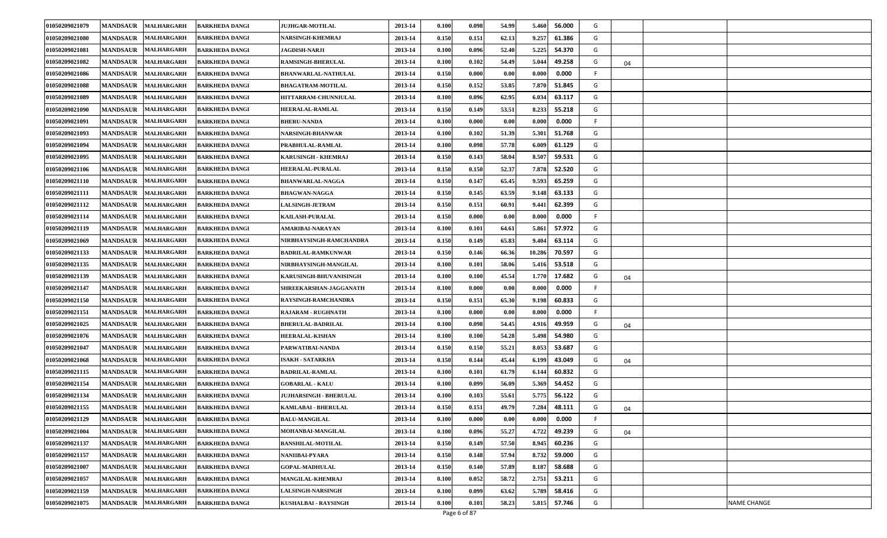| 01050209021079 | <b>MANDSAUR</b> | <b>MALHARGARH</b> | <b>BARKHEDA DANGI</b> | <b>JUJHGAR-MOTILAL</b>        | 2013-14 | 0.100 | 0.098 | 54.99 | 56.000<br>5.460  | G   |    |                    |
|----------------|-----------------|-------------------|-----------------------|-------------------------------|---------|-------|-------|-------|------------------|-----|----|--------------------|
| 01050209021080 | <b>MANDSAUR</b> | <b>MALHARGARH</b> | <b>BARKHEDA DANGI</b> | NARSINGH-KHEMRAJ              | 2013-14 | 0.150 | 0.151 | 62.13 | 9.257<br>61.386  | G   |    |                    |
| 01050209021081 | <b>MANDSAUR</b> | <b>MALHARGARH</b> | <b>BARKHEDA DANGI</b> | <b>JAGDISH-NARJI</b>          | 2013-14 | 0.100 | 0.096 | 52.40 | 5.225<br>54.370  | G   |    |                    |
| 01050209021082 | <b>MANDSAUR</b> | <b>MALHARGARH</b> | <b>BARKHEDA DANGI</b> | <b>RAMSINGH-BHERULAL</b>      | 2013-14 | 0.100 | 0.102 | 54.49 | 5.044<br>49.258  | G   | 04 |                    |
| 01050209021086 | <b>MANDSAUR</b> | <b>MALHARGARH</b> | <b>BARKHEDA DANGI</b> | <b>BHANWARLAL-NATHULAL</b>    | 2013-14 | 0.150 | 0.000 | 0.00  | 0.000<br>0.000   | .F. |    |                    |
| 01050209021088 | <b>MANDSAUR</b> | <b>MALHARGARH</b> | <b>BARKHEDA DANGI</b> | <b>BHAGATRAM-MOTILAL</b>      | 2013-14 | 0.150 | 0.152 | 53.85 | 51.845<br>7.870  | G   |    |                    |
| 01050209021089 | <b>MANDSAUR</b> | <b>MALHARGARH</b> | <b>BARKHEDA DANGI</b> | HITTARRAM-CHUNNIULAL          | 2013-14 | 0.100 | 0.096 | 62.95 | 6.034<br>63.117  | G   |    |                    |
| 01050209021090 | <b>MANDSAUR</b> | <b>MALHARGARH</b> | <b>BARKHEDA DANGI</b> | <b>HEERALAL-RAMLAL</b>        | 2013-14 | 0.150 | 0.149 | 53.51 | 8.233<br>55.218  | G   |    |                    |
| 01050209021091 | <b>MANDSAUR</b> | <b>MALHARGARH</b> | <b>BARKHEDA DANGI</b> | <b>BHERU-NANDA</b>            | 2013-14 | 0.100 | 0.000 | 0.00  | 0.000<br>0.000   |     |    |                    |
| 01050209021093 | <b>MANDSAUR</b> | <b>MALHARGARH</b> | <b>BARKHEDA DANGI</b> | <b>NARSINGH-BHANWAR</b>       | 2013-14 | 0.100 | 0.102 | 51.39 | 5.301<br>51.768  | G   |    |                    |
| 01050209021094 | <b>MANDSAUR</b> | <b>MALHARGARH</b> | <b>BARKHEDA DANGI</b> | PRABHULAL-RAMLAL              | 2013-14 | 0.100 | 0.098 | 57.78 | 61.129<br>6.009  | G   |    |                    |
| 01050209021095 | <b>MANDSAUR</b> | <b>MALHARGARH</b> | <b>BARKHEDA DANGI</b> | KARUSINGH - KHEMRAJ           | 2013-14 | 0.150 | 0.143 | 58.04 | 59.531<br>8.507  | G   |    |                    |
| 01050209021106 | <b>MANDSAUR</b> | <b>MALHARGARH</b> | <b>BARKHEDA DANGI</b> | HEERALAL-PURALAL              | 2013-14 | 0.150 | 0.150 | 52.37 | 7.878<br>52.520  | G   |    |                    |
| 01050209021110 | <b>MANDSAUR</b> | <b>MALHARGARH</b> | <b>BARKHEDA DANGI</b> | <b>BHANWARLAL-NAGGA</b>       | 2013-14 | 0.150 | 0.147 | 65.45 | 9.593<br>65.259  | G   |    |                    |
| 01050209021111 | <b>MANDSAUR</b> | <b>MALHARGARH</b> | <b>BARKHEDA DANGI</b> | <b>BHAGWAN-NAGGA</b>          | 2013-14 | 0.150 | 0.145 | 63.59 | 9.148<br>63.133  | G   |    |                    |
| 01050209021112 | <b>MANDSAUR</b> | <b>MALHARGARH</b> | <b>BARKHEDA DANGI</b> | <b>LALSINGH-JETRAM</b>        | 2013-14 | 0.150 | 0.151 | 60.91 | 62.399<br>9.441  | G   |    |                    |
| 01050209021114 | <b>MANDSAUR</b> | <b>MALHARGARH</b> | <b>BARKHEDA DANGI</b> | <b>KAILASH-PURALAL</b>        | 2013-14 | 0.150 | 0.000 | 0.00  | 0.000<br>0.000   | .F. |    |                    |
| 01050209021119 | <b>MANDSAUR</b> | <b>MALHARGARH</b> | <b>BARKHEDA DANGI</b> | AMARIBAI-NARAYAN              | 2013-14 | 0.100 | 0.101 | 64.61 | 5.861<br>57.972  | G   |    |                    |
| 01050209021069 | <b>MANDSAUR</b> | <b>MALHARGARH</b> | <b>BARKHEDA DANGI</b> | NIRBHAYSINGH-RAMCHANDRA       | 2013-14 | 0.150 | 0.149 | 65.83 | 9.404<br>63.114  | G   |    |                    |
| 01050209021133 | <b>MANDSAUR</b> | <b>MALHARGARH</b> | <b>BARKHEDA DANGI</b> | <b>BADRILAL-RAMKUNWAR</b>     | 2013-14 | 0.150 | 0.146 | 66.36 | 10.286<br>70.597 | G   |    |                    |
| 01050209021135 | <b>MANDSAUR</b> | <b>MALHARGARH</b> | <b>BARKHEDA DANGI</b> | NIRBHAYSINGH-MANGILAL         | 2013-14 | 0.100 | 0.101 | 58.06 | 5.416<br>53.518  | G   |    |                    |
| 01050209021139 | <b>MANDSAUR</b> | <b>MALHARGARH</b> | <b>BARKHEDA DANGI</b> | KARUSINGH-BHUVANISINGH        | 2013-14 | 0.100 | 0.100 | 45.54 | 1.770<br>17.682  | G   | 04 |                    |
| 01050209021147 | <b>MANDSAUR</b> | <b>MALHARGARH</b> | <b>BARKHEDA DANGI</b> | SHREEKARSHAN-JAGGANATH        | 2013-14 | 0.100 | 0.000 | 0.00  | 0.000<br>0.000   | .F. |    |                    |
| 01050209021150 | <b>MANDSAUR</b> | <b>MALHARGARH</b> | <b>BARKHEDA DANGI</b> | RAYSINGH-RAMCHANDRA           | 2013-14 | 0.150 | 0.151 | 65.30 | 9.198<br>60.833  | G   |    |                    |
| 01050209021151 | <b>MANDSAUR</b> | <b>MALHARGARH</b> | <b>BARKHEDA DANGI</b> | <b>RAJARAM - RUGHNATH</b>     | 2013-14 | 0.100 | 0.000 | 0.00  | 0.000<br>0.000   | F.  |    |                    |
| 01050209021025 | <b>MANDSAUR</b> | <b>MALHARGARH</b> | <b>BARKHEDA DANGI</b> | <b>BHERULAL-BADRILAL</b>      | 2013-14 | 0.100 | 0.098 | 54.45 | 4.916<br>49.959  | G   | 04 |                    |
| 01050209021076 | <b>MANDSAUR</b> | <b>MALHARGARH</b> | <b>BARKHEDA DANGI</b> | HEERALAL-KISHAN               | 2013-14 | 0.100 | 0.100 | 54.28 | 5.498<br>54.980  | G   |    |                    |
| 01050209021047 | <b>MANDSAUR</b> | <b>MALHARGARH</b> | <b>BARKHEDA DANGI</b> | PARWATIBAI-NANDA              | 2013-14 | 0.150 | 0.150 | 55.21 | 8.053<br>53.687  | G   |    |                    |
| 01050209021068 | <b>MANDSAUR</b> | <b>MALHARGARH</b> | <b>BARKHEDA DANGI</b> | <b>ISAKH - SATARKHA</b>       | 2013-14 | 0.150 | 0.144 | 45.44 | 6.199<br>43.049  | G   | 04 |                    |
| 01050209021115 | <b>MANDSAUR</b> | <b>MALHARGARH</b> | <b>BARKHEDA DANGI</b> | <b>BADRILAL-RAMLAL</b>        | 2013-14 | 0.100 | 0.101 | 61.79 | 6.144<br>60.832  | G   |    |                    |
| 01050209021154 | <b>MANDSAUR</b> | <b>MALHARGARH</b> | <b>BARKHEDA DANGI</b> | <b>GOBARLAL - KALU</b>        | 2013-14 | 0.100 | 0.099 | 56.09 | 5.369<br>54.452  | G   |    |                    |
| 01050209021134 | <b>MANDSAUR</b> | <b>MALHARGARH</b> | <b>BARKHEDA DANGI</b> | <b>JUJHARSINGH - BHERULAL</b> | 2013-14 | 0.100 | 0.103 | 55.61 | 5.775<br>56.122  | G   |    |                    |
| 01050209021155 | <b>MANDSAUR</b> | <b>MALHARGARH</b> | <b>BARKHEDA DANGI</b> | KAMLABAI - BHERULAL           | 2013-14 | 0.150 | 0.151 | 49.79 | 7.284<br>48.111  | G   | 04 |                    |
| 01050209021129 | <b>MANDSAUR</b> | <b>MALHARGARH</b> | <b>BARKHEDA DANGI</b> | <b>BALU-MANGILAL</b>          | 2013-14 | 0.100 | 0.000 | 0.00  | 0.000<br>0.000   |     |    |                    |
| 01050209021004 | <b>MANDSAUR</b> | <b>MALHARGARH</b> | <b>BARKHEDA DANGI</b> | MOHANBAI-MANGILAL             | 2013-14 | 0.100 | 0.096 | 55.27 | 4.722<br>49.239  | G   | 04 |                    |
| 01050209021137 | <b>MANDSAUR</b> | <b>MALHARGARH</b> | <b>BARKHEDA DANGI</b> | <b>BANSHILAL-MOTILAL</b>      | 2013-14 | 0.150 | 0.149 | 57.50 | 8.945<br>60.236  | G   |    |                    |
| 01050209021157 | <b>MANDSAUR</b> | <b>MALHARGARH</b> | <b>BARKHEDA DANGI</b> | NANIIBAI-PYARA                | 2013-14 | 0.150 | 0.148 | 57.94 | 8.732<br>59.000  | G   |    |                    |
| 01050209021007 | <b>MANDSAUR</b> | <b>MALHARGARH</b> | <b>BARKHEDA DANGI</b> | <b>GOPAL-MADHULAL</b>         | 2013-14 | 0.150 | 0.140 | 57.89 | 58.688<br>8.187  | G   |    |                    |
| 01050209021057 | <b>MANDSAUR</b> | <b>MALHARGARH</b> | <b>BARKHEDA DANGI</b> | <b>MANGILAL-KHEMRAJ</b>       | 2013-14 | 0.100 | 0.052 | 58.72 | 2.751<br>53.211  | G   |    |                    |
| 01050209021159 | <b>MANDSAUR</b> | <b>MALHARGARH</b> | <b>BARKHEDA DANGI</b> | <b>LALSINGH-NARSINGH</b>      | 2013-14 | 0.100 | 0.099 | 63.62 | 5.789<br>58.416  | G   |    |                    |
| 01050209021075 | <b>MANDSAUR</b> | <b>MALHARGARH</b> | <b>BARKHEDA DANGI</b> | KUSHALBAI - RAYSINGH          | 2013-14 | 0.100 | 0.101 | 58.23 | 5.815<br>57.746  | G   |    | <b>NAME CHANGE</b> |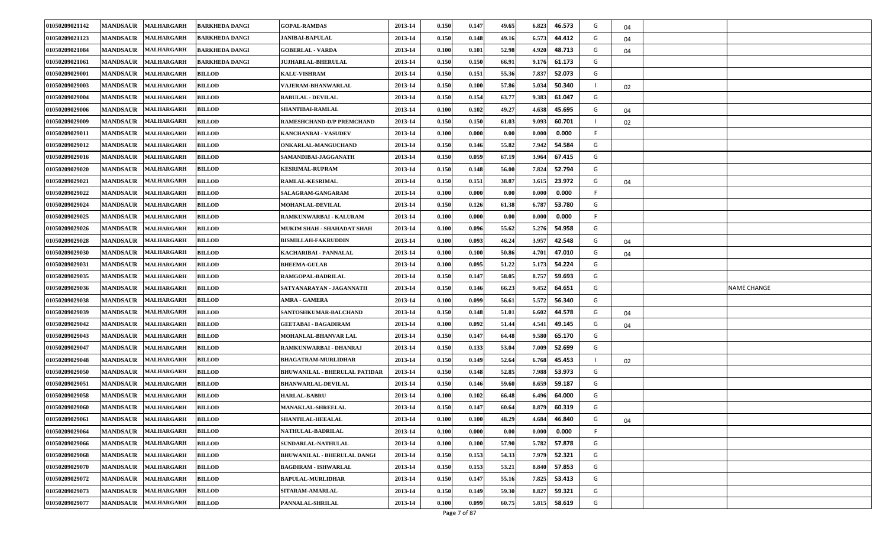| 01050209021142 | <b>MANDSAUR</b> | <b>MALHARGARH</b>   | <b>BARKHEDA DANGI</b> | <b>GOPAL-RAMDAS</b>                  | 2013-14 | 0.150            | 0.147               | 49.65 | 6.823<br>46.573 | G  | 04 |             |
|----------------|-----------------|---------------------|-----------------------|--------------------------------------|---------|------------------|---------------------|-------|-----------------|----|----|-------------|
| 01050209021123 | <b>MANDSAUR</b> | <b>MALHARGARH</b>   | <b>BARKHEDA DANGI</b> | <b>JANIBAI-BAPULAL</b>               | 2013-14 | 0.150            | 0.148               | 49.16 | 6.573<br>44.412 | G  | 04 |             |
| 01050209021084 | <b>MANDSAUR</b> | <b>MALHARGARH</b>   | <b>BARKHEDA DANGI</b> | <b>GOBERLAL - VARDA</b>              | 2013-14 | 0.100            | 0.101               | 52.98 | 48.713<br>4.920 | G  | 04 |             |
| 01050209021061 | <b>MANDSAUR</b> | <b>MALHARGARH</b>   | <b>BARKHEDA DANGI</b> | JUJHARLAL-BHERULAL                   | 2013-14 | 0.150            | 0.150               | 66.91 | 9.176<br>61.173 | G  |    |             |
| 01050209029001 | <b>MANDSAUR</b> | <b>MALHARGARH</b>   | <b>BILLOD</b>         | <b>KALU-VISHRAM</b>                  | 2013-14 | 0.150            | 0.151               | 55.36 | 52.073<br>7.837 | G  |    |             |
| 01050209029003 | <b>MANDSAUR</b> | <b>MALHARGARH</b>   | <b>BILLOD</b>         | VAJERAM-BHANWARLAL                   | 2013-14 | 0.150            | 0.100               | 57.86 | 5.034<br>50.340 |    | 02 |             |
| 01050209029004 | <b>MANDSAUR</b> | <b>MALHARGARH</b>   | <b>BILLOD</b>         | <b>BABULAL - DEVILAL</b>             | 2013-14 | 0.150            | 0.154               | 63.77 | 9.383<br>61.047 | G  |    |             |
| 01050209029006 | <b>MANDSAUR</b> | <b>MALHARGARH</b>   | <b>BILLOD</b>         | SHANTIBAI-RAMLAL                     | 2013-14 | 0.100            | 0.102               | 49.27 | 4.638<br>45.695 | G  | 04 |             |
| 01050209029009 | <b>MANDSAUR</b> | <b>MALHARGARH</b>   | <b>BILLOD</b>         | RAMESHCHAND-D/P PREMCHAND            | 2013-14 | 0.150            | 0.150               | 61.03 | 9.093<br>60.701 |    | 02 |             |
| 01050209029011 | <b>MANDSAUR</b> | <b>MALHARGARH</b>   | <b>BILLOD</b>         | <b>KANCHANBAI - VASUDEV</b>          | 2013-14 | 0.100            | 0.000               | 0.00  | 0.000<br>0.000  | -F |    |             |
| 01050209029012 | <b>MANDSAUR</b> | <b>MALHARGARH</b>   | <b>BILLOD</b>         | <b>ONKARLAL-MANGUCHAND</b>           | 2013-14 | 0.150            | 0.146               | 55.82 | 54.584<br>7.942 | G  |    |             |
| 01050209029016 | <b>MANDSAUR</b> | <b>MALHARGARH</b>   | <b>BILLOD</b>         | SAMANDIBAI-JAGGANATH                 | 2013-14 | 0.150            | 0.059               | 67.19 | 3.964<br>67.415 | G  |    |             |
| 01050209029020 | <b>MANDSAUR</b> | <b>MALHARGARH</b>   | <b>BILLOD</b>         | <b>KESRIMAL-RUPRAM</b>               | 2013-14 | 0.150            | 0.148               | 56.00 | 7.824<br>52.794 | G  |    |             |
| 01050209029021 | <b>MANDSAUR</b> | <b>MALHARGARH</b>   | <b>BILLOD</b>         | <b>RAMLAL-KESRIMAL</b>               | 2013-14 | 0.150            | 0.151               | 38.87 | 3.615<br>23.972 | G  | 04 |             |
| 01050209029022 | <b>MANDSAUR</b> | <b>MALHARGARH</b>   | <b>BILLOD</b>         | SALAGRAM-GANGARAM                    | 2013-14 | 0.100            | 0.000               | 0.00  | 0.000<br>0.000  |    |    |             |
| 01050209029024 | <b>MANDSAUR</b> | <b>MALHARGARH</b>   | <b>BILLOD</b>         | MOHANLAL-DEVILAL                     | 2013-14 | 0.150            | 0.126               | 61.38 | 53.780<br>6.787 | G  |    |             |
| 01050209029025 | <b>MANDSAUR</b> | <b>MALHARGARH</b>   | <b>BILLOD</b>         | RAMKUNWARBAI - KALURAM               | 2013-14 | 0.100            | 0.000               | 0.00  | 0.000<br>0.000  |    |    |             |
| 01050209029026 | <b>MANDSAUR</b> | <b>MALHARGARH</b>   | <b>BILLOD</b>         | MUKIM SHAH - SHAHADAT SHAH           | 2013-14 | 0.100            | 0.096               | 55.62 | 5.276<br>54.958 | G  |    |             |
| 01050209029028 | <b>MANDSAUR</b> | <b>MALHARGARH</b>   | <b>BILLOD</b>         | <b>BISMILLAH-FAKRUDDIN</b>           | 2013-14 | 0.100            | 0.093               | 46.24 | 3.957<br>42.548 | G  | 04 |             |
| 01050209029030 | <b>MANDSAUR</b> | <b>MALHARGARH</b>   | <b>BILLOD</b>         | KACHARIBAI - PANNALAL                | 2013-14 | 0.100            | 0.100               | 50.86 | 4.701<br>47.010 | G  | 04 |             |
| 01050209029031 | <b>MANDSAUR</b> | <b>MALHARGARH</b>   | <b>BILLOD</b>         | <b>BHEEMA-GULAB</b>                  | 2013-14 | 0.100            | 0.095               | 51.22 | 5.173<br>54.224 | G  |    |             |
| 01050209029035 | <b>MANDSAUR</b> | <b>MALHARGARH</b>   | <b>BILLOD</b>         | <b>RAMGOPAL-BADRILAL</b>             | 2013-14 | 0.150            | 0.147               | 58.05 | 8.757<br>59.693 | G  |    |             |
| 01050209029036 | <b>MANDSAUR</b> | <b>MALHARGARH</b>   | <b>BILLOD</b>         | SATYANARAYAN - JAGANNATH             | 2013-14 | 0.150            | 0.146               | 66.23 | 9.452<br>64.651 | G  |    | NAME CHANGE |
| 01050209029038 | <b>MANDSAUR</b> | <b>MALHARGARH</b>   | <b>BILLOD</b>         | AMRA - GAMERA                        | 2013-14 | 0.100            | 0.099               | 56.61 | 5.572<br>56.340 | G  |    |             |
| 01050209029039 | <b>MANDSAUR</b> | <b>MALHARGARH</b>   | <b>BILLOD</b>         | SANTOSHKUMAR-BALCHAND                | 2013-14 | 0.150            | 0.148               | 51.01 | 44.578<br>6.602 | G  | 04 |             |
| 01050209029042 | <b>MANDSAUR</b> | <b>MALHARGARH</b>   | <b>BILLOD</b>         | <b>GEETABAI - BAGADIRAM</b>          | 2013-14 | 0.100            | 0.092               | 51.44 | 4.541<br>49.145 | G  | 04 |             |
| 01050209029043 | <b>MANDSAUR</b> | <b>MALHARGARH</b>   | <b>BILLOD</b>         | MOHANLAL-BHANVAR LAL                 | 2013-14 | 0.150            | 0.147               | 64.48 | 9.580<br>65.170 | G  |    |             |
| 01050209029047 | <b>MANDSAUR</b> | <b>MALHARGARH</b>   | <b>BILLOD</b>         | RAMKUNWARBAI - DHANRAJ               | 2013-14 | 0.150            | 0.133               | 53.04 | 52.699<br>7.009 | G  |    |             |
| 01050209029048 | <b>MANDSAUR</b> | <b>MALHARGARH</b>   | <b>BILLOD</b>         | <b>BHAGATRAM-MURLIDHAR</b>           | 2013-14 | 0.150            | 0.149               | 52.64 | 6.768<br>45.453 |    | 02 |             |
| 01050209029050 | <b>MANDSAUR</b> | <b>MALHARGARH</b>   | <b>BILLOD</b>         | <b>BHUWANILAL - BHERULAL PATIDAR</b> | 2013-14 | 0.150            | 0.148               | 52.85 | 53.973<br>7.988 | G  |    |             |
| 01050209029051 | <b>MANDSAUR</b> | <b>MALHARGARH</b>   | <b>BILLOD</b>         | <b>BHANWARLAL-DEVILAL</b>            | 2013-14 | 0.150            | 0.146               | 59.60 | 59.187<br>8.659 | G  |    |             |
| 01050209029058 | <b>MANDSAUR</b> | <b>MALHARGARH</b>   | <b>BILLOD</b>         | <b>HARLAL-BABRU</b>                  | 2013-14 | 0.100            | 0.102               | 66.48 | 64.000<br>6.496 | G  |    |             |
| 01050209029060 | <b>MANDSAUR</b> | <b>MALHARGARH</b>   | <b>BILLOD</b>         | <b>MANAKLAL-SHREELAL</b>             | 2013-14 | 0.150            | 0.147               | 60.64 | 8.879<br>60.319 | G  |    |             |
| 01050209029061 |                 | MANDSAUR MALHARGARH | <b>BILLOD</b>         | SHANTILAL-HEEALAL                    | 2013-14 | 0.100            | 0.100               | 48.29 | 4.684<br>46.840 | G  | 04 |             |
| 01050209029064 | <b>MANDSAUR</b> | <b>MALHARGARH</b>   | <b>BILLOD</b>         | NATHULAL-BADRILAL                    | 2013-14 | 0.100            | 0.000               | 0.00  | 0.000<br>0.000  |    |    |             |
| 01050209029066 | <b>MANDSAUR</b> | <b>MALHARGARH</b>   | <b>BILLOD</b>         | SUNDARLAL-NATHULAL                   | 2013-14 | 0.100            | 0.100               | 57.90 | 5.782<br>57.878 | G  |    |             |
| 01050209029068 | <b>MANDSAUR</b> | <b>MALHARGARH</b>   | <b>BILLOD</b>         | <b>BHUWANILAL - BHERULAL DANGI</b>   | 2013-14 | 0.150            | 0.153               | 54.33 | 7.979<br>52.321 | G  |    |             |
| 01050209029070 | <b>MANDSAUR</b> | <b>MALHARGARH</b>   | <b>BILLOD</b>         | <b>BAGDIRAM - ISHWARLAL</b>          | 2013-14 | 0.150            | 0.153               | 53.21 | 8.840<br>57.853 | G  |    |             |
| 01050209029072 | <b>MANDSAUR</b> | <b>MALHARGARH</b>   | <b>BILLOD</b>         | <b>BAPULAL-MURLIDHAR</b>             | 2013-14 | 0.150            | 0.147               | 55.16 | 7.825<br>53.413 | G  |    |             |
| 01050209029073 | <b>MANDSAUR</b> | <b>MALHARGARH</b>   | <b>BILLOD</b>         | SITARAM-AMARLAL                      | 2013-14 | 0.150            | 0.149               | 59.30 | 8.827<br>59.321 | G  |    |             |
| 01050209029077 | <b>MANDSAUR</b> | <b>MALHARGARH</b>   | <b>BILLOD</b>         | PANNALAL-SHRILAL                     | 2013-14 | 0.100<br>$D - D$ | 0.099<br>$-7 - 607$ | 60.75 | 5.815<br>58.619 | G  |    |             |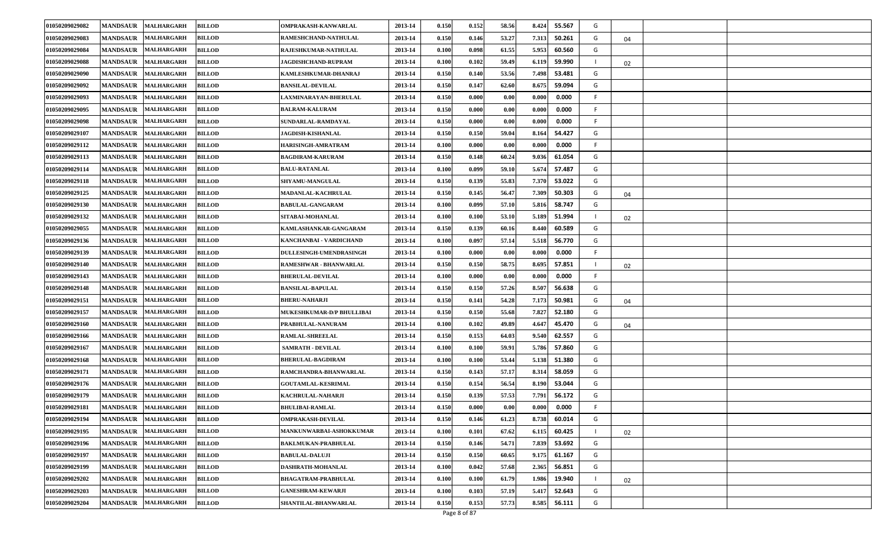| 01050209029082 | <b>MANDSAUR</b> | <b>MALHARGARH</b> | <b>BILLOD</b> | OMPRAKASH-KANWARLAL         | 2013-14 | 0.150 | 0.152 | 58.56 | 8.424<br>55.567 | G  |    |  |
|----------------|-----------------|-------------------|---------------|-----------------------------|---------|-------|-------|-------|-----------------|----|----|--|
| 01050209029083 | <b>MANDSAUR</b> | <b>MALHARGARH</b> | <b>BILLOD</b> | RAMESHCHAND-NATHULAL        | 2013-14 | 0.150 | 0.146 | 53.27 | 7.313<br>50.261 | G  | 04 |  |
| 01050209029084 | <b>MANDSAUR</b> | <b>MALHARGARH</b> | <b>BILLOD</b> | <b>RAJESHKUMAR-NATHULAL</b> | 2013-14 | 0.100 | 0.098 | 61.55 | 5.953<br>60.560 | G  |    |  |
| 01050209029088 | <b>MANDSAUR</b> | <b>MALHARGARH</b> | <b>BILLOD</b> | <b>JAGDISHCHAND-RUPRAM</b>  | 2013-14 | 0.100 | 0.102 | 59.49 | 6.119<br>59.990 |    | 02 |  |
| 01050209029090 | <b>MANDSAUR</b> | <b>MALHARGARH</b> | <b>BILLOD</b> | KAMLESHKUMAR-DHANRAJ        | 2013-14 | 0.150 | 0.140 | 53.56 | 53.481<br>7.498 | G  |    |  |
| 01050209029092 | <b>MANDSAUR</b> | <b>MALHARGARH</b> | <b>BILLOD</b> | <b>BANSILAL-DEVILAL</b>     | 2013-14 | 0.150 | 0.147 | 62.60 | 8.675<br>59.094 | G  |    |  |
| 01050209029093 | <b>MANDSAUR</b> | <b>MALHARGARH</b> | <b>BILLOD</b> | LAXMINARAYAN-BHERULAL       | 2013-14 | 0.150 | 0.000 | 0.00  | 0.000<br>0.000  |    |    |  |
| 01050209029095 | <b>MANDSAUR</b> | <b>MALHARGARH</b> | <b>BILLOD</b> | <b>BALRAM-KALURAM</b>       | 2013-14 | 0.150 | 0.000 | 0.00  | 0.000<br>0.000  |    |    |  |
| 01050209029098 | <b>MANDSAUR</b> | <b>MALHARGARH</b> | <b>BILLOD</b> | SUNDARLAL-RAMDAYAL          | 2013-14 | 0.150 | 0.000 | 0.00  | 0.000<br>0.000  |    |    |  |
| 01050209029107 | <b>MANDSAUR</b> | <b>MALHARGARH</b> | <b>BILLOD</b> | <b>JAGDISH-KISHANLAL</b>    | 2013-14 | 0.150 | 0.150 | 59.04 | 8.164<br>54.427 | G  |    |  |
| 01050209029112 | <b>MANDSAUR</b> | <b>MALHARGARH</b> | <b>BILLOD</b> | <b>HARISINGH-AMRATRAM</b>   | 2013-14 | 0.100 | 0.000 | 0.00  | 0.000<br>0.000  |    |    |  |
| 01050209029113 | <b>MANDSAUR</b> | <b>MALHARGARH</b> | <b>BILLOD</b> | <b>BAGDIRAM-KARURAM</b>     | 2013-14 | 0.150 | 0.148 | 60.24 | 9.036<br>61.054 | G  |    |  |
| 01050209029114 | <b>MANDSAUR</b> | <b>MALHARGARH</b> | <b>BILLOD</b> | <b>BALU-RATANLAL</b>        | 2013-14 | 0.100 | 0.099 | 59.10 | 5.674<br>57.487 | G  |    |  |
| 01050209029118 | <b>MANDSAUR</b> | <b>MALHARGARH</b> | <b>BILLOD</b> | SHYAMU-MANGULAL             | 2013-14 | 0.150 | 0.139 | 55.83 | 7.370<br>53.022 | G  |    |  |
| 01050209029125 | <b>MANDSAUR</b> | <b>MALHARGARH</b> | <b>BILLOD</b> | <b>MADANLAL-KACHRULAL</b>   | 2013-14 | 0.150 | 0.145 | 56.47 | 7.309<br>50.303 | G  | 04 |  |
| 01050209029130 | <b>MANDSAUR</b> | <b>MALHARGARH</b> | <b>BILLOD</b> | <b>BABULAL-GANGARAM</b>     | 2013-14 | 0.100 | 0.099 | 57.10 | 5.816<br>58.747 | G  |    |  |
| 01050209029132 | <b>MANDSAUR</b> | <b>MALHARGARH</b> | <b>BILLOD</b> | SITABAI-MOHANLAL            | 2013-14 | 0.100 | 0.100 | 53.10 | 5.189<br>51.994 |    | 02 |  |
| 01050209029055 | <b>MANDSAUR</b> | <b>MALHARGARH</b> | <b>BILLOD</b> | KAMLASHANKAR-GANGARAM       | 2013-14 | 0.150 | 0.139 | 60.16 | 8.440<br>60.589 | G  |    |  |
| 01050209029136 | <b>MANDSAUR</b> | <b>MALHARGARH</b> | <b>BILLOD</b> | KANCHANBAI - VARDICHAND     | 2013-14 | 0.100 | 0.097 | 57.14 | 5.518<br>56.770 | G  |    |  |
| 01050209029139 | <b>MANDSAUR</b> | <b>MALHARGARH</b> | <b>BILLOD</b> | DULLESINGH-UMENDRASINGH     | 2013-14 | 0.100 | 0.000 | 0.00  | 0.000<br>0.000  |    |    |  |
| 01050209029140 | <b>MANDSAUR</b> | <b>MALHARGARH</b> | <b>BILLOD</b> | RAMESHWAR - BHANWARLAL      | 2013-14 | 0.150 | 0.150 | 58.75 | 8.695<br>57.851 |    | 02 |  |
| 01050209029143 | <b>MANDSAUR</b> | <b>MALHARGARH</b> | <b>BILLOD</b> | <b>BHERULAL-DEVILAL</b>     | 2013-14 | 0.100 | 0.000 | 0.00  | 0.000<br>0.000  | -F |    |  |
| 01050209029148 | <b>MANDSAUR</b> | <b>MALHARGARH</b> | <b>BILLOD</b> | <b>BANSILAL-BAPULAL</b>     | 2013-14 | 0.150 | 0.150 | 57.26 | 8.507<br>56.638 | G  |    |  |
| 01050209029151 | <b>MANDSAUR</b> | <b>MALHARGARH</b> | <b>BILLOD</b> | <b>BHERU-NAHARJI</b>        | 2013-14 | 0.150 | 0.141 | 54.28 | 7.173<br>50.981 | G  | 04 |  |
| 01050209029157 | <b>MANDSAUR</b> | <b>MALHARGARH</b> | <b>BILLOD</b> | MUKESHKUMAR-D/P BHULLIBAI   | 2013-14 | 0.150 | 0.150 | 55.68 | 7.827<br>52.180 | G  |    |  |
| 01050209029160 | <b>MANDSAUR</b> | <b>MALHARGARH</b> | <b>BILLOD</b> | PRABHULAL-NANURAM           | 2013-14 | 0.100 | 0.102 | 49.89 | 4.647<br>45.470 | G  | 04 |  |
| 01050209029166 | <b>MANDSAUR</b> | <b>MALHARGARH</b> | <b>BILLOD</b> | <b>RAMLAL-SHREELAL</b>      | 2013-14 | 0.150 | 0.153 | 64.03 | 9.540<br>62.557 | G  |    |  |
| 01050209029167 | <b>MANDSAUR</b> | <b>MALHARGARH</b> | <b>BILLOD</b> | SAMRATH - DEVILAL           | 2013-14 | 0.100 | 0.100 | 59.91 | 5.786<br>57.860 | G  |    |  |
| 01050209029168 | <b>MANDSAUR</b> | <b>MALHARGARH</b> | <b>BILLOD</b> | <b>BHERULAL BAGDIRAM</b>    | 2013-14 | 0.100 | 0.100 | 53.44 | 5.138<br>51.380 | G  |    |  |
| 01050209029171 | <b>MANDSAUR</b> | <b>MALHARGARH</b> | <b>BILLOD</b> | RAMCHANDRA-BHANWARLAL       | 2013-14 | 0.150 | 0.143 | 57.17 | 8.314<br>58.059 | G  |    |  |
| 01050209029176 | <b>MANDSAUR</b> | <b>MALHARGARH</b> | <b>BILLOD</b> | <b>GOUTAMLAL-KESRIMAL</b>   | 2013-14 | 0.150 | 0.154 | 56.54 | 8.190<br>53.044 | G  |    |  |
| 01050209029179 | <b>MANDSAUR</b> | <b>MALHARGARH</b> | <b>BILLOD</b> | KACHRULAL-NAHARJI           | 2013-14 | 0.150 | 0.139 | 57.53 | 7.791<br>56.172 | G  |    |  |
| 01050209029181 | <b>MANDSAUR</b> | <b>MALHARGARH</b> | <b>BILLOD</b> | <b>BHULIBAI-RAMLAL</b>      | 2013-14 | 0.150 | 0.000 | 0.00  | 0.000<br>0.000  |    |    |  |
| 01050209029194 | <b>MANDSAUR</b> | <b>MALHARGARH</b> | <b>BILLOD</b> | <b>OMPRAKASH-DEVILAL</b>    | 2013-14 | 0.150 | 0.146 | 61.23 | 8.738<br>60.014 | G  |    |  |
| 01050209029195 | <b>MANDSAUR</b> | <b>MALHARGARH</b> | <b>BILLOD</b> | MANKUNWARBAI-ASHOKKUMAR     | 2013-14 | 0.100 | 0.101 | 67.62 | 6.115<br>60.425 |    | 02 |  |
| 01050209029196 | <b>MANDSAUR</b> | <b>MALHARGARH</b> | <b>BILLOD</b> | BAKLMUKAN-PRABHULAL         | 2013-14 | 0.150 | 0.146 | 54.71 | 7.839<br>53.692 | G  |    |  |
| 01050209029197 | <b>MANDSAUR</b> | <b>MALHARGARH</b> | <b>BILLOD</b> | <b>BABULAL-DALUJI</b>       | 2013-14 | 0.150 | 0.150 | 60.65 | 9.175<br>61.167 | G  |    |  |
| 01050209029199 | <b>MANDSAUR</b> | <b>MALHARGARH</b> | <b>BILLOD</b> | DASHRATH-MOHANLAL           | 2013-14 | 0.100 | 0.042 | 57.68 | 2.365<br>56.851 | G  |    |  |
| 01050209029202 | <b>MANDSAUR</b> | <b>MALHARGARH</b> | <b>BILLOD</b> | <b>BHAGATRAM-PRABHULAL</b>  | 2013-14 | 0.100 | 0.100 | 61.79 | 1.986<br>19.940 |    | 02 |  |
| 01050209029203 | <b>MANDSAUR</b> | <b>MALHARGARH</b> | <b>BILLOD</b> | <b>GANESHRAM-KEWARJI</b>    | 2013-14 | 0.100 | 0.103 | 57.19 | 52.643<br>5.417 | G  |    |  |
| 01050209029204 | <b>MANDSAUR</b> | <b>MALHARGARH</b> | <b>BILLOD</b> | SHANTILAL-BHANWARLAL        | 2013-14 | 0.150 | 0.153 | 57.73 | 8.585<br>56.111 | G  |    |  |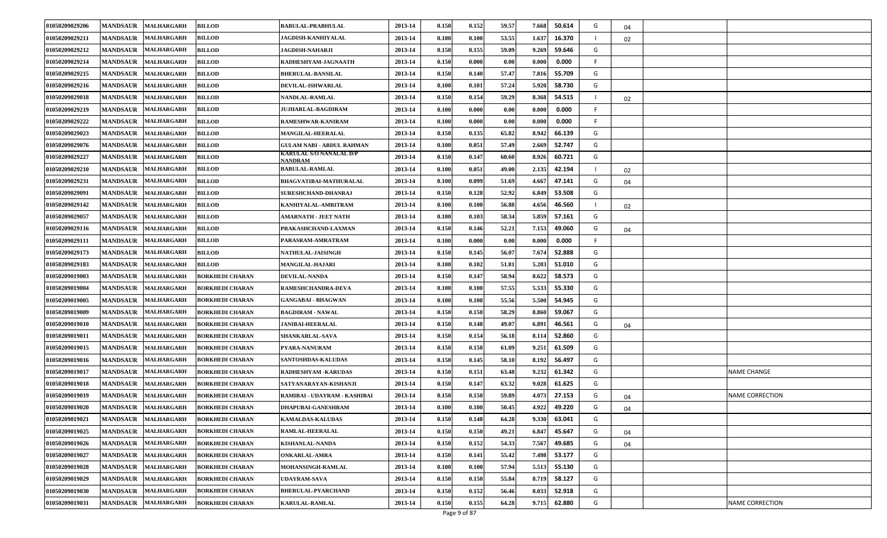| 01050209029206 | <b>MANDSAUR</b> | <b>MALHARGARH</b>   | <b>BILLOD</b>          | <b>BABULAL-PRABHULAL</b>                  | 2013-14 | 0.150 | 0.152 | 59.57 | 7.668<br>50.614 | G | 04 |                        |
|----------------|-----------------|---------------------|------------------------|-------------------------------------------|---------|-------|-------|-------|-----------------|---|----|------------------------|
| 01050209029211 | <b>MANDSAUR</b> | <b>MALHARGARH</b>   | <b>BILLOD</b>          | <b>JAGDISH-KANHIYALAL</b>                 | 2013-14 | 0.100 | 0.100 | 53.55 | 1.637<br>16.370 |   | 02 |                        |
| 01050209029212 | <b>MANDSAUR</b> | <b>MALHARGARH</b>   | <b>BILLOD</b>          | <b>JAGDISH-NAHARJI</b>                    | 2013-14 | 0.150 | 0.155 | 59.09 | 9.269<br>59.646 | G |    |                        |
| 01050209029214 | <b>MANDSAUR</b> | <b>MALHARGARH</b>   | <b>BILLOD</b>          | RADHESHYAM-JAGNAATH                       | 2013-14 | 0.150 | 0.000 | 0.00  | 0.000<br>0.000  |   |    |                        |
| 01050209029215 | <b>MANDSAUR</b> | <b>MALHARGARH</b>   | <b>BILLOD</b>          | <b>BHERULAL-BANSILAL</b>                  | 2013-14 | 0.150 | 0.140 | 57.47 | 7.816<br>55.709 | G |    |                        |
| 01050209029216 | <b>MANDSAUR</b> | <b>MALHARGARH</b>   | <b>BILLOD</b>          | <b>DEVILAL-ISHWARLAL</b>                  | 2013-14 | 0.100 | 0.101 | 57.24 | 5.920<br>58.730 | G |    |                        |
| 01050209029018 | <b>MANDSAUR</b> | <b>MALHARGARH</b>   | <b>BILLOD</b>          | NANDLAL-RAMLAL                            | 2013-14 | 0.150 | 0.154 | 59.29 | 8.368<br>54.515 |   | 02 |                        |
| 01050209029219 | <b>MANDSAUR</b> | <b>MALHARGARH</b>   | <b>BILLOD</b>          | JUJHARLAL-BAGDIRAM                        | 2013-14 | 0.100 | 0.000 | 0.00  | 0.000<br>0.000  |   |    |                        |
| 01050209029222 | <b>MANDSAUR</b> | <b>MALHARGARH</b>   | <b>BILLOD</b>          | RAMESHWAR-KANIRAM                         | 2013-14 | 0.100 | 0.000 | 0.00  | 0.000<br>0.000  |   |    |                        |
| 01050209029023 | <b>MANDSAUR</b> | <b>MALHARGARH</b>   | <b>BILLOD</b>          | <b>MANGILAL HEERALAL</b>                  | 2013-14 | 0.150 | 0.135 | 65.82 | 8.942<br>66.139 | G |    |                        |
| 01050209029076 | <b>MANDSAUR</b> | <b>MALHARGARH</b>   | <b>BILLOD</b>          | <b>GULAM NABI - ABDUL RAHMAN</b>          | 2013-14 | 0.100 | 0.051 | 57.49 | 52.747<br>2.669 | G |    |                        |
| 01050209029227 | <b>MANDSAUR</b> | <b>MALHARGARH</b>   | <b>BILLOD</b>          | <b>KARULAL S/O NANALAL D/P</b><br>NANDRAM | 2013-14 | 0.150 | 0.147 | 60.60 | 8.926<br>60.721 | G |    |                        |
| 01050209029210 | <b>MANDSAUR</b> | <b>MALHARGARH</b>   | <b>BILLOD</b>          | <b>BABULAL-RAMLAL</b>                     | 2013-14 | 0.100 | 0.051 | 49.00 | 2.135<br>42.194 |   | 02 |                        |
| 01050209029231 | <b>MANDSAUR</b> | <b>MALHARGARH</b>   | <b>BILLOD</b>          | <b>BHAGVATIBAI-MATHURALAL</b>             | 2013-14 | 0.100 | 0.099 | 51.69 | 4.667<br>47.141 | G | 04 |                        |
| 01050209029091 | <b>MANDSAUR</b> | <b>MALHARGARH</b>   | <b>BILLOD</b>          | SURESHCHAND-DHANRAJ                       | 2013-14 | 0.150 | 0.128 | 52.92 | 6.849<br>53.508 | G |    |                        |
| 01050209029142 | <b>MANDSAUR</b> | <b>MALHARGARH</b>   | <b>BILLOD</b>          | KANHIYALAL-AMRITRAM                       | 2013-14 | 0.100 | 0.100 | 56.88 | 4.656<br>46.560 |   | 02 |                        |
| 01050209029057 | <b>MANDSAUR</b> | <b>MALHARGARH</b>   | <b>BILLOD</b>          | AMARNATH - JEET NATH                      | 2013-14 | 0.100 | 0.103 | 58.34 | 5.859<br>57.161 | G |    |                        |
| 01050209029116 | <b>MANDSAUR</b> | <b>MALHARGARH</b>   | <b>BILLOD</b>          | PRAKASHCHAND-LAXMAN                       | 2013-14 | 0.150 | 0.146 | 52.21 | 7.153<br>49.060 | G | 04 |                        |
| 01050209029111 | <b>MANDSAUR</b> | <b>MALHARGARH</b>   | <b>BILLOD</b>          | PARASRAM-AMRATRAM                         | 2013-14 | 0.100 | 0.000 | 0.00  | 0.000<br>0.000  |   |    |                        |
| 01050209029173 | <b>MANDSAUR</b> | <b>MALHARGARH</b>   | <b>BILLOD</b>          | <b>NATHULAL-JAISINGH</b>                  | 2013-14 | 0.150 | 0.145 | 56.07 | 7.674<br>52.888 | G |    |                        |
| 01050209029183 | <b>MANDSAUR</b> | <b>MALHARGARH</b>   | <b>BILLOD</b>          | <b>MANGILAL-HAJARI</b>                    | 2013-14 | 0.100 | 0.102 | 51.81 | 5.203<br>51.010 | G |    |                        |
| 01050209019003 | <b>MANDSAUR</b> | <b>MALHARGARH</b>   | <b>BORKHEDI CHARAN</b> | <b>DEVILAL-NANDA</b>                      | 2013-14 | 0.150 | 0.147 | 58.94 | 8.622<br>58.573 | G |    |                        |
| 01050209019004 | <b>MANDSAUR</b> | <b>MALHARGARH</b>   | <b>BORKHEDI CHARAN</b> | RAMESHCHANDRA-DEVA                        | 2013-14 | 0.100 | 0.100 | 57.55 | 5.533<br>55.330 | G |    |                        |
| 01050209019005 | <b>MANDSAUR</b> | <b>MALHARGARH</b>   | <b>BORKHEDI CHARAN</b> | <b>GANGABAI - BHAGWAN</b>                 | 2013-14 | 0.100 | 0.100 | 55.56 | 5.500<br>54.945 | G |    |                        |
| 01050209019009 | <b>MANDSAUR</b> | <b>MALHARGARH</b>   | <b>BORKHEDI CHARAN</b> | <b>BAGDIRAM - NAWAL</b>                   | 2013-14 | 0.150 | 0.150 | 58.29 | 8.860<br>59.067 | G |    |                        |
| 01050209019010 | <b>MANDSAUR</b> | <b>MALHARGARH</b>   | <b>BORKHEDI CHARAN</b> | <b>JANIBAI-HEERALAL</b>                   | 2013-14 | 0.150 | 0.148 | 49.07 | 46.561<br>6.891 | G | 04 |                        |
| 01050209019011 | <b>MANDSAUR</b> | <b>MALHARGARH</b>   | <b>BORKHEDI CHARAN</b> | <b>SHANKARLAL-SAVA</b>                    | 2013-14 | 0.150 | 0.154 | 56.18 | 8.114<br>52.860 | G |    |                        |
| 01050209019015 | <b>MANDSAUR</b> | <b>MALHARGARH</b>   | <b>BORKHEDI CHARAN</b> | <b>PYARA-NANURAM</b>                      | 2013-14 | 0.150 | 0.150 | 61.09 | 9.251<br>61.509 | G |    |                        |
| 01050209019016 | <b>MANDSAUR</b> | <b>MALHARGARH</b>   | <b>BORKHEDI CHARAN</b> | <b>SANTOSHDAS-KALUDAS</b>                 | 2013-14 | 0.150 | 0.145 | 58.10 | 8.192<br>56.497 | G |    |                        |
| 01050209019017 | <b>MANDSAUR</b> | <b>MALHARGARH</b>   | <b>BORKHEDI CHARAN</b> | <b>RADHESHYAM -KARUDAS</b>                | 2013-14 | 0.150 | 0.151 | 63.48 | 9.232<br>61.342 | G |    | <b>NAME CHANGE</b>     |
| 01050209019018 | <b>MANDSAUR</b> | <b>MALHARGARH</b>   | <b>BORKHEDI CHARAN</b> | SATYANARAYAN-KISHANJI                     | 2013-14 | 0.150 | 0.147 | 63.32 | 61.625<br>9.028 | G |    |                        |
| 01050209019019 | <b>MANDSAUR</b> | <b>MALHARGARH</b>   | <b>BORKHEDI CHARAN</b> | RAMIBAI - UDAYRAM - KASHIBAI              | 2013-14 | 0.150 | 0.150 | 59.89 | 27.153<br>4.073 | G | 04 | <b>NAME CORRECTION</b> |
| 01050209019020 | <b>MANDSAUR</b> | <b>MALHARGARH</b>   | <b>BORKHEDI CHARAN</b> | <b>DHAPUBAI-GANESHRAM</b>                 | 2013-14 | 0.100 | 0.100 | 50.45 | 4.922<br>49.220 | G | 04 |                        |
| 01050209019021 |                 | MANDSAUR MALHARGARH | <b>BORKHEDI CHARAN</b> | <b>KAMALDAS-KALUDAS</b>                   | 2013-14 | 0.150 | 0.148 | 64.28 | 9.330<br>63.041 | G |    |                        |
| 01050209019025 | <b>MANDSAUR</b> | <b>MALHARGARH</b>   | <b>BORKHEDI CHARAN</b> | <b>RAMLAL-HEERALAL</b>                    | 2013-14 | 0.150 | 0.150 | 49.21 | 45.647<br>6.847 | G | 04 |                        |
| 01050209019026 | <b>MANDSAUR</b> | <b>MALHARGARH</b>   | <b>BORKHEDI CHARAN</b> | <b>KISHANLAL-NANDA</b>                    | 2013-14 | 0.150 | 0.152 | 54.33 | 7.567<br>49.685 | G | 04 |                        |
| 01050209019027 | <b>MANDSAUR</b> | <b>MALHARGARH</b>   | <b>BORKHEDI CHARAN</b> | <b>ONKARLAL-AMRA</b>                      | 2013-14 | 0.150 | 0.141 | 55.42 | 53.177<br>7.498 | G |    |                        |
| 01050209019028 | <b>MANDSAUR</b> | <b>MALHARGARH</b>   | <b>BORKHEDI CHARAN</b> | MOHANSINGH-RAMLAL                         | 2013-14 | 0.100 | 0.100 | 57.94 | 5.513<br>55.130 | G |    |                        |
| 01050209019029 | <b>MANDSAUR</b> | <b>MALHARGARH</b>   | <b>BORKHEDI CHARAN</b> | <b>UDAYRAM-SAVA</b>                       | 2013-14 | 0.150 | 0.150 | 55.84 | 8.719<br>58.127 | G |    |                        |
| 01050209019030 | <b>MANDSAUR</b> | <b>MALHARGARH</b>   | <b>BORKHEDI CHARAN</b> | <b>BHERULAL-PYARCHAND</b>                 | 2013-14 | 0.150 | 0.152 | 56.46 | 8.033<br>52.918 | G |    |                        |
| 01050209019031 | <b>MANDSAUR</b> | <b>MALHARGARH</b>   | <b>BORKHEDI CHARAN</b> | <b>KARULAL-RAMLAL</b>                     | 2013-14 | 0.150 | 0.155 | 64.28 | 9.715<br>62.880 | G |    | NAME CORRECTION        |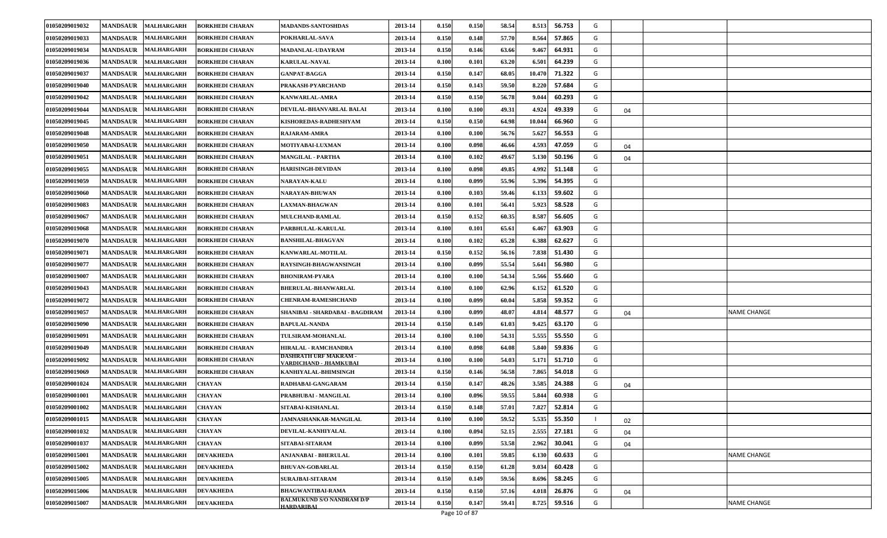| 01050209019032 | <b>MANDSAUR</b> | <b>MALHARGARH</b> | <b>BORKHEDI CHARAN</b> | <b>MADANDS-SANTOSHDAS</b>                                      | 2013-14 | 0.150 | 0.150 | 58.54 | 8.513  | 56.753 | G |    |                    |
|----------------|-----------------|-------------------|------------------------|----------------------------------------------------------------|---------|-------|-------|-------|--------|--------|---|----|--------------------|
| 01050209019033 | <b>MANDSAUR</b> | <b>MALHARGARH</b> | <b>BORKHEDI CHARAN</b> | POKHARLAL-SAVA                                                 | 2013-14 | 0.150 | 0.148 | 57.70 | 8.564  | 57.865 | G |    |                    |
| 01050209019034 | <b>MANDSAUR</b> | <b>MALHARGARH</b> | <b>BORKHEDI CHARAN</b> | MADANLAL-UDAYRAM                                               | 2013-14 | 0.150 | 0.146 | 63.66 | 9.467  | 64.931 | G |    |                    |
| 01050209019036 | <b>MANDSAUR</b> | <b>MALHARGARH</b> | <b>BORKHEDI CHARAN</b> | <b>KARULAL-NAVAL</b>                                           | 2013-14 | 0.100 | 0.101 | 63.20 | 6.501  | 64.239 | G |    |                    |
| 01050209019037 | <b>MANDSAUR</b> | <b>MALHARGARH</b> | <b>BORKHEDI CHARAN</b> | <b>GANPAT-BAGGA</b>                                            | 2013-14 | 0.150 | 0.147 | 68.05 | 10.470 | 71.322 | G |    |                    |
| 01050209019040 | <b>MANDSAUR</b> | <b>MALHARGARH</b> | <b>BORKHEDI CHARAN</b> | <b>PRAKASH-PYARCHAND</b>                                       | 2013-14 | 0.150 | 0.143 | 59.50 | 8.220  | 57.684 | G |    |                    |
| 01050209019042 | <b>MANDSAUR</b> | <b>MALHARGARH</b> | <b>BORKHEDI CHARAN</b> | <b>KANWARLAL-AMRA</b>                                          | 2013-14 | 0.150 | 0.150 | 56.78 | 9.044  | 60.293 | G |    |                    |
| 01050209019044 | <b>MANDSAUR</b> | <b>MALHARGARH</b> | <b>BORKHEDI CHARAN</b> | DEVILAL-BHANVARLAL BALAI                                       | 2013-14 | 0.100 | 0.100 | 49.31 | 4.924  | 49.339 | G | 04 |                    |
| 01050209019045 | <b>MANDSAUR</b> | <b>MALHARGARH</b> | <b>BORKHEDI CHARAN</b> | KISHOREDAS-RADHESHYAM                                          | 2013-14 | 0.150 | 0.150 | 64.98 | 10.044 | 66.960 | G |    |                    |
| 01050209019048 | <b>MANDSAUR</b> | <b>MALHARGARH</b> | <b>BORKHEDI CHARAN</b> | <b>RAJARAM-AMRA</b>                                            | 2013-14 | 0.100 | 0.100 | 56.76 | 5.627  | 56.553 | G |    |                    |
| 01050209019050 | <b>MANDSAUR</b> | <b>MALHARGARH</b> | <b>BORKHEDI CHARAN</b> | MOTIYABAI-LUXMAN                                               | 2013-14 | 0.100 | 0.098 | 46.66 | 4.593  | 47.059 | G | 04 |                    |
| 01050209019051 | <b>MANDSAUR</b> | <b>MALHARGARH</b> | <b>BORKHEDI CHARAN</b> | <b>MANGILAL - PARTHA</b>                                       | 2013-14 | 0.100 | 0.102 | 49.67 | 5.130  | 50.196 | G | 04 |                    |
| 01050209019055 | <b>MANDSAUR</b> | <b>MALHARGARH</b> | <b>BORKHEDI CHARAN</b> | <b>HARISINGH-DEVIDAN</b>                                       | 2013-14 | 0.100 | 0.098 | 49.85 | 4.992  | 51.148 | G |    |                    |
| 01050209019059 | <b>MANDSAUR</b> | <b>MALHARGARH</b> | <b>BORKHEDI CHARAN</b> | <b>NARAYAN-KALU</b>                                            | 2013-14 | 0.100 | 0.099 | 55.96 | 5.396  | 54.395 | G |    |                    |
| 01050209019060 | <b>MANDSAUR</b> | <b>MALHARGARH</b> | <b>BORKHEDI CHARAN</b> | <b>NARAYAN-BHUWAN</b>                                          | 2013-14 | 0.100 | 0.103 | 59.46 | 6.133  | 59.602 | G |    |                    |
| 01050209019083 | <b>MANDSAUR</b> | <b>MALHARGARH</b> | <b>BORKHEDI CHARAN</b> | <b>LAXMAN-BHAGWAN</b>                                          | 2013-14 | 0.100 | 0.101 | 56.41 | 5.923  | 58.528 | G |    |                    |
| 01050209019067 | <b>MANDSAUR</b> | <b>MALHARGARH</b> | <b>BORKHEDI CHARAN</b> | <b>MULCHAND-RAMLAL</b>                                         | 2013-14 | 0.150 | 0.152 | 60.35 | 8.587  | 56.605 | G |    |                    |
| 01050209019068 | <b>MANDSAUR</b> | <b>MALHARGARH</b> | <b>BORKHEDI CHARAN</b> | <b>PARBHULAL-KARULAL</b>                                       | 2013-14 | 0.100 | 0.101 | 65.61 | 6.467  | 63.903 | G |    |                    |
| 01050209019070 | <b>MANDSAUR</b> | <b>MALHARGARH</b> | <b>BORKHEDI CHARAN</b> | <b>BANSHILAL-BHAGVAN</b>                                       | 2013-14 | 0.100 | 0.102 | 65.28 | 6.388  | 62.627 | G |    |                    |
| 01050209019071 | <b>MANDSAUR</b> | <b>MALHARGARH</b> | <b>BORKHEDI CHARAN</b> | <b>KANWARLAL MOTILAL</b>                                       | 2013-14 | 0.150 | 0.152 | 56.16 | 7.838  | 51.430 | G |    |                    |
| 01050209019077 | <b>MANDSAUR</b> | <b>MALHARGARH</b> | <b>BORKHEDI CHARAN</b> | RAYSINGH-BHAGWANSINGH                                          | 2013-14 | 0.100 | 0.099 | 55.54 | 5.641  | 56.980 | G |    |                    |
| 01050209019007 | <b>MANDSAUR</b> | <b>MALHARGARH</b> | <b>BORKHEDI CHARAN</b> | <b>BHONIRAM-PYARA</b>                                          | 2013-14 | 0.100 | 0.100 | 54.34 | 5.566  | 55.660 | G |    |                    |
| 01050209019043 | <b>MANDSAUR</b> | <b>MALHARGARH</b> | <b>BORKHEDI CHARAN</b> | <b>BHERULAL-BHANWARLAL</b>                                     | 2013-14 | 0.100 | 0.100 | 62.96 | 6.152  | 61.520 | G |    |                    |
| 01050209019072 | <b>MANDSAUR</b> | <b>MALHARGARH</b> | <b>BORKHEDI CHARAN</b> | <b>CHENRAM-RAMESHCHAND</b>                                     | 2013-14 | 0.100 | 0.099 | 60.04 | 5.858  | 59.352 | G |    |                    |
| 01050209019057 | <b>MANDSAUR</b> | <b>MALHARGARH</b> | <b>BORKHEDI CHARAN</b> | SHANIBAI - SHARDABAI - BAGDIRAM                                | 2013-14 | 0.100 | 0.099 | 48.07 | 4.814  | 48.577 | G | 04 | <b>NAME CHANGE</b> |
| 01050209019090 | <b>MANDSAUR</b> | <b>MALHARGARH</b> | <b>BORKHEDI CHARAN</b> | <b>BAPULAL-NANDA</b>                                           | 2013-14 | 0.150 | 0.149 | 61.03 | 9.425  | 63.170 | G |    |                    |
| 01050209019091 | <b>MANDSAUR</b> | <b>MALHARGARH</b> | <b>BORKHEDI CHARAN</b> | <b>TULSIRAM-MOHANLAL</b>                                       | 2013-14 | 0.100 | 0.100 | 54.31 | 5.555  | 55.550 | G |    |                    |
| 01050209019049 | <b>MANDSAUR</b> | <b>MALHARGARH</b> | <b>BORKHEDI CHARAN</b> | HIRALAL - RAMCHANDRA                                           | 2013-14 | 0.100 | 0.098 | 64.08 | 5.840  | 59.836 | G |    |                    |
| 01050209019092 | <b>MANDSAUR</b> | <b>MALHARGARH</b> | <b>BORKHEDI CHARAN</b> | <b>DASHRATH URF MAKRAM</b> ·<br><u> VARDICHAND - JHAMKUBAI</u> | 2013-14 | 0.100 | 0.100 | 54.03 | 5.171  | 51.710 | G |    |                    |
| 01050209019069 | <b>MANDSAUR</b> | <b>MALHARGARH</b> | <b>BORKHEDI CHARAN</b> | KANHIYALAL-BHIMSINGH                                           | 2013-14 | 0.150 | 0.146 | 56.58 | 7.865  | 54.018 | G |    |                    |
| 01050209001024 | <b>MANDSAUR</b> | <b>MALHARGARH</b> | <b>CHAYAN</b>          | RADHABAI-GANGARAM                                              | 2013-14 | 0.150 | 0.147 | 48.26 | 3.585  | 24.388 | G | 04 |                    |
| 01050209001001 | <b>MANDSAUR</b> | <b>MALHARGARH</b> | CHAYAN                 | PRABHUBAI - MANGILAL                                           | 2013-14 | 0.100 | 0.096 | 59.55 | 5.844  | 60.938 | G |    |                    |
| 01050209001002 | <b>MANDSAUR</b> | <b>MALHARGARH</b> | <b>CHAYAN</b>          | SITABAI-KISHANLAL                                              | 2013-14 | 0.150 | 0.148 | 57.01 | 7.827  | 52.814 | G |    |                    |
| 01050209001015 | <b>MANDSAUR</b> | <b>MALHARGARH</b> | <b>CHAYAN</b>          | JAMNASHANKAR-MANGILAL                                          | 2013-14 | 0.100 | 0.100 | 59.52 | 5.535  | 55.350 |   | 02 |                    |
| 01050209001032 | <b>MANDSAUR</b> | <b>MALHARGARH</b> | <b>CHAYAN</b>          | DEVILAL-KANHIYALAL                                             | 2013-14 | 0.100 | 0.094 | 52.15 | 2.555  | 27.181 | G | 04 |                    |
| 01050209001037 | <b>MANDSAUR</b> | <b>MALHARGARH</b> | <b>CHAYAN</b>          | SITABAI-SITARAM                                                | 2013-14 | 0.100 | 0.099 | 53.58 | 2.962  | 30.041 | G | 04 |                    |
| 01050209015001 | <b>MANDSAUR</b> | <b>MALHARGARH</b> | <b>DEVAKHEDA</b>       | ANJANABAI - BHERULAL                                           | 2013-14 | 0.100 | 0.101 | 59.85 | 6.130  | 60.633 | G |    | <b>NAME CHANGE</b> |
| 01050209015002 | <b>MANDSAUR</b> | <b>MALHARGARH</b> | <b>DEVAKHEDA</b>       | <b>BHUVAN-GOBARLAL</b>                                         | 2013-14 | 0.150 | 0.150 | 61.28 | 9.034  | 60.428 | G |    |                    |
| 01050209015005 | <b>MANDSAUR</b> | <b>MALHARGARH</b> | <b>DEVAKHEDA</b>       | SURAJBAI-SITARAM                                               | 2013-14 | 0.150 | 0.149 | 59.56 | 8.696  | 58.245 | G |    |                    |
| 01050209015006 | <b>MANDSAUR</b> | <b>MALHARGARH</b> | <b>DEVAKHEDA</b>       | <b>BHAGWANTIBAI-RAMA</b>                                       | 2013-14 | 0.150 | 0.150 | 57.16 | 4.018  | 26.876 | G | 04 |                    |
| 01050209015007 | <b>MANDSAUR</b> | <b>MALHARGARH</b> | <b>DEVAKHEDA</b>       | <b>BALMUKUND S/O NANDRAM D/P</b><br><b>HARDARIBAL</b>          | 2013-14 | 0.150 | 0.147 | 59.41 | 8.725  | 59.516 | G |    | <b>NAME CHANGE</b> |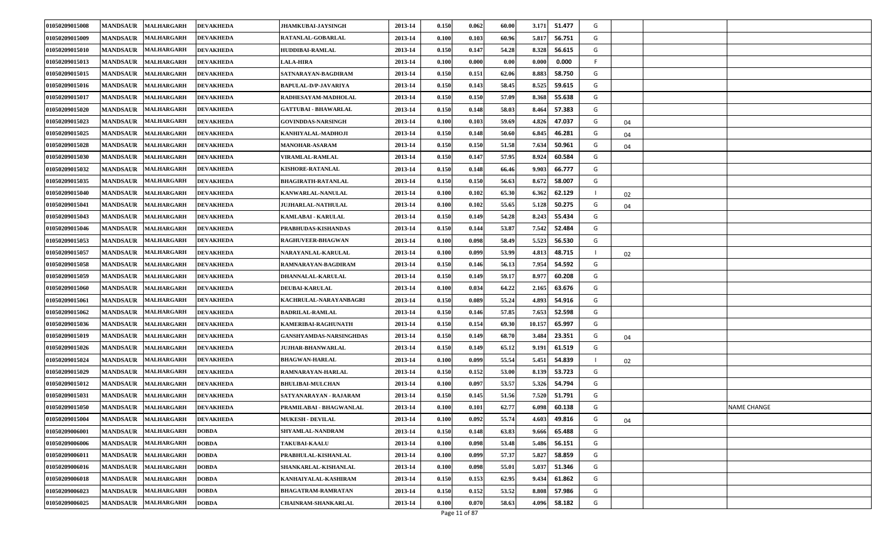| 01050209015008 | <b>MANDSAUR</b> | <b>MALHARGARH</b> | <b>DEVAKHEDA</b> | <b>JHAMKUBAI-JAYSINGH</b>      | 2013-14 | 0.150 | 0.062            | 60.00 | 3.171<br>51.477  | G |    |                    |
|----------------|-----------------|-------------------|------------------|--------------------------------|---------|-------|------------------|-------|------------------|---|----|--------------------|
| 01050209015009 | <b>MANDSAUR</b> | <b>MALHARGARH</b> | <b>DEVAKHEDA</b> | RATANLAL-GOBARLAL              | 2013-14 | 0.100 | 0.103            | 60.96 | 5.817<br>56.751  | G |    |                    |
| 01050209015010 | <b>MANDSAUR</b> | <b>MALHARGARH</b> | <b>DEVAKHEDA</b> | HUDDIBAI-RAMLAL                | 2013-14 | 0.150 | 0.147            | 54.28 | 56.615<br>8.328  | G |    |                    |
| 01050209015013 | <b>MANDSAUR</b> | <b>MALHARGARH</b> | <b>DEVAKHEDA</b> | <b>LALA-HIRA</b>               | 2013-14 | 0.100 | 0.000            | 0.00  | 0.000<br>0.000   |   |    |                    |
| 01050209015015 | <b>MANDSAUR</b> | <b>MALHARGARH</b> | <b>DEVAKHEDA</b> | SATNARAYAN-BAGDIRAM            | 2013-14 | 0.150 | 0.151            | 62.06 | 8.88<br>58.750   | G |    |                    |
| 01050209015016 | <b>MANDSAUR</b> | <b>MALHARGARH</b> | <b>DEVAKHEDA</b> | <b>BAPULAL-D/P-JAVARIYA</b>    | 2013-14 | 0.150 | 0.143            | 58.45 | 8.525<br>59.615  | G |    |                    |
| 01050209015017 | <b>MANDSAUR</b> | <b>MALHARGARH</b> | <b>DEVAKHEDA</b> | RADHESAYAM-MADHOLAL            | 2013-14 | 0.150 | 0.150            | 57.09 | 55.638<br>8.368  | G |    |                    |
| 01050209015020 | <b>MANDSAUR</b> | <b>MALHARGARH</b> | <b>DEVAKHEDA</b> | <b>GATTUBAI - BHAWARLAL</b>    | 2013-14 | 0.150 | 0.148            | 58.03 | 57.383<br>8.464  | G |    |                    |
| 01050209015023 | <b>MANDSAUR</b> | <b>MALHARGARH</b> | <b>DEVAKHEDA</b> | <b>GOVINDDAS-NARSINGH</b>      | 2013-14 | 0.100 | 0.103            | 59.69 | 4.826<br>47.037  | G | 04 |                    |
| 01050209015025 | <b>MANDSAUR</b> | <b>MALHARGARH</b> | <b>DEVAKHEDA</b> | KANHIYALAL-MADHOJI             | 2013-14 | 0.150 | 0.148            | 50.60 | 6.845<br>46.281  | G | 04 |                    |
| 01050209015028 | <b>MANDSAUR</b> | <b>MALHARGARH</b> | <b>DEVAKHEDA</b> | <b>MANOHAR-ASARAM</b>          | 2013-14 | 0.150 | 0.150            | 51.58 | 7.634<br>50.961  | G | 04 |                    |
| 01050209015030 | <b>MANDSAUR</b> | <b>MALHARGARH</b> | <b>DEVAKHEDA</b> | <b>VIRAMLAL-RAMLAL</b>         | 2013-14 | 0.150 | 0.147            | 57.95 | 8.924<br>60.584  | G |    |                    |
| 01050209015032 | <b>MANDSAUR</b> | <b>MALHARGARH</b> | <b>DEVAKHEDA</b> | <b>KISHORE-RATANLAL</b>        | 2013-14 | 0.150 | 0.148            | 66.46 | 9.903<br>66.777  | G |    |                    |
| 01050209015035 | <b>MANDSAUR</b> | <b>MALHARGARH</b> | <b>DEVAKHEDA</b> | <b>BHAGIRATH-RATANLAL</b>      | 2013-14 | 0.150 | 0.150            | 56.63 | 8.672<br>58.007  | G |    |                    |
| 01050209015040 | <b>MANDSAUR</b> | <b>MALHARGARH</b> | <b>DEVAKHEDA</b> | KANWARLAL-NANULAL              | 2013-14 | 0.100 | 0.102            | 65.30 | 6.362<br>62.129  |   | 02 |                    |
| 01050209015041 | <b>MANDSAUR</b> | <b>MALHARGARH</b> | <b>DEVAKHEDA</b> | <b>JUJHARLAL-NATHULAL</b>      | 2013-14 | 0.100 | 0.102            | 55.65 | 5.128<br>50.275  | G | 04 |                    |
| 01050209015043 | <b>MANDSAUR</b> | <b>MALHARGARH</b> | <b>DEVAKHEDA</b> | KAMLABAI - KARULAL             | 2013-14 | 0.150 | 0.149            | 54.28 | 8.243<br>55.434  | G |    |                    |
| 01050209015046 | <b>MANDSAUR</b> | <b>MALHARGARH</b> | <b>DEVAKHEDA</b> | PRABHUDAS-KISHANDAS            | 2013-14 | 0.150 | 0.144            | 53.87 | 52.484<br>7.542  | G |    |                    |
| 01050209015053 | <b>MANDSAUR</b> | <b>MALHARGARH</b> | <b>DEVAKHEDA</b> | <b>RAGHUVEER-BHAGWAN</b>       | 2013-14 | 0.100 | 0.098            | 58.49 | 5.523<br>56.530  | G |    |                    |
| 01050209015057 | <b>MANDSAUR</b> | <b>MALHARGARH</b> | <b>DEVAKHEDA</b> | <b>NARAYANLAL-KARULAL</b>      | 2013-14 | 0.100 | 0.099            | 53.99 | 4.813<br>48.715  |   | 02 |                    |
| 01050209015058 | <b>MANDSAUR</b> | <b>MALHARGARH</b> | <b>DEVAKHEDA</b> | RAMNARAYAN-BAGDIRAM            | 2013-14 | 0.150 | 0.146            | 56.13 | 7.954<br>54.592  | G |    |                    |
| 01050209015059 | <b>MANDSAUR</b> | <b>MALHARGARH</b> | <b>DEVAKHEDA</b> | DHANNALAL-KARULAL              | 2013-14 | 0.150 | 0.149            | 59.17 | 8.977<br>60.208  | G |    |                    |
| 01050209015060 | <b>MANDSAUR</b> | <b>MALHARGARH</b> | <b>DEVAKHEDA</b> | <b>DEUBAI-KARULAL</b>          | 2013-14 | 0.100 | 0.034            | 64.22 | 63.676<br>2.165  | G |    |                    |
| 01050209015061 | <b>MANDSAUR</b> | <b>MALHARGARH</b> | <b>DEVAKHEDA</b> | KACHRULAL-NARAYANBAGRI         | 2013-14 | 0.150 | 0.089            | 55.24 | 4.893<br>54.916  | G |    |                    |
| 01050209015062 | <b>MANDSAUR</b> | <b>MALHARGARH</b> | <b>DEVAKHEDA</b> | <b>BADRILAL-RAMLAL</b>         | 2013-14 | 0.150 | 0.146            | 57.85 | 7.653<br>52.598  | G |    |                    |
| 01050209015036 | <b>MANDSAUR</b> | <b>MALHARGARH</b> | <b>DEVAKHEDA</b> | KAMERIBAI-RAGHUNATH            | 2013-14 | 0.150 | 0.154            | 69.30 | 10.157<br>65.997 | G |    |                    |
| 01050209015019 | <b>MANDSAUR</b> | <b>MALHARGARH</b> | <b>DEVAKHEDA</b> | <b>GANSHYAMDAS-NARSINGHDAS</b> | 2013-14 | 0.150 | 0.149            | 68.70 | 3.484<br>23.351  | G | 04 |                    |
| 01050209015026 | <b>MANDSAUR</b> | <b>MALHARGARH</b> | <b>DEVAKHEDA</b> | <b>JUJHAR-BHANWARLAL</b>       | 2013-14 | 0.150 | 0.149            | 65.12 | 9.191<br>61.519  | G |    |                    |
| 01050209015024 | <b>MANDSAUR</b> | <b>MALHARGARH</b> | <b>DEVAKHEDA</b> | <b>BHAGWAN-HARLAL</b>          | 2013-14 | 0.100 | 0.099            | 55.54 | 5.451<br>54.839  |   | 02 |                    |
| 01050209015029 | <b>MANDSAUR</b> | <b>MALHARGARH</b> | <b>DEVAKHEDA</b> | RAMNARAYAN-HARLAL              | 2013-14 | 0.150 | 0.152            | 53.00 | 8.139<br>53.723  | G |    |                    |
| 01050209015012 | <b>MANDSAUR</b> | <b>MALHARGARH</b> | <b>DEVAKHEDA</b> | <b>BHULIBAI-MULCHAN</b>        | 2013-14 | 0.100 | 0.097            | 53.57 | 5.326<br>54.794  | G |    |                    |
| 01050209015031 | <b>MANDSAUR</b> | <b>MALHARGARH</b> | <b>DEVAKHEDA</b> | SATYANARAYAN - RAJARAM         | 2013-14 | 0.150 | 0.145            | 51.56 | 7.520<br>51.791  | G |    |                    |
| 01050209015050 | <b>MANDSAUR</b> | <b>MALHARGARH</b> | <b>DEVAKHEDA</b> | PRAMILABAI - BHAGWANLAL        | 2013-14 | 0.100 | 0.101            | 62.77 | 6.098<br>60.138  | G |    | <b>NAME CHANGE</b> |
| 01050209015004 | <b>MANDSAUR</b> | <b>MALHARGARH</b> | <b>DEVAKHEDA</b> | <b>MUKESH - DEVILAL</b>        | 2013-14 | 0.100 | 0.092            | 55.74 | 4.603<br>49.816  | G | 04 |                    |
| 01050209006001 | <b>MANDSAUR</b> | <b>MALHARGARH</b> | <b>DOBDA</b>     | SHYAMLAL-NANDRAM               | 2013-14 | 0.150 | 0.148            | 63.83 | 9.666<br>65.488  | G |    |                    |
| 01050209006006 | <b>MANDSAUR</b> | <b>MALHARGARH</b> | <b>DOBDA</b>     | <b>TAKUBAI-KAALU</b>           | 2013-14 | 0.100 | 0.098            | 53.48 | 5.486<br>56.151  | G |    |                    |
| 01050209006011 | <b>MANDSAUR</b> | <b>MALHARGARH</b> | <b>DOBDA</b>     | PRABHULAL-KISHANLAL            | 2013-14 | 0.100 | 0.099            | 57.37 | 5.827<br>58.859  | G |    |                    |
| 01050209006016 | <b>MANDSAUR</b> | <b>MALHARGARH</b> | <b>DOBDA</b>     | SHANKARLAL-KISHANLAL           | 2013-14 | 0.100 | 0.098            | 55.01 | 5.037<br>51.346  | G |    |                    |
| 01050209006018 | <b>MANDSAUR</b> | <b>MALHARGARH</b> | <b>DOBDA</b>     | KANHAIYALAL-KASHIRAM           | 2013-14 | 0.150 | 0.153            | 62.95 | 9.434<br>61.862  | G |    |                    |
| 01050209006023 | <b>MANDSAUR</b> | <b>MALHARGARH</b> | <b>DOBDA</b>     | <b>BHAGATRAM-RAMRATAN</b>      | 2013-14 | 0.150 | 0.152            | 53.52 | 8.808<br>57.986  | G |    |                    |
| 01050209006025 | <b>MANDSAUR</b> | <b>MALHARGARH</b> | <b>DOBDA</b>     | <b>CHAINRAM-SHANKARLAL</b>     | 2013-14 | 0.100 | 0.070<br>$-0.07$ | 58.63 | 58.182<br>4.096  | G |    |                    |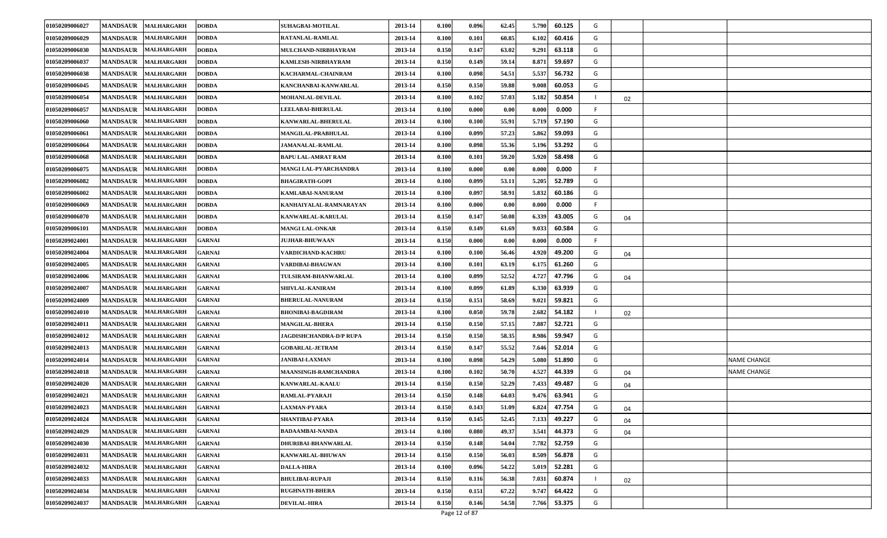| 01050209006027 | <b>MANDSAUR</b> | <b>MALHARGARH</b> | <b>DOBDA</b>  | SUHAGBAI-MOTILAL           | 2013-14 | 0.100          | 0.096           | 62.45 | 5.790<br>60.125 | G |    |                    |
|----------------|-----------------|-------------------|---------------|----------------------------|---------|----------------|-----------------|-------|-----------------|---|----|--------------------|
| 01050209006029 | <b>MANDSAUR</b> | <b>MALHARGARH</b> | <b>DOBDA</b>  | <b>RATANLAL-RAMLAL</b>     | 2013-14 | 0.100          | 0.101           | 60.85 | 6.102<br>60.416 | G |    |                    |
| 01050209006030 | <b>MANDSAUR</b> | <b>MALHARGARH</b> | <b>DOBDA</b>  | MULCHAND-NIRBHAYRAM        | 2013-14 | 0.150          | 0.147           | 63.02 | 9.291<br>63.118 | G |    |                    |
| 01050209006037 | <b>MANDSAUR</b> | MALHARGARH        | <b>DOBDA</b>  | KAMLESH-NIRBHAYRAM         | 2013-14 | 0.150          | 0.149           | 59.14 | 8.871<br>59.697 | G |    |                    |
| 01050209006038 | <b>MANDSAUR</b> | <b>MALHARGARH</b> | <b>DOBDA</b>  | KACHARMAL-CHAINRAM         | 2013-14 | 0.100          | 0.098           | 54.51 | 5.537<br>56.732 | G |    |                    |
| 01050209006045 | <b>MANDSAUR</b> | <b>MALHARGARH</b> | <b>DOBDA</b>  | KANCHANBAI-KANWARLAL       | 2013-14 | 0.150          | 0.150           | 59.88 | 9.008<br>60.053 | G |    |                    |
| 01050209006054 | <b>MANDSAUR</b> | <b>MALHARGARH</b> | <b>DOBDA</b>  | <b>MOHANLAL-DEVILAL</b>    | 2013-14 | 0.100          | 0.102           | 57.03 | 5.182<br>50.854 |   | 02 |                    |
| 01050209006057 | <b>MANDSAUR</b> | MALHARGARH        | <b>DOBDA</b>  | <b>LEELABAI-BHERULAL</b>   | 2013-14 | 0.100          | 0.000           | 0.00  | 0.000<br>0.000  |   |    |                    |
| 01050209006060 | <b>MANDSAUR</b> | <b>MALHARGARH</b> | <b>DOBDA</b>  | KANWARLAL-BHERULAL         | 2013-14 | 0.100          | 0.100           | 55.91 | 5.719<br>57.190 | G |    |                    |
| 01050209006061 | <b>MANDSAUR</b> | <b>MALHARGARH</b> | <b>DOBDA</b>  | <b>MANGILAL-PRABHULAL</b>  | 2013-14 | 0.100          | 0.099           | 57.23 | 5.862<br>59.093 | G |    |                    |
| 01050209006064 | <b>MANDSAUR</b> | <b>MALHARGARH</b> | <b>DOBDA</b>  | <b>JAMANALAL-RAMLAL</b>    | 2013-14 | 0.100          | 0.098           | 55.36 | 5.196<br>53.292 | G |    |                    |
| 01050209006068 | <b>MANDSAUR</b> | <b>MALHARGARH</b> | <b>DOBDA</b>  | <b>BAPU LAL-AMRAT RAM</b>  | 2013-14 | 0.100          | 0.101           | 59.20 | 5.920<br>58.498 | G |    |                    |
| 01050209006075 | <b>MANDSAUR</b> | <b>MALHARGARH</b> | <b>DOBDA</b>  | MANGI LAL-PYARCHANDRA      | 2013-14 | 0.100          | 0.000           | 0.00  | 0.000<br>0.000  |   |    |                    |
| 01050209006082 | <b>MANDSAUR</b> | <b>MALHARGARH</b> | <b>DOBDA</b>  | <b>BHAGIRATH-GOPI</b>      | 2013-14 | 0.100          | 0.099           | 53.11 | 5.205<br>52.789 | G |    |                    |
| 01050209006002 | <b>MANDSAUR</b> | <b>MALHARGARH</b> | <b>DOBDA</b>  | <b>KAMLABAI-NANURAM</b>    | 2013-14 | 0.100          | 0.097           | 58.91 | 5.832<br>60.186 | G |    |                    |
| 01050209006069 | <b>MANDSAUR</b> | <b>MALHARGARH</b> | <b>DOBDA</b>  | KANHAIYALAL-RAMNARAYAN     | 2013-14 | 0.100          | 0.000           | 0.00  | 0.000<br>0.000  |   |    |                    |
| 01050209006070 | <b>MANDSAUR</b> | <b>MALHARGARH</b> | <b>DOBDA</b>  | KANWARLAL-KARULAL          | 2013-14 | 0.150          | 0.147           | 50.08 | 6.339<br>43.005 | G | 04 |                    |
| 01050209006101 | <b>MANDSAUR</b> | <b>MALHARGARH</b> | <b>DOBDA</b>  | <b>MANGI LAL-ONKAR</b>     | 2013-14 | 0.150          | 0.149           | 61.69 | 9.033<br>60.584 | G |    |                    |
| 01050209024001 | <b>MANDSAUR</b> | <b>MALHARGARH</b> | GARNAI        | <b>JUJHAR-BHUWAAN</b>      | 2013-14 | 0.150          | 0.000           | 0.00  | 0.000<br>0.000  |   |    |                    |
| 01050209024004 | <b>MANDSAUR</b> | <b>MALHARGARH</b> | GARNAI        | VARDICHAND-KACHRU          | 2013-14 | 0.100          | 0.100           | 56.46 | 4.920<br>49.200 | G | 04 |                    |
| 01050209024005 | <b>MANDSAUR</b> | <b>MALHARGARH</b> | GARNAI        | VARDIBAI-BHAGWAN           | 2013-14 | 0.100          | 0.101           | 63.19 | 6.175<br>61.260 | G |    |                    |
| 01050209024006 | <b>MANDSAUR</b> | <b>MALHARGARH</b> | <b>GARNAI</b> | <b>TULSIRAM-BHANWARLAL</b> | 2013-14 | 0.100          | 0.099           | 52.52 | 4.727<br>47.796 | G | 04 |                    |
| 01050209024007 | <b>MANDSAUR</b> | <b>MALHARGARH</b> | GARNAI        | SHIVLAL-KANIRAM            | 2013-14 | 0.100          | 0.099           | 61.89 | 6.330<br>63.939 | G |    |                    |
| 01050209024009 | <b>MANDSAUR</b> | <b>MALHARGARH</b> | <b>GARNAI</b> | <b>BHERULAL-NANURAM</b>    | 2013-14 | 0.150          | 0.151           | 58.69 | 9.021<br>59.821 | G |    |                    |
| 01050209024010 | <b>MANDSAUR</b> | <b>MALHARGARH</b> | GARNAI        | <b>BHONIBAI-BAGDIRAM</b>   | 2013-14 | 0.100          | 0.050           | 59.78 | 2.682<br>54.182 |   | 02 |                    |
| 01050209024011 | <b>MANDSAUR</b> | <b>MALHARGARH</b> | <b>GARNAI</b> | <b>MANGILAL-BHERA</b>      | 2013-14 | 0.150          | 0.150           | 57.15 | 52.721<br>7.887 | G |    |                    |
| 01050209024012 | <b>MANDSAUR</b> | <b>MALHARGARH</b> | <b>GARNAI</b> | JAGDISHCHANDRA-D/P RUPA    | 2013-14 | 0.150          | 0.150           | 58.35 | 59.947<br>8.986 | G |    |                    |
| 01050209024013 | <b>MANDSAUR</b> | <b>MALHARGARH</b> | GARNAI        | <b>GOBARLAL-JETRAM</b>     | 2013-14 | 0.150          | 0.147           | 55.52 | 7.646<br>52.014 | G |    |                    |
| 01050209024014 | <b>MANDSAUR</b> | MALHARGARH        | <b>GARNAI</b> | <b>JANIBAI-LAXMAN</b>      | 2013-14 | 0.100          | 0.098           | 54.29 | 5.080<br>51.890 | G |    | NAME CHANGE        |
| 01050209024018 | <b>MANDSAUR</b> | <b>MALHARGARH</b> | <b>GARNAI</b> | MAANSINGH-RAMCHANDRA       | 2013-14 | 0.100          | 0.102           | 50.70 | 4.527<br>44.339 | G | 04 | <b>NAME CHANGE</b> |
| 01050209024020 | <b>MANDSAUR</b> | MALHARGARH        | GARNAI        | KANWARLAL-KAALU            | 2013-14 | 0.150          | 0.150           | 52.29 | 7.433<br>49.487 | G | 04 |                    |
| 01050209024021 | <b>MANDSAUR</b> | <b>MALHARGARH</b> | GARNAI        | RAMLAL-PYARAJI             | 2013-14 | 0.150          | 0.148           | 64.03 | 9.476<br>63.941 | G |    |                    |
| 01050209024023 | <b>MANDSAUR</b> | <b>MALHARGARH</b> | <b>GARNAI</b> | <b>LAXMAN-PYARA</b>        | 2013-14 | 0.150          | 0.143           | 51.09 | 47.754<br>6.824 | G | 04 |                    |
| 01050209024024 | <b>MANDSAUR</b> | <b>MALHARGARH</b> | <b>GARNAI</b> | SHANTIBAI-PYARA            | 2013-14 | 0.150          | 0.145           | 52.45 | 7.133<br>49.227 | G | 04 |                    |
| 01050209024029 | <b>MANDSAUR</b> | <b>MALHARGARH</b> | GARNAI        | <b>BADAAMBAI-NANDA</b>     | 2013-14 | 0.100          | 0.080           | 49.37 | 3.541<br>44.373 | G | 04 |                    |
| 01050209024030 | <b>MANDSAUR</b> | <b>MALHARGARH</b> | <b>GARNAI</b> | DHURIBAI-BHANWARLAL        | 2013-14 | 0.150          | 0.148           | 54.04 | 52.759<br>7.782 | G |    |                    |
| 01050209024031 | <b>MANDSAUR</b> | <b>MALHARGARH</b> | <b>GARNAI</b> | KANWARLAL-BHUWAN           | 2013-14 | 0.150          | 0.150           | 56.03 | 8.509<br>56.878 | G |    |                    |
| 01050209024032 | <b>MANDSAUR</b> | <b>MALHARGARH</b> | <b>GARNAI</b> | <b>DALLA-HIRA</b>          | 2013-14 | 0.100          | 0.096           | 54.22 | 5.019<br>52.281 | G |    |                    |
| 01050209024033 | <b>MANDSAUR</b> | <b>MALHARGARH</b> | GARNAI        | <b>BHULIBAI-RUPAJI</b>     | 2013-14 | 0.150          | 0.116           | 56.38 | 7.031<br>60.874 |   | 02 |                    |
| 01050209024034 | <b>MANDSAUR</b> | <b>MALHARGARH</b> | GARNAI        | <b>RUGHNATH-BHERA</b>      | 2013-14 | 0.150          | 0.151           | 67.22 | 9.747<br>64.422 | G |    |                    |
| 01050209024037 | <b>MANDSAUR</b> | <b>MALHARGARH</b> | <b>GARNAI</b> | <b>DEVILAL-HIRA</b>        | 2013-14 | 0.150<br>$D -$ | 0.146<br>12.507 | 54.58 | 53.375<br>7.766 | G |    |                    |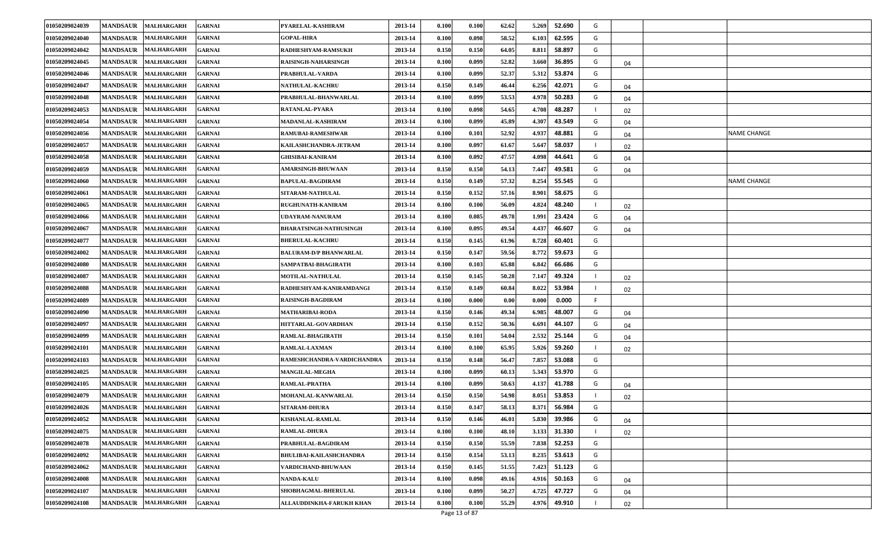| 01050209024039 | <b>MANDSAUR</b> | <b>MALHARGARH</b> | GARNAI        | PYARELAL-KASHIRAM              | 2013-14 | 0.100 | 0.100               | 62.62 | 5.269<br>52.690 | G  |    |                    |
|----------------|-----------------|-------------------|---------------|--------------------------------|---------|-------|---------------------|-------|-----------------|----|----|--------------------|
| 01050209024040 | <b>MANDSAUR</b> | <b>MALHARGARH</b> | GARNAI        | <b>GOPAL-HIRA</b>              | 2013-14 | 0.100 | 0.098               | 58.52 | 6.103<br>62.595 | G  |    |                    |
| 01050209024042 | <b>MANDSAUR</b> | <b>MALHARGARH</b> | <b>GARNAI</b> | RADHESHYAM-RAMSUKH             | 2013-14 | 0.150 | 0.150               | 64.05 | 8.811<br>58.897 | G  |    |                    |
| 01050209024045 | <b>MANDSAUR</b> | <b>MALHARGARH</b> | GARNAI        | RAISINGH-NAHARSINGH            | 2013-14 | 0.100 | 0.099               | 52.82 | 3.660<br>36.895 | G  | 04 |                    |
| 01050209024046 | <b>MANDSAUR</b> | <b>MALHARGARH</b> | GARNAI        | PRABHULAL-VARDA                | 2013-14 | 0.100 | 0.099               | 52.37 | 5.312<br>53.874 | G  |    |                    |
| 01050209024047 | <b>MANDSAUR</b> | <b>MALHARGARH</b> | GARNAI        | <b>NATHULAL-KACHRU</b>         | 2013-14 | 0.150 | 0.149               | 46.44 | 6.256<br>42.071 | G  | 04 |                    |
| 01050209024048 | <b>MANDSAUR</b> | <b>MALHARGARH</b> | <b>GARNAI</b> | PRABHULAL-BHANWARLAL           | 2013-14 | 0.100 | 0.099               | 53.53 | 4.978<br>50.283 | G  | 04 |                    |
| 01050209024053 | <b>MANDSAUR</b> | <b>MALHARGARH</b> | GARNAI        | <b>RATANLAL-PYARA</b>          | 2013-14 | 0.100 | 0.098               | 54.65 | 4.708<br>48.287 |    | 02 |                    |
| 01050209024054 | <b>MANDSAUR</b> | <b>MALHARGARH</b> | GARNAI        | <b>MADANLAL-KASHIRAM</b>       | 2013-14 | 0.100 | 0.099               | 45.89 | 4.307<br>43.549 | G  | 04 |                    |
| 01050209024056 | <b>MANDSAUR</b> | <b>MALHARGARH</b> | GARNAI        | <b>RAMUBAI-RAMESHWAR</b>       | 2013-14 | 0.100 | 0.101               | 52.92 | 4.937<br>48.881 | G  | 04 | <b>NAME CHANGE</b> |
| 01050209024057 | <b>MANDSAUR</b> | <b>MALHARGARH</b> | <b>GARNAI</b> | KAILASHCHANDRA-JETRAM          | 2013-14 | 0.100 | 0.097               | 61.67 | 58.037<br>5.647 |    | 02 |                    |
| 01050209024058 | <b>MANDSAUR</b> | <b>MALHARGARH</b> | GARNAI        | <b>GHISIBAI-KANIRAM</b>        | 2013-14 | 0.100 | 0.092               | 47.57 | 4.098<br>44.641 | G  | 04 |                    |
| 01050209024059 | <b>MANDSAUR</b> | <b>MALHARGARH</b> | <b>GARNAI</b> | <b>AMARSINGH-BHUWAAN</b>       | 2013-14 | 0.150 | 0.150               | 54.13 | 7.447<br>49.581 | G  | 04 |                    |
| 01050209024060 | <b>MANDSAUR</b> | <b>MALHARGARH</b> | <b>GARNAI</b> | <b>BAPULAL-BAGDIRAM</b>        | 2013-14 | 0.150 | 0.149               | 57.32 | 8.254<br>55.545 | G  |    | NAME CHANGE        |
| 01050209024061 | <b>MANDSAUR</b> | <b>MALHARGARH</b> | <b>GARNAI</b> | SITARAM-NATHULAL               | 2013-14 | 0.150 | 0.152               | 57.16 | 8.901<br>58.675 | G  |    |                    |
| 01050209024065 | <b>MANDSAUR</b> | <b>MALHARGARH</b> | <b>GARNAI</b> | RUGHUNATH-KANIRAM              | 2013-14 | 0.100 | 0.100               | 56.09 | 4.824<br>48.240 |    | 02 |                    |
| 01050209024066 | <b>MANDSAUR</b> | <b>MALHARGARH</b> | GARNAI        | UDAYRAM-NANURAM                | 2013-14 | 0.100 | 0.085               | 49.78 | 1.991<br>23.424 | G  | 04 |                    |
| 01050209024067 | <b>MANDSAUR</b> | <b>MALHARGARH</b> | <b>GARNAI</b> | <b>BHARATSINGH-NATHUSINGH</b>  | 2013-14 | 0.100 | 0.095               | 49.54 | 4.437<br>46.607 | G  | 04 |                    |
| 01050209024077 | <b>MANDSAUR</b> | <b>MALHARGARH</b> | GARNAI        | <b>BHERULAL-KACHRU</b>         | 2013-14 | 0.150 | 0.145               | 61.96 | 8.728<br>60.401 | G  |    |                    |
| 01050209024002 | <b>MANDSAUR</b> | <b>MALHARGARH</b> | <b>GARNAI</b> | <b>BALURAM-D/P BHANWARLAL</b>  | 2013-14 | 0.150 | 0.147               | 59.56 | 8.772<br>59.673 | G  |    |                    |
| 01050209024080 | <b>MANDSAUR</b> | <b>MALHARGARH</b> | GARNAI        | SAMPATBAI-BHAGIRATH            | 2013-14 | 0.100 | 0.103               | 65.88 | 6.842<br>66.686 | G  |    |                    |
| 01050209024087 | <b>MANDSAUR</b> | <b>MALHARGARH</b> | <b>GARNAI</b> | <b>MOTILAL-NATHULAL</b>        | 2013-14 | 0.150 | 0.145               | 50.28 | 7.147<br>49.324 |    | 02 |                    |
| 01050209024088 | <b>MANDSAUR</b> | <b>MALHARGARH</b> | GARNAI        | RADHESHYAM-KANIRAMDANGI        | 2013-14 | 0.150 | 0.149               | 60.84 | 8.022<br>53.984 |    | 02 |                    |
| 01050209024089 | <b>MANDSAUR</b> | <b>MALHARGARH</b> | <b>GARNAI</b> | RAISINGH-BAGDIRAM              | 2013-14 | 0.100 | 0.000               | 0.00  | 0.000<br>0.000  | F. |    |                    |
| 01050209024090 | <b>MANDSAUR</b> | <b>MALHARGARH</b> | GARNAI        | <b>MATHARIBAI-RODA</b>         | 2013-14 | 0.150 | 0.146               | 49.34 | 6.985<br>48.007 | G  | 04 |                    |
| 01050209024097 | <b>MANDSAUR</b> | <b>MALHARGARH</b> | <b>GARNAI</b> | HITTARLAL-GOVARDHAN            | 2013-14 | 0.150 | 0.152               | 50.36 | 6.691<br>44.107 | G  | 04 |                    |
| 01050209024099 | <b>MANDSAUR</b> | <b>MALHARGARH</b> | GARNAI        | RAMLAL-BHAGIRATH               | 2013-14 | 0.150 | 0.101               | 54.04 | 2.532<br>25.144 | G  | 04 |                    |
| 01050209024101 | <b>MANDSAUR</b> | <b>MALHARGARH</b> | <b>GARNAI</b> | <b>RAMLAL-LAXMAN</b>           | 2013-14 | 0.100 | 0.100               | 65.95 | 5.926<br>59.260 |    | 02 |                    |
| 01050209024103 | <b>MANDSAUR</b> | <b>MALHARGARH</b> | <b>GARNAI</b> | RAMESHCHANDRA-VARDICHANDRA     | 2013-14 | 0.150 | 0.148               | 56.47 | 7.857<br>53.088 | G  |    |                    |
| 01050209024025 | <b>MANDSAUR</b> | <b>MALHARGARH</b> | <b>GARNAI</b> | <b>MANGILAL-MEGHA</b>          | 2013-14 | 0.100 | 0.099               | 60.13 | 5.343<br>53.970 | G  |    |                    |
| 01050209024105 | <b>MANDSAUR</b> | <b>MALHARGARH</b> | GARNAI        | <b>RAMLAL-PRATHA</b>           | 2013-14 | 0.100 | 0.099               | 50.63 | 4.137<br>41.788 | G  | 04 |                    |
| 01050209024079 | <b>MANDSAUR</b> | <b>MALHARGARH</b> | GARNAI        | MOHANLAL-KANWARLAL             | 2013-14 | 0.150 | 0.150               | 54.98 | 8.051<br>53.853 |    | 02 |                    |
| 01050209024026 | <b>MANDSAUR</b> | <b>MALHARGARH</b> | GARNAI        | <b>SITARAM-DHURA</b>           | 2013-14 | 0.150 | 0.147               | 58.13 | 8.371<br>56.984 | G  |    |                    |
| 01050209024052 | <b>MANDSAUR</b> | <b>MALHARGARH</b> | <b>GARNAI</b> | KISHANLAL-RAMLAL               | 2013-14 | 0.150 | 0.146               | 46.01 | 5.830<br>39.986 | G  | 04 |                    |
| 01050209024075 | <b>MANDSAUR</b> | <b>MALHARGARH</b> | GARNAI        | <b>RAMLAL-DHURA</b>            | 2013-14 | 0.100 | 0.100               | 48.10 | 3.133<br>31.330 |    | 02 |                    |
| 01050209024078 | <b>MANDSAUR</b> | <b>MALHARGARH</b> | <b>GARNAI</b> | PRABHULAL-BAGDIRAM             | 2013-14 | 0.150 | 0.150               | 55.59 | 7.838<br>52.253 | G  |    |                    |
| 01050209024092 | <b>MANDSAUR</b> | <b>MALHARGARH</b> | <b>GARNAI</b> | <b>BHULIBAI-KAILASHCHANDRA</b> | 2013-14 | 0.150 | 0.154               | 53.13 | 8.235<br>53.613 | G  |    |                    |
| 01050209024062 | <b>MANDSAUR</b> | <b>MALHARGARH</b> | <b>GARNAI</b> | VARDICHAND-BHUWAAN             | 2013-14 | 0.150 | 0.145               | 51.55 | 7.423<br>51.123 | G  |    |                    |
| 01050209024008 | <b>MANDSAUR</b> | <b>MALHARGARH</b> | <b>GARNAI</b> | <b>NANDA-KALU</b>              | 2013-14 | 0.100 | 0.098               | 49.16 | 4.916<br>50.163 | G  | 04 |                    |
| 01050209024107 | <b>MANDSAUR</b> | <b>MALHARGARH</b> | GARNAI        | SHOBHAGMAL-BHERULAL            | 2013-14 | 0.100 | 0.099               | 50.27 | 4.725<br>47.727 | G  | 04 |                    |
| 01050209024108 | <b>MANDSAUR</b> | <b>MALHARGARH</b> | <b>GARNAI</b> | ALLAUDDINKHA-FARUKH KHAN       | 2013-14 | 0.100 | 0.100<br>$-42 - 62$ | 55.29 | 4.976<br>49.910 |    | 02 |                    |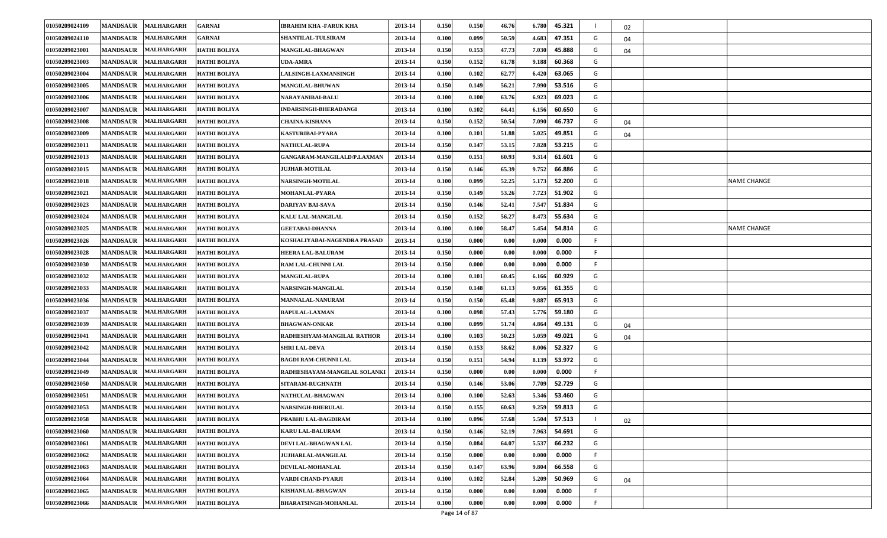| 01050209024109 | <b>MANDSAUR</b> | <b>MALHARGARH</b> | <b>GARNAI</b>       | <b>IBRAHIM KHA -FARUK KHA</b> | 2013-14 | 0.150 | 0.150                    | 46.76 | 6.780<br>45.321 |    | 02 |                    |
|----------------|-----------------|-------------------|---------------------|-------------------------------|---------|-------|--------------------------|-------|-----------------|----|----|--------------------|
| 01050209024110 | <b>MANDSAUR</b> | <b>MALHARGARH</b> | <b>GARNAI</b>       | SHANTILAL-TULSIRAM            | 2013-14 | 0.100 | 0.099                    | 50.59 | 4.683<br>47.351 | G  | 04 |                    |
| 01050209023001 | <b>MANDSAUR</b> | <b>MALHARGARH</b> | <b>HATHI BOLIYA</b> | <b>MANGILAL-BHAGWAN</b>       | 2013-14 | 0.150 | 0.153                    | 47.73 | 45.888<br>7.030 | G  | 04 |                    |
| 01050209023003 | <b>MANDSAUR</b> | <b>MALHARGARH</b> | <b>HATHI BOLIYA</b> | UDA-AMRA                      | 2013-14 | 0.150 | 0.152                    | 61.78 | 60.368<br>9.188 | G  |    |                    |
| 01050209023004 | <b>MANDSAUR</b> | <b>MALHARGARH</b> | <b>HATHI BOLIYA</b> | <b>LALSINGH-LAXMANSINGH</b>   | 2013-14 | 0.100 | 0.102                    | 62.77 | 63.065<br>6.420 | G  |    |                    |
| 01050209023005 | <b>MANDSAUR</b> | <b>MALHARGARH</b> | <b>HATHI BOLIYA</b> | <b>MANGILAL-BHUWAN</b>        | 2013-14 | 0.150 | 0.149                    | 56.21 | 7.990<br>53.516 | G  |    |                    |
| 01050209023006 | <b>MANDSAUR</b> | <b>MALHARGARH</b> | <b>HATHI BOLIYA</b> | NARAYANIBAI-BALU              | 2013-14 | 0.100 | 0.100                    | 63.76 | 6.923<br>69.023 | G  |    |                    |
| 01050209023007 | <b>MANDSAUR</b> | <b>MALHARGARH</b> | <b>HATHI BOLIYA</b> | <b>INDARSINGH-BHERADANGI</b>  | 2013-14 | 0.100 | 0.102                    | 64.41 | 6.156<br>60.650 | G  |    |                    |
| 01050209023008 | <b>MANDSAUR</b> | <b>MALHARGARH</b> | <b>HATHI BOLIYA</b> | <b>CHAINA-KISHANA</b>         | 2013-14 | 0.150 | 0.152                    | 50.54 | 7.090<br>46.737 | G  | 04 |                    |
| 01050209023009 | <b>MANDSAUR</b> | <b>MALHARGARH</b> | <b>HATHI BOLIYA</b> | <b>KASTURIBAI-PYARA</b>       | 2013-14 | 0.100 | 0.101                    | 51.88 | 5.025<br>49.851 | G  | 04 |                    |
| 01050209023011 | <b>MANDSAUR</b> | <b>MALHARGARH</b> | <b>HATHI BOLIYA</b> | <b>NATHULAL-RUPA</b>          | 2013-14 | 0.150 | 0.147                    | 53.15 | 7.828<br>53.215 | G  |    |                    |
| 01050209023013 | <b>MANDSAUR</b> | <b>MALHARGARH</b> | <b>HATHI BOLIYA</b> | GANGARAM-MANGILALD/P.LAXMAN   | 2013-14 | 0.150 | 0.151                    | 60.93 | 61.601<br>9.314 | G  |    |                    |
| 01050209023015 | <b>MANDSAUR</b> | <b>MALHARGARH</b> | <b>HATHI BOLIYA</b> | <b>JUJHAR-MOTILAL</b>         | 2013-14 | 0.150 | 0.146                    | 65.39 | 9.752<br>66.886 | G  |    |                    |
| 01050209023018 | <b>MANDSAUR</b> | <b>MALHARGARH</b> | <b>HATHI BOLIYA</b> | <b>NARSINGH-MOTILAL</b>       | 2013-14 | 0.100 | 0.099                    | 52.25 | 5.173<br>52.200 | G  |    | <b>NAME CHANGE</b> |
| 01050209023021 | <b>MANDSAUR</b> | <b>MALHARGARH</b> | <b>HATHI BOLIYA</b> | <b>MOHANLAL-PYARA</b>         | 2013-14 | 0.150 | 0.149                    | 53.26 | 7.723<br>51.902 | G  |    |                    |
| 01050209023023 | <b>MANDSAUR</b> | <b>MALHARGARH</b> | <b>HATHI BOLIYA</b> | DARIYAV BAI-SAVA              | 2013-14 | 0.150 | 0.146                    | 52.41 | 7.547<br>51.834 | G  |    |                    |
| 01050209023024 | <b>MANDSAUR</b> | <b>MALHARGARH</b> | <b>HATHI BOLIYA</b> | KALU LAL-MANGILAL             | 2013-14 | 0.150 | 0.152                    | 56.27 | 8.473<br>55.634 | G  |    |                    |
| 01050209023025 | <b>MANDSAUR</b> | <b>MALHARGARH</b> | <b>HATHI BOLIYA</b> | <b>GEETABAI-DHANNA</b>        | 2013-14 | 0.100 | 0.100                    | 58.47 | 5.454<br>54.814 | G  |    | <b>NAME CHANGE</b> |
| 01050209023026 | <b>MANDSAUR</b> | <b>MALHARGARH</b> | <b>HATHI BOLIYA</b> | KOSHALIYABAI-NAGENDRA PRASAD  | 2013-14 | 0.150 | 0.000                    | 0.00  | 0.000<br>0.000  |    |    |                    |
| 01050209023028 | <b>MANDSAUR</b> | <b>MALHARGARH</b> | <b>HATHI BOLIYA</b> | <b>HEERA LAL-BALURAM</b>      | 2013-14 | 0.150 | 0.000                    | 0.00  | 0.000<br>0.00   |    |    |                    |
| 01050209023030 | <b>MANDSAUR</b> | <b>MALHARGARH</b> | <b>HATHI BOLIYA</b> | <b>RAM LAL-CHUNNI LAL</b>     | 2013-14 | 0.150 | 0.000                    | 0.00  | 0.000<br>0.000  | F. |    |                    |
| 01050209023032 | <b>MANDSAUR</b> | <b>MALHARGARH</b> | <b>HATHI BOLIYA</b> | <b>MANGILAL-RUPA</b>          | 2013-14 | 0.100 | 0.101                    | 60.45 | 60.929<br>6.166 | G  |    |                    |
| 01050209023033 | <b>MANDSAUR</b> | <b>MALHARGARH</b> | <b>HATHI BOLIYA</b> | NARSINGH-MANGILAL             | 2013-14 | 0.150 | 0.148                    | 61.13 | 9.056<br>61.355 | G  |    |                    |
| 01050209023036 | <b>MANDSAUR</b> | <b>MALHARGARH</b> | <b>HATHI BOLIYA</b> | <b>MANNALAL-NANURAM</b>       | 2013-14 | 0.150 | 0.150                    | 65.48 | 9.887<br>65.913 | G  |    |                    |
| 01050209023037 | <b>MANDSAUR</b> | <b>MALHARGARH</b> | <b>HATHI BOLIYA</b> | <b>BAPULAL-LAXMAN</b>         | 2013-14 | 0.100 | 0.098                    | 57.43 | 5.776<br>59.180 | G  |    |                    |
| 01050209023039 | <b>MANDSAUR</b> | <b>MALHARGARH</b> | <b>HATHI BOLIYA</b> | <b>BHAGWAN-ONKAR</b>          | 2013-14 | 0.100 | 0.099                    | 51.74 | 4.864<br>49.131 | G  | 04 |                    |
| 01050209023041 | <b>MANDSAUR</b> | <b>MALHARGARH</b> | <b>HATHI BOLIYA</b> | RADHESHYAM-MANGILAL RATHOR    | 2013-14 | 0.100 | 0.103                    | 50.23 | 49.021<br>5.059 | G  | 04 |                    |
| 01050209023042 | <b>MANDSAUR</b> | <b>MALHARGARH</b> | <b>HATHI BOLIYA</b> | <b>SHRI LAL-DEVA</b>          | 2013-14 | 0.150 | 0.153                    | 58.62 | 52.327<br>8.006 | G  |    |                    |
| 01050209023044 | <b>MANDSAUR</b> | <b>MALHARGARH</b> | <b>HATHI BOLIYA</b> | <b>BAGDI RAM-CHUNNI LAL</b>   | 2013-14 | 0.150 | 0.151                    | 54.94 | 8.139<br>53.972 | G  |    |                    |
| 01050209023049 | <b>MANDSAUR</b> | <b>MALHARGARH</b> | <b>HATHI BOLIYA</b> | RADHESHAYAM-MANGILAL SOLANKI  | 2013-14 | 0.150 | 0.000                    | 0.00  | 0.000<br>0.000  |    |    |                    |
| 01050209023050 | <b>MANDSAUR</b> | <b>MALHARGARH</b> | <b>HATHI BOLIYA</b> | SITARAM-RUGHNATH              | 2013-14 | 0.150 | 0.146                    | 53.06 | 52.729<br>7.709 | G  |    |                    |
| 01050209023051 | <b>MANDSAUR</b> | <b>MALHARGARH</b> | <b>HATHI BOLIYA</b> | NATHULAL-BHAGWAN              | 2013-14 | 0.100 | 0.100                    | 52.63 | 5.346<br>53.460 | G  |    |                    |
| 01050209023053 | <b>MANDSAUR</b> | <b>MALHARGARH</b> | <b>HATHI BOLIYA</b> | <b>NARSINGH-BHERULAL</b>      | 2013-14 | 0.150 | 0.155                    | 60.63 | 9.259<br>59.813 | G  |    |                    |
| 01050209023058 | <b>MANDSAUR</b> | <b>MALHARGARH</b> | <b>HATHI BOLIYA</b> | PRABHU LAL-BAGDIRAM           | 2013-14 | 0.100 | 0.096                    | 57.68 | 5.504<br>57.513 |    | 02 |                    |
| 01050209023060 | <b>MANDSAUR</b> | <b>MALHARGARH</b> | <b>HATHI BOLIYA</b> | <b>KARU LAL-BALURAM</b>       | 2013-14 | 0.150 | 0.146                    | 52.19 | 54.691<br>7.963 | G  |    |                    |
| 01050209023061 | <b>MANDSAUR</b> | <b>MALHARGARH</b> | <b>HATHI BOLIYA</b> | DEVI LAL-BHAGWAN LAL          | 2013-14 | 0.150 | 0.084                    | 64.07 | 5.537<br>66.232 | G  |    |                    |
| 01050209023062 | <b>MANDSAUR</b> | <b>MALHARGARH</b> | <b>HATHI BOLIYA</b> | <b>JUJHARLAL-MANGILAL</b>     | 2013-14 | 0.150 | 0.000                    | 0.00  | 0.000<br>0.000  | -F |    |                    |
| 01050209023063 | <b>MANDSAUR</b> | <b>MALHARGARH</b> | <b>HATHI BOLIYA</b> | DEVILAL-MOHANLAL              | 2013-14 | 0.150 | 0.147                    | 63.96 | 9.804<br>66.558 | G  |    |                    |
| 01050209023064 | <b>MANDSAUR</b> | <b>MALHARGARH</b> | <b>HATHI BOLIYA</b> | VARDI CHAND-PYARJI            | 2013-14 | 0.100 | 0.102                    | 52.84 | 5.209<br>50.969 | G  | 04 |                    |
| 01050209023065 | <b>MANDSAUR</b> | <b>MALHARGARH</b> | <b>HATHI BOLIYA</b> | KISHANLAL-BHAGWAN             | 2013-14 | 0.150 | 0.000                    | 0.00  | 0.000<br>0.000  |    |    |                    |
| 01050209023066 | <b>MANDSAUR</b> | <b>MALHARGARH</b> | <b>HATHI BOLIYA</b> | <b>BHARATSINGH-MOHANLAL</b>   | 2013-14 | 0.100 | 0.000<br>$\overline{10}$ | 0.00  | 0.000<br>0.000  | F. |    |                    |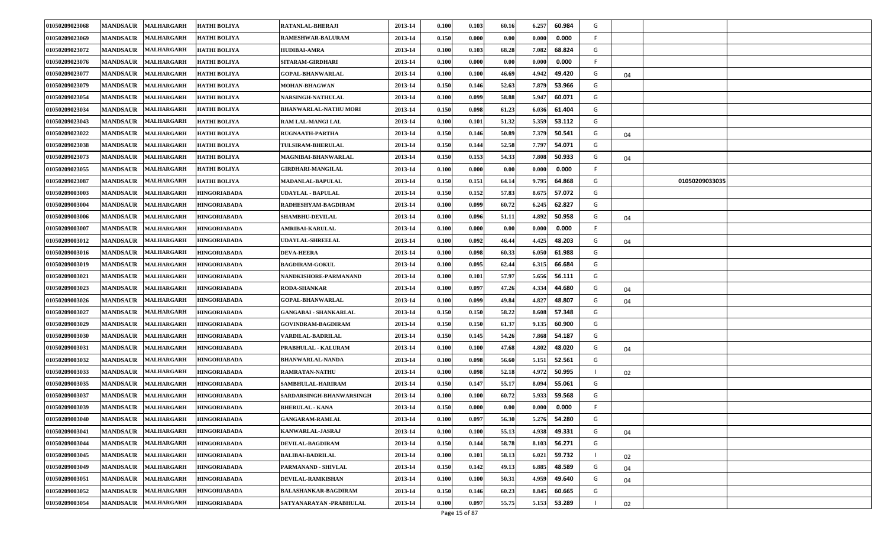| 01050209023068 | <b>MANDSAUR</b> | <b>MALHARGARH</b> | <b>HATHI BOLIYA</b> | RATANLAL-BHERAJI             | 2013-14 | 0.100           | 0.103               | 60.16 | 6.257<br>60.984 | G  |                |  |
|----------------|-----------------|-------------------|---------------------|------------------------------|---------|-----------------|---------------------|-------|-----------------|----|----------------|--|
| 01050209023069 | <b>MANDSAUR</b> | <b>MALHARGARH</b> | <b>HATHI BOLIYA</b> | <b>RAMESHWAR-BALURAM</b>     | 2013-14 | 0.150           | 0.000               | 0.00  | 0.000<br>0.000  | -F |                |  |
| 01050209023072 | <b>MANDSAUR</b> | <b>MALHARGARH</b> | <b>HATHI BOLIYA</b> | <b>HUDIBAI-AMRA</b>          | 2013-14 | 0.100           | 0.103               | 68.28 | 68.824<br>7.082 | G  |                |  |
| 01050209023076 | <b>MANDSAUR</b> | <b>MALHARGARH</b> | <b>HATHI BOLIYA</b> | SITARAM-GIRDHARI             | 2013-14 | 0.100           | 0.000               | 0.00  | 0.000<br>0.000  |    |                |  |
| 01050209023077 | <b>MANDSAUR</b> | <b>MALHARGARH</b> | <b>HATHI BOLIYA</b> | <b>GOPAL-BHANWARLAL</b>      | 2013-14 | 0.100           | 0.100               | 46.69 | 4.942<br>49.420 | G  | 04             |  |
| 01050209023079 | <b>MANDSAUR</b> | <b>MALHARGARH</b> | <b>HATHI BOLIYA</b> | <b>MOHAN-BHAGWAN</b>         | 2013-14 | 0.150           | 0.146               | 52.63 | 7.879<br>53.966 | G  |                |  |
| 01050209023054 | <b>MANDSAUR</b> | <b>MALHARGARH</b> | <b>HATHI BOLIYA</b> | <b>NARSINGH-NATHULAL</b>     | 2013-14 | 0.100           | 0.099               | 58.88 | 5.947<br>60.071 | G  |                |  |
| 01050209023034 | <b>MANDSAUR</b> | <b>MALHARGARH</b> | <b>HATHI BOLIYA</b> | <b>BHANWARLAL-NATHU MORI</b> | 2013-14 | 0.150           | 0.098               | 61.23 | 61.404<br>6.036 | G  |                |  |
| 01050209023043 | <b>MANDSAUR</b> | <b>MALHARGARH</b> | <b>HATHI BOLIYA</b> | RAM LAL-MANGI LAL            | 2013-14 | 0.100           | 0.101               | 51.32 | 5.359<br>53.112 | G  |                |  |
| 01050209023022 | <b>MANDSAUR</b> | <b>MALHARGARH</b> | <b>HATHI BOLIYA</b> | <b>RUGNAATH-PARTHA</b>       | 2013-14 | 0.150           | 0.146               | 50.89 | 7.379<br>50.541 | G  | 04             |  |
| 01050209023038 | <b>MANDSAUR</b> | <b>MALHARGARH</b> | <b>HATHI BOLIYA</b> | <b>TULSIRAM-BHERULAL</b>     | 2013-14 | 0.150           | 0.144               | 52.58 | 7.797<br>54.071 | G  |                |  |
| 01050209023073 | <b>MANDSAUR</b> | <b>MALHARGARH</b> | <b>HATHI BOLIYA</b> | MAGNIBAI-BHANWARLAL          | 2013-14 | 0.150           | 0.153               | 54.33 | 50.933<br>7.808 | G  | 04             |  |
| 01050209023055 | <b>MANDSAUR</b> | <b>MALHARGARH</b> | <b>HATHI BOLIYA</b> | GIRDHARI-MANGILAL            | 2013-14 | 0.100           | 0.000               | 0.00  | 0.000<br>0.000  | F. |                |  |
| 01050209023087 | <b>MANDSAUR</b> | <b>MALHARGARH</b> | <b>HATHI BOLIYA</b> | MADANLAL-BAPULAL             | 2013-14 | 0.150           | 0.151               | 64.14 | 9.795<br>64.868 | G  | 01050209033035 |  |
| 01050209003003 | <b>MANDSAUR</b> | <b>MALHARGARH</b> | <b>HINGORIABADA</b> | UDAYLAL - BAPULAL            | 2013-14 | 0.150           | 0.152               | 57.83 | 8.675<br>57.072 | G  |                |  |
| 01050209003004 | <b>MANDSAUR</b> | <b>MALHARGARH</b> | <b>HINGORIABADA</b> | RADHESHYAM-BAGDIRAM          | 2013-14 | 0.100           | 0.099               | 60.72 | 6.245<br>62.827 | G  |                |  |
| 01050209003006 | <b>MANDSAUR</b> | <b>MALHARGARH</b> | <b>HINGORIABADA</b> | <b>SHAMBHU-DEVILAL</b>       | 2013-14 | 0.100           | 0.096               | 51.11 | 4.892<br>50.958 | G  | 04             |  |
| 01050209003007 | <b>MANDSAUR</b> | <b>MALHARGARH</b> | <b>HINGORIABADA</b> | AMRIBAI-KARULAL              | 2013-14 | 0.100           | 0.000               | 0.00  | 0.000<br>0.000  |    |                |  |
| 01050209003012 | <b>MANDSAUR</b> | <b>MALHARGARH</b> | <b>HINGORIABADA</b> | UDAYLAL-SHREELAL             | 2013-14 | 0.100           | 0.092               | 46.44 | 4.425<br>48.203 | G  | 04             |  |
| 01050209003016 | <b>MANDSAUR</b> | <b>MALHARGARH</b> | <b>HINGORIABADA</b> | <b>DEVA-HEERA</b>            | 2013-14 | 0.100           | 0.098               | 60.33 | 6.050<br>61.988 | G  |                |  |
| 01050209003019 | <b>MANDSAUR</b> | <b>MALHARGARH</b> | <b>HINGORIABADA</b> | <b>BAGDIRAM-GOKUL</b>        | 2013-14 | 0.100           | 0.095               | 62.44 | 6.315<br>66.684 | G  |                |  |
| 01050209003021 | <b>MANDSAUR</b> | <b>MALHARGARH</b> | <b>HINGORIABADA</b> | NANDKISHORE-PARMANAND        | 2013-14 | 0.100           | 0.101               | 57.97 | 5.656<br>56.111 | G  |                |  |
| 01050209003023 | <b>MANDSAUR</b> | <b>MALHARGARH</b> | <b>HINGORIABADA</b> | <b>RODA-SHANKAR</b>          | 2013-14 | 0.100           | 0.097               | 47.26 | 4.334<br>44.680 | G  | 04             |  |
| 01050209003026 | <b>MANDSAUR</b> | <b>MALHARGARH</b> | <b>HINGORIABADA</b> | <b>GOPAL-BHANWARLAL</b>      | 2013-14 | 0.100           | 0.099               | 49.84 | 4.827<br>48.807 | G  | 04             |  |
| 01050209003027 | <b>MANDSAUR</b> | <b>MALHARGARH</b> | <b>HINGORIABADA</b> | <b>GANGABAI - SHANKARLAL</b> | 2013-14 | 0.150           | 0.150               | 58.22 | 8.608<br>57.348 | G  |                |  |
| 01050209003029 | <b>MANDSAUR</b> | <b>MALHARGARH</b> | <b>HINGORIABADA</b> | GOVINDRAM-BAGDIRAM           | 2013-14 | 0.150           | 0.150               | 61.37 | 9.135<br>60.900 | G  |                |  |
| 01050209003030 | <b>MANDSAUR</b> | <b>MALHARGARH</b> | <b>HINGORIABADA</b> | VARDILAL-BADRILAL            | 2013-14 | 0.150           | 0.145               | 54.26 | 7.868<br>54.187 | G  |                |  |
| 01050209003031 | <b>MANDSAUR</b> | <b>MALHARGARH</b> | <b>HINGORIABADA</b> | PRABHULAL - KALURAM          | 2013-14 | 0.100           | 0.100               | 47.68 | 4.802<br>48.020 | G  | 04             |  |
| 01050209003032 | <b>MANDSAUR</b> | <b>MALHARGARH</b> | <b>HINGORIABADA</b> | <b>BHANWARLAL-NANDA</b>      | 2013-14 | 0.100           | 0.098               | 56.60 | 5.151<br>52.561 | G  |                |  |
| 01050209003033 | <b>MANDSAUR</b> | <b>MALHARGARH</b> | <b>HINGORIABADA</b> | <b>RAMRATAN-NATHU</b>        | 2013-14 | 0.100           | 0.098               | 52.18 | 4.972<br>50.995 |    | 02             |  |
| 01050209003035 | <b>MANDSAUR</b> | <b>MALHARGARH</b> | <b>HINGORIABADA</b> | <b>SAMBHULAL-HARIRAM</b>     | 2013-14 | 0.150           | 0.147               | 55.17 | 55.061<br>8.094 | G  |                |  |
| 01050209003037 | <b>MANDSAUR</b> | <b>MALHARGARH</b> | <b>HINGORIABADA</b> | SARDARSINGH-BHANWARSINGH     | 2013-14 | 0.100           | 0.100               | 60.72 | 5.933<br>59.568 | G  |                |  |
| 01050209003039 | <b>MANDSAUR</b> | <b>MALHARGARH</b> | <b>HINGORIABADA</b> | <b>BHERULAL - KANA</b>       | 2013-14 | 0.150           | 0.000               | 0.00  | 0.000<br>0.000  |    |                |  |
| 01050209003040 | <b>MANDSAUR</b> | <b>MALHARGARH</b> | <b>HINGORIABADA</b> | <b>GANGARAM-RAMLAL</b>       | 2013-14 | 0.100           | 0.097               | 56.30 | 5.276<br>54.280 | G  |                |  |
| 01050209003041 | <b>MANDSAUR</b> | <b>MALHARGARH</b> | <b>HINGORIABADA</b> | KANWARLAL-JASRAJ             | 2013-14 | 0.100           | 0.100               | 55.13 | 4.938<br>49.331 | G  | 04             |  |
| 01050209003044 | <b>MANDSAUR</b> | <b>MALHARGARH</b> | <b>HINGORIABADA</b> | DEVILAL-BAGDIRAM             | 2013-14 | 0.150           | 0.144               | 58.78 | 56.271<br>8.103 | G  |                |  |
| 01050209003045 | <b>MANDSAUR</b> | <b>MALHARGARH</b> | <b>HINGORIABADA</b> | <b>BALIBAI-BADRILAL</b>      | 2013-14 | 0.100           | 0.101               | 58.13 | 59.732<br>6.021 |    | 02             |  |
| 01050209003049 | <b>MANDSAUR</b> | <b>MALHARGARH</b> | <b>HINGORIABADA</b> | PARMANAND - SHIVLAL          | 2013-14 | 0.150           | 0.142               | 49.13 | 6.885<br>48.589 | G  | 04             |  |
| 01050209003051 | <b>MANDSAUR</b> | <b>MALHARGARH</b> | <b>HINGORIABADA</b> | <b>DEVILAL-RAMKISHAN</b>     | 2013-14 | 0.100           | 0.100               | 50.31 | 4.959<br>49.640 | G  | 04             |  |
| 01050209003052 | <b>MANDSAUR</b> | <b>MALHARGARH</b> | <b>HINGORIABADA</b> | <b>BALASHANKAR-BAGDIRAM</b>  | 2013-14 | 0.150           | 0.146               | 60.23 | 8.845<br>60.665 | G  |                |  |
| 01050209003054 | <b>MANDSAUR</b> | <b>MALHARGARH</b> | <b>HINGORIABADA</b> | SATYANARAYAN - PRABHULAL     | 2013-14 | 0.100<br>$\sim$ | 0.097<br>$10 - 507$ | 55.75 | 53.289<br>5.153 |    | 02             |  |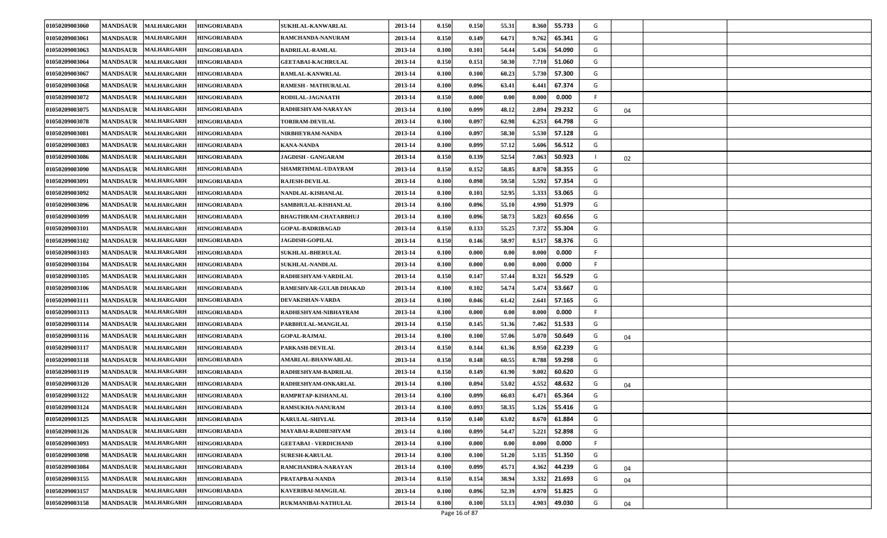| 01050209003060 | <b>MANDSAUR</b><br><b>MALHARGARH</b> | <b>HINGORIABADA</b> | SUKHLAL-KANWARLAL             | 2013-14 | 0.150                 | 0.150               | 55.31 | 8.360 | 55.733 | G  |    |  |
|----------------|--------------------------------------|---------------------|-------------------------------|---------|-----------------------|---------------------|-------|-------|--------|----|----|--|
| 01050209003061 | <b>MANDSAUR</b><br><b>MALHARGARH</b> | <b>HINGORIABADA</b> | RAMCHANDA-NANURAM             | 2013-14 | 0.150                 | 0.149               | 64.71 | 9.762 | 65.341 | G  |    |  |
| 01050209003063 | <b>MANDSAUR</b><br><b>MALHARGARH</b> | <b>HINGORIABADA</b> | <b>BADRILAL-RAMLAL</b>        | 2013-14 | 0.100                 | 0.101               | 54.44 | 5.436 | 54.090 | G  |    |  |
| 01050209003064 | <b>MANDSAUR</b><br><b>MALHARGARH</b> | HINGORIABADA        | <b>GEETABAI-KACHRULAL</b>     | 2013-14 | 0.150                 | 0.151               | 50.30 | 7.710 | 51.060 | G  |    |  |
| 01050209003067 | <b>MANDSAUR</b><br><b>MALHARGARH</b> | <b>HINGORIABADA</b> | RAMLAL-KANWRLAL               | 2013-14 | 0.100                 | 0.100               | 60.23 | 5.730 | 57.300 | G  |    |  |
| 01050209003068 | <b>MANDSAUR</b><br><b>MALHARGARH</b> | <b>HINGORIABADA</b> | <b>RAMESH - MATHURALAL</b>    | 2013-14 | 0.100                 | 0.096               | 63.41 | 6.441 | 67.374 | G  |    |  |
| 01050209003072 | <b>MANDSAUR</b><br><b>MALHARGARH</b> | <b>HINGORIABADA</b> | RODILAL-JAGNAATH              | 2013-14 | 0.150                 | 0.000               | 0.00  | 0.000 | 0.000  | F  |    |  |
| 01050209003075 | <b>MANDSAUR</b><br><b>MALHARGARH</b> | <b>HINGORIABADA</b> | RADHESHYAM-NARAYAN            | 2013-14 | 0.100                 | 0.099               | 48.12 | 2.894 | 29.232 | G  | 04 |  |
| 01050209003078 | <b>MANDSAUR</b><br><b>MALHARGARH</b> | <b>HINGORIABADA</b> | <b>TORIRAM-DEVILAL</b>        | 2013-14 | 0.100                 | 0.097               | 62.98 | 6.253 | 64.798 | G  |    |  |
| 01050209003081 | <b>MANDSAUR</b><br><b>MALHARGARH</b> | <b>HINGORIABADA</b> | NIRBHEYRAM-NANDA              | 2013-14 | 0.100                 | 0.097               | 58.30 | 5.530 | 57.128 | G  |    |  |
| 01050209003083 | <b>MANDSAUR</b><br><b>MALHARGARH</b> | <b>HINGORIABADA</b> | <b>KANA-NANDA</b>             | 2013-14 | 0.100                 | 0.099               | 57.12 | 5.606 | 56.512 | G  |    |  |
| 01050209003086 | <b>MANDSAUR</b><br><b>MALHARGARH</b> | <b>HINGORIABADA</b> | <b>JAGDISH - GANGARAM</b>     | 2013-14 | 0.150                 | 0.139               | 52.54 | 7.063 | 50.923 |    | 02 |  |
| 01050209003090 | <b>MANDSAUR</b><br><b>MALHARGARH</b> | <b>HINGORIABADA</b> | SHAMRTHMAL-UDAYRAM            | 2013-14 | 0.150                 | 0.152               | 58.85 | 8.870 | 58.355 | G  |    |  |
| 01050209003091 | <b>MANDSAUR</b><br><b>MALHARGARH</b> | <b>HINGORIABADA</b> | <b>RAJESH-DEVILAL</b>         | 2013-14 | 0.100                 | 0.098               | 59.58 | 5.592 | 57.354 | G  |    |  |
| 01050209003092 | <b>MANDSAUR</b><br><b>MALHARGARH</b> | <b>HINGORIABADA</b> | NANDLAL-KISHANLAL             | 2013-14 | 0.100                 | 0.101               | 52.95 | 5.333 | 53.065 | G  |    |  |
| 01050209003096 | <b>MANDSAUR</b><br><b>MALHARGARH</b> | <b>HINGORIABADA</b> | SAMBHULAL-KISHANLAL           | 2013-14 | 0.100                 | 0.096               | 55.10 | 4.990 | 51.979 | G  |    |  |
| 01050209003099 | <b>MANDSAUR</b><br><b>MALHARGARH</b> | HINGORIABADA        | <b>BHAGTHRAM-CHATARBHUJ</b>   | 2013-14 | 0.100                 | 0.096               | 58.73 | 5.823 | 60.656 | G  |    |  |
| 01050209003101 | <b>MANDSAUR</b><br><b>MALHARGARH</b> | <b>HINGORIABADA</b> | <b>GOPAL-BADRIBAGAD</b>       | 2013-14 | 0.150                 | 0.133               | 55.25 | 7.372 | 55.304 | G  |    |  |
| 01050209003102 | <b>MANDSAUR</b><br><b>MALHARGARH</b> | HINGORIABADA        | <b>JAGDISH-GOPILAL</b>        | 2013-14 | 0.150                 | 0.146               | 58.97 | 8.517 | 58.376 | G  |    |  |
| 01050209003103 | <b>MANDSAUR</b><br><b>MALHARGARH</b> | <b>HINGORIABADA</b> | <b>SUKHLAL-BHERULAL</b>       | 2013-14 | 0.100                 | 0.000               | 0.00  | 0.000 | 0.000  | F. |    |  |
| 01050209003104 | <b>MANDSAUR</b><br><b>MALHARGARH</b> | <b>HINGORIABADA</b> | <b>SUKHLAL-NANDLAL</b>        | 2013-14 | 0.100                 | 0.000               | 0.00  | 0.000 | 0.000  | F  |    |  |
| 01050209003105 | <b>MANDSAUR</b><br><b>MALHARGARH</b> | <b>HINGORIABADA</b> | <b>RADHESHYAM-VARDILAL</b>    | 2013-14 | 0.150                 | 0.147               | 57.44 | 8.321 | 56.529 | G  |    |  |
| 01050209003106 | <b>MANDSAUR</b><br><b>MALHARGARH</b> | <b>HINGORIABADA</b> | <b>RAMESHVAR-GULAB DHAKAD</b> | 2013-14 | 0.100                 | 0.102               | 54.74 | 5.474 | 53.667 | G  |    |  |
| 01050209003111 | <b>MANDSAUR</b><br><b>MALHARGARH</b> | <b>HINGORIABADA</b> | <b>DEVAKISHAN-VARDA</b>       | 2013-14 | 0.100                 | 0.046               | 61.42 | 2.641 | 57.165 | G  |    |  |
| 01050209003113 | <b>MANDSAUR</b><br><b>MALHARGARH</b> | <b>HINGORIABADA</b> | RADHESHYAM-NIBHAYRAM          | 2013-14 | 0.100                 | 0.000               | 0.00  | 0.000 | 0.000  | F. |    |  |
| 01050209003114 | <b>MANDSAUR</b><br><b>MALHARGARH</b> | <b>HINGORIABADA</b> | PARBHULAL-MANGILAL            | 2013-14 | 0.150                 | 0.145               | 51.36 | 7.462 | 51.533 | G  |    |  |
| 01050209003116 | <b>MANDSAUR</b><br><b>MALHARGARH</b> | HINGORIABADA        | <b>GOPAL-RAJMAL</b>           | 2013-14 | 0.100                 | 0.100               | 57.06 | 5.070 | 50.649 | G  | 04 |  |
| 01050209003117 | <b>MANDSAUR</b><br><b>MALHARGARH</b> | <b>HINGORIABADA</b> | PARKASH-DEVILAL               | 2013-14 | 0.150                 | 0.144               | 61.36 | 8.950 | 62.239 | G  |    |  |
| 01050209003118 | <b>MANDSAUR</b><br><b>MALHARGARH</b> | <b>HINGORIABADA</b> | <b>AMARLAL-BHANWARLAL</b>     | 2013-14 | 0.150                 | 0.148               | 60.55 | 8.788 | 59.298 | G  |    |  |
| 01050209003119 | <b>MANDSAUR</b><br><b>MALHARGARH</b> | <b>HINGORIABADA</b> | RADHESHYAM-BADRILAL           | 2013-14 | 0.150                 | 0.149               | 61.90 | 9.002 | 60.620 | G  |    |  |
| 01050209003120 | <b>MALHARGARH</b><br><b>MANDSAUR</b> | HINGORIABADA        | RADHESHYAM-ONKARLAL           | 2013-14 | 0.100                 | 0.094               | 53.02 | 4.552 | 48.632 | G  | 04 |  |
| 01050209003122 | <b>MANDSAUR</b><br><b>MALHARGARH</b> | <b>HINGORIABADA</b> | RAMPRTAP-KISHANLAL            | 2013-14 | 0.100                 | 0.099               | 66.03 | 6.471 | 65.364 | G  |    |  |
| 01050209003124 | <b>MANDSAUR</b><br><b>MALHARGARH</b> | <b>HINGORIABADA</b> | <b>RAMSUKHA-NANURAM</b>       | 2013-14 | 0.100                 | 0.093               | 58.35 | 5.126 | 55.416 | G  |    |  |
| 01050209003125 | <b>MANDSAUR</b><br><b>MALHARGARH</b> | <b>HINGORIABADA</b> | <b>KARULAL-SHIVLAL</b>        | 2013-14 | 0.150                 | 0.140               | 63.02 | 8.670 | 61.884 | G  |    |  |
| 01050209003126 | <b>MANDSAUR</b><br><b>MALHARGARH</b> | <b>HINGORIABADA</b> | MAYABAI-RADHESHYAM            | 2013-14 | 0.100                 | 0.099               | 54.47 | 5.221 | 52.898 | G  |    |  |
| 01050209003093 | <b>MANDSAUR</b><br><b>MALHARGARH</b> | <b>HINGORIABADA</b> | <b>GEETABAI - VERDICHAND</b>  | 2013-14 | 0.100                 | 0.000               | 0.00  | 0.000 | 0.000  | F  |    |  |
| 01050209003098 | <b>MANDSAUR</b><br><b>MALHARGARH</b> | <b>HINGORIABADA</b> | <b>SURESH-KARULAL</b>         | 2013-14 | 0.100                 | 0.100               | 51.20 | 5.135 | 51.350 | G  |    |  |
| 01050209003084 | <b>MANDSAUR</b><br><b>MALHARGARH</b> | <b>HINGORIABADA</b> | RAMCHANDRA-NARAYAN            | 2013-14 | 0.100                 | 0.099               | 45.71 | 4.362 | 44.239 | G  | 04 |  |
| 01050209003155 | <b>MANDSAUR</b><br><b>MALHARGARH</b> | <b>HINGORIABADA</b> | PRATAPBAI-NANDA               | 2013-14 | 0.150                 | 0.154               | 38.94 | 3.332 | 21.693 | G  | 04 |  |
| 01050209003157 | <b>MANDSAUR</b><br><b>MALHARGARH</b> | <b>HINGORIABADA</b> | KAVERIBAI-MANGILAL            | 2013-14 | 0.100                 | 0.096               | 52.39 | 4.970 | 51.825 | G  |    |  |
| 01050209003158 | <b>MANDSAUR</b><br><b>MALHARGARH</b> | <b>HINGORIABADA</b> | RUKMANIBAI-NATHULAL           | 2013-14 | 0.100<br>$\mathbf{R}$ | 0.100<br>$10 - 507$ | 53.13 | 4.903 | 49.030 | G  | 04 |  |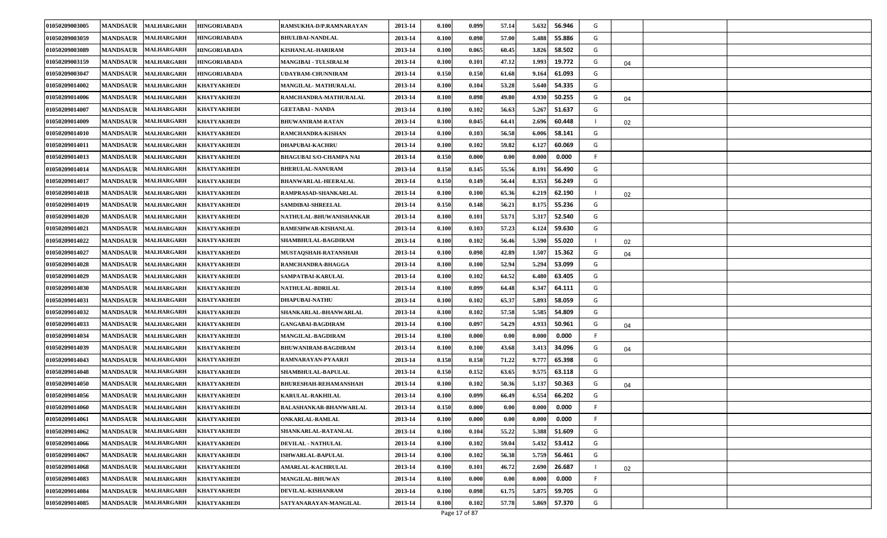| 01050209003005 | <b>MANDSAUR</b> | <b>MALHARGARH</b>   | <b>HINGORIABADA</b> | RAMSUKHA-D/P.RAMNARAYAN        | 2013-14 | 0.100 | 0.099 | 57.14 | 5.632<br>56.946 | G |    |  |
|----------------|-----------------|---------------------|---------------------|--------------------------------|---------|-------|-------|-------|-----------------|---|----|--|
| 01050209003059 | <b>MANDSAUR</b> | <b>MALHARGARH</b>   | HINGORIABADA        | <b>BHULIBAI-NANDLAL</b>        | 2013-14 | 0.100 | 0.098 | 57.00 | 5.488<br>55.886 | G |    |  |
| 01050209003089 | <b>MANDSAUR</b> | <b>MALHARGARH</b>   | <b>HINGORIABADA</b> | <b>KISHANLAL-HARIRAM</b>       | 2013-14 | 0.100 | 0.065 | 60.45 | 58.502<br>3.826 | G |    |  |
| 01050209003159 | <b>MANDSAUR</b> | <b>MALHARGARH</b>   | <b>HINGORIABADA</b> | <b>MANGIBAI - TULSIRALM</b>    | 2013-14 | 0.100 | 0.101 | 47.12 | 19.772<br>1.993 | G | 04 |  |
| 01050209003047 | <b>MANDSAUR</b> | <b>MALHARGARH</b>   | <b>HINGORIABADA</b> | UDAYRAM-CHUNNIRAM              | 2013-14 | 0.150 | 0.150 | 61.68 | 9.164<br>61.093 | G |    |  |
| 01050209014002 | <b>MANDSAUR</b> | <b>MALHARGARH</b>   | <b>KHATYAKHEDI</b>  | <b>MANGILAL-MATHURALAL</b>     | 2013-14 | 0.100 | 0.104 | 53.28 | 5.640<br>54.335 | G |    |  |
| 01050209014006 | <b>MANDSAUR</b> | <b>MALHARGARH</b>   | <b>KHATYAKHEDI</b>  | RAMCHANDRA-MATHURALAL          | 2013-14 | 0.100 | 0.098 | 49.80 | 4.930<br>50.255 | G | 04 |  |
| 01050209014007 | <b>MANDSAUR</b> | <b>MALHARGARH</b>   | <b>KHATYAKHEDI</b>  | <b>GEETABAI - NANDA</b>        | 2013-14 | 0.100 | 0.102 | 56.63 | 5.267<br>51.637 | G |    |  |
| 01050209014009 | <b>MANDSAUR</b> | <b>MALHARGARH</b>   | <b>KHATYAKHEDI</b>  | <b>BHUWANIRAM-RATAN</b>        | 2013-14 | 0.100 | 0.045 | 64.41 | 2.696<br>60.448 |   | 02 |  |
| 01050209014010 | <b>MANDSAUR</b> | <b>MALHARGARH</b>   | <b>KHATYAKHEDI</b>  | <b>RAMCHANDRA-KISHAN</b>       | 2013-14 | 0.100 | 0.103 | 56.58 | 6.006<br>58.141 | G |    |  |
| 01050209014011 | <b>MANDSAUR</b> | <b>MALHARGARH</b>   | <b>KHATYAKHEDI</b>  | <b>DHAPUBAI-KACHRU</b>         | 2013-14 | 0.100 | 0.102 | 59.82 | 60.069<br>6.127 | G |    |  |
| 01050209014013 | <b>MANDSAUR</b> | <b>MALHARGARH</b>   | <b>KHATYAKHEDI</b>  | <b>BHAGUBAI S/O-CHAMPA NAI</b> | 2013-14 | 0.150 | 0.000 | 0.00  | 0.000<br>0.000  |   |    |  |
| 01050209014014 | <b>MANDSAUR</b> | <b>MALHARGARH</b>   | <b>KHATYAKHEDI</b>  | <b>BHERULAL-NANURAM</b>        | 2013-14 | 0.150 | 0.145 | 55.56 | 8.191<br>56.490 | G |    |  |
| 01050209014017 | <b>MANDSAUR</b> | <b>MALHARGARH</b>   | <b>KHATYAKHEDI</b>  | <b>BHANWARLAL-HEERALAL</b>     | 2013-14 | 0.150 | 0.149 | 56.44 | 8.353<br>56.249 | G |    |  |
| 01050209014018 | <b>MANDSAUR</b> | <b>MALHARGARH</b>   | <b>KHATYAKHEDI</b>  | RAMPRASAD-SHANKARLAL           | 2013-14 | 0.100 | 0.100 | 65.36 | 6.219<br>62.190 |   | 02 |  |
| 01050209014019 | <b>MANDSAUR</b> | <b>MALHARGARH</b>   | <b>KHATYAKHEDI</b>  | SAMDIBAI-SHREELAL              | 2013-14 | 0.150 | 0.148 | 56.21 | 8.175<br>55.236 | G |    |  |
| 01050209014020 | <b>MANDSAUR</b> | <b>MALHARGARH</b>   | <b>KHATYAKHEDI</b>  | NATHULAL-BHUWANISHANKAR        | 2013-14 | 0.100 | 0.101 | 53.71 | 5.317<br>52.540 | G |    |  |
| 01050209014021 | <b>MANDSAUR</b> | <b>MALHARGARH</b>   | <b>KHATYAKHEDI</b>  | RAMESHWAR-KISHANLAL            | 2013-14 | 0.100 | 0.103 | 57.23 | 6.124<br>59.630 | G |    |  |
| 01050209014022 | <b>MANDSAUR</b> | <b>MALHARGARH</b>   | <b>KHATYAKHEDI</b>  | SHAMBHULAL-BAGDIRAM            | 2013-14 | 0.100 | 0.102 | 56.46 | 5.590<br>55.020 |   | 02 |  |
| 01050209014027 | <b>MANDSAUR</b> | <b>MALHARGARH</b>   | <b>KHATYAKHEDI</b>  | MUSTAQSHAH-RATANSHAH           | 2013-14 | 0.100 | 0.098 | 42.89 | 15.362<br>1.507 | G | 04 |  |
| 01050209014028 | <b>MANDSAUR</b> | <b>MALHARGARH</b>   | <b>KHATYAKHEDI</b>  | RAMCHANDRA-BHAGGA              | 2013-14 | 0.100 | 0.100 | 52.94 | 5.294<br>53.099 | G |    |  |
| 01050209014029 | <b>MANDSAUR</b> | <b>MALHARGARH</b>   | <b>KHATYAKHEDI</b>  | SAMPATBAI-KARULAL              | 2013-14 | 0.100 | 0.102 | 64.52 | 6.480<br>63.405 | G |    |  |
| 01050209014030 | <b>MANDSAUR</b> | <b>MALHARGARH</b>   | <b>KHATYAKHEDI</b>  | <b>NATHULAL-BDRILAL</b>        | 2013-14 | 0.100 | 0.099 | 64.48 | 6.347<br>64.111 | G |    |  |
| 01050209014031 | <b>MANDSAUR</b> | <b>MALHARGARH</b>   | <b>KHATYAKHEDI</b>  | <b>DHAPUBAI-NATHU</b>          | 2013-14 | 0.100 | 0.102 | 65.37 | 58.059<br>5.893 | G |    |  |
| 01050209014032 | <b>MANDSAUR</b> | <b>MALHARGARH</b>   | <b>KHATYAKHEDI</b>  | SHANKARLAL-BHANWARLAL          | 2013-14 | 0.100 | 0.102 | 57.58 | 5.585<br>54.809 | G |    |  |
| 01050209014033 | <b>MANDSAUR</b> | <b>MALHARGARH</b>   | <b>KHATYAKHEDI</b>  | <b>GANGABAI-BAGDIRAM</b>       | 2013-14 | 0.100 | 0.097 | 54.29 | 4.933<br>50.961 | G | 04 |  |
| 01050209014034 | <b>MANDSAUR</b> | <b>MALHARGARH</b>   | KHATYAKHEDI         | <b>MANGILAL-BAGDIRAM</b>       | 2013-14 | 0.100 | 0.000 | 0.00  | 0.000<br>0.000  |   |    |  |
| 01050209014039 | <b>MANDSAUR</b> | <b>MALHARGARH</b>   | <b>KHATYAKHEDI</b>  | <b>BHUWANIRAM-BAGDIRAM</b>     | 2013-14 | 0.100 | 0.100 | 43.68 | 3.413<br>34.096 | G | 04 |  |
| 01050209014043 | <b>MANDSAUR</b> | <b>MALHARGARH</b>   | <b>KHATYAKHEDI</b>  | RAMNARAYAN-PYAARJI             | 2013-14 | 0.150 | 0.150 | 71.22 | 9.777<br>65.398 | G |    |  |
| 01050209014048 | <b>MANDSAUR</b> | <b>MALHARGARH</b>   | <b>KHATYAKHEDI</b>  | SHAMBHULAL-BAPULAL             | 2013-14 | 0.150 | 0.152 | 63.65 | 9.575<br>63.118 | G |    |  |
| 01050209014050 | <b>MANDSAUR</b> | <b>MALHARGARH</b>   | <b>KHATYAKHEDI</b>  | <b>BHURESHAH-REHAMANSHAH</b>   | 2013-14 | 0.100 | 0.102 | 50.36 | 5.137<br>50.363 | G | 04 |  |
| 01050209014056 | <b>MANDSAUR</b> | <b>MALHARGARH</b>   | KHATYAKHEDI         | <b>KARULAL-RAKHILAL</b>        | 2013-14 | 0.100 | 0.099 | 66.49 | 6.554<br>66.202 | G |    |  |
| 01050209014060 | <b>MANDSAUR</b> | <b>MALHARGARH</b>   | <b>KHATYAKHEDI</b>  | <b>BALASHANKAR-BHANWARLAL</b>  | 2013-14 | 0.150 | 0.000 | 0.00  | 0.000<br>0.000  |   |    |  |
| 01050209014061 |                 | MANDSAUR MALHARGARH | <b>KHATYAKHEDI</b>  | ONKARLAL-RAMLAL                | 2013-14 | 0.100 | 0.000 | 0.00  | 0.000<br>0.000  |   |    |  |
| 01050209014062 | <b>MANDSAUR</b> | <b>MALHARGARH</b>   | <b>KHATYAKHEDI</b>  | SHANKARLAL-RATANLAL            | 2013-14 | 0.100 | 0.104 | 55.22 | 5.388<br>51.609 | G |    |  |
| 01050209014066 | <b>MANDSAUR</b> | <b>MALHARGARH</b>   | <b>KHATYAKHEDI</b>  | DEVILAL - NATHULAL             | 2013-14 | 0.100 | 0.102 | 59.04 | 5.432<br>53.412 | G |    |  |
| 01050209014067 | <b>MANDSAUR</b> | <b>MALHARGARH</b>   | <b>KHATYAKHEDI</b>  | <b>ISHWARLAL-BAPULAL</b>       | 2013-14 | 0.100 | 0.102 | 56.38 | 5.759<br>56.461 | G |    |  |
| 01050209014068 | <b>MANDSAUR</b> | <b>MALHARGARH</b>   | <b>KHATYAKHEDI</b>  | <b>AMARLAL-KACHRULAL</b>       | 2013-14 | 0.100 | 0.101 | 46.72 | 26.687<br>2.690 |   | 02 |  |
| 01050209014083 | <b>MANDSAUR</b> | <b>MALHARGARH</b>   | <b>KHATYAKHEDI</b>  | <b>MANGILAL-BHUWAN</b>         | 2013-14 | 0.100 | 0.000 | 0.00  | 0.000<br>0.000  |   |    |  |
| 01050209014084 | <b>MANDSAUR</b> | <b>MALHARGARH</b>   | <b>KHATYAKHEDI</b>  | DEVILAL-KISHANRAM              | 2013-14 | 0.100 | 0.098 | 61.75 | 5.875<br>59.705 | G |    |  |
| 01050209014085 | <b>MANDSAUR</b> | <b>MALHARGARH</b>   | <b>KHATYAKHEDI</b>  | SATYANARAYAN-MANGILAL          | 2013-14 | 0.100 | 0.102 | 57.78 | 5.869<br>57.370 | G |    |  |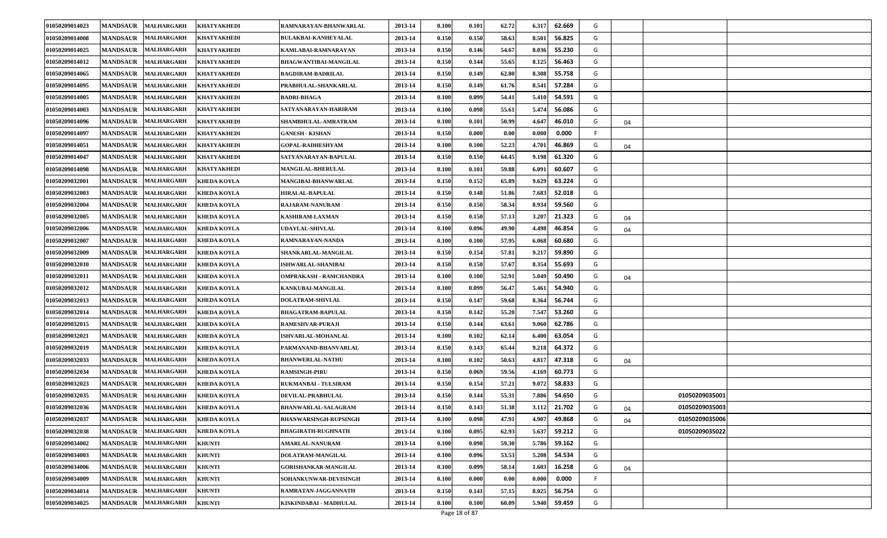| 01050209014023 | <b>MANDSAUR</b> | <b>MALHARGARH</b> | <b>KHATYAKHEDI</b> | RAMNARAYAN-BHANWARLAL         | 2013-14 | 0.100 | 0.101           | 62.72 | 6.317<br>62.669 | G  |    |                |  |
|----------------|-----------------|-------------------|--------------------|-------------------------------|---------|-------|-----------------|-------|-----------------|----|----|----------------|--|
| 01050209014008 | <b>MANDSAUR</b> | <b>MALHARGARH</b> | <b>KHATYAKHEDI</b> | <b>BULAKBAI-KANHEYALAL</b>    | 2013-14 | 0.150 | 0.150           | 58.63 | 8.501<br>56.825 | G  |    |                |  |
| 01050209014025 | <b>MANDSAUR</b> | <b>MALHARGARH</b> | <b>KHATYAKHEDI</b> | KAMLABAI-RAMNARAYAN           | 2013-14 | 0.150 | 0.146           | 54.67 | 8.036<br>55.230 | G  |    |                |  |
| 01050209014012 | <b>MANDSAUR</b> | <b>MALHARGARH</b> | <b>KHATYAKHEDI</b> | <b>BHAGWANTIBAI-MANGILAL</b>  | 2013-14 | 0.150 | 0.144           | 55.65 | 8.125<br>56.463 | G  |    |                |  |
| 01050209014065 | <b>MANDSAUR</b> | <b>MALHARGARH</b> | <b>KHATYAKHEDI</b> | <b>BAGDIRAM-BADRILAL</b>      | 2013-14 | 0.150 | 0.149           | 62.80 | 8.308<br>55.758 | G  |    |                |  |
| 01050209014095 | <b>MANDSAUR</b> | <b>MALHARGARH</b> | <b>KHATYAKHEDI</b> | PRABHULAL-SHANKARLAL          | 2013-14 | 0.150 | 0.149           | 61.76 | 8.541<br>57.284 | G  |    |                |  |
| 01050209014005 | <b>MANDSAUR</b> | <b>MALHARGARH</b> | <b>KHATYAKHEDI</b> | <b>BADRI-BHAGA</b>            | 2013-14 | 0.100 | 0.099           | 54.41 | 54.591<br>5.410 | G  |    |                |  |
| 01050209014003 | <b>MANDSAUR</b> | <b>MALHARGARH</b> | KHATYAKHEDI        | SATYANARAYAN-HARIRAM          | 2013-14 | 0.100 | 0.098           | 55.61 | 5.474<br>56.086 | G  |    |                |  |
| 01050209014096 | <b>MANDSAUR</b> | <b>MALHARGARH</b> | <b>KHATYAKHEDI</b> | SHAMBHULAL-AMRATRAM           | 2013-14 | 0.100 | 0.101           | 50.99 | 4.647<br>46.010 | G  | 04 |                |  |
| 01050209014097 | <b>MANDSAUR</b> | <b>MALHARGARH</b> | <b>KHATYAKHEDI</b> | <b>GANESH - KISHAN</b>        | 2013-14 | 0.150 | 0.000           | 0.00  | 0.000<br>0.000  | -F |    |                |  |
| 01050209014051 | <b>MANDSAUR</b> | <b>MALHARGARH</b> | <b>KHATYAKHEDI</b> | <b>GOPAL-RADHESHYAM</b>       | 2013-14 | 0.100 | 0.100           | 52.23 | 46.869<br>4.701 | G  | 04 |                |  |
| 01050209014047 | <b>MANDSAUR</b> | <b>MALHARGARH</b> | KHATYAKHEDI        | SATYANARAYAN-BAPULAL          | 2013-14 | 0.150 | 0.150           | 64.45 | 9.198<br>61.320 | G  |    |                |  |
| 01050209014098 | <b>MANDSAUR</b> | <b>MALHARGARH</b> | <b>KHATYAKHEDI</b> | MANGILAL-BHERULAL             | 2013-14 | 0.100 | 0.101           | 59.88 | 6.091<br>60.607 | G  |    |                |  |
| 01050209032001 | <b>MANDSAUR</b> | <b>MALHARGARH</b> | <b>KHEDA KOYLA</b> | MANGIBAI-BHANWARLAL           | 2013-14 | 0.150 | 0.152           | 65.89 | 9.629<br>63.224 | G  |    |                |  |
| 01050209032003 | <b>MANDSAUR</b> | <b>MALHARGARH</b> | <b>KHEDA KOYLA</b> | <b>HIRALAL-BAPULAL</b>        | 2013-14 | 0.150 | 0.148           | 51.86 | 7.683<br>52.018 | G  |    |                |  |
| 01050209032004 | <b>MANDSAUR</b> | <b>MALHARGARH</b> | <b>KHEDA KOYLA</b> | RAJARAM-NANURAM               | 2013-14 | 0.150 | 0.150           | 58.34 | 59.560<br>8.934 | G  |    |                |  |
| 01050209032005 | <b>MANDSAUR</b> | <b>MALHARGARH</b> | <b>KHEDA KOYLA</b> | <b>KASHIRAM-LAXMAN</b>        | 2013-14 | 0.150 | 0.150           | 57.13 | 3.207<br>21.323 | G  | 04 |                |  |
| 01050209032006 | <b>MANDSAUR</b> | <b>MALHARGARH</b> | <b>KHEDA KOYLA</b> | <b>UDAYLAL-SHIVLAL</b>        | 2013-14 | 0.100 | 0.096           | 49.90 | 4.498<br>46.854 | G  | 04 |                |  |
| 01050209032007 | <b>MANDSAUR</b> | <b>MALHARGARH</b> | <b>KHEDA KOYLA</b> | RAMNARAYAN-NANDA              | 2013-14 | 0.100 | 0.100           | 57.95 | 60.680<br>6.068 | G  |    |                |  |
| 01050209032009 | <b>MANDSAUR</b> | <b>MALHARGARH</b> | <b>KHEDA KOYLA</b> | SHANKARLAL-MANGILAL           | 2013-14 | 0.150 | 0.154           | 57.81 | 59.890<br>9.217 | G  |    |                |  |
| 01050209032010 | <b>MANDSAUR</b> | <b>MALHARGARH</b> | <b>KHEDA KOYLA</b> | <b>ISHWARLAL-SHANIBAI</b>     | 2013-14 | 0.150 | 0.150           | 57.67 | 8.354<br>55.693 | G  |    |                |  |
| 01050209032011 | <b>MANDSAUR</b> | <b>MALHARGARH</b> | <b>KHEDA KOYLA</b> | <b>OMPRAKASH - RAMCHANDRA</b> | 2013-14 | 0.100 | 0.100           | 52.91 | 5.049<br>50.490 | G  | 04 |                |  |
| 01050209032012 | <b>MANDSAUR</b> | <b>MALHARGARH</b> | <b>KHEDA KOYLA</b> | KANKUBAI-MANGILAL             | 2013-14 | 0.100 | 0.099           | 56.47 | 5.461<br>54.940 | G  |    |                |  |
| 01050209032013 | <b>MANDSAUR</b> | <b>MALHARGARH</b> | <b>KHEDA KOYLA</b> | <b>DOLATRAM-SHIVLAL</b>       | 2013-14 | 0.150 | 0.147           | 59.68 | 8.364<br>56.744 | G  |    |                |  |
| 01050209032014 | <b>MANDSAUR</b> | <b>MALHARGARH</b> | <b>KHEDA KOYLA</b> | <b>BHAGATRAM-BAPULAL</b>      | 2013-14 | 0.150 | 0.142           | 55.20 | 7.547<br>53.260 | G  |    |                |  |
| 01050209032015 | <b>MANDSAUR</b> | <b>MALHARGARH</b> | <b>KHEDA KOYLA</b> | <b>RAMESHVAR-PURAJI</b>       | 2013-14 | 0.150 | 0.144           | 63.61 | 62.786<br>9.060 | G  |    |                |  |
| 01050209032021 | <b>MANDSAUR</b> | <b>MALHARGARH</b> | <b>KHEDA KOYLA</b> | <b>ISHVARLAL-MOHANLAL</b>     | 2013-14 | 0.100 | 0.102           | 62.14 | 6.400<br>63.054 | G  |    |                |  |
| 01050209032019 | <b>MANDSAUR</b> | <b>MALHARGARH</b> | <b>KHEDA KOYLA</b> | PARMANAND-BHANVARLAL          | 2013-14 | 0.150 | 0.143           | 65.44 | 9.218<br>64.372 | G  |    |                |  |
| 01050209032033 | <b>MANDSAUR</b> | <b>MALHARGARH</b> | <b>KHEDA KOYLA</b> | <b>BHANWERLAL-NATHU</b>       | 2013-14 | 0.100 | 0.102           | 50.63 | 4.817<br>47.318 | G  | 04 |                |  |
| 01050209032034 | <b>MANDSAUR</b> | <b>MALHARGARH</b> | <b>KHEDA KOYLA</b> | <b>RAMSINGH-PIRU</b>          | 2013-14 | 0.150 | 0.069           | 59.56 | 60.773<br>4.169 | G  |    |                |  |
| 01050209032023 | <b>MANDSAUR</b> | <b>MALHARGARH</b> | KHEDA KOYLA        | <b>RUKMANBAI - TULSIRAM</b>   | 2013-14 | 0.150 | 0.154           | 57.21 | 9.072<br>58.833 | G  |    |                |  |
| 01050209032035 | <b>MANDSAUR</b> | <b>MALHARGARH</b> | <b>KHEDA KOYLA</b> | DEVILAL-PRABHULAL             | 2013-14 | 0.150 | 0.144           | 55.31 | 7.886<br>54.650 | G  |    | 01050209035001 |  |
| 01050209032036 | <b>MANDSAUR</b> | <b>MALHARGARH</b> | <b>KHEDA KOYLA</b> | BHANWARLAL-SALAGRAM           | 2013-14 | 0.150 | 0.143           | 51.38 | 3.112<br>21.702 | G  | 04 | 01050209035003 |  |
| 01050209032037 | <b>MANDSAUR</b> | <b>MALHARGARH</b> | <b>KHEDA KOYLA</b> | <b>BHANWARSINGH-RUPSINGH</b>  | 2013-14 | 0.100 | 0.098           | 47.91 | 4.907<br>49.868 | G  | 04 | 01050209035006 |  |
| 01050209032038 | <b>MANDSAUR</b> | <b>MALHARGARH</b> | KHEDA KOYLA        | <b>BHAGIRATH-RUGHNATH</b>     | 2013-14 | 0.100 | 0.095           | 62.93 | 5.637<br>59.212 | G  |    | 01050209035022 |  |
| 01050209034002 | <b>MANDSAUR</b> | <b>MALHARGARH</b> | <b>KHUNTI</b>      | <b>AMARLAL-NANURAM</b>        | 2013-14 | 0.100 | 0.098           | 59.30 | 5.786<br>59.162 | G  |    |                |  |
| 01050209034003 | <b>MANDSAUR</b> | <b>MALHARGARH</b> | <b>KHUNTI</b>      | DOLATRAM-MANGILAL             | 2013-14 | 0.100 | 0.096           | 53.53 | 5.208<br>54.534 | G  |    |                |  |
| 01050209034006 | <b>MANDSAUR</b> | <b>MALHARGARH</b> | <b>KHUNTI</b>      | GORISHANKAR-MANGILAL          | 2013-14 | 0.100 | 0.099           | 58.14 | 1.603<br>16.258 | G  | 04 |                |  |
| 01050209034009 | <b>MANDSAUR</b> | <b>MALHARGARH</b> | <b>KHUNTI</b>      | <b>SOHANKUNWAR-DEVISINGH</b>  | 2013-14 | 0.100 | 0.000           | 0.00  | 0.000<br>0.000  | -F |    |                |  |
| 01050209034014 | <b>MANDSAUR</b> | <b>MALHARGARH</b> | <b>KHUNTI</b>      | RAMRATAN-JAGGANNATH           | 2013-14 | 0.150 | 0.141           | 57.15 | 8.025<br>56.754 | G  |    |                |  |
| 01050209034025 | <b>MANDSAUR</b> | <b>MALHARGARH</b> | <b>KHUNTI</b>      | KISKINDABAI - MADHULAL        | 2013-14 | 0.100 | 0.100<br>$\sim$ | 60.09 | 5.940<br>59.459 | G  |    |                |  |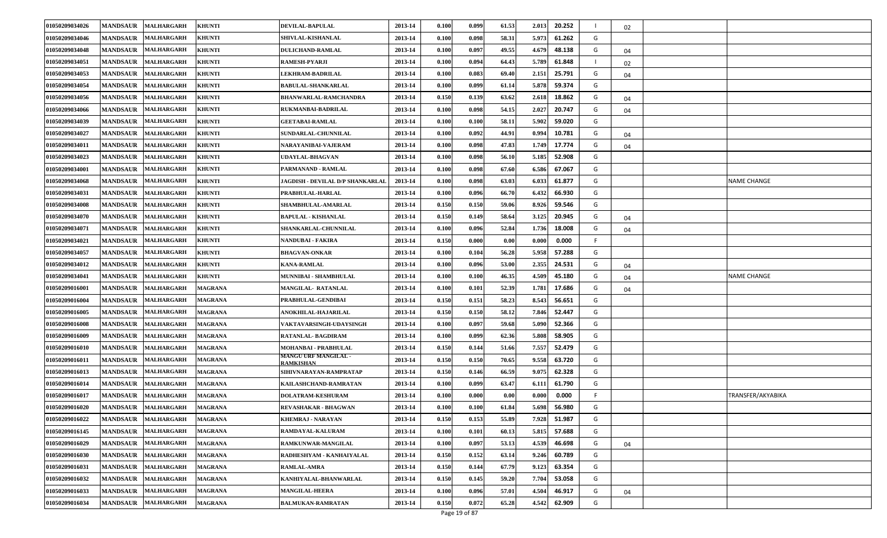| 01050209034026 | <b>MANDSAUR</b> | <b>MALHARGARH</b>   | <b>KHUNTI</b>  | <b>DEVILAL-BAPULAL</b>                   | 2013-14 | 0.100 | 0.099                   | 61.53 | 20.252<br>2.013 |   | 02 |                    |
|----------------|-----------------|---------------------|----------------|------------------------------------------|---------|-------|-------------------------|-------|-----------------|---|----|--------------------|
| 01050209034046 | <b>MANDSAUR</b> | <b>MALHARGARH</b>   | <b>KHUNTI</b>  | <b>SHIVLAL-KISHANLAL</b>                 | 2013-14 | 0.100 | 0.098                   | 58.31 | 5.973<br>61.262 | G |    |                    |
| 01050209034048 | <b>MANDSAUR</b> | <b>MALHARGARH</b>   | <b>KHUNTI</b>  | <b>DULICHAND-RAMLAL</b>                  | 2013-14 | 0.100 | 0.097                   | 49.55 | 4.679<br>48.138 | G | 04 |                    |
| 01050209034051 | <b>MANDSAUR</b> | MALHARGARH          | <b>KHUNTI</b>  | <b>RAMESH-PYARJI</b>                     | 2013-14 | 0.100 | 0.094                   | 64.43 | 61.848<br>5.789 |   | 02 |                    |
| 01050209034053 | <b>MANDSAUR</b> | <b>MALHARGARH</b>   | <b>KHUNTI</b>  | LEKHRAM-BADRILAL                         | 2013-14 | 0.100 | 0.083                   | 69.40 | 25.791<br>2.151 | G | 04 |                    |
| 01050209034054 | <b>MANDSAUR</b> | <b>MALHARGARH</b>   | <b>KHUNTI</b>  | <b>BABULAL-SHANKARLAL</b>                | 2013-14 | 0.100 | 0.099                   | 61.14 | 5.878<br>59.374 | G |    |                    |
| 01050209034056 | <b>MANDSAUR</b> | <b>MALHARGARH</b>   | <b>KHUNTI</b>  | <b>BHANWARLAL-RAMCHANDRA</b>             | 2013-14 | 0.150 | 0.139                   | 63.62 | 2.618<br>18.862 | G | 04 |                    |
| 01050209034066 | <b>MANDSAUR</b> | <b>MALHARGARH</b>   | <b>KHUNTI</b>  | RUKMANBAI-BADRILAL                       | 2013-14 | 0.100 | 0.098                   | 54.15 | 20.747<br>2.027 | G | 04 |                    |
| 01050209034039 | <b>MANDSAUR</b> | <b>MALHARGARH</b>   | <b>KHUNTI</b>  | <b>GEETABAI-RAMLAL</b>                   | 2013-14 | 0.100 | 0.100                   | 58.11 | 5.902<br>59.020 | G |    |                    |
| 01050209034027 | <b>MANDSAUR</b> | <b>MALHARGARH</b>   | <b>KHUNTI</b>  | SUNDARLAL-CHUNNILAL                      | 2013-14 | 0.100 | 0.092                   | 44.91 | 0.994<br>10.781 | G | 04 |                    |
| 01050209034011 | <b>MANDSAUR</b> | <b>MALHARGARH</b>   | <b>KHUNTI</b>  | NARAYANIBAI-VAJERAM                      | 2013-14 | 0.100 | 0.098                   | 47.83 | 17.774<br>1.749 | G | 04 |                    |
| 01050209034023 | <b>MANDSAUR</b> | <b>MALHARGARH</b>   | <b>KHUNTI</b>  | UDAYLAL-BHAGVAN                          | 2013-14 | 0.100 | 0.098                   | 56.10 | 5.185<br>52.908 | G |    |                    |
| 01050209034001 | <b>MANDSAUR</b> | <b>MALHARGARH</b>   | <b>KHUNTI</b>  | PARMANAND - RAMLAL                       | 2013-14 | 0.100 | 0.098                   | 67.60 | 6.586<br>67.067 | G |    |                    |
| 01050209034068 | <b>MANDSAUR</b> | <b>MALHARGARH</b>   | <b>KHUNTI</b>  | JAGDISH - DEVILAL D/P SHANKARLAI         | 2013-14 | 0.100 | 0.098                   | 63.03 | 6.033<br>61.877 | G |    | <b>NAME CHANGE</b> |
| 01050209034031 | <b>MANDSAUR</b> | <b>MALHARGARH</b>   | <b>KHUNTI</b>  | PRABHULAL-HARLAL                         | 2013-14 | 0.100 | 0.096                   | 66.70 | 6.432<br>66.930 | G |    |                    |
| 01050209034008 | <b>MANDSAUR</b> | <b>MALHARGARH</b>   | <b>KHUNTI</b>  | SHAMBHULAL-AMARLAL                       | 2013-14 | 0.150 | 0.150                   | 59.06 | 8.926<br>59.546 | G |    |                    |
| 01050209034070 | <b>MANDSAUR</b> | <b>MALHARGARH</b>   | <b>KHUNTI</b>  | <b>BAPULAL - KISHANLAL</b>               | 2013-14 | 0.150 | 0.149                   | 58.64 | 3.125<br>20.945 | G | 04 |                    |
| 01050209034071 | <b>MANDSAUR</b> | <b>MALHARGARH</b>   | <b>KHUNTI</b>  | SHANKARLAL-CHUNNILAL                     | 2013-14 | 0.100 | 0.096                   | 52.84 | 1.736<br>18.008 | G | 04 |                    |
| 01050209034021 | <b>MANDSAUR</b> | <b>MALHARGARH</b>   | <b>KHUNTI</b>  | NANDUBAI - FAKIRA                        | 2013-14 | 0.150 | 0.000                   | 0.00  | 0.000<br>0.000  |   |    |                    |
| 01050209034057 | <b>MANDSAUR</b> | <b>MALHARGARH</b>   | <b>KHUNTI</b>  | <b>BHAGVAN-ONKAR</b>                     | 2013-14 | 0.100 | 0.104                   | 56.28 | 5.958<br>57.288 | G |    |                    |
| 01050209034012 | <b>MANDSAUR</b> | <b>MALHARGARH</b>   | <b>KHUNTI</b>  | <b>KANA-RAMLAL</b>                       | 2013-14 | 0.100 | 0.096                   | 53.00 | 2.355<br>24.531 | G | 04 |                    |
| 01050209034041 | <b>MANDSAUR</b> | <b>MALHARGARH</b>   | <b>KHUNTI</b>  | MUNNIBAI - SHAMBHULAL                    | 2013-14 | 0.100 | 0.100                   | 46.35 | 4.509<br>45.180 | G | 04 | <b>NAME CHANGE</b> |
| 01050209016001 | <b>MANDSAUR</b> | <b>MALHARGARH</b>   | <b>MAGRANA</b> | <b>MANGILAL- RATANLAL</b>                | 2013-14 | 0.100 | 0.101                   | 52.39 | 17.686<br>1.781 | G | 04 |                    |
| 01050209016004 | <b>MANDSAUR</b> | <b>MALHARGARH</b>   | <b>MAGRANA</b> | PRABHULAL-GENDIBAI                       | 2013-14 | 0.150 | 0.151                   | 58.23 | 8.543<br>56.651 | G |    |                    |
| 01050209016005 | <b>MANDSAUR</b> | <b>MALHARGARH</b>   | <b>MAGRANA</b> | ANOKHILAL-HAJARILAL                      | 2013-14 | 0.150 | 0.150                   | 58.12 | 7.846<br>52.447 | G |    |                    |
| 01050209016008 | <b>MANDSAUR</b> | <b>MALHARGARH</b>   | <b>MAGRANA</b> | VAKTAVARSINGH-UDAYSINGH                  | 2013-14 | 0.100 | 0.097                   | 59.68 | 52.366<br>5.090 | G |    |                    |
| 01050209016009 | <b>MANDSAUR</b> | <b>MALHARGARH</b>   | <b>MAGRANA</b> | RATANLAL-BAGDIRAM                        | 2013-14 | 0.100 | 0.099                   | 62.36 | 5.808<br>58.905 | G |    |                    |
| 01050209016010 | <b>MANDSAUR</b> | <b>MALHARGARH</b>   | <b>MAGRANA</b> | <b>MOHANBAI - PRABHULAL</b>              | 2013-14 | 0.150 | 0.144                   | 51.66 | 7.557<br>52.479 | G |    |                    |
| 01050209016011 | <b>MANDSAUR</b> | <b>MALHARGARH</b>   | <b>MAGRANA</b> | <b>MANGU URF MANGILAL -</b><br>RAMKISHAN | 2013-14 | 0.150 | 0.150                   | 70.65 | 9.558<br>63.720 | G |    |                    |
| 01050209016013 | <b>MANDSAUR</b> | <b>MALHARGARH</b>   | <b>MAGRANA</b> | SIHIVNARAYAN-RAMPRATAP                   | 2013-14 | 0.150 | 0.146                   | 66.59 | 9.075<br>62.328 | G |    |                    |
| 01050209016014 | <b>MANDSAUR</b> | MALHARGARH          | <b>MAGRANA</b> | KAILASHCHAND-RAMRATAN                    | 2013-14 | 0.100 | 0.099                   | 63.47 | 61.790<br>6.111 | G |    |                    |
| 01050209016017 | <b>MANDSAUR</b> | <b>MALHARGARH</b>   | <b>MAGRANA</b> | DOLATRAM-KESHURAM                        | 2013-14 | 0.100 | 0.000                   | 0.00  | 0.000<br>0.000  |   |    | TRANSFER/AKYABIKA  |
| 01050209016020 | <b>MANDSAUR</b> | <b>MALHARGARH</b>   | <b>MAGRANA</b> | REVASHAKAR - BHAGWAN                     | 2013-14 | 0.100 | 0.100                   | 61.84 | 56.980<br>5.698 | G |    |                    |
| 01050209016022 |                 | MANDSAUR MALHARGARH | <b>MAGRANA</b> | <b>KHEMRAJ - NARAYAN</b>                 | 2013-14 | 0.150 | 0.153                   | 55.89 | 51.987<br>7.928 | G |    |                    |
| 01050209016145 | <b>MANDSAUR</b> | <b>MALHARGARH</b>   | <b>MAGRANA</b> | RAMDAYAL-KALURAM                         | 2013-14 | 0.100 | 0.101                   | 60.13 | 57.688<br>5.815 | G |    |                    |
| 01050209016029 | <b>MANDSAUR</b> | <b>MALHARGARH</b>   | <b>MAGRANA</b> | RAMKUNWAR-MANGILAL                       | 2013-14 | 0.100 | 0.097                   | 53.13 | 4.539<br>46.698 | G | 04 |                    |
| 01050209016030 | <b>MANDSAUR</b> | <b>MALHARGARH</b>   | <b>MAGRANA</b> | RADHESHYAM - KANHAIYALAL                 | 2013-14 | 0.150 | 0.152                   | 63.14 | 9.246<br>60.789 | G |    |                    |
| 01050209016031 | <b>MANDSAUR</b> | <b>MALHARGARH</b>   | <b>MAGRANA</b> | <b>RAMLAL-AMRA</b>                       | 2013-14 | 0.150 | 0.144                   | 67.79 | 9.123<br>63.354 | G |    |                    |
| 01050209016032 | <b>MANDSAUR</b> | <b>MALHARGARH</b>   | <b>MAGRANA</b> | KANHIYALAL-BHANWARLAL                    | 2013-14 | 0.150 | 0.145                   | 59.20 | 7.704<br>53.058 | G |    |                    |
| 01050209016033 | <b>MANDSAUR</b> | <b>MALHARGARH</b>   | <b>MAGRANA</b> | <b>MANGILAL-HEERA</b>                    | 2013-14 | 0.100 | 0.096                   | 57.01 | 4.504<br>46.917 | G | 04 |                    |
| 01050209016034 | <b>MANDSAUR</b> | <b>MALHARGARH</b>   | <b>MAGRANA</b> | <b>BALMUKAN-RAMRATAN</b>                 | 2013-14 | 0.150 | 0.072<br>$D = 40 - 507$ | 65.28 | 4.542<br>62.909 | G |    |                    |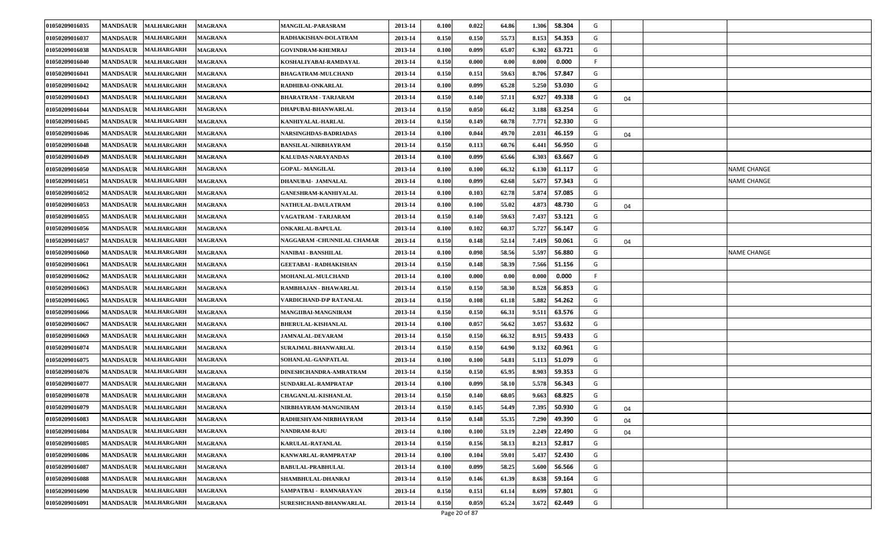| 01050209016035 | <b>MANDSAUR</b> | <b>MALHARGARH</b>   | <b>MAGRANA</b> | <b>MANGILAL-PARASRAM</b>      | 2013-14 | 0.100 | 0.022                  | 64.86 | 1.306<br>58.304 | G |    |                    |
|----------------|-----------------|---------------------|----------------|-------------------------------|---------|-------|------------------------|-------|-----------------|---|----|--------------------|
| 01050209016037 | <b>MANDSAUR</b> | <b>MALHARGARH</b>   | <b>MAGRANA</b> | RADHAKISHAN-DOLATRAM          | 2013-14 | 0.150 | 0.150                  | 55.73 | 8.153<br>54.353 | G |    |                    |
| 01050209016038 | <b>MANDSAUR</b> | <b>MALHARGARH</b>   | <b>MAGRANA</b> | <b>GOVINDRAM-KHEMRAJ</b>      | 2013-14 | 0.100 | 0.099                  | 65.07 | 63.721<br>6.302 | G |    |                    |
| 01050209016040 | <b>MANDSAUR</b> | <b>MALHARGARH</b>   | <b>MAGRANA</b> | KOSHALIYABAI-RAMDAYAL         | 2013-14 | 0.150 | 0.000                  | 0.00  | 0.000<br>0.000  |   |    |                    |
| 01050209016041 | <b>MANDSAUR</b> | <b>MALHARGARH</b>   | <b>MAGRANA</b> | <b>BHAGATRAM-MULCHAND</b>     | 2013-14 | 0.150 | 0.151                  | 59.63 | 8.706<br>57.847 | G |    |                    |
| 01050209016042 | <b>MANDSAUR</b> | <b>MALHARGARH</b>   | <b>MAGRANA</b> | RADHIBAI-ONKARLAL             | 2013-14 | 0.100 | 0.099                  | 65.28 | 5.250<br>53.030 | G |    |                    |
| 01050209016043 | <b>MANDSAUR</b> | <b>MALHARGARH</b>   | <b>MAGRANA</b> | <b>BHARATRAM - TARJARAM</b>   | 2013-14 | 0.150 | 0.140                  | 57.11 | 6.927<br>49.338 | G | 04 |                    |
| 01050209016044 | <b>MANDSAUR</b> | <b>MALHARGARH</b>   | <b>MAGRANA</b> | DHAPUBAI-BHANWARLAL           | 2013-14 | 0.150 | 0.050                  | 66.42 | 63.254<br>3.188 | G |    |                    |
| 01050209016045 | <b>MANDSAUR</b> | <b>MALHARGARH</b>   | <b>MAGRANA</b> | KANHIYALAL-HARLAL             | 2013-14 | 0.150 | 0.149                  | 60.78 | 7.771<br>52.330 | G |    |                    |
| 01050209016046 | <b>MANDSAUR</b> | <b>MALHARGARH</b>   | <b>MAGRANA</b> | NARSINGHDAS-BADRIADAS         | 2013-14 | 0.100 | 0.044                  | 49.70 | 2.031<br>46.159 | G | 04 |                    |
| 01050209016048 | <b>MANDSAUR</b> | <b>MALHARGARH</b>   | <b>MAGRANA</b> | <b>BANSILAL-NIRBHAYRAM</b>    | 2013-14 | 0.150 | 0.113                  | 60.76 | 6.441<br>56.950 | G |    |                    |
| 01050209016049 | <b>MANDSAUR</b> | <b>MALHARGARH</b>   | <b>MAGRANA</b> | KALUDAS-NARAYANDAS            | 2013-14 | 0.100 | 0.099                  | 65.66 | 63.667<br>6.303 | G |    |                    |
| 01050209016050 | <b>MANDSAUR</b> | <b>MALHARGARH</b>   | <b>MAGRANA</b> | <b>GOPAL-MANGILAL</b>         | 2013-14 | 0.100 | 0.100                  | 66.32 | 6.130<br>61.117 | G |    | NAME CHANGE        |
| 01050209016051 | <b>MANDSAUR</b> | <b>MALHARGARH</b>   | <b>MAGRANA</b> | DHANUBAI- JAMNALAL            | 2013-14 | 0.100 | 0.099                  | 62.68 | 5.677<br>57.343 | G |    | <b>NAME CHANGE</b> |
| 01050209016052 | <b>MANDSAUR</b> | <b>MALHARGARH</b>   | <b>MAGRANA</b> | <b>GANESHRAM-KANHIYALAL</b>   | 2013-14 | 0.100 | 0.103                  | 62.78 | 5.874<br>57.085 | G |    |                    |
| 01050209016053 | <b>MANDSAUR</b> | <b>MALHARGARH</b>   | <b>MAGRANA</b> | <b>NATHULAL-DAULATRAM</b>     | 2013-14 | 0.100 | 0.100                  | 55.02 | 4.873<br>48.730 | G | 04 |                    |
| 01050209016055 | <b>MANDSAUR</b> | <b>MALHARGARH</b>   | <b>MAGRANA</b> | VAGATRAM - TARJARAM           | 2013-14 | 0.150 | 0.140                  | 59.63 | 7.437<br>53.121 | G |    |                    |
| 01050209016056 | <b>MANDSAUR</b> | <b>MALHARGARH</b>   | <b>MAGRANA</b> | ONKARLAL-BAPULAL              | 2013-14 | 0.100 | 0.102                  | 60.37 | 5.727<br>56.147 | G |    |                    |
| 01050209016057 | <b>MANDSAUR</b> | <b>MALHARGARH</b>   | <b>MAGRANA</b> | NAGGARAM -CHUNNILAL CHAMAR    | 2013-14 | 0.150 | 0.148                  | 52.14 | 7.419<br>50.061 | G | 04 |                    |
| 01050209016060 | <b>MANDSAUR</b> | <b>MALHARGARH</b>   | <b>MAGRANA</b> | NANIBAI - BANSHILAL           | 2013-14 | 0.100 | 0.098                  | 58.56 | 5.597<br>56.880 | G |    | <b>NAME CHANGE</b> |
| 01050209016061 | <b>MANDSAUR</b> | <b>MALHARGARH</b>   | <b>MAGRANA</b> | <b>GEETABAI - RADHAKISHAN</b> | 2013-14 | 0.150 | 0.148                  | 58.39 | 7.566<br>51.156 | G |    |                    |
| 01050209016062 | <b>MANDSAUR</b> | <b>MALHARGARH</b>   | <b>MAGRANA</b> | MOHANLAL-MULCHAND             | 2013-14 | 0.100 | 0.000                  | 0.00  | 0.000<br>0.000  |   |    |                    |
| 01050209016063 | <b>MANDSAUR</b> | <b>MALHARGARH</b>   | <b>MAGRANA</b> | RAMBHAJAN - BHAWARLAL         | 2013-14 | 0.150 | 0.150                  | 58.30 | 8.528<br>56.853 | G |    |                    |
| 01050209016065 | <b>MANDSAUR</b> | <b>MALHARGARH</b>   | <b>MAGRANA</b> | VARDICHAND-D\P RATANLAL       | 2013-14 | 0.150 | 0.108                  | 61.18 | 5.882<br>54.262 | G |    |                    |
| 01050209016066 | <b>MANDSAUR</b> | <b>MALHARGARH</b>   | <b>MAGRANA</b> | <b>MANGIIBAI-MANGNIRAM</b>    | 2013-14 | 0.150 | 0.150                  | 66.31 | 63.576<br>9.511 | G |    |                    |
| 01050209016067 | <b>MANDSAUR</b> | <b>MALHARGARH</b>   | <b>MAGRANA</b> | <b>BHERULAL-KISHANLAL</b>     | 2013-14 | 0.100 | 0.057                  | 56.62 | 53.632<br>3.057 | G |    |                    |
| 01050209016069 | <b>MANDSAUR</b> | <b>MALHARGARH</b>   | <b>MAGRANA</b> | <b>JAMNALAL-DEVARAM</b>       | 2013-14 | 0.150 | 0.150                  | 66.32 | 8.915<br>59.433 | G |    |                    |
| 01050209016074 | <b>MANDSAUR</b> | <b>MALHARGARH</b>   | <b>MAGRANA</b> | <b>SURAJMAL-BHANWARLAL</b>    | 2013-14 | 0.150 | 0.150                  | 64.90 | 60.961<br>9.132 | G |    |                    |
| 01050209016075 | <b>MANDSAUR</b> | <b>MALHARGARH</b>   | <b>MAGRANA</b> | <b>SOHANLAL-GANPATLAL</b>     | 2013-14 | 0.100 | 0.100                  | 54.81 | 5.113<br>51.079 | G |    |                    |
| 01050209016076 | <b>MANDSAUR</b> | <b>MALHARGARH</b>   | <b>MAGRANA</b> | DINESHCHANDRA-AMRATRAM        | 2013-14 | 0.150 | 0.150                  | 65.95 | 8.903<br>59.353 | G |    |                    |
| 01050209016077 | <b>MANDSAUR</b> | <b>MALHARGARH</b>   | <b>MAGRANA</b> | SUNDARLAL-RAMPRATAP           | 2013-14 | 0.100 | 0.099                  | 58.10 | 5.578<br>56.343 | G |    |                    |
| 01050209016078 | <b>MANDSAUR</b> | <b>MALHARGARH</b>   | <b>MAGRANA</b> | <b>CHAGANLAL-KISHANLAL</b>    | 2013-14 | 0.150 | 0.140                  | 68.05 | 68.825<br>9.663 | G |    |                    |
| 01050209016079 | <b>MANDSAUR</b> | <b>MALHARGARH</b>   | <b>MAGRANA</b> | NIRBHAYRAM-MANGNIRAM          | 2013-14 | 0.150 | 0.145                  | 54.49 | 50.930<br>7.395 | G | 04 |                    |
| 01050209016083 |                 | MANDSAUR MALHARGARH | <b>MAGRANA</b> | RADHESHYAM-NIRBHAYRAM         | 2013-14 | 0.150 | 0.148                  | 55.35 | 49.390<br>7.290 | G | 04 |                    |
| 01050209016084 | <b>MANDSAUR</b> | <b>MALHARGARH</b>   | <b>MAGRANA</b> | <b>NANDRAM-RAJU</b>           | 2013-14 | 0.100 | 0.100                  | 53.19 | 2.249<br>22.490 | G | 04 |                    |
| 01050209016085 | <b>MANDSAUR</b> | <b>MALHARGARH</b>   | <b>MAGRANA</b> | KARULAL-RATANLAL              | 2013-14 | 0.150 | 0.156                  | 58.13 | 8.213<br>52.817 | G |    |                    |
| 01050209016086 | <b>MANDSAUR</b> | <b>MALHARGARH</b>   | <b>MAGRANA</b> | KANWARLAL-RAMPRATAP           | 2013-14 | 0.100 | 0.104                  | 59.01 | 5.437<br>52.430 | G |    |                    |
| 01050209016087 | <b>MANDSAUR</b> | <b>MALHARGARH</b>   | <b>MAGRANA</b> | <b>BABULAL-PRABHULAL</b>      | 2013-14 | 0.100 | 0.099                  | 58.25 | 56.566<br>5.600 | G |    |                    |
| 01050209016088 | <b>MANDSAUR</b> | <b>MALHARGARH</b>   | <b>MAGRANA</b> | SHAMBHULAL-DHANRAJ            | 2013-14 | 0.150 | 0.146                  | 61.39 | 8.638<br>59.164 | G |    |                    |
| 01050209016090 | <b>MANDSAUR</b> | <b>MALHARGARH</b>   | <b>MAGRANA</b> | SAMPATBAI - RAMNARAYAN        | 2013-14 | 0.150 | 0.151                  | 61.14 | 8.699<br>57.801 | G |    |                    |
| 01050209016091 | <b>MANDSAUR</b> | <b>MALHARGARH</b>   | <b>MAGRANA</b> | SURESHCHAND-BHANWARLAL        | 2013-14 | 0.150 | 0.059<br>Dose 20 e 507 | 65.24 | 3.672<br>62.449 | G |    |                    |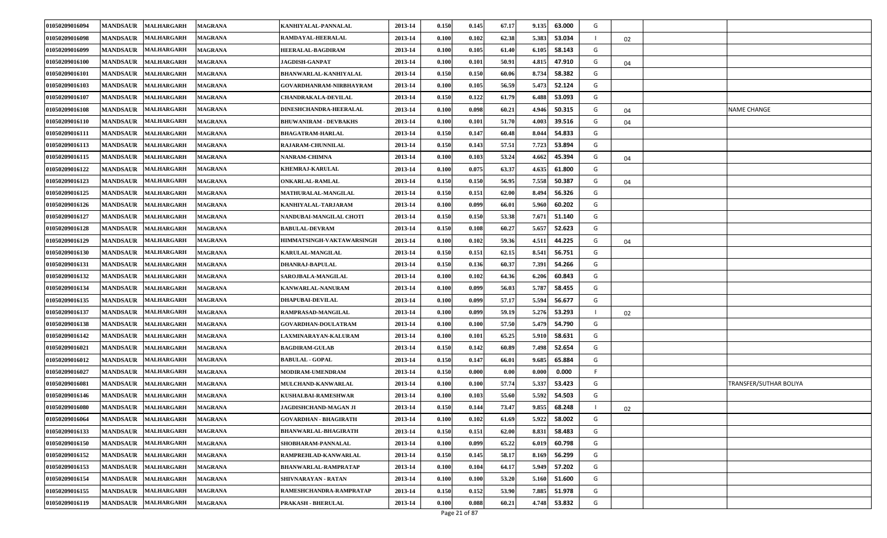| 01050209016094 | <b>MANDSAUR</b> | <b>MALHARGARH</b> | <b>MAGRANA</b> | KANHIYALAL-PANNALAL          | 2013-14 | 0.150 | 0.145 | 67.17 | 9.135 | 63.000 | G |    |                        |
|----------------|-----------------|-------------------|----------------|------------------------------|---------|-------|-------|-------|-------|--------|---|----|------------------------|
| 01050209016098 | <b>MANDSAUR</b> | <b>MALHARGARH</b> | <b>MAGRANA</b> | RAMDAYAL-HEERALAL            | 2013-14 | 0.100 | 0.102 | 62.38 | 5.383 | 53.034 |   | 02 |                        |
| 01050209016099 | <b>MANDSAUR</b> | <b>MALHARGARH</b> | <b>MAGRANA</b> | <b>HEERALAL-BAGDIRAM</b>     | 2013-14 | 0.100 | 0.105 | 61.40 | 6.105 | 58.143 | G |    |                        |
| 01050209016100 | <b>MANDSAUR</b> | <b>MALHARGARH</b> | <b>MAGRANA</b> | <b>JAGDISH-GANPAT</b>        | 2013-14 | 0.100 | 0.101 | 50.91 | 4.815 | 47.910 | G | 04 |                        |
| 01050209016101 | <b>MANDSAUR</b> | MALHARGARH        | <b>MAGRANA</b> | BHANWARLAL-KANHIYALAL        | 2013-14 | 0.150 | 0.150 | 60.06 | 8.734 | 58.382 | G |    |                        |
| 01050209016103 | <b>MANDSAUR</b> | <b>MALHARGARH</b> | <b>MAGRANA</b> | GOVARDHANRAM-NIRBHAYRAM      | 2013-14 | 0.100 | 0.105 | 56.59 | 5.473 | 52.124 | G |    |                        |
| 01050209016107 | <b>MANDSAUR</b> | <b>MALHARGARH</b> | <b>MAGRANA</b> | <b>CHANDRAKALA-DEVILAL</b>   | 2013-14 | 0.150 | 0.122 | 61.79 | 6.488 | 53.093 | G |    |                        |
| 01050209016108 | <b>MANDSAUR</b> | MALHARGARH        | MAGRANA        | DINESHCHANDRA-HEERALAL       | 2013-14 | 0.100 | 0.098 | 60.21 | 4.946 | 50.315 | G | 04 | <b>NAME CHANGE</b>     |
| 01050209016110 | <b>MANDSAUR</b> | <b>MALHARGARH</b> | <b>MAGRANA</b> | <b>BHUWANIRAM - DEVBAKHS</b> | 2013-14 | 0.100 | 0.101 | 51.70 | 4.00  | 39.516 | G | 04 |                        |
| 01050209016111 | <b>MANDSAUR</b> | <b>MALHARGARH</b> | <b>MAGRANA</b> | <b>BHAGATRAM-HARLAL</b>      | 2013-14 | 0.150 | 0.147 | 60.48 | 8.044 | 54.833 | G |    |                        |
| 01050209016113 | <b>MANDSAUR</b> | <b>MALHARGARH</b> | <b>MAGRANA</b> | RAJARAM-CHUNNILAL            | 2013-14 | 0.150 | 0.143 | 57.51 | 7.723 | 53.894 | G |    |                        |
| 01050209016115 | <b>MANDSAUR</b> | <b>MALHARGARH</b> | <b>MAGRANA</b> | NANRAM-CHIMNA                | 2013-14 | 0.100 | 0.103 | 53.24 | 4.662 | 45.394 | G | 04 |                        |
| 01050209016122 | <b>MANDSAUR</b> | <b>MALHARGARH</b> | <b>MAGRANA</b> | <b>KHEMRAJ-KARULAL</b>       | 2013-14 | 0.100 | 0.075 | 63.37 | 4.635 | 61.800 | G |    |                        |
| 01050209016123 | <b>MANDSAUR</b> | <b>MALHARGARH</b> | <b>MAGRANA</b> | <b>ONKARLAL-RAMLAL</b>       | 2013-14 | 0.150 | 0.150 | 56.95 | 7.558 | 50.387 | G | 04 |                        |
| 01050209016125 | <b>MANDSAUR</b> | <b>MALHARGARH</b> | <b>MAGRANA</b> | MATHURALAL-MANGILAL          | 2013-14 | 0.150 | 0.151 | 62.00 | 8.494 | 56.326 | G |    |                        |
| 01050209016126 | <b>MANDSAUR</b> | <b>MALHARGARH</b> | <b>MAGRANA</b> | KANHIYALAL-TARJARAM          | 2013-14 | 0.100 | 0.099 | 66.01 | 5.960 | 60.202 | G |    |                        |
| 01050209016127 | <b>MANDSAUR</b> | <b>MALHARGARH</b> | <b>MAGRANA</b> | NANDUBAI-MANGILAL CHOTI      | 2013-14 | 0.150 | 0.150 | 53.38 | 7.671 | 51.140 | G |    |                        |
| 01050209016128 | <b>MANDSAUR</b> | <b>MALHARGARH</b> | <b>MAGRANA</b> | <b>BABULAL-DEVRAM</b>        | 2013-14 | 0.150 | 0.108 | 60.27 | 5.657 | 52.623 | G |    |                        |
| 01050209016129 | <b>MANDSAUR</b> | MALHARGARH        | <b>MAGRANA</b> | HIMMATSINGH-VAKTAWARSINGH    | 2013-14 | 0.100 | 0.102 | 59.36 | 4.511 | 44.225 | G | 04 |                        |
| 01050209016130 | <b>MANDSAUR</b> | <b>MALHARGARH</b> | <b>MAGRANA</b> | <b>KARULAL-MANGILAL</b>      | 2013-14 | 0.150 | 0.151 | 62.15 | 8.541 | 56.751 | G |    |                        |
| 01050209016131 | <b>MANDSAUR</b> | <b>MALHARGARH</b> | <b>MAGRANA</b> | DHANRAJ-BAPULAL              | 2013-14 | 0.150 | 0.136 | 60.37 | 7.391 | 54.266 | G |    |                        |
| 01050209016132 | <b>MANDSAUR</b> | <b>MALHARGARH</b> | <b>MAGRANA</b> | SAROJBALA-MANGILAL           | 2013-14 | 0.100 | 0.102 | 64.36 | 6.206 | 60.843 | G |    |                        |
| 01050209016134 | <b>MANDSAUR</b> | <b>MALHARGARH</b> | MAGRANA        | KANWARLAL-NANURAM            | 2013-14 | 0.100 | 0.099 | 56.03 | 5.787 | 58.455 | G |    |                        |
| 01050209016135 | <b>MANDSAUR</b> | <b>MALHARGARH</b> | <b>MAGRANA</b> | <b>DHAPUBAI-DEVILAL</b>      | 2013-14 | 0.100 | 0.099 | 57.17 | 5.594 | 56.677 | G |    |                        |
| 01050209016137 | <b>MANDSAUR</b> | <b>MALHARGARH</b> | <b>MAGRANA</b> | RAMPRASAD-MANGILAL           | 2013-14 | 0.100 | 0.099 | 59.19 | 5.276 | 53.293 |   | 02 |                        |
| 01050209016138 | <b>MANDSAUR</b> | MALHARGARH        | <b>MAGRANA</b> | <b>GOVARDHAN-DOULATRAM</b>   | 2013-14 | 0.100 | 0.100 | 57.50 | 5.479 | 54.790 | G |    |                        |
| 01050209016142 | <b>MANDSAUR</b> | <b>MALHARGARH</b> | <b>MAGRANA</b> | LAXMINARAYAN-KALURAM         | 2013-14 | 0.100 | 0.101 | 65.25 | 5.91  | 58.631 | G |    |                        |
| 01050209016021 | <b>MANDSAUR</b> | <b>MALHARGARH</b> | <b>MAGRANA</b> | <b>BAGDIRAM-GULAB</b>        | 2013-14 | 0.150 | 0.142 | 60.89 | 7.498 | 52.654 | G |    |                        |
| 01050209016012 | <b>MANDSAUR</b> | <b>MALHARGARH</b> | <b>MAGRANA</b> | <b>BABULAL - GOPAL</b>       | 2013-14 | 0.150 | 0.147 | 66.01 | 9.685 | 65.884 | G |    |                        |
| 01050209016027 | <b>MANDSAUR</b> | <b>MALHARGARH</b> | <b>MAGRANA</b> | MODIRAM-UMENDRAM             | 2013-14 | 0.150 | 0.000 | 0.00  | 0.000 | 0.000  |   |    |                        |
| 01050209016081 | <b>MANDSAUR</b> | MALHARGARH        | MAGRANA        | <b>MULCHAND-KANWARLAL</b>    | 2013-14 | 0.100 | 0.100 | 57.74 | 5.337 | 53.423 | G |    | TRANSFER/SUTHAR BOLIYA |
| 01050209016146 | <b>MANDSAUR</b> | <b>MALHARGARH</b> | <b>MAGRANA</b> | KUSHALBAI-RAMESHWAR          | 2013-14 | 0.100 | 0.103 | 55.60 | 5.592 | 54.503 | G |    |                        |
| 01050209016080 | <b>MANDSAUR</b> | <b>MALHARGARH</b> | <b>MAGRANA</b> | JAGDISHCHAND-MAGAN JI        | 2013-14 | 0.150 | 0.144 | 73.47 | 9.855 | 68.248 |   | 02 |                        |
| 01050209016064 | <b>MANDSAUR</b> | <b>MALHARGARH</b> | <b>MAGRANA</b> | <b>GOVARDHAN - BHAGIRATH</b> | 2013-14 | 0.100 | 0.102 | 61.69 | 5.922 | 58.002 | G |    |                        |
| 01050209016133 | <b>MANDSAUR</b> | <b>MALHARGARH</b> | <b>MAGRANA</b> | <b>BHANWARLAL-BHAGIRATH</b>  | 2013-14 | 0.150 | 0.151 | 62.00 | 8.831 | 58.483 | G |    |                        |
| 01050209016150 | <b>MANDSAUR</b> | <b>MALHARGARH</b> | <b>MAGRANA</b> | SHOBHARAM-PANNALAL           | 2013-14 | 0.100 | 0.099 | 65.22 | 6.019 | 60.798 | G |    |                        |
| 01050209016152 | <b>MANDSAUR</b> | <b>MALHARGARH</b> | <b>MAGRANA</b> | RAMPREHLAD-KANWARLAL         | 2013-14 | 0.150 | 0.145 | 58.17 | 8.169 | 56.299 | G |    |                        |
| 01050209016153 | <b>MANDSAUR</b> | <b>MALHARGARH</b> | <b>MAGRANA</b> | <b>BHANWARLAL-RAMPRATAP</b>  | 2013-14 | 0.100 | 0.104 | 64.17 | 5.949 | 57.202 | G |    |                        |
| 01050209016154 | <b>MANDSAUR</b> | <b>MALHARGARH</b> | <b>MAGRANA</b> | SHIVNARAYAN - RATAN          | 2013-14 | 0.100 | 0.100 | 53.20 | 5.160 | 51.600 | G |    |                        |
| 01050209016155 | <b>MANDSAUR</b> | <b>MALHARGARH</b> | <b>MAGRANA</b> | RAMESHCHANDRA-RAMPRATAP      | 2013-14 | 0.150 | 0.152 | 53.90 | 7.885 | 51.978 | G |    |                        |
| 01050209016119 | <b>MANDSAUR</b> | <b>MALHARGARH</b> | <b>MAGRANA</b> | <b>PRAKASH - BHERULAL</b>    | 2013-14 | 0.100 | 0.088 | 60.21 | 4.748 | 53.832 | G |    |                        |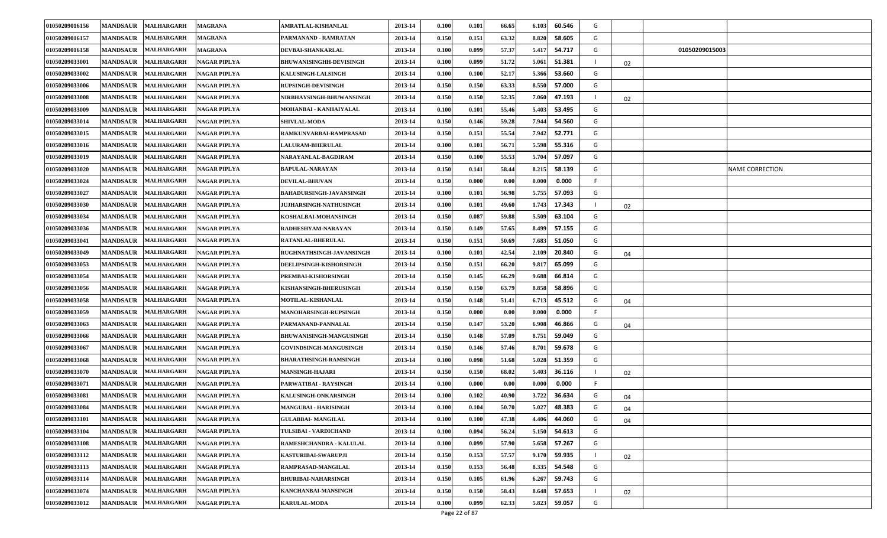| 01050209016156 | <b>MANDSAUR</b> | <b>MALHARGARH</b> | <b>MAGRANA</b>      | AMRATLAL-KISHANLAL             | 2013-14 | 0.100 | 0.101                | 66.65 | 6.103 | 60.546 | G |                |                 |
|----------------|-----------------|-------------------|---------------------|--------------------------------|---------|-------|----------------------|-------|-------|--------|---|----------------|-----------------|
| 01050209016157 | <b>MANDSAUR</b> | <b>MALHARGARH</b> | <b>MAGRANA</b>      | PARMANAND - RAMRATAN           | 2013-14 | 0.150 | 0.151                | 63.32 | 8.820 | 58.605 | G |                |                 |
| 01050209016158 | <b>MANDSAUR</b> | <b>MALHARGARH</b> | <b>MAGRANA</b>      | <b>DEVBAI-SHANKARLAL</b>       | 2013-14 | 0.100 | 0.099                | 57.37 | 5.417 | 54.717 | G | 01050209015003 |                 |
| 01050209033001 | <b>MANDSAUR</b> | <b>MALHARGARH</b> | NAGAR PIPLYA        | <b>BHUWANISINGHH-DEVISINGH</b> | 2013-14 | 0.100 | 0.099                | 51.72 | 5.061 | 51.381 |   | 02             |                 |
| 01050209033002 | <b>MANDSAUR</b> | <b>MALHARGARH</b> | NAGAR PIPLYA        | <b>KALUSINGH-LALSINGH</b>      | 2013-14 | 0.100 | 0.100                | 52.17 | 5.366 | 53.660 | G |                |                 |
| 01050209033006 | <b>MANDSAUR</b> | <b>MALHARGARH</b> | NAGAR PIPLYA        | <b>RUPSINGH-DEVISINGH</b>      | 2013-14 | 0.150 | 0.150                | 63.33 | 8.550 | 57.000 | G |                |                 |
| 01050209033008 | <b>MANDSAUR</b> | <b>MALHARGARH</b> | <b>NAGAR PIPLYA</b> | NIRBHAYSINGH-BHUWANSINGH       | 2013-14 | 0.150 | 0.150                | 52.35 | 7.060 | 47.193 |   | 02             |                 |
| 01050209033009 | <b>MANDSAUR</b> | <b>MALHARGARH</b> | NAGAR PIPLYA        | MOHANBAI - KANHAIYALAL         | 2013-14 | 0.100 | 0.101                | 55.46 | 5.403 | 53.495 | G |                |                 |
| 01050209033014 | <b>MANDSAUR</b> | <b>MALHARGARH</b> | NAGAR PIPLYA        | <b>SHIVLAL-MODA</b>            | 2013-14 | 0.150 | 0.146                | 59.28 | 7.944 | 54.560 | G |                |                 |
| 01050209033015 | <b>MANDSAUR</b> | <b>MALHARGARH</b> | NAGAR PIPLYA        | RAMKUNVARBAI-RAMPRASAD         | 2013-14 | 0.150 | 0.151                | 55.54 | 7.942 | 52.771 | G |                |                 |
| 01050209033016 | <b>MANDSAUR</b> | <b>MALHARGARH</b> | NAGAR PIPLYA        | LALURAM-BHERULAL               | 2013-14 | 0.100 | 0.101                | 56.71 | 5.598 | 55.316 | G |                |                 |
| 01050209033019 | <b>MANDSAUR</b> | <b>MALHARGARH</b> | NAGAR PIPLYA        | NARAYANLAL-BAGDIRAM            | 2013-14 | 0.150 | 0.100                | 55.53 | 5.704 | 57.097 | G |                |                 |
| 01050209033020 | <b>MANDSAUR</b> | <b>MALHARGARH</b> | NAGAR PIPLYA        | <b>BAPULAL-NARAYAN</b>         | 2013-14 | 0.150 | 0.141                | 58.44 | 8.215 | 58.139 | G |                | NAME CORRECTION |
| 01050209033024 | <b>MANDSAUR</b> | <b>MALHARGARH</b> | NAGAR PIPLYA        | <b>DEVILAL-BHUVAN</b>          | 2013-14 | 0.150 | 0.000                | 0.00  | 0.000 | 0.000  |   |                |                 |
| 01050209033027 | <b>MANDSAUR</b> | <b>MALHARGARH</b> | <b>NAGAR PIPLYA</b> | <b>BAHADURSINGH-JAVANSINGH</b> | 2013-14 | 0.100 | 0.101                | 56.98 | 5.755 | 57.093 | G |                |                 |
| 01050209033030 | <b>MANDSAUR</b> | <b>MALHARGARH</b> | NAGAR PIPLYA        | <b>JUJHARSINGH-NATHUSINGH</b>  | 2013-14 | 0.100 | 0.101                | 49.60 | 1.743 | 17.343 |   | 02             |                 |
| 01050209033034 | <b>MANDSAUR</b> | <b>MALHARGARH</b> | NAGAR PIPLYA        | KOSHALBAI-MOHANSINGH           | 2013-14 | 0.150 | 0.087                | 59.88 | 5.509 | 63.104 | G |                |                 |
| 01050209033036 | <b>MANDSAUR</b> | <b>MALHARGARH</b> | <b>NAGAR PIPLYA</b> | RADHESHYAM-NARAYAN             | 2013-14 | 0.150 | 0.149                | 57.65 | 8.499 | 57.155 | G |                |                 |
| 01050209033041 | <b>MANDSAUR</b> | <b>MALHARGARH</b> | NAGAR PIPLYA        | <b>RATANLAL-BHERULAL</b>       | 2013-14 | 0.150 | 0.151                | 50.69 | 7.683 | 51.050 | G |                |                 |
| 01050209033049 | <b>MANDSAUR</b> | <b>MALHARGARH</b> | NAGAR PIPLYA        | RUGHNATHSINGH-JAVANSINGH       | 2013-14 | 0.100 | 0.101                | 42.54 | 2.109 | 20.840 | G | 04             |                 |
| 01050209033053 | <b>MANDSAUR</b> | <b>MALHARGARH</b> | NAGAR PIPLYA        | DEELIPSINGH-KISHORSINGH        | 2013-14 | 0.150 | 0.151                | 66.20 | 9.817 | 65.099 | G |                |                 |
| 01050209033054 | <b>MANDSAUR</b> | <b>MALHARGARH</b> | <b>NAGAR PIPLYA</b> | PREMBAI-KISHORSINGH            | 2013-14 | 0.150 | 0.145                | 66.29 | 9.688 | 66.814 | G |                |                 |
| 01050209033056 | <b>MANDSAUR</b> | <b>MALHARGARH</b> | NAGAR PIPLYA        | KISHANSINGH-BHERUSINGH         | 2013-14 | 0.150 | 0.150                | 63.79 | 8.858 | 58.896 | G |                |                 |
| 01050209033058 | <b>MANDSAUR</b> | <b>MALHARGARH</b> | NAGAR PIPLYA        | MOTILAL-KISHANLAL              | 2013-14 | 0.150 | 0.148                | 51.41 | 6.713 | 45.512 | G | 04             |                 |
| 01050209033059 | <b>MANDSAUR</b> | <b>MALHARGARH</b> | NAGAR PIPLYA        | <b>MANOHARSINGH-RUPSINGH</b>   | 2013-14 | 0.150 | 0.000                | 0.00  | 0.000 | 0.000  |   |                |                 |
| 01050209033063 | <b>MANDSAUR</b> | <b>MALHARGARH</b> | NAGAR PIPLYA        | PARMANAND-PANNALAL             | 2013-14 | 0.150 | 0.147                | 53.20 | 6.908 | 46.866 | G | 04             |                 |
| 01050209033066 | <b>MANDSAUR</b> | <b>MALHARGARH</b> | NAGAR PIPLYA        | <b>BHUWANISINGH-MANGUSINGH</b> | 2013-14 | 0.150 | 0.148                | 57.09 | 8.751 | 59.049 | G |                |                 |
| 01050209033067 | <b>MANDSAUR</b> | <b>MALHARGARH</b> | NAGAR PIPLYA        | <b>GOVINDSINGH-MANGUSINGH</b>  | 2013-14 | 0.150 | 0.146                | 57.46 | 8.701 | 59.678 | G |                |                 |
| 01050209033068 | <b>MANDSAUR</b> | <b>MALHARGARH</b> | NAGAR PIPLYA        | <b>BHARATHSINGH-RAMSINGH</b>   | 2013-14 | 0.100 | 0.098                | 51.68 | 5.028 | 51.359 | G |                |                 |
| 01050209033070 | <b>MANDSAUR</b> | <b>MALHARGARH</b> | <b>NAGAR PIPLYA</b> | <b>MANSINGH-HAJARI</b>         | 2013-14 | 0.150 | 0.150                | 68.02 | 5.403 | 36.116 |   | 02             |                 |
| 01050209033071 | <b>MANDSAUR</b> | <b>MALHARGARH</b> | NAGAR PIPLYA        | PARWATIBAI - RAYSINGH          | 2013-14 | 0.100 | 0.000                | 0.00  | 0.000 | 0.000  |   |                |                 |
| 01050209033081 | <b>MANDSAUR</b> | <b>MALHARGARH</b> | NAGAR PIPLYA        | <b>KALUSINGH-ONKARSINGH</b>    | 2013-14 | 0.100 | 0.102                | 40.90 | 3.722 | 36.634 | G | 04             |                 |
| 01050209033084 | <b>MANDSAUR</b> | <b>MALHARGARH</b> | <b>NAGAR PIPLYA</b> | <b>MANGUBAI - HARISINGH</b>    | 2013-14 | 0.100 | 0.104                | 50.70 | 5.027 | 48.383 | G | 04             |                 |
| 01050209033101 | <b>MANDSAUR</b> | <b>MALHARGARH</b> | <b>NAGAR PIPLYA</b> | <b>GULABBAI- MANGILAL</b>      | 2013-14 | 0.100 | 0.100                | 47.38 | 4.406 | 44.060 | G | 04             |                 |
| 01050209033104 | <b>MANDSAUR</b> | <b>MALHARGARH</b> | NAGAR PIPLYA        | TULSIBAI - VARDICHAND          | 2013-14 | 0.100 | 0.094                | 56.24 | 5.150 | 54.613 | G |                |                 |
| 01050209033108 | <b>MANDSAUR</b> | <b>MALHARGARH</b> | NAGAR PIPLYA        | RAMESHCHANDRA - KALULAL        | 2013-14 | 0.100 | 0.099                | 57.90 | 5.658 | 57.267 | G |                |                 |
| 01050209033112 | <b>MANDSAUR</b> | <b>MALHARGARH</b> | NAGAR PIPLYA        | KASTURIBAI-SWARUPJI            | 2013-14 | 0.150 | 0.153                | 57.57 | 9.170 | 59.935 |   | 02             |                 |
| 01050209033113 | <b>MANDSAUR</b> | <b>MALHARGARH</b> | NAGAR PIPLYA        | RAMPRASAD-MANGILAL             | 2013-14 | 0.150 | 0.153                | 56.48 | 8.335 | 54.548 | G |                |                 |
| 01050209033114 | <b>MANDSAUR</b> | <b>MALHARGARH</b> | NAGAR PIPLYA        | <b>BHURIBAI-NAHARSINGH</b>     | 2013-14 | 0.150 | 0.105                | 61.96 | 6.267 | 59.743 | G |                |                 |
| 01050209033074 | <b>MANDSAUR</b> | <b>MALHARGARH</b> | NAGAR PIPLYA        | KANCHANBAI-MANSINGH            | 2013-14 | 0.150 | 0.150                | 58.43 | 8.648 | 57.653 |   | 02             |                 |
| 01050209033012 | <b>MANDSAUR</b> | <b>MALHARGARH</b> | <b>NAGAR PIPLYA</b> | <b>KARULAL-MODA</b>            | 2013-14 | 0.100 | 0.099<br>$D = 22.22$ | 62.33 | 5.823 | 59.057 | G |                |                 |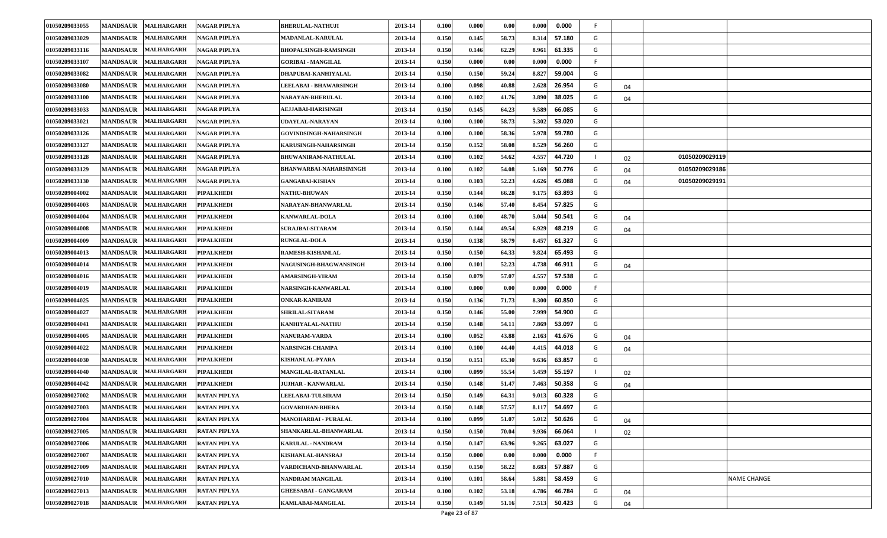| 01050209033055        | <b>MANDSAUR</b> | <b>MALHARGARH</b> | <b>NAGAR PIPLYA</b> | <b>BHERULAL-NATHUJI</b>       | 2013-14 | 0.100 | 0.000                  | 0.00  | 0.000 | 0.000  | F. |    |                |             |
|-----------------------|-----------------|-------------------|---------------------|-------------------------------|---------|-------|------------------------|-------|-------|--------|----|----|----------------|-------------|
| 01050209033029        | <b>MANDSAUR</b> | MALHARGARH        | <b>NAGAR PIPLYA</b> | <b>MADANLAL-KARULAL</b>       | 2013-14 | 0.150 | 0.145                  | 58.73 | 8.314 | 57.180 | G  |    |                |             |
| 01050209033116        | <b>MANDSAUR</b> | <b>MALHARGARH</b> | <b>NAGAR PIPLYA</b> | <b>BHOPALSINGH-RAMSINGH</b>   | 2013-14 | 0.150 | 0.146                  | 62.29 | 8.961 | 61.335 | G  |    |                |             |
| 01050209033107        | <b>MANDSAUR</b> | <b>MALHARGARH</b> | NAGAR PIPLYA        | <b>GORIBAI - MANGILAL</b>     | 2013-14 | 0.150 | 0.000                  | 0.00  | 0.000 | 0.000  | F. |    |                |             |
| <b>01050209033082</b> | <b>MANDSAUR</b> | <b>MALHARGARH</b> | <b>NAGAR PIPLYA</b> | DHAPUBAI-KANHIYALAL           | 2013-14 | 0.150 | 0.150                  | 59.24 | 8.827 | 59.004 | G  |    |                |             |
| 01050209033080        | <b>MANDSAUR</b> | <b>MALHARGARH</b> | NAGAR PIPLYA        | LEELABAI - BHAWARSINGH        | 2013-14 | 0.100 | 0.098                  | 40.88 | 2.628 | 26.954 | G  | 04 |                |             |
| 01050209033100        | <b>MANDSAUR</b> | <b>MALHARGARH</b> | <b>NAGAR PIPLYA</b> | <b>NARAYAN-BHERULAL</b>       | 2013-14 | 0.100 | 0.102                  | 41.76 | 3.890 | 38.025 | G  | 04 |                |             |
| 01050209033033        | <b>MANDSAUR</b> | <b>MALHARGARH</b> | NAGAR PIPLYA        | AEJJABAI-HARISINGH            | 2013-14 | 0.150 | 0.145                  | 64.23 | 9.589 | 66.085 | G  |    |                |             |
| 01050209033021        | <b>MANDSAUR</b> | <b>MALHARGARH</b> | <b>NAGAR PIPLYA</b> | UDAYLAL-NARAYAN               | 2013-14 | 0.100 | 0.100                  | 58.73 | 5.302 | 53.020 | G  |    |                |             |
| 01050209033126        | <b>MANDSAUR</b> | <b>MALHARGARH</b> | NAGAR PIPLYA        | <b>GOVINDSINGH-NAHARSINGH</b> | 2013-14 | 0.100 | 0.100                  | 58.36 | 5.978 | 59.780 | G  |    |                |             |
| 01050209033127        | <b>MANDSAUR</b> | <b>MALHARGARH</b> | <b>NAGAR PIPLYA</b> | KARUSINGH-NAHARSINGH          | 2013-14 | 0.150 | 0.152                  | 58.08 | 8.529 | 56.260 | G  |    |                |             |
| 01050209033128        | <b>MANDSAUR</b> | <b>MALHARGARH</b> | NAGAR PIPLYA        | BHUWANIRAM-NATHULAL           | 2013-14 | 0.100 | 0.102                  | 54.62 | 4.557 | 44.720 |    | 02 | 01050209029119 |             |
| 01050209033129        | <b>MANDSAUR</b> | <b>MALHARGARH</b> | <b>NAGAR PIPLYA</b> | <b>BHANWARBAI-NAHARSIMNGH</b> | 2013-14 | 0.100 | 0.102                  | 54.08 | 5.169 | 50.776 | G  | 04 | 01050209029186 |             |
| 01050209033130        | <b>MANDSAUR</b> | <b>MALHARGARH</b> | <b>NAGAR PIPLYA</b> | <b>GANGABAI-KISHAN</b>        | 2013-14 | 0.100 | 0.103                  | 52.23 | 4.626 | 45.088 | G  | 04 | 01050209029191 |             |
| 01050209004002        | <b>MANDSAUR</b> | <b>MALHARGARH</b> | <b>PIPALKHEDI</b>   | <b>NATHU-BHUWAN</b>           | 2013-14 | 0.150 | 0.144                  | 66.28 | 9.175 | 63.893 | G  |    |                |             |
| 01050209004003        | <b>MANDSAUR</b> | <b>MALHARGARH</b> | <b>PIPALKHEDI</b>   | NARAYAN-BHANWARLAL            | 2013-14 | 0.150 | 0.146                  | 57.40 | 8.454 | 57.825 | G  |    |                |             |
| 01050209004004        | <b>MANDSAUR</b> | <b>MALHARGARH</b> | <b>PIPALKHEDI</b>   | <b>KANWARLAL-DOLA</b>         | 2013-14 | 0.100 | 0.100                  | 48.70 | 5.044 | 50.541 | G  | 04 |                |             |
| 01050209004008        | <b>MANDSAUR</b> | <b>MALHARGARH</b> | <b>PIPALKHEDI</b>   | <b>SURAJBAI-SITARAM</b>       | 2013-14 | 0.150 | 0.144                  | 49.54 | 6.929 | 48.219 | G  | 04 |                |             |
| <b>01050209004009</b> | <b>MANDSAUR</b> | <b>MALHARGARH</b> | <b>PIPALKHEDI</b>   | <b>RUNGLAL-DOLA</b>           | 2013-14 | 0.150 | 0.138                  | 58.79 | 8.457 | 61.327 | G  |    |                |             |
| 01050209004013        | <b>MANDSAUR</b> | <b>MALHARGARH</b> | <b>PIPALKHEDI</b>   | RAMESH-KISHANLAL              | 2013-14 | 0.150 | 0.150                  | 64.33 | 9.824 | 65.493 | G  |    |                |             |
| 01050209004014        | <b>MANDSAUR</b> | <b>MALHARGARH</b> | <b>PIPALKHEDI</b>   | NAGUSINGH-BHAGWANSINGH        | 2013-14 | 0.100 | 0.101                  | 52.23 | 4.738 | 46.911 | G  | 04 |                |             |
| 01050209004016        | <b>MANDSAUR</b> | <b>MALHARGARH</b> | <b>PIPALKHEDI</b>   | <b>AMARSINGH-VIRAM</b>        | 2013-14 | 0.150 | 0.079                  | 57.07 | 4.557 | 57.538 | G  |    |                |             |
| <b>01050209004019</b> | <b>MANDSAUR</b> | MALHARGARH        | <b>PIPALKHEDI</b>   | NARSINGH-KANWARLAL            | 2013-14 | 0.100 | 0.000                  | 0.00  | 0.000 | 0.000  | F. |    |                |             |
| <b>01050209004025</b> | <b>MANDSAUR</b> | <b>MALHARGARH</b> | <b>PIPALKHEDI</b>   | <b>ONKAR-KANIRAM</b>          | 2013-14 | 0.150 | 0.136                  | 71.73 | 8.300 | 60.850 | G  |    |                |             |
| 01050209004027        | <b>MANDSAUR</b> | MALHARGARH        | <b>PIPALKHEDI</b>   | <b>SHRILAL-SITARAM</b>        | 2013-14 | 0.150 | 0.146                  | 55.00 | 7.999 | 54.900 | G  |    |                |             |
| 01050209004041        | <b>MANDSAUR</b> | <b>MALHARGARH</b> | <b>PIPALKHEDI</b>   | KANHIYALAL-NATHU              | 2013-14 | 0.150 | 0.148                  | 54.11 | 7.869 | 53.097 | G  |    |                |             |
| <b>01050209004005</b> | <b>MANDSAUR</b> | MALHARGARH        | <b>PIPALKHEDI</b>   | <b>NANURAM-VARDA</b>          | 2013-14 | 0.100 | 0.052                  | 43.88 | 2.163 | 41.676 | G  | 04 |                |             |
| <b>01050209004022</b> | <b>MANDSAUR</b> | <b>MALHARGARH</b> | <b>PIPALKHEDI</b>   | NARSINGH-CHAMPA               | 2013-14 | 0.100 | 0.100                  | 44.40 | 4.415 | 44.018 | G  | 04 |                |             |
| 01050209004030        | <b>MANDSAUR</b> | <b>MALHARGARH</b> | <b>PIPALKHEDI</b>   | <b>KISHANLAL-PYARA</b>        | 2013-14 | 0.150 | 0.151                  | 65.30 | 9.636 | 63.857 | G  |    |                |             |
| 01050209004040        | <b>MANDSAUR</b> | <b>MALHARGARH</b> | <b>PIPALKHEDI</b>   | <b>MANGILAL-RATANLAL</b>      | 2013-14 | 0.100 | 0.099                  | 55.54 | 5.459 | 55.197 |    | 02 |                |             |
| 01050209004042        | <b>MANDSAUR</b> | MALHARGARH        | <b>PIPALKHEDI</b>   | <b>JUJHAR - KANWARLAL</b>     | 2013-14 | 0.150 | 0.148                  | 51.47 | 7.463 | 50.358 | G  | 04 |                |             |
| 01050209027002        | <b>MANDSAUR</b> | <b>MALHARGARH</b> | <b>RATAN PIPLYA</b> | <b>LEELABAI-TULSIRAM</b>      | 2013-14 | 0.150 | 0.149                  | 64.31 | 9.01. | 60.328 | G  |    |                |             |
| 01050209027003        | <b>MANDSAUR</b> | <b>MALHARGARH</b> | <b>RATAN PIPLYA</b> | <b>GOVARDHAN-BHERA</b>        | 2013-14 | 0.150 | 0.148                  | 57.57 | 8.117 | 54.697 | G  |    |                |             |
| 01050209027004        | <b>MANDSAUR</b> | <b>MALHARGARH</b> | <b>RATAN PIPLYA</b> | <b>MANOHARBAI - PURALAL</b>   | 2013-14 | 0.100 | 0.099                  | 51.07 | 5.012 | 50.626 | G  | 04 |                |             |
| 01050209027005        | <b>MANDSAUR</b> | <b>MALHARGARH</b> | <b>RATAN PIPLYA</b> | SHANKARLAL-BHANWARLAL         | 2013-14 | 0.150 | 0.150                  | 70.04 | 9.936 | 66.064 |    | 02 |                |             |
| 01050209027006        | <b>MANDSAUR</b> | <b>MALHARGARH</b> | <b>RATAN PIPLYA</b> | <b>KARULAL - NANDRAM</b>      | 2013-14 | 0.150 | 0.147                  | 63.96 | 9.265 | 63.027 | G  |    |                |             |
| 01050209027007        | <b>MANDSAUR</b> | <b>MALHARGARH</b> | <b>RATAN PIPLYA</b> | KISHANLAL-HANSRAJ             | 2013-14 | 0.150 | 0.000                  | 0.00  | 0.000 | 0.000  | F  |    |                |             |
| 01050209027009        | <b>MANDSAUR</b> | <b>MALHARGARH</b> | <b>RATAN PIPLYA</b> | VARDICHAND-BHANWARLAL         | 2013-14 | 0.150 | 0.150                  | 58.22 | 8.683 | 57.887 | G  |    |                |             |
| 01050209027010        | <b>MANDSAUR</b> | <b>MALHARGARH</b> | <b>RATAN PIPLYA</b> | NANDRAM MANGILAL              | 2013-14 | 0.100 | 0.101                  | 58.64 | 5.881 | 58.459 | G  |    |                | NAME CHANGE |
| 01050209027013        | <b>MANDSAUR</b> | <b>MALHARGARH</b> | <b>RATAN PIPLYA</b> | <b>GHEESABAI - GANGARAM</b>   | 2013-14 | 0.100 | 0.102                  | 53.18 | 4.786 | 46.784 | G  | 04 |                |             |
| 01050209027018        | <b>MANDSAUR</b> | <b>MALHARGARH</b> | <b>RATAN PIPLYA</b> | KAMLABAI-MANGILAL             | 2013-14 | 0.150 | 0.149<br>Dage 22 of 97 | 51.16 | 7.513 | 50.423 | G  | 04 |                |             |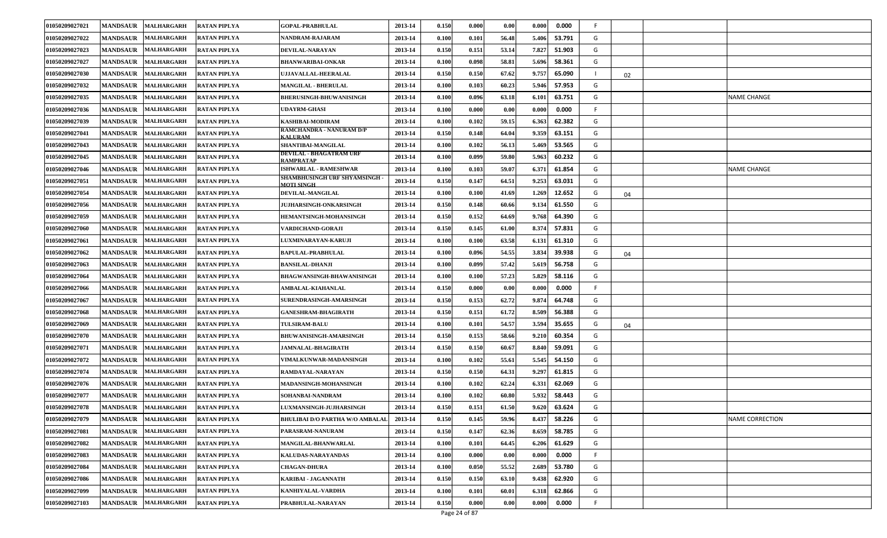| 01050209027021 | <b>MANDSAUR</b><br><b>MALHARGARH</b> | <b>RATAN PIPLYA</b> | <b>GOPAL-PRABHULAL</b>                             | 2013-14 | 0.150 | 0.000         | 0.00  | 0.000 | 0.000  | F   |    |                        |
|----------------|--------------------------------------|---------------------|----------------------------------------------------|---------|-------|---------------|-------|-------|--------|-----|----|------------------------|
| 01050209027022 | <b>MANDSAUR</b><br><b>MALHARGARH</b> | <b>RATAN PIPLYA</b> | NANDRAM-RAJARAM                                    | 2013-14 | 0.100 | 0.101         | 56.48 | 5.406 | 53.791 | G   |    |                        |
| 01050209027023 | <b>MANDSAUR</b><br><b>MALHARGARH</b> | <b>RATAN PIPLYA</b> | DEVILAL-NARAYAN                                    | 2013-14 | 0.150 | 0.151         | 53.14 | 7.827 | 51.903 | G   |    |                        |
| 01050209027027 | <b>MANDSAUR</b><br><b>MALHARGARH</b> | <b>RATAN PIPLYA</b> | <b>BHANWARIBAI-ONKAR</b>                           | 2013-14 | 0.100 | 0.098         | 58.81 | 5.696 | 58.361 | G   |    |                        |
| 01050209027030 | <b>MANDSAUR</b><br><b>MALHARGARH</b> | <b>RATAN PIPLYA</b> | <b>UJJAVALLAL-HEERALAL</b>                         | 2013-14 | 0.150 | 0.150         | 67.62 | 9.757 | 65.090 |     | 02 |                        |
| 01050209027032 | <b>MANDSAUR</b><br><b>MALHARGARH</b> | <b>RATAN PIPLYA</b> | <b>MANGILAL - BHERULAL</b>                         | 2013-14 | 0.100 | 0.103         | 60.23 | 5.946 | 57.953 | G   |    |                        |
| 01050209027035 | <b>MANDSAUR</b><br><b>MALHARGARH</b> | <b>RATAN PIPLYA</b> | <b>BHERUSINGH-BHUWANISINGH</b>                     | 2013-14 | 0.100 | 0.096         | 63.18 | 6.101 | 63.751 | G   |    | <b>NAME CHANGE</b>     |
| 01050209027036 | <b>MALHARGARH</b><br><b>MANDSAUR</b> | <b>RATAN PIPLYA</b> | <b>UDAYRM-GHASI</b>                                | 2013-14 | 0.100 | 0.000         | 0.00  | 0.000 | 0.000  | F.  |    |                        |
| 01050209027039 | <b>MANDSAUR</b><br><b>MALHARGARH</b> | <b>RATAN PIPLYA</b> | <b>KASHIBAI-MODIRAM</b>                            | 2013-14 | 0.100 | 0.102         | 59.15 | 6.363 | 62.382 | G   |    |                        |
| 01050209027041 | <b>MANDSAUR</b><br><b>MALHARGARH</b> | <b>RATAN PIPLYA</b> | <b>RAMCHANDRA - NANURAM D/P</b><br><b>KALURAM</b>  | 2013-14 | 0.150 | 0.148         | 64.04 | 9.359 | 63.151 | G   |    |                        |
| 01050209027043 | <b>MANDSAUR</b><br><b>MALHARGARH</b> | <b>RATAN PIPLYA</b> | SHANTIBAI-MANGILAL                                 | 2013-14 | 0.100 | 0.102         | 56.13 | 5.469 | 53.565 | G   |    |                        |
| 01050209027045 | <b>MANDSAUR</b><br><b>MALHARGARH</b> | <b>RATAN PIPLYA</b> | <b>DEVILAL - BHAGATRAM URF</b><br>RAMPRATAP        | 2013-14 | 0.100 | 0.099         | 59.80 | 5.963 | 60.232 | G   |    |                        |
| 01050209027046 | <b>MANDSAUR</b><br><b>MALHARGARH</b> | <b>RATAN PIPLYA</b> | <b>ISHWARLAL - RAMESHWAR</b>                       | 2013-14 | 0.100 | 0.103         | 59.07 | 6.371 | 61.854 | G   |    | <b>NAME CHANGE</b>     |
| 01050209027051 | <b>MANDSAUR</b><br><b>MALHARGARH</b> | <b>RATAN PIPLYA</b> | SHAMBHUSINGH URF SHYAMSINGH -<br><b>MOTI SINGH</b> | 2013-14 | 0.150 | 0.147         | 64.51 | 9.253 | 63.031 | G   |    |                        |
| 01050209027054 | <b>MANDSAUR</b><br><b>MALHARGARH</b> | <b>RATAN PIPLYA</b> | DEVILAL-MANGILAL                                   | 2013-14 | 0.100 | 0.100         | 41.69 | 1.269 | 12.652 | G   | 04 |                        |
| 01050209027056 | <b>MANDSAUR</b><br><b>MALHARGARH</b> | <b>RATAN PIPLYA</b> | <b>JUJHARSINGH-ONKARSINGH</b>                      | 2013-14 | 0.150 | 0.148         | 60.66 | 9.134 | 61.550 | G   |    |                        |
| 01050209027059 | <b>MANDSAUR</b><br><b>MALHARGARH</b> | <b>RATAN PIPLYA</b> | <b>HEMANTSINGH-MOHANSINGH</b>                      | 2013-14 | 0.150 | 0.152         | 64.69 | 9.768 | 64.390 | G   |    |                        |
| 01050209027060 | <b>MANDSAUR</b><br><b>MALHARGARH</b> | <b>RATAN PIPLYA</b> | VARDICHAND-GORAJI                                  | 2013-14 | 0.150 | 0.145         | 61.00 | 8.374 | 57.831 | G   |    |                        |
| 01050209027061 | <b>MANDSAUR</b><br><b>MALHARGARH</b> | <b>RATAN PIPLYA</b> | LUXMINARAYAN-KARUJI                                | 2013-14 | 0.100 | 0.100         | 63.58 | 6.131 | 61.310 | G   |    |                        |
| 01050209027062 | <b>MANDSAUR</b><br><b>MALHARGARH</b> | <b>RATAN PIPLYA</b> | <b>BAPULAL-PRABHULAL</b>                           | 2013-14 | 0.100 | 0.096         | 54.55 | 3.834 | 39.938 | G   | 04 |                        |
| 01050209027063 | <b>MANDSAUR</b><br><b>MALHARGARH</b> | <b>RATAN PIPLYA</b> | <b>BANSILAL-DHANJI</b>                             | 2013-14 | 0.100 | 0.099         | 57.42 | 5.619 | 56.758 | G   |    |                        |
| 01050209027064 | <b>MANDSAUR</b><br><b>MALHARGARH</b> | <b>RATAN PIPLYA</b> | <b>BHAGWANSINGH-BHAWANISINGH</b>                   | 2013-14 | 0.100 | 0.100         | 57.23 | 5.829 | 58.116 | G   |    |                        |
| 01050209027066 | <b>MANDSAUR</b><br><b>MALHARGARH</b> | <b>RATAN PIPLYA</b> | AMBALAL-KIAHANLAL                                  | 2013-14 | 0.150 | 0.000         | 0.00  | 0.000 | 0.000  | -F. |    |                        |
| 01050209027067 | <b>MANDSAUR</b><br><b>MALHARGARH</b> | <b>RATAN PIPLYA</b> | SURENDRASINGH-AMARSINGH                            | 2013-14 | 0.150 | 0.153         | 62.72 | 9.874 | 64.748 | G   |    |                        |
| 01050209027068 | <b>MANDSAUR</b><br><b>MALHARGARH</b> | <b>RATAN PIPLYA</b> | <b>GANESHRAM-BHAGIRATH</b>                         | 2013-14 | 0.150 | 0.151         | 61.72 | 8.509 | 56.388 | G   |    |                        |
| 01050209027069 | <b>MANDSAUR</b><br><b>MALHARGARH</b> | <b>RATAN PIPLYA</b> | <b>TULSIRAM-BALU</b>                               | 2013-14 | 0.100 | 0.101         | 54.57 | 3.594 | 35.655 | G   | 04 |                        |
| 01050209027070 | <b>MANDSAUR</b><br><b>MALHARGARH</b> | <b>RATAN PIPLYA</b> | <b>BHUWANISINGH-AMARSINGH</b>                      | 2013-14 | 0.150 | 0.153         | 58.66 | 9.210 | 60.354 | G   |    |                        |
| 01050209027071 | <b>MANDSAUR</b><br><b>MALHARGARH</b> | <b>RATAN PIPLYA</b> | <b>JAMNALAL-BHAGIRATH</b>                          | 2013-14 | 0.150 | 0.150         | 60.67 | 8.840 | 59.091 | G   |    |                        |
| 01050209027072 | <b>MALHARGARH</b><br><b>MANDSAUR</b> | <b>RATAN PIPLYA</b> | VIMALKUNWAR-MADANSINGH                             | 2013-14 | 0.100 | 0.102         | 55.61 | 5.545 | 54.150 | G   |    |                        |
| 01050209027074 | <b>MANDSAUR</b><br><b>MALHARGARH</b> | <b>RATAN PIPLYA</b> | RAMDAYAL-NARAYAN                                   | 2013-14 | 0.150 | 0.150         | 64.31 | 9.297 | 61.815 | G   |    |                        |
| 01050209027076 | <b>MANDSAUR</b><br><b>MALHARGARH</b> | <b>RATAN PIPLYA</b> | MADANSINGH-MOHANSINGH                              | 2013-14 | 0.100 | 0.102         | 62.24 | 6.331 | 62.069 | G   |    |                        |
| 01050209027077 | <b>MANDSAUR</b><br><b>MALHARGARH</b> | <b>RATAN PIPLYA</b> | SOHANBAI-NANDRAM                                   | 2013-14 | 0.100 | 0.102         | 60.80 | 5.932 | 58.443 | G   |    |                        |
| 01050209027078 | <b>MANDSAUR</b><br><b>MALHARGARH</b> | <b>RATAN PIPLYA</b> | LUXMANSINGH-JUJHARSINGH                            | 2013-14 | 0.150 | 0.151         | 61.50 | 9.620 | 63.624 | G   |    |                        |
| 01050209027079 | <b>MANDSAUR</b><br><b>MALHARGARH</b> | <b>RATAN PIPLYA</b> | <b>BHULIBAI D/O PARTHA W/O AMBALAL</b>             | 2013-14 | 0.150 | 0.145         | 59.96 | 8.437 | 58.226 | G   |    | <b>NAME CORRECTION</b> |
| 01050209027081 | <b>MANDSAUR</b><br><b>MALHARGARH</b> | <b>RATAN PIPLYA</b> | PARASRAM-NANURAM                                   | 2013-14 | 0.150 | 0.147         | 62.36 | 8.659 | 58.785 | G   |    |                        |
| 01050209027082 | <b>MANDSAUR</b><br><b>MALHARGARH</b> | <b>RATAN PIPLYA</b> | MANGILAL-BHANWARLAL                                | 2013-14 | 0.100 | 0.101         | 64.45 | 6.206 | 61.629 | G   |    |                        |
| 01050209027083 | <b>MANDSAUR</b><br><b>MALHARGARH</b> | <b>RATAN PIPLYA</b> | <b>KALUDAS-NARAYANDAS</b>                          | 2013-14 | 0.100 | 0.000         | 0.00  | 0.000 | 0.000  | F   |    |                        |
| 01050209027084 | <b>MANDSAUR</b><br><b>MALHARGARH</b> | <b>RATAN PIPLYA</b> | <b>CHAGAN-DHURA</b>                                | 2013-14 | 0.100 | 0.050         | 55.52 | 2.689 | 53.780 | G   |    |                        |
| 01050209027086 | <b>MANDSAUR</b><br><b>MALHARGARH</b> | <b>RATAN PIPLYA</b> | KARIBAI - JAGANNATH                                | 2013-14 | 0.150 | 0.150         | 63.10 | 9.438 | 62.920 | G   |    |                        |
| 01050209027099 | <b>MANDSAUR</b><br><b>MALHARGARH</b> | <b>RATAN PIPLYA</b> | KANHIYALAL-VARDHA                                  | 2013-14 | 0.100 | 0.101         | 60.01 | 6.318 | 62.866 | G   |    |                        |
| 01050209027103 | <b>MANDSAUR</b><br><b>MALHARGARH</b> | <b>RATAN PIPLYA</b> | PRABHULAL-NARAYAN                                  | 2013-14 | 0.150 | 0.000         | 0.00  | 0.000 | 0.000  | F   |    |                        |
|                |                                      |                     |                                                    |         |       | Page 24 of 87 |       |       |        |     |    |                        |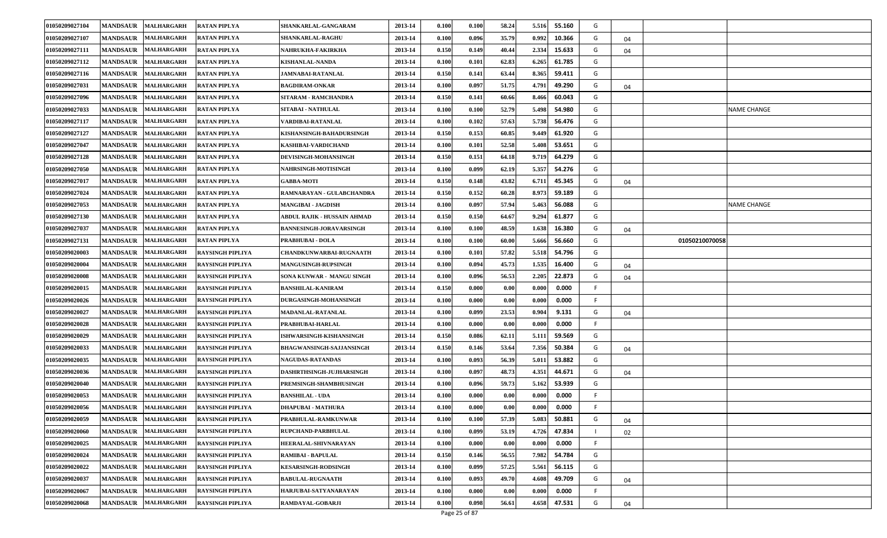| 01050209027104 | <b>MANDSAUR</b> | <b>MALHARGARH</b>   | <b>RATAN PIPLYA</b>     | SHANKARLAL-GANGARAM            | 2013-14 | 0.100 | 0.100         | 58.24 | 5.516                | 55.160 | G  |    |                |                    |
|----------------|-----------------|---------------------|-------------------------|--------------------------------|---------|-------|---------------|-------|----------------------|--------|----|----|----------------|--------------------|
| 01050209027107 | <b>MANDSAUR</b> | <b>MALHARGARH</b>   | <b>RATAN PIPLYA</b>     | <b>SHANKARLAL-RAGHU</b>        | 2013-14 | 0.100 | 0.096         | 35.79 | 0.992                | 10.366 | G  | 04 |                |                    |
| 01050209027111 | <b>MANDSAUR</b> | <b>MALHARGARH</b>   | <b>RATAN PIPLYA</b>     | NAHRUKHA-FAKIRKHA              | 2013-14 | 0.150 | 0.149         | 40.44 | 2.334                | 15.633 | G  | 04 |                |                    |
| 01050209027112 | <b>MANDSAUR</b> | <b>MALHARGARH</b>   | <b>RATAN PIPLYA</b>     | KISHANLAL-NANDA                | 2013-14 | 0.100 | 0.101         | 62.83 | 6.265                | 61.785 | G  |    |                |                    |
| 01050209027116 | <b>MANDSAUR</b> | <b>MALHARGARH</b>   | <b>RATAN PIPLYA</b>     | JAMNABAI-RATANLAL              | 2013-14 | 0.150 | 0.141         | 63.44 | 8.365                | 59.411 | G  |    |                |                    |
| 01050209027031 | <b>MANDSAUR</b> | <b>MALHARGARH</b>   | <b>RATAN PIPLYA</b>     | <b>BAGDIRAM-ONKAR</b>          | 2013-14 | 0.100 | 0.097         | 51.75 | 4.791                | 49.290 | G  | 04 |                |                    |
| 01050209027096 | <b>MANDSAUR</b> | <b>MALHARGARH</b>   | <b>RATAN PIPLYA</b>     | SITARAM - RAMCHANDRA           | 2013-14 | 0.150 | 0.141         | 60.66 | 8.466                | 60.043 | G  |    |                |                    |
| 01050209027033 | <b>MANDSAUR</b> | <b>MALHARGARH</b>   | <b>RATAN PIPLYA</b>     | SITABAI - NATHULAL             | 2013-14 | 0.100 | 0.100         | 52.79 | 5.498                | 54.980 | G  |    |                | NAME CHANGE        |
| 01050209027117 | <b>MANDSAUR</b> | <b>MALHARGARH</b>   | <b>RATAN PIPLYA</b>     | VARDIBAI-RATANLAL              | 2013-14 | 0.100 | 0.102         | 57.63 | 5.738                | 56.476 | G  |    |                |                    |
| 01050209027127 | <b>MANDSAUR</b> | <b>MALHARGARH</b>   | <b>RATAN PIPLYA</b>     | KISHANSINGH-BAHADURSINGH       | 2013-14 | 0.150 | 0.153         | 60.85 | 9.449                | 61.920 | G  |    |                |                    |
| 01050209027047 | <b>MANDSAUR</b> | <b>MALHARGARH</b>   | <b>RATAN PIPLYA</b>     | KASHIBAI-VARDICHAND            | 2013-14 | 0.100 | 0.101         | 52.58 | 5.408                | 53.651 | G  |    |                |                    |
| 01050209027128 | <b>MANDSAUR</b> | <b>MALHARGARH</b>   | <b>RATAN PIPLYA</b>     | DEVISINGH-MOHANSINGH           | 2013-14 | 0.150 | 0.151         | 64.18 | 9.719                | 64.279 | G  |    |                |                    |
| 01050209027050 | <b>MANDSAUR</b> | <b>MALHARGARH</b>   | <b>RATAN PIPLYA</b>     | <b>NAHRSINGH-MOTISINGH</b>     | 2013-14 | 0.100 | 0.099         | 62.19 | 5.357                | 54.276 | G  |    |                |                    |
| 01050209027017 | <b>MANDSAUR</b> | <b>MALHARGARH</b>   | <b>RATAN PIPLYA</b>     | <b>GABBA-MOTI</b>              | 2013-14 | 0.150 | 0.148         | 43.82 | 6.711                | 45.345 | G  | 04 |                |                    |
| 01050209027024 | <b>MANDSAUR</b> | <b>MALHARGARH</b>   | <b>RATAN PIPLYA</b>     | RAMNARAYAN - GULABCHANDRA      | 2013-14 | 0.150 | 0.152         | 60.28 | 8.973                | 59.189 | G  |    |                |                    |
| 01050209027053 | <b>MANDSAUR</b> | <b>MALHARGARH</b>   | <b>RATAN PIPLYA</b>     | MANGIBAI - JAGDISH             | 2013-14 | 0.100 | 0.097         | 57.94 | 5.463                | 56.088 | G  |    |                | <b>NAME CHANGE</b> |
| 01050209027130 | <b>MANDSAUR</b> | <b>MALHARGARH</b>   | <b>RATAN PIPLYA</b>     | ABDUL RAJIK - HUSSAIN AHMAD    | 2013-14 | 0.150 | 0.150         | 64.67 | 9.294                | 61.877 | G  |    |                |                    |
| 01050209027037 | <b>MANDSAUR</b> | <b>MALHARGARH</b>   | <b>RATAN PIPLYA</b>     | <b>BANNESINGH-JORAVARSINGH</b> | 2013-14 | 0.100 | 0.100         | 48.59 | 1.638                | 16.380 | G  | 04 |                |                    |
| 01050209027131 | <b>MANDSAUR</b> | <b>MALHARGARH</b>   | <b>RATAN PIPLYA</b>     | <b>PRABHUBAI - DOLA</b>        | 2013-14 | 0.100 | 0.100         | 60.00 | 5.666                | 56.660 | G  |    | 01050210070058 |                    |
| 01050209020003 | <b>MANDSAUR</b> | <b>MALHARGARH</b>   | <b>RAYSINGH PIPLIYA</b> | <b>CHANDKUNWARBAI-RUGNAATH</b> | 2013-14 | 0.100 | 0.101         | 57.82 | 5.518                | 54.796 | G  |    |                |                    |
| 01050209020004 | <b>MANDSAUR</b> | <b>MALHARGARH</b>   | <b>RAYSINGH PIPLIYA</b> | <b>MANGUSINGH-RUPSINGH</b>     | 2013-14 | 0.100 | 0.094         | 45.73 | 1.535                | 16.400 | G  | 04 |                |                    |
| 01050209020008 | <b>MANDSAUR</b> | <b>MALHARGARH</b>   | <b>RAYSINGH PIPLIYA</b> | SONA KUNWAR - MANGU SINGH      | 2013-14 | 0.100 | 0.096         | 56.53 | 2.205                | 22.873 | G  | 04 |                |                    |
| 01050209020015 | <b>MANDSAUR</b> | MALHARGARH          | <b>RAYSINGH PIPLIYA</b> | <b>BANSHILAL-KANIRAM</b>       | 2013-14 | 0.150 | 0.000         | 0.00  | $\boldsymbol{0.000}$ | 0.000  | F. |    |                |                    |
| 01050209020026 | <b>MANDSAUR</b> | <b>MALHARGARH</b>   | <b>RAYSINGH PIPLIYA</b> | DURGASINGH-MOHANSINGH          | 2013-14 | 0.100 | 0.000         | 0.00  | 0.000                | 0.000  | F. |    |                |                    |
| 01050209020027 | <b>MANDSAUR</b> | MALHARGARH          | <b>RAYSINGH PIPLIYA</b> | <b>MADANLAL-RATANLAL</b>       | 2013-14 | 0.100 | 0.099         | 23.53 | 0.904                | 9.131  | G  | 04 |                |                    |
| 01050209020028 | <b>MANDSAUR</b> | <b>MALHARGARH</b>   | <b>RAYSINGH PIPLIYA</b> | PRABHUBAI-HARLAL               | 2013-14 | 0.100 | 0.000         | 0.00  | 0.000                | 0.000  | -F |    |                |                    |
| 01050209020029 | <b>MANDSAUR</b> | MALHARGARH          | <b>RAYSINGH PIPLIYA</b> | ISHWARSINGH-KISHANSINGH        | 2013-14 | 0.150 | 0.086         | 62.11 | 5.111                | 59.569 | G  |    |                |                    |
| 01050209020033 | <b>MANDSAUR</b> | <b>MALHARGARH</b>   | <b>RAYSINGH PIPLIYA</b> | BHAGWANSINGH-SAJJANSINGH       | 2013-14 | 0.150 | 0.146         | 53.64 | 7.356                | 50.384 | G  | 04 |                |                    |
| 01050209020035 | <b>MANDSAUR</b> | <b>MALHARGARH</b>   | <b>RAYSINGH PIPLIYA</b> | <b>NAGUDAS-RATANDAS</b>        | 2013-14 | 0.100 | 0.093         | 56.39 | 5.011                | 53.882 | G  |    |                |                    |
| 01050209020036 | <b>MANDSAUR</b> | <b>MALHARGARH</b>   | <b>RAYSINGH PIPLIYA</b> | DASHRTHSINGH-JUJHARSINGH       | 2013-14 | 0.100 | 0.097         | 48.73 | 4.351                | 44.671 | G  | 04 |                |                    |
| 01050209020040 | <b>MANDSAUR</b> | MALHARGARH          | <b>RAYSINGH PIPLIYA</b> | PREMSINGH-SHAMBHUSINGH         | 2013-14 | 0.100 | 0.096         | 59.73 | 5.162                | 53.939 | G  |    |                |                    |
| 01050209020053 | <b>MANDSAUR</b> | <b>MALHARGARH</b>   | <b>RAYSINGH PIPLIYA</b> | <b>BANSHILAL - UDA</b>         | 2013-14 | 0.100 | 0.000         | 0.00  | 0.000                | 0.000  | F. |    |                |                    |
| 01050209020056 | <b>MANDSAUR</b> | <b>MALHARGARH</b>   | <b>RAYSINGH PIPLIYA</b> | <b>DHAPUBAI - MATHURA</b>      | 2013-14 | 0.100 | 0.000         | 0.00  | 0.000                | 0.000  | F  |    |                |                    |
| 01050209020059 |                 | MANDSAUR MALHARGARH | <b>RAYSINGH PIPLIYA</b> | PRABHULAL-RAMKUNWAR            | 2013-14 | 0.100 | 0.100         | 57.39 | 5.083                | 50.881 | G  | 04 |                |                    |
| 01050209020060 | <b>MANDSAUR</b> | <b>MALHARGARH</b>   | <b>RAYSINGH PIPLIYA</b> | RUPCHAND-PARBHULAL             | 2013-14 | 0.100 | 0.099         | 53.19 | 4.726                | 47.834 |    | 02 |                |                    |
| 01050209020025 | <b>MANDSAUR</b> | <b>MALHARGARH</b>   | <b>RAYSINGH PIPLIYA</b> | HEERALAL-SHIVNARAYAN           | 2013-14 | 0.100 | 0.000         | 0.00  | 0.000                | 0.000  | F. |    |                |                    |
| 01050209020024 | <b>MANDSAUR</b> | <b>MALHARGARH</b>   | <b>RAYSINGH PIPLIYA</b> | <b>RAMIBAI - BAPULAL</b>       | 2013-14 | 0.150 | 0.146         | 56.55 | 7.982                | 54.784 | G  |    |                |                    |
| 01050209020022 | <b>MANDSAUR</b> | <b>MALHARGARH</b>   | <b>RAYSINGH PIPLIYA</b> | <b>KESARSINGH-RODSINGH</b>     | 2013-14 | 0.100 | 0.099         | 57.25 | 5.561                | 56.115 | G  |    |                |                    |
| 01050209020037 | <b>MANDSAUR</b> | <b>MALHARGARH</b>   | <b>RAYSINGH PIPLIYA</b> | <b>BABULAL-RUGNAATH</b>        | 2013-14 | 0.100 | 0.093         | 49.70 | 4.608                | 49.709 | G  | 04 |                |                    |
| 01050209020067 | <b>MANDSAUR</b> | <b>MALHARGARH</b>   | <b>RAYSINGH PIPLIYA</b> | HARJUBAI-SATYANARAYAN          | 2013-14 | 0.100 | 0.000         | 0.00  | 0.000                | 0.000  | F. |    |                |                    |
| 01050209020068 | <b>MANDSAUR</b> | <b>MALHARGARH</b>   | <b>RAYSINGH PIPLIYA</b> | RAMDAYAL-GOBARJI               | 2013-14 | 0.100 | 0.098         | 56.61 | 4.658                | 47.531 | G  | 04 |                |                    |
|                |                 |                     |                         |                                |         |       | Page 25 of 87 |       |                      |        |    |    |                |                    |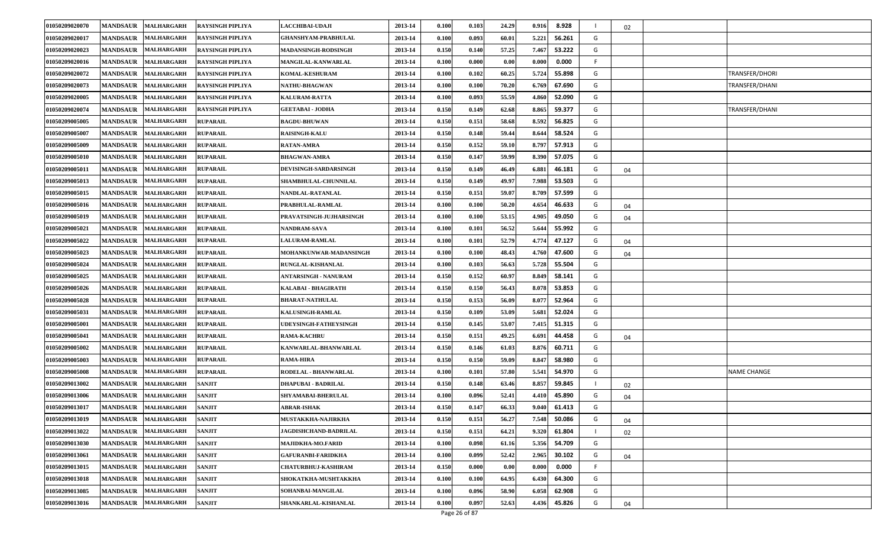| 0.100<br>01050209020070<br><b>MANDSAUR</b><br><b>MALHARGARH</b><br>RAYSINGH PIPLIYA<br>LACCHIBAI-UDAJI<br>2013-14<br>0.103<br>24.29<br>0.916<br>8.928<br>02                           |  |
|---------------------------------------------------------------------------------------------------------------------------------------------------------------------------------------|--|
| <b>MANDSAUR</b><br>0.100<br>G<br>01050209020017<br><b>MALHARGARH</b><br>2013-14<br>0.093<br>60.01<br>5.221<br>56.261<br>RAYSINGH PIPLIYA<br><b>GHANSHYAM-PRABHULAL</b>                |  |
| 01050209020023<br><b>MANDSAUR</b><br><b>MALHARGARH</b><br>2013-14<br>0.150<br>0.140<br>57.25<br>53.222<br>G<br>RAYSINGH PIPLIYA<br><b>MADANSINGH-RODSINGH</b><br>7.467                |  |
| 01050209020016<br><b>MANDSAUR</b><br>2013-14<br>0.100<br>0.000<br>0.000<br>0.000<br>F.<br><b>MALHARGARH</b><br>RAYSINGH PIPLIYA<br>MANGILAL-KANWARLAL<br>0.00                         |  |
| TRANSFER/DHORI<br>01050209020072<br><b>MANDSAUR</b><br>2013-14<br>0.100<br>0.102<br>60.25<br>5.724<br>55.898<br>G<br><b>MALHARGARH</b><br>RAYSINGH PIPLIYA<br>KOMAL-KESHURAM          |  |
| 01050209020073<br>70.20<br>67.690<br>G<br>TRANSFER/DHANI<br><b>MANDSAUR</b><br><b>MALHARGARH</b><br>RAYSINGH PIPLIYA<br>NATHU-BHAGWAN<br>2013-14<br>0.100<br>0.100<br>6.769           |  |
| <b>MANDSAUR</b><br><b>MALHARGARH</b><br>2013-14<br>0.100<br>0.093<br>55.59<br>4.860<br>52.090<br>G<br>01050209020005<br><b>RAYSINGH PIPLIYA</b><br><b>KALURAM-RATTA</b>               |  |
| 0.150<br>62.68<br>59.377<br>G<br>01050209020074<br><b>MANDSAUR</b><br><b>MALHARGARH</b><br>2013-14<br>0.149<br>8.865<br>TRANSFER/DHANI<br>RAYSINGH PIPLIYA<br><b>GEETABAI - JODHA</b> |  |
| 01050209005005<br><b>MALHARGARH</b><br>2013-14<br>0.150<br>58.68<br>8.592<br>56.825<br>G<br><b>MANDSAUR</b><br><b>RUPARAIL</b><br>0.151<br><b>BAGDU-BHUWAN</b>                        |  |
| 01050209005007<br>0.150<br>59.44<br>8.644<br>58.524<br>G<br><b>MANDSAUR</b><br><b>RUPARAIL</b><br>2013-14<br>0.148<br>MALHARGARH<br><b>RAISINGH-KALU</b>                              |  |
| 0.150<br>0.152<br>57.913<br>G<br>01050209005009<br><b>MANDSAUR</b><br><b>RUPARAIL</b><br>2013-14<br>59.10<br>8.797<br><b>MALHARGARH</b><br><b>RATAN-AMRA</b>                          |  |
| RUPARAIL<br>0.150<br>59.99<br>57.075<br>G<br>01050209005010<br><b>MANDSAUR</b><br><b>MALHARGARH</b><br>BHAGWAN-AMRA<br>2013-14<br>0.147<br>8.390                                      |  |
| <b>MALHARGARH</b><br><b>RUPARAIL</b><br>DEVISINGH-SARDARSINGH<br>0.150<br>46.49<br>46.181<br>G<br>01050209005011<br><b>MANDSAUR</b><br>2013-14<br>0.149<br>6.881<br>04                |  |
| 53.503<br>G<br>01050209005013<br><b>MANDSAUR</b><br><b>MALHARGARH</b><br>2013-14<br>0.150<br>0.149<br>49.97<br>7.988<br><b>RUPARAIL</b><br>SHAMBHULAL-CHUNNILAL                       |  |
| <b>MANDSAUR</b><br><b>MALHARGARH</b><br>0.150<br>59.07<br>8.709<br>57.599<br>G<br>01050209005015<br><b>RUPARAIL</b><br>2013-14<br>0.151<br>NANDLAL-RATANLAL                           |  |
| G<br>01050209005016<br>2013-14<br>0.100<br>50.20<br>4.654<br>46.633<br><b>MANDSAUR</b><br><b>MALHARGARH</b><br>RUPARAIL<br>PRABHULAL-RAMLAL<br>0.100<br>04                            |  |
| 53.15<br>4.905<br>49.050<br>G<br>01050209005019<br><b>MANDSAUR</b><br><b>RUPARAIL</b><br>2013-14<br>0.100<br>0.100<br><b>MALHARGARH</b><br>PRAVATSINGH-JUJHARSINGH<br>04              |  |
| G<br>01050209005021<br><b>MANDSAUR</b><br><b>MALHARGARH</b><br><b>RUPARAIL</b><br><b>NANDRAM-SAVA</b><br>2013-14<br>0.100<br>0.101<br>56.52<br>5.644<br>55.992                        |  |
| 52.79<br>4.774<br>47.127<br>G<br>01050209005022<br><b>MANDSAUR</b><br><b>MALHARGARH</b><br>2013-14<br>0.100<br>0.101<br><b>RUPARAIL</b><br><b>LALURAM-RAMLAL</b><br>04                |  |
| 01050209005023<br><b>MANDSAUR</b><br><b>MALHARGARH</b><br>2013-14<br>0.100<br>0.100<br>48.43<br>4.760<br>47.600<br>G<br><b>RUPARAIL</b><br>MOHANKUNWAR-MADANSINGH<br>04               |  |
| G<br>56.63<br>55.504<br>01050209005024<br><b>MANDSAUR</b><br>2013-14<br>0.100<br>0.103<br>5.728<br><b>MALHARGARH</b><br><b>RUPARAIL</b><br>RUNGLAL-KISHANLAL                          |  |
| G<br>01050209005025<br><b>MANDSAUR</b><br>2013-14<br>0.150<br>0.152<br>60.97<br>8.849<br>58.141<br><b>MALHARGARH</b><br><b>RUPARAIL</b><br><b>ANTARSINGH - NANURAM</b>                |  |
| 56.43<br>01050209005026<br><b>MANDSAUR</b><br><b>RUPARAIL</b><br>2013-14<br>0.150<br>0.150<br>8.078<br>53.853<br>G<br><b>MALHARGARH</b><br>KALABAI - BHAGIRATH                        |  |
| 52.964<br>01050209005028<br><b>MANDSAUR</b><br><b>MALHARGARH</b><br><b>RUPARAIL</b><br><b>BHARAT-NATHULAL</b><br>2013-14<br>0.150<br>0.153<br>56.09<br>8.077<br>G                     |  |
| <b>RUPARAIL</b><br>53.09<br>52.024<br>G<br>01050209005031<br><b>MANDSAUR</b><br>MALHARGARH<br>KALUSINGH-RAMLAL<br>2013-14<br>0.150<br>0.109<br>5.681                                  |  |
| 01050209005001<br><b>MANDSAUR</b><br><b>MALHARGARH</b><br><b>RUPARAIL</b><br>2013-14<br>0.150<br>0.145<br>53.07<br>51.315<br>G<br>UDEYSINGH-FATHEYSINGH<br>7.415                      |  |
| 0.150<br>01050209005041<br><b>MANDSAUR</b><br><b>MALHARGARH</b><br><b>RUPARAIL</b><br>2013-14<br>0.151<br>49.25<br>6.691<br>44.458<br>G<br><b>RAMA-KACHRU</b><br>04                   |  |
| 01050209005002<br><b>MANDSAUR</b><br>2013-14<br>0.150<br>0.146<br>61.03<br>8.876<br>60.711<br>G<br><b>MALHARGARH</b><br><b>RUPARAIL</b><br>KANWARLAL-BHANWARLAL                       |  |
| 01050209005003<br><b>RUPARAIL</b><br>59.09<br>8.847<br>58.980<br>G<br><b>MANDSAUR</b><br><b>MALHARGARH</b><br><b>RAMA-HIRA</b><br>2013-14<br>0.150<br>0.150                           |  |
| <b>MANDSAUR</b><br><b>MALHARGARH</b><br><b>RUPARAIL</b><br>RODELAL - BHANWARLAL<br>0.100<br>57.80<br>5.541<br>54.970<br>G<br><b>NAME CHANGE</b><br>01050209005008<br>2013-14<br>0.101 |  |
| 0.150<br>59.845<br>01050209013002<br><b>MANDSAUR</b><br><b>MALHARGARH</b><br>SANJIT<br>2013-14<br>63.46<br>8.857<br><b>DHAPUBAI - BADRILAL</b><br>0.148<br>02                         |  |
| <b>MALHARGARH</b><br>0.100<br>52.41<br>45.890<br>G<br>01050209013006<br><b>MANDSAUR</b><br><b>SANJIT</b><br>SHYAMABAI-BHERULAL<br>2013-14<br>0.096<br>4.410<br>04                     |  |
| 01050209013017<br>0.150<br>0.147<br>66.33<br>61.413<br>G<br><b>MANDSAUR</b><br>2013-14<br>9.040<br><b>MALHARGARH</b><br>SANJIT<br>ABRAR-ISHAK                                         |  |
| 01050209013019<br><b>SANJIT</b><br>2013-14<br>0.150<br>0.151<br>56.27<br>7.548<br>50.086<br><b>MANDSAUR</b><br><b>MALHARGARH</b><br>G<br>MUSTAKKHA-NAJIRKHA<br>04                     |  |
| 01050209013022<br><b>MANDSAUR</b><br>0.150<br>9.320<br>61.804<br><b>MALHARGARH</b><br><b>SANJIT</b><br>2013-14<br>0.151<br>64.21<br><b>JAGDISHCHAND-BADRILAL</b><br>02                |  |
| 01050209013030<br><b>MANDSAUR</b><br><b>MALHARGARH</b><br><b>SANJIT</b><br>0.100<br>0.098<br>61.16<br>5.356<br>54.709<br>G<br><b>MAJIDKHA-MO.FARID</b><br>2013-14                     |  |
| 52.42<br>2.965<br>G<br>01050209013061<br><b>MANDSAUR</b><br><b>MALHARGARH</b><br>2013-14<br>0.100<br>0.099<br>30.102<br><b>SANJIT</b><br><b>GAFURANBI-FARIDKHA</b><br>04              |  |
| <b>MANDSAUR</b><br><b>MALHARGARH</b><br>0.150<br>0.000<br>0.000<br>01050209013015<br><b>SANJIT</b><br>2013-14<br>0.00<br>0.000<br><b>CHATURBHUJ-KASHIRAM</b>                          |  |
| G<br>01050209013018<br><b>MANDSAUR</b><br>2013-14<br>0.100<br>64.95<br>64.300<br><b>MALHARGARH</b><br><b>SANJIT</b><br>SHOKATKHA-MUSHTAKKHA<br>0.100<br>6.430                         |  |
| 62.908<br>G<br>01050209013085<br><b>MANDSAUR</b><br><b>SANJIT</b><br>2013-14<br>0.100<br>0.096<br>58.90<br>6.058<br><b>MALHARGARH</b><br>SOHANBAI-MANGILAL                            |  |
| G<br>2013-14<br>0.100<br>0.097<br>52.63<br>4.436<br>45.826<br>01050209013016<br><b>MANDSAUR</b><br><b>MALHARGARH</b><br><b>SANJIT</b><br>SHANKARLAL-KISHANLAL<br>04<br>$20 - 507$     |  |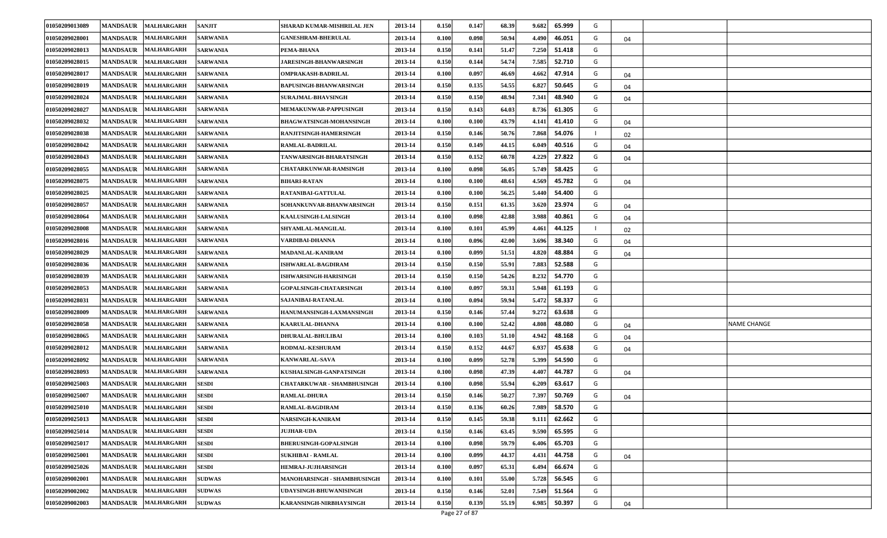| 01050209013089 | <b>MANDSAUR</b> | <b>MALHARGARH</b> | <b>SANJIT</b>   | SHARAD KUMAR-MISHRILAL JEN        | 2013-14 | 0.150 | 0.147                     | 68.39 | 9.682<br>65.999 | G |    |                    |
|----------------|-----------------|-------------------|-----------------|-----------------------------------|---------|-------|---------------------------|-------|-----------------|---|----|--------------------|
| 01050209028001 | <b>MANDSAUR</b> | <b>MALHARGARH</b> | <b>SARWANIA</b> | <b>GANESHRAM-BHERULAL</b>         | 2013-14 | 0.100 | 0.098                     | 50.94 | 4.490<br>46.051 | G | 04 |                    |
| 01050209028013 | <b>MANDSAUR</b> | <b>MALHARGARH</b> | <b>SARWANIA</b> | PEMA-BHANA                        | 2013-14 | 0.150 | 0.141                     | 51.47 | 7.250<br>51.418 | G |    |                    |
| 01050209028015 | <b>MANDSAUR</b> | MALHARGARH        | <b>SARWANIA</b> | JARESINGH-BHANWARSINGH            | 2013-14 | 0.150 | 0.144                     | 54.74 | 7.585<br>52.710 | G |    |                    |
| 01050209028017 | <b>MANDSAUR</b> | <b>MALHARGARH</b> | <b>SARWANIA</b> | OMPRAKASH-BADRILAL                | 2013-14 | 0.100 | 0.097                     | 46.69 | 4.662<br>47.914 | G | 04 |                    |
| 01050209028019 | <b>MANDSAUR</b> | <b>MALHARGARH</b> | SARWANIA        | <b>BAPUSINGH-BHANWARSINGH</b>     | 2013-14 | 0.150 | 0.135                     | 54.55 | 6.827<br>50.645 | G | 04 |                    |
| 01050209028024 | <b>MANDSAUR</b> | <b>MALHARGARH</b> | <b>SARWANIA</b> | SURAJMAL-BHAVSINGH                | 2013-14 | 0.150 | 0.150                     | 48.94 | 7.341<br>48.940 | G | 04 |                    |
| 01050209028027 | <b>MANDSAUR</b> | <b>MALHARGARH</b> | <b>SARWANIA</b> | <b>MEMAKUNWAR-PAPPUSINGH</b>      | 2013-14 | 0.150 | 0.143                     | 64.03 | 8.736<br>61.305 | G |    |                    |
| 01050209028032 | <b>MANDSAUR</b> | <b>MALHARGARH</b> | <b>SARWANIA</b> | BHAGWATSINGH-MOHANSINGH           | 2013-14 | 0.100 | 0.100                     | 43.79 | 4.141<br>41.410 | G | 04 |                    |
| 01050209028038 | <b>MANDSAUR</b> | <b>MALHARGARH</b> | <b>SARWANIA</b> | <b>RANJITSINGH-HAMERSINGH</b>     | 2013-14 | 0.150 | 0.146                     | 50.76 | 7.868<br>54.076 |   | 02 |                    |
| 01050209028042 | <b>MANDSAUR</b> | <b>MALHARGARH</b> | <b>SARWANIA</b> | RAMLAL-BADRILAL                   | 2013-14 | 0.150 | 0.149                     | 44.15 | 6.049<br>40.516 | G | 04 |                    |
| 01050209028043 | <b>MANDSAUR</b> | <b>MALHARGARH</b> | <b>SARWANIA</b> | TANWARSINGH-BHARATSINGH           | 2013-14 | 0.150 | 0.152                     | 60.78 | 4.229<br>27.822 | G | 04 |                    |
| 01050209028055 | <b>MANDSAUR</b> | <b>MALHARGARH</b> | <b>SARWANIA</b> | <b>CHATARKUNWAR-RAMSINGH</b>      | 2013-14 | 0.100 | 0.098                     | 56.05 | 5.749<br>58.425 | G |    |                    |
| 01050209028075 | <b>MANDSAUR</b> | <b>MALHARGARH</b> | <b>SARWANIA</b> | <b>BIHARI-RATAN</b>               | 2013-14 | 0.100 | 0.100                     | 48.61 | 4.569<br>45.782 | G | 04 |                    |
| 01050209028025 | <b>MANDSAUR</b> | <b>MALHARGARH</b> | <b>SARWANIA</b> | <b>RATANIBAI-GATTULAL</b>         | 2013-14 | 0.100 | 0.100                     | 56.25 | 5.440<br>54.400 | G |    |                    |
| 01050209028057 | <b>MANDSAUR</b> | <b>MALHARGARH</b> | <b>SARWANIA</b> | SOHANKUNVAR-BHANWARSINGH          | 2013-14 | 0.150 | 0.151                     | 61.35 | 23.974<br>3.620 | G | 04 |                    |
| 01050209028064 | <b>MANDSAUR</b> | <b>MALHARGARH</b> | <b>SARWANIA</b> | KAALUSINGH-LALSINGH               | 2013-14 | 0.100 | 0.098                     | 42.88 | 3.988<br>40.861 | G | 04 |                    |
| 01050209028008 | <b>MANDSAUR</b> | <b>MALHARGARH</b> | <b>SARWANIA</b> | SHYAMLAL-MANGILAL                 | 2013-14 | 0.100 | 0.101                     | 45.99 | 44.125<br>4.461 |   | 02 |                    |
| 01050209028016 | <b>MANDSAUR</b> | <b>MALHARGARH</b> | <b>SARWANIA</b> | VARDIBAI-DHANNA                   | 2013-14 | 0.100 | 0.096                     | 42.00 | 3.696<br>38.340 | G | 04 |                    |
| 01050209028029 | <b>MANDSAUR</b> | <b>MALHARGARH</b> | <b>SARWANIA</b> | <b>MADANLAL-KANIRAM</b>           | 2013-14 | 0.100 | 0.099                     | 51.51 | 4.820<br>48.884 | G | 04 |                    |
| 01050209028036 | <b>MANDSAUR</b> | <b>MALHARGARH</b> | <b>SARWANIA</b> | ISHWARLAL-BAGDIRAM                | 2013-14 | 0.150 | 0.150                     | 55.91 | 52.588<br>7.883 | G |    |                    |
| 01050209028039 | <b>MANDSAUR</b> | <b>MALHARGARH</b> | <b>SARWANIA</b> | <b>ISHWARSINGH-HARISINGH</b>      | 2013-14 | 0.150 | 0.150                     | 54.26 | 8.232<br>54.770 | G |    |                    |
| 01050209028053 | <b>MANDSAUR</b> | <b>MALHARGARH</b> | <b>SARWANIA</b> | <b>GOPALSINGH-CHATARSINGH</b>     | 2013-14 | 0.100 | 0.097                     | 59.31 | 5.948<br>61.193 | G |    |                    |
| 01050209028031 | <b>MANDSAUR</b> | <b>MALHARGARH</b> | <b>SARWANIA</b> | SAJANIBAI-RATANLAL                | 2013-14 | 0.100 | 0.094                     | 59.94 | 5.472<br>58.337 | G |    |                    |
| 01050209028009 | <b>MANDSAUR</b> | <b>MALHARGARH</b> | <b>SARWANIA</b> | HANUMANSINGH-LAXMANSINGH          | 2013-14 | 0.150 | 0.146                     | 57.44 | 9.272<br>63.638 | G |    |                    |
| 01050209028058 | <b>MANDSAUR</b> | <b>MALHARGARH</b> | <b>SARWANIA</b> | <b>KAARULAL-DHANNA</b>            | 2013-14 | 0.100 | 0.100                     | 52.42 | 48.080<br>4.808 | G | 04 | <b>NAME CHANGE</b> |
| 01050209028065 | <b>MANDSAUR</b> | <b>MALHARGARH</b> | <b>SARWANIA</b> | <b>DHURALAL-BHULIBAI</b>          | 2013-14 | 0.100 | 0.103                     | 51.10 | 48.168<br>4.942 | G | 04 |                    |
| 01050209028012 | <b>MANDSAUR</b> | <b>MALHARGARH</b> | <b>SARWANIA</b> | RODMAL-KESHURAM                   | 2013-14 | 0.150 | 0.152                     | 44.67 | 45.638<br>6.937 | G | 04 |                    |
| 01050209028092 | <b>MANDSAUR</b> | <b>MALHARGARH</b> | <b>SARWANIA</b> | <b>KANWARLAL-SAVA</b>             | 2013-14 | 0.100 | 0.099                     | 52.78 | 5.399<br>54.590 | G |    |                    |
| 01050209028093 | <b>MANDSAUR</b> | <b>MALHARGARH</b> | <b>SARWANIA</b> | KUSHALSINGH-GANPATSINGH           | 2013-14 | 0.100 | 0.098                     | 47.39 | 44.787<br>4.407 | G | 04 |                    |
| 01050209025003 | <b>MANDSAUR</b> | <b>MALHARGARH</b> | <b>SESDI</b>    | <b>CHATARKUWAR - SHAMBHUSINGH</b> | 2013-14 | 0.100 | 0.098                     | 55.94 | 63.617<br>6.209 | G |    |                    |
| 01050209025007 | <b>MANDSAUR</b> | <b>MALHARGARH</b> | <b>SESDI</b>    | <b>RAMLAL-DHURA</b>               | 2013-14 | 0.150 | 0.146                     | 50.27 | 50.769<br>7.397 | G | 04 |                    |
| 01050209025010 | <b>MANDSAUR</b> | <b>MALHARGARH</b> | <b>SESDI</b>    | <b>RAMLAL-BAGDIRAM</b>            | 2013-14 | 0.150 | 0.136                     | 60.26 | 58.570<br>7.989 | G |    |                    |
| 01050209025013 | <b>MANDSAUR</b> | <b>MALHARGARH</b> | <b>SESDI</b>    | <b>NARSINGH-KANIRAM</b>           | 2013-14 | 0.150 | 0.145                     | 59.38 | 62.662<br>9.111 | G |    |                    |
| 01050209025014 | <b>MANDSAUR</b> | <b>MALHARGARH</b> | <b>SESDI</b>    | <b>JUJHAR-UDA</b>                 | 2013-14 | 0.150 | 0.146                     | 63.45 | 65.595<br>9.590 | G |    |                    |
| 01050209025017 | <b>MANDSAUR</b> | <b>MALHARGARH</b> | <b>SESDI</b>    | <b>BHERUSINGH-GOPALSINGH</b>      | 2013-14 | 0.100 | 0.098                     | 59.79 | 6.406<br>65.703 | G |    |                    |
| 01050209025001 | <b>MANDSAUR</b> | <b>MALHARGARH</b> | <b>SESDI</b>    | <b>SUKHIBAI - RAMLAL</b>          | 2013-14 | 0.100 | 0.099                     | 44.37 | 4.431<br>44.758 | G | 04 |                    |
| 01050209025026 | <b>MANDSAUR</b> | <b>MALHARGARH</b> | <b>SESDI</b>    | <b>HEMRAJ-JUJHARSINGH</b>         | 2013-14 | 0.100 | 0.097                     | 65.31 | 6.494<br>66.674 | G |    |                    |
| 01050209002001 | <b>MANDSAUR</b> | <b>MALHARGARH</b> | <b>SUDWAS</b>   | MANOHARSINGH - SHAMBHUSINGH       | 2013-14 | 0.100 | 0.101                     | 55.00 | 5.728<br>56.545 | G |    |                    |
| 01050209002002 | <b>MANDSAUR</b> | <b>MALHARGARH</b> | <b>SUDWAS</b>   | <b>UDAYSINGH-BHUWANISINGH</b>     | 2013-14 | 0.150 | 0.146                     | 52.01 | 7.549<br>51.564 | G |    |                    |
| 01050209002003 | <b>MANDSAUR</b> | <b>MALHARGARH</b> | <b>SUDWAS</b>   | KARANSINGH-NIRBHAYSINGH           | 2013-14 | 0.150 | 0.139<br>$D = 22.27 - 07$ | 55.19 | 6.985<br>50.397 | G | 04 |                    |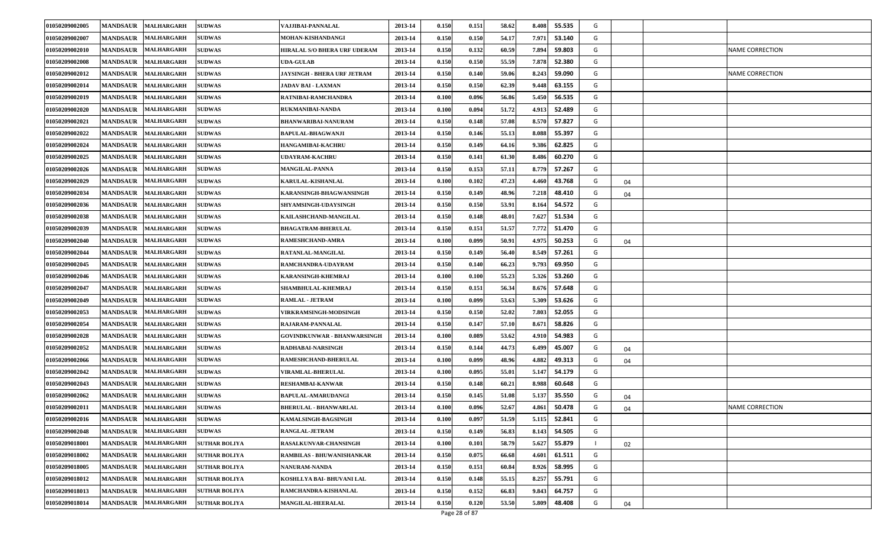| 01050209002005 | <b>MANDSAUR</b> | <b>MALHARGARH</b> | <b>SUDWAS</b>        | VAJJIBAI-PANNALAL                   | 2013-14 | 0.150 | 0.151           | 58.62 | 8.408 | 55.535 | G |    |                        |
|----------------|-----------------|-------------------|----------------------|-------------------------------------|---------|-------|-----------------|-------|-------|--------|---|----|------------------------|
| 01050209002007 | <b>MANDSAUR</b> | <b>MALHARGARH</b> | <b>SUDWAS</b>        | MOHAN-KISHANDANGI                   | 2013-14 | 0.150 | 0.150           | 54.17 | 7.971 | 53.140 | G |    |                        |
| 01050209002010 | <b>MANDSAUR</b> | <b>MALHARGARH</b> | <b>SUDWAS</b>        | <b>HIRALAL S/O BHERA URF UDERAM</b> | 2013-14 | 0.150 | 0.132           | 60.59 | 7.894 | 59.803 | G |    | <b>NAME CORRECTION</b> |
| 01050209002008 | <b>MANDSAUR</b> | <b>MALHARGARH</b> | <b>SUDWAS</b>        | <b>UDA-GULAB</b>                    | 2013-14 | 0.150 | 0.150           | 55.59 | 7.878 | 52.380 | G |    |                        |
| 01050209002012 | <b>MANDSAUR</b> | <b>MALHARGARH</b> | <b>SUDWAS</b>        | <b>JAYSINGH - BHERA URF JETRAM</b>  | 2013-14 | 0.150 | 0.140           | 59.06 | 8.243 | 59.090 | G |    | <b>NAME CORRECTION</b> |
| 01050209002014 | <b>MANDSAUR</b> | MALHARGARH        | <b>SUDWAS</b>        | <b>JADAV BAI - LAXMAN</b>           | 2013-14 | 0.150 | 0.150           | 62.39 | 9.448 | 63.155 | G |    |                        |
| 01050209002019 | <b>MANDSAUR</b> | <b>MALHARGARH</b> | <b>SUDWAS</b>        | RATNIBAI-RAMCHANDRA                 | 2013-14 | 0.100 | 0.096           | 56.86 | 5.450 | 56.535 | G |    |                        |
| 01050209002020 | <b>MANDSAUR</b> | <b>MALHARGARH</b> | <b>SUDWAS</b>        | RUKMANIBAI-NANDA                    | 2013-14 | 0.100 | 0.094           | 51.72 | 4.913 | 52.489 | G |    |                        |
| 01050209002021 | <b>MANDSAUR</b> | <b>MALHARGARH</b> | <b>SUDWAS</b>        | <b>BHANWARIBAI-NANURAM</b>          | 2013-14 | 0.150 | 0.148           | 57.08 | 8.570 | 57.827 | G |    |                        |
| 01050209002022 | <b>MANDSAUR</b> | <b>MALHARGARH</b> | <b>SUDWAS</b>        | <b>BAPULAL-BHAGWANJI</b>            | 2013-14 | 0.150 | 0.146           | 55.13 | 8.088 | 55.397 | G |    |                        |
| 01050209002024 | <b>MANDSAUR</b> | MALHARGARH        | <b>SUDWAS</b>        | HANGAMIBAI-KACHRU                   | 2013-14 | 0.150 | 0.149           | 64.16 | 9.386 | 62.825 | G |    |                        |
| 01050209002025 | <b>MANDSAUR</b> | <b>MALHARGARH</b> | <b>SUDWAS</b>        | <b>UDAYRAM-KACHRU</b>               | 2013-14 | 0.150 | 0.141           | 61.30 | 8.486 | 60.270 | G |    |                        |
| 01050209002026 | <b>MANDSAUR</b> | MALHARGARH        | <b>SUDWAS</b>        | <b>MANGILAL-PANNA</b>               | 2013-14 | 0.150 | 0.153           | 57.11 | 8.779 | 57.267 | G |    |                        |
| 01050209002029 | <b>MANDSAUR</b> | MALHARGARH        | <b>SUDWAS</b>        | KARULAL-KISHANLAL                   | 2013-14 | 0.100 | 0.102           | 47.23 | 4.460 | 43.768 | G | 04 |                        |
| 01050209002034 | <b>MANDSAUR</b> | <b>MALHARGARH</b> | <b>SUDWAS</b>        | KARANSINGH-BHAGWANSINGH             | 2013-14 | 0.150 | 0.149           | 48.96 | 7.218 | 48.410 | G | 04 |                        |
| 01050209002036 | <b>MANDSAUR</b> | <b>MALHARGARH</b> | <b>SUDWAS</b>        | <b>SHYAMSINGH-UDAYSINGH</b>         | 2013-14 | 0.150 | 0.150           | 53.91 | 8.16  | 54.572 | G |    |                        |
| 01050209002038 | <b>MANDSAUR</b> | <b>MALHARGARH</b> | <b>SUDWAS</b>        | KAILASHCHAND-MANGILAL               | 2013-14 | 0.150 | 0.148           | 48.01 | 7.627 | 51.534 | G |    |                        |
| 01050209002039 | <b>MANDSAUR</b> | MALHARGARH        | <b>SUDWAS</b>        | <b>BHAGATRAM-BHERULAL</b>           | 2013-14 | 0.150 | 0.151           | 51.57 | 7.772 | 51.470 | G |    |                        |
| 01050209002040 | <b>MANDSAUR</b> | <b>MALHARGARH</b> | <b>SUDWAS</b>        | RAMESHCHAND-AMRA                    | 2013-14 | 0.100 | 0.099           | 50.91 | 4.975 | 50.253 | G | 04 |                        |
| 01050209002044 | <b>MANDSAUR</b> | MALHARGARH        | <b>SUDWAS</b>        | RATANLAL-MANGILAL                   | 2013-14 | 0.150 | 0.149           | 56.40 | 8.549 | 57.261 | G |    |                        |
| 01050209002045 | <b>MANDSAUR</b> | <b>MALHARGARH</b> | <b>SUDWAS</b>        | RAMCHANDRA-UDAYRAM                  | 2013-14 | 0.150 | 0.140           | 66.23 | 9.793 | 69.950 | G |    |                        |
| 01050209002046 | <b>MANDSAUR</b> | <b>MALHARGARH</b> | <b>SUDWAS</b>        | KARANSINGH-KHEMRAJ                  | 2013-14 | 0.100 | 0.100           | 55.23 | 5.326 | 53.260 | G |    |                        |
| 01050209002047 | <b>MANDSAUR</b> | <b>MALHARGARH</b> | <b>SUDWAS</b>        | SHAMBHULAL-KHEMRAJ                  | 2013-14 | 0.150 | 0.151           | 56.34 | 8.676 | 57.648 | G |    |                        |
| 01050209002049 | <b>MANDSAUR</b> | <b>MALHARGARH</b> | <b>SUDWAS</b>        | <b>RAMLAL - JETRAM</b>              | 2013-14 | 0.100 | 0.099           | 53.63 | 5.309 | 53.626 | G |    |                        |
| 01050209002053 | <b>MANDSAUR</b> | <b>MALHARGARH</b> | <b>SUDWAS</b>        | <b>VIRKRAMSINGH-MODSINGH</b>        | 2013-14 | 0.150 | 0.150           | 52.02 | 7.803 | 52.055 | G |    |                        |
| 01050209002054 | <b>MANDSAUR</b> | <b>MALHARGARH</b> | <b>SUDWAS</b>        | RAJARAM-PANNALAL                    | 2013-14 | 0.150 | 0.147           | 57.10 | 8.671 | 58.826 | G |    |                        |
| 01050209002028 | <b>MANDSAUR</b> | <b>MALHARGARH</b> | <b>SUDWAS</b>        | <b>GOVINDKUNWAR - BHANWARSINGH</b>  | 2013-14 | 0.100 | 0.089           | 53.62 | 4.910 | 54.983 | G |    |                        |
| 01050209002052 | <b>MANDSAUR</b> | <b>MALHARGARH</b> | <b>SUDWAS</b>        | RADHABAI-NARSINGH                   | 2013-14 | 0.150 | 0.144           | 44.73 | 6.499 | 45.007 | G | 04 |                        |
| 01050209002066 | <b>MANDSAUR</b> | MALHARGARH        | <b>SUDWAS</b>        | RAMESHCHAND-BHERULAL                | 2013-14 | 0.100 | 0.099           | 48.96 | 4.882 | 49.313 | G | 04 |                        |
| 01050209002042 | <b>MANDSAUR</b> | <b>MALHARGARH</b> | <b>SUDWAS</b>        | VIRAMLAL-BHERULAL                   | 2013-14 | 0.100 | 0.095           | 55.01 | 5.147 | 54.179 | G |    |                        |
| 01050209002043 | <b>MANDSAUR</b> | MALHARGARH        | <b>SUDWAS</b>        | RESHAMBAI-KANWAR                    | 2013-14 | 0.150 | 0.148           | 60.21 | 8.988 | 60.648 | G |    |                        |
| 01050209002062 | <b>MANDSAUR</b> | <b>MALHARGARH</b> | <b>SUDWAS</b>        | <b>BAPULAL-AMARUDANGI</b>           | 2013-14 | 0.150 | 0.145           | 51.08 | 5.137 | 35.550 | G | 04 |                        |
| 01050209002011 | <b>MANDSAUR</b> | <b>MALHARGARH</b> | <b>SUDWAS</b>        | <b>BHERULAL - BHANWARLAL</b>        | 2013-14 | 0.100 | 0.096           | 52.67 | 4.861 | 50.478 | G | 04 | <b>NAME CORRECTION</b> |
| 01050209002016 | <b>MANDSAUR</b> | <b>MALHARGARH</b> | <b>SUDWAS</b>        | KAMALSINGH-BAGSINGH                 | 2013-14 | 0.100 | 0.097           | 51.59 | 5.115 | 52.841 | G |    |                        |
| 01050209002048 | <b>MANDSAUR</b> | <b>MALHARGARH</b> | <b>SUDWAS</b>        | <b>RANGLAL-JETRAM</b>               | 2013-14 | 0.150 | 0.149           | 56.83 | 8.143 | 54.505 | G |    |                        |
| 01050209018001 | <b>MANDSAUR</b> | <b>MALHARGARH</b> | <b>SUTHAR BOLIYA</b> | RASALKUNVAR-CHANSINGH               | 2013-14 | 0.100 | 0.101           | 58.79 | 5.627 | 55.879 |   | 02 |                        |
| 01050209018002 | <b>MANDSAUR</b> | <b>MALHARGARH</b> | <b>SUTHAR BOLIYA</b> | RAMBILAS - BHUWANISHANKAR           | 2013-14 | 0.150 | 0.075           | 66.68 | 4.601 | 61.511 | G |    |                        |
| 01050209018005 | <b>MANDSAUR</b> | <b>MALHARGARH</b> | <b>SUTHAR BOLIYA</b> | NANURAM-NANDA                       | 2013-14 | 0.150 | 0.151           | 60.84 | 8.926 | 58.995 | G |    |                        |
| 01050209018012 | <b>MANDSAUR</b> | <b>MALHARGARH</b> | <b>SUTHAR BOLIYA</b> | KOSHLLYA BAI- BHUVANI LAL           | 2013-14 | 0.150 | 0.148           | 55.15 | 8.257 | 55.791 | G |    |                        |
| 01050209018013 | <b>MANDSAUR</b> | <b>MALHARGARH</b> | <b>SUTHAR BOLIYA</b> | RAMCHANDRA-KISHANLAL                | 2013-14 | 0.150 | 0.152           | 66.83 | 9.843 | 64.757 | G |    |                        |
| 01050209018014 | <b>MANDSAUR</b> | <b>MALHARGARH</b> | <b>SUTHAR BOLIYA</b> | <b>MANGILAL-HEERALAL</b>            | 2013-14 | 0.150 | 0.120<br>$\sim$ | 53.50 | 5.809 | 48.408 | G | 04 |                        |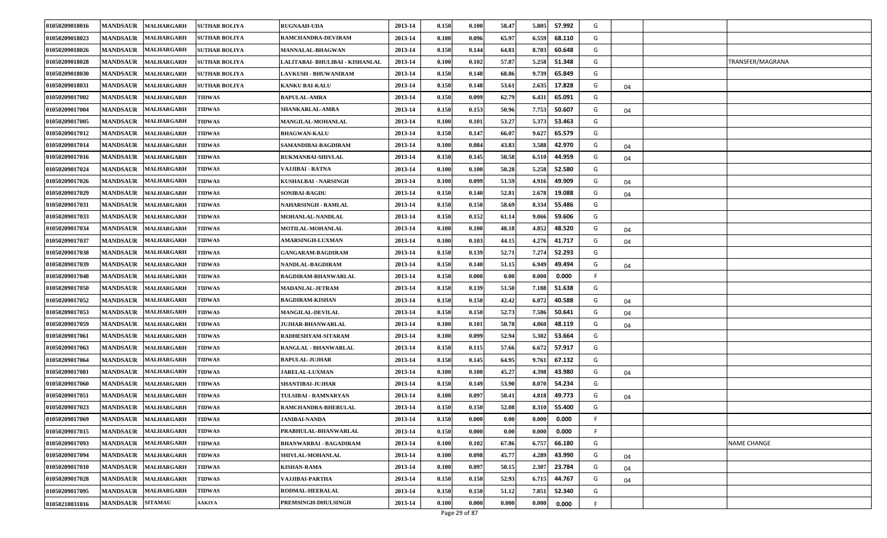| 01050209018016 | <b>MANDSAUR</b> | <b>MALHARGARH</b> | <b>SUTHAR BOLIYA</b> | <b>RUGNAAH-UDA</b>              | 2013-14 | 0.150 | 0.100               | 58.47 | 5.805 | 57.992 | G  |    |                    |
|----------------|-----------------|-------------------|----------------------|---------------------------------|---------|-------|---------------------|-------|-------|--------|----|----|--------------------|
| 01050209018023 | <b>MANDSAUR</b> | <b>MALHARGARH</b> | <b>SUTHAR BOLIYA</b> | RAMCHANDRA-DEVIRAM              | 2013-14 | 0.100 | 0.096               | 65.97 | 6.559 | 68.110 | G  |    |                    |
| 01050209018026 | <b>MANDSAUR</b> | <b>MALHARGARH</b> | <b>SUTHAR BOLIYA</b> | <b>MANNALAL-BHAGWAN</b>         | 2013-14 | 0.150 | 0.144               | 64.81 | 8.703 | 60.648 | G  |    |                    |
| 01050209018028 | <b>MANDSAUR</b> | <b>MALHARGARH</b> | <b>SUTHAR BOLIYA</b> | LALITABAI- BHULIBAI - KISHANLAL | 2013-14 | 0.100 | 0.102               | 57.87 | 5.258 | 51.348 | G  |    | TRANSFER/MAGRANA   |
| 01050209018030 | <b>MANDSAUR</b> | <b>MALHARGARH</b> | <b>SUTHAR BOLIYA</b> | LAVKUSH - BHUWANIRAM            | 2013-14 | 0.150 | 0.148               | 68.86 | 9.739 | 65.849 | G  |    |                    |
| 01050209018031 | <b>MANDSAUR</b> | <b>MALHARGARH</b> | <b>SUTHAR BOLIYA</b> | <b>KANKU BAI-KALU</b>           | 2013-14 | 0.150 | 0.148               | 53.61 | 2.635 | 17.828 | G  | 04 |                    |
| 01050209017002 | <b>MANDSAUR</b> | <b>MALHARGARH</b> | <b>TIDWAS</b>        | <b>BAPULAL-AMRA</b>             | 2013-14 | 0.150 | 0.099               | 62.79 | 6.431 | 65.091 | G  |    |                    |
| 01050209017004 | <b>MANDSAUR</b> | <b>MALHARGARH</b> | <b>TIDWAS</b>        | SHANKARLAL-AMRA                 | 2013-14 | 0.150 | 0.153               | 50.96 | 7.753 | 50.607 | G  | 04 |                    |
| 01050209017005 | <b>MANDSAUR</b> | <b>MALHARGARH</b> | <b>TIDWAS</b>        | MANGILAL-MOHANLAL               | 2013-14 | 0.100 | 0.101               | 53.27 | 5.373 | 53.463 | G  |    |                    |
| 01050209017012 | <b>MANDSAUR</b> | <b>MALHARGARH</b> | <b>TIDWAS</b>        | <b>BHAGWAN-KALU</b>             | 2013-14 | 0.150 | 0.147               | 66.07 | 9.627 | 65.579 | G  |    |                    |
| 01050209017014 | <b>MANDSAUR</b> | <b>MALHARGARH</b> | <b>TIDWAS</b>        | SAMANDIBAI-BAGDIRAM             | 2013-14 | 0.100 | 0.084               | 43.83 | 3.588 | 42.970 | G  | 04 |                    |
| 01050209017016 | <b>MANDSAUR</b> | <b>MALHARGARH</b> | <b>TIDWAS</b>        | <b>RUKMANBAI-SHIVLAL</b>        | 2013-14 | 0.150 | 0.145               | 50.58 | 6.510 | 44.959 | G  | 04 |                    |
| 01050209017024 | <b>MANDSAUR</b> | <b>MALHARGARH</b> | <b>TIDWAS</b>        | VAJJIBAI - RATNA                | 2013-14 | 0.100 | 0.100               | 50.28 | 5.258 | 52.580 | G  |    |                    |
| 01050209017026 | <b>MANDSAUR</b> | <b>MALHARGARH</b> | <b>TIDWAS</b>        | <b>KUSHALBAI - NARSINGH</b>     | 2013-14 | 0.100 | 0.099               | 51.59 | 4.916 | 49.909 | G  | 04 |                    |
| 01050209017029 | <b>MANDSAUR</b> | <b>MALHARGARH</b> | <b>TIDWAS</b>        | <b>SONIBAI-BAGDU</b>            | 2013-14 | 0.150 | 0.140               | 52.81 | 2.678 | 19.088 | G  | 04 |                    |
| 01050209017031 | <b>MANDSAUR</b> | <b>MALHARGARH</b> | <b>TIDWAS</b>        | <b>NAHARSINGH - RAMLAL</b>      | 2013-14 | 0.150 | 0.150               | 58.69 | 8.334 | 55.486 | G  |    |                    |
| 01050209017033 | <b>MANDSAUR</b> | <b>MALHARGARH</b> | <b>TIDWAS</b>        | MOHANLAL-NANDLAL                | 2013-14 | 0.150 | 0.152               | 61.14 | 9.066 | 59.606 | G  |    |                    |
| 01050209017034 | <b>MANDSAUR</b> | <b>MALHARGARH</b> | <b>TIDWAS</b>        | MOTILAL-MOHANLAL                | 2013-14 | 0.100 | 0.100               | 48.18 | 4.852 | 48.520 | G  | 04 |                    |
| 01050209017037 | <b>MANDSAUR</b> | <b>MALHARGARH</b> | <b>TIDWAS</b>        | <b>AMARSINGH-LUXMAN</b>         | 2013-14 | 0.100 | 0.103               | 44.15 | 4.276 | 41.717 | G  | 04 |                    |
| 01050209017038 | <b>MANDSAUR</b> | <b>MALHARGARH</b> | <b>TIDWAS</b>        | <b>GANGARAM-BAGDIRAM</b>        | 2013-14 | 0.150 | 0.139               | 52.71 | 7.274 | 52.293 | G  |    |                    |
| 01050209017039 | <b>MANDSAUR</b> | <b>MALHARGARH</b> | <b>TIDWAS</b>        | NANDLAL-BAGDIRAM                | 2013-14 | 0.150 | 0.140               | 51.15 | 6.949 | 49.494 | G  | 04 |                    |
| 01050209017048 | <b>MANDSAUR</b> | <b>MALHARGARH</b> | <b>TIDWAS</b>        | <b>BAGDIRAM-BHANWARLAL</b>      | 2013-14 | 0.150 | 0.000               | 0.00  | 0.000 | 0.000  | F. |    |                    |
| 01050209017050 | <b>MANDSAUR</b> | <b>MALHARGARH</b> | <b>TIDWAS</b>        | <b>MADANLAL-JETRAM</b>          | 2013-14 | 0.150 | 0.139               | 51.50 | 7.188 | 51.638 | G  |    |                    |
| 01050209017052 | <b>MANDSAUR</b> | <b>MALHARGARH</b> | <b>TIDWAS</b>        | <b>BAGDIRAM-KISHAN</b>          | 2013-14 | 0.150 | 0.150               | 42.42 | 6.072 | 40.588 | G  | 04 |                    |
| 01050209017053 | <b>MANDSAUR</b> | <b>MALHARGARH</b> | <b>TIDWAS</b>        | <b>MANGILAL-DEVILAL</b>         | 2013-14 | 0.150 | 0.150               | 52.73 | 7.586 | 50.641 | G  | 04 |                    |
| 01050209017059 | <b>MANDSAUR</b> | <b>MALHARGARH</b> | <b>TIDWAS</b>        | <b>JUJHAR-BHANWARLAL</b>        | 2013-14 | 0.100 | 0.101               | 50.78 | 4.860 | 48.119 | G  | 04 |                    |
| 01050209017061 | <b>MANDSAUR</b> | <b>MALHARGARH</b> | <b>TIDWAS</b>        | RADHESHYAM-SITARAM              | 2013-14 | 0.100 | 0.099               | 52.94 | 5.302 | 53.664 | G  |    |                    |
| 01050209017063 | <b>MANDSAUR</b> | <b>MALHARGARH</b> | <b>TIDWAS</b>        | RANGLAL - BHANWARLAL            | 2013-14 | 0.150 | 0.115               | 57.66 | 6.672 | 57.917 | G  |    |                    |
| 01050209017064 | <b>MANDSAUR</b> | <b>MALHARGARH</b> | <b>TIDWAS</b>        | <b>BAPULAL-JUJHAR</b>           | 2013-14 | 0.150 | 0.145               | 64.95 | 9.761 | 67.132 | G  |    |                    |
| 01050209017081 | <b>MANDSAUR</b> | <b>MALHARGARH</b> | <b>TIDWAS</b>        | <b>JARELAL-LUXMAN</b>           | 2013-14 | 0.100 | 0.100               | 45.27 | 4.398 | 43.980 | G  | 04 |                    |
| 01050209017060 | <b>MANDSAUR</b> | <b>MALHARGARH</b> | <b>TIDWAS</b>        | <b>SHANTIBAI-JUJHAR</b>         | 2013-14 | 0.150 | 0.149               | 53.90 | 8.070 | 54.234 | G  |    |                    |
| 01050209017051 | <b>MANDSAUR</b> | <b>MALHARGARH</b> | <b>TIDWAS</b>        | TULSIBAI - RAMNARYAN            | 2013-14 | 0.100 | 0.097               | 50.41 | 4.818 | 49.773 | G  | 04 |                    |
| 01050209017023 | <b>MANDSAUR</b> | <b>MALHARGARH</b> | <b>TIDWAS</b>        | <b>RAMCHANDRA-BHERULAL</b>      | 2013-14 | 0.150 | 0.150               | 52.08 | 8.310 | 55.400 | G  |    |                    |
| 01050209017069 | <b>MANDSAUR</b> | <b>MALHARGARH</b> | <b>TIDWAS</b>        | <b>JANIBAI-NANDA</b>            | 2013-14 | 0.150 | 0.000               | 0.00  | 0.000 | 0.000  |    |    |                    |
| 01050209017015 | <b>MANDSAUR</b> | <b>MALHARGARH</b> | <b>TIDWAS</b>        | PRABHULAL-BHANWARLAL            | 2013-14 | 0.150 | 0.000               | 0.00  | 0.000 | 0.000  | F. |    |                    |
| 01050209017093 | <b>MANDSAUR</b> | <b>MALHARGARH</b> | <b>TIDWAS</b>        | <b>BHANWARBAI - BAGADIRAM</b>   | 2013-14 | 0.100 | 0.102               | 67.86 | 6.757 | 66.180 | G  |    | <b>NAME CHANGE</b> |
| 01050209017094 | <b>MANDSAUR</b> | <b>MALHARGARH</b> | <b>TIDWAS</b>        | SHIVLAL-MOHANLAL                | 2013-14 | 0.100 | 0.098               | 45.77 | 4.289 | 43.990 | G  | 04 |                    |
| 01050209017010 | <b>MANDSAUR</b> | <b>MALHARGARH</b> | <b>TIDWAS</b>        | <b>KISHAN-RAMA</b>              | 2013-14 | 0.100 | 0.097               | 50.15 | 2.307 | 23.784 | G  | 04 |                    |
| 01050209017028 | <b>MANDSAUR</b> | <b>MALHARGARH</b> | <b>TIDWAS</b>        | VAJJIBAI-PARTHA                 | 2013-14 | 0.150 | 0.150               | 52.93 | 6.715 | 44.767 | G  | 04 |                    |
| 01050209017095 | <b>MANDSAUR</b> | <b>MALHARGARH</b> | <b>TIDWAS</b>        | RODMAL-HEERALAL                 | 2013-14 | 0.150 | 0.150               | 51.12 | 7.851 | 52.340 | G  |    |                    |
| 01050210031016 | <b>MANDSAUR</b> | <b>SITAMAU</b>    | <b>AAKIYA</b>        | PREMSINGH-DHULSINGH             | 2013-14 | 0.100 | 0.000<br>$20 - 507$ | 0.000 | 0.000 | 0.000  |    |    |                    |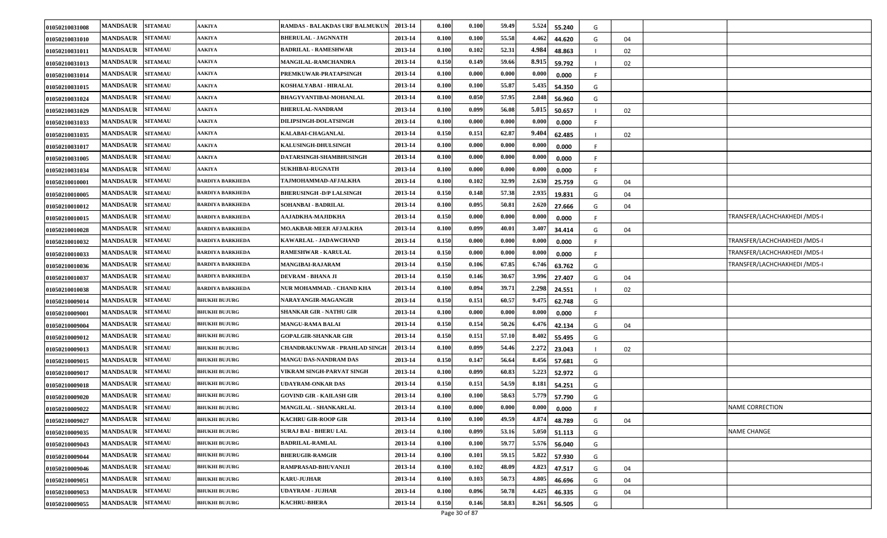| 01050210031008        | <b>MANDSAUR</b> | <b>SITAMAU</b> | <b>AAKIYA</b>           | <b>RAMDAS - BALAKDAS URF BALMUKUN</b> | 2013-14 | 0.100 | 0.100 | 59.49 | 5.524<br>55.240 | G  |    |                              |
|-----------------------|-----------------|----------------|-------------------------|---------------------------------------|---------|-------|-------|-------|-----------------|----|----|------------------------------|
| 01050210031010        | <b>MANDSAUR</b> | <b>SITAMAU</b> | AAKIYA                  | <b>BHERULAL - JAGNNATH</b>            | 2013-14 | 0.100 | 0.100 | 55.58 | 4.462<br>44.620 | G  | 04 |                              |
| 01050210031011        | <b>MANDSAUR</b> | <b>SITAMAU</b> | <b>AAKIYA</b>           | <b>BADRILAL - RAMESHWAR</b>           | 2013-14 | 0.100 | 0.102 | 52.31 | 4.984<br>48.863 |    | 02 |                              |
| <b>01050210031013</b> | <b>MANDSAUR</b> | <b>SITAMAU</b> | AAKIYA                  | <b>MANGILAL-RAMCHANDRA</b>            | 2013-14 | 0.150 | 0.149 | 59.66 | 8.915<br>59.792 |    | 02 |                              |
| 01050210031014        | <b>MANDSAUR</b> | <b>SITAMAU</b> | <b>AAKIYA</b>           | PREMKUWAR-PRATAPSINGH                 | 2013-14 | 0.100 | 0.000 | 0.000 | 0.00<br>0.000   | F. |    |                              |
| 01050210031015        | <b>MANDSAUR</b> | <b>SITAMAU</b> | <b>AAKIYA</b>           | KOSHALYABAI - HIRALAL                 | 2013-14 | 0.100 | 0.100 | 55.87 | 5.435<br>54.350 | G  |    |                              |
| 01050210031024        | <b>MANDSAUR</b> | <b>SITAMAU</b> | <b>AAKIYA</b>           | <b>BHAGYVANTIBAI-MOHANLAL</b>         | 2013-14 | 0.100 | 0.050 | 57.95 | 2.848<br>56.960 | G  |    |                              |
| 01050210031029        | <b>MANDSAUR</b> | <b>SITAMAU</b> | AAKIYA                  | <b>BHERULAL-NANDRAM</b>               | 2013-14 | 0.100 | 0.099 | 56.08 | 5.015<br>50.657 |    | 02 |                              |
| 01050210031033        | <b>MANDSAUR</b> | <b>SITAMAU</b> | <b>AAKIYA</b>           | <b>DILIPSINGH-DOLATSINGH</b>          | 2013-14 | 0.100 | 0.000 | 0.000 | 0.00<br>0.000   |    |    |                              |
| 01050210031035        | <b>MANDSAUR</b> | <b>SITAMAU</b> | AAKIYA                  | KALABAI-CHAGANLAL                     | 2013-14 | 0.150 | 0.151 | 62.87 | 9.404<br>62.485 |    | 02 |                              |
| 01050210031017        | <b>MANDSAUR</b> | <b>SITAMAU</b> | <b>AAKIYA</b>           | KALUSINGH-DHULSINGH                   | 2013-14 | 0.100 | 0.000 | 0.000 | 0.000<br>0.000  |    |    |                              |
| 01050210031005        | <b>MANDSAUR</b> | <b>SITAMAU</b> | <b>AAKIYA</b>           | DATARSINGH-SHAMBHUSINGH               | 2013-14 | 0.100 | 0.000 | 0.000 | 0.00<br>0.000   |    |    |                              |
| 01050210031034        | <b>MANDSAUR</b> | <b>SITAMAU</b> | <b>AAKIYA</b>           | <b>SUKHIBAI-RUGNATH</b>               | 2013-14 | 0.100 | 0.000 | 0.000 | 0.00<br>0.000   |    |    |                              |
| 01050210010001        | <b>MANDSAUR</b> | <b>SITAMAU</b> | <b>BARDIYA BARKHEDA</b> | TAJMOHAMMAD-AFJALKHA                  | 2013-14 | 0.100 | 0.102 | 32.99 | 2.630<br>25.759 | G  | 04 |                              |
| 01050210010005        | <b>MANDSAUR</b> | <b>SITAMAU</b> | BARDIYA BARKHEDA        | <b>BHERUSINGH - D/P LALSINGH</b>      | 2013-14 | 0.150 | 0.148 | 57.38 | 2.935<br>19.831 | G  | 04 |                              |
| 01050210010012        | <b>MANDSAUR</b> | <b>SITAMAU</b> | <b>BARDIYA BARKHEDA</b> | SOHANBAI - BADRILAL                   | 2013-14 | 0.100 | 0.095 | 50.81 | 2.62<br>27.666  | G  | 04 |                              |
| 01050210010015        | <b>MANDSAUR</b> | <b>SITAMAU</b> | <b>BARDIYA BARKHEDA</b> | AAJADKHA-MAJIDKHA                     | 2013-14 | 0.150 | 0.000 | 0.000 | 0.000<br>0.000  |    |    | TRANSFER/LACHCHAKHEDI /MDS-I |
| 01050210010028        | <b>MANDSAUR</b> | <b>SITAMAU</b> | <b>BARDIYA BARKHEDA</b> | MO.AKBAR-MEER AFJALKHA                | 2013-14 | 0.100 | 0.099 | 40.01 | 3.40<br>34.414  | G  | 04 |                              |
| 01050210010032        | <b>MANDSAUR</b> | <b>SITAMAU</b> | BARDIYA BARKHEDA        | KAWARLAL - JADAWCHAND                 | 2013-14 | 0.150 | 0.000 | 0.000 | 0.00<br>0.000   |    |    | TRANSFER/LACHCHAKHEDI /MDS-I |
| 01050210010033        | <b>MANDSAUR</b> | <b>SITAMAU</b> | BARDIYA BARKHEDA        | <b>RAMESHWAR - KARULAL</b>            | 2013-14 | 0.150 | 0.000 | 0.000 | 0.00<br>0.000   |    |    | TRANSFER/LACHCHAKHEDI /MDS-I |
| 01050210010036        | <b>MANDSAUR</b> | <b>SITAMAU</b> | BARDIYA BARKHEDA        | <b>MANGIBAI-RAJARAM</b>               | 2013-14 | 0.150 | 0.106 | 67.85 | 6.746<br>63.762 | G  |    | TRANSFER/LACHCHAKHEDI /MDS-I |
| 01050210010037        | <b>MANDSAUR</b> | <b>SITAMAU</b> | <b>BARDIYA BARKHEDA</b> | <b>DEVRAM - BHANA JI</b>              | 2013-14 | 0.150 | 0.146 | 30.67 | 3.996<br>27.407 | G  | 04 |                              |
| 01050210010038        | <b>MANDSAUR</b> | <b>SITAMAU</b> | BARDIYA BARKHEDA        | NUR MOHAMMAD. - CHAND KHA             | 2013-14 | 0.100 | 0.094 | 39.71 | 2.298<br>24.551 |    | 02 |                              |
| 01050210009014        | <b>MANDSAUR</b> | <b>SITAMAU</b> | <b>BHUKHI BUJURG</b>    | NARAYANGIR-MAGANGIR                   | 2013-14 | 0.150 | 0.151 | 60.57 | 9.475<br>62.748 | G  |    |                              |
| <b>01050210009001</b> | <b>MANDSAUR</b> | <b>SITAMAU</b> | <b>BHUKHI BUJURG</b>    | <b>SHANKAR GIR - NATHU GIR</b>        | 2013-14 | 0.100 | 0.000 | 0.000 | 0.000<br>0.000  |    |    |                              |
| 01050210009004        | <b>MANDSAUR</b> | <b>SITAMAU</b> | <b>BHUKHI BUJURG</b>    | <b>MANGU-RAMA BALAI</b>               | 2013-14 | 0.150 | 0.154 | 50.26 | 6.476<br>42.134 | G  | 04 |                              |
| 01050210009012        | <b>MANDSAUR</b> | <b>SITAMAU</b> | <b>BHUKHI BUJURG</b>    | GOPALGIR-SHANKAR GIR                  | 2013-14 | 0.150 | 0.151 | 57.10 | 8.402<br>55.495 | G  |    |                              |
| 01050210009013        | <b>MANDSAUR</b> | <b>SITAMAU</b> | <b>BHUKHI BUJURG</b>    | CHANDRAKUNWAR - PRAHLAD SINGH         | 2013-14 | 0.100 | 0.099 | 54.46 | 2.272<br>23.043 |    | 02 |                              |
| 01050210009015        | <b>MANDSAUR</b> | <b>SITAMAU</b> | <b>BHUKHI BUJURG</b>    | <b>MANGU DAS-NANDRAM DAS</b>          | 2013-14 | 0.150 | 0.147 | 56.64 | 8.456<br>57.681 | G  |    |                              |
| 01050210009017        | <b>MANDSAUR</b> | <b>SITAMAU</b> | <b>BHUKHI BUJURG</b>    | VIKRAM SINGH-PARVAT SINGH             | 2013-14 | 0.100 | 0.099 | 60.83 | 5.223<br>52.972 | G  |    |                              |
| 01050210009018        | <b>MANDSAUR</b> | <b>SITAMAU</b> | <b>BHUKHI BUJURG</b>    | UDAYRAM-ONKAR DAS                     | 2013-14 | 0.150 | 0.151 | 54.59 | 8.181<br>54.251 | G  |    |                              |
| 01050210009020        | <b>MANDSAUR</b> | <b>SITAMAU</b> | <b>BHUKHI BUJURG</b>    | GOVIND GIR - KAILASH GIR              | 2013-14 | 0.100 | 0.100 | 58.63 | 5.779<br>57.790 | G  |    |                              |
| 01050210009022        | <b>MANDSAUR</b> | <b>SITAMAU</b> | <b>BHUKHI BUJURG</b>    | MANGILAL - SHANKARLAL                 | 2013-14 | 0.100 | 0.000 | 0.000 | 0.000<br>0.000  |    |    | <b>NAME CORRECTION</b>       |
| 01050210009027        | <b>MANDSAUR</b> | <b>SITAMAU</b> | <b>BHUKHI BUJURG</b>    | <b>KACHRU GIR-ROOP GIR</b>            | 2013-14 | 0.100 | 0.100 | 49.59 | 4.874<br>48.789 | G  | 04 |                              |
| 01050210009035        | <b>MANDSAUR</b> | <b>SITAMAU</b> | <b>BHUKHI BUJURG</b>    | <b>SURAJ BAI - BHERU LAL</b>          | 2013-14 | 0.100 | 0.099 | 53.16 | 5.050<br>51.113 | G  |    | NAME CHANGE                  |
| 01050210009043        | <b>MANDSAUR</b> | <b>SITAMAU</b> | <b>BHUKHI BUJURG</b>    | <b>BADRILAL-RAMLAL</b>                | 2013-14 | 0.100 | 0.100 | 59.77 | 5.576<br>56.040 | G  |    |                              |
| 01050210009044        | <b>MANDSAUR</b> | <b>SITAMAU</b> | <b>BHUKHI BUJURG</b>    | <b>BHERUGIR-RAMGIR</b>                | 2013-14 | 0.100 | 0.101 | 59.15 | 5.822<br>57.930 | G  |    |                              |
| 01050210009046        | <b>MANDSAUR</b> | <b>SITAMAU</b> | <b>BHUKHI BUJURG</b>    | RAMPRASAD-BHUVANIJI                   | 2013-14 | 0.100 | 0.102 | 48.09 | 4.823<br>47.517 | G  | 04 |                              |
| 01050210009051        | <b>MANDSAUR</b> | <b>SITAMAU</b> | <b>BHUKHI BUJURG</b>    | <b>KARU-JUJHAR</b>                    | 2013-14 | 0.100 | 0.103 | 50.73 | 4.80<br>46.696  | G  | 04 |                              |
| 01050210009053        | <b>MANDSAUR</b> | <b>SITAMAU</b> | <b>BHUKHI BUJURG</b>    | UDAYRAM - JUJHAR                      | 2013-14 | 0.100 | 0.096 | 50.78 | 4.425<br>46.335 | G  | 04 |                              |
| 01050210009055        | <b>MANDSAUR</b> | <b>SITAMAU</b> | <b>BHUKHI BUJURG</b>    | <b>KACHRU-BHERA</b>                   | 2013-14 | 0.150 | 0.146 | 58.83 | 8.261<br>56.505 | G  |    |                              |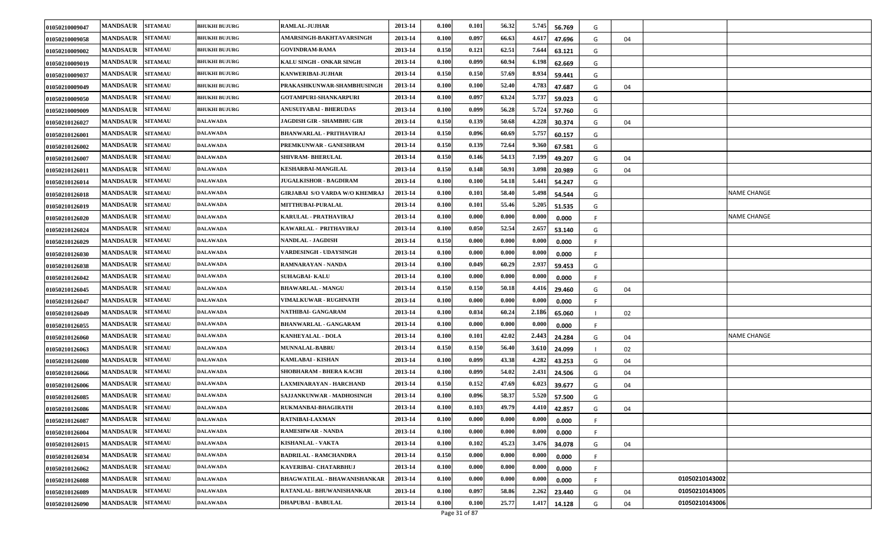| 01050210009047 | <b>MANDSAUR</b> | <b>SITAMAU</b> | <b>BHUKHI BUJURG</b> | <b>RAMLAL-JUJHAR</b>                | 2013-14 | 0.100 | 0.101 | 56.32 | 5.745<br>56.769 | G  |                      |                    |
|----------------|-----------------|----------------|----------------------|-------------------------------------|---------|-------|-------|-------|-----------------|----|----------------------|--------------------|
| 01050210009058 | <b>MANDSAUR</b> | <b>SITAMAU</b> | <b>BHUKHI BUJURG</b> | AMARSINGH-BAKHTAVARSINGH            | 2013-14 | 0.100 | 0.097 | 66.63 | 4.617<br>47.696 | G  | 04                   |                    |
| 01050210009002 | <b>MANDSAUR</b> | <b>SITAMAU</b> | <b>BHUKHI BUJURG</b> | <b>GOVINDRAM-RAMA</b>               | 2013-14 | 0.150 | 0.121 | 62.51 | 7.644<br>63.121 | G  |                      |                    |
| 01050210009019 | <b>MANDSAUR</b> | <b>SITAMAU</b> | <b>BHUKHI BUJURG</b> | KALU SINGH - ONKAR SINGH            | 2013-14 | 0.100 | 0.099 | 60.94 | 6.198<br>62.669 | G  |                      |                    |
| 01050210009037 | <b>MANDSAUR</b> | <b>SITAMAU</b> | <b>BHUKHI BUJURG</b> | KANWERIBAI-JUJHAR                   | 2013-14 | 0.150 | 0.150 | 57.69 | 8.934<br>59.441 | G  |                      |                    |
| 01050210009049 | <b>MANDSAUR</b> | <b>SITAMAU</b> | <b>BHUKHI BUJURG</b> | PRAKASHKUNWAR-SHAMBHUSINGH          | 2013-14 | 0.100 | 0.100 | 52.40 | 4.783<br>47.687 | G  | 04                   |                    |
| 01050210009050 | <b>MANDSAUR</b> | <b>SITAMAU</b> | <b>BHUKHI BUJURG</b> | GOTAMPURI-SHANKARPURI               | 2013-14 | 0.100 | 0.097 | 63.24 | 5.737<br>59.023 | G  |                      |                    |
| 01050210009009 | <b>MANDSAUR</b> | <b>SITAMAU</b> | <b>BHUKHI BUJURG</b> | ANUSUIYABAI - BHERUDAS              | 2013-14 | 0.100 | 0.099 | 56.28 | 5.724<br>57.760 | G  |                      |                    |
| 01050210126027 | <b>MANDSAUR</b> | <b>SITAMAU</b> | <b>DALAWADA</b>      | JAGDISH GIR - SHAMBHU GIR           | 2013-14 | 0.150 | 0.139 | 50.68 | 4.228<br>30.374 | G  | 04                   |                    |
| 01050210126001 | <b>MANDSAUR</b> | <b>SITAMAU</b> | <b>DALAWADA</b>      | <b>BHANWARLAL - PRITHAVIRAJ</b>     | 2013-14 | 0.150 | 0.096 | 60.69 | 5.757<br>60.157 | G  |                      |                    |
| 01050210126002 | <b>MANDSAUR</b> | <b>SITAMAU</b> | <b>DALAWADA</b>      | PREMKUNWAR - GANESHRAM              | 2013-14 | 0.150 | 0.139 | 72.64 | 9.360<br>67.581 | G  |                      |                    |
| 01050210126007 | <b>MANDSAUR</b> | <b>SITAMAU</b> | <b>DALAWADA</b>      | <b>SHIVRAM- BHERULAL</b>            | 2013-14 | 0.150 | 0.146 | 54.13 | 7.199<br>49.207 | G  | 04                   |                    |
| 01050210126011 | <b>MANDSAUR</b> | <b>SITAMAU</b> | <b>DALAWADA</b>      | KESHARBAI-MANGILAL                  | 2013-14 | 0.150 | 0.148 | 50.91 | 3.098<br>20.989 | G  | 04                   |                    |
| 01050210126014 | <b>MANDSAUR</b> | <b>SITAMAU</b> | <b>DALAWADA</b>      | <b>JUGALKISHOR - BAGDIRAM</b>       | 2013-14 | 0.100 | 0.100 | 54.18 | 5.441<br>54.247 | G  |                      |                    |
| 01050210126018 | <b>MANDSAUR</b> | <b>SITAMAU</b> | <b>DALAWADA</b>      | GIRJABAI S/O VARDA W/O KHEMRAJ      | 2013-14 | 0.100 | 0.101 | 58.40 | 5.498<br>54.544 | G  |                      | NAME CHANGE        |
| 01050210126019 | <b>MANDSAUR</b> | <b>SITAMAU</b> | <b>DALAWADA</b>      | <b>MITTHUBAI-PURALAL</b>            | 2013-14 | 0.100 | 0.101 | 55.46 | 5.205<br>51.535 | G  |                      |                    |
| 01050210126020 | <b>MANDSAUR</b> | <b>SITAMAU</b> | <b>DALAWADA</b>      | KARULAL - PRATHAVIRAJ               | 2013-14 | 0.100 | 0.000 | 0.000 | 0.000<br>0.000  |    |                      | NAME CHANGE        |
| 01050210126024 | <b>MANDSAUR</b> | <b>SITAMAU</b> | <b>DALAWADA</b>      | KAWARLAL - PRITHAVIRAJ              | 2013-14 | 0.100 | 0.050 | 52.54 | 2.657<br>53.140 | G  |                      |                    |
| 01050210126029 | <b>MANDSAUR</b> | <b>SITAMAU</b> | <b>DALAWADA</b>      | NANDLAL - JAGDISH                   | 2013-14 | 0.150 | 0.000 | 0.000 | 0.000<br>0.000  |    |                      |                    |
| 01050210126030 | <b>MANDSAUR</b> | <b>SITAMAU</b> | <b>DALAWADA</b>      | <b>VARDESINGH - UDAYSINGH</b>       | 2013-14 | 0.100 | 0.000 | 0.000 | 0.00<br>0.000   |    |                      |                    |
| 01050210126038 | <b>MANDSAUR</b> | <b>SITAMAU</b> | <b>DALAWADA</b>      | RAMNARAYAN - NANDA                  | 2013-14 | 0.100 | 0.049 | 60.29 | 2.937<br>59.453 | G  |                      |                    |
| 01050210126042 | <b>MANDSAUR</b> | <b>SITAMAU</b> | <b>DALAWADA</b>      | <b>SUHAGBAI-KALU</b>                | 2013-14 | 0.100 | 0.000 | 0.000 | 0.000<br>0.000  |    |                      |                    |
| 01050210126045 | <b>MANDSAUR</b> | <b>SITAMAU</b> | <b>DALAWADA</b>      | <b>BHAWARLAL - MANGU</b>            | 2013-14 | 0.150 | 0.150 | 50.18 | 4.41<br>29.460  | G  | 04                   |                    |
| 01050210126047 | <b>MANDSAUR</b> | <b>SITAMAU</b> | <b>DALAWADA</b>      | <b>VIMALKUWAR - RUGHNATH</b>        | 2013-14 | 0.100 | 0.000 | 0.000 | 0.00<br>0.000   | F. |                      |                    |
| 01050210126049 | <b>MANDSAUR</b> | <b>SITAMAU</b> | <b>DALAWADA</b>      | <b>NATHIBAI- GANGARAM</b>           | 2013-14 | 0.100 | 0.034 | 60.24 | 2.186<br>65.060 |    | 02                   |                    |
| 01050210126055 | <b>MANDSAUR</b> | <b>SITAMAU</b> | <b>DALAWADA</b>      | <b>BHANWARLAL - GANGARAM</b>        | 2013-14 | 0.100 | 0.000 | 0.000 | 0.00<br>0.000   |    |                      |                    |
| 01050210126060 | <b>MANDSAUR</b> | <b>SITAMAU</b> | DALAWADA             | <b>KANHEYALAL - DOLA</b>            | 2013-14 | 0.100 | 0.101 | 42.02 | 2.443<br>24.284 | G  | 04                   | <b>NAME CHANGE</b> |
| 01050210126063 | <b>MANDSAUR</b> | <b>SITAMAU</b> | <b>DALAWADA</b>      | <b>MUNNALAL-BABRU</b>               | 2013-14 | 0.150 | 0.150 | 56.40 | 3.610<br>24.099 |    | 02                   |                    |
| 01050210126080 | <b>MANDSAUR</b> | <b>SITAMAU</b> | <b>DALAWADA</b>      | KAMLABAI - KISHAN                   | 2013-14 | 0.100 | 0.099 | 43.38 | 4.282<br>43.253 | G  | 04                   |                    |
| 01050210126066 | <b>MANDSAUR</b> | <b>SITAMAU</b> | <b>DALAWADA</b>      | SHOBHARAM - BHERA KACHI             | 2013-14 | 0.100 | 0.099 | 54.02 | 2.431<br>24.506 | G  | 04                   |                    |
| 01050210126006 | <b>MANDSAUR</b> | <b>SITAMAU</b> | <b>DALAWADA</b>      | LAXMINARAYAN - HARCHAND             | 2013-14 | 0.150 | 0.152 | 47.69 | 6.023<br>39.677 | G  | 04                   |                    |
| 01050210126085 | <b>MANDSAUR</b> | <b>SITAMAU</b> | <b>DALAWADA</b>      | SAJJANKUNWAR - MADHOSINGH           | 2013-14 | 0.100 | 0.096 | 58.37 | 5.520<br>57.500 | G  |                      |                    |
| 01050210126086 | <b>MANDSAUR</b> | <b>SITAMAU</b> | <b>DALAWADA</b>      | RUKMANBAI-BHAGIRATH                 | 2013-14 | 0.100 | 0.103 | 49.79 | 4.410<br>42.857 | G  | 04                   |                    |
| 01050210126087 | <b>MANDSAUR</b> | <b>SITAMAU</b> | <b>DALAWADA</b>      | RATNIBAI-LAXMAN                     | 2013-14 | 0.100 | 0.000 | 0.000 | 0.000<br>0.000  |    |                      |                    |
| 01050210126004 | <b>MANDSAUR</b> | <b>SITAMAU</b> | <b>DALAWADA</b>      | RAMESHWAR - NANDA                   | 2013-14 | 0.100 | 0.000 | 0.000 | 0.000<br>0.000  |    |                      |                    |
| 01050210126015 | <b>MANDSAUR</b> | <b>SITAMAU</b> | <b>DALAWADA</b>      | KISHANLAL - VAKTA                   | 2013-14 | 0.100 | 0.102 | 45.23 | 3.476<br>34.078 | G  | 04                   |                    |
| 01050210126034 | <b>MANDSAUR</b> | <b>SITAMAU</b> | <b>DALAWADA</b>      | <b>BADRILAL - RAMCHANDRA</b>        | 2013-14 | 0.150 | 0.000 | 0.000 | 0.000<br>0.000  |    |                      |                    |
| 01050210126062 | <b>MANDSAUR</b> | <b>SITAMAU</b> | <b>DALAWADA</b>      | KAVERIBAI- CHATARBHUJ               | 2013-14 | 0.100 | 0.000 | 0.000 | 0.000<br>0.000  |    |                      |                    |
| 01050210126088 | <b>MANDSAUR</b> | <b>SITAMAU</b> | <b>DALAWADA</b>      | <b>BHAGWATILAL - BHAWANISHANKAR</b> | 2013-14 | 0.100 | 0.000 | 0.000 | 0.00<br>0.000   |    | 01050210143002       |                    |
| 01050210126089 | <b>MANDSAUR</b> | <b>SITAMAU</b> | <b>DALAWADA</b>      | RATANLAL-BHUWANISHANKAR             | 2013-14 | 0.100 | 0.097 | 58.86 | 2.262<br>23.440 | G  | 01050210143005<br>04 |                    |
| 01050210126090 | <b>MANDSAUR</b> | <b>SITAMAU</b> | <b>DALAWADA</b>      | <b>DHAPUBAI - BABULAL</b>           | 2013-14 | 0.100 | 0.100 | 25.77 | 1.417<br>14.128 | G  | 01050210143006<br>04 |                    |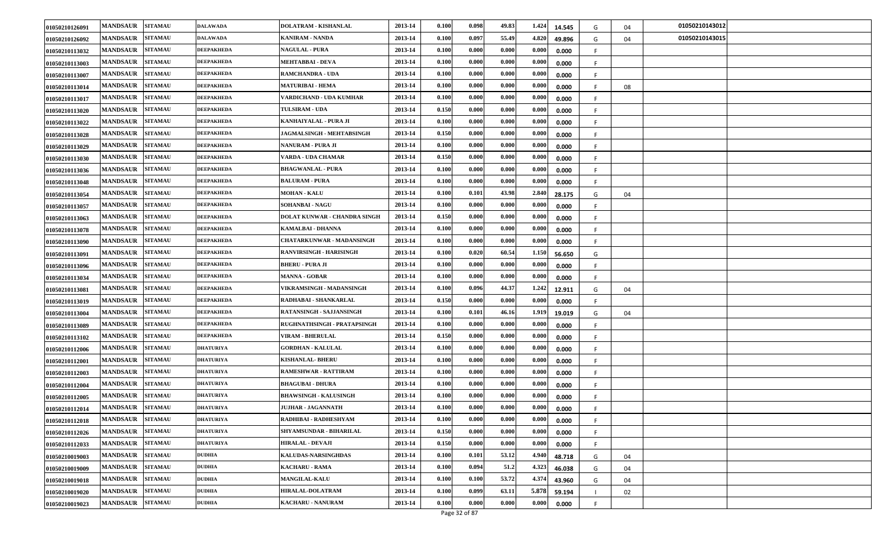| 01050210126091 | <b>MANDSAUR</b>  | <b>SITAMAU</b> | <b>DALAWADA</b>   | DOLATRAM - KISHANLAL             | 2013-14 | 0.100           | 0.098           | 49.83 | 1.424<br>14.545 | G   | 01050210143012<br>04 |  |
|----------------|------------------|----------------|-------------------|----------------------------------|---------|-----------------|-----------------|-------|-----------------|-----|----------------------|--|
| 01050210126092 | <b>MANDSAUR</b>  | <b>SITAMAU</b> | <b>DALAWADA</b>   | KANIRAM - NANDA                  | 2013-14 | 0.100           | 0.097           | 55.49 | 4.820<br>49.896 | G   | 01050210143015<br>04 |  |
| 01050210113032 | <b>MANDSAUR</b>  | <b>SITAMAU</b> | <b>DEEPAKHEDA</b> | <b>NAGULAL - PURA</b>            | 2013-14 | 0.100           | 0.000           | 0.000 | 0.000<br>0.000  |     |                      |  |
| 01050210113003 | <b>MANDSAUR</b>  | <b>SITAMAU</b> | <b>DEEPAKHEDA</b> | <b>MEHTABBAI - DEVA</b>          | 2013-14 | 0.100           | 0.000           | 0.000 | 0.000<br>0.000  |     |                      |  |
| 01050210113007 | <b>MANDSAUR</b>  | <b>SITAMAU</b> | <b>DEEPAKHEDA</b> | <b>RAMCHANDRA - UDA</b>          | 2013-14 | 0.100           | 0.000           | 0.000 | 0.00<br>0.000   |     |                      |  |
| 01050210113014 | <b>MANDSAUR</b>  | <b>SITAMAU</b> | <b>DEEPAKHEDA</b> | <b>MATURIBAI - HEMA</b>          | 2013-14 | 0.100           | 0.000           | 0.000 | 0.000<br>0.000  |     | 08                   |  |
| 01050210113017 | <b>MANDSAUR</b>  | <b>SITAMAU</b> | <b>DEEPAKHEDA</b> | VARDICHAND - UDA KUMHAR          | 2013-14 | 0.100           | 0.000           | 0.000 | 0.000<br>0.000  |     |                      |  |
| 01050210113020 | <b>MANDSAUR</b>  | <b>SITAMAU</b> | <b>DEEPAKHEDA</b> | <b>TULSIRAM - UDA</b>            | 2013-14 | 0.150           | 0.000           | 0.000 | 0.000<br>0.000  |     |                      |  |
| 01050210113022 | <b>MANDSAUR</b>  | <b>SITAMAU</b> | <b>DEEPAKHEDA</b> | KANHAIYALAL - PURA JI            | 2013-14 | 0.100           | 0.000           | 0.000 | 0.00<br>0.000   |     |                      |  |
| 01050210113028 | <b>MANDSAUR</b>  | <b>SITAMAU</b> | <b>DEEPAKHEDA</b> | JAGMALSINGH - MEHTABSINGH        | 2013-14 | 0.150           | 0.000           | 0.000 | 0.000<br>0.000  |     |                      |  |
| 01050210113029 | <b>MANDSAUR</b>  | <b>SITAMAU</b> | <b>DEEPAKHEDA</b> | <b>NANURAM - PURA JI</b>         | 2013-14 | 0.100           | 0.000           | 0.000 | 0.000<br>0.000  |     |                      |  |
| 01050210113030 | <b>MANDSAUR</b>  | <b>SITAMAU</b> | <b>DEEPAKHEDA</b> | VARDA - UDA CHAMAR               | 2013-14 | 0.150           | 0.000           | 0.000 | 0.000<br>0.000  |     |                      |  |
| 01050210113036 | <b>MANDSAUR</b>  | <b>SITAMAU</b> | <b>DEEPAKHEDA</b> | <b>BHAGWANLAL - PURA</b>         | 2013-14 | 0.100           | 0.000           | 0.000 | 0.00<br>0.000   | .F. |                      |  |
| 01050210113048 | <b>MANDSAUR</b>  | <b>SITAMAU</b> | <b>DEEPAKHEDA</b> | <b>BALURAM - PURA</b>            | 2013-14 | 0.100           | 0.000           | 0.000 | 0.000<br>0.000  |     |                      |  |
| 01050210113054 | <b>MANDSAUR</b>  | <b>SITAMAU</b> | <b>DEEPAKHEDA</b> | <b>MOHAN - KALU</b>              | 2013-14 | 0.100           | 0.101           | 43.98 | 2.840<br>28.175 | G   | 04                   |  |
| 01050210113057 | <b>MANDSAUR</b>  | <b>SITAMAU</b> | <b>DEEPAKHEDA</b> | <b>SOHANBAI - NAGU</b>           | 2013-14 | 0.100           | 0.000           | 0.000 | 0.000<br>0.000  |     |                      |  |
| 01050210113063 | <b>MANDSAUR</b>  | <b>SITAMAU</b> | <b>DEEPAKHEDA</b> | DOLAT KUNWAR - CHANDRA SINGH     | 2013-14 | 0.150           | 0.000           | 0.000 | 0.00<br>0.000   |     |                      |  |
| 01050210113078 | <b>MANDSAUR</b>  | <b>SITAMAU</b> | <b>DEEPAKHEDA</b> | KAMALBAI - DHANNA                | 2013-14 | 0.100           | 0.000           | 0.000 | 0.000<br>0.000  |     |                      |  |
| 01050210113090 | <b>MANDSAUR</b>  | <b>SITAMAU</b> | <b>DEEPAKHEDA</b> | <b>CHATARKUNWAR - MADANSINGH</b> | 2013-14 | 0.100           | 0.000           | 0.000 | 0.000<br>0.000  |     |                      |  |
| 01050210113091 | <b>MANDSAUR</b>  | <b>SITAMAU</b> | <b>DEEPAKHEDA</b> | RANVIRSINGH - HARISINGH          | 2013-14 | 0.100           | 0.020           | 60.54 | 1.150<br>56.650 | G   |                      |  |
| 01050210113096 | <b>MANDSAUR</b>  | <b>SITAMAU</b> | <b>DEEPAKHEDA</b> | <b>BHERU - PURA JI</b>           | 2013-14 | 0.100           | 0.000           | 0.000 | 0.00<br>0.000   |     |                      |  |
| 01050210113034 | <b>MANDSAUR</b>  | <b>SITAMAU</b> | <b>DEEPAKHEDA</b> | <b>MANNA - GOBAR</b>             | 2013-14 | 0.100           | 0.000           | 0.000 | 0.000<br>0.000  |     |                      |  |
| 01050210113081 | <b>MANDSAUR</b>  | <b>SITAMAU</b> | <b>DEEPAKHEDA</b> | VIKRAMSINGH - MADANSINGH         | 2013-14 | 0.100           | 0.096           | 44.37 | 1.242<br>12.911 | G   | 04                   |  |
| 01050210113019 | <b>MANDSAUR</b>  | <b>SITAMAU</b> | <b>DEEPAKHEDA</b> | RADHABAI - SHANKARLAL            | 2013-14 | 0.150           | 0.000           | 0.000 | 0.000<br>0.000  |     |                      |  |
| 01050210113004 | <b>MANDSAUR</b>  | <b>SITAMAU</b> | <b>DEEPAKHEDA</b> | RATANSINGH - SAJJANSINGH         | 2013-14 | 0.100           | 0.101           | 46.16 | 1.919<br>19.019 | G   | 04                   |  |
| 01050210113089 | <b>MANDSAUR</b>  | <b>SITAMAU</b> | <b>DEEPAKHEDA</b> | RUGHNATHSINGH - PRATAPSINGH      | 2013-14 | 0.100           | 0.000           | 0.000 | 0.000<br>0.000  |     |                      |  |
| 01050210113102 | <b>MANDSAUR</b>  | <b>SITAMAU</b> | <b>DEEPAKHEDA</b> | VIRAM - BHERULAL                 | 2013-14 | 0.150           | 0.000           | 0.000 | 0.000<br>0.000  |     |                      |  |
| 01050210112006 | <b>MANDSAUR</b>  | <b>SITAMAU</b> | <b>DHATURIYA</b>  | <b>GORDHAN - KALULAL</b>         | 2013-14 | 0.100           | 0.000           | 0.000 | 0.00<br>0.000   |     |                      |  |
| 01050210112001 | <b>MANDSAUR</b>  | <b>SITAMAU</b> | <b>DHATURIYA</b>  | KISHANLAL- BHERU                 | 2013-14 | 0.100           | 0.000           | 0.000 | 0.000<br>0.000  |     |                      |  |
| 01050210112003 | <b>MANDSAUR</b>  | <b>SITAMAU</b> | <b>DHATURIYA</b>  | <b>RAMESHWAR - RATTIRAM</b>      | 2013-14 | 0.100           | 0.000           | 0.000 | 0.000<br>0.000  |     |                      |  |
| 01050210112004 | <b>MANDSAUR</b>  | <b>SITAMAU</b> | <b>DHATURIYA</b>  | <b>BHAGUBAI - DHURA</b>          | 2013-14 | 0.100           | 0.000           | 0.000 | 0.000<br>0.000  |     |                      |  |
| 01050210112005 | <b>MANDSAUR</b>  | <b>SITAMAU</b> | <b>DHATURIYA</b>  | <b>BHAWSINGH - KALUSINGH</b>     | 2013-14 | 0.100           | 0.000           | 0.000 | 0.00<br>0.000   |     |                      |  |
| 01050210112014 | <b>MANDSAUR</b>  | <b>SITAMAU</b> | <b>DHATURIYA</b>  | <b>JUJHAR - JAGANNATH</b>        | 2013-14 | 0.100           | 0.000           | 0.000 | 0.000<br>0.000  |     |                      |  |
| 01050210112018 | MANDSAUR SITAMAU |                | <b>DHATURIYA</b>  | RADHIBAI - RADHESHYAM            | 2013-14 | 0.100           | 0.000           | 0.000 | 0.000<br>0.000  |     |                      |  |
| 01050210112026 | <b>MANDSAUR</b>  | <b>SITAMAU</b> | <b>DHATURIYA</b>  | SHYAMSUNDAR - BIHARILAL          | 2013-14 | 0.150           | 0.000           | 0.000 | 0.000<br>0.000  |     |                      |  |
| 01050210112033 | <b>MANDSAUR</b>  | <b>SITAMAU</b> | <b>DHATURIYA</b>  | <b>HIRALAL - DEVAJI</b>          | 2013-14 | 0.150           | 0.000           | 0.000 | 0.000<br>0.000  | F.  |                      |  |
| 01050210019003 | <b>MANDSAUR</b>  | <b>SITAMAU</b> | <b>DUDHIA</b>     | KALUDAS-NARSINGHDAS              | 2013-14 | 0.100           | 0.101           | 53.12 | 4.940<br>48.718 | G   | 04                   |  |
| 01050210019009 | <b>MANDSAUR</b>  | <b>SITAMAU</b> | <b>DUDHIA</b>     | <b>KACHARU - RAMA</b>            | 2013-14 | 0.100           | 0.094           | 51.2  | 4.323<br>46.038 | G   | 04                   |  |
| 01050210019018 | <b>MANDSAUR</b>  | <b>SITAMAU</b> | <b>DUDHIA</b>     | <b>MANGILAL-KALU</b>             | 2013-14 | 0.100           | 0.100           | 53.72 | 4.374<br>43.960 | G   | 04                   |  |
| 01050210019020 | <b>MANDSAUR</b>  | <b>SITAMAU</b> | <b>DUDHIA</b>     | <b>HIRALAL-DOLATRAM</b>          | 2013-14 | 0.100           | 0.099           | 63.11 | 5.878<br>59.194 |     | 02                   |  |
| 01050210019023 | <b>MANDSAUR</b>  | <b>SITAMAU</b> | <b>DUDHIA</b>     | KACHARU - NANURAM                | 2013-14 | 0.100<br>$\sim$ | 0.000<br>22.507 | 0.000 | 0.000<br>0.000  |     |                      |  |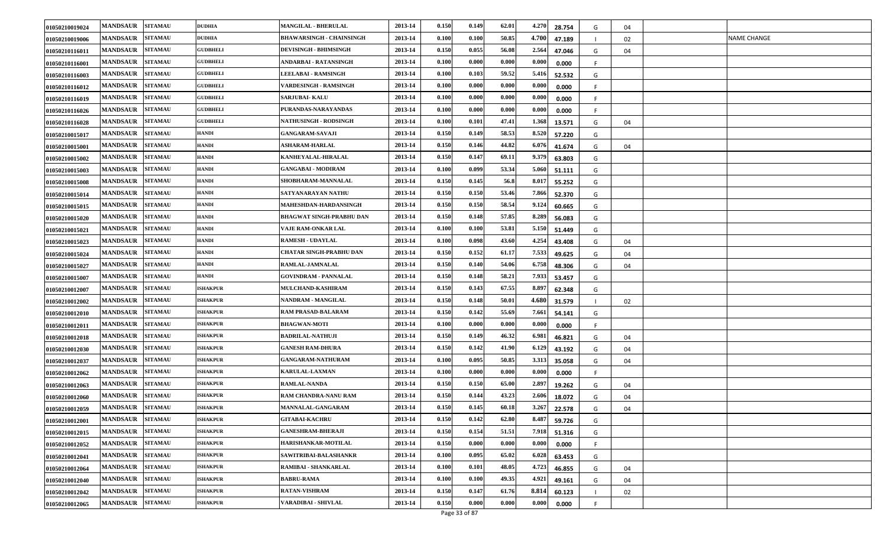| 01050210019024 | <b>MANDSAUR</b> | <b>SITAMAU</b> | <b>DUDHIA</b>   | <b>MANGILAL - BHERULAL</b>      | 2013-14 | 0.150 | 0.149           | 62.01 | 4.270<br>28.754 | G  | 04 |                    |
|----------------|-----------------|----------------|-----------------|---------------------------------|---------|-------|-----------------|-------|-----------------|----|----|--------------------|
| 01050210019006 | <b>MANDSAUR</b> | <b>SITAMAU</b> | <b>DUDHIA</b>   | <b>BHAWARSINGH - CHAINSINGH</b> | 2013-14 | 0.100 | 0.100           | 50.85 | 4.700<br>47.189 |    | 02 | <b>NAME CHANGE</b> |
| 01050210116011 | <b>MANDSAUR</b> | <b>SITAMAU</b> | <b>GUDBHELI</b> | <b>DEVISINGH - BHIMSINGH</b>    | 2013-14 | 0.150 | 0.055           | 56.08 | 2.564<br>47.046 | G  | 04 |                    |
| 01050210116001 | <b>MANDSAUR</b> | <b>SITAMAU</b> | <b>GUDBHELI</b> | ANDARBAI - RATANSINGH           | 2013-14 | 0.100 | 0.000           | 0.000 | 0.000<br>0.000  |    |    |                    |
| 01050210116003 | <b>MANDSAUR</b> | <b>SITAMAU</b> | <b>GUDBHELI</b> | <b>LEELABAI - RAMSINGH</b>      | 2013-14 | 0.100 | 0.103           | 59.52 | 5.41<br>52.532  | G  |    |                    |
| 01050210116012 | <b>MANDSAUR</b> | <b>SITAMAU</b> | <b>GUDBHELI</b> | VARDESINGH - RAMSINGH           | 2013-14 | 0.100 | 0.000           | 0.000 | 0.000<br>0.000  |    |    |                    |
| 01050210116019 | <b>MANDSAUR</b> | <b>SITAMAU</b> | <b>GUDBHELI</b> | <b>SARJUBAI-KALU</b>            | 2013-14 | 0.100 | 0.000           | 0.000 | 0.000<br>0.000  |    |    |                    |
| 01050210116026 | <b>MANDSAUR</b> | <b>SITAMAU</b> | <b>GUDBHELI</b> | PURANDAS-NARAYANDAS             | 2013-14 | 0.100 | 0.000           | 0.000 | 0.00<br>0.000   |    |    |                    |
| 01050210116028 | <b>MANDSAUR</b> | <b>SITAMAU</b> | <b>GUDBHELI</b> | <b>NATHUSINGH - RODSINGH</b>    | 2013-14 | 0.100 | 0.101           | 47.41 | 1.368<br>13.571 | G  | 04 |                    |
| 01050210015017 | <b>MANDSAUR</b> | <b>SITAMAU</b> | <b>HANDI</b>    | <b>GANGARAM-SAVAJI</b>          | 2013-14 | 0.150 | 0.149           | 58.53 | 8.520<br>57.220 | G  |    |                    |
| 01050210015001 | <b>MANDSAUR</b> | <b>SITAMAU</b> | <b>HANDI</b>    | <b>ASHARAM-HARLAL</b>           | 2013-14 | 0.150 | 0.146           | 44.82 | 6.076<br>41.674 | G  | 04 |                    |
| 01050210015002 | <b>MANDSAUR</b> | <b>SITAMAU</b> | <b>HANDI</b>    | KANHEYALAL-HIRALAL              | 2013-14 | 0.150 | 0.147           | 69.11 | 9.379<br>63.803 | G  |    |                    |
| 01050210015003 | <b>MANDSAUR</b> | <b>SITAMAU</b> | <b>HANDI</b>    | <b>GANGABAI - MODIRAM</b>       | 2013-14 | 0.100 | 0.099           | 53.34 | 5.060<br>51.111 | G  |    |                    |
| 01050210015008 | <b>MANDSAUR</b> | <b>SITAMAU</b> | <b>HANDI</b>    | SHOBHARAM-MANNALAL              | 2013-14 | 0.150 | 0.145           | 56.8  | 8.01.<br>55.252 | G  |    |                    |
| 01050210015014 | <b>MANDSAUR</b> | <b>SITAMAU</b> | <b>HANDI</b>    | SATYANARAYAN NATHU              | 2013-14 | 0.150 | 0.150           | 53.46 | 7.866<br>52.370 | G  |    |                    |
| 01050210015015 | <b>MANDSAUR</b> | <b>SITAMAU</b> | <b>HANDI</b>    | MAHESHDAN-HARDANSINGH           | 2013-14 | 0.150 | 0.150           | 58.54 | 9.124<br>60.665 | G  |    |                    |
| 01050210015020 | <b>MANDSAUR</b> | <b>SITAMAU</b> | <b>HANDI</b>    | <b>BHAGWAT SINGH-PRABHU DAN</b> | 2013-14 | 0.150 | 0.148           | 57.85 | 8.289<br>56.083 | G  |    |                    |
| 01050210015021 | <b>MANDSAUR</b> | <b>SITAMAU</b> | <b>HANDI</b>    | VAJE RAM-ONKAR LAL              | 2013-14 | 0.100 | 0.100           | 53.81 | 5.150<br>51.449 | G  |    |                    |
| 01050210015023 | <b>MANDSAUR</b> | <b>SITAMAU</b> | <b>HANDI</b>    | <b>RAMESH - UDAYLAL</b>         | 2013-14 | 0.100 | 0.098           | 43.60 | 4.254<br>43.408 | G  | 04 |                    |
| 01050210015024 | <b>MANDSAUR</b> | <b>SITAMAU</b> | <b>HANDI</b>    | CHATAR SINGH-PRABHU DAN         | 2013-14 | 0.150 | 0.152           | 61.17 | 7.533<br>49.625 | G  | 04 |                    |
| 01050210015027 | <b>MANDSAUR</b> | <b>SITAMAU</b> | <b>HANDI</b>    | RAMLAL-JAMNALAL                 | 2013-14 | 0.150 | 0.140           | 54.06 | 6.758<br>48.306 | G  | 04 |                    |
| 01050210015007 | <b>MANDSAUR</b> | <b>SITAMAU</b> | <b>HANDI</b>    | <b>GOVINDRAM - PANNALAL</b>     | 2013-14 | 0.150 | 0.148           | 58.21 | 7.933<br>53.457 | G  |    |                    |
| 01050210012007 | <b>MANDSAUR</b> | <b>SITAMAU</b> | <b>ISHAKPUR</b> | MULCHAND-KASHIRAM               | 2013-14 | 0.150 | 0.143           | 67.55 | 8.897<br>62.348 | G  |    |                    |
| 01050210012002 | <b>MANDSAUR</b> | <b>SITAMAU</b> | <b>ISHAKPUR</b> | NANDRAM - MANGILAL              | 2013-14 | 0.150 | 0.148           | 50.01 | 4.680<br>31.579 |    | 02 |                    |
| 01050210012010 | <b>MANDSAUR</b> | <b>SITAMAU</b> | <b>ISHAKPUR</b> | <b>RAM PRASAD-BALARAM</b>       | 2013-14 | 0.150 | 0.142           | 55.69 | 7.661<br>54.141 | G  |    |                    |
| 01050210012011 | <b>MANDSAUR</b> | <b>SITAMAU</b> | <b>ISHAKPUR</b> | <b>BHAGWAN-MOTI</b>             | 2013-14 | 0.100 | 0.000           | 0.000 | 0.000<br>0.000  |    |    |                    |
| 01050210012018 | <b>MANDSAUR</b> | <b>SITAMAU</b> | <b>ISHAKPUR</b> | <b>BADRILAL-NATHUJI</b>         | 2013-14 | 0.150 | 0.149           | 46.32 | 6.981<br>46.821 | G  | 04 |                    |
| 01050210012030 | <b>MANDSAUR</b> | <b>SITAMAU</b> | <b>ISHAKPUR</b> | <b>GANESH RAM-DHURA</b>         | 2013-14 | 0.150 | 0.142           | 41.90 | 6.129<br>43.192 | G  | 04 |                    |
| 01050210012037 | <b>MANDSAUR</b> | <b>SITAMAU</b> | <b>ISHAKPUR</b> | <b>GANGARAM-NATHURAM</b>        | 2013-14 | 0.100 | 0.095           | 50.85 | 3.313<br>35.058 | G  | 04 |                    |
| 01050210012062 | <b>MANDSAUR</b> | <b>SITAMAU</b> | <b>ISHAKPUR</b> | <b>KARULAL-LAXMAN</b>           | 2013-14 | 0.100 | 0.000           | 0.000 | 0.000<br>0.000  |    |    |                    |
| 01050210012063 | <b>MANDSAUR</b> | <b>SITAMAU</b> | <b>ISHAKPUR</b> | <b>RAMLAL-NANDA</b>             | 2013-14 | 0.150 | 0.150           | 65.00 | 2.897<br>19.262 | G  | 04 |                    |
| 01050210012060 | <b>MANDSAUR</b> | <b>SITAMAU</b> | <b>ISHAKPUR</b> | RAM CHANDRA-NANU RAM            | 2013-14 | 0.150 | 0.144           | 43.23 | 2.60<br>18.072  | G  | 04 |                    |
| 01050210012059 | <b>MANDSAUR</b> | <b>SITAMAU</b> | <b>ISHAKPUR</b> | MANNALAL-GANGARAM               | 2013-14 | 0.150 | 0.145           | 60.18 | 3.267<br>22.578 | G  | 04 |                    |
| 01050210012001 | <b>MANDSAUR</b> | <b>SITAMAU</b> | <b>ISHAKPUR</b> | <b>GITABAI-KACHRU</b>           | 2013-14 | 0.150 | 0.142           | 62.80 | 8.487<br>59.726 | G  |    |                    |
| 01050210012015 | <b>MANDSAUR</b> | <b>SITAMAU</b> | <b>ISHAKPUR</b> | <b>GANESHRAM-BHERAJI</b>        | 2013-14 | 0.150 | 0.154           | 51.51 | 7.918<br>51.316 | G  |    |                    |
| 01050210012052 | <b>MANDSAUR</b> | <b>SITAMAU</b> | <b>ISHAKPUR</b> | HARISHANKAR-MOTILAL             | 2013-14 | 0.150 | 0.000           | 0.000 | 0.000<br>0.000  | -F |    |                    |
| 01050210012041 | <b>MANDSAUR</b> | <b>SITAMAU</b> | <b>ISHAKPUR</b> | SAWITRIBAI-BALASHANKR           | 2013-14 | 0.100 | 0.095           | 65.02 | 6.028<br>63.453 | G  |    |                    |
| 01050210012064 | <b>MANDSAUR</b> | <b>SITAMAU</b> | <b>ISHAKPUR</b> | RAMIBAI - SHANKARLAL            | 2013-14 | 0.100 | 0.101           | 48.05 | 4.723<br>46.855 | G  | 04 |                    |
| 01050210012040 | <b>MANDSAUR</b> | <b>SITAMAU</b> | <b>ISHAKPUR</b> | <b>BABRU-RAMA</b>               | 2013-14 | 0.100 | 0.100           | 49.35 | 4.921<br>49.161 | G  | 04 |                    |
| 01050210012042 | <b>MANDSAUR</b> | <b>SITAMAU</b> | <b>ISHAKPUR</b> | <b>RATAN-VISHRAM</b>            | 2013-14 | 0.150 | 0.147           | 61.76 | 8.814<br>60.123 |    | 02 |                    |
| 01050210012065 | <b>MANDSAUR</b> | <b>SITAMAU</b> | <b>ISHAKPUR</b> | VARADIBAI - SHIVLAL             | 2013-14 | 0.150 | 0.000<br>$\sim$ | 0.000 | 0.000<br>0.000  |    |    |                    |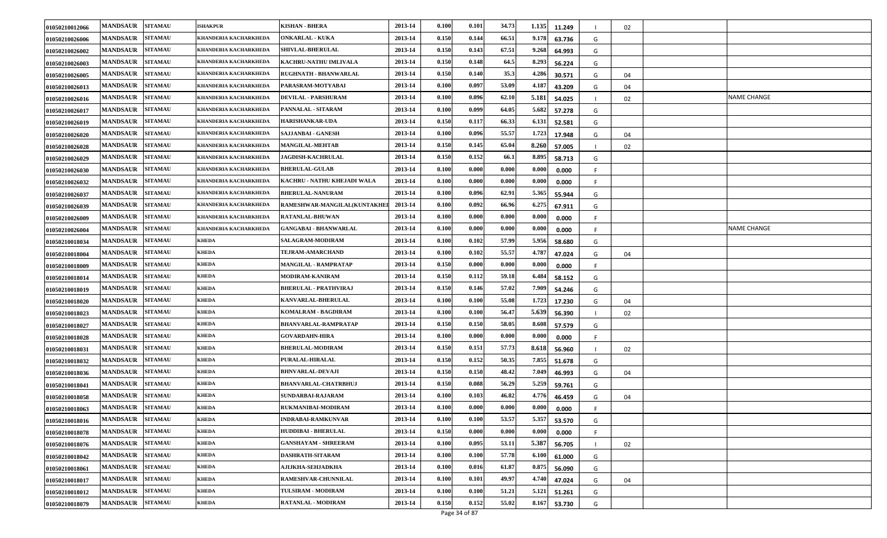| 01050210012066 | <b>MANDSAUR</b> | <b>SITAMAU</b> | <b>ISHAKPUR</b>              | KISHAN - BHERA               | 2013-14 | 0.100 | 0.101                   | 34.73 | 1.135<br>11.249 |   | 02 |                    |
|----------------|-----------------|----------------|------------------------------|------------------------------|---------|-------|-------------------------|-------|-----------------|---|----|--------------------|
| 01050210026006 | <b>MANDSAUR</b> | <b>SITAMAU</b> | KHANDERIA KACHARKHEDA        | <b>ONKARLAL - KUKA</b>       | 2013-14 | 0.150 | 0.144                   | 66.51 | 9.178<br>63.736 | G |    |                    |
| 01050210026002 | <b>MANDSAUR</b> | <b>SITAMAU</b> | <b>KHANDERIA KACHARKHEDA</b> | <b>SHIVLAL-BHERULAL</b>      | 2013-14 | 0.150 | 0.143                   | 67.51 | 9.268<br>64.993 | G |    |                    |
| 01050210026003 | <b>MANDSAUR</b> | <b>SITAMAU</b> | KHANDERIA KACHARKHEDA        | KACHRU-NATHU IMLIVALA        | 2013-14 | 0.150 | 0.148                   | 64.5  | 8.293<br>56.224 | G |    |                    |
| 01050210026005 | <b>MANDSAUR</b> | <b>SITAMAU</b> | KHANDERIA KACHARKHEDA        | <b>RUGHNATH - BHANWARLAL</b> | 2013-14 | 0.150 | 0.140                   | 35.3  | 4.286<br>30.571 | G | 04 |                    |
| 01050210026013 | <b>MANDSAUR</b> | <b>SITAMAU</b> | KHANDERIA KACHARKHEDA        | PARASRAM-MOTYABAI            | 2013-14 | 0.100 | 0.097                   | 53.09 | 4.187<br>43.209 | G | 04 |                    |
| 01050210026016 | <b>MANDSAUR</b> | <b>SITAMAU</b> | <b>KHANDERIA KACHARKHEDA</b> | <b>DEVILAL - PARSHURAM</b>   | 2013-14 | 0.100 | 0.096                   | 62.10 | 5.181<br>54.025 |   | 02 | <b>NAME CHANGE</b> |
| 01050210026017 | <b>MANDSAUR</b> | <b>SITAMAU</b> | KHANDERIA KACHARKHEDA        | PANNALAL - SITARAM           | 2013-14 | 0.100 | 0.099                   | 64.05 | 5.682<br>57.278 | G |    |                    |
| 01050210026019 | <b>MANDSAUR</b> | <b>SITAMAU</b> | KHANDERIA KACHARKHEDA        | HARISHANKAR-UDA              | 2013-14 | 0.150 | 0.117                   | 66.33 | 6.131<br>52.581 | G |    |                    |
| 01050210026020 | <b>MANDSAUR</b> | <b>SITAMAU</b> | KHANDERIA KACHARKHEDA        | SAJJANBAI - GANESH           | 2013-14 | 0.100 | 0.096                   | 55.57 | 1.723<br>17.948 | G | 04 |                    |
| 01050210026028 | <b>MANDSAUR</b> | <b>SITAMAU</b> | KHANDERIA KACHARKHEDA        | <b>MANGILAL-MEHTAB</b>       | 2013-14 | 0.150 | 0.145                   | 65.04 | 8.260<br>57.005 |   | 02 |                    |
| 01050210026029 | <b>MANDSAUR</b> | <b>SITAMAU</b> | KHANDERIA KACHARKHEDA        | <b>JAGDISH-KACHRULAL</b>     | 2013-14 | 0.150 | 0.152                   | 66.1  | 8.89<br>58.713  | G |    |                    |
| 01050210026030 | <b>MANDSAUR</b> | <b>SITAMAU</b> | KHANDERIA KACHARKHEDA        | <b>BHERULAL-GULAB</b>        | 2013-14 | 0.100 | 0.000                   | 0.000 | 0.00<br>0.000   | F |    |                    |
| 01050210026032 | <b>MANDSAUR</b> | <b>SITAMAU</b> | KHANDERIA KACHARKHEDA        | KACHRU - NATHU KHEJADI WALA  | 2013-14 | 0.100 | 0.000                   | 0.000 | 0.000<br>0.000  |   |    |                    |
| 01050210026037 | <b>MANDSAUR</b> | <b>SITAMAU</b> | KHANDERIA KACHARKHEDA        | <b>BHERULAL-NANURAM</b>      | 2013-14 | 0.100 | 0.096                   | 62.91 | 5.365<br>55.944 | G |    |                    |
| 01050210026039 | <b>MANDSAUR</b> | <b>SITAMAU</b> | KHANDERIA KACHARKHEDA        | RAMESHWAR-MANGILAL(KUNTAKHEI | 2013-14 | 0.100 | 0.092                   | 66.96 | 6.275<br>67.911 | G |    |                    |
| 01050210026009 | <b>MANDSAUR</b> | <b>SITAMAU</b> | KHANDERIA KACHARKHEDA        | RATANLAL-BHUWAN              | 2013-14 | 0.100 | 0.000                   | 0.000 | 0.00<br>0.000   |   |    |                    |
| 01050210026004 | <b>MANDSAUR</b> | <b>SITAMAU</b> | KHANDERIA KACHARKHEDA        | <b>GANGABAI - BHANWARLAL</b> | 2013-14 | 0.100 | 0.000                   | 0.000 | 0.000<br>0.000  |   |    | <b>NAME CHANGE</b> |
| 01050210018034 | <b>MANDSAUR</b> | <b>SITAMAU</b> | <b>KHEDA</b>                 | SALAGRAM-MODIRAM             | 2013-14 | 0.100 | 0.102                   | 57.99 | 5.956<br>58.680 | G |    |                    |
| 01050210018004 | <b>MANDSAUR</b> | <b>SITAMAU</b> | <b>KHEDA</b>                 | TEJRAM-AMARCHAND             | 2013-14 | 0.100 | 0.102                   | 55.57 | 4.787<br>47.024 | G | 04 |                    |
| 01050210018009 | <b>MANDSAUR</b> | <b>SITAMAU</b> | <b>KHEDA</b>                 | MANGILAL - RAMPRATAP         | 2013-14 | 0.150 | 0.000                   | 0.000 | 0.000<br>0.000  |   |    |                    |
| 01050210018014 | <b>MANDSAUR</b> | <b>SITAMAU</b> | <b>KHEDA</b>                 | MODIRAM-KANIRAM              | 2013-14 | 0.150 | 0.112                   | 59.18 | 6.484<br>58.152 | G |    |                    |
| 01050210018019 | <b>MANDSAUR</b> | <b>SITAMAU</b> | <b>KHEDA</b>                 | <b>BHERULAL - PRATHVIRAJ</b> | 2013-14 | 0.150 | 0.146                   | 57.02 | 7.909<br>54.246 | G |    |                    |
| 01050210018020 | <b>MANDSAUR</b> | <b>SITAMAU</b> | <b>KHEDA</b>                 | KANVARLAL-BHERULAL           | 2013-14 | 0.100 | 0.100                   | 55.08 | 1.723<br>17.230 | G | 04 |                    |
| 01050210018023 | <b>MANDSAUR</b> | <b>SITAMAU</b> | <b>KHEDA</b>                 | KOMALRAM - BAGDIRAM          | 2013-14 | 0.100 | 0.100                   | 56.47 | 5.639<br>56.390 |   | 02 |                    |
| 01050210018027 | <b>MANDSAUR</b> | <b>SITAMAU</b> | <b>KHEDA</b>                 | <b>BHANVARLAL-RAMPRATAP</b>  | 2013-14 | 0.150 | 0.150                   | 58.05 | 8.608<br>57.579 | G |    |                    |
| 01050210018028 | <b>MANDSAUR</b> | <b>SITAMAU</b> | <b>KHEDA</b>                 | <b>GOVARDAHN-HIRA</b>        | 2013-14 | 0.100 | 0.000                   | 0.000 | 0.000<br>0.000  |   |    |                    |
| 01050210018031 | <b>MANDSAUR</b> | <b>SITAMAU</b> | <b>KHEDA</b>                 | <b>BHERULAL-MODIRAM</b>      | 2013-14 | 0.150 | 0.151                   | 57.73 | 8.618<br>56.960 |   | 02 |                    |
| 01050210018032 | <b>MANDSAUR</b> | <b>SITAMAU</b> | <b>KHEDA</b>                 | PURALAL-HIRALAL              | 2013-14 | 0.150 | 0.152                   | 50.35 | 7.855<br>51.678 | G |    |                    |
| 01050210018036 | <b>MANDSAUR</b> | <b>SITAMAU</b> | <b>KHEDA</b>                 | <b>BHNVARLAL-DEVAJI</b>      | 2013-14 | 0.150 | 0.150                   | 48.42 | 7.049<br>46.993 | G | 04 |                    |
| 01050210018041 | <b>MANDSAUR</b> | <b>SITAMAU</b> | <b>KHEDA</b>                 | <b>BHANVARLAL-CHATRBHUJ</b>  | 2013-14 | 0.150 | 0.088                   | 56.29 | 5.259<br>59.761 | G |    |                    |
| 01050210018058 | <b>MANDSAUR</b> | <b>SITAMAU</b> | <b>KHEDA</b>                 | SUNDARBAI-RAJARAM            | 2013-14 | 0.100 | 0.103                   | 46.82 | 4.776<br>46.459 | G | 04 |                    |
| 01050210018063 | <b>MANDSAUR</b> | <b>SITAMAU</b> | KHEDA                        | RUKMANIBAI-MODIRAM           | 2013-14 | 0.100 | 0.000                   | 0.000 | 0.000<br>0.000  |   |    |                    |
| 01050210018016 | <b>MANDSAUR</b> | <b>SITAMAU</b> | <b>KHEDA</b>                 | <b>INDRABAI-RAMKUNVAR</b>    | 2013-14 | 0.100 | 0.100                   | 53.57 | 5.357<br>53.570 | G |    |                    |
| 01050210018078 | <b>MANDSAUR</b> | <b>SITAMAU</b> | <b>KHEDA</b>                 | <b>HUDDIBAI - BHERULAL</b>   | 2013-14 | 0.150 | 0.000                   | 0.000 | 0.000<br>0.000  |   |    |                    |
| 01050210018076 | <b>MANDSAUR</b> | <b>SITAMAU</b> | <b>KHEDA</b>                 | <b>GANSHAYAM - SHREERAM</b>  | 2013-14 | 0.100 | 0.095                   | 53.11 | 5.387<br>56.705 |   | 02 |                    |
| 01050210018042 | <b>MANDSAUR</b> | <b>SITAMAU</b> | <b>KHEDA</b>                 | DASHRATH-SITARAM             | 2013-14 | 0.100 | 0.100                   | 57.78 | 6.100<br>61.000 | G |    |                    |
| 01050210018061 | <b>MANDSAUR</b> | <b>SITAMAU</b> | <b>KHEDA</b>                 | AJIJKHA-SEHJADKHA            | 2013-14 | 0.100 | 0.016                   | 61.87 | 0.875<br>56.090 | G |    |                    |
| 01050210018017 | <b>MANDSAUR</b> | <b>SITAMAU</b> | <b>KHEDA</b>                 | RAMESHVAR-CHUNNILAL          | 2013-14 | 0.100 | 0.101                   | 49.97 | 4.740<br>47.024 | G | 04 |                    |
| 01050210018012 | <b>MANDSAUR</b> | <b>SITAMAU</b> | <b>KHEDA</b>                 | TULSIRAM - MODIRAM           | 2013-14 | 0.100 | 0.100                   | 51.21 | 5.121<br>51.261 | G |    |                    |
| 01050210018079 | <b>MANDSAUR</b> | <b>SITAMAU</b> | <b>KHEDA</b>                 | <b>RATANLAL - MODIRAM</b>    | 2013-14 | 0.150 | 0.152<br>0 <sub>0</sub> | 55.02 | 8.167<br>53.730 | G |    |                    |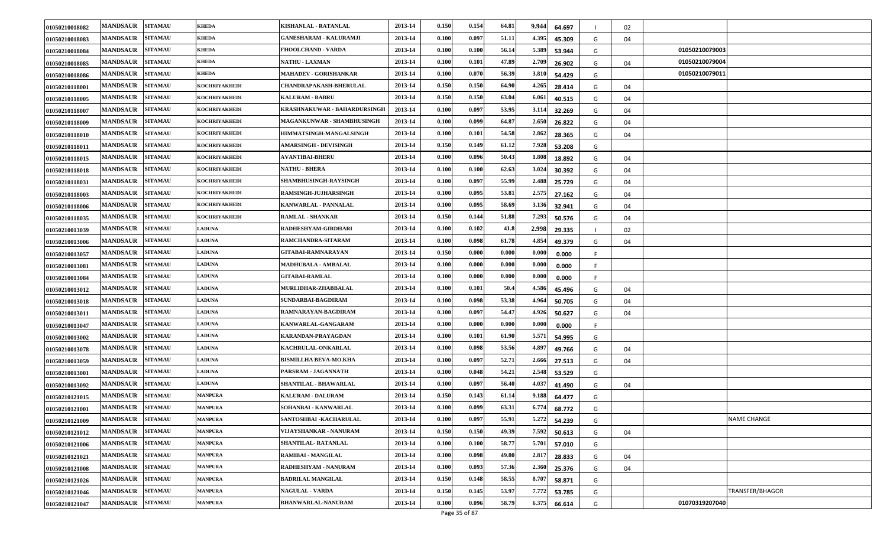| 01050210018082        | <b>MANDSAUR</b> | <b>SITAMAU</b> | <b>KHEDA</b>         | KISHANLAL - RATANLAL          | 2013-14 | 0.150 | 0.154           | 64.81 | 9.944 | 64.697 |    | 02 |                |                 |
|-----------------------|-----------------|----------------|----------------------|-------------------------------|---------|-------|-----------------|-------|-------|--------|----|----|----------------|-----------------|
| 01050210018083        | <b>MANDSAUR</b> | <b>SITAMAU</b> | <b>KHEDA</b>         | <b>GANESHARAM - KALURAMJI</b> | 2013-14 | 0.100 | 0.097           | 51.11 | 4.395 | 45.309 | G  | 04 |                |                 |
| 01050210018084        | <b>MANDSAUR</b> | <b>SITAMAU</b> | <b>KHEDA</b>         | FHOOLCHAND - VARDA            | 2013-14 | 0.100 | 0.100           | 56.14 | 5.389 | 53.944 | G  |    | 01050210079003 |                 |
| 01050210018085        | <b>MANDSAUR</b> | <b>SITAMAU</b> | <b>KHEDA</b>         | <b>NATHU - LAXMAN</b>         | 2013-14 | 0.100 | 0.101           | 47.89 | 2.709 | 26.902 | G  | 04 | 01050210079004 |                 |
| 01050210018086        | <b>MANDSAUR</b> | <b>SITAMAU</b> | <b>KHEDA</b>         | <b>MAHADEV - GORISHANKAR</b>  | 2013-14 | 0.100 | 0.070           | 56.39 | 3.81  | 54.429 | G  |    | 01050210079011 |                 |
| 01050210118001        | <b>MANDSAUR</b> | <b>SITAMAU</b> | KOCHRIYAKHEDI        | <b>CHANDRAPAKASH-BHERULAL</b> | 2013-14 | 0.150 | 0.150           | 64.90 | 4.265 | 28.414 | G  | 04 |                |                 |
| 01050210118005        | <b>MANDSAUR</b> | <b>SITAMAU</b> | KOCHRIYAKHEDI        | <b>KALURAM - BABRU</b>        | 2013-14 | 0.150 | 0.150           | 63.04 | 6.061 | 40.515 | G  | 04 |                |                 |
| 01050210118007        | <b>MANDSAUR</b> | <b>SITAMAU</b> | KOCHRIYAKHEDI        | KRASHNAKUWAR - BAHARDURSINGH  | 2013-14 | 0.100 | 0.097           | 53.95 | 3.114 | 32.269 | G  | 04 |                |                 |
| 01050210118009        | <b>MANDSAUR</b> | <b>SITAMAU</b> | KOCHRIYAKHEDI        | MAGANKUNWAR - SHAMBHUSINGH    | 2013-14 | 0.100 | 0.099           | 64.87 | 2.650 | 26.822 | G  | 04 |                |                 |
| 01050210118010        | <b>MANDSAUR</b> | <b>SITAMAU</b> | KOCHRIYAKHEDI        | HIMMATSINGH-MANGALSINGH       | 2013-14 | 0.100 | 0.101           | 54.58 | 2.862 | 28.365 | G  | 04 |                |                 |
| <b>01050210118011</b> | <b>MANDSAUR</b> | <b>SITAMAU</b> | <b>KOCHRIYAKHEDI</b> | <b>AMARSINGH - DEVISINGH</b>  | 2013-14 | 0.150 | 0.149           | 61.12 | 7.928 | 53.208 | G  |    |                |                 |
| 01050210118015        | <b>MANDSAUR</b> | <b>SITAMAU</b> | KOCHRIYAKHEDI        | <b>AVANTIBAI-BHERU</b>        | 2013-14 | 0.100 | 0.096           | 50.43 | 1.808 | 18.892 | G  | 04 |                |                 |
| 01050210118018        | <b>MANDSAUR</b> | <b>SITAMAU</b> | KOCHRIYAKHEDI        | NATHU - BHERA                 | 2013-14 | 0.100 | 0.100           | 62.63 | 3.024 | 30.392 | G  | 04 |                |                 |
| 01050210118031        | <b>MANDSAUR</b> | <b>SITAMAU</b> | <b>KOCHRIYAKHEDI</b> | SHAMBHUSINGH-RAYSINGH         | 2013-14 | 0.100 | 0.097           | 55.99 | 2.488 | 25.729 | G  | 04 |                |                 |
| 01050210118003        | <b>MANDSAUR</b> | <b>SITAMAU</b> | KOCHRIYAKHEDI        | RAMSINGH-JUJHARSINGH          | 2013-14 | 0.100 | 0.095           | 53.81 | 2.575 | 27.162 | G  | 04 |                |                 |
| 01050210118006        | <b>MANDSAUR</b> | <b>SITAMAU</b> | KOCHRIYAKHEDI        | KANWARLAL - PANNALAL          | 2013-14 | 0.100 | 0.095           | 58.69 | 3.136 | 32.941 | G  | 04 |                |                 |
| 01050210118035        | <b>MANDSAUR</b> | <b>SITAMAU</b> | KOCHRIYAKHEDI        | RAMLAL - SHANKAR              | 2013-14 | 0.150 | 0.144           | 51.88 | 7.293 | 50.576 | G  | 04 |                |                 |
| 01050210013039        | <b>MANDSAUR</b> | <b>SITAMAU</b> | <b>LADUNA</b>        | RADHESHYAM-GIRDHARI           | 2013-14 | 0.100 | 0.102           | 41.8  | 2.998 | 29.335 |    | 02 |                |                 |
| 01050210013006        | <b>MANDSAUR</b> | <b>SITAMAU</b> | <b>LADUNA</b>        | RAMCHANDRA-SITARAM            | 2013-14 | 0.100 | 0.098           | 61.78 | 4.854 | 49.379 | G  | 04 |                |                 |
| 01050210013057        | <b>MANDSAUR</b> | <b>SITAMAU</b> | <b>LADUNA</b>        | <b>GITABAI-RAMNARAYAN</b>     | 2013-14 | 0.150 | 0.000           | 0.000 | 0.00  | 0.000  | F. |    |                |                 |
| 01050210013081        | <b>MANDSAUR</b> | <b>SITAMAU</b> | <b>LADUNA</b>        | <b>MADHUBALA - AMBALAL</b>    | 2013-14 | 0.100 | 0.000           | 0.000 | 0.00  | 0.000  |    |    |                |                 |
| 01050210013084        | <b>MANDSAUR</b> | <b>SITAMAU</b> | <b>LADUNA</b>        | <b>GITABAI-RAMLAL</b>         | 2013-14 | 0.100 | 0.000           | 0.000 | 0.000 | 0.000  |    |    |                |                 |
| 01050210013012        | <b>MANDSAUR</b> | <b>SITAMAU</b> | <b>LADUNA</b>        | <b>MURLIDHAR-ZHABBALAL</b>    | 2013-14 | 0.100 | 0.101           | 50.4  | 4.586 | 45.496 | G  | 04 |                |                 |
| 01050210013018        | <b>MANDSAUR</b> | <b>SITAMAU</b> | <b>LADUNA</b>        | SUNDARBAI-BAGDIRAM            | 2013-14 | 0.100 | 0.098           | 53.38 | 4.964 | 50.705 | G  | 04 |                |                 |
| 01050210013011        | <b>MANDSAUR</b> | <b>SITAMAU</b> | <b>LADUNA</b>        | RAMNARAYAN-BAGDIRAM           | 2013-14 | 0.100 | 0.097           | 54.47 | 4.926 | 50.627 | G  | 04 |                |                 |
| 01050210013047        | <b>MANDSAUR</b> | <b>SITAMAU</b> | <b>LADUNA</b>        | <b>KANWARLAL-GANGARAM</b>     | 2013-14 | 0.100 | 0.000           | 0.000 | 0.000 | 0.000  | F. |    |                |                 |
| 01050210013002        | <b>MANDSAUR</b> | <b>SITAMAU</b> | <b>LADUNA</b>        | KARANDAN-PRAYAGDAN            | 2013-14 | 0.100 | 0.101           | 61.90 | 5.571 | 54.995 | G  |    |                |                 |
| 01050210013078        | <b>MANDSAUR</b> | <b>SITAMAU</b> | <b>LADUNA</b>        | <b>KACHRULAL-ONKARLAL</b>     | 2013-14 | 0.100 | 0.098           | 53.56 | 4.89  | 49.766 | G  | 04 |                |                 |
| 01050210013059        | <b>MANDSAUR</b> | <b>SITAMAU</b> | <b>LADUNA</b>        | <b>BISMILLHA BEVA-MO.KHA</b>  | 2013-14 | 0.100 | 0.097           | 52.71 | 2.666 | 27.513 | G  | 04 |                |                 |
| 01050210013001        | <b>MANDSAUR</b> | <b>SITAMAU</b> | <b>LADUNA</b>        | PARSRAM - JAGANNATH           | 2013-14 | 0.100 | 0.048           | 54.21 | 2.548 | 53.529 | G  |    |                |                 |
| 01050210013092        | <b>MANDSAUR</b> | <b>SITAMAU</b> | <b>LADUNA</b>        | SHANTILAL - BHAWARLAL         | 2013-14 | 0.100 | 0.097           | 56.40 | 4.037 | 41.490 | G  | 04 |                |                 |
| 01050210121015        | <b>MANDSAUR</b> | <b>SITAMAU</b> | MANPURA              | KALURAM - DALURAM             | 2013-14 | 0.150 | 0.143           | 61.14 | 9.18  | 64.477 | G  |    |                |                 |
| 01050210121001        | <b>MANDSAUR</b> | <b>SITAMAU</b> | MANPURA              | SOHANBAI - KANWARLAL          | 2013-14 | 0.100 | 0.099           | 63.31 | 6.774 | 68.772 | G  |    |                |                 |
| 01050210121009        | <b>MANDSAUR</b> | <b>SITAMAU</b> | <b>MANPURA</b>       | SANTOSHBAI - KACHARULAL       | 2013-14 | 0.100 | 0.097           | 55.91 | 5.272 | 54.239 | G  |    |                | NAME CHANGE     |
| 01050210121012        | <b>MANDSAUR</b> | <b>SITAMAU</b> | <b>MANPURA</b>       | VIJAYSHANKAR - NANURAM        | 2013-14 | 0.150 | 0.150           | 49.39 | 7.592 | 50.613 | G  | 04 |                |                 |
| 01050210121006        | <b>MANDSAUR</b> | <b>SITAMAU</b> | <b>MANPURA</b>       | SHANTILAL-RATANLAL            | 2013-14 | 0.100 | 0.100           | 58.77 | 5.701 | 57.010 | G  |    |                |                 |
| 01050210121021        | <b>MANDSAUR</b> | <b>SITAMAU</b> | <b>MANPURA</b>       | RAMIBAI - MANGILAL            | 2013-14 | 0.100 | 0.098           | 49.80 | 2.81' | 28.833 | G  | 04 |                |                 |
| 01050210121008        | <b>MANDSAUR</b> | <b>SITAMAU</b> | <b>MANPURA</b>       | RADHESHYAM - NANURAM          | 2013-14 | 0.100 | 0.093           | 57.36 | 2.360 | 25.376 | G  | 04 |                |                 |
| 01050210121026        | <b>MANDSAUR</b> | <b>SITAMAU</b> | MANPURA              | <b>BADRILAL MANGILAL</b>      | 2013-14 | 0.150 | 0.148           | 58.55 | 8.707 | 58.871 | G  |    |                |                 |
| 01050210121046        | <b>MANDSAUR</b> | <b>SITAMAU</b> | <b>MANPURA</b>       | <b>NAGULAL - VARDA</b>        | 2013-14 | 0.150 | 0.145           | 53.97 | 7.772 | 53.785 | G  |    |                | TRANSFER/BHAGOR |
| 01050210121047        | <b>MANDSAUR</b> | <b>SITAMAU</b> | <b>MANPURA</b>       | <b>BHANWARLAL-NANURAM</b>     | 2013-14 | 0.100 | 0.096<br>$\sim$ | 58.79 | 6.375 | 66.614 | G  |    | 01070319207040 |                 |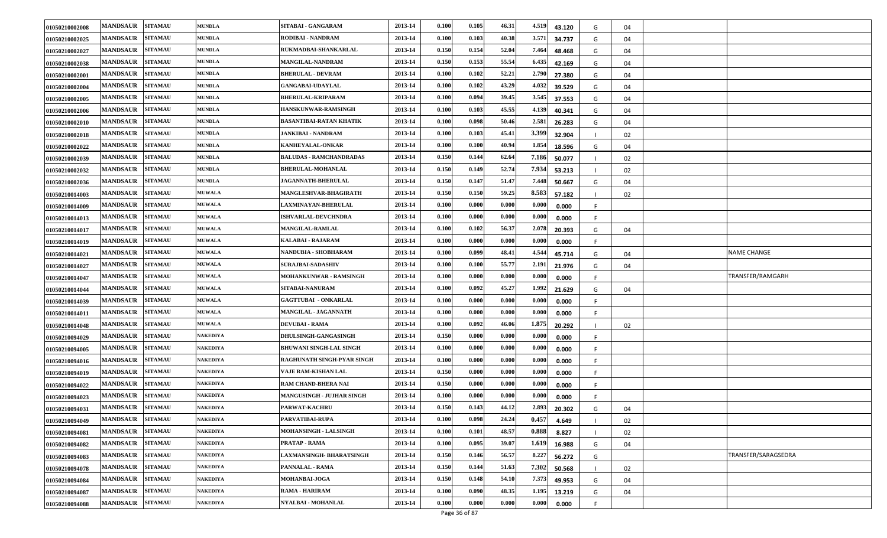| 01050210002008 | <b>MANDSAUR</b> | <b>SITAMAU</b> | <b>MUNDLA</b>   | SITABAI - GANGARAM             | 2013-14 | 0.100 | 0.105           | 46.31 | 4.519<br>43.120 | G | 04 |                     |
|----------------|-----------------|----------------|-----------------|--------------------------------|---------|-------|-----------------|-------|-----------------|---|----|---------------------|
| 01050210002025 | <b>MANDSAUR</b> | <b>SITAMAU</b> | <b>MUNDLA</b>   | RODIBAI - NANDRAM              | 2013-14 | 0.100 | 0.103           | 40.38 | 3.571<br>34.737 | G | 04 |                     |
| 01050210002027 | <b>MANDSAUR</b> | <b>SITAMAU</b> | <b>MUNDLA</b>   | RUKMADBAI-SHANKARLAL           | 2013-14 | 0.150 | 0.154           | 52.04 | 7.464<br>48.468 | G | 04 |                     |
| 01050210002038 | <b>MANDSAUR</b> | <b>SITAMAU</b> | <b>MUNDLA</b>   | <b>MANGILAL-NANDRAM</b>        | 2013-14 | 0.150 | 0.153           | 55.54 | 6.435<br>42.169 | G | 04 |                     |
| 01050210002001 | <b>MANDSAUR</b> | <b>SITAMAU</b> | <b>MUNDLA</b>   | <b>BHERULAL - DEVRAM</b>       | 2013-14 | 0.100 | 0.102           | 52.21 | 2.790<br>27.380 | G | 04 |                     |
| 01050210002004 | <b>MANDSAUR</b> | <b>SITAMAU</b> | <b>MUNDLA</b>   | <b>GANGABAI-UDAYLAL</b>        | 2013-14 | 0.100 | 0.102           | 43.29 | 4.032<br>39.529 | G | 04 |                     |
| 01050210002005 | <b>MANDSAUR</b> | <b>SITAMAU</b> | <b>MUNDLA</b>   | <b>BHERULAL-KRIPARAM</b>       | 2013-14 | 0.100 | 0.094           | 39.45 | 3.545<br>37.553 | G | 04 |                     |
| 01050210002006 | <b>MANDSAUR</b> | <b>SITAMAU</b> | <b>MUNDLA</b>   | HANSKUNWAR-RAMSINGH            | 2013-14 | 0.100 | 0.103           | 45.55 | 4.139<br>40.341 | G | 04 |                     |
| 01050210002010 | <b>MANDSAUR</b> | <b>SITAMAU</b> | <b>MUNDLA</b>   | <b>BASANTIBAI-RATAN KHATIK</b> | 2013-14 | 0.100 | 0.098           | 50.46 | 2.581<br>26.283 | G | 04 |                     |
| 01050210002018 | <b>MANDSAUR</b> | <b>SITAMAU</b> | <b>MUNDLA</b>   | <b>JANKIBAI - NANDRAM</b>      | 2013-14 | 0.100 | 0.103           | 45.41 | 3.399<br>32.904 |   | 02 |                     |
| 01050210002022 | <b>MANDSAUR</b> | <b>SITAMAU</b> | <b>MUNDLA</b>   | KANHEYALAL-ONKAR               | 2013-14 | 0.100 | 0.100           | 40.94 | 1.854<br>18.596 | G | 04 |                     |
| 01050210002039 | <b>MANDSAUR</b> | <b>SITAMAU</b> | <b>MUNDLA</b>   | <b>BALUDAS - RAMCHANDRADAS</b> | 2013-14 | 0.150 | 0.144           | 62.64 | 7.186<br>50.077 |   | 02 |                     |
| 01050210002032 | <b>MANDSAUR</b> | <b>SITAMAU</b> | <b>MUNDLA</b>   | BHERULAL-MOHANLAL              | 2013-14 | 0.150 | 0.149           | 52.74 | 7.934<br>53.213 |   | 02 |                     |
| 01050210002036 | <b>MANDSAUR</b> | <b>SITAMAU</b> | <b>MUNDLA</b>   | JAGANNATH-BHERULAL             | 2013-14 | 0.150 | 0.147           | 51.47 | 7.448<br>50.667 | G | 04 |                     |
| 01050210014003 | <b>MANDSAUR</b> | <b>SITAMAU</b> | <b>MUWALA</b>   | MANGLESHVAR-BHAGIRATH          | 2013-14 | 0.150 | 0.150           | 59.25 | 8.583<br>57.182 |   | 02 |                     |
| 01050210014009 | <b>MANDSAUR</b> | <b>SITAMAU</b> | <b>MUWALA</b>   | <b>LAXMINAYAN-BHERULAL</b>     | 2013-14 | 0.100 | 0.000           | 0.000 | 0.00<br>0.000   |   |    |                     |
| 01050210014013 | <b>MANDSAUR</b> | <b>SITAMAU</b> | <b>MUWALA</b>   | <b>ISHVARLAL-DEVCHNDRA</b>     | 2013-14 | 0.100 | 0.000           | 0.000 | 0.00<br>0.000   |   |    |                     |
| 01050210014017 | <b>MANDSAUR</b> | <b>SITAMAU</b> | <b>MUWALA</b>   | <b>MANGILAL-RAMLAL</b>         | 2013-14 | 0.100 | 0.102           | 56.37 | 2.078<br>20.393 | G | 04 |                     |
| 01050210014019 | <b>MANDSAUR</b> | <b>SITAMAU</b> | <b>MUWALA</b>   | KALABAI - RAJARAM              | 2013-14 | 0.100 | 0.000           | 0.000 | 0.000<br>0.000  |   |    |                     |
| 01050210014021 | <b>MANDSAUR</b> | <b>SITAMAU</b> | <b>MUWALA</b>   | NANDUBIA - SHOBHARAM           | 2013-14 | 0.100 | 0.099           | 48.41 | 4.544<br>45.714 | G | 04 | NAME CHANGE         |
| 01050210014027 | <b>MANDSAUR</b> | <b>SITAMAU</b> | <b>MUWALA</b>   | <b>SURAJBAI-SADASHIV</b>       | 2013-14 | 0.100 | 0.100           | 55.77 | 2.191<br>21.976 | G | 04 |                     |
| 01050210014047 | <b>MANDSAUR</b> | <b>SITAMAU</b> | <b>MUWALA</b>   | MOHANKUNWAR - RAMSINGH         | 2013-14 | 0.100 | 0.000           | 0.000 | 0.000<br>0.000  |   |    | TRANSFER/RAMGARH    |
| 01050210014044 | <b>MANDSAUR</b> | <b>SITAMAU</b> | <b>MUWALA</b>   | SITABAI-NANURAM                | 2013-14 | 0.100 | 0.092           | 45.27 | 1.992<br>21.629 | G | 04 |                     |
| 01050210014039 | <b>MANDSAUR</b> | <b>SITAMAU</b> | <b>MUWALA</b>   | <b>GAGTTUBAI - ONKARLAL</b>    | 2013-14 | 0.100 | 0.000           | 0.000 | 0.00<br>0.000   |   |    |                     |
| 01050210014011 | <b>MANDSAUR</b> | <b>SITAMAU</b> | <b>MUWALA</b>   | MANGILAL - JAGANNATH           | 2013-14 | 0.100 | 0.000           | 0.000 | 0.000<br>0.000  |   |    |                     |
| 01050210014048 | <b>MANDSAUR</b> | <b>SITAMAU</b> | <b>MUWALA</b>   | <b>DEVUBAI - RAMA</b>          | 2013-14 | 0.100 | 0.092           | 46.06 | 1.875<br>20.292 |   | 02 |                     |
| 01050210094029 | <b>MANDSAUR</b> | <b>SITAMAU</b> | NAKEDIYA        | DHULSINGH-GANGASINGH           | 2013-14 | 0.150 | 0.000           | 0.000 | 0.000<br>0.000  |   |    |                     |
| 01050210094005 | <b>MANDSAUR</b> | <b>SITAMAU</b> | NAKEDIYA        | <b>BHUWANI SINGH-LAL SINGH</b> | 2013-14 | 0.100 | 0.000           | 0.000 | 0.00<br>0.000   |   |    |                     |
| 01050210094016 | <b>MANDSAUR</b> | <b>SITAMAU</b> | NAKEDIYA        | RAGHUNATH SINGH-PYAR SINGH     | 2013-14 | 0.100 | 0.000           | 0.000 | 0.000<br>0.000  |   |    |                     |
| 01050210094019 | <b>MANDSAUR</b> | <b>SITAMAU</b> | <b>NAKEDIYA</b> | VAJE RAM-KISHAN LAL            | 2013-14 | 0.150 | 0.000           | 0.000 | 0.000<br>0.000  |   |    |                     |
| 01050210094022 | <b>MANDSAUR</b> | <b>SITAMAU</b> | NAKEDIYA        | RAM CHAND-BHERA NAI            | 2013-14 | 0.150 | 0.000           | 0.000 | 0.000<br>0.000  |   |    |                     |
| 01050210094023 | <b>MANDSAUR</b> | <b>SITAMAU</b> | NAKEDIYA        | MANGUSINGH - JUJHAR SINGH      | 2013-14 | 0.100 | 0.000           | 0.000 | 0.00<br>0.000   |   |    |                     |
| 01050210094031 | <b>MANDSAUR</b> | <b>SITAMAU</b> | NAKEDIYA        | PARWAT-KACHRU                  | 2013-14 | 0.150 | 0.143           | 44.12 | 2.893<br>20.302 | G | 04 |                     |
| 01050210094049 | <b>MANDSAUR</b> | <b>SITAMAU</b> | <b>NAKEDIYA</b> | PARVATIBAI-RUPA                | 2013-14 | 0.100 | 0.098           | 24.24 | 0.457<br>4.649  |   | 02 |                     |
| 01050210094081 | <b>MANDSAUR</b> | <b>SITAMAU</b> | <b>NAKEDIYA</b> | <b>MOHANSINGH - LALSINGH</b>   | 2013-14 | 0.100 | 0.101           | 48.57 | 0.888<br>8.827  |   | 02 |                     |
| 01050210094082 | <b>MANDSAUR</b> | <b>SITAMAU</b> | <b>NAKEDIYA</b> | PRATAP - RAMA                  | 2013-14 | 0.100 | 0.095           | 39.07 | 1.619<br>16.988 | G | 04 |                     |
| 01050210094083 | <b>MANDSAUR</b> | <b>SITAMAU</b> | <b>NAKEDIYA</b> | LAXMANSINGH- BHARATSINGH       | 2013-14 | 0.150 | 0.146           | 56.57 | 8.227<br>56.272 | G |    | TRANSFER/SARAGSEDRA |
| 01050210094078 | <b>MANDSAUR</b> | <b>SITAMAU</b> | <b>NAKEDIYA</b> | <b>PANNALAL - RAMA</b>         | 2013-14 | 0.150 | 0.144           | 51.63 | 7.302<br>50.568 |   | 02 |                     |
| 01050210094084 | <b>MANDSAUR</b> | <b>SITAMAU</b> | <b>NAKEDIYA</b> | MOHANBAI-JOGA                  | 2013-14 | 0.150 | 0.148           | 54.10 | 7.373<br>49.953 | G | 04 |                     |
| 01050210094087 | <b>MANDSAUR</b> | <b>SITAMAU</b> | <b>NAKEDIYA</b> | RAMA - HARIRAM                 | 2013-14 | 0.100 | 0.090           | 48.35 | 1.195<br>13.219 | G | 04 |                     |
| 01050210094088 | <b>MANDSAUR</b> | <b>SITAMAU</b> | <b>NAKEDIYA</b> | <b>NYALBAI - MOHANLAL</b>      | 2013-14 | 0.100 | 0.000<br>$\sim$ | 0.000 | 0.000<br>0.000  |   |    |                     |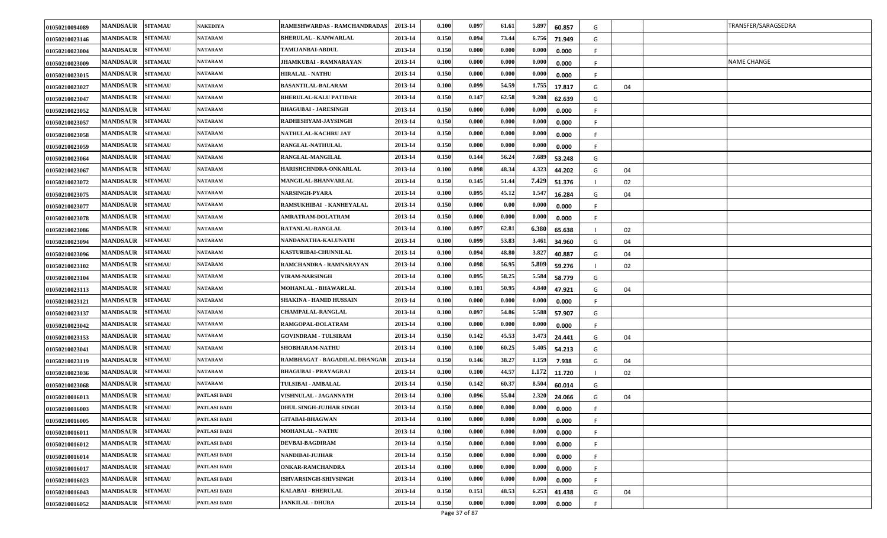| 01050210094089 | <b>MANDSAUR</b> | <b>SITAMAU</b> | NAKEDIYA       | RAMESHWARDAS - RAMCHANDRADAS   | 2013-14 | 0.100 | 0.097          | 61.61 | 5.897<br>60.857 | G  |    | TRANSFER/SARAGSEDRA |
|----------------|-----------------|----------------|----------------|--------------------------------|---------|-------|----------------|-------|-----------------|----|----|---------------------|
| 01050210023146 | <b>MANDSAUR</b> | <b>SITAMAU</b> | <b>NATARAM</b> | <b>BHERULAL - KANWARLAL</b>    | 2013-14 | 0.150 | 0.094          | 73.44 | 6.756<br>71.949 | G  |    |                     |
| 01050210023004 | <b>MANDSAUR</b> | <b>SITAMAU</b> | <b>NATARAM</b> | TAMIJANBAI-ABDUL               | 2013-14 | 0.150 | 0.000          | 0.000 | 0.000<br>0.000  |    |    |                     |
| 01050210023009 | <b>MANDSAUR</b> | <b>SITAMAU</b> | NATARAM        | <b>JHAMKUBAI - RAMNARAYAN</b>  | 2013-14 | 0.100 | 0.000          | 0.000 | 0.000<br>0.000  |    |    | NAME CHANGE         |
| 01050210023015 | <b>MANDSAUR</b> | <b>SITAMAU</b> | <b>NATARAM</b> | <b>HIRALAL - NATHU</b>         | 2013-14 | 0.150 | 0.000          | 0.000 | 0.00<br>0.000   |    |    |                     |
| 01050210023027 | <b>MANDSAUR</b> | <b>SITAMAU</b> | <b>NATARAM</b> | <b>BASANTILAL-BALARAM</b>      | 2013-14 | 0.100 | 0.099          | 54.59 | 1.755<br>17.817 | G  | 04 |                     |
| 01050210023047 | <b>MANDSAUR</b> | <b>SITAMAU</b> | <b>NATARAM</b> | <b>BHERULAL-KALU PATIDAR</b>   | 2013-14 | 0.150 | 0.147          | 62.58 | 9.208<br>62.639 | G  |    |                     |
| 01050210023052 | <b>MANDSAUR</b> | <b>SITAMAU</b> | NATARAM        | <b>BHAGUBAI - JARESINGH</b>    | 2013-14 | 0.150 | 0.000          | 0.000 | 0.000<br>0.000  |    |    |                     |
| 01050210023057 | <b>MANDSAUR</b> | <b>SITAMAU</b> | <b>NATARAM</b> | RADHESHYAM-JAYSINGH            | 2013-14 | 0.150 | 0.000          | 0.000 | 0.00<br>0.000   | -F |    |                     |
| 01050210023058 | <b>MANDSAUR</b> | <b>SITAMAU</b> | NATARAM        | NATHULAL-KACHRU JAT            | 2013-14 | 0.150 | 0.000          | 0.000 | 0.000<br>0.000  |    |    |                     |
| 01050210023059 | <b>MANDSAUR</b> | <b>SITAMAU</b> | <b>NATARAM</b> | RANGLAL-NATHULAL               | 2013-14 | 0.150 | 0.000          | 0.000 | 0.000<br>0.000  |    |    |                     |
| 01050210023064 | <b>MANDSAUR</b> | <b>SITAMAU</b> | NATARAM        | RANGLAL-MANGILAL               | 2013-14 | 0.150 | 0.144          | 56.24 | 7.689<br>53.248 | G  |    |                     |
| 01050210023067 | <b>MANDSAUR</b> | <b>SITAMAU</b> | <b>NATARAM</b> | HARISHCHNDRA-ONKARLAL          | 2013-14 | 0.100 | 0.098          | 48.34 | 4.323<br>44.202 | G  | 04 |                     |
| 01050210023072 | <b>MANDSAUR</b> | <b>SITAMAU</b> | <b>NATARAM</b> | <b>MANGILAL-BHANVARLAL</b>     | 2013-14 | 0.150 | 0.145          | 51.44 | 7.429<br>51.376 |    | 02 |                     |
| 01050210023075 | <b>MANDSAUR</b> | <b>SITAMAU</b> | <b>NATARAM</b> | <b>NARSINGH-PYARA</b>          | 2013-14 | 0.100 | 0.095          | 45.12 | 1.547<br>16.284 | G  | 04 |                     |
| 01050210023077 | <b>MANDSAUR</b> | <b>SITAMAU</b> | NATARAM        | RAMSUKHIBAI - KANHEYALAL       | 2013-14 | 0.150 | 0.000          | 0.00  | 0.00<br>0.000   |    |    |                     |
| 01050210023078 | <b>MANDSAUR</b> | <b>SITAMAU</b> | NATARAM        | <b>AMRATRAM-DOLATRAM</b>       | 2013-14 | 0.150 | 0.000          | 0.000 | 0.00<br>0.000   |    |    |                     |
| 01050210023086 | <b>MANDSAUR</b> | <b>SITAMAU</b> | <b>NATARAM</b> | RATANLAL-RANGLAL               | 2013-14 | 0.100 | 0.097          | 62.81 | 6.380<br>65.638 |    | 02 |                     |
| 01050210023094 | <b>MANDSAUR</b> | <b>SITAMAU</b> | NATARAM        | NANDANATHA-KALUNATH            | 2013-14 | 0.100 | 0.099          | 53.83 | 3.461<br>34.960 | G  | 04 |                     |
| 01050210023096 | <b>MANDSAUR</b> | <b>SITAMAU</b> | <b>NATARAM</b> | KASTURIBAI-CHUNNILAL           | 2013-14 | 0.100 | 0.094          | 48.80 | 3.827<br>40.887 | G  | 04 |                     |
| 01050210023102 | <b>MANDSAUR</b> | <b>SITAMAU</b> | <b>NATARAM</b> | RAMCHANDRA - RAMNARAYAN        | 2013-14 | 0.100 | 0.098          | 56.95 | 5.809<br>59.276 |    | 02 |                     |
| 01050210023104 | <b>MANDSAUR</b> | <b>SITAMAU</b> | <b>NATARAM</b> | <b>VIRAM-NARSINGH</b>          | 2013-14 | 0.100 | 0.095          | 58.25 | 5.584<br>58.779 | G  |    |                     |
| 01050210023113 | <b>MANDSAUR</b> | <b>SITAMAU</b> | NATARAM        | MOHANLAL - BHAWARLAL           | 2013-14 | 0.100 | 0.101          | 50.95 | 4.840<br>47.921 | G  | 04 |                     |
| 01050210023121 | <b>MANDSAUR</b> | <b>SITAMAU</b> | NATARAM        | <b>SHAKINA - HAMID HUSSAIN</b> | 2013-14 | 0.100 | 0.000          | 0.000 | 0.00<br>0.000   |    |    |                     |
| 01050210023137 | <b>MANDSAUR</b> | <b>SITAMAU</b> | <b>NATARAM</b> | <b>CHAMPALAL-RANGLAL</b>       | 2013-14 | 0.100 | 0.097          | 54.86 | 5.588<br>57.907 | G  |    |                     |
| 01050210023042 | <b>MANDSAUR</b> | <b>SITAMAU</b> | <b>NATARAM</b> | RAMGOPAL-DOLATRAM              | 2013-14 | 0.100 | 0.000          | 0.000 | 0.000<br>0.000  |    |    |                     |
| 01050210023153 | <b>MANDSAUR</b> | <b>SITAMAU</b> | <b>NATARAM</b> | <b>GOVINDRAM - TULSIRAM</b>    | 2013-14 | 0.150 | 0.142          | 45.53 | 3.47<br>24.441  | G  | 04 |                     |
| 01050210023041 | <b>MANDSAUR</b> | <b>SITAMAU</b> | <b>NATARAM</b> | SHOBHARAM-NATHU                | 2013-14 | 0.100 | 0.100          | 60.25 | 5.40<br>54.213  | G  |    |                     |
| 01050210023119 | <b>MANDSAUR</b> | <b>SITAMAU</b> | <b>NATARAM</b> | RAMBHAGAT - BAGADILAL DHANGAR  | 2013-14 | 0.150 | 0.146          | 38.27 | 1.159<br>7.938  | G  | 04 |                     |
| 01050210023036 | <b>MANDSAUR</b> | <b>SITAMAU</b> | <b>NATARAM</b> | <b>BHAGUBAI - PRAYAGRAJ</b>    | 2013-14 | 0.100 | 0.100          | 44.57 | 1.172<br>11.720 |    | 02 |                     |
| 01050210023068 | <b>MANDSAUR</b> | <b>SITAMAU</b> | NATARAM        | TULSIBAI - AMBALAL             | 2013-14 | 0.150 | 0.142          | 60.37 | 8.504<br>60.014 | G  |    |                     |
| 01050210016013 | <b>MANDSAUR</b> | <b>SITAMAU</b> | PATLASI BADI   | VISHNULAL - JAGANNATH          | 2013-14 | 0.100 | 0.096          | 55.04 | 2.320<br>24.066 | G  | 04 |                     |
| 01050210016003 | <b>MANDSAUR</b> | <b>SITAMAU</b> | PATLASI BADI   | <b>DHUL SINGH-JUJHAR SINGH</b> | 2013-14 | 0.150 | 0.000          | 0.000 | 0.000<br>0.000  |    |    |                     |
| 01050210016005 | <b>MANDSAUR</b> | <b>SITAMAU</b> | PATLASI BADI   | <b>GITABAI-BHAGWAN</b>         | 2013-14 | 0.100 | 0.000          | 0.000 | 0.000<br>0.000  |    |    |                     |
| 01050210016011 | <b>MANDSAUR</b> | <b>SITAMAU</b> | PATLASI BADI   | <b>MOHANLAL - NATHU</b>        | 2013-14 | 0.100 | 0.000          | 0.000 | 0.000<br>0.000  |    |    |                     |
| 01050210016012 | <b>MANDSAUR</b> | <b>SITAMAU</b> | PATLASI BADI   | DEVBAI-BAGDIRAM                | 2013-14 | 0.150 | 0.000          | 0.000 | 0.000<br>0.000  | F. |    |                     |
| 01050210016014 | <b>MANDSAUR</b> | <b>SITAMAU</b> | PATLASI BADI   | NANDIBAI-JUJHAR                | 2013-14 | 0.150 | 0.000          | 0.000 | 0.000<br>0.000  |    |    |                     |
| 01050210016017 | <b>MANDSAUR</b> | <b>SITAMAU</b> | PATLASI BADI   | <b>ONKAR-RAMCHANDRA</b>        | 2013-14 | 0.100 | 0.000          | 0.000 | 0.000<br>0.000  |    |    |                     |
| 01050210016023 | <b>MANDSAUR</b> | <b>SITAMAU</b> | PATLASI BADI   | <b>ISHVARSINGH-SHIVSINGH</b>   | 2013-14 | 0.100 | 0.000          | 0.000 | 0.000<br>0.000  |    |    |                     |
| 01050210016043 | <b>MANDSAUR</b> | <b>SITAMAU</b> | PATLASI BADI   | KALABAI - BHERULAL             | 2013-14 | 0.150 | 0.151          | 48.53 | 6.253<br>41.438 | G  | 04 |                     |
| 01050210016052 | <b>MANDSAUR</b> | <b>SITAMAU</b> | PATLASI BADI   | <b>JANKILAL - DHURA</b>        | 2013-14 | 0.150 | 0.000<br>27.07 | 0.000 | 0.000<br>0.000  |    |    |                     |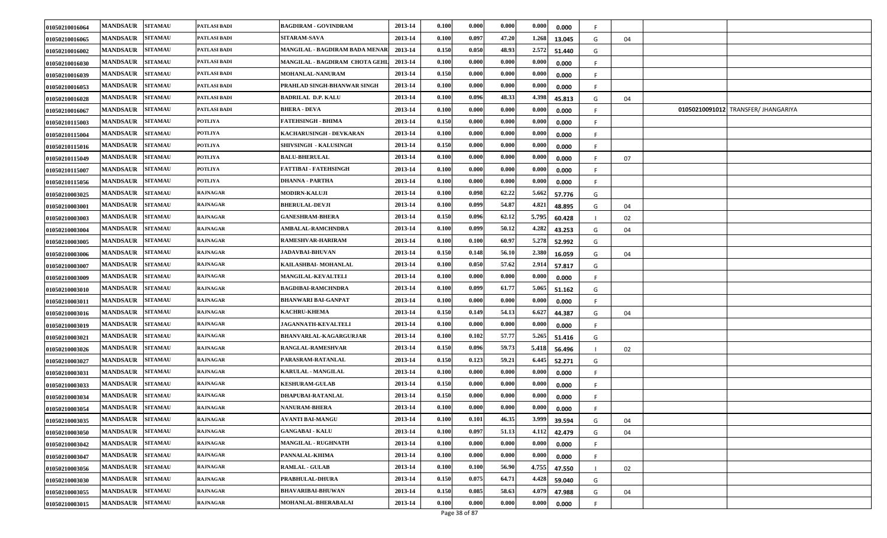| 01050210016064 | <b>MANDSAUR</b> | <b>SITAMAU</b> | PATLASI BADI    | <b>BAGDIRAM - GOVINDRAM</b>    | 2013-14 | 0.100 | 0.000           | 0.000 | 0.000 | 0.000  |    |    |                                     |
|----------------|-----------------|----------------|-----------------|--------------------------------|---------|-------|-----------------|-------|-------|--------|----|----|-------------------------------------|
| 01050210016065 | <b>MANDSAUR</b> | <b>SITAMAU</b> | PATLASI BADI    | SITARAM-SAVA                   | 2013-14 | 0.100 | 0.097           | 47.20 | 1.268 | 13.045 | G  | 04 |                                     |
| 01050210016002 | <b>MANDSAUR</b> | <b>SITAMAU</b> | PATLASI BADI    | MANGILAL - BAGDIRAM BADA MENAR | 2013-14 | 0.150 | 0.050           | 48.93 | 2.572 | 51.440 | G  |    |                                     |
| 01050210016030 | <b>MANDSAUR</b> | <b>SITAMAU</b> | PATLASI BADI    | MANGILAL - BAGDIRAM CHOTA GEHL | 2013-14 | 0.100 | 0.000           | 0.000 | 0.000 | 0.000  |    |    |                                     |
| 01050210016039 | <b>MANDSAUR</b> | <b>SITAMAU</b> | PATLASI BADI    | <b>MOHANLAL-NANURAM</b>        | 2013-14 | 0.150 | 0.000           | 0.000 | 0.00  | 0.000  |    |    |                                     |
| 01050210016053 | <b>MANDSAUR</b> | <b>SITAMAU</b> | PATLASI BADI    | PRAHLAD SINGH-BHANWAR SINGH    | 2013-14 | 0.100 | 0.000           | 0.000 | 0.00  | 0.000  |    |    |                                     |
| 01050210016028 | <b>MANDSAUR</b> | <b>SITAMAU</b> | PATLASI BADI    | <b>BADRILAL D.P. KALU</b>      | 2013-14 | 0.100 | 0.096           | 48.33 | 4.398 | 45.813 | G  | 04 |                                     |
| 01050210016067 | <b>MANDSAUR</b> | <b>SITAMAU</b> | PATLASI BADI    | <b>BHERA - DEVA</b>            | 2013-14 | 0.100 | 0.000           | 0.000 | 0.000 | 0.000  |    |    | 01050210091012 TRANSFER/ JHANGARIYA |
| 01050210115003 | <b>MANDSAUR</b> | <b>SITAMAU</b> | POTLIYA         | <b>FATEHSINGH - BHIMA</b>      | 2013-14 | 0.150 | 0.000           | 0.000 | 0.00  | 0.000  | -F |    |                                     |
| 01050210115004 | <b>MANDSAUR</b> | <b>SITAMAU</b> | <b>POTLIYA</b>  | KACHARUSINGH - DEVKARAN        | 2013-14 | 0.100 | 0.000           | 0.000 | 0.000 | 0.000  |    |    |                                     |
| 01050210115016 | <b>MANDSAUR</b> | <b>SITAMAU</b> | <b>POTLIYA</b>  | SHIVSINGH - KALUSINGH          | 2013-14 | 0.150 | 0.000           | 0.000 | 0.000 | 0.000  |    |    |                                     |
| 01050210115049 | <b>MANDSAUR</b> | <b>SITAMAU</b> | POTLIYA         | <b>BALU-BHERULAL</b>           | 2013-14 | 0.100 | 0.000           | 0.000 | 0.00  | 0.000  |    | 07 |                                     |
| 01050210115007 | <b>MANDSAUR</b> | <b>SITAMAU</b> | POTLIYA         | FATTIBAI - FATEHSINGH          | 2013-14 | 0.100 | 0.000           | 0.000 | 0.00  | 0.000  | F. |    |                                     |
| 01050210115056 | <b>MANDSAUR</b> | <b>SITAMAU</b> | <b>POTLIYA</b>  | <b>DHANNA - PARTHA</b>         | 2013-14 | 0.100 | 0.000           | 0.000 | 0.000 | 0.000  |    |    |                                     |
| 01050210003025 | <b>MANDSAUR</b> | <b>SITAMAU</b> | RAJNAGAR        | <b>MODIRN-KALUJI</b>           | 2013-14 | 0.100 | 0.098           | 62.22 | 5.662 | 57.776 | G  |    |                                     |
| 01050210003001 | <b>MANDSAUR</b> | <b>SITAMAU</b> | RAJNAGAR        | <b>BHERULAL-DEVJI</b>          | 2013-14 | 0.100 | 0.099           | 54.87 | 4.821 | 48.895 | G  | 04 |                                     |
| 01050210003003 | <b>MANDSAUR</b> | <b>SITAMAU</b> | RAJNAGAR        | <b>GANESHRAM-BHERA</b>         | 2013-14 | 0.150 | 0.096           | 62.12 | 5.795 | 60.428 |    | 02 |                                     |
| 01050210003004 | <b>MANDSAUR</b> | <b>SITAMAU</b> | <b>RAJNAGAR</b> | <b>AMBALAL-RAMCHNDRA</b>       | 2013-14 | 0.100 | 0.099           | 50.12 | 4.282 | 43.253 | G  | 04 |                                     |
| 01050210003005 | <b>MANDSAUR</b> | <b>SITAMAU</b> | RAJNAGAR        | <b>RAMESHVAR-HARIRAM</b>       | 2013-14 | 0.100 | 0.100           | 60.97 | 5.278 | 52.992 | G  |    |                                     |
| 01050210003006 | <b>MANDSAUR</b> | <b>SITAMAU</b> | RAJNAGAR        | <b>JADAVBAI-BHUVAN</b>         | 2013-14 | 0.150 | 0.148           | 56.10 | 2.380 | 16.059 | G  | 04 |                                     |
| 01050210003007 | <b>MANDSAUR</b> | <b>SITAMAU</b> | <b>RAJNAGAR</b> | KAILASHBAI-MOHANLAL            | 2013-14 | 0.100 | 0.050           | 57.62 | 2.914 | 57.817 | G  |    |                                     |
| 01050210003009 | <b>MANDSAUR</b> | <b>SITAMAU</b> | <b>RAJNAGAR</b> | MANGILAL-KEVALTELI             | 2013-14 | 0.100 | 0.000           | 0.000 | 0.000 | 0.000  |    |    |                                     |
| 01050210003010 | <b>MANDSAUR</b> | <b>SITAMAU</b> | RAJNAGAR        | <b>BAGDIBAI-RAMCHNDRA</b>      | 2013-14 | 0.100 | 0.099           | 61.77 | 5.065 | 51.162 | G  |    |                                     |
| 01050210003011 | <b>MANDSAUR</b> | <b>SITAMAU</b> | RAJNAGAR        | <b>BHANWARI BAI-GANPAT</b>     | 2013-14 | 0.100 | 0.000           | 0.000 | 0.00  | 0.000  |    |    |                                     |
| 01050210003016 | <b>MANDSAUR</b> | <b>SITAMAU</b> | RAJNAGAR        | <b>KACHRU-KHEMA</b>            | 2013-14 | 0.150 | 0.149           | 54.13 | 6.627 | 44.387 | G  | 04 |                                     |
| 01050210003019 | <b>MANDSAUR</b> | <b>SITAMAU</b> | <b>RAJNAGAR</b> | JAGANNATH-KEVALTELI            | 2013-14 | 0.100 | 0.000           | 0.000 | 0.000 | 0.000  |    |    |                                     |
| 01050210003021 | <b>MANDSAUR</b> | <b>SITAMAU</b> | RAJNAGAR        | <b>BHANVARLAL-KAGARGURJAR</b>  | 2013-14 | 0.100 | 0.102           | 57.77 | 5.265 | 51.416 | G  |    |                                     |
| 01050210003026 | <b>MANDSAUR</b> | <b>SITAMAU</b> | <b>RAJNAGAR</b> | RANGLAL-RAMESHVAR              | 2013-14 | 0.150 | 0.096           | 59.73 | 5.418 | 56.496 |    | 02 |                                     |
| 01050210003027 | <b>MANDSAUR</b> | <b>SITAMAU</b> | <b>RAJNAGAR</b> | PARASRAM-RATANLAL              | 2013-14 | 0.150 | 0.123           | 59.21 | 6.445 | 52.271 | G  |    |                                     |
| 01050210003031 | <b>MANDSAUR</b> | <b>SITAMAU</b> | <b>RAJNAGAR</b> | <b>KARULAL - MANGILAL</b>      | 2013-14 | 0.100 | 0.000           | 0.000 | 0.000 | 0.000  |    |    |                                     |
| 01050210003033 | <b>MANDSAUR</b> | <b>SITAMAU</b> | RAJNAGAR        | <b>KESHURAM-GULAB</b>          | 2013-14 | 0.150 | 0.000           | 0.000 | 0.000 | 0.000  |    |    |                                     |
| 01050210003034 | <b>MANDSAUR</b> | <b>SITAMAU</b> | RAJNAGAR        | DHAPUBAI-RATANLAL              | 2013-14 | 0.150 | 0.000           | 0.000 | 0.00  | 0.000  |    |    |                                     |
| 01050210003054 | <b>MANDSAUR</b> | <b>SITAMAU</b> | RAJNAGAR        | <b>NANURAM-BHERA</b>           | 2013-14 | 0.100 | 0.000           | 0.000 | 0.000 | 0.000  |    |    |                                     |
| 01050210003035 | <b>MANDSAUR</b> | <b>SITAMAU</b> | <b>RAJNAGAR</b> | <b>AVANTI BAI-MANGU</b>        | 2013-14 | 0.100 | 0.101           | 46.35 | 3.999 | 39.594 | G  | 04 |                                     |
| 01050210003050 | <b>MANDSAUR</b> | <b>SITAMAU</b> | <b>RAJNAGAR</b> | <b>GANGABAI - KALU</b>         | 2013-14 | 0.100 | 0.097           | 51.13 | 4.112 | 42.479 | G  | 04 |                                     |
| 01050210003042 | <b>MANDSAUR</b> | <b>SITAMAU</b> | <b>RAJNAGAR</b> | MANGILAL - RUGHNATH            | 2013-14 | 0.100 | 0.000           | 0.000 | 0.000 | 0.000  | -F |    |                                     |
| 01050210003047 | <b>MANDSAUR</b> | <b>SITAMAU</b> | <b>RAJNAGAR</b> | PANNALAL-KHIMA                 | 2013-14 | 0.100 | 0.000           | 0.000 | 0.000 | 0.000  |    |    |                                     |
| 01050210003056 | <b>MANDSAUR</b> | <b>SITAMAU</b> | <b>RAJNAGAR</b> | <b>RAMLAL - GULAB</b>          | 2013-14 | 0.100 | 0.100           | 56.90 | 4.755 | 47.550 |    | 02 |                                     |
| 01050210003030 | <b>MANDSAUR</b> | <b>SITAMAU</b> | <b>RAJNAGAR</b> | PRABHULAL-DHURA                | 2013-14 | 0.150 | 0.075           | 64.71 | 4.428 | 59.040 | G  |    |                                     |
| 01050210003055 | <b>MANDSAUR</b> | <b>SITAMAU</b> | <b>RAJNAGAR</b> | <b>BHAVARIBAI-BHUWAN</b>       | 2013-14 | 0.150 | 0.085           | 58.63 | 4.079 | 47.988 | G  | 04 |                                     |
| 01050210003015 | <b>MANDSAUR</b> | <b>SITAMAU</b> | <b>RAJNAGAR</b> | MOHANLAL-BHERABALAI            | 2013-14 | 0.100 | 0.000<br>$\sim$ | 0.000 | 0.000 | 0.000  |    |    |                                     |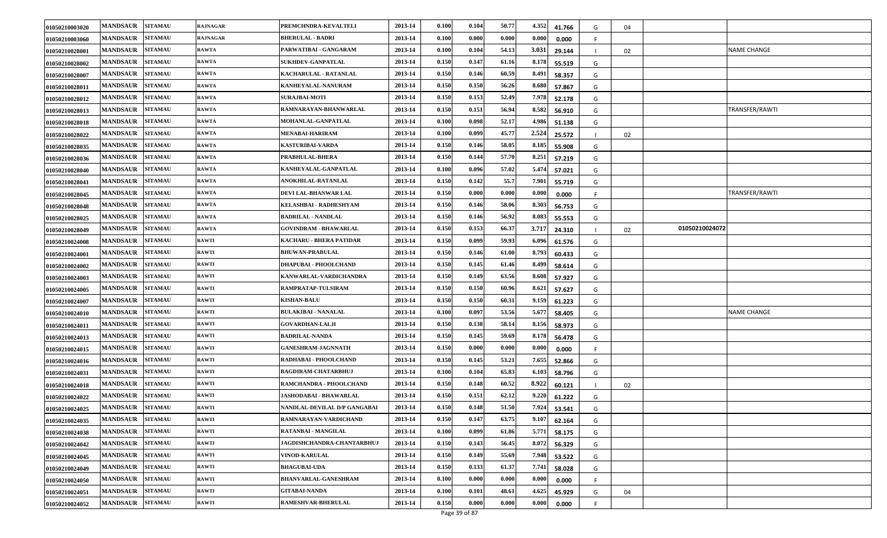| 01050210003020 | <b>MANDSAUR</b> | <b>SITAMAU</b> | <b>RAJNAGAR</b> | PREMCHNDRA-KEVALTELI          | 2013-14 | 0.100 | 0.104           | 50.77 | 4.352 | 41.766 | G  | 04 |                |                    |
|----------------|-----------------|----------------|-----------------|-------------------------------|---------|-------|-----------------|-------|-------|--------|----|----|----------------|--------------------|
| 01050210003060 | <b>MANDSAUR</b> | <b>SITAMAU</b> | RAJNAGAR        | <b>BHERULAL - BADRI</b>       | 2013-14 | 0.100 | 0.000           | 0.000 | 0.000 | 0.000  |    |    |                |                    |
| 01050210028001 | <b>MANDSAUR</b> | <b>SITAMAU</b> | <b>RAWTA</b>    | PARWATIBAI - GANGARAM         | 2013-14 | 0.100 | 0.104           | 54.13 | 3.031 | 29.144 |    | 02 |                | <b>NAME CHANGE</b> |
| 01050210028002 | <b>MANDSAUR</b> | <b>SITAMAU</b> | <b>RAWTA</b>    | <b>SUKHDEV-GANPATLAL</b>      | 2013-14 | 0.150 | 0.147           | 61.16 | 8.178 | 55.519 | G  |    |                |                    |
| 01050210028007 | <b>MANDSAUR</b> | <b>SITAMAU</b> | <b>RAWTA</b>    | KACHARULAL - RATANLAL         | 2013-14 | 0.150 | 0.146           | 60.59 | 8.49  | 58.357 | G  |    |                |                    |
| 01050210028011 | <b>MANDSAUR</b> | <b>SITAMAU</b> | <b>RAWTA</b>    | KANHEYALAL-NANURAM            | 2013-14 | 0.150 | 0.150           | 56.26 | 8.680 | 57.867 | G  |    |                |                    |
| 01050210028012 | <b>MANDSAUR</b> | <b>SITAMAU</b> | <b>RAWTA</b>    | <b>SURAJBAI-MOTI</b>          | 2013-14 | 0.150 | 0.153           | 52.49 | 7.978 | 52.178 | G  |    |                |                    |
| 01050210028013 | <b>MANDSAUR</b> | <b>SITAMAU</b> | <b>RAWTA</b>    | RAMNARAYAN-BHANWARLAL         | 2013-14 | 0.150 | 0.151           | 56.94 | 8.582 | 56.910 | G  |    |                | TRANSFER/RAWTI     |
| 01050210028018 | <b>MANDSAUR</b> | <b>SITAMAU</b> | <b>RAWTA</b>    | MOHANLAL-GANPATLAL            | 2013-14 | 0.100 | 0.098           | 52.17 | 4.98  | 51.138 | G  |    |                |                    |
| 01050210028022 | <b>MANDSAUR</b> | <b>SITAMAU</b> | <b>RAWTA</b>    | <b>MENABAI-HARIRAM</b>        | 2013-14 | 0.100 | 0.099           | 45.77 | 2.524 | 25.572 |    | 02 |                |                    |
| 01050210028035 | <b>MANDSAUR</b> | <b>SITAMAU</b> | <b>RAWTA</b>    | <b>KASTURIBAI-VARDA</b>       | 2013-14 | 0.150 | 0.146           | 58.05 | 8.185 | 55.908 | G  |    |                |                    |
| 01050210028036 | <b>MANDSAUR</b> | <b>SITAMAU</b> | RAWTA           | PRABHULAL-BHERA               | 2013-14 | 0.150 | 0.144           | 57.70 | 8.251 | 57.219 | G  |    |                |                    |
| 01050210028040 | <b>MANDSAUR</b> | <b>SITAMAU</b> | <b>RAWTA</b>    | KANHEYALAL-GANPATLAL          | 2013-14 | 0.100 | 0.096           | 57.02 | 5.474 | 57.021 | G  |    |                |                    |
| 01050210028041 | <b>MANDSAUR</b> | <b>SITAMAU</b> | <b>RAWTA</b>    | ANOKHILAL-RATANLAL            | 2013-14 | 0.150 | 0.142           | 55.7  | 7.901 | 55.719 | G  |    |                |                    |
| 01050210028045 | <b>MANDSAUR</b> | <b>SITAMAU</b> | <b>RAWTA</b>    | DEVI LAL-BHANWAR LAL          | 2013-14 | 0.150 | 0.000           | 0.000 | 0.000 | 0.000  |    |    |                | TRANSFER/RAWTI     |
| 01050210028048 | <b>MANDSAUR</b> | <b>SITAMAU</b> | <b>RAWTA</b>    | KELASHBAI - RADHESHYAM        | 2013-14 | 0.150 | 0.146           | 58.06 | 8.30. | 56.753 | G  |    |                |                    |
| 01050210028025 | <b>MANDSAUR</b> | <b>SITAMAU</b> | <b>RAWTA</b>    | <b>BADRILAL - NANDLAL</b>     | 2013-14 | 0.150 | 0.146           | 56.92 | 8.08  | 55.553 | G  |    |                |                    |
| 01050210028049 | <b>MANDSAUR</b> | <b>SITAMAU</b> | <b>RAWTA</b>    | <b>GOVINDRAM - BHAWARLAL</b>  | 2013-14 | 0.150 | 0.153           | 66.37 | 3.71' | 24.310 |    | 02 | 01050210024072 |                    |
| 01050210024008 | <b>MANDSAUR</b> | <b>SITAMAU</b> | <b>RAWTI</b>    | KACHARU - BHERA PATIDAR       | 2013-14 | 0.150 | 0.099           | 59.93 | 6.09  | 61.576 | G  |    |                |                    |
| 01050210024001 | <b>MANDSAUR</b> | <b>SITAMAU</b> | <b>RAWTI</b>    | <b>BHUWAN-PRABULAL</b>        | 2013-14 | 0.150 | 0.146           | 61.00 | 8.79  | 60.433 | G  |    |                |                    |
| 01050210024002 | <b>MANDSAUR</b> | <b>SITAMAU</b> | <b>RAWTI</b>    | <b>DHAPUBAI - PHOOLCHAND</b>  | 2013-14 | 0.150 | 0.145           | 61.46 | 8.499 | 58.614 | G  |    |                |                    |
| 01050210024003 | <b>MANDSAUR</b> | <b>SITAMAU</b> | <b>RAWTI</b>    | KANWARLAL-VARDICHANDRA        | 2013-14 | 0.150 | 0.149           | 63.56 | 8.608 | 57.927 | G  |    |                |                    |
| 01050210024005 | <b>MANDSAUR</b> | <b>SITAMAU</b> | <b>RAWTI</b>    | RAMPRATAP-TULSIRAM            | 2013-14 | 0.150 | 0.150           | 60.96 | 8.621 | 57.627 | G  |    |                |                    |
| 01050210024007 | <b>MANDSAUR</b> | <b>SITAMAU</b> | <b>RAWTI</b>    | <b>KISHAN-BALU</b>            | 2013-14 | 0.150 | 0.150           | 60.31 | 9.159 | 61.223 | G  |    |                |                    |
| 01050210024010 | <b>MANDSAUR</b> | <b>SITAMAU</b> | <b>RAWTI</b>    | <b>BULAKIBAI - NANALAL</b>    | 2013-14 | 0.100 | 0.097           | 53.56 | 5.677 | 58.405 | G  |    |                | <b>NAME CHANGE</b> |
| 01050210024011 | <b>MANDSAUR</b> | <b>SITAMAU</b> | <b>RAWTI</b>    | <b>GOVARDHAN-LALJI</b>        | 2013-14 | 0.150 | 0.138           | 58.14 | 8.156 | 58.973 | G  |    |                |                    |
| 01050210024013 | <b>MANDSAUR</b> | <b>SITAMAU</b> | <b>RAWTI</b>    | <b>BADRILAL-NANDA</b>         | 2013-14 | 0.150 | 0.145           | 59.69 | 8.178 | 56.478 | G  |    |                |                    |
| 01050210024015 | <b>MANDSAUR</b> | <b>SITAMAU</b> | <b>RAWTI</b>    | <b>GANESHRAM-JAGNNATH</b>     | 2013-14 | 0.150 | 0.000           | 0.000 | 0.00  | 0.000  | F. |    |                |                    |
| 01050210024016 | <b>MANDSAUR</b> | <b>SITAMAU</b> | <b>RAWTI</b>    | RADHABAI - PHOOLCHAND         | 2013-14 | 0.150 | 0.145           | 53.21 | 7.655 | 52.866 | G  |    |                |                    |
| 01050210024031 | <b>MANDSAUR</b> | <b>SITAMAU</b> | <b>RAWTI</b>    | <b>BAGDIRAM-CHATARBHUJ</b>    | 2013-14 | 0.100 | 0.104           | 65.83 | 6.103 | 58.796 | G  |    |                |                    |
| 01050210024018 | <b>MANDSAUR</b> | <b>SITAMAU</b> | <b>RAWTI</b>    | RAMCHANDRA - PHOOLCHAND       | 2013-14 | 0.150 | 0.148           | 60.52 | 8.922 | 60.121 |    | 02 |                |                    |
| 01050210024022 | <b>MANDSAUR</b> | <b>SITAMAU</b> | <b>RAWTI</b>    | <b>JASHODABAI - BHAWARLAL</b> | 2013-14 | 0.150 | 0.151           | 62.12 | 9.22  | 61.222 | G  |    |                |                    |
| 01050210024025 | <b>MANDSAUR</b> | <b>SITAMAU</b> | <b>RAWTI</b>    | NANDLAL-DEVILAL D/P GANGABAI  | 2013-14 | 0.150 | 0.148           | 51.50 | 7.924 | 53.541 | G  |    |                |                    |
| 01050210024035 | <b>MANDSAUR</b> | <b>SITAMAU</b> | <b>RAWTI</b>    | RAMNARAYAN-VARDICHAND         | 2013-14 | 0.150 | 0.147           | 63.75 | 9.107 | 62.164 | G  |    |                |                    |
| 01050210024038 | <b>MANDSAUR</b> | <b>SITAMAU</b> | RAWTI           | RATANBAI - MANGILAL           | 2013-14 | 0.100 | 0.099           | 61.86 | 5.771 | 58.175 | G  |    |                |                    |
| 01050210024042 | <b>MANDSAUR</b> | <b>SITAMAU</b> | <b>RAWTI</b>    | JAGDISHCHANDRA-CHANTARBHUJ    | 2013-14 | 0.150 | 0.143           | 56.45 | 8.072 | 56.329 | G  |    |                |                    |
| 01050210024045 | <b>MANDSAUR</b> | <b>SITAMAU</b> | <b>RAWTI</b>    | <b>VINOD-KARULAL</b>          | 2013-14 | 0.150 | 0.149           | 55.69 | 7.948 | 53.522 | G  |    |                |                    |
| 01050210024049 | <b>MANDSAUR</b> | <b>SITAMAU</b> | <b>RAWTI</b>    | <b>BHAGUBAI-UDA</b>           | 2013-14 | 0.150 | 0.133           | 61.37 | 7.741 | 58.028 | G  |    |                |                    |
| 01050210024050 | <b>MANDSAUR</b> | <b>SITAMAU</b> | <b>RAWTI</b>    | <b>BHANVARLAL-GANESHRAM</b>   | 2013-14 | 0.100 | 0.000           | 0.000 | 0.000 | 0.000  |    |    |                |                    |
| 01050210024051 | <b>MANDSAUR</b> | <b>SITAMAU</b> | <b>RAWTI</b>    | <b>GITABAI-NANDA</b>          | 2013-14 | 0.100 | 0.101           | 48.61 | 4.625 | 45.929 | G  | 04 |                |                    |
| 01050210024052 | <b>MANDSAUR</b> | <b>SITAMAU</b> | <b>RAWTI</b>    | <b>RAMESHVAR-BHERULAL</b>     | 2013-14 | 0.150 | 0.000<br>$\sim$ | 0.000 | 0.000 | 0.000  |    |    |                |                    |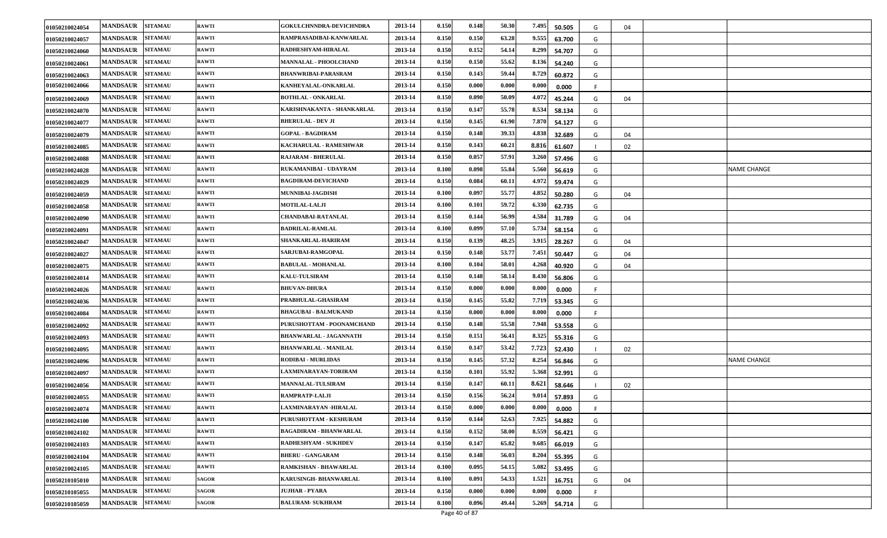| 01050210024054 | <b>MANDSAUR</b> | <b>SITAMAU</b> | <b>RAWTI</b> | <b>GOKULCHNNDRA-DEVICHNDRA</b> | 2013-14 | 0.150 | 0.148 | 50.30 | 7.495<br>50.505 | G | 04 |                    |
|----------------|-----------------|----------------|--------------|--------------------------------|---------|-------|-------|-------|-----------------|---|----|--------------------|
| 01050210024057 | <b>MANDSAUR</b> | <b>SITAMAU</b> | <b>RAWTI</b> | RAMPRASADIBAI-KANWARLAL        | 2013-14 | 0.150 | 0.150 | 63.28 | 9.555<br>63.700 | G |    |                    |
| 01050210024060 | <b>MANDSAUR</b> | <b>SITAMAU</b> | <b>RAWTI</b> | RADHESHYAM-HIRALAL             | 2013-14 | 0.150 | 0.152 | 54.14 | 8.299<br>54.707 | G |    |                    |
| 01050210024061 | <b>MANDSAUR</b> | <b>SITAMAU</b> | <b>RAWTI</b> | <b>MANNALAL - PHOOLCHAND</b>   | 2013-14 | 0.150 | 0.150 | 55.62 | 8.136<br>54.240 | G |    |                    |
| 01050210024063 | <b>MANDSAUR</b> | <b>SITAMAU</b> | <b>RAWTI</b> | <b>BHANWRIBAI-PARASRAM</b>     | 2013-14 | 0.150 | 0.143 | 59.44 | 8.729<br>60.872 | G |    |                    |
| 01050210024066 | <b>MANDSAUR</b> | <b>SITAMAU</b> | <b>RAWTI</b> | KANHEYALAL-ONKARLAL            | 2013-14 | 0.150 | 0.000 | 0.000 | 0.000<br>0.000  |   |    |                    |
| 01050210024069 | <b>MANDSAUR</b> | <b>SITAMAU</b> | <b>RAWTI</b> | <b>BOTHLAL - ONKARLAL</b>      | 2013-14 | 0.150 | 0.090 | 50.09 | 4.072<br>45.244 | G | 04 |                    |
| 01050210024070 | <b>MANDSAUR</b> | <b>SITAMAU</b> | RAWTI        | KARISHNAKANTA - SHANKARLAL     | 2013-14 | 0.150 | 0.147 | 55.78 | 8.534<br>58.134 | G |    |                    |
| 01050210024077 | <b>MANDSAUR</b> | <b>SITAMAU</b> | <b>RAWTI</b> | <b>BHERULAL - DEV JI</b>       | 2013-14 | 0.150 | 0.145 | 61.90 | 7.87<br>54.127  | G |    |                    |
| 01050210024079 | <b>MANDSAUR</b> | <b>SITAMAU</b> | <b>RAWTI</b> | <b>GOPAL - BAGDIRAM</b>        | 2013-14 | 0.150 | 0.148 | 39.33 | 4.838<br>32.689 | G | 04 |                    |
| 01050210024085 | <b>MANDSAUR</b> | <b>SITAMAU</b> | <b>RAWTI</b> | KACHARULAL - RAMESHWAR         | 2013-14 | 0.150 | 0.143 | 60.21 | 8.816<br>61.607 |   | 02 |                    |
| 01050210024088 | <b>MANDSAUR</b> | <b>SITAMAU</b> | <b>RAWTI</b> | <b>RAJARAM - BHERULAL</b>      | 2013-14 | 0.150 | 0.057 | 57.91 | 3.260<br>57.496 | G |    |                    |
| 01050210024028 | <b>MANDSAUR</b> | <b>SITAMAU</b> | <b>RAWTI</b> | RUKAMANIBAI - UDAYRAM          | 2013-14 | 0.100 | 0.098 | 55.84 | 5.560<br>56.619 | G |    | <b>NAME CHANGE</b> |
| 01050210024029 | <b>MANDSAUR</b> | <b>SITAMAU</b> | <b>RAWTI</b> | <b>BAGDIRAM-DEVICHAND</b>      | 2013-14 | 0.150 | 0.084 | 60.11 | 4.972<br>59.474 | G |    |                    |
| 01050210024059 | <b>MANDSAUR</b> | <b>SITAMAU</b> | <b>RAWTI</b> | MUNNIBAI-JAGDISH               | 2013-14 | 0.100 | 0.097 | 55.77 | 4.852<br>50.280 | G | 04 |                    |
| 01050210024058 | <b>MANDSAUR</b> | <b>SITAMAU</b> | <b>RAWTI</b> | <b>MOTILAL-LALJI</b>           | 2013-14 | 0.100 | 0.101 | 59.72 | 6.330<br>62.735 | G |    |                    |
| 01050210024090 | <b>MANDSAUR</b> | <b>SITAMAU</b> | <b>RAWTI</b> | <b>CHANDABAI-RATANLAL</b>      | 2013-14 | 0.150 | 0.144 | 56.99 | 4.584<br>31.789 | G | 04 |                    |
| 01050210024091 | <b>MANDSAUR</b> | <b>SITAMAU</b> | <b>RAWTI</b> | <b>BADRILAL-RAMLAL</b>         | 2013-14 | 0.100 | 0.099 | 57.10 | 5.734<br>58.154 | G |    |                    |
| 01050210024047 | <b>MANDSAUR</b> | <b>SITAMAU</b> | <b>RAWTI</b> | SHANKARLAL-HARIRAM             | 2013-14 | 0.150 | 0.139 | 48.25 | 3.915<br>28.267 | G | 04 |                    |
| 01050210024027 | <b>MANDSAUR</b> | <b>SITAMAU</b> | <b>RAWTI</b> | <b>SARJUBAI-RAMGOPAL</b>       | 2013-14 | 0.150 | 0.148 | 53.77 | 7.451<br>50.447 | G | 04 |                    |
| 01050210024075 | <b>MANDSAUR</b> | <b>SITAMAU</b> | <b>RAWTI</b> | <b>BABULAL - MOHANLAL</b>      | 2013-14 | 0.100 | 0.104 | 58.01 | 4.268<br>40.920 | G | 04 |                    |
| 01050210024014 | <b>MANDSAUR</b> | <b>SITAMAU</b> | <b>RAWTI</b> | <b>KALU-TULSIRAM</b>           | 2013-14 | 0.150 | 0.148 | 58.14 | 8.430<br>56.806 | G |    |                    |
| 01050210024026 | <b>MANDSAUR</b> | <b>SITAMAU</b> | <b>RAWTI</b> | <b>BHUVAN-DHURA</b>            | 2013-14 | 0.150 | 0.000 | 0.000 | 0.000<br>0.000  |   |    |                    |
| 01050210024036 | <b>MANDSAUR</b> | <b>SITAMAU</b> | <b>RAWTI</b> | PRABHULAL-GHASIRAM             | 2013-14 | 0.150 | 0.145 | 55.82 | 7.719<br>53.345 | G |    |                    |
| 01050210024084 | <b>MANDSAUR</b> | <b>SITAMAU</b> | <b>RAWTI</b> | <b>BHAGUBAI - BALMUKAND</b>    | 2013-14 | 0.150 | 0.000 | 0.000 | 0.000<br>0.000  |   |    |                    |
| 01050210024092 | <b>MANDSAUR</b> | <b>SITAMAU</b> | <b>RAWTI</b> | PURUSHOTTAM - POONAMCHAND      | 2013-14 | 0.150 | 0.148 | 55.58 | 7.948<br>53.558 | G |    |                    |
| 01050210024093 | <b>MANDSAUR</b> | <b>SITAMAU</b> | <b>RAWTI</b> | <b>BHANWARLAL - JAGANNATH</b>  | 2013-14 | 0.150 | 0.151 | 56.41 | 8.325<br>55.316 | G |    |                    |
| 01050210024095 | <b>MANDSAUR</b> | <b>SITAMAU</b> | <b>RAWTI</b> | <b>BHANWARLAL - MANILAL</b>    | 2013-14 | 0.150 | 0.147 | 53.42 | 7.723<br>52.430 |   | 02 |                    |
| 01050210024096 | <b>MANDSAUR</b> | <b>SITAMAU</b> | <b>RAWTI</b> | <b>RODIBAI - MURLIDAS</b>      | 2013-14 | 0.150 | 0.145 | 57.32 | 8.254<br>56.846 | G |    | <b>NAME CHANGE</b> |
| 01050210024097 | <b>MANDSAUR</b> | <b>SITAMAU</b> | <b>RAWTI</b> | LAXMINARAYAN-TORIRAM           | 2013-14 | 0.150 | 0.101 | 55.92 | 5.368<br>52.991 | G |    |                    |
| 01050210024056 | <b>MANDSAUR</b> | <b>SITAMAU</b> | RAWTI        | <b>MANNALAL-TULSIRAM</b>       | 2013-14 | 0.150 | 0.147 | 60.11 | 8.621<br>58.646 |   | 02 |                    |
| 01050210024055 | <b>MANDSAUR</b> | <b>SITAMAU</b> | <b>RAWTI</b> | RAMPRATP-LALJI                 | 2013-14 | 0.150 | 0.156 | 56.24 | 9.01<br>57.893  | G |    |                    |
| 01050210024074 | <b>MANDSAUR</b> | <b>SITAMAU</b> | RAWTI        | LAXMINARAYAN -HIRALAL          | 2013-14 | 0.150 | 0.000 | 0.000 | 0.000<br>0.000  |   |    |                    |
| 01050210024100 | <b>MANDSAUR</b> | <b>SITAMAU</b> | <b>RAWTI</b> | PURUSHOTTAM - KESHURAM         | 2013-14 | 0.150 | 0.144 | 52.63 | 7.925<br>54.882 | G |    |                    |
| 01050210024102 | <b>MANDSAUR</b> | <b>SITAMAU</b> | <b>RAWTI</b> | <b>BAGADIRAM - BHANWARLAL</b>  | 2013-14 | 0.150 | 0.152 | 58.00 | 8.559<br>56.421 | G |    |                    |
| 01050210024103 | <b>MANDSAUR</b> | <b>SITAMAU</b> | <b>RAWTI</b> | RADHESHYAM - SUKHDEV           | 2013-14 | 0.150 | 0.147 | 65.82 | 9.685<br>66.019 | G |    |                    |
| 01050210024104 | <b>MANDSAUR</b> | <b>SITAMAU</b> | <b>RAWTI</b> | <b>BHERU - GANGARAM</b>        | 2013-14 | 0.150 | 0.148 | 56.03 | 8.204<br>55.395 | G |    |                    |
| 01050210024105 | <b>MANDSAUR</b> | <b>SITAMAU</b> | <b>RAWTI</b> | RAMKISHAN - BHAWARLAL          | 2013-14 | 0.100 | 0.095 | 54.15 | 5.082<br>53.495 | G |    |                    |
| 01050210105010 | <b>MANDSAUR</b> | <b>SITAMAU</b> | <b>SAGOR</b> | KARUSINGH- BHANWARLAL          | 2013-14 | 0.100 | 0.091 | 54.33 | 1.521<br>16.751 | G | 04 |                    |
| 01050210105055 | <b>MANDSAUR</b> | <b>SITAMAU</b> | <b>SAGOR</b> | <b>JUJHAR - PYARA</b>          | 2013-14 | 0.150 | 0.000 | 0.000 | 0.000<br>0.000  |   |    |                    |
| 01050210105059 | <b>MANDSAUR</b> | <b>SITAMAU</b> | <b>SAGOR</b> | <b>BALURAM- SUKHRAM</b>        | 2013-14 | 0.100 | 0.096 | 49.44 | 5.269<br>54.714 | G |    |                    |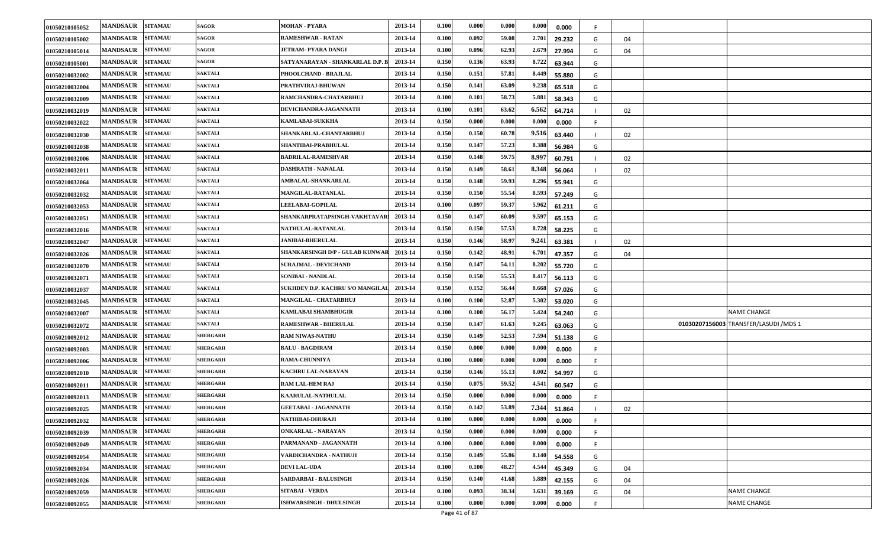| 01050210105052 | <b>MANDSAUR</b> | <b>SITAMAU</b> | <b>SAGOR</b>    | <b>MOHAN - PYARA</b>                   | 2013-14 | 0.100 | 0.000                   | 0.000 | 0.000<br>0.000  |    |    |                                        |
|----------------|-----------------|----------------|-----------------|----------------------------------------|---------|-------|-------------------------|-------|-----------------|----|----|----------------------------------------|
| 01050210105002 | <b>MANDSAUR</b> | <b>SITAMAU</b> | <b>SAGOR</b>    | <b>RAMESHWAR - RATAN</b>               | 2013-14 | 0.100 | 0.092                   | 59.08 | 2.701<br>29.232 | G  | 04 |                                        |
| 01050210105014 | <b>MANDSAUR</b> | <b>SITAMAU</b> | <b>SAGOR</b>    | JETRAM- PYARA DANGI                    | 2013-14 | 0.100 | 0.096                   | 62.93 | 2.679<br>27.994 | G  | 04 |                                        |
| 01050210105001 | <b>MANDSAUR</b> | <b>SITAMAU</b> | <b>SAGOR</b>    | SATYANARAYAN - SHANKARLAL D.P. B       | 2013-14 | 0.150 | 0.136                   | 63.93 | 8.722<br>63.944 | G  |    |                                        |
| 01050210032002 | <b>MANDSAUR</b> | <b>SITAMAU</b> | <b>SAKTALI</b>  | PHOOLCHAND - BRAJLAL                   | 2013-14 | 0.150 | 0.151                   | 57.81 | 8.449<br>55.880 | G  |    |                                        |
| 01050210032004 | <b>MANDSAUR</b> | <b>SITAMAU</b> | <b>SAKTALI</b>  | PRATHVIRAJ-BHUWAN                      | 2013-14 | 0.150 | 0.141                   | 63.09 | 9.238<br>65.518 | G  |    |                                        |
| 01050210032009 | <b>MANDSAUR</b> | <b>SITAMAU</b> | <b>SAKTALI</b>  | RAMCHANDRA-CHATARBHUJ                  | 2013-14 | 0.100 | 0.101                   | 58.73 | 5.881<br>58.343 | G  |    |                                        |
| 01050210032019 | <b>MANDSAUR</b> | <b>SITAMAU</b> | <b>SAKTALI</b>  | DEVICHANDRA-JAGANNATH                  | 2013-14 | 0.100 | 0.101                   | 63.62 | 6.562<br>64.714 |    | 02 |                                        |
| 01050210032022 | <b>MANDSAUR</b> | <b>SITAMAU</b> | <b>SAKTALI</b>  | KAMLABAI-SUKKHA                        | 2013-14 | 0.150 | 0.000                   | 0.000 | 0.00<br>0.000   | F  |    |                                        |
| 01050210032030 | <b>MANDSAUR</b> | <b>SITAMAU</b> | <b>SAKTALI</b>  | SHANKARLAL-CHANTARBHUJ                 | 2013-14 | 0.150 | 0.150                   | 60.78 | 9.516<br>63.440 |    | 02 |                                        |
| 01050210032038 | <b>MANDSAUR</b> | <b>SITAMAU</b> | <b>SAKTALI</b>  | SHANTIBAI-PRABHULAL                    | 2013-14 | 0.150 | 0.147                   | 57.23 | 8.388<br>56.984 | G  |    |                                        |
| 01050210032006 | <b>MANDSAUR</b> | <b>SITAMAU</b> | <b>SAKTALI</b>  | <b>BADRILAL-RAMESHVAR</b>              | 2013-14 | 0.150 | 0.148                   | 59.75 | 8.997<br>60.791 |    | 02 |                                        |
| 01050210032011 | <b>MANDSAUR</b> | <b>SITAMAU</b> | <b>SAKTALI</b>  | DASHRATH - NANALAL                     | 2013-14 | 0.150 | 0.149                   | 58.61 | 8.348<br>56.064 |    | 02 |                                        |
| 01050210032064 | <b>MANDSAUR</b> | <b>SITAMAU</b> | <b>SAKTALI</b>  | <b>AMBALAL-SHANKARLAL</b>              | 2013-14 | 0.150 | 0.148                   | 59.93 | 8.296<br>55.941 | G  |    |                                        |
| 01050210032032 | <b>MANDSAUR</b> | <b>SITAMAU</b> | <b>SAKTALI</b>  | <b>MANGILAL-RATANLAL</b>               | 2013-14 | 0.150 | 0.150                   | 55.54 | 8.593<br>57.249 | G  |    |                                        |
| 01050210032053 | <b>MANDSAUR</b> | <b>SITAMAU</b> | <b>SAKTALI</b>  | <b>LEELABAI-GOPILAL</b>                | 2013-14 | 0.100 | 0.097                   | 59.37 | 5.962<br>61.211 | G  |    |                                        |
| 01050210032051 | <b>MANDSAUR</b> | <b>SITAMAU</b> | <b>SAKTALI</b>  | SHANKARPRATAPSINGH-VAKHTAVAR!          | 2013-14 | 0.150 | 0.147                   | 60.09 | 9.59<br>65.153  | G  |    |                                        |
| 01050210032016 | <b>MANDSAUR</b> | <b>SITAMAU</b> | <b>SAKTALI</b>  | NATHULAL-RATANLAL                      | 2013-14 | 0.150 | 0.150                   | 57.53 | 8.728<br>58.225 | G  |    |                                        |
| 01050210032047 | <b>MANDSAUR</b> | <b>SITAMAU</b> | <b>SAKTALI</b>  | <b>JANIBAI-BHERULAL</b>                | 2013-14 | 0.150 | 0.146                   | 58.97 | 9.241<br>63.381 |    | 02 |                                        |
| 01050210032026 | <b>MANDSAUR</b> | <b>SITAMAU</b> | <b>SAKTALI</b>  | <b>SHANKARSINGH D/P - GULAB KUNWAR</b> | 2013-14 | 0.150 | 0.142                   | 48.91 | 6.70<br>47.357  | G  | 04 |                                        |
| 01050210032070 | <b>MANDSAUR</b> | <b>SITAMAU</b> | <b>SAKTALI</b>  | <b>SURAJMAL - DEVICHAND</b>            | 2013-14 | 0.150 | 0.147                   | 54.11 | 8.202<br>55.720 | G  |    |                                        |
| 01050210032071 | <b>MANDSAUR</b> | <b>SITAMAU</b> | <b>SAKTALI</b>  | <b>SONIBAI - NANDLAL</b>               | 2013-14 | 0.150 | 0.150                   | 55.53 | 8.41'<br>56.113 | G  |    |                                        |
| 01050210032037 | <b>MANDSAUR</b> | <b>SITAMAU</b> | <b>SAKTALI</b>  | SUKHDEV D.P. KACHRU S/O MANGILAI       | 2013-14 | 0.150 | 0.152                   | 56.44 | 8.668<br>57.026 | G  |    |                                        |
| 01050210032045 | <b>MANDSAUR</b> | <b>SITAMAU</b> | <b>SAKTALI</b>  | MANGILAL - CHATARBHUJ                  | 2013-14 | 0.100 | 0.100                   | 52.87 | 5.302<br>53.020 | G  |    |                                        |
| 01050210032007 | <b>MANDSAUR</b> | <b>SITAMAU</b> | <b>SAKTALI</b>  | KAMLABAI SHAMBHUGIR                    | 2013-14 | 0.100 | 0.100                   | 56.17 | 5.424<br>54.240 | G  |    | NAME CHANGE                            |
| 01050210032072 | <b>MANDSAUR</b> | <b>SITAMAU</b> | <b>SAKTALI</b>  | <b>RAMESHWAR - BHERULAL</b>            | 2013-14 | 0.150 | 0.147                   | 61.63 | 9.245<br>63.063 | G  |    | 01030207156003 TRANSFER/LASUDI / MDS 1 |
| 01050210092012 | <b>MANDSAUR</b> | <b>SITAMAU</b> | <b>SHERGARH</b> | <b>RAM NIWAS-NATHU</b>                 | 2013-14 | 0.150 | 0.149                   | 52.53 | 7.594<br>51.138 | G  |    |                                        |
| 01050210092003 | <b>MANDSAUR</b> | <b>SITAMAU</b> | <b>SHERGARH</b> | <b>BALU - BAGDIRAM</b>                 | 2013-14 | 0.150 | 0.000                   | 0.000 | 0.00<br>0.000   |    |    |                                        |
| 01050210092006 | <b>MANDSAUR</b> | <b>SITAMAU</b> | <b>SHERGARH</b> | <b>RAMA-CHUNNIYA</b>                   | 2013-14 | 0.100 | 0.000                   | 0.000 | 0.000<br>0.000  |    |    |                                        |
| 01050210092010 | <b>MANDSAUR</b> | <b>SITAMAU</b> | <b>SHERGARH</b> | KACHRU LAL-NARAYAN                     | 2013-14 | 0.150 | 0.146                   | 55.13 | 8.002<br>54.997 | G  |    |                                        |
| 01050210092011 | <b>MANDSAUR</b> | <b>SITAMAU</b> | <b>SHERGARH</b> | RAM LAL-HEM RAJ                        | 2013-14 | 0.150 | 0.075                   | 59.52 | 4.541<br>60.547 | G  |    |                                        |
| 01050210092013 | <b>MANDSAUR</b> | <b>SITAMAU</b> | <b>SHERGARH</b> | KAARULAL-NATHULAL                      | 2013-14 | 0.150 | 0.000                   | 0.000 | 0.00<br>0.000   |    |    |                                        |
| 01050210092025 | <b>MANDSAUR</b> | <b>SITAMAU</b> | <b>SHERGARH</b> | <b>GEETABAI - JAGANNATH</b>            | 2013-14 | 0.150 | 0.142                   | 53.89 | 7.344<br>51.864 |    | 02 |                                        |
| 01050210092032 | <b>MANDSAUR</b> | <b>SITAMAU</b> | <b>SHERGARH</b> | NATHIBAI-DHURAJI                       | 2013-14 | 0.100 | 0.000                   | 0.000 | 0.000<br>0.000  |    |    |                                        |
| 01050210092039 | <b>MANDSAUR</b> | <b>SITAMAU</b> | <b>SHERGARH</b> | ONKARLAL - NARAYAN                     | 2013-14 | 0.150 | 0.000                   | 0.000 | 0.000<br>0.000  |    |    |                                        |
| 01050210092049 | <b>MANDSAUR</b> | <b>SITAMAU</b> | <b>SHERGARH</b> | PARMANAND - JAGANNATH                  | 2013-14 | 0.100 | 0.000                   | 0.000 | 0.000<br>0.000  | F. |    |                                        |
| 01050210092054 | <b>MANDSAUR</b> | <b>SITAMAU</b> | <b>SHERGARH</b> | VARDICHANDRA - NATHUJI                 | 2013-14 | 0.150 | 0.149                   | 55.86 | 8.140<br>54.558 | G  |    |                                        |
| 01050210092034 | <b>MANDSAUR</b> | <b>SITAMAU</b> | <b>SHERGARH</b> | <b>DEVI LAL-UDA</b>                    | 2013-14 | 0.100 | 0.100                   | 48.27 | 4.544<br>45.349 | G  | 04 |                                        |
| 01050210092026 | <b>MANDSAUR</b> | <b>SITAMAU</b> | SHERGARH        | SARDARBAI - BALUSINGH                  | 2013-14 | 0.150 | 0.140                   | 41.68 | 5.889<br>42.155 | G  | 04 |                                        |
| 01050210092059 | <b>MANDSAUR</b> | <b>SITAMAU</b> | <b>SHERGARH</b> | <b>SITABAI - VERDA</b>                 | 2013-14 | 0.100 | 0.093                   | 38.34 | 3.631<br>39.169 | G  | 04 | <b>NAME CHANGE</b>                     |
| 01050210092055 | <b>MANDSAUR</b> | <b>SITAMAU</b> | <b>SHERGARH</b> | ISHWARSINGH - DHULSINGH                | 2013-14 | 0.100 | 0.000<br>0 <sub>0</sub> | 0.000 | 0.000<br>0.000  |    |    | <b>NAME CHANGE</b>                     |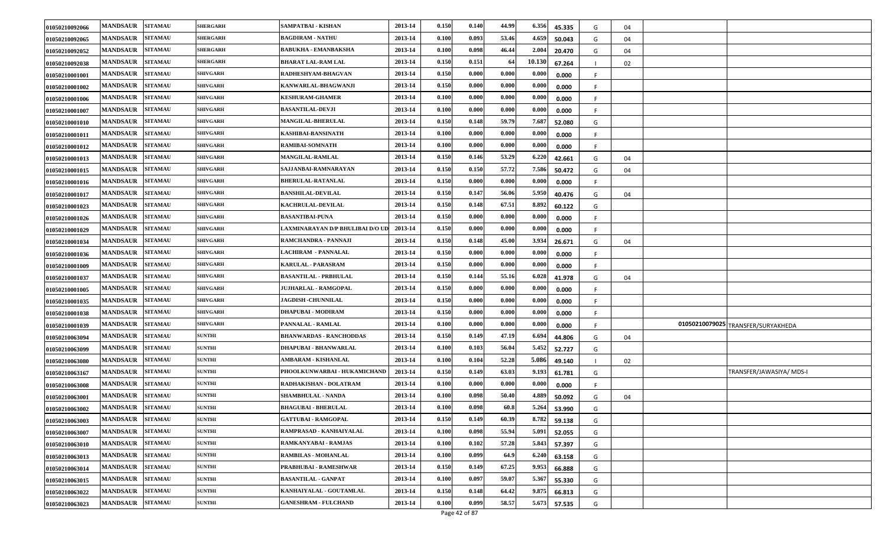| 01050210092066 | <b>MANDSAUR</b> | <b>SITAMAU</b> | <b>SHERGARH</b> | SAMPATBAI - KISHAN               | 2013-14 | 0.150 | 0.140           | 44.99 | 6.356<br>45.335  | G | 04 |                                    |
|----------------|-----------------|----------------|-----------------|----------------------------------|---------|-------|-----------------|-------|------------------|---|----|------------------------------------|
| 01050210092065 | <b>MANDSAUR</b> | <b>SITAMAU</b> | <b>SHERGARH</b> | <b>BAGDIRAM - NATHU</b>          | 2013-14 | 0.100 | 0.093           | 53.46 | 4.659<br>50.043  | G | 04 |                                    |
| 01050210092052 | <b>MANDSAUR</b> | <b>SITAMAU</b> | <b>SHERGARH</b> | <b>BABUKHA - EMANBAKSHA</b>      | 2013-14 | 0.100 | 0.098           | 46.44 | 2.004<br>20.470  | G | 04 |                                    |
| 01050210092038 | <b>MANDSAUR</b> | <b>SITAMAU</b> | <b>SHERGARH</b> | <b>BHARAT LAL-RAM LAL</b>        | 2013-14 | 0.150 | 0.151           | 64    | 10.130<br>67.264 |   | 02 |                                    |
| 01050210001001 | <b>MANDSAUR</b> | <b>SITAMAU</b> | <b>SHIVGARH</b> | RADHESHYAM-BHAGVAN               | 2013-14 | 0.150 | 0.000           | 0.000 | 0.00<br>0.000    |   |    |                                    |
| 01050210001002 | <b>MANDSAUR</b> | <b>SITAMAU</b> | <b>SHIVGARH</b> | KANWARLAL-BHAGWANJI              | 2013-14 | 0.150 | 0.000           | 0.000 | 0.000<br>0.000   |   |    |                                    |
| 01050210001006 | <b>MANDSAUR</b> | <b>SITAMAU</b> | <b>SHIVGARH</b> | <b>KESHURAM-GHAMER</b>           | 2013-14 | 0.100 | 0.000           | 0.000 | 0.000<br>0.000   |   |    |                                    |
| 01050210001007 | <b>MANDSAUR</b> | <b>SITAMAU</b> | <b>SHIVGARH</b> | <b>BASANTILAL-DEVJI</b>          | 2013-14 | 0.100 | 0.000           | 0.000 | 0.000<br>0.000   |   |    |                                    |
| 01050210001010 | <b>MANDSAUR</b> | <b>SITAMAU</b> | <b>SHIVGARH</b> | MANGILAL-BHERULAL                | 2013-14 | 0.150 | 0.148           | 59.79 | 7.68<br>52.080   | G |    |                                    |
| 01050210001011 | <b>MANDSAUR</b> | <b>SITAMAU</b> | <b>SHIVGARH</b> | KASHIBAI-BANSINATH               | 2013-14 | 0.100 | 0.000           | 0.000 | 0.000<br>0.000   |   |    |                                    |
| 01050210001012 | <b>MANDSAUR</b> | <b>SITAMAU</b> | <b>SHIVGARH</b> | <b>RAMIBAI-SOMNATH</b>           | 2013-14 | 0.100 | 0.000           | 0.000 | 0.000<br>0.000   |   |    |                                    |
| 01050210001013 | <b>MANDSAUR</b> | <b>SITAMAU</b> | <b>SHIVGARH</b> | <b>MANGILAL-RAMLAL</b>           | 2013-14 | 0.150 | 0.146           | 53.29 | 6.220<br>42.661  | G | 04 |                                    |
| 01050210001015 | <b>MANDSAUR</b> | <b>SITAMAU</b> | <b>SHIVGARH</b> | SAJJANBAI-RAMNARAYAN             | 2013-14 | 0.150 | 0.150           | 57.72 | 7.586<br>50.472  | G | 04 |                                    |
| 01050210001016 | <b>MANDSAUR</b> | <b>SITAMAU</b> | <b>SHIVGARH</b> | <b>BHERULAL-RATANLAL</b>         | 2013-14 | 0.150 | 0.000           | 0.000 | 0.000<br>0.000   |   |    |                                    |
| 01050210001017 | <b>MANDSAUR</b> | <b>SITAMAU</b> | <b>SHIVGARH</b> | <b>BANSHILAL-DEVILAL</b>         | 2013-14 | 0.150 | 0.147           | 56.06 | 5.950<br>40.476  | G | 04 |                                    |
| 01050210001023 | <b>MANDSAUR</b> | <b>SITAMAU</b> | <b>SHIVGARH</b> | <b>KACHRULAL-DEVILAL</b>         | 2013-14 | 0.150 | 0.148           | 67.51 | 8.892<br>60.122  | G |    |                                    |
| 01050210001026 | <b>MANDSAUR</b> | <b>SITAMAU</b> | <b>SHIVGARH</b> | <b>BASANTIBAI-PUNA</b>           | 2013-14 | 0.150 | 0.000           | 0.000 | 0.00<br>0.000    |   |    |                                    |
| 01050210001029 | <b>MANDSAUR</b> | <b>SITAMAU</b> | <b>SHIVGARH</b> | LAXMINARAYAN D/P BHULIBAI D/O UD | 2013-14 | 0.150 | 0.000           | 0.000 | 0.000<br>0.000   |   |    |                                    |
| 01050210001034 | <b>MANDSAUR</b> | <b>SITAMAU</b> | <b>SHIVGARH</b> | RAMCHANDRA - PANNAJI             | 2013-14 | 0.150 | 0.148           | 45.00 | 3.934<br>26.671  | G | 04 |                                    |
| 01050210001036 | <b>MANDSAUR</b> | <b>SITAMAU</b> | <b>SHIVGARH</b> | LACHIRAM - PANNALAL              | 2013-14 | 0.150 | 0.000           | 0.000 | 0.00<br>0.000    |   |    |                                    |
| 01050210001009 | <b>MANDSAUR</b> | <b>SITAMAU</b> | <b>SHIVGARH</b> | KARULAL - PARASRAM               | 2013-14 | 0.150 | 0.000           | 0.000 | 0.000<br>0.000   |   |    |                                    |
| 01050210001037 | <b>MANDSAUR</b> | <b>SITAMAU</b> | <b>SHIVGARH</b> | <b>BASANTILAL - PRBHULAL</b>     | 2013-14 | 0.150 | 0.144           | 55.16 | 6.028<br>41.978  | G | 04 |                                    |
| 01050210001005 | <b>MANDSAUR</b> | <b>SITAMAU</b> | <b>SHIVGARH</b> | JUJHARLAL - RAMGOPAL             | 2013-14 | 0.150 | 0.000           | 0.000 | 0.000<br>0.000   |   |    |                                    |
| 01050210001035 | <b>MANDSAUR</b> | <b>SITAMAU</b> | <b>SHIVGARH</b> | <b>JAGDISH -CHUNNILAL</b>        | 2013-14 | 0.150 | 0.000           | 0.000 | 0.00<br>0.000    |   |    |                                    |
| 01050210001038 | <b>MANDSAUR</b> | <b>SITAMAU</b> | <b>SHIVGARH</b> | <b>DHAPUBAI - MODIRAM</b>        | 2013-14 | 0.150 | 0.000           | 0.000 | 0.000<br>0.000   |   |    |                                    |
| 01050210001039 | <b>MANDSAUR</b> | <b>SITAMAU</b> | <b>SHIVGARH</b> | PANNALAL - RAMLAL                | 2013-14 | 0.100 | 0.000           | 0.000 | 0.000<br>0.000   |   |    | 01050210079025 TRANSFER/SURYAKHEDA |
| 01050210063094 | <b>MANDSAUR</b> | <b>SITAMAU</b> | <b>SUNTHI</b>   | <b>BHANWARDAS - RANCHODDAS</b>   | 2013-14 | 0.150 | 0.149           | 47.19 | 6.694<br>44.806  | G | 04 |                                    |
| 01050210063099 | <b>MANDSAUR</b> | <b>SITAMAU</b> | <b>SUNTHI</b>   | <b>DHAPUBAI - BHANWARLAL</b>     | 2013-14 | 0.100 | 0.103           | 56.04 | 5.452<br>52.727  | G |    |                                    |
| 01050210063080 | <b>MANDSAUR</b> | <b>SITAMAU</b> | <b>SUNTHI</b>   | AMBARAM - KISHANLAL              | 2013-14 | 0.100 | 0.104           | 52.28 | 5.086<br>49.140  |   | 02 |                                    |
| 01050210063167 | <b>MANDSAUR</b> | <b>SITAMAU</b> | <b>SUNTHI</b>   | PHOOLKUNWARBAI - HUKAMICHAND     | 2013-14 | 0.150 | 0.149           | 63.03 | 9.193<br>61.781  | G |    | TRANSFER/JAWASIYA/ MDS-I           |
| 01050210063008 | <b>MANDSAUR</b> | <b>SITAMAU</b> | <b>SUNTHI</b>   | RADHAKISHAN - DOLATRAM           | 2013-14 | 0.100 | 0.000           | 0.000 | 0.000<br>0.000   |   |    |                                    |
| 01050210063001 | <b>MANDSAUR</b> | <b>SITAMAU</b> | <b>SUNTHI</b>   | <b>SHAMBHULAL - NANDA</b>        | 2013-14 | 0.100 | 0.098           | 50.40 | 4.88<br>50.092   | G | 04 |                                    |
| 01050210063002 | <b>MANDSAUR</b> | <b>SITAMAU</b> | <b>SUNTHI</b>   | <b>BHAGUBAI - BHERULAL</b>       | 2013-14 | 0.100 | 0.098           | 60.8  | 5.264<br>53.990  | G |    |                                    |
| 01050210063003 | <b>MANDSAUR</b> | <b>SITAMAU</b> | <b>SUNTHI</b>   | <b>GATTUBAI - RAMGOPAL</b>       | 2013-14 | 0.150 | 0.149           | 60.39 | 8.782<br>59.138  | G |    |                                    |
| 01050210063007 | <b>MANDSAUR</b> | <b>SITAMAU</b> | <b>SUNTHI</b>   | RAMPRASAD - KANHAIYALAL          | 2013-14 | 0.100 | 0.098           | 55.94 | 5.091<br>52.055  | G |    |                                    |
| 01050210063010 | <b>MANDSAUR</b> | <b>SITAMAU</b> | <b>SUNTHI</b>   | RAMKANYABAI - RAMJAS             | 2013-14 | 0.100 | 0.102           | 57.28 | 5.843<br>57.397  | G |    |                                    |
| 01050210063013 | <b>MANDSAUR</b> | <b>SITAMAU</b> | <b>SUNTHI</b>   | <b>RAMBILAS - MOHANLAL</b>       | 2013-14 | 0.100 | 0.099           | 64.9  | 6.240<br>63.158  | G |    |                                    |
| 01050210063014 | <b>MANDSAUR</b> | <b>SITAMAU</b> | <b>SUNTHI</b>   | PRABHUBAI - RAMESHWAR            | 2013-14 | 0.150 | 0.149           | 67.25 | 9.953<br>66.888  | G |    |                                    |
| 01050210063015 | <b>MANDSAUR</b> | <b>SITAMAU</b> | <b>SUNTHI</b>   | <b>BASANTILAL - GANPAT</b>       | 2013-14 | 0.100 | 0.097           | 59.07 | 5.367<br>55.330  | G |    |                                    |
| 01050210063022 | <b>MANDSAUR</b> | <b>SITAMAU</b> | <b>SUNTHI</b>   | KANHAIYALAL - GOUTAMLAL          | 2013-14 | 0.150 | 0.148           | 64.42 | 9.875<br>66.813  | G |    |                                    |
| 01050210063023 | <b>MANDSAUR</b> | <b>SITAMAU</b> | <b>SUNTHI</b>   | <b>GANESHRAM - FULCHAND</b>      | 2013-14 | 0.100 | 0.099<br>$\sim$ | 58.57 | 5.673<br>57.535  | G |    |                                    |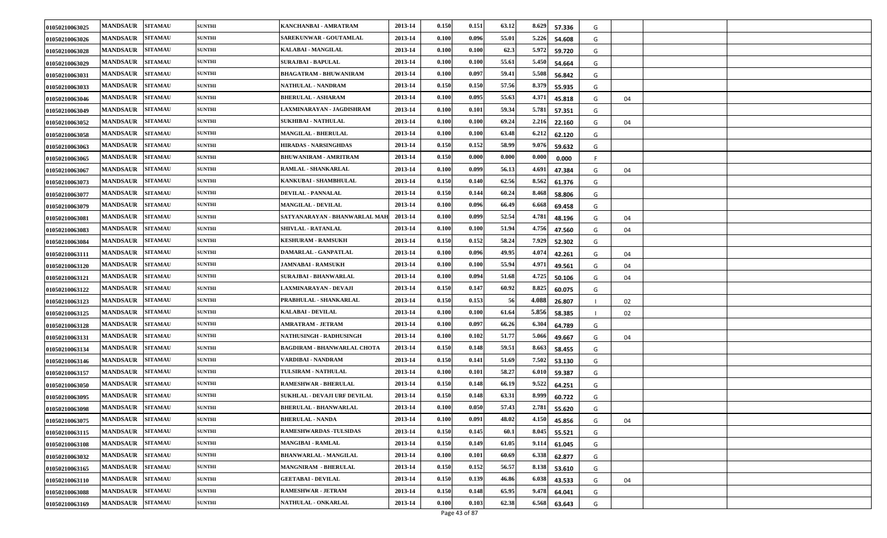| 01050210063025 | <b>MANDSAUR</b> | <b>SITAMAU</b> | <b>SUNTHI</b> | KANCHANBAI - AMRATRAM              | 2013-14 | 0.150 | 0.151 | 63.12 | 8.629<br>57.336 | G |    |  |
|----------------|-----------------|----------------|---------------|------------------------------------|---------|-------|-------|-------|-----------------|---|----|--|
| 01050210063026 | <b>MANDSAUR</b> | <b>SITAMAU</b> | <b>SUNTHI</b> | <b>SAREKUNWAR - GOUTAMLAL</b>      | 2013-14 | 0.100 | 0.096 | 55.01 | 5.226<br>54.608 | G |    |  |
| 01050210063028 | <b>MANDSAUR</b> | <b>SITAMAU</b> | <b>SUNTHI</b> | KALABAI - MANGILAL                 | 2013-14 | 0.100 | 0.100 | 62.3  | 5.972<br>59.720 | G |    |  |
| 01050210063029 | <b>MANDSAUR</b> | <b>SITAMAU</b> | <b>SUNTHI</b> | SURAJBAI - BAPULAL                 | 2013-14 | 0.100 | 0.100 | 55.61 | 5.450<br>54.664 | G |    |  |
| 01050210063031 | <b>MANDSAUR</b> | <b>SITAMAU</b> | <b>SUNTHI</b> | <b>BHAGATRAM - BHUWANIRAM</b>      | 2013-14 | 0.100 | 0.097 | 59.41 | 5.508<br>56.842 | G |    |  |
| 01050210063033 | <b>MANDSAUR</b> | <b>SITAMAU</b> | <b>SUNTHI</b> | <b>NATHULAL - NANDRAM</b>          | 2013-14 | 0.150 | 0.150 | 57.56 | 8.379<br>55.935 | G |    |  |
| 01050210063046 | <b>MANDSAUR</b> | <b>SITAMAU</b> | <b>SUNTHI</b> | <b>BHERULAL - ASHARAM</b>          | 2013-14 | 0.100 | 0.095 | 55.63 | 4.371<br>45.818 | G | 04 |  |
| 01050210063049 | <b>MANDSAUR</b> | <b>SITAMAU</b> | <b>SUNTHI</b> | LAXMINARAYAN - JAGDISHRAM          | 2013-14 | 0.100 | 0.101 | 59.34 | 5.781<br>57.351 | G |    |  |
| 01050210063052 | <b>MANDSAUR</b> | <b>SITAMAU</b> | <b>SUNTHI</b> | <b>SUKHIBAI - NATHULAL</b>         | 2013-14 | 0.100 | 0.100 | 69.24 | 2.216<br>22.160 | G | 04 |  |
| 01050210063058 | <b>MANDSAUR</b> | <b>SITAMAU</b> | <b>SUNTHI</b> | <b>MANGILAL - BHERULAL</b>         | 2013-14 | 0.100 | 0.100 | 63.48 | 6.212<br>62.120 | G |    |  |
| 01050210063063 | <b>MANDSAUR</b> | <b>SITAMAU</b> | <b>SUNTHI</b> | <b>HIRADAS - NARSINGHDAS</b>       | 2013-14 | 0.150 | 0.152 | 58.99 | 9.076<br>59.632 | G |    |  |
| 01050210063065 | <b>MANDSAUR</b> | <b>SITAMAU</b> | <b>SUNTHI</b> | <b>BHUWANIRAM - AMRITRAM</b>       | 2013-14 | 0.150 | 0.000 | 0.000 | 0.00<br>0.000   |   |    |  |
| 01050210063067 | <b>MANDSAUR</b> | <b>SITAMAU</b> | <b>SUNTHI</b> | RAMLAL - SHANKARLAL                | 2013-14 | 0.100 | 0.099 | 56.13 | 4.691<br>47.384 | G | 04 |  |
| 01050210063073 | <b>MANDSAUR</b> | <b>SITAMAU</b> | <b>SUNTHI</b> | KANKUBAI - SHAMBHULAL              | 2013-14 | 0.150 | 0.140 | 62.56 | 8.562<br>61.376 | G |    |  |
| 01050210063077 | <b>MANDSAUR</b> | <b>SITAMAU</b> | <b>SUNTHI</b> | <b>DEVILAL - PANNALAL</b>          | 2013-14 | 0.150 | 0.144 | 60.24 | 8.468<br>58.806 | G |    |  |
| 01050210063079 | <b>MANDSAUR</b> | <b>SITAMAU</b> | <b>SUNTHI</b> | <b>MANGILAL - DEVILAL</b>          | 2013-14 | 0.100 | 0.096 | 66.49 | 6.668<br>69.458 | G |    |  |
| 01050210063081 | <b>MANDSAUR</b> | <b>SITAMAU</b> | <b>SUNTHI</b> | SATYANARAYAN - BHANWARLAL MAH      | 2013-14 | 0.100 | 0.099 | 52.54 | 4.781<br>48.196 | G | 04 |  |
| 01050210063083 | <b>MANDSAUR</b> | <b>SITAMAU</b> | <b>SUNTHI</b> | <b>SHIVLAL - RATANLAL</b>          | 2013-14 | 0.100 | 0.100 | 51.94 | 4.756<br>47.560 | G | 04 |  |
| 01050210063084 | <b>MANDSAUR</b> | <b>SITAMAU</b> | <b>SUNTHI</b> | <b>KESHURAM - RAMSUKH</b>          | 2013-14 | 0.150 | 0.152 | 58.24 | 7.929<br>52.302 | G |    |  |
| 01050210063111 | <b>MANDSAUR</b> | <b>SITAMAU</b> | <b>SUNTHI</b> | DAMARLAL - GANPATLAL               | 2013-14 | 0.100 | 0.096 | 49.95 | 4.07<br>42.261  | G | 04 |  |
| 01050210063120 | <b>MANDSAUR</b> | <b>SITAMAU</b> | <b>SUNTHI</b> | <b>JAMNABAI - RAMSUKH</b>          | 2013-14 | 0.100 | 0.100 | 55.94 | 4.97<br>49.561  | G | 04 |  |
| 01050210063121 | <b>MANDSAUR</b> | <b>SITAMAU</b> | <b>SUNTHI</b> | SURAJBAI - BHANWARLAL              | 2013-14 | 0.100 | 0.094 | 51.68 | 4.725<br>50.106 | G | 04 |  |
| 01050210063122 | <b>MANDSAUR</b> | <b>SITAMAU</b> | <b>SUNTHI</b> | LAXMINARAYAN - DEVAJI              | 2013-14 | 0.150 | 0.147 | 60.92 | 8.825<br>60.075 | G |    |  |
| 01050210063123 | <b>MANDSAUR</b> | <b>SITAMAU</b> | <b>SUNTHI</b> | PRABHULAL - SHANKARLAL             | 2013-14 | 0.150 | 0.153 | -56   | 4.088<br>26.807 |   | 02 |  |
| 01050210063125 | <b>MANDSAUR</b> | <b>SITAMAU</b> | <b>SUNTHI</b> | <b>KALABAI - DEVILAL</b>           | 2013-14 | 0.100 | 0.100 | 61.64 | 5.856<br>58.385 |   | 02 |  |
| 01050210063128 | <b>MANDSAUR</b> | <b>SITAMAU</b> | <b>SUNTHI</b> | <b>AMRATRAM - JETRAM</b>           | 2013-14 | 0.100 | 0.097 | 66.26 | 6.304<br>64.789 | G |    |  |
| 01050210063131 | <b>MANDSAUR</b> | <b>SITAMAU</b> | <b>SUNTHI</b> | NATHUSINGH - RADHUSINGH            | 2013-14 | 0.100 | 0.102 | 51.77 | 5.066<br>49.667 | G | 04 |  |
| 01050210063134 | <b>MANDSAUR</b> | <b>SITAMAU</b> | <b>SUNTHI</b> | <b>BAGDIRAM - BHANWARLAL CHOTA</b> | 2013-14 | 0.150 | 0.148 | 59.51 | 8.66.<br>58.455 | G |    |  |
| 01050210063146 | <b>MANDSAUR</b> | <b>SITAMAU</b> | <b>SUNTHI</b> | VARDIBAI - NANDRAM                 | 2013-14 | 0.150 | 0.141 | 51.69 | 7.502<br>53.130 | G |    |  |
| 01050210063157 | <b>MANDSAUR</b> | <b>SITAMAU</b> | <b>SUNTHI</b> | TULSIRAM - NATHULAL                | 2013-14 | 0.100 | 0.101 | 58.27 | 6.010<br>59.387 | G |    |  |
| 01050210063050 | <b>MANDSAUR</b> | <b>SITAMAU</b> | <b>SUNTHI</b> | RAMESHWAR - BHERULAL               | 2013-14 | 0.150 | 0.148 | 66.19 | 9.522<br>64.251 | G |    |  |
| 01050210063095 | <b>MANDSAUR</b> | <b>SITAMAU</b> | <b>SUNTHI</b> | SUKHLAL - DEVAJI URF DEVILAL       | 2013-14 | 0.150 | 0.148 | 63.31 | 8.99<br>60.722  | G |    |  |
| 01050210063098 | <b>MANDSAUR</b> | <b>SITAMAU</b> | <b>SUNTHI</b> | <b>BHERULAL - BHANWARLAL</b>       | 2013-14 | 0.100 | 0.050 | 57.43 | 2.781<br>55.620 | G |    |  |
| 01050210063075 | <b>MANDSAUR</b> | <b>SITAMAU</b> | <b>SUNTHI</b> | <b>BHERULAL - NANDA</b>            | 2013-14 | 0.100 | 0.091 | 48.02 | 4.150<br>45.856 | G | 04 |  |
| 01050210063115 | <b>MANDSAUR</b> | <b>SITAMAU</b> | <b>SUNTHI</b> | <b>RAMESHWARDAS - TULSIDAS</b>     | 2013-14 | 0.150 | 0.145 | 60.1  | 8.045<br>55.521 | G |    |  |
| 01050210063108 | <b>MANDSAUR</b> | <b>SITAMAU</b> | <b>SUNTHI</b> | <b>MANGIBAI - RAMLAL</b>           | 2013-14 | 0.150 | 0.149 | 61.05 | 9.114<br>61.045 | G |    |  |
| 01050210063032 | <b>MANDSAUR</b> | <b>SITAMAU</b> | <b>SUNTHI</b> | <b>BHANWARLAL - MANGILAL</b>       | 2013-14 | 0.100 | 0.101 | 60.69 | 6.338<br>62.877 | G |    |  |
| 01050210063165 | <b>MANDSAUR</b> | <b>SITAMAU</b> | <b>SUNTHI</b> | <b>MANGNIRAM - BHERULAL</b>        | 2013-14 | 0.150 | 0.152 | 56.57 | 8.138<br>53.610 | G |    |  |
| 01050210063110 | <b>MANDSAUR</b> | <b>SITAMAU</b> | <b>SUNTHI</b> | <b>GEETABAI - DEVILAL</b>          | 2013-14 | 0.150 | 0.139 | 46.86 | 6.038<br>43.533 | G | 04 |  |
| 01050210063088 | <b>MANDSAUR</b> | <b>SITAMAU</b> | <b>SUNTHI</b> | <b>RAMESHWAR - JETRAM</b>          | 2013-14 | 0.150 | 0.148 | 65.95 | 9.47<br>64.041  | G |    |  |
| 01050210063169 | <b>MANDSAUR</b> | <b>SITAMAU</b> | <b>SUNTHI</b> | NATHULAL - ONKARLAL                | 2013-14 | 0.100 | 0.103 | 62.38 | 6.568<br>63.643 | G |    |  |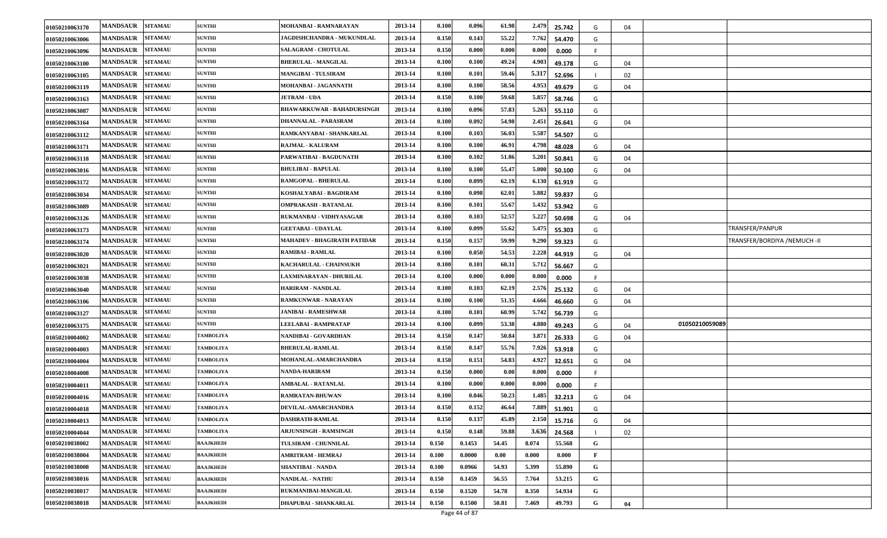| 01050210063170 | <b>MANDSAUR</b> | <b>SITAMAU</b> | <b>SUNTHI</b>    | MOHANBAI - RAMNARAYAN             | 2013-14 | 0.100 | 0.096                | 61.98 | 2.479 | 25.742 | G | 04 |                |                              |
|----------------|-----------------|----------------|------------------|-----------------------------------|---------|-------|----------------------|-------|-------|--------|---|----|----------------|------------------------------|
| 01050210063006 | <b>MANDSAUR</b> | <b>SITAMAU</b> | <b>SUNTHI</b>    | <b>JAGDISHCHANDRA - MUKUNDLAL</b> | 2013-14 | 0.150 | 0.143                | 55.22 | 7.762 | 54.470 | G |    |                |                              |
| 01050210063096 | <b>MANDSAUR</b> | <b>SITAMAU</b> | <b>SUNTHI</b>    | <b>SALAGRAM - CHOTULAL</b>        | 2013-14 | 0.150 | 0.000                | 0.000 | 0.000 | 0.000  |   |    |                |                              |
| 01050210063100 | <b>MANDSAUR</b> | <b>SITAMAU</b> | <b>SUNTHI</b>    | <b>BHERULAL - MANGILAL</b>        | 2013-14 | 0.100 | 0.100                | 49.24 | 4.90  | 49.178 | G | 04 |                |                              |
| 01050210063105 | <b>MANDSAUR</b> | <b>SITAMAU</b> | <b>SUNTHI</b>    | <b>MANGIBAI - TULSIRAM</b>        | 2013-14 | 0.100 | 0.101                | 59.46 | 5.317 | 52.696 |   | 02 |                |                              |
| 01050210063119 | <b>MANDSAUR</b> | <b>SITAMAU</b> | <b>SUNTHI</b>    | MOHANBAI - JAGANNATH              | 2013-14 | 0.100 | 0.100                | 58.56 | 4.953 | 49.679 | G | 04 |                |                              |
| 01050210063163 | <b>MANDSAUR</b> | <b>SITAMAU</b> | <b>SUNTHI</b>    | <b>JETRAM - UDA</b>               | 2013-14 | 0.150 | 0.100                | 59.68 | 5.857 | 58.746 | G |    |                |                              |
| 01050210063087 | <b>MANDSAUR</b> | <b>SITAMAU</b> | <b>SUNTHI</b>    | <b>BHAWARKUWAR - BAHADURSINGH</b> | 2013-14 | 0.100 | 0.096                | 57.83 | 5.263 | 55.110 | G |    |                |                              |
| 01050210063164 | <b>MANDSAUR</b> | <b>SITAMAU</b> | <b>SUNTHI</b>    | <b>DHANNALAL - PARASRAM</b>       | 2013-14 | 0.100 | 0.092                | 54.98 | 2.451 | 26.641 | G | 04 |                |                              |
| 01050210063112 | <b>MANDSAUR</b> | <b>SITAMAU</b> | <b>SUNTHI</b>    | RAMKANYABAI - SHANKARLAL          | 2013-14 | 0.100 | 0.103                | 56.03 | 5.587 | 54.507 | G |    |                |                              |
| 01050210063171 | <b>MANDSAUR</b> | <b>SITAMAU</b> | <b>SUNTHI</b>    | RAJMAL - KALURAM                  | 2013-14 | 0.100 | 0.100                | 46.91 | 4.798 | 48.028 | G | 04 |                |                              |
| 01050210063118 | <b>MANDSAUR</b> | <b>SITAMAU</b> | <b>SUNTHI</b>    | PARWATIBAI - BAGDUNATH            | 2013-14 | 0.100 | 0.102                | 51.86 | 5.201 | 50.841 | G | 04 |                |                              |
| 01050210063016 | <b>MANDSAUR</b> | <b>SITAMAU</b> | <b>SUNTHI</b>    | <b>BHULIBAI - BAPULAL</b>         | 2013-14 | 0.100 | 0.100                | 55.47 | 5.000 | 50.100 | G | 04 |                |                              |
| 01050210063172 | <b>MANDSAUR</b> | <b>SITAMAU</b> | <b>SUNTHI</b>    | RAMGOPAL - BHERULAL               | 2013-14 | 0.100 | 0.099                | 62.19 | 6.130 | 61.919 | G |    |                |                              |
| 01050210063034 | <b>MANDSAUR</b> | <b>SITAMAU</b> | <b>SUNTHI</b>    | KOSHALYABAI - BAGDIRAM            | 2013-14 | 0.100 | 0.098                | 62.01 | 5.882 | 59.837 | G |    |                |                              |
| 01050210063089 | <b>MANDSAUR</b> | <b>SITAMAU</b> | <b>SUNTHI</b>    | OMPRAKASH - RATANLAL              | 2013-14 | 0.100 | 0.101                | 55.67 | 5.432 | 53.942 | G |    |                |                              |
| 01050210063126 | <b>MANDSAUR</b> | <b>SITAMAU</b> | <b>SUNTHI</b>    | RUKMANBAI - VIDHYASAGAR           | 2013-14 | 0.100 | 0.103                | 52.57 | 5.227 | 50.698 | G | 04 |                |                              |
| 01050210063173 | <b>MANDSAUR</b> | <b>SITAMAU</b> | <b>SUNTHI</b>    | <b>GEETABAI - UDAYLAL</b>         | 2013-14 | 0.100 | 0.099                | 55.62 | 5.475 | 55.303 | G |    |                | TRANSFER/PANPUR              |
| 01050210063174 | <b>MANDSAUR</b> | <b>SITAMAU</b> | <b>SUNTHI</b>    | MAHADEV - BHAGIRATH PATIDAR       | 2013-14 | 0.150 | 0.157                | 59.99 | 9.290 | 59.323 | G |    |                | TRANSFER/BORDIYA /NEMUCH -II |
| 01050210063020 | <b>MANDSAUR</b> | <b>SITAMAU</b> | <b>SUNTHI</b>    | <b>RAMIBAI - RAMLAL</b>           | 2013-14 | 0.100 | 0.050                | 54.53 | 2.228 | 44.919 | G | 04 |                |                              |
| 01050210063021 | <b>MANDSAUR</b> | <b>SITAMAU</b> | <b>SUNTHI</b>    | KACHARULAL - CHAINSUKH            | 2013-14 | 0.100 | 0.101                | 60.31 | 5.712 | 56.667 | G |    |                |                              |
| 01050210063038 | <b>MANDSAUR</b> | <b>SITAMAU</b> | <b>SUNTHI</b>    | LAXMINARAYAN - DHURILAL           | 2013-14 | 0.100 | 0.000                | 0.000 | 0.000 | 0.000  |   |    |                |                              |
| 01050210063040 | <b>MANDSAUR</b> | <b>SITAMAU</b> | <b>SUNTHI</b>    | HARIRAM - NANDLAL                 | 2013-14 | 0.100 | 0.103                | 62.19 | 2.576 | 25.132 | G | 04 |                |                              |
| 01050210063106 | <b>MANDSAUR</b> | <b>SITAMAU</b> | <b>SUNTHI</b>    | RAMKUNWAR - NARAYAN               | 2013-14 | 0.100 | 0.100                | 51.35 | 4.666 | 46.660 | G | 04 |                |                              |
| 01050210063127 | <b>MANDSAUR</b> | <b>SITAMAU</b> | <b>SUNTHI</b>    | <b>JANIBAI - RAMESHWAR</b>        | 2013-14 | 0.100 | 0.101                | 60.99 | 5.742 | 56.739 | G |    |                |                              |
| 01050210063175 | <b>MANDSAUR</b> | <b>SITAMAU</b> | <b>SUNTHI</b>    | LEELABAI - RAMPRATAP              | 2013-14 | 0.100 | 0.099                | 53.38 | 4.880 | 49.243 | G | 04 | 01050210059089 |                              |
| 01050210004002 | <b>MANDSAUR</b> | <b>SITAMAU</b> | <b>TAMBOLIYA</b> | NANDIBAI - GOVARDHAN              | 2013-14 | 0.150 | 0.147                | 50.84 | 3.871 | 26.333 | G | 04 |                |                              |
| 01050210004003 | <b>MANDSAUR</b> | <b>SITAMAU</b> | <b>TAMBOLIYA</b> | <b>BHERULAL-RAMLAL</b>            | 2013-14 | 0.150 | 0.147                | 55.76 | 7.92  | 53.918 | G |    |                |                              |
| 01050210004004 | <b>MANDSAUR</b> | <b>SITAMAU</b> | <b>TAMBOLIYA</b> | MOHANLAL-AMARCHANDRA              | 2013-14 | 0.150 | 0.151                | 54.83 | 4.927 | 32.651 | G | 04 |                |                              |
| 01050210004008 | <b>MANDSAUR</b> | <b>SITAMAU</b> | <b>TAMBOLIYA</b> | NANDA-HARIRAM                     | 2013-14 | 0.150 | 0.000                | 0.00  | 0.000 | 0.000  |   |    |                |                              |
| 01050210004011 | <b>MANDSAUR</b> | <b>SITAMAU</b> | <b>TAMBOLIYA</b> | <b>AMBALAL - RATANLAL</b>         | 2013-14 | 0.100 | 0.000                | 0.000 | 0.000 | 0.000  |   |    |                |                              |
| 01050210004016 | <b>MANDSAUR</b> | <b>SITAMAU</b> | <b>TAMBOLIYA</b> | RAMRATAN-BHUWAN                   | 2013-14 | 0.100 | 0.046                | 50.23 | 1.48  | 32.213 | G | 04 |                |                              |
| 01050210004018 | <b>MANDSAUR</b> | <b>SITAMAU</b> | <b>TAMBOLIYA</b> | DEVILAL-AMARCHANDRA               | 2013-14 | 0.150 | 0.152                | 46.64 | 7.889 | 51.901 | G |    |                |                              |
| 01050210004013 | <b>MANDSAUR</b> | <b>SITAMAU</b> | <b>TAMBOLIYA</b> | <b>DASHRATH-RAMLAL</b>            | 2013-14 | 0.150 | 0.137                | 45.89 | 2.150 | 15.716 | G | 04 |                |                              |
| 01050210004044 | <b>MANDSAUR</b> | <b>SITAMAU</b> | <b>TAMBOLIYA</b> | <b>ARJUNSINGH - RAMSINGH</b>      | 2013-14 | 0.150 | 0.148                | 59.88 | 3.636 | 24.568 |   | 02 |                |                              |
| 01050210038002 | <b>MANDSAUR</b> | <b>SITAMAU</b> | <b>BAAJKHEDI</b> | TULSIRAM - CHUNNILAL              | 2013-14 | 0.150 | 0.1453               | 54.45 | 8.074 | 55.568 | G |    |                |                              |
| 01050210038004 | <b>MANDSAUR</b> | <b>SITAMAU</b> | <b>BAAJKHEDI</b> | <b>AMRITRAM - HEMRAJ</b>          | 2013-14 | 0.100 | 0.0000               | 0.00  | 0.000 | 0.000  | F |    |                |                              |
| 01050210038008 | <b>MANDSAUR</b> | <b>SITAMAU</b> | <b>BAAJKHEDI</b> | <b>SHANTIBAI - NANDA</b>          | 2013-14 | 0.100 | 0.0966               | 54.93 | 5.399 | 55.890 | G |    |                |                              |
| 01050210038016 | <b>MANDSAUR</b> | <b>SITAMAU</b> | <b>BAAJKHEDI</b> | <b>NANDLAL - NATHU</b>            | 2013-14 | 0.150 | 0.1459               | 56.55 | 7.764 | 53.215 | G |    |                |                              |
| 01050210038017 | <b>MANDSAUR</b> | <b>SITAMAU</b> | <b>BAAJKHEDI</b> | RUKMANIBAI-MANGILAL               | 2013-14 | 0.150 | 0.1520               | 54.78 | 8.350 | 54.934 | G |    |                |                              |
| 01050210038018 | <b>MANDSAUR</b> | <b>SITAMAU</b> | <b>BAAJKHEDI</b> | <b>DHAPUBAI - SHANKARLAL</b>      | 2013-14 | 0.150 | 0.1500<br>$44 - 507$ | 50.81 | 7.469 | 49.793 | G | 04 |                |                              |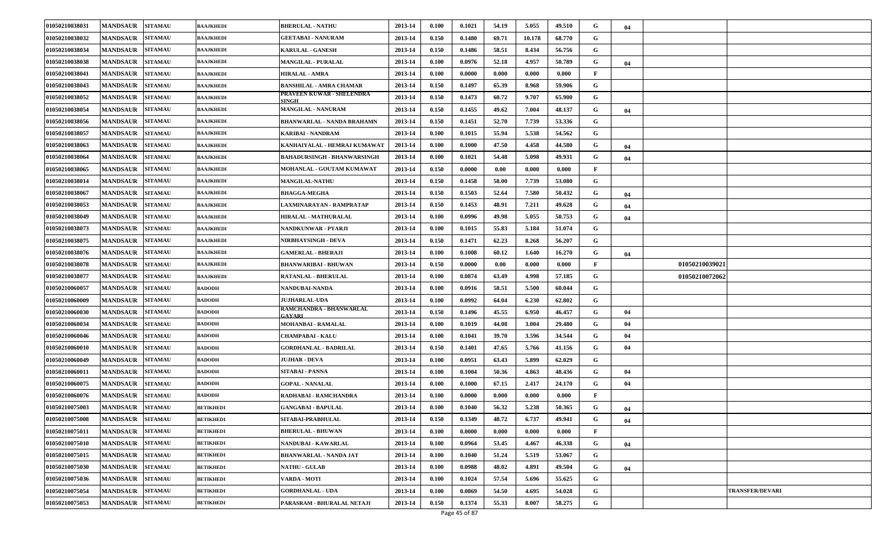| 01050210038031 | <b>MANDSAUR</b> | <b>SITAMAU</b> | <b>BAAJKHEDI</b> | <b>BHERULAL - NATHU</b>            | 2013-14 | 0.100 | 0.1021               | 54.19 | 5.055  | 49.510 | G           | 04             |                        |
|----------------|-----------------|----------------|------------------|------------------------------------|---------|-------|----------------------|-------|--------|--------|-------------|----------------|------------------------|
| 01050210038032 | <b>MANDSAUR</b> | <b>SITAMAU</b> | BAAJKHEDI        | <b>GEETABAI - NANURAM</b>          | 2013-14 | 0.150 | 0.1480               | 69.71 | 10.178 | 68.770 | G           |                |                        |
| 01050210038034 | <b>MANDSAUR</b> | <b>SITAMAU</b> | <b>BAAJKHEDI</b> | <b>KARULAL - GANESH</b>            | 2013-14 | 0.150 | 0.1486               | 58.51 | 8.434  | 56.756 | G           |                |                        |
| 01050210038038 | <b>MANDSAUR</b> | <b>SITAMAU</b> | BAAJKHEDI        | <b>MANGILAL - PURALAL</b>          | 2013-14 | 0.100 | 0.0976               | 52.18 | 4.957  | 50.789 | G           | 04             |                        |
| 01050210038041 | <b>MANDSAUR</b> | <b>SITAMAU</b> | <b>BAAJKHEDI</b> | <b>HIRALAL - AMRA</b>              | 2013-14 | 0.100 | 0.0000               | 0.000 | 0.000  | 0.000  | F           |                |                        |
| 01050210038043 | <b>MANDSAUR</b> | <b>SITAMAU</b> | <b>BAAJKHEDI</b> | <b>BANSHILAL - AMRA CHAMAR</b>     | 2013-14 | 0.150 | 0.1497               | 65.39 | 8.968  | 59.906 | G           |                |                        |
| 01050210038052 | <b>MANDSAUR</b> | <b>SITAMAU</b> | BAAJKHEDI        | PRAVEEN KUWAR - SHELENDRA<br>SINGH | 2013-14 | 0.150 | 0.1473               | 60.72 | 9.707  | 65.900 | G           |                |                        |
| 01050210038054 | <b>MANDSAUR</b> | <b>SITAMAU</b> | BAAJKHEDI        | MANGILAL - NANURAM                 | 2013-14 | 0.150 | 0.1455               | 49.62 | 7.004  | 48.137 | G           | 04             |                        |
| 01050210038056 | <b>MANDSAUR</b> | <b>SITAMAU</b> | <b>BAAJKHEDI</b> | <b>BHANWARLAL - NANDA BRAHAMN</b>  | 2013-14 | 0.150 | 0.1451               | 52.70 | 7.739  | 53.336 | G           |                |                        |
| 01050210038057 | <b>MANDSAUR</b> | <b>SITAMAU</b> | <b>BAAJKHEDI</b> | <b>KARIBAI - NANDRAM</b>           | 2013-14 | 0.100 | 0.1015               | 55.94 | 5.538  | 54.562 | G           |                |                        |
| 01050210038063 | <b>MANDSAUR</b> | <b>SITAMAU</b> | BAAJKHEDI        | KANHAIYALAL - HEMRAJ KUMAWAT       | 2013-14 | 0.100 | 0.1000               | 47.50 | 4.458  | 44.580 | G           | 04             |                        |
| 01050210038064 | <b>MANDSAUR</b> | <b>SITAMAU</b> | <b>BAAJKHEDI</b> | <b>BAHADURSINGH - BHANWARSINGH</b> | 2013-14 | 0.100 | 0.1021               | 54.48 | 5.098  | 49.931 | G           | 04             |                        |
| 01050210038065 | <b>MANDSAUR</b> | <b>SITAMAU</b> | <b>BAAJKHEDI</b> | MOHANLAL - GOUTAM KUMAWAT          | 2013-14 | 0.150 | 0.0000               | 0.00  | 0.000  | 0.000  | F           |                |                        |
| 01050210038014 | <b>MANDSAUR</b> | <b>SITAMAU</b> | <b>BAAJKHEDI</b> | <b>MANGILAL-NATHU</b>              | 2013-14 | 0.150 | 0.1458               | 58.00 | 7.739  | 53.080 | G           |                |                        |
| 01050210038067 | <b>MANDSAUR</b> | <b>SITAMAU</b> | BAAJKHEDI        | <b>BHAGGA-MEGHA</b>                | 2013-14 | 0.150 | 0.1503               | 52.64 | 7.580  | 50.432 | G           | 04             |                        |
| 01050210038053 | <b>MANDSAUR</b> | <b>SITAMAU</b> | BAAJKHEDI        | LAXMINARAYAN - RAMPRATAP           | 2013-14 | 0.150 | 0.1453               | 48.91 | 7.211  | 49.628 | G           | 04             |                        |
| 01050210038049 | <b>MANDSAUR</b> | <b>SITAMAU</b> | BAAJKHEDI        | HIRALAL - MATHURALAL               | 2013-14 | 0.100 | 0.0996               | 49.98 | 5.055  | 50.753 | G           | 04             |                        |
| 01050210038073 | <b>MANDSAUR</b> | <b>SITAMAU</b> | <b>BAAJKHEDI</b> | NANDKUNWAR - PYARJI                | 2013-14 | 0.100 | 0.1015               | 55.83 | 5.184  | 51.074 | G           |                |                        |
| 01050210038075 | <b>MANDSAUR</b> | <b>SITAMAU</b> | BAAJKHEDI        | NIRBHAYSINGH - DEVA                | 2013-14 | 0.150 | 0.1471               | 62.23 | 8.268  | 56.207 | G           |                |                        |
| 01050210038076 | <b>MANDSAUR</b> | <b>SITAMAU</b> | <b>BAAJKHEDI</b> | <b>GAMERLAL - BHERAJI</b>          | 2013-14 | 0.100 | 0.1008               | 60.12 | 1.640  | 16.270 | G           | 04             |                        |
| 01050210038078 | <b>MANDSAUR</b> | <b>SITAMAU</b> | BAAJKHEDI        | <b>BHANWARIBAI - BHUWAN</b>        | 2013-14 | 0.150 | 0.0000               | 0.00  | 0.000  | 0.000  | $\mathbf F$ | 01050210039021 |                        |
| 01050210038077 | <b>MANDSAUR</b> | <b>SITAMAU</b> | <b>BAAJKHEDI</b> | <b>RATANLAL - BHERULAL</b>         | 2013-14 | 0.100 | 0.0874               | 63.49 | 4.998  | 57.185 | G           | 01050210072062 |                        |
| 01050210060057 | <b>MANDSAUR</b> | <b>SITAMAU</b> | <b>BADODH</b>    | NANDUBAI-NANDA                     | 2013-14 | 0.100 | 0.0916               | 58.51 | 5.500  | 60.044 | G           |                |                        |
| 01050210060009 | <b>MANDSAUR</b> | <b>SITAMAU</b> | <b>BADODH</b>    | <b>JUJHARLAL-UDA</b>               | 2013-14 | 0.100 | 0.0992               | 64.04 | 6.230  | 62.802 | G           |                |                        |
| 01050210060030 | <b>MANDSAUR</b> | <b>SITAMAU</b> | <b>BADODH</b>    | RAMCHANDRA - BHANWARLAL<br>GAYARI  | 2013-14 | 0.150 | 0.1496               | 45.55 | 6.950  | 46.457 | G           | 04             |                        |
| 01050210060034 | <b>MANDSAUR</b> | <b>SITAMAU</b> | <b>BADODH</b>    | <b>MOHANBAI - RAMALAL</b>          | 2013-14 | 0.100 | 0.1019               | 44.08 | 3.004  | 29.480 | G           | 04             |                        |
| 01050210060046 | <b>MANDSAUR</b> | <b>SITAMAU</b> | <b>BADODH</b>    | <b>CHAMPABAI - KALU</b>            | 2013-14 | 0.100 | 0.1041               | 39.70 | 3.596  | 34.544 | G           | 04             |                        |
| 01050210060010 | <b>MANDSAUR</b> | <b>SITAMAU</b> | <b>BADODH</b>    | <b>GORDHANLAL - BADRILAL</b>       | 2013-14 | 0.150 | 0.1401               | 47.65 | 5.766  | 41.156 | G           | 04             |                        |
| 01050210060049 | <b>MANDSAUR</b> | <b>SITAMAU</b> | <b>BADODH</b>    | <b>JUJHAR - DEVA</b>               | 2013-14 | 0.100 | 0.0951               | 63.43 | 5.899  | 62.029 | G           |                |                        |
| 01050210060011 | <b>MANDSAUR</b> | <b>SITAMAU</b> | <b>BADODH</b>    | <b>SITABAI - PANNA</b>             | 2013-14 | 0.100 | 0.1004               | 50.36 | 4.863  | 48.436 | G           | 04             |                        |
| 01050210060075 | <b>MANDSAUR</b> | <b>SITAMAU</b> | <b>BADODH</b>    | <b>GOPAL - NANALAL</b>             | 2013-14 | 0.100 | 0.1000               | 67.15 | 2.417  | 24.170 | G           | 04             |                        |
| 01050210060076 | <b>MANDSAUR</b> | <b>SITAMAU</b> | <b>BADODH</b>    | RADHABAI - RAMCHANDRA              | 2013-14 | 0.100 | 0.0000               | 0.000 | 0.000  | 0.000  | F           |                |                        |
| 01050210075003 | <b>MANDSAUR</b> | <b>SITAMAU</b> | <b>BETIKHEDI</b> | <b>GANGABAI - BAPULAL</b>          | 2013-14 | 0.100 | 0.1040               | 56.32 | 5.238  | 50.365 | G           | 04             |                        |
| 01050210075008 | <b>MANDSAUR</b> | <b>SITAMAU</b> | <b>BETIKHEDI</b> | SITABAI-PRABHULAL                  | 2013-14 | 0.150 | 0.1349               | 48.72 | 6.737  | 49.941 | G           | 04             |                        |
| 01050210075011 | <b>MANDSAUR</b> | <b>SITAMAU</b> | BETIKHEDI        | <b>BHERULAL - BHUWAN</b>           | 2013-14 | 0.100 | 0.0000               | 0.000 | 0.000  | 0.000  | F           |                |                        |
| 01050210075010 | <b>MANDSAUR</b> | <b>SITAMAU</b> | <b>BETIKHEDI</b> | NANDUBAI - KAWARLAL                | 2013-14 | 0.100 | 0.0964               | 53.45 | 4.467  | 46.338 | G           | 04             |                        |
| 01050210075015 | <b>MANDSAUR</b> | <b>SITAMAU</b> | <b>BETIKHEDI</b> | <b>BHANWARLAL - NANDA JAT</b>      | 2013-14 | 0.100 | 0.1040               | 51.24 | 5.519  | 53.067 | G           |                |                        |
| 01050210075030 | <b>MANDSAUR</b> | <b>SITAMAU</b> | <b>BETIKHEDI</b> | <b>NATHU - GULAB</b>               | 2013-14 | 0.100 | 0.0988               | 48.02 | 4.891  | 49.504 | G           | 04             |                        |
| 01050210075036 | <b>MANDSAUR</b> | <b>SITAMAU</b> | <b>BETIKHEDI</b> | VARDA - MOTI                       | 2013-14 | 0.100 | 0.1024               | 57.54 | 5.696  | 55.625 | G           |                |                        |
| 01050210075054 | <b>MANDSAUR</b> | <b>SITAMAU</b> | <b>BETIKHEDI</b> | <b>GORDHANLAL - UDA</b>            | 2013-14 | 0.100 | 0.0869               | 54.50 | 4.695  | 54.028 | G           |                | <b>TRANSFER/DEVARI</b> |
| 01050210075053 | <b>MANDSAUR</b> | <b>SITAMAU</b> | <b>BETIKHEDI</b> | PARASRAM - BHURALAL NETAJI         | 2013-14 | 0.150 | 0.1374<br>$AP - LOP$ | 55.33 | 8.007  | 58.275 | G           |                |                        |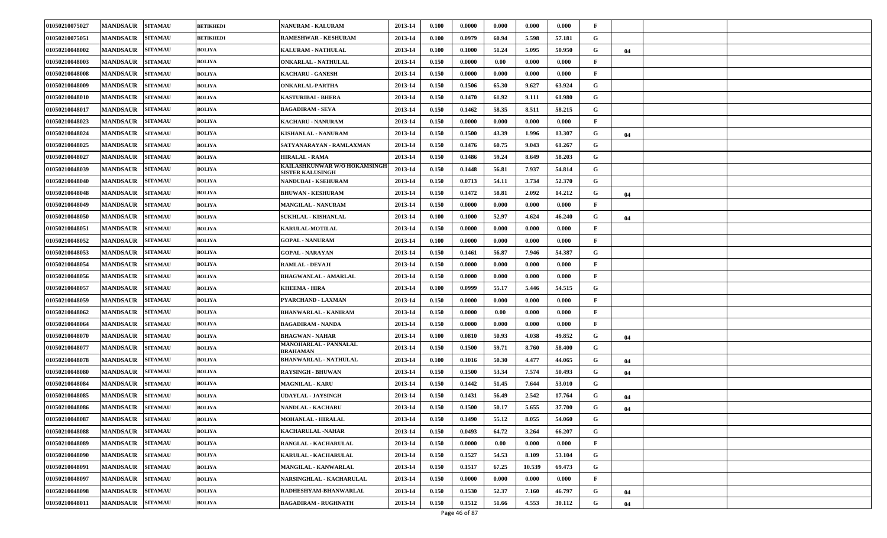| 01050210075027 | <b>MANDSAUR</b> | <b>SITAMAU</b> | <b>BETIKHEDI</b> | <b>NANURAM - KALURAM</b>                                | 2013-14 | 0.100 | 0.0000                   | 0.000 | 0.000  | 0.000  | $\mathbf F$ |     |  |
|----------------|-----------------|----------------|------------------|---------------------------------------------------------|---------|-------|--------------------------|-------|--------|--------|-------------|-----|--|
| 01050210075051 | <b>MANDSAUR</b> | <b>SITAMAU</b> | <b>BETIKHEDI</b> | RAMESHWAR - KESHURAM                                    | 2013-14 | 0.100 | 0.0979                   | 60.94 | 5.598  | 57.181 | G           |     |  |
| 01050210048002 | <b>MANDSAUR</b> | <b>SITAMAU</b> | <b>BOLIYA</b>    | KALURAM - NATHULAL                                      | 2013-14 | 0.100 | 0.1000                   | 51.24 | 5.095  | 50.950 | G           | 04  |  |
| 01050210048003 | <b>MANDSAUR</b> | <b>SITAMAU</b> | <b>BOLIYA</b>    | ONKARLAL - NATHULAL                                     | 2013-14 | 0.150 | 0.0000                   | 0.00  | 0.000  | 0.000  | F           |     |  |
| 01050210048008 | <b>MANDSAUR</b> | <b>SITAMAU</b> | <b>BOLIYA</b>    | <b>KACHARU - GANESH</b>                                 | 2013-14 | 0.150 | 0.0000                   | 0.000 | 0.000  | 0.000  | F           |     |  |
| 01050210048009 | <b>MANDSAUR</b> | <b>SITAMAU</b> | <b>BOLIYA</b>    | ONKARLAL-PARTHA                                         | 2013-14 | 0.150 | 0.1506                   | 65.30 | 9.627  | 63.924 | G           |     |  |
| 01050210048010 | <b>MANDSAUR</b> | <b>SITAMAU</b> | <b>BOLIYA</b>    | KASTURIBAI - BHERA                                      | 2013-14 | 0.150 | 0.1470                   | 61.92 | 9.111  | 61.980 | G           |     |  |
| 01050210048017 | <b>MANDSAUR</b> | <b>SITAMAU</b> | <b>BOLIYA</b>    | <b>BAGADIRAM - SEVA</b>                                 | 2013-14 | 0.150 | 0.1462                   | 58.35 | 8.511  | 58.215 | G           |     |  |
| 01050210048023 | <b>MANDSAUR</b> | <b>SITAMAU</b> | <b>BOLIYA</b>    | <b>KACHARU - NANURAM</b>                                | 2013-14 | 0.150 | 0.0000                   | 0.000 | 0.000  | 0.000  | F           |     |  |
| 01050210048024 | <b>MANDSAUR</b> | <b>SITAMAU</b> | <b>BOLIYA</b>    | KISHANLAL - NANURAM                                     | 2013-14 | 0.150 | 0.1500                   | 43.39 | 1.996  | 13.307 | G           | 04  |  |
| 01050210048025 | <b>MANDSAUR</b> | <b>SITAMAU</b> | <b>BOLIYA</b>    | SATYANARAYAN - RAMLAXMAN                                | 2013-14 | 0.150 | 0.1476                   | 60.75 | 9.043  | 61.267 | G           |     |  |
| 01050210048027 | <b>MANDSAUR</b> | <b>SITAMAU</b> | <b>BOLIYA</b>    | <b>HIRALAL - RAMA</b>                                   | 2013-14 | 0.150 | 0.1486                   | 59.24 | 8.649  | 58.203 | G           |     |  |
| 01050210048039 | <b>MANDSAUR</b> | <b>SITAMAU</b> | <b>BOLIYA</b>    | KAILASHKUNWAR W/O HOKAMSINGH<br><b>SISTER KALUSINGH</b> | 2013-14 | 0.150 | 0.1448                   | 56.81 | 7.937  | 54.814 | G           |     |  |
| 01050210048040 | <b>MANDSAUR</b> | <b>SITAMAU</b> | <b>BOLIYA</b>    | NANDUBAI - KSEHURAM                                     | 2013-14 | 0.150 | 0.0713                   | 54.11 | 3.734  | 52.370 | G           |     |  |
| 01050210048048 | <b>MANDSAUR</b> | <b>SITAMAU</b> | <b>BOLIYA</b>    | <b>BHUWAN - KESHURAM</b>                                | 2013-14 | 0.150 | 0.1472                   | 58.81 | 2.092  | 14.212 | G           | 04  |  |
| 01050210048049 | <b>MANDSAUR</b> | <b>SITAMAU</b> | <b>BOLIYA</b>    | <b>MANGILAL - NANURAM</b>                               | 2013-14 | 0.150 | 0.0000                   | 0.000 | 0.000  | 0.000  | F           |     |  |
| 01050210048050 | <b>MANDSAUR</b> | <b>SITAMAU</b> | <b>BOLIYA</b>    | SUKHLAL - KISHANLAL                                     | 2013-14 | 0.100 | 0.1000                   | 52.97 | 4.624  | 46.240 | G           | 04  |  |
| 01050210048051 | <b>MANDSAUR</b> | <b>SITAMAU</b> | <b>BOLIYA</b>    | KARULAL-MOTILAL                                         | 2013-14 | 0.150 | 0.0000                   | 0.000 | 0.000  | 0.000  | F           |     |  |
| 01050210048052 | <b>MANDSAUR</b> | <b>SITAMAU</b> | <b>BOLIYA</b>    | <b>GOPAL - NANURAM</b>                                  | 2013-14 | 0.100 | 0.0000                   | 0.000 | 0.000  | 0.000  | F           |     |  |
| 01050210048053 | <b>MANDSAUR</b> | <b>SITAMAU</b> | <b>BOLIYA</b>    | <b>GOPAL - NARAYAN</b>                                  | 2013-14 | 0.150 | 0.1461                   | 56.87 | 7.946  | 54.387 | G           |     |  |
| 01050210048054 | <b>MANDSAUR</b> | <b>SITAMAU</b> | <b>BOLIYA</b>    | <b>RAMLAL - DEVAJI</b>                                  | 2013-14 | 0.150 | 0.0000                   | 0.000 | 0.000  | 0.000  | F           |     |  |
| 01050210048056 | <b>MANDSAUR</b> | <b>SITAMAU</b> | <b>BOLIYA</b>    | <b>BHAGWANLAL - AMARLAL</b>                             | 2013-14 | 0.150 | 0.0000                   | 0.000 | 0.000  | 0.000  | F           |     |  |
| 01050210048057 | <b>MANDSAUR</b> | <b>SITAMAU</b> | <b>BOLIYA</b>    | KHEEMA - HIRA                                           | 2013-14 | 0.100 | 0.0999                   | 55.17 | 5.446  | 54.515 | G           |     |  |
| 01050210048059 | <b>MANDSAUR</b> | <b>SITAMAU</b> | <b>BOLIYA</b>    | PYARCHAND - LAXMAN                                      | 2013-14 | 0.150 | 0.0000                   | 0.000 | 0.000  | 0.000  | F           |     |  |
| 01050210048062 | <b>MANDSAUR</b> | <b>SITAMAU</b> | <b>BOLIYA</b>    | BHANWARLAL - KANIRAM                                    | 2013-14 | 0.150 | 0.0000                   | 0.00  | 0.000  | 0.000  | F           |     |  |
| 01050210048064 | <b>MANDSAUR</b> | <b>SITAMAU</b> | <b>BOLIYA</b>    | <b>BAGADIRAM - NANDA</b>                                | 2013-14 | 0.150 | 0.0000                   | 0.000 | 0.000  | 0.000  | F           |     |  |
| 01050210048070 | <b>MANDSAUR</b> | <b>SITAMAU</b> | <b>BOLIYA</b>    | <b>BHAGWAN - NAHAR</b>                                  | 2013-14 | 0.100 | 0.0810                   | 50.93 | 4.038  | 49.852 | G           | 04  |  |
| 01050210048077 | <b>MANDSAUR</b> | <b>SITAMAU</b> | <b>BOLIYA</b>    | <b>MANOHARLAL - PANNALAL</b><br>BRAHAMAN                | 2013-14 | 0.150 | 0.1500                   | 59.71 | 8.760  | 58.400 | G           |     |  |
| 01050210048078 | <b>MANDSAUR</b> | <b>SITAMAU</b> | <b>BOLIYA</b>    | BHANWARLAL - NATHULAL                                   | 2013-14 | 0.100 | 0.1016                   | 50.30 | 4.477  | 44.065 | G           | 04  |  |
| 01050210048080 | <b>MANDSAUR</b> | <b>SITAMAU</b> | <b>BOLIYA</b>    | <b>RAYSINGH - BHUWAN</b>                                | 2013-14 | 0.150 | 0.1500                   | 53.34 | 7.574  | 50.493 | G           | 04  |  |
| 01050210048084 | <b>MANDSAUR</b> | <b>SITAMAU</b> | <b>BOLIYA</b>    | <b>MAGNILAL - KARU</b>                                  | 2013-14 | 0.150 | 0.1442                   | 51.45 | 7.644  | 53.010 | G           |     |  |
| 01050210048085 | <b>MANDSAUR</b> | <b>SITAMAU</b> | <b>BOLIYA</b>    | UDAYLAL - JAYSINGH                                      | 2013-14 | 0.150 | 0.1431                   | 56.49 | 2.542  | 17.764 | G           | 04  |  |
| 01050210048086 | <b>MANDSAUR</b> | <b>SITAMAU</b> | <b>BOLIYA</b>    | NANDLAL - KACHARU                                       | 2013-14 | 0.150 | 0.1500                   | 50.17 | 5.655  | 37.700 | G           | -04 |  |
| 01050210048087 | <b>MANDSAUR</b> | <b>SITAMAU</b> | <b>BOLIYA</b>    | MOHANLAL - HIRALAL                                      | 2013-14 | 0.150 | 0.1490                   | 55.12 | 8.055  | 54.060 | G           |     |  |
| 01050210048088 | <b>MANDSAUR</b> | <b>SITAMAU</b> | <b>BOLIYA</b>    | KACHARULAL -NAHAR                                       | 2013-14 | 0.150 | 0.0493                   | 64.72 | 3.264  | 66.207 | G           |     |  |
| 01050210048089 | <b>MANDSAUR</b> | <b>SITAMAU</b> | <b>BOLIYA</b>    | <b>RANGLAL - KACHARULAL</b>                             | 2013-14 | 0.150 | 0.0000                   | 0.00  | 0.000  | 0.000  | F           |     |  |
| 01050210048090 | <b>MANDSAUR</b> | <b>SITAMAU</b> | <b>BOLIYA</b>    | KARULAL - KACHARULAL                                    | 2013-14 | 0.150 | 0.1527                   | 54.53 | 8.109  | 53.104 | G           |     |  |
| 01050210048091 | <b>MANDSAUR</b> | <b>SITAMAU</b> | <b>BOLIYA</b>    | MANGILAL - KANWARLAL                                    | 2013-14 | 0.150 | 0.1517                   | 67.25 | 10.539 | 69.473 | G           |     |  |
| 01050210048097 | <b>MANDSAUR</b> | <b>SITAMAU</b> | <b>BOLIYA</b>    | NARSINGHLAL - KACHARULAL                                | 2013-14 | 0.150 | 0.0000                   | 0.000 | 0.000  | 0.000  | F           |     |  |
| 01050210048098 | <b>MANDSAUR</b> | <b>SITAMAU</b> | <b>BOLIYA</b>    | RADHESHYAM-BHANWARLAL                                   | 2013-14 | 0.150 | 0.1530                   | 52.37 | 7.160  | 46.797 | G           | 04  |  |
| 01050210048011 | <b>MANDSAUR</b> | <b>SITAMAU</b> | <b>BOLIYA</b>    | <b>BAGADIRAM - RUGHNATH</b>                             | 2013-14 | 0.150 | 0.1512<br>$AC - C = 0.7$ | 51.66 | 4.553  | 30.112 | G           | 04  |  |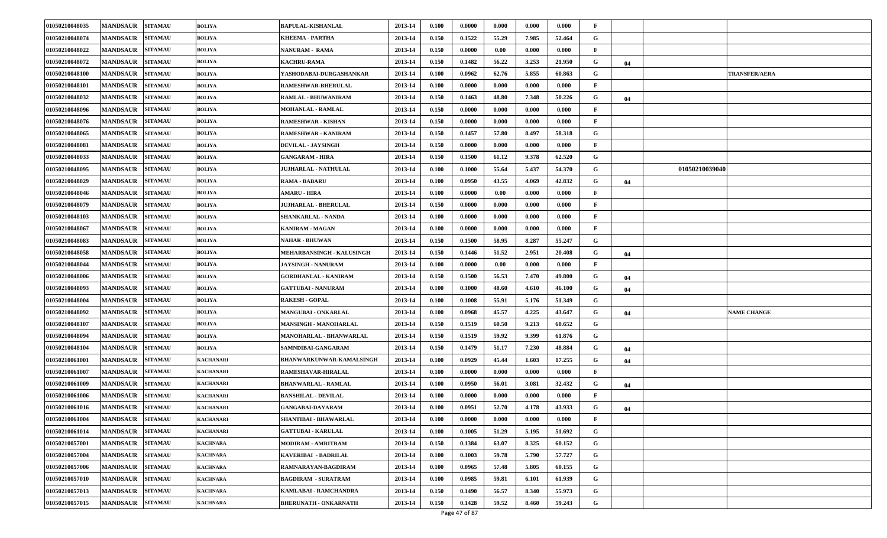| 01050210048035 | <b>MANDSAUR</b> | <b>SITAMAU</b> | <b>BOLIYA</b>    | <b>BAPULAL-KISHANLAL</b>        | 2013-14 | 0.100 | 0.0000               | 0.000 | 0.000 | 0.000  | $\mathbf F$  |                |                      |
|----------------|-----------------|----------------|------------------|---------------------------------|---------|-------|----------------------|-------|-------|--------|--------------|----------------|----------------------|
| 01050210048074 | <b>MANDSAUR</b> | <b>SITAMAU</b> | <b>BOLIYA</b>    | KHEEMA - PARTHA                 | 2013-14 | 0.150 | 0.1522               | 55.29 | 7.985 | 52.464 | G            |                |                      |
| 01050210048022 | <b>MANDSAUR</b> | <b>SITAMAU</b> | <b>BOLIYA</b>    | <b>NANURAM - RAMA</b>           | 2013-14 | 0.150 | 0.0000               | 0.00  | 0.000 | 0.000  | $\mathbf F$  |                |                      |
| 01050210048072 | <b>MANDSAUR</b> | <b>SITAMAU</b> | <b>BOLIYA</b>    | <b>KACHRU-RAMA</b>              | 2013-14 | 0.150 | 0.1482               | 56.22 | 3.253 | 21.950 | G            | 04             |                      |
| 01050210048100 | <b>MANDSAUR</b> | <b>SITAMAU</b> | <b>BOLIYA</b>    | YASHODABAI-DURGASHANKAR         | 2013-14 | 0.100 | 0.0962               | 62.76 | 5.855 | 60.863 | G            |                | <b>TRANSFER/AERA</b> |
| 01050210048101 | <b>MANDSAUR</b> | <b>SITAMAU</b> | <b>BOLIYA</b>    | <b>RAMESHWAR-BHERULAL</b>       | 2013-14 | 0.100 | 0.0000               | 0.000 | 0.000 | 0.000  | F            |                |                      |
| 01050210048032 | <b>MANDSAUR</b> | <b>SITAMAU</b> | <b>BOLIYA</b>    | <b>RAMLAL - BHUWANIRAM</b>      | 2013-14 | 0.150 | 0.1463               | 48.80 | 7.348 | 50.226 | G            | 04             |                      |
| 01050210048096 | <b>MANDSAUR</b> | <b>SITAMAU</b> | <b>BOLIYA</b>    | MOHANLAL - RAMLAL               | 2013-14 | 0.150 | 0.0000               | 0.000 | 0.000 | 0.000  | F            |                |                      |
| 01050210048076 | <b>MANDSAUR</b> | <b>SITAMAU</b> | <b>BOLIYA</b>    | <b>RAMESHWAR - KISHAN</b>       | 2013-14 | 0.150 | 0.0000               | 0.000 | 0.000 | 0.000  | F            |                |                      |
| 01050210048065 | <b>MANDSAUR</b> | <b>SITAMAU</b> | <b>BOLIYA</b>    | <b>RAMESHWAR - KANIRAM</b>      | 2013-14 | 0.150 | 0.1457               | 57.80 | 8.497 | 58.318 | G            |                |                      |
| 01050210048081 | <b>MANDSAUR</b> | <b>SITAMAU</b> | <b>BOLIYA</b>    | <b>DEVILAL - JAYSINGH</b>       | 2013-14 | 0.150 | 0.0000               | 0.000 | 0.000 | 0.000  | $\mathbf F$  |                |                      |
| 01050210048033 | <b>MANDSAUR</b> | <b>SITAMAU</b> | <b>BOLIYA</b>    | GANGARAM - HIRA                 | 2013-14 | 0.150 | 0.1500               | 61.12 | 9.378 | 62.520 | G            |                |                      |
| 01050210048095 | <b>MANDSAUR</b> | <b>SITAMAU</b> | <b>BOLIYA</b>    | JUJHARLAL - NATHULAL            | 2013-14 | 0.100 | 0.1000               | 55.64 | 5.437 | 54.370 | G            | 01050210039040 |                      |
| 01050210048029 | <b>MANDSAUR</b> | <b>SITAMAU</b> | <b>BOLIYA</b>    | <b>RAMA - BABARU</b>            | 2013-14 | 0.100 | 0.0950               | 43.55 | 4.069 | 42.832 | G            | 04             |                      |
| 01050210048046 | <b>MANDSAUR</b> | <b>SITAMAU</b> | <b>BOLIYA</b>    | <b>AMARU - HIRA</b>             | 2013-14 | 0.100 | 0.0000               | 0.00  | 0.000 | 0.000  |              |                |                      |
| 01050210048079 | <b>MANDSAUR</b> | <b>SITAMAU</b> | <b>BOLIYA</b>    | <b>JUJHARLAL - BHERULAL</b>     | 2013-14 | 0.150 | 0.0000               | 0.000 | 0.000 | 0.000  | F            |                |                      |
| 01050210048103 | <b>MANDSAUR</b> | <b>SITAMAU</b> | <b>BOLIYA</b>    | SHANKARLAL - NANDA              | 2013-14 | 0.100 | 0.0000               | 0.000 | 0.000 | 0.000  | F            |                |                      |
| 01050210048067 | <b>MANDSAUR</b> | <b>SITAMAU</b> | <b>BOLIYA</b>    | <b>KANIRAM - MAGAN</b>          | 2013-14 | 0.100 | 0.0000               | 0.000 | 0.000 | 0.000  | F            |                |                      |
| 01050210048083 | <b>MANDSAUR</b> | <b>SITAMAU</b> | <b>BOLIYA</b>    | NAHAR - BHUWAN                  | 2013-14 | 0.150 | 0.1500               | 58.95 | 8.287 | 55.247 | G            |                |                      |
| 01050210048058 | <b>MANDSAUR</b> | <b>SITAMAU</b> | <b>BOLIYA</b>    | MEHARBANSINGH - KALUSINGH       | 2013-14 | 0.150 | 0.1446               | 51.52 | 2.951 | 20.408 | G            | 04             |                      |
| 01050210048044 | <b>MANDSAUR</b> | <b>SITAMAU</b> | <b>BOLIYA</b>    | <b>JAYSINGH - NANURAM</b>       | 2013-14 | 0.100 | 0.0000               | 0.00  | 0.000 | 0.000  | F            |                |                      |
| 01050210048006 | <b>MANDSAUR</b> | <b>SITAMAU</b> | <b>BOLIYA</b>    | <b>GORDHANLAL - KANIRAM</b>     | 2013-14 | 0.150 | 0.1500               | 56.53 | 7.470 | 49.800 | G            | 04             |                      |
| 01050210048093 | <b>MANDSAUR</b> | <b>SITAMAU</b> | <b>BOLIYA</b>    | <b>GATTUBAI - NANURAM</b>       | 2013-14 | 0.100 | 0.1000               | 48.60 | 4.610 | 46.100 | G            | 04             |                      |
| 01050210048004 | <b>MANDSAUR</b> | <b>SITAMAU</b> | <b>BOLIYA</b>    | <b>RAKESH - GOPAL</b>           | 2013-14 | 0.100 | 0.1008               | 55.91 | 5.176 | 51.349 | G            |                |                      |
| 01050210048092 | <b>MANDSAUR</b> | <b>SITAMAU</b> | <b>BOLIYA</b>    | <b>MANGUBAI - ONKARLAL</b>      | 2013-14 | 0.100 | 0.0968               | 45.57 | 4.225 | 43.647 | G            | 04             | <b>NAME CHANGE</b>   |
| 01050210048107 | <b>MANDSAUR</b> | <b>SITAMAU</b> | <b>BOLIYA</b>    | <b>MANSINGH - MANOHARLAL</b>    | 2013-14 | 0.150 | 0.1519               | 60.50 | 9.213 | 60.652 | G            |                |                      |
| 01050210048094 | <b>MANDSAUR</b> | <b>SITAMAU</b> | <b>BOLIYA</b>    | <b>MANOHARLAL - BHANWARLAL</b>  | 2013-14 | 0.150 | 0.1519               | 59.92 | 9.399 | 61.876 | G            |                |                      |
| 01050210048104 | <b>MANDSAUR</b> | <b>SITAMAU</b> | <b>BOLIYA</b>    | SAMNDIBAI-GANGARAM              | 2013-14 | 0.150 | 0.1479               | 51.17 | 7.230 | 48.884 | G            | 04             |                      |
| 01050210061001 | <b>MANDSAUR</b> | <b>SITAMAU</b> | <b>KACHANARI</b> | <b>BHANWARKUNWAR-KAMALSINGH</b> | 2013-14 | 0.100 | 0.0929               | 45.44 | 1.603 | 17.255 | G            | 04             |                      |
| 01050210061007 | <b>MANDSAUR</b> | <b>SITAMAU</b> | <b>KACHANARI</b> | RAMESHAVAR-HIRALAL              | 2013-14 | 0.100 | 0.0000               | 0.000 | 0.000 | 0.000  | $\mathbf{F}$ |                |                      |
| 01050210061009 | <b>MANDSAUR</b> | <b>SITAMAU</b> | KACHANARI        | <b>BHANWARLAL - RAMLAL</b>      | 2013-14 | 0.100 | 0.0950               | 56.01 | 3.081 | 32.432 | G            | 04             |                      |
| 01050210061006 | <b>MANDSAUR</b> | <b>SITAMAU</b> | KACHANARI        | <b>BANSHILAL - DEVILAL</b>      | 2013-14 | 0.100 | 0.0000               | 0.000 | 0.000 | 0.000  | F            |                |                      |
| 01050210061016 | <b>MANDSAUR</b> | <b>SITAMAU</b> | <b>KACHANARI</b> | <b>GANGABAI-DAYARAM</b>         | 2013-14 | 0.100 | 0.0951               | 52.70 | 4.178 | 43.933 | G            | 04             |                      |
| 01050210061004 | <b>MANDSAUR</b> | <b>SITAMAU</b> | <b>KACHANARI</b> | SHANTIBAI - BHAWARLAL           | 2013-14 | 0.100 | 0.0000               | 0.000 | 0.000 | 0.000  | F            |                |                      |
| 01050210061014 | <b>MANDSAUR</b> | <b>SITAMAU</b> | KACHANARI        | <b>GATTUBAI - KARULAL</b>       | 2013-14 | 0.100 | 0.1005               | 51.29 | 5.195 | 51.692 | G            |                |                      |
| 01050210057001 | <b>MANDSAUR</b> | <b>SITAMAU</b> | <b>KACHNARA</b>  | <b>MODIRAM - AMRITRAM</b>       | 2013-14 | 0.150 | 0.1384               | 63.07 | 8.325 | 60.152 | G            |                |                      |
| 01050210057004 | <b>MANDSAUR</b> | <b>SITAMAU</b> | <b>KACHNARA</b>  | KAVERIBAI - BADRILAL            | 2013-14 | 0.100 | 0.1003               | 59.78 | 5.790 | 57.727 | G            |                |                      |
| 01050210057006 | <b>MANDSAUR</b> | <b>SITAMAU</b> | <b>KACHNARA</b>  | RAMNARAYAN-BAGDIRAM             | 2013-14 | 0.100 | 0.0965               | 57.48 | 5.805 | 60.155 | G            |                |                      |
| 01050210057010 | <b>MANDSAUR</b> | <b>SITAMAU</b> | KACHNARA         | <b>BAGDIRAM - SURATRAM</b>      | 2013-14 | 0.100 | 0.0985               | 59.81 | 6.101 | 61.939 | G            |                |                      |
| 01050210057013 | <b>MANDSAUR</b> | <b>SITAMAU</b> | <b>KACHNARA</b>  | KAMLABAI - RAMCHANDRA           | 2013-14 | 0.150 | 0.1490               | 56.57 | 8.340 | 55.973 | G            |                |                      |
| 01050210057015 | <b>MANDSAUR</b> | <b>SITAMAU</b> | <b>KACHNARA</b>  | <b>BHERUNATH - ONKARNATH</b>    | 2013-14 | 0.150 | 0.1428<br>$17 - 507$ | 59.52 | 8.460 | 59.243 | G            |                |                      |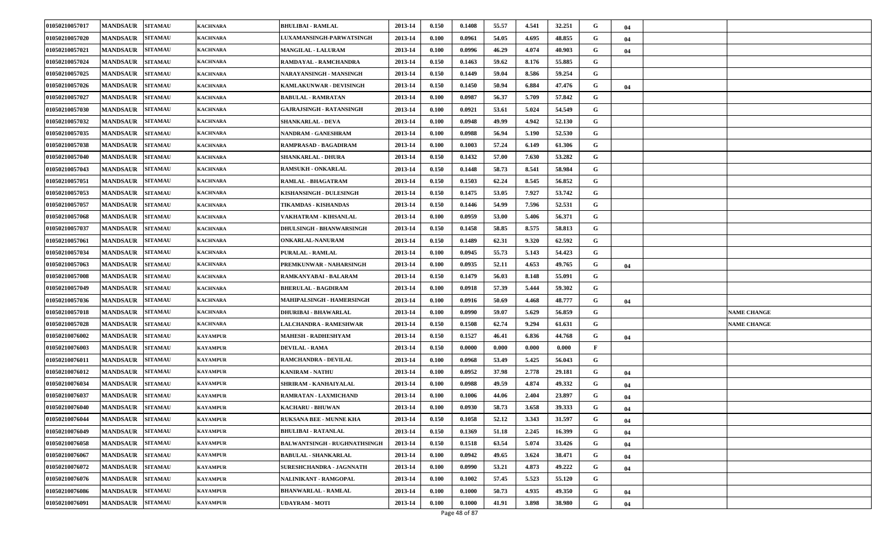| 01050210057017 | <b>MANDSAUR</b> | <b>SITAMAU</b> | <b>KACHNARA</b> | <b>BHULIBAI - RAMLAL</b>            | 2013-14 | 0.150 | 0.1408               | 55.57 | 4.541 | 32.251 | G | 04 |                    |
|----------------|-----------------|----------------|-----------------|-------------------------------------|---------|-------|----------------------|-------|-------|--------|---|----|--------------------|
| 01050210057020 | <b>MANDSAUR</b> | <b>SITAMAU</b> | KACHNARA        | LUXAMANSINGH-PARWATSINGH            | 2013-14 | 0.100 | 0.0961               | 54.05 | 4.695 | 48.855 | G | 04 |                    |
| 01050210057021 | <b>MANDSAUR</b> | <b>SITAMAU</b> | <b>KACHNARA</b> | <b>MANGILAL - LALURAM</b>           | 2013-14 | 0.100 | 0.0996               | 46.29 | 4.074 | 40.903 | G | 04 |                    |
| 01050210057024 | <b>MANDSAUR</b> | <b>SITAMAU</b> | KACHNARA        | RAMDAYAL - RAMCHANDRA               | 2013-14 | 0.150 | 0.1463               | 59.62 | 8.176 | 55.885 | G |    |                    |
| 01050210057025 | <b>MANDSAUR</b> | <b>SITAMAU</b> | <b>KACHNARA</b> | NARAYANSINGH - MANSINGH             | 2013-14 | 0.150 | 0.1449               | 59.04 | 8.586 | 59.254 | G |    |                    |
| 01050210057026 | <b>MANDSAUR</b> | <b>SITAMAU</b> | <b>KACHNARA</b> | KAMLAKUNWAR - DEVISINGH             | 2013-14 | 0.150 | 0.1450               | 50.94 | 6.884 | 47.476 | G | 04 |                    |
| 01050210057027 | <b>MANDSAUR</b> | <b>SITAMAU</b> | KACHNARA        | <b>BABULAL - RAMRATAN</b>           | 2013-14 | 0.100 | 0.0987               | 56.37 | 5.709 | 57.842 | G |    |                    |
| 01050210057030 | <b>MANDSAUR</b> | <b>SITAMAU</b> | KACHNARA        | <b>GAJRAJSINGH - RATANSINGH</b>     | 2013-14 | 0.100 | 0.0921               | 53.61 | 5.024 | 54.549 | G |    |                    |
| 01050210057032 | <b>MANDSAUR</b> | <b>SITAMAU</b> | KACHNARA        | <b>SHANKARLAL - DEVA</b>            | 2013-14 | 0.100 | 0.0948               | 49.99 | 4.942 | 52.130 | G |    |                    |
| 01050210057035 | <b>MANDSAUR</b> | <b>SITAMAU</b> | <b>KACHNARA</b> | NANDRAM - GANESHRAM                 | 2013-14 | 0.100 | 0.0988               | 56.94 | 5.190 | 52.530 | G |    |                    |
| 01050210057038 | <b>MANDSAUR</b> | <b>SITAMAU</b> | KACHNARA        | RAMPRASAD - BAGADIRAM               | 2013-14 | 0.100 | 0.1003               | 57.24 | 6.149 | 61.306 | G |    |                    |
| 01050210057040 | <b>MANDSAUR</b> | <b>SITAMAU</b> | KACHNARA        | SHANKARLAL - DHURA                  | 2013-14 | 0.150 | 0.1432               | 57.00 | 7.630 | 53.282 | G |    |                    |
| 01050210057043 | <b>MANDSAUR</b> | <b>SITAMAU</b> | <b>KACHNARA</b> | <b>RAMSUKH - ONKARLAL</b>           | 2013-14 | 0.150 | 0.1448               | 58.73 | 8.541 | 58.984 | G |    |                    |
| 01050210057051 | <b>MANDSAUR</b> | <b>SITAMAU</b> | <b>KACHNARA</b> | <b>RAMLAL - BHAGATRAM</b>           | 2013-14 | 0.150 | 0.1503               | 62.24 | 8.545 | 56.852 | G |    |                    |
| 01050210057053 | <b>MANDSAUR</b> | <b>SITAMAU</b> | KACHNARA        | KISHANSINGH - DULESINGH             | 2013-14 | 0.150 | 0.1475               | 53.05 | 7.927 | 53.742 | G |    |                    |
| 01050210057057 | <b>MANDSAUR</b> | <b>SITAMAU</b> | KACHNARA        | TIKAMDAS - KISHANDAS                | 2013-14 | 0.150 | 0.1446               | 54.99 | 7.596 | 52.531 | G |    |                    |
| 01050210057068 | <b>MANDSAUR</b> | <b>SITAMAU</b> | KACHNARA        | VAKHATRAM - KIHSANLAL               | 2013-14 | 0.100 | 0.0959               | 53.00 | 5.406 | 56.371 | G |    |                    |
| 01050210057037 | <b>MANDSAUR</b> | <b>SITAMAU</b> | <b>KACHNARA</b> | <b>DHULSINGH - BHANWARSINGH</b>     | 2013-14 | 0.150 | 0.1458               | 58.85 | 8.575 | 58.813 | G |    |                    |
| 01050210057061 | <b>MANDSAUR</b> | <b>SITAMAU</b> | KACHNARA        | ONKARLAL-NANURAM                    | 2013-14 | 0.150 | 0.1489               | 62.31 | 9.320 | 62.592 | G |    |                    |
| 01050210057034 | <b>MANDSAUR</b> | <b>SITAMAU</b> | KACHNARA        | <b>PURALAL - RAMLAL</b>             | 2013-14 | 0.100 | 0.0945               | 55.73 | 5.143 | 54.423 | G |    |                    |
| 01050210057063 | <b>MANDSAUR</b> | <b>SITAMAU</b> | <b>KACHNARA</b> | PREMKUNWAR - NAHARSINGH             | 2013-14 | 0.100 | 0.0935               | 52.11 | 4.653 | 49.765 | G | 04 |                    |
| 01050210057008 | <b>MANDSAUR</b> | <b>SITAMAU</b> | <b>KACHNARA</b> | RAMKANYABAI - BALARAM               | 2013-14 | 0.150 | 0.1479               | 56.03 | 8.148 | 55.091 | G |    |                    |
| 01050210057049 | <b>MANDSAUR</b> | <b>SITAMAU</b> | KACHNARA        | <b>BHERULAL - BAGDIRAM</b>          | 2013-14 | 0.100 | 0.0918               | 57.39 | 5.444 | 59.302 | G |    |                    |
| 01050210057036 | <b>MANDSAUR</b> | <b>SITAMAU</b> | <b>KACHNARA</b> | MAHIPALSINGH - HAMERSINGH           | 2013-14 | 0.100 | 0.0916               | 50.69 | 4.468 | 48.777 | G | 04 |                    |
| 01050210057018 | <b>MANDSAUR</b> | <b>SITAMAU</b> | <b>KACHNARA</b> | <b>DHURIBAI - BHAWARLAL</b>         | 2013-14 | 0.100 | 0.0990               | 59.07 | 5.629 | 56.859 | G |    | <b>NAME CHANGE</b> |
| 01050210057028 | <b>MANDSAUR</b> | <b>SITAMAU</b> | <b>KACHNARA</b> | <b>LALCHANDRA - RAMESHWAR</b>       | 2013-14 | 0.150 | 0.1508               | 62.74 | 9.294 | 61.631 | G |    | <b>NAME CHANGE</b> |
| 01050210076002 | <b>MANDSAUR</b> | <b>SITAMAU</b> | KAYAMPUR        | MAHESH - RADHESHYAM                 | 2013-14 | 0.150 | 0.1527               | 46.41 | 6.836 | 44.768 | G | 04 |                    |
| 01050210076003 | <b>MANDSAUR</b> | <b>SITAMAU</b> | <b>KAYAMPUR</b> | <b>DEVILAL - RAMA</b>               | 2013-14 | 0.150 | 0.0000               | 0.000 | 0.000 | 0.000  | F |    |                    |
| 01050210076011 | <b>MANDSAUR</b> | <b>SITAMAU</b> | <b>KAYAMPUR</b> | <b>RAMCHANDRA - DEVILAL</b>         | 2013-14 | 0.100 | 0.0968               | 53.49 | 5.425 | 56.043 | G |    |                    |
| 01050210076012 | <b>MANDSAUR</b> | <b>SITAMAU</b> | <b>KAYAMPUR</b> | <b>KANIRAM - NATHU</b>              | 2013-14 | 0.100 | 0.0952               | 37.98 | 2.778 | 29.181 | G | 04 |                    |
| 01050210076034 | <b>MANDSAUR</b> | <b>SITAMAU</b> | <b>KAYAMPUR</b> | SHRIRAM - KANHAIYALAL               | 2013-14 | 0.100 | 0.0988               | 49.59 | 4.874 | 49.332 | G | 04 |                    |
| 01050210076037 | <b>MANDSAUR</b> | <b>SITAMAU</b> | KAYAMPUR        | RAMRATAN - LAXMICHAND               | 2013-14 | 0.100 | 0.1006               | 44.06 | 2.404 | 23.897 | G | 04 |                    |
| 01050210076040 | <b>MANDSAUR</b> | <b>SITAMAU</b> | <b>KAYAMPUR</b> | <b>KACHARU - BHUWAN</b>             | 2013-14 | 0.100 | 0.0930               | 58.73 | 3.658 | 39.333 | G | 04 |                    |
| 01050210076044 | <b>MANDSAUR</b> | <b>SITAMAU</b> | <b>KAYAMPUR</b> | <b>RUKSANA BEE - MUNNE KHA</b>      | 2013-14 | 0.150 | 0.1058               | 52.12 | 3.343 | 31.597 | G | 04 |                    |
| 01050210076049 | <b>MANDSAUR</b> | <b>SITAMAU</b> | <b>KAYAMPUR</b> | <b>BHULIBAI - RATANLAL</b>          | 2013-14 | 0.150 | 0.1369               | 51.18 | 2.245 | 16.399 | G | 04 |                    |
| 01050210076058 | <b>MANDSAUR</b> | <b>SITAMAU</b> | <b>KAYAMPUR</b> | <b>BALWANTSINGH - RUGHNATHSINGH</b> | 2013-14 | 0.150 | 0.1518               | 63.54 | 5.074 | 33.426 | G | 04 |                    |
| 01050210076067 | <b>MANDSAUR</b> | <b>SITAMAU</b> | <b>KAYAMPUR</b> | <b>BABULAL - SHANKARLAL</b>         | 2013-14 | 0.100 | 0.0942               | 49.65 | 3.624 | 38.471 | G | 04 |                    |
| 01050210076072 | <b>MANDSAUR</b> | <b>SITAMAU</b> | <b>KAYAMPUR</b> | SURESHCHANDRA - JAGNNATH            | 2013-14 | 0.100 | 0.0990               | 53.21 | 4.873 | 49.222 | G | 04 |                    |
| 01050210076076 | <b>MANDSAUR</b> | <b>SITAMAU</b> | <b>KAYAMPUR</b> | NALINIKANT - RAMGOPAL               | 2013-14 | 0.100 | 0.1002               | 57.45 | 5.523 | 55.120 | G |    |                    |
| 01050210076086 | <b>MANDSAUR</b> | <b>SITAMAU</b> | <b>KAYAMPUR</b> | <b>BHANWARLAL - RAMLAL</b>          | 2013-14 | 0.100 | 0.1000               | 50.73 | 4.935 | 49.350 | G | 04 |                    |
| 01050210076091 | <b>MANDSAUR</b> | <b>SITAMAU</b> | <b>KAYAMPUR</b> | <b>UDAYRAM - MOTI</b>               | 2013-14 | 0.100 | 0.1000<br>$10 - 507$ | 41.91 | 3.898 | 38.980 | G | 04 |                    |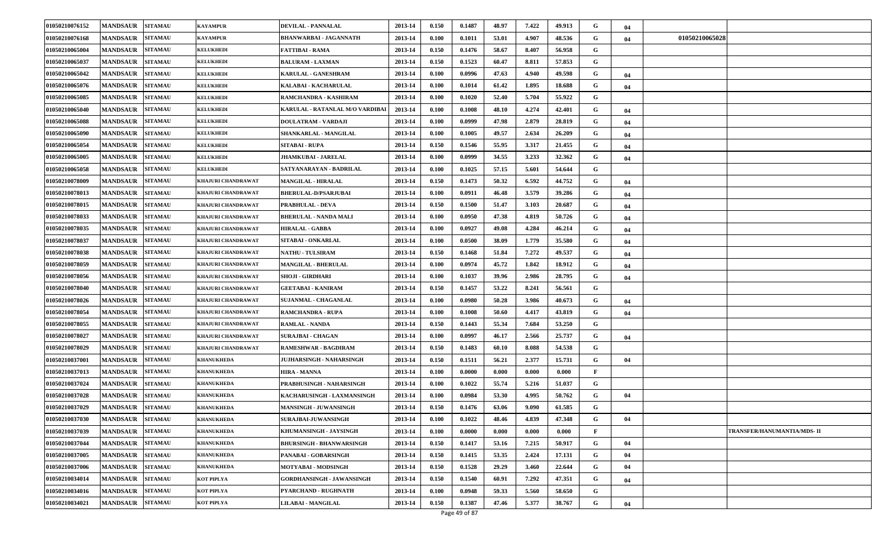| 01050210076152 | <b>MANDSAUR</b> | <b>SITAMAU</b> | <b>KAYAMPUR</b>    | <b>DEVILAL - PANNALAL</b>       | 2013-14 | 0.150 | 0.1487         | 48.97 | 7.422 | 49.913 | G | 04                   |                            |
|----------------|-----------------|----------------|--------------------|---------------------------------|---------|-------|----------------|-------|-------|--------|---|----------------------|----------------------------|
| 01050210076168 | <b>MANDSAUR</b> | <b>SITAMAU</b> | <b>KAYAMPUR</b>    | <b>BHANWARBAI - JAGANNATH</b>   | 2013-14 | 0.100 | 0.1011         | 53.01 | 4.907 | 48.536 | G | 01050210065028<br>04 |                            |
| 01050210065004 | <b>MANDSAUR</b> | <b>SITAMAU</b> | <b>KELUKHEDI</b>   | <b>FATTIBAI - RAMA</b>          | 2013-14 | 0.150 | 0.1476         | 58.67 | 8.407 | 56.958 | G |                      |                            |
| 01050210065037 | <b>MANDSAUR</b> | <b>SITAMAU</b> | <b>KELUKHEDI</b>   | <b>BALURAM - LAXMAN</b>         | 2013-14 | 0.150 | 0.1523         | 60.47 | 8.811 | 57.853 | G |                      |                            |
| 01050210065042 | <b>MANDSAUR</b> | <b>SITAMAU</b> | <b>KELUKHEDI</b>   | KARULAL - GANESHRAM             | 2013-14 | 0.100 | 0.0996         | 47.63 | 4.940 | 49.598 | G | 04                   |                            |
| 01050210065076 | <b>MANDSAUR</b> | <b>SITAMAU</b> | <b>KELUKHEDI</b>   | KALABAI - KACHARULAL            | 2013-14 | 0.100 | 0.1014         | 61.42 | 1.895 | 18.688 | G | 04                   |                            |
| 01050210065085 | <b>MANDSAUR</b> | <b>SITAMAU</b> | <b>KELUKHEDI</b>   | RAMCHANDRA - KASHIRAM           | 2013-14 | 0.100 | 0.1020         | 52.40 | 5.704 | 55.922 | G |                      |                            |
| 01050210065040 | <b>MANDSAUR</b> | <b>SITAMAU</b> | <b>KELUKHEDI</b>   | KARULAL - RATANLAL M/O VARDIBAI | 2013-14 | 0.100 | 0.1008         | 48.10 | 4.274 | 42.401 | G | 04                   |                            |
| 01050210065088 | <b>MANDSAUR</b> | <b>SITAMAU</b> | <b>KELUKHEDI</b>   | <b>DOULATRAM - VARDAJI</b>      | 2013-14 | 0.100 | 0.0999         | 47.98 | 2.879 | 28.819 | G | 04                   |                            |
| 01050210065090 | <b>MANDSAUR</b> | <b>SITAMAU</b> | <b>KELUKHEDI</b>   | SHANKARLAL - MANGILAL           | 2013-14 | 0.100 | 0.1005         | 49.57 | 2.634 | 26.209 | G | 04                   |                            |
| 01050210065054 | <b>MANDSAUR</b> | <b>SITAMAU</b> | <b>KELUKHEDI</b>   | <b>SITABAI - RUPA</b>           | 2013-14 | 0.150 | 0.1546         | 55.95 | 3.317 | 21.455 | G | 04                   |                            |
| 01050210065005 | <b>MANDSAUR</b> | <b>SITAMAU</b> | <b>KELUKHEDI</b>   | <b>JHAMKUBAI - JARELAL</b>      | 2013-14 | 0.100 | 0.0999         | 34.55 | 3.233 | 32.362 | G | 04                   |                            |
| 01050210065058 | <b>MANDSAUR</b> | <b>SITAMAU</b> | <b>KELUKHEDI</b>   | SATYANARAYAN - BADRILAL         | 2013-14 | 0.100 | 0.1025         | 57.15 | 5.601 | 54.644 | G |                      |                            |
| 01050210078009 | <b>MANDSAUR</b> | <b>SITAMAU</b> | KHAJURI CHANDRAWAT | <b>MANGILAL - HIRALAL</b>       | 2013-14 | 0.150 | 0.1473         | 50.32 | 6.592 | 44.752 | G | 04                   |                            |
| 01050210078013 | <b>MANDSAUR</b> | <b>SITAMAU</b> | KHAJURI CHANDRAWAT | <b>BHERULAL-D/PSARJUBAI</b>     | 2013-14 | 0.100 | 0.0911         | 46.48 | 3.579 | 39.286 | G | 04                   |                            |
| 01050210078015 | <b>MANDSAUR</b> | <b>SITAMAU</b> | KHAJURI CHANDRAWAT | PRABHULAL - DEVA                | 2013-14 | 0.150 | 0.1500         | 51.47 | 3.103 | 20.687 | G | 04                   |                            |
| 01050210078033 | <b>MANDSAUR</b> | <b>SITAMAU</b> | KHAJURI CHANDRAWAT | <b>BHERULAL - NANDA MALI</b>    | 2013-14 | 0.100 | 0.0950         | 47.38 | 4.819 | 50.726 | G | 04                   |                            |
| 01050210078035 | <b>MANDSAUR</b> | <b>SITAMAU</b> | KHAJURI CHANDRAWAT | <b>HIRALAL - GABBA</b>          | 2013-14 | 0.100 | 0.0927         | 49.08 | 4.284 | 46.214 | G | 04                   |                            |
| 01050210078037 | <b>MANDSAUR</b> | <b>SITAMAU</b> | KHAJURI CHANDRAWAT | SITABAI - ONKARLAL              | 2013-14 | 0.100 | 0.0500         | 38.09 | 1.779 | 35.580 | G | 04                   |                            |
| 01050210078038 | <b>MANDSAUR</b> | <b>SITAMAU</b> | KHAJURI CHANDRAWAT | <b>NATHU - TULSIRAM</b>         | 2013-14 | 0.150 | 0.1468         | 51.84 | 7.272 | 49.537 | G | 04                   |                            |
| 01050210078059 | <b>MANDSAUR</b> | <b>SITAMAU</b> | KHAJURI CHANDRAWAT | <b>MANGILAL - BHERULAL</b>      | 2013-14 | 0.100 | 0.0974         | 45.72 | 1.842 | 18.912 | G | 04                   |                            |
| 01050210078056 | <b>MANDSAUR</b> | <b>SITAMAU</b> | KHAJURI CHANDRAWAT | <b>SHOJI - GIRDHARI</b>         | 2013-14 | 0.100 | 0.1037         | 39.96 | 2.986 | 28.795 | G | 04                   |                            |
| 01050210078040 | <b>MANDSAUR</b> | <b>SITAMAU</b> | KHAJURI CHANDRAWAT | <b>GEETABAI - KANIRAM</b>       | 2013-14 | 0.150 | 0.1457         | 53.22 | 8.241 | 56.561 | G |                      |                            |
| 01050210078026 | <b>MANDSAUR</b> | <b>SITAMAU</b> | KHAJURI CHANDRAWAT | <b>SUJANMAL - CHAGANLAL</b>     | 2013-14 | 0.100 | 0.0980         | 50.28 | 3.986 | 40.673 | G | 04                   |                            |
| 01050210078054 | <b>MANDSAUR</b> | <b>SITAMAU</b> | KHAJURI CHANDRAWAT | <b>RAMCHANDRA - RUPA</b>        | 2013-14 | 0.100 | 0.1008         | 50.60 | 4.417 | 43.819 | G | 04                   |                            |
| 01050210078055 | <b>MANDSAUR</b> | <b>SITAMAU</b> | KHAJURI CHANDRAWAT | <b>RAMLAL - NANDA</b>           | 2013-14 | 0.150 | 0.1443         | 55.34 | 7.684 | 53.250 | G |                      |                            |
| 01050210078027 | <b>MANDSAUR</b> | <b>SITAMAU</b> | KHAJURI CHANDRAWAT | <b>SURAJBAI - CHAGAN</b>        | 2013-14 | 0.100 | 0.0997         | 46.17 | 2.566 | 25.737 | G | 04                   |                            |
| 01050210078029 | <b>MANDSAUR</b> | <b>SITAMAU</b> | KHAJURI CHANDRAWAT | <b>RAMESHWAR - BAGDIRAM</b>     | 2013-14 | 0.150 | 0.1483         | 60.10 | 8.088 | 54.538 | G |                      |                            |
| 01050210037001 | <b>MANDSAUR</b> | <b>SITAMAU</b> | <b>KHANUKHEDA</b>  | JUJHARSINGH - NAHARSINGH        | 2013-14 | 0.150 | 0.1511         | 56.21 | 2.377 | 15.731 | G | 04                   |                            |
| 01050210037013 | <b>MANDSAUR</b> | <b>SITAMAU</b> | <b>KHANUKHEDA</b>  | <b>HIRA - MANNA</b>             | 2013-14 | 0.100 | 0.0000         | 0.000 | 0.000 | 0.000  | F |                      |                            |
| 01050210037024 | <b>MANDSAUR</b> | <b>SITAMAU</b> | <b>KHANUKHEDA</b>  | PRABHUSINGH - NAHARSINGH        | 2013-14 | 0.100 | 0.1022         | 55.74 | 5.216 | 51.037 | G |                      |                            |
| 01050210037028 | <b>MANDSAUR</b> | <b>SITAMAU</b> | <b>KHANUKHEDA</b>  | KACHARUSINGH - LAXMANSINGH      | 2013-14 | 0.100 | 0.0984         | 53.30 | 4.995 | 50.762 | G | 04                   |                            |
| 01050210037029 | <b>MANDSAUR</b> | <b>SITAMAU</b> | <b>KHANUKHEDA</b>  | <b>MANSINGH - JUWANSINGH</b>    | 2013-14 | 0.150 | 0.1476         | 63.06 | 9.090 | 61.585 | G |                      |                            |
| 01050210037030 | <b>MANDSAUR</b> | <b>SITAMAU</b> | <b>KHANUKHEDA</b>  | SURAJBAI-JUWANSINGH             | 2013-14 | 0.100 | 0.1022         | 48.46 | 4.839 | 47.348 | G | 04                   |                            |
| 01050210037039 | <b>MANDSAUR</b> | <b>SITAMAU</b> | <b>KHANUKHEDA</b>  | KHUMANSINGH - JAYSINGH          | 2013-14 | 0.100 | 0.0000         | 0.000 | 0.000 | 0.000  | F |                      | TRANSFER/HANUMANTIA/MDS-II |
| 01050210037044 | <b>MANDSAUR</b> | <b>SITAMAU</b> | <b>KHANUKHEDA</b>  | <b>BHURSINGH - BHANWARSINGH</b> | 2013-14 | 0.150 | 0.1417         | 53.16 | 7.215 | 50.917 | G | 04                   |                            |
| 01050210037005 | <b>MANDSAUR</b> | <b>SITAMAU</b> | <b>KHANUKHEDA</b>  | PANABAI - GOBARSINGH            | 2013-14 | 0.150 | 0.1415         | 53.35 | 2.424 | 17.131 | G | 04                   |                            |
| 01050210037006 | <b>MANDSAUR</b> | <b>SITAMAU</b> | <b>KHANUKHEDA</b>  | MOTYABAI - MODSINGH             | 2013-14 | 0.150 | 0.1528         | 29.29 | 3.460 | 22.644 | G | 04                   |                            |
| 01050210034014 | <b>MANDSAUR</b> | <b>SITAMAU</b> | KOT PIPLYA         | GORDHANSINGH - JAWANSINGH       | 2013-14 | 0.150 | 0.1540         | 60.91 | 7.292 | 47.351 | G | 04                   |                            |
| 01050210034016 | <b>MANDSAUR</b> | <b>SITAMAU</b> | KOT PIPLYA         | PYARCHAND - RUGHNATH            | 2013-14 | 0.100 | 0.0948         | 59.33 | 5.560 | 58.650 | G |                      |                            |
| 01050210034021 | <b>MANDSAUR</b> | <b>SITAMAU</b> | KOT PIPLYA         | <b>LILABAI - MANGILAL</b>       | 2013-14 | 0.150 | 0.1387<br>0.02 | 47.46 | 5.377 | 38.767 | G | 04                   |                            |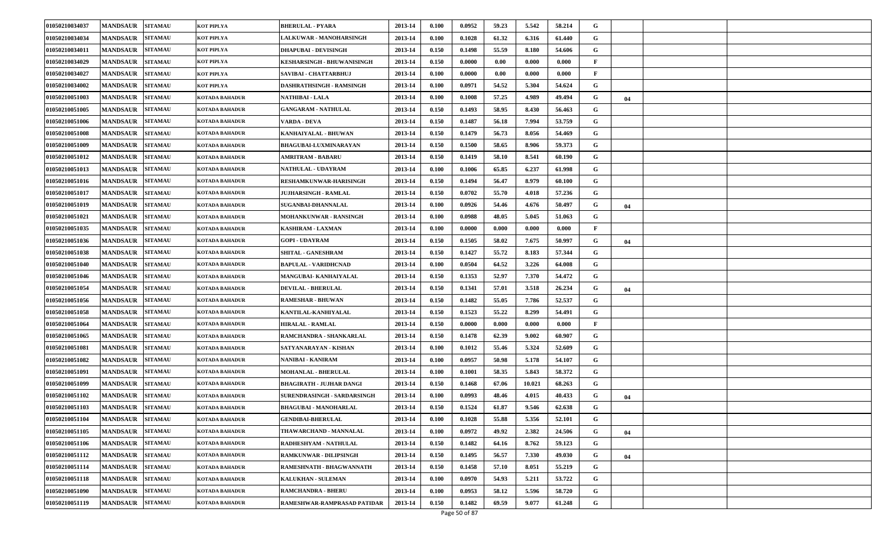| 01050210034037 | <b>MANDSAUR</b>  | <b>SITAMAU</b> | KOT PIPLYA            | <b>BHERULAL - PYARA</b>        | 2013-14 | 0.100 | 0.0952 | 59.23 | 5.542  | 58.214 | G            |    |  |
|----------------|------------------|----------------|-----------------------|--------------------------------|---------|-------|--------|-------|--------|--------|--------------|----|--|
| 01050210034034 | <b>MANDSAUR</b>  | <b>SITAMAU</b> | KOT PIPLYA            | <b>LALKUWAR - MANOHARSINGH</b> | 2013-14 | 0.100 | 0.1028 | 61.32 | 6.316  | 61.440 | G            |    |  |
| 01050210034011 | <b>MANDSAUR</b>  | <b>SITAMAU</b> | KOT PIPLYA            | <b>DHAPUBAI - DEVISINGH</b>    | 2013-14 | 0.150 | 0.1498 | 55.59 | 8.180  | 54.606 | G            |    |  |
| 01050210034029 | <b>MANDSAUR</b>  | <b>SITAMAU</b> | KOT PIPLYA            | KESHARSINGH - BHUWANISINGH     | 2013-14 | 0.150 | 0.0000 | 0.00  | 0.000  | 0.000  | F            |    |  |
| 01050210034027 | <b>MANDSAUR</b>  | <b>SITAMAU</b> | KOT PIPLYA            | SAVIBAI - CHATTARBHUJ          | 2013-14 | 0.100 | 0.0000 | 0.00  | 0.000  | 0.000  | $\mathbf{F}$ |    |  |
| 01050210034002 | <b>MANDSAUR</b>  | <b>SITAMAU</b> | KOT PIPLYA            | DASHRATHSINGH - RAMSINGH       | 2013-14 | 0.100 | 0.0971 | 54.52 | 5.304  | 54.624 | G            |    |  |
| 01050210051003 | <b>MANDSAUR</b>  | <b>SITAMAU</b> | KOTADA BAHADUR        | NATHIBAI - LALA                | 2013-14 | 0.100 | 0.1008 | 57.25 | 4.989  | 49.494 | G            | 04 |  |
| 01050210051005 | <b>MANDSAUR</b>  | <b>SITAMAU</b> | KOTADA BAHADUR        | <b>GANGARAM - NATHULAL</b>     | 2013-14 | 0.150 | 0.1493 | 58.95 | 8.430  | 56.463 | G            |    |  |
| 01050210051006 | <b>MANDSAUR</b>  | <b>SITAMAU</b> | <b>KOTADA BAHADUR</b> | VARDA - DEVA                   | 2013-14 | 0.150 | 0.1487 | 56.18 | 7.994  | 53.759 | G            |    |  |
| 01050210051008 | <b>MANDSAUR</b>  | <b>SITAMAU</b> | <b>KOTADA BAHADUR</b> | KANHAIYALAL - BHUWAN           | 2013-14 | 0.150 | 0.1479 | 56.73 | 8.056  | 54.469 | G            |    |  |
| 01050210051009 | <b>MANDSAUR</b>  | <b>SITAMAU</b> | KOTADA BAHADUR        | <b>BHAGUBAI-LUXMINARAYAN</b>   | 2013-14 | 0.150 | 0.1500 | 58.65 | 8.906  | 59.373 | G            |    |  |
| 01050210051012 | <b>MANDSAUR</b>  | <b>SITAMAU</b> | <b>KOTADA BAHADUR</b> | AMRITRAM - BABARU              | 2013-14 | 0.150 | 0.1419 | 58.10 | 8.541  | 60.190 | G            |    |  |
| 01050210051013 | <b>MANDSAUR</b>  | <b>SITAMAU</b> | <b>KOTADA BAHADUR</b> | <b>NATHULAL - UDAYRAM</b>      | 2013-14 | 0.100 | 0.1006 | 65.85 | 6.237  | 61.998 | G            |    |  |
| 01050210051016 | <b>MANDSAUR</b>  | <b>SITAMAU</b> | <b>KOTADA BAHADUR</b> | RESHAMKUNWAR-HARISINGH         | 2013-14 | 0.150 | 0.1494 | 56.47 | 8.979  | 60.100 | G            |    |  |
| 01050210051017 | <b>MANDSAUR</b>  | <b>SITAMAU</b> | KOTADA BAHADUR        | <b>JUJHARSINGH - RAMLAL</b>    | 2013-14 | 0.150 | 0.0702 | 55.70 | 4.018  | 57.236 | G            |    |  |
| 01050210051019 | <b>MANDSAUR</b>  | <b>SITAMAU</b> | <b>KOTADA BAHADUR</b> | <b>SUGANBAI-DHANNALAL</b>      | 2013-14 | 0.100 | 0.0926 | 54.46 | 4.676  | 50.497 | G            | 04 |  |
| 01050210051021 | <b>MANDSAUR</b>  | <b>SITAMAU</b> | <b>KOTADA BAHADUR</b> | <b>MOHANKUNWAR - RANSINGH</b>  | 2013-14 | 0.100 | 0.0988 | 48.05 | 5.045  | 51.063 | G            |    |  |
| 01050210051035 | <b>MANDSAUR</b>  | <b>SITAMAU</b> | <b>KOTADA BAHADUR</b> | KASHIRAM - LAXMAN              | 2013-14 | 0.100 | 0.0000 | 0.000 | 0.000  | 0.000  | F            |    |  |
| 01050210051036 | <b>MANDSAUR</b>  | <b>SITAMAU</b> | <b>KOTADA BAHADUR</b> | <b>GOPI - UDAYRAM</b>          | 2013-14 | 0.150 | 0.1505 | 58.02 | 7.675  | 50.997 | G            | 04 |  |
| 01050210051038 | <b>MANDSAUR</b>  | <b>SITAMAU</b> | <b>KOTADA BAHADUR</b> | <b>SHITAL - GANESHRAM</b>      | 2013-14 | 0.150 | 0.1427 | 55.72 | 8.183  | 57.344 | G            |    |  |
| 01050210051040 | <b>MANDSAUR</b>  | <b>SITAMAU</b> | <b>KOTADA BAHADUR</b> | BAPULAL - VARIDHCNAD           | 2013-14 | 0.100 | 0.0504 | 64.52 | 3.226  | 64.008 | G            |    |  |
| 01050210051046 | <b>MANDSAUR</b>  | <b>SITAMAU</b> | <b>KOTADA BAHADUR</b> | <b>MANGUBAI- KANHAIYALAL</b>   | 2013-14 | 0.150 | 0.1353 | 52.97 | 7.370  | 54.472 | G            |    |  |
| 01050210051054 | <b>MANDSAUR</b>  | <b>SITAMAU</b> | KOTADA BAHADUR        | <b>DEVILAL - BHERULAL</b>      | 2013-14 | 0.150 | 0.1341 | 57.01 | 3.518  | 26.234 | G            | 04 |  |
| 01050210051056 | <b>MANDSAUR</b>  | <b>SITAMAU</b> | <b>KOTADA BAHADUR</b> | RAMESHAR - BHUWAN              | 2013-14 | 0.150 | 0.1482 | 55.05 | 7.786  | 52.537 | G            |    |  |
| 01050210051058 | <b>MANDSAUR</b>  | <b>SITAMAU</b> | <b>KOTADA BAHADUR</b> | KANTILAL-KANHIYALAL            | 2013-14 | 0.150 | 0.1523 | 55.22 | 8.299  | 54.491 | G            |    |  |
| 01050210051064 | <b>MANDSAUR</b>  | <b>SITAMAU</b> | <b>KOTADA BAHADUR</b> | <b>HIRALAL - RAMLAL</b>        | 2013-14 | 0.150 | 0.0000 | 0.000 | 0.000  | 0.000  | F            |    |  |
| 01050210051065 | <b>MANDSAUR</b>  | <b>SITAMAU</b> | <b>KOTADA BAHADUR</b> | RAMCHANDRA - SHANKARLAL        | 2013-14 | 0.150 | 0.1478 | 62.39 | 9.002  | 60.907 | G            |    |  |
| 01050210051081 | <b>MANDSAUR</b>  | <b>SITAMAU</b> | <b>KOTADA BAHADUR</b> | SATYANARAYAN - KISHAN          | 2013-14 | 0.100 | 0.1012 | 55.46 | 5.324  | 52.609 | G            |    |  |
| 01050210051082 | <b>MANDSAUR</b>  | <b>SITAMAU</b> | <b>KOTADA BAHADUR</b> | NANIBAI - KANIRAM              | 2013-14 | 0.100 | 0.0957 | 50.98 | 5.178  | 54.107 | G            |    |  |
| 01050210051091 | <b>MANDSAUR</b>  | <b>SITAMAU</b> | KOTADA BAHADUR        | <b>MOHANLAL - BHERULAL</b>     | 2013-14 | 0.100 | 0.1001 | 58.35 | 5.843  | 58.372 | G            |    |  |
| 01050210051099 | <b>MANDSAUR</b>  | <b>SITAMAU</b> | KOTADA BAHADUR        | BHAGIRATH - JUJHAR DANGI       | 2013-14 | 0.150 | 0.1468 | 67.06 | 10.021 | 68.263 | G            |    |  |
| 01050210051102 | <b>MANDSAUR</b>  | <b>SITAMAU</b> | KOTADA BAHADUR        | SURENDRASINGH - SARDARSINGH    | 2013-14 | 0.100 | 0.0993 | 48.46 | 4.015  | 40.433 | G            | 04 |  |
| 01050210051103 | <b>MANDSAUR</b>  | <b>SITAMAU</b> | <b>KOTADA BAHADUR</b> | <b>BHAGUBAI - MANOHARLAL</b>   | 2013-14 | 0.150 | 0.1524 | 61.87 | 9.546  | 62.638 | G            |    |  |
| 01050210051104 | MANDSAUR SITAMAU |                | <b>KOTADA BAHADUR</b> | <b>GENDIBAI-BHERULAL</b>       | 2013-14 | 0.100 | 0.1028 | 55.88 | 5.356  | 52.101 | G            |    |  |
| 01050210051105 | <b>MANDSAUR</b>  | <b>SITAMAU</b> | <b>KOTADA BAHADUR</b> | THAWARCHAND - MANNALAL         | 2013-14 | 0.100 | 0.0972 | 49.92 | 2.382  | 24.506 | G            | 04 |  |
| 01050210051106 | <b>MANDSAUR</b>  | <b>SITAMAU</b> | <b>KOTADA BAHADUR</b> | RADHESHYAM - NATHULAL          | 2013-14 | 0.150 | 0.1482 | 64.16 | 8.762  | 59.123 | G            |    |  |
| 01050210051112 | <b>MANDSAUR</b>  | <b>SITAMAU</b> | <b>KOTADA BAHADUR</b> | RAMKUNWAR - DILIPSINGH         | 2013-14 | 0.150 | 0.1495 | 56.57 | 7.330  | 49.030 | G            | 04 |  |
| 01050210051114 | <b>MANDSAUR</b>  | <b>SITAMAU</b> | <b>KOTADA BAHADUR</b> | RAMESHNATH - BHAGWANNATH       | 2013-14 | 0.150 | 0.1458 | 57.10 | 8.051  | 55.219 | G            |    |  |
| 01050210051118 | <b>MANDSAUR</b>  | <b>SITAMAU</b> | <b>KOTADA BAHADUR</b> | KALUKHAN - SULEMAN             | 2013-14 | 0.100 | 0.0970 | 54.93 | 5.211  | 53.722 | G            |    |  |
| 01050210051090 | <b>MANDSAUR</b>  | <b>SITAMAU</b> | <b>KOTADA BAHADUR</b> | RAMCHANDRA - BHERU             | 2013-14 | 0.100 | 0.0953 | 58.12 | 5.596  | 58.720 | G            |    |  |
| 01050210051119 | <b>MANDSAUR</b>  | <b>SITAMAU</b> | <b>KOTADA BAHADUR</b> | RAMESHWAR-RAMPRASAD PATIDAR    | 2013-14 | 0.150 | 0.1482 | 69.59 | 9.077  | 61.248 | G            |    |  |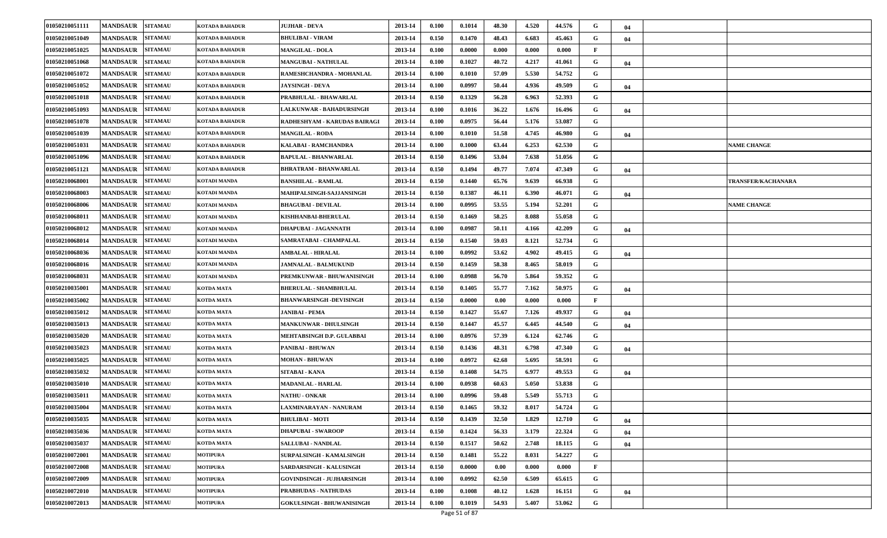| 01050210051111 | <b>MANDSAUR</b>  | <b>SITAMAU</b> | <b>KOTADA BAHADUR</b> | <b>JUJHAR - DEVA</b>             | 2013-14 | 0.100 | 0.1014                     | 48.30 | 4.520 | 44.576 | G | 04 |                    |
|----------------|------------------|----------------|-----------------------|----------------------------------|---------|-------|----------------------------|-------|-------|--------|---|----|--------------------|
| 01050210051049 | <b>MANDSAUR</b>  | <b>SITAMAU</b> | KOTADA BAHADUR        | <b>BHULIBAI - VIRAM</b>          | 2013-14 | 0.150 | 0.1470                     | 48.43 | 6.683 | 45.463 | G | 04 |                    |
| 01050210051025 | <b>MANDSAUR</b>  | <b>SITAMAU</b> | <b>KOTADA BAHADUR</b> | <b>MANGILAL - DOLA</b>           | 2013-14 | 0.100 | 0.0000                     | 0.000 | 0.000 | 0.000  | F |    |                    |
| 01050210051068 | <b>MANDSAUR</b>  | <b>SITAMAU</b> | <b>KOTADA BAHADUR</b> | <b>MANGUBAI - NATHULAL</b>       | 2013-14 | 0.100 | 0.1027                     | 40.72 | 4.217 | 41.061 | G | 04 |                    |
| 01050210051072 | <b>MANDSAUR</b>  | <b>SITAMAU</b> | <b>KOTADA BAHADUR</b> | RAMESHCHANDRA - MOHANLAL         | 2013-14 | 0.100 | 0.1010                     | 57.09 | 5.530 | 54.752 | G |    |                    |
| 01050210051052 | <b>MANDSAUR</b>  | <b>SITAMAU</b> | <b>KOTADA BAHADUR</b> | <b>JAYSINGH - DEVA</b>           | 2013-14 | 0.100 | 0.0997                     | 50.44 | 4.936 | 49.509 | G | 04 |                    |
| 01050210051018 | <b>MANDSAUR</b>  | <b>SITAMAU</b> | KOTADA BAHADUR        | PRABHULAL - BHAWARLAL            | 2013-14 | 0.150 | 0.1329                     | 56.28 | 6.963 | 52.393 | G |    |                    |
| 01050210051093 | <b>MANDSAUR</b>  | <b>SITAMAU</b> | KOTADA BAHADUR        | <b>LALKUNWAR - BAHADURSINGH</b>  | 2013-14 | 0.100 | 0.1016                     | 36.22 | 1.676 | 16.496 | G | 04 |                    |
| 01050210051078 | <b>MANDSAUR</b>  | <b>SITAMAU</b> | <b>KOTADA BAHADUR</b> | RADHESHYAM - KARUDAS BAIRAGI     | 2013-14 | 0.100 | 0.0975                     | 56.44 | 5.176 | 53.087 | G |    |                    |
| 01050210051039 | <b>MANDSAUR</b>  | <b>SITAMAU</b> | <b>KOTADA BAHADUR</b> | <b>MANGILAL - RODA</b>           | 2013-14 | 0.100 | 0.1010                     | 51.58 | 4.745 | 46.980 | G | 04 |                    |
| 01050210051031 | <b>MANDSAUR</b>  | <b>SITAMAU</b> | KOTADA BAHADUR        | KALABAI - RAMCHANDRA             | 2013-14 | 0.100 | 0.1000                     | 63.44 | 6.253 | 62.530 | G |    | <b>NAME CHANGE</b> |
| 01050210051096 | <b>MANDSAUR</b>  | <b>SITAMAU</b> | <b>KOTADA BAHADUR</b> | BAPULAL - BHANWARLAL             | 2013-14 | 0.150 | 0.1496                     | 53.04 | 7.638 | 51.056 | G |    |                    |
| 01050210051121 | <b>MANDSAUR</b>  | <b>SITAMAU</b> | <b>KOTADA BAHADUR</b> | BHRATRAM - BHANWARLAL            | 2013-14 | 0.150 | 0.1494                     | 49.77 | 7.074 | 47.349 | G | 04 |                    |
| 01050210068001 | <b>MANDSAUR</b>  | <b>SITAMAU</b> | KOTADI MANDA          | <b>BANSHILAL - RAMLAL</b>        | 2013-14 | 0.150 | 0.1440                     | 65.76 | 9.639 | 66.938 | G |    | TRANSFER/KACHANARA |
| 01050210068003 | <b>MANDSAUR</b>  | <b>SITAMAU</b> | KOTADI MANDA          | MAHIPALSINGH-SAJJANSINGH         | 2013-14 | 0.150 | 0.1387                     | 46.11 | 6.390 | 46.071 | G | 04 |                    |
| 01050210068006 | <b>MANDSAUR</b>  | <b>SITAMAU</b> | <b>KOTADI MANDA</b>   | <b>BHAGUBAI - DEVILAL</b>        | 2013-14 | 0.100 | 0.0995                     | 53.55 | 5.194 | 52.201 | G |    | <b>NAME CHANGE</b> |
| 01050210068011 | <b>MANDSAUR</b>  | <b>SITAMAU</b> | KOTADI MANDA          | KISHHANBAI-BHERULAL              | 2013-14 | 0.150 | 0.1469                     | 58.25 | 8.088 | 55.058 | G |    |                    |
| 01050210068012 | <b>MANDSAUR</b>  | <b>SITAMAU</b> | KOTADI MANDA          | <b>DHAPUBAI - JAGANNATH</b>      | 2013-14 | 0.100 | 0.0987                     | 50.11 | 4.166 | 42.209 | G | 04 |                    |
| 01050210068014 | <b>MANDSAUR</b>  | <b>SITAMAU</b> | KOTADI MANDA          | SAMRATABAI - CHAMPALAL           | 2013-14 | 0.150 | 0.1540                     | 59.03 | 8.121 | 52.734 | G |    |                    |
| 01050210068036 | <b>MANDSAUR</b>  | <b>SITAMAU</b> | KOTADI MANDA          | <b>AMBALAL - HIRALAL</b>         | 2013-14 | 0.100 | 0.0992                     | 53.62 | 4.902 | 49.415 | G | 04 |                    |
| 01050210068016 | <b>MANDSAUR</b>  | <b>SITAMAU</b> | KOTADI MANDA          | JAMNALAL - BALMUKUND             | 2013-14 | 0.150 | 0.1459                     | 58.38 | 8.465 | 58.019 | G |    |                    |
| 01050210068031 | <b>MANDSAUR</b>  | <b>SITAMAU</b> | KOTADI MANDA          | PREMKUNWAR - BHUWANISINGH        | 2013-14 | 0.100 | 0.0988                     | 56.70 | 5.864 | 59.352 | G |    |                    |
| 01050210035001 | <b>MANDSAUR</b>  | <b>SITAMAU</b> | KOTDA MATA            | <b>BHERULAL - SHAMBHULAL</b>     | 2013-14 | 0.150 | 0.1405                     | 55.77 | 7.162 | 50.975 | G | 04 |                    |
| 01050210035002 | <b>MANDSAUR</b>  | <b>SITAMAU</b> | KOTDA MATA            | BHANWARSINGH -DEVISINGH          | 2013-14 | 0.150 | 0.0000                     | 0.00  | 0.000 | 0.000  | F |    |                    |
| 01050210035012 | <b>MANDSAUR</b>  | <b>SITAMAU</b> | KOTDA MATA            | <b>JANIBAI - PEMA</b>            | 2013-14 | 0.150 | 0.1427                     | 55.67 | 7.126 | 49.937 | G | 04 |                    |
| 01050210035013 | <b>MANDSAUR</b>  | <b>SITAMAU</b> | KOTDA MATA            | MANKUNWAR - DHULSINGH            | 2013-14 | 0.150 | 0.1447                     | 45.57 | 6.445 | 44.540 | G | 04 |                    |
| 01050210035020 | <b>MANDSAUR</b>  | <b>SITAMAU</b> | KOTDA MATA            | MEHTABSINGH D.P. GULABBAI        | 2013-14 | 0.100 | 0.0976                     | 57.39 | 6.124 | 62.746 | G |    |                    |
| 01050210035023 | <b>MANDSAUR</b>  | <b>SITAMAU</b> | KOTDA MATA            | PANIBAI - BHUWAN                 | 2013-14 | 0.150 | 0.1436                     | 48.31 | 6.798 | 47.340 | G | 04 |                    |
| 01050210035025 | <b>MANDSAUR</b>  | <b>SITAMAU</b> | KOTDA MATA            | <b>MOHAN - BHUWAN</b>            | 2013-14 | 0.100 | 0.0972                     | 62.68 | 5.695 | 58.591 | G |    |                    |
| 01050210035032 | <b>MANDSAUR</b>  | <b>SITAMAU</b> | KOTDA MATA            | <b>SITABAI - KANA</b>            | 2013-14 | 0.150 | 0.1408                     | 54.75 | 6.977 | 49.553 | G | 04 |                    |
| 01050210035010 | <b>MANDSAUR</b>  | <b>SITAMAU</b> | KOTDA MATA            | <b>MADANLAL - HARLAL</b>         | 2013-14 | 0.100 | 0.0938                     | 60.63 | 5.050 | 53.838 | G |    |                    |
| 01050210035011 | <b>MANDSAUR</b>  | <b>SITAMAU</b> | <b>KOTDA MATA</b>     | <b>NATHU - ONKAR</b>             | 2013-14 | 0.100 | 0.0996                     | 59.48 | 5.549 | 55.713 | G |    |                    |
| 01050210035004 | <b>MANDSAUR</b>  | <b>SITAMAU</b> | <b>KOTDA MATA</b>     | LAXMINARAYAN - NANURAM           | 2013-14 | 0.150 | 0.1465                     | 59.32 | 8.017 | 54.724 | G |    |                    |
| 01050210035035 | MANDSAUR SITAMAU |                | <b>KOTDA MATA</b>     | <b>BHULIBAI - MOTI</b>           | 2013-14 | 0.150 | 0.1439                     | 32.50 | 1.829 | 12.710 | G | 04 |                    |
| 01050210035036 | <b>MANDSAUR</b>  | <b>SITAMAU</b> | KOTDA MATA            | DHAPUBAI - SWAROOP               | 2013-14 | 0.150 | 0.1424                     | 56.33 | 3.179 | 22.324 | G | 04 |                    |
| 01050210035037 | <b>MANDSAUR</b>  | <b>SITAMAU</b> | <b>KOTDA MATA</b>     | <b>SALLUBAI - NANDLAL</b>        | 2013-14 | 0.150 | 0.1517                     | 50.62 | 2.748 | 18.115 | G | 04 |                    |
| 01050210072001 | <b>MANDSAUR</b>  | <b>SITAMAU</b> | <b>MOTIPURA</b>       | SURPALSINGH - KAMALSINGH         | 2013-14 | 0.150 | 0.1481                     | 55.22 | 8.031 | 54.227 | G |    |                    |
| 01050210072008 | <b>MANDSAUR</b>  | <b>SITAMAU</b> | <b>MOTIPURA</b>       | SARDARSINGH - KALUSINGH          | 2013-14 | 0.150 | 0.0000                     | 0.00  | 0.000 | 0.000  | F |    |                    |
| 01050210072009 | <b>MANDSAUR</b>  | <b>SITAMAU</b> | <b>MOTIPURA</b>       | GOVINDSINGH - JUJHARSINGH        | 2013-14 | 0.100 | 0.0992                     | 62.50 | 6.509 | 65.615 | G |    |                    |
| 01050210072010 | <b>MANDSAUR</b>  | <b>SITAMAU</b> | <b>MOTIPURA</b>       | PRABHUDAS - NATHUDAS             | 2013-14 | 0.100 | 0.1008                     | 40.12 | 1.628 | 16.151 | G | 04 |                    |
| 01050210072013 | <b>MANDSAUR</b>  | <b>SITAMAU</b> | <b>MOTIPURA</b>       | <b>GOKULSINGH - BHUWANISINGH</b> | 2013-14 | 0.100 | 0.1019<br>$D = -274 - 507$ | 54.93 | 5.407 | 53.062 | G |    |                    |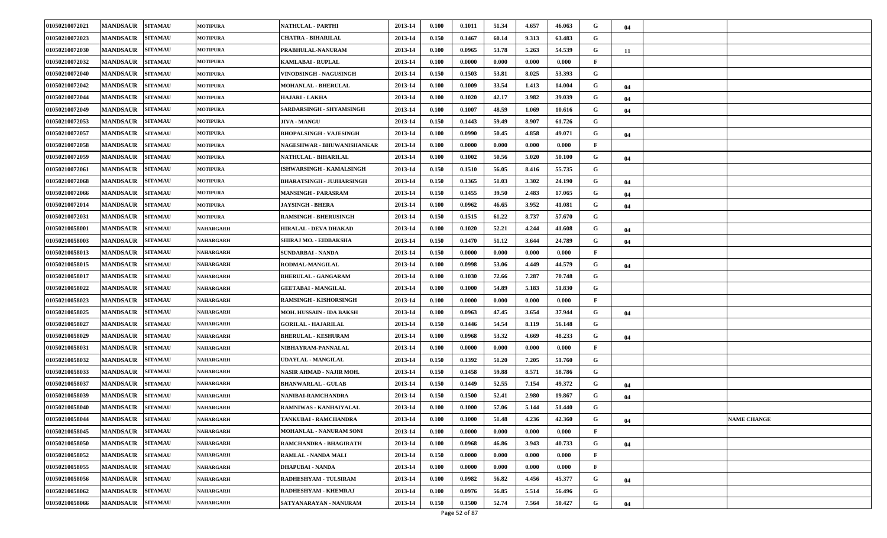| 01050210072021 | <b>MANDSAUR</b> | <b>SITAMAU</b> | <b>MOTIPURA</b>  | <b>NATHULAL - PARTHI</b>         | 2013-14 | 0.100 | 0.1011             | 51.34 | 4.657 | 46.063 | G            | 04 |                    |
|----------------|-----------------|----------------|------------------|----------------------------------|---------|-------|--------------------|-------|-------|--------|--------------|----|--------------------|
| 01050210072023 | <b>MANDSAUR</b> | <b>SITAMAU</b> | <b>MOTIPURA</b>  | CHATRA - BIHARILAL               | 2013-14 | 0.150 | 0.1467             | 60.14 | 9.313 | 63.483 | G            |    |                    |
| 01050210072030 | <b>MANDSAUR</b> | <b>SITAMAU</b> | <b>MOTIPURA</b>  | PRABHULAL-NANURAM                | 2013-14 | 0.100 | 0.0965             | 53.78 | 5.263 | 54.539 | G            | 11 |                    |
| 01050210072032 | <b>MANDSAUR</b> | <b>SITAMAU</b> | <b>MOTIPURA</b>  | KAMLABAI - RUPLAL                | 2013-14 | 0.100 | 0.0000             | 0.000 | 0.000 | 0.000  | F            |    |                    |
| 01050210072040 | <b>MANDSAUR</b> | <b>SITAMAU</b> | <b>MOTIPURA</b>  | VINODSINGH - NAGUSINGH           | 2013-14 | 0.150 | 0.1503             | 53.81 | 8.025 | 53.393 | G            |    |                    |
| 01050210072042 | <b>MANDSAUR</b> | <b>SITAMAU</b> | <b>MOTIPURA</b>  | <b>MOHANLAL - BHERULAL</b>       | 2013-14 | 0.100 | 0.1009             | 33.54 | 1.413 | 14.004 | G            | 04 |                    |
| 01050210072044 | <b>MANDSAUR</b> | <b>SITAMAU</b> | <b>MOTIPURA</b>  | <b>HAJARI - LAKHA</b>            | 2013-14 | 0.100 | 0.1020             | 42.17 | 3.982 | 39.039 | G            | 04 |                    |
| 01050210072049 | <b>MANDSAUR</b> | <b>SITAMAU</b> | <b>MOTIPURA</b>  | SARDARSINGH - SHYAMSINGH         | 2013-14 | 0.100 | 0.1007             | 48.59 | 1.069 | 10.616 | G            | 04 |                    |
| 01050210072053 | <b>MANDSAUR</b> | <b>SITAMAU</b> | <b>MOTIPURA</b>  | <b>JIVA - MANGU</b>              | 2013-14 | 0.150 | 0.1443             | 59.49 | 8.907 | 61.726 | G            |    |                    |
| 01050210072057 | <b>MANDSAUR</b> | <b>SITAMAU</b> | <b>MOTIPURA</b>  | <b>BHOPALSINGH - VAJESINGH</b>   | 2013-14 | 0.100 | 0.0990             | 50.45 | 4.858 | 49.071 | G            | 04 |                    |
| 01050210072058 | <b>MANDSAUR</b> | <b>SITAMAU</b> | <b>MOTIPURA</b>  | NAGESHWAR - BHUWANISHANKAR       | 2013-14 | 0.100 | 0.0000             | 0.000 | 0.000 | 0.000  | F            |    |                    |
| 01050210072059 | <b>MANDSAUR</b> | <b>SITAMAU</b> | <b>MOTIPURA</b>  | NATHULAL - BIHARILAL             | 2013-14 | 0.100 | 0.1002             | 50.56 | 5.020 | 50.100 | G            | 04 |                    |
| 01050210072061 | <b>MANDSAUR</b> | <b>SITAMAU</b> | <b>MOTIPURA</b>  | ISHWARSINGH - KAMALSINGH         | 2013-14 | 0.150 | 0.1510             | 56.05 | 8.416 | 55.735 | G            |    |                    |
| 01050210072068 | <b>MANDSAUR</b> | <b>SITAMAU</b> | <b>MOTIPURA</b>  | <b>BHARATSINGH - JUJHARSINGH</b> | 2013-14 | 0.150 | 0.1365             | 51.03 | 3.302 | 24.190 | G            | 04 |                    |
| 01050210072066 | <b>MANDSAUR</b> | <b>SITAMAU</b> | <b>MOTIPURA</b>  | <b>MANSINGH - PARASRAM</b>       | 2013-14 | 0.150 | 0.1455             | 39.50 | 2.483 | 17.065 | G            | 04 |                    |
| 01050210072014 | <b>MANDSAUR</b> | <b>SITAMAU</b> | <b>MOTIPURA</b>  | <b>JAYSINGH - BHERA</b>          | 2013-14 | 0.100 | 0.0962             | 46.65 | 3.952 | 41.081 | G            | 04 |                    |
| 01050210072031 | <b>MANDSAUR</b> | <b>SITAMAU</b> | <b>MOTIPURA</b>  | <b>RAMSINGH - BHERUSINGH</b>     | 2013-14 | 0.150 | 0.1515             | 61.22 | 8.737 | 57.670 | G            |    |                    |
| 01050210058001 | <b>MANDSAUR</b> | <b>SITAMAU</b> | NAHARGARH        | <b>HIRALAL - DEVA DHAKAD</b>     | 2013-14 | 0.100 | 0.1020             | 52.21 | 4.244 | 41.608 | G            | 04 |                    |
| 01050210058003 | <b>MANDSAUR</b> | <b>SITAMAU</b> | NAHARGARH        | SHIRAJ MO. - EIDBAKSHA           | 2013-14 | 0.150 | 0.1470             | 51.12 | 3.644 | 24.789 | G            | 04 |                    |
| 01050210058013 | <b>MANDSAUR</b> | <b>SITAMAU</b> | NAHARGARH        | <b>SUNDARBAI - NANDA</b>         | 2013-14 | 0.150 | 0.0000             | 0.000 | 0.000 | 0.000  | F            |    |                    |
| 01050210058015 | <b>MANDSAUR</b> | <b>SITAMAU</b> | <b>NAHARGARH</b> | RODMAL-MANGILAL                  | 2013-14 | 0.100 | 0.0998             | 53.06 | 4.449 | 44.579 | G            | 04 |                    |
| 01050210058017 | <b>MANDSAUR</b> | <b>SITAMAU</b> | <b>NAHARGARH</b> | <b>BHERULAL - GANGARAM</b>       | 2013-14 | 0.100 | 0.1030             | 72.66 | 7.287 | 70.748 | G            |    |                    |
| 01050210058022 | <b>MANDSAUR</b> | <b>SITAMAU</b> | NAHARGARH        | <b>GEETABAI - MANGILAL</b>       | 2013-14 | 0.100 | 0.1000             | 54.89 | 5.183 | 51.830 | G            |    |                    |
| 01050210058023 | <b>MANDSAUR</b> | <b>SITAMAU</b> | NAHARGARH        | RAMSINGH - KISHORSINGH           | 2013-14 | 0.100 | 0.0000             | 0.000 | 0.000 | 0.000  | F            |    |                    |
| 01050210058025 | <b>MANDSAUR</b> | <b>SITAMAU</b> | NAHARGARH        | MOH. HUSSAIN - IDA BAKSH         | 2013-14 | 0.100 | 0.0963             | 47.45 | 3.654 | 37.944 | G            | 04 |                    |
| 01050210058027 | <b>MANDSAUR</b> | <b>SITAMAU</b> | <b>NAHARGARH</b> | <b>GORILAL - HAJARILAL</b>       | 2013-14 | 0.150 | 0.1446             | 54.54 | 8.119 | 56.148 | G            |    |                    |
| 01050210058029 | <b>MANDSAUR</b> | <b>SITAMAU</b> | <b>NAHARGARH</b> | <b>BHERULAL - KESHURAM</b>       | 2013-14 | 0.100 | 0.0968             | 53.32 | 4.669 | 48.233 | G            | 04 |                    |
| 01050210058031 | <b>MANDSAUR</b> | <b>SITAMAU</b> | NAHARGARH        | NIBHAYRAM-PANNALAL               | 2013-14 | 0.100 | 0.0000             | 0.000 | 0.000 | 0.000  | F            |    |                    |
| 01050210058032 | <b>MANDSAUR</b> | <b>SITAMAU</b> | NAHARGARH        | UDAYLAL - MANGILAL               | 2013-14 | 0.150 | 0.1392             | 51.20 | 7.205 | 51.760 | G            |    |                    |
| 01050210058033 | <b>MANDSAUR</b> | <b>SITAMAU</b> | NAHARGARH        | NASIR AHMAD - NAJIR MOH.         | 2013-14 | 0.150 | 0.1458             | 59.88 | 8.571 | 58.786 | G            |    |                    |
| 01050210058037 | <b>MANDSAUR</b> | <b>SITAMAU</b> | NAHARGARH        | <b>BHANWARLAL - GULAB</b>        | 2013-14 | 0.150 | 0.1449             | 52.55 | 7.154 | 49.372 | G            | 04 |                    |
| 01050210058039 | <b>MANDSAUR</b> | <b>SITAMAU</b> | NAHARGARH        | NANIBAI-RAMCHANDRA               | 2013-14 | 0.150 | 0.1500             | 52.41 | 2.980 | 19.867 | G            | 04 |                    |
| 01050210058040 | <b>MANDSAUR</b> | <b>SITAMAU</b> | NAHARGARH        | RAMNIWAS - KANHAIYALAL           | 2013-14 | 0.100 | 0.1000             | 57.06 | 5.144 | 51.440 | G            |    |                    |
| 01050210058044 | <b>MANDSAUR</b> | <b>SITAMAU</b> | <b>NAHARGARH</b> | TANKUBAI - RAMCHANDRA            | 2013-14 | 0.100 | 0.1000             | 51.48 | 4.236 | 42.360 | G            | 04 | <b>NAME CHANGE</b> |
| 01050210058045 | <b>MANDSAUR</b> | <b>SITAMAU</b> | NAHARGARH        | <b>MOHANLAL - NANURAM SONI</b>   | 2013-14 | 0.100 | 0.0000             | 0.000 | 0.000 | 0.000  | F            |    |                    |
| 01050210058050 | <b>MANDSAUR</b> | <b>SITAMAU</b> | <b>NAHARGARH</b> | RAMCHANDRA - BHAGIRATH           | 2013-14 | 0.100 | 0.0968             | 46.86 | 3.943 | 40.733 | G            | 04 |                    |
| 01050210058052 | <b>MANDSAUR</b> | <b>SITAMAU</b> | <b>NAHARGARH</b> | RAMLAL - NANDA MALI              | 2013-14 | 0.150 | 0.0000             | 0.000 | 0.000 | 0.000  | F            |    |                    |
| 01050210058055 | <b>MANDSAUR</b> | <b>SITAMAU</b> | NAHARGARH        | <b>DHAPUBAI - NANDA</b>          | 2013-14 | 0.100 | 0.0000             | 0.000 | 0.000 | 0.000  | $\mathbf{F}$ |    |                    |
| 01050210058056 | <b>MANDSAUR</b> | <b>SITAMAU</b> | NAHARGARH        | RADHESHYAM - TULSIRAM            | 2013-14 | 0.100 | 0.0982             | 56.82 | 4.456 | 45.377 | G            | 04 |                    |
| 01050210058062 | <b>MANDSAUR</b> | <b>SITAMAU</b> | <b>NAHARGARH</b> | RADHESHYAM - KHEMRAJ             | 2013-14 | 0.100 | 0.0976             | 56.85 | 5.514 | 56.496 | G            |    |                    |
| 01050210058066 | <b>MANDSAUR</b> | <b>SITAMAU</b> | <b>NAHARGARH</b> | SATYANARAYAN - NANURAM           | 2013-14 | 0.150 | 0.1500<br>$-52.50$ | 52.74 | 7.564 | 50.427 | G            | 04 |                    |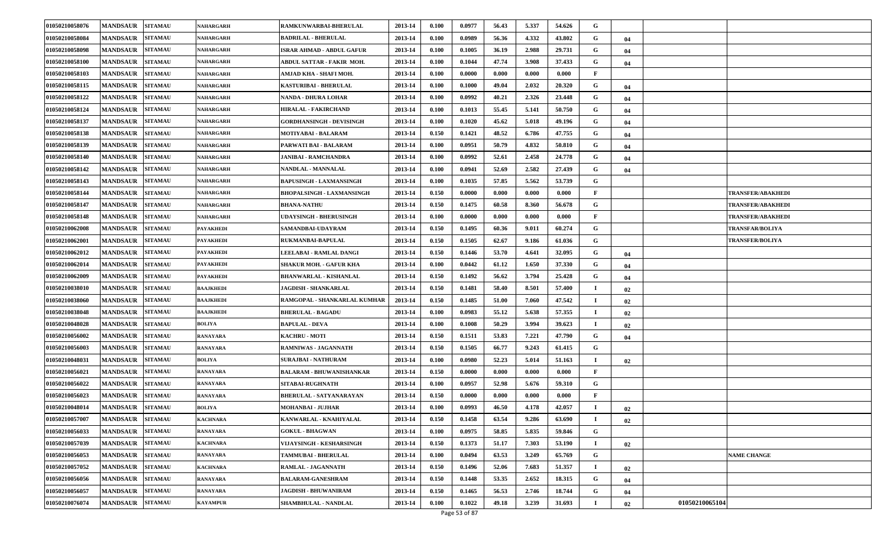| 01050210058076 | <b>MANDSAUR</b><br><b>SITAMAU</b> | <b>NAHARGARH</b> | <b>RAMKUNWARBAI-BHERULAL</b>     | 2013-14 | 0.100 | 0.0977                         | 56.43 | 5.337 | 54.626 | G            |    |                          |
|----------------|-----------------------------------|------------------|----------------------------------|---------|-------|--------------------------------|-------|-------|--------|--------------|----|--------------------------|
| 01050210058084 | <b>MANDSAUR</b><br><b>SITAMAU</b> | <b>NAHARGARH</b> | <b>BADRILAL - BHERULAL</b>       | 2013-14 | 0.100 | 0.0989                         | 56.36 | 4.332 | 43.802 | G            | 04 |                          |
| 01050210058098 | <b>MANDSAUR</b><br><b>SITAMAU</b> | <b>NAHARGARH</b> | <b>ISRAR AHMAD - ABDUL GAFUR</b> | 2013-14 | 0.100 | 0.1005                         | 36.19 | 2.988 | 29.731 | G            | 04 |                          |
| 01050210058100 | <b>MANDSAUR</b><br><b>SITAMAU</b> | <b>NAHARGARH</b> | ABDUL SATTAR - FAKIR MOH.        | 2013-14 | 0.100 | 0.1044                         | 47.74 | 3.908 | 37.433 | G            | 04 |                          |
| 01050210058103 | <b>MANDSAUR</b><br><b>SITAMAU</b> | <b>NAHARGARH</b> | AMJAD KHA - SHAFI MOH.           | 2013-14 | 0.100 | 0.0000                         | 0.000 | 0.000 | 0.000  | $\mathbf{F}$ |    |                          |
| 01050210058115 | <b>MANDSAUR</b><br><b>SITAMAU</b> | <b>NAHARGARH</b> | KASTURIBAI - BHERULAL            | 2013-14 | 0.100 | 0.1000                         | 49.04 | 2.032 | 20.320 | G            | 04 |                          |
| 01050210058122 | <b>MANDSAUR</b><br><b>SITAMAU</b> | <b>NAHARGARH</b> | NANDA - DHURA LOHAR              | 2013-14 | 0.100 | 0.0992                         | 40.21 | 2.326 | 23.448 | G            | 04 |                          |
| 01050210058124 | <b>MANDSAUR</b><br><b>SITAMAU</b> | NAHARGARH        | <b>HIRALAL - FAKIRCHAND</b>      | 2013-14 | 0.100 | 0.1013                         | 55.45 | 5.141 | 50.750 | G            | 04 |                          |
| 01050210058137 | <b>MANDSAUR</b><br><b>SITAMAU</b> | <b>NAHARGARH</b> | <b>GORDHANSINGH - DEVISINGH</b>  | 2013-14 | 0.100 | 0.1020                         | 45.62 | 5.018 | 49.196 | G            | 04 |                          |
| 01050210058138 | <b>MANDSAUR</b><br><b>SITAMAU</b> | <b>NAHARGARH</b> | <b>MOTIYABAI - BALARAM</b>       | 2013-14 | 0.150 | 0.1421                         | 48.52 | 6.786 | 47.755 | G            | 04 |                          |
| 01050210058139 | <b>MANDSAUR</b><br><b>SITAMAU</b> | <b>NAHARGARH</b> | PARWATI BAI - BALARAM            | 2013-14 | 0.100 | 0.0951                         | 50.79 | 4.832 | 50.810 | G            | 04 |                          |
| 01050210058140 | <b>MANDSAUR</b><br><b>SITAMAU</b> | <b>NAHARGARH</b> | JANIBAI - RAMCHANDRA             | 2013-14 | 0.100 | 0.0992                         | 52.61 | 2.458 | 24.778 | G            | 04 |                          |
| 01050210058142 | <b>MANDSAUR</b><br><b>SITAMAU</b> | <b>NAHARGARH</b> | NANDLAL - MANNALAL               | 2013-14 | 0.100 | 0.0941                         | 52.69 | 2.582 | 27.439 | G            | 04 |                          |
| 01050210058143 | <b>MANDSAUR</b><br><b>SITAMAU</b> | <b>NAHARGARH</b> | <b>BAPUSINGH - LAXMANSINGH</b>   | 2013-14 | 0.100 | 0.1035                         | 57.85 | 5.562 | 53.739 | G            |    |                          |
| 01050210058144 | <b>MANDSAUR</b><br><b>SITAMAU</b> | <b>NAHARGARH</b> | <b>BHOPALSINGH - LAXMANSINGH</b> | 2013-14 | 0.150 | 0.0000                         | 0.000 | 0.000 | 0.000  | F            |    | <b>TRANSFER/ABAKHEDI</b> |
| 01050210058147 | <b>MANDSAUR</b><br><b>SITAMAU</b> | <b>NAHARGARH</b> | BHANA-NATHU                      | 2013-14 | 0.150 | 0.1475                         | 60.58 | 8.360 | 56.678 | G            |    | <b>TRANSFER/ABAKHEDI</b> |
| 01050210058148 | <b>MANDSAUR</b><br><b>SITAMAU</b> | <b>NAHARGARH</b> | <b>UDAYSINGH - BHERUSINGH</b>    | 2013-14 | 0.100 | 0.0000                         | 0.000 | 0.000 | 0.000  | F            |    | <b>TRANSFER/ABAKHEDI</b> |
| 01050210062008 | <b>MANDSAUR</b><br><b>SITAMAU</b> | <b>PAYAKHEDI</b> | SAMANDBAI-UDAYRAM                | 2013-14 | 0.150 | 0.1495                         | 60.36 | 9.011 | 60.274 | G            |    | <b>TRANSFAR/BOLIYA</b>   |
| 01050210062001 | <b>MANDSAUR</b><br><b>SITAMAU</b> | <b>PAYAKHEDI</b> | RUKMANBAI-BAPULAL                | 2013-14 | 0.150 | 0.1505                         | 62.67 | 9.186 | 61.036 | G            |    | <b>TRANSFER/BOLIYA</b>   |
| 01050210062012 | <b>MANDSAUR</b><br><b>SITAMAU</b> | <b>PAYAKHEDI</b> | LEELABAI - RAMLAL DANGI          | 2013-14 | 0.150 | 0.1446                         | 53.70 | 4.641 | 32.095 | G            | 04 |                          |
| 01050210062014 | <b>MANDSAUR</b><br><b>SITAMAU</b> | <b>PAYAKHEDI</b> | SHAKUR MOH. - GAFUR KHA          | 2013-14 | 0.100 | 0.0442                         | 61.12 | 1.650 | 37.330 | G            | 04 |                          |
| 01050210062009 | <b>MANDSAUR</b><br><b>SITAMAU</b> | <b>PAYAKHEDI</b> | <b>BHANWARLAL - KISHANLAL</b>    | 2013-14 | 0.150 | 0.1492                         | 56.62 | 3.794 | 25.428 | G            | 04 |                          |
| 01050210038010 | <b>MANDSAUR</b><br><b>SITAMAU</b> | <b>BAAJKHEDI</b> | JAGDISH - SHANKARLAL             | 2013-14 | 0.150 | 0.1481                         | 58.40 | 8.501 | 57.400 | $\bf{I}$     | 02 |                          |
| 01050210038060 | <b>MANDSAUR</b><br><b>SITAMAU</b> | <b>BAAJKHEDI</b> | RAMGOPAL - SHANKARLAL KUMHAR     | 2013-14 | 0.150 | 0.1485                         | 51.00 | 7.060 | 47.542 | $\bf{I}$     | 02 |                          |
| 01050210038048 | <b>MANDSAUR</b><br><b>SITAMAU</b> | <b>BAAJKHEDI</b> | <b>BHERULAL - BAGADU</b>         | 2013-14 | 0.100 | 0.0983                         | 55.12 | 5.638 | 57.355 | $\bf{I}$     | 02 |                          |
| 01050210048028 | <b>MANDSAUR</b><br><b>SITAMAU</b> | <b>BOLIYA</b>    | <b>BAPULAL - DEVA</b>            | 2013-14 | 0.100 | 0.1008                         | 50.29 | 3.994 | 39.623 |              | 02 |                          |
| 01050210056002 | <b>SITAMAU</b><br><b>MANDSAUR</b> | <b>RANAYARA</b>  | <b>KACHRU - MOTI</b>             | 2013-14 | 0.150 | 0.1511                         | 53.83 | 7.221 | 47.790 | G            | 04 |                          |
| 01050210056003 | <b>MANDSAUR</b><br><b>SITAMAU</b> | <b>RANAYARA</b>  | RAMNIWAS - JAGANNATH             | 2013-14 | 0.150 | 0.1505                         | 66.77 | 9.243 | 61.415 | G            |    |                          |
| 01050210048031 | <b>MANDSAUR</b><br><b>SITAMAU</b> | <b>BOLIYA</b>    | <b>SURAJBAI - NATHURAM</b>       | 2013-14 | 0.100 | 0.0980                         | 52.23 | 5.014 | 51.163 | - 1          | 02 |                          |
| 01050210056021 | <b>MANDSAUR</b><br><b>SITAMAU</b> | <b>RANAYARA</b>  | <b>BALARAM - BHUWANISHANKAR</b>  | 2013-14 | 0.150 | 0.0000                         | 0.000 | 0.000 | 0.000  | F            |    |                          |
| 01050210056022 | <b>MANDSAUR</b><br><b>SITAMAU</b> | <b>RANAYARA</b>  | <b>SITABAI-RUGHNATH</b>          | 2013-14 | 0.100 | 0.0957                         | 52.98 | 5.676 | 59.310 | G            |    |                          |
| 01050210056023 | <b>SITAMAU</b><br><b>MANDSAUR</b> | <b>RANAYARA</b>  | BHERULAL - SATYANARAYAN          | 2013-14 | 0.150 | 0.0000                         | 0.000 | 0.000 | 0.000  | F            |    |                          |
| 01050210048014 | <b>MANDSAUR SITAMAU</b>           | <b>BOLIYA</b>    | MOHANBAI - JUJHAR                | 2013-14 | 0.100 | 0.0993                         | 46.50 | 4.178 | 42.057 | -1           | 02 |                          |
| 01050210057007 | MANDSAUR SITAMAU                  | <b>KACHNARA</b>  | KANWARLAL - KNAHIYALAL           | 2013-14 | 0.150 | 0.1458                         | 63.54 | 9.286 | 63.690 |              | 02 |                          |
| 01050210056033 | <b>MANDSAUR</b><br><b>SITAMAU</b> | <b>RANAYARA</b>  | <b>GOKUL - BHAGWAN</b>           | 2013-14 | 0.100 | 0.0975                         | 58.85 | 5.835 | 59.846 | G            |    |                          |
| 01050210057039 | <b>MANDSAUR</b><br><b>SITAMAU</b> | <b>KACHNARA</b>  | VIJAYSINGH - KESHARSINGH         | 2013-14 | 0.150 | 0.1373                         | 51.17 | 7.303 | 53.190 |              | 02 |                          |
| 01050210056053 | <b>MANDSAUR</b><br><b>SITAMAU</b> | <b>RANAYARA</b>  | <b>TAMMUBAI - BHERULAL</b>       | 2013-14 | 0.100 | 0.0494                         | 63.53 | 3.249 | 65.769 | G            |    | <b>NAME CHANGE</b>       |
| 01050210057052 | <b>MANDSAUR</b><br><b>SITAMAU</b> | <b>KACHNARA</b>  | <b>RAMLAL - JAGANNATH</b>        | 2013-14 | 0.150 | 0.1496                         | 52.06 | 7.683 | 51.357 | $\bf{I}$     | 02 |                          |
| 01050210056056 | <b>MANDSAUR</b><br><b>SITAMAU</b> | <b>RANAYARA</b>  | <b>BALARAM-GANESHRAM</b>         | 2013-14 | 0.150 | 0.1448                         | 53.35 | 2.652 | 18.315 | G            | 04 |                          |
| 01050210056057 | <b>MANDSAUR</b><br><b>SITAMAU</b> | <b>RANAYARA</b>  | JAGDISH - BHUWANIRAM             | 2013-14 | 0.150 | 0.1465                         | 56.53 | 2.746 | 18.744 | G            | 04 |                          |
| 01050210076074 | <b>MANDSAUR</b><br><b>SITAMAU</b> | <b>KAYAMPUR</b>  | SHAMBHULAL - NANDLAL             | 2013-14 | 0.100 | 0.1022<br>$\sim$ $\sim$ $\sim$ | 49.18 | 3.239 | 31.693 |              | 02 | 01050210065104           |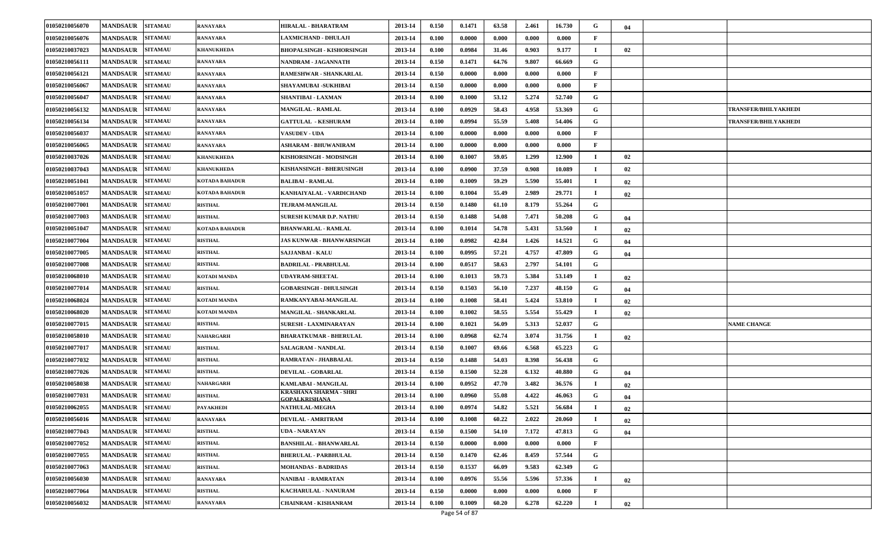| 01050210056070 | <b>MANDSAUR</b> | <b>SITAMAU</b> | <b>RANAYARA</b>       | HIRALAL - BHARATRAM                     | 2013-14 | 0.150 | 0.1471         | 63.58 | 2.461 | 16.730 | G           | 04 |                             |
|----------------|-----------------|----------------|-----------------------|-----------------------------------------|---------|-------|----------------|-------|-------|--------|-------------|----|-----------------------------|
| 01050210056076 | <b>MANDSAUR</b> | <b>SITAMAU</b> | <b>RANAYARA</b>       | <b>LAXMICHAND - DHULAJI</b>             | 2013-14 | 0.100 | 0.0000         | 0.000 | 0.000 | 0.000  | F           |    |                             |
| 01050210037023 | <b>MANDSAUR</b> | <b>SITAMAU</b> | <b>KHANUKHEDA</b>     | <b>BHOPALSINGH - KISHORSINGH</b>        | 2013-14 | 0.100 | 0.0984         | 31.46 | 0.903 | 9.177  | $\bf{I}$    | 02 |                             |
| 01050210056111 | <b>MANDSAUR</b> | <b>SITAMAU</b> | RANAYARA              | NANDRAM - JAGANNATH                     | 2013-14 | 0.150 | 0.1471         | 64.76 | 9.807 | 66.669 | G           |    |                             |
| 01050210056121 | <b>MANDSAUR</b> | <b>SITAMAU</b> | <b>RANAYARA</b>       | RAMESHWAR - SHANKARLAL                  | 2013-14 | 0.150 | 0.0000         | 0.000 | 0.000 | 0.000  | F           |    |                             |
| 01050210056067 | <b>MANDSAUR</b> | <b>SITAMAU</b> | RANAYARA              | SHAYAMUBAI -SUKHIBAI                    | 2013-14 | 0.150 | 0.0000         | 0.000 | 0.000 | 0.000  | F           |    |                             |
| 01050210056047 | <b>MANDSAUR</b> | <b>SITAMAU</b> | <b>RANAYARA</b>       | <b>SHANTIBAI - LAXMAN</b>               | 2013-14 | 0.100 | 0.1000         | 53.12 | 5.274 | 52.740 | G           |    |                             |
| 01050210056132 | <b>MANDSAUR</b> | <b>SITAMAU</b> | RANAYARA              | <b>MANGILAL - RAMLAL</b>                | 2013-14 | 0.100 | 0.0929         | 58.43 | 4.958 | 53.369 | G           |    | <b>TRANSFER/BHILYAKHEDI</b> |
| 01050210056134 | <b>MANDSAUR</b> | <b>SITAMAU</b> | RANAYARA              | <b>GATTULAL - KESHURAM</b>              | 2013-14 | 0.100 | 0.0994         | 55.59 | 5.408 | 54.406 | G           |    | TRANSFER/BHILYAKHEDI        |
| 01050210056037 | <b>MANDSAUR</b> | <b>SITAMAU</b> | RANAYARA              | <b>VASUDEV - UDA</b>                    | 2013-14 | 0.100 | 0.0000         | 0.000 | 0.000 | 0.000  | F           |    |                             |
| 01050210056065 | <b>MANDSAUR</b> | <b>SITAMAU</b> | <b>RANAYARA</b>       | ASHARAM - BHUWANIRAM                    | 2013-14 | 0.100 | 0.0000         | 0.000 | 0.000 | 0.000  | $\mathbf F$ |    |                             |
| 01050210037026 | <b>MANDSAUR</b> | <b>SITAMAU</b> | KHANUKHEDA            | KISHORSINGH - MODSINGH                  | 2013-14 | 0.100 | 0.1007         | 59.05 | 1.299 | 12.900 | $\mathbf I$ | 02 |                             |
| 01050210037043 | <b>MANDSAUR</b> | <b>SITAMAU</b> | <b>KHANUKHEDA</b>     | KISHANSINGH - BHERUSINGH                | 2013-14 | 0.100 | 0.0900         | 37.59 | 0.908 | 10.089 | $\mathbf I$ | 02 |                             |
| 01050210051041 | <b>MANDSAUR</b> | <b>SITAMAU</b> | <b>KOTADA BAHADUR</b> | <b>BALIBAI - RAMLAL</b>                 | 2013-14 | 0.100 | 0.1009         | 59.29 | 5.590 | 55.401 | $\bf{I}$    | 02 |                             |
| 01050210051057 | <b>MANDSAUR</b> | <b>SITAMAU</b> | KOTADA BAHADUR        | KANHAIYALAL - VARDICHAND                | 2013-14 | 0.100 | 0.1004         | 55.49 | 2.989 | 29.771 | $\bf{I}$    | 02 |                             |
| 01050210077001 | <b>MANDSAUR</b> | <b>SITAMAU</b> | <b>RISTHAL</b>        | <b>TEJRAM-MANGILAL</b>                  | 2013-14 | 0.150 | 0.1480         | 61.10 | 8.179 | 55.264 | G           |    |                             |
| 01050210077003 | <b>MANDSAUR</b> | <b>SITAMAU</b> | <b>RISTHAL</b>        | <b>SURESH KUMAR D.P. NATHU</b>          | 2013-14 | 0.150 | 0.1488         | 54.08 | 7.471 | 50.208 | G           | 04 |                             |
| 01050210051047 | <b>MANDSAUR</b> | <b>SITAMAU</b> | KOTADA BAHADUR        | <b>BHANWARLAL - RAMLAL</b>              | 2013-14 | 0.100 | 0.1014         | 54.78 | 5.431 | 53.560 | $\bf{I}$    | 02 |                             |
| 01050210077004 | <b>MANDSAUR</b> | <b>SITAMAU</b> | <b>RISTHAL</b>        | <b>JAS KUNWAR - BHANWARSINGH</b>        | 2013-14 | 0.100 | 0.0982         | 42.84 | 1.426 | 14.521 | G           | 04 |                             |
| 01050210077005 | <b>MANDSAUR</b> | <b>SITAMAU</b> | <b>RISTHAL</b>        | SAJJANBAI - KALU                        | 2013-14 | 0.100 | 0.0995         | 57.21 | 4.757 | 47.809 | G           | 04 |                             |
| 01050210077008 | <b>MANDSAUR</b> | <b>SITAMAU</b> | <b>RISTHAL</b>        | <b>BADRILAL - PRABHULAL</b>             | 2013-14 | 0.100 | 0.0517         | 58.63 | 2.797 | 54.101 | G           |    |                             |
| 01050210068010 | <b>MANDSAUR</b> | <b>SITAMAU</b> | KOTADI MANDA          | <b>UDAYRAM-SHEETAL</b>                  | 2013-14 | 0.100 | 0.1013         | 59.73 | 5.384 | 53.149 | $\bf{I}$    | 02 |                             |
| 01050210077014 | <b>MANDSAUR</b> | <b>SITAMAU</b> | <b>RISTHAL</b>        | <b>GOBARSINGH - DHULSINGH</b>           | 2013-14 | 0.150 | 0.1503         | 56.10 | 7.237 | 48.150 | G           | 04 |                             |
| 01050210068024 | <b>MANDSAUR</b> | <b>SITAMAU</b> | KOTADI MANDA          | RAMKANYABAI-MANGILAL                    | 2013-14 | 0.100 | 0.1008         | 58.41 | 5.424 | 53.810 | -1          | 02 |                             |
| 01050210068020 | <b>MANDSAUR</b> | <b>SITAMAU</b> | KOTADI MANDA          | MANGILAL - SHANKARLAL                   | 2013-14 | 0.100 | 0.1002         | 58.55 | 5.554 | 55.429 | $\bf{I}$    | 02 |                             |
| 01050210077015 | <b>MANDSAUR</b> | <b>SITAMAU</b> | <b>RISTHAL</b>        | SURESH - LAXMINARAYAN                   | 2013-14 | 0.100 | 0.1021         | 56.09 | 5.313 | 52.037 | G           |    | <b>NAME CHANGE</b>          |
| 01050210058010 | <b>MANDSAUR</b> | <b>SITAMAU</b> | NAHARGARH             | <b>BHARATKUMAR - BHERULAL</b>           | 2013-14 | 0.100 | 0.0968         | 62.74 | 3.074 | 31.756 | - 1         | 02 |                             |
| 01050210077017 | <b>MANDSAUR</b> | <b>SITAMAU</b> | <b>RISTHAL</b>        | <b>SALAGRAM - NANDLAL</b>               | 2013-14 | 0.150 | 0.1007         | 69.66 | 6.568 | 65.223 | G           |    |                             |
| 01050210077032 | <b>MANDSAUR</b> | <b>SITAMAU</b> | <b>RISTHAL</b>        | RAMRATAN - JHABBALAL                    | 2013-14 | 0.150 | 0.1488         | 54.03 | 8.398 | 56.438 | G           |    |                             |
| 01050210077026 | <b>MANDSAUR</b> | <b>SITAMAU</b> | <b>RISTHAL</b>        | <b>DEVILAL - GOBARLAL</b>               | 2013-14 | 0.150 | 0.1500         | 52.28 | 6.132 | 40.880 | G           | 04 |                             |
| 01050210058038 | <b>MANDSAUR</b> | <b>SITAMAU</b> | NAHARGARH             | KAMLABAI - MANGILAL                     | 2013-14 | 0.100 | 0.0952         | 47.70 | 3.482 | 36.576 | $\mathbf I$ | 02 |                             |
| 01050210077031 | <b>MANDSAUR</b> | <b>SITAMAU</b> | <b>RISTHAL</b>        | KRASHANA SHARMA - SHRI<br>GOPALKRISHANA | 2013-14 | 0.100 | 0.0960         | 55.08 | 4.422 | 46.063 | G           | 04 |                             |
| 01050210062055 | <b>MANDSAUR</b> | <b>SITAMAU</b> | <b>PAYAKHEDI</b>      | <b>NATHULAL-MEGHA</b>                   | 2013-14 | 0.100 | 0.0974         | 54.82 | 5.521 | 56.684 |             | 02 |                             |
| 01050210056016 | <b>MANDSAUR</b> | <b>SITAMAU</b> | <b>RANAYARA</b>       | <b>DEVILAL - AMRITRAM</b>               | 2013-14 | 0.100 | 0.1008         | 60.22 | 2.022 | 20.060 |             | 02 |                             |
| 01050210077043 | <b>MANDSAUR</b> | <b>SITAMAU</b> | <b>RISTHAL</b>        | UDA - NARAYAN                           | 2013-14 | 0.150 | 0.1500         | 54.10 | 7.172 | 47.813 | G           | 04 |                             |
| 01050210077052 | <b>MANDSAUR</b> | <b>SITAMAU</b> | <b>RISTHAL</b>        | <b>BANSHILAL - BHANWARLAL</b>           | 2013-14 | 0.150 | 0.0000         | 0.000 | 0.000 | 0.000  | F           |    |                             |
| 01050210077055 | <b>MANDSAUR</b> | <b>SITAMAU</b> | <b>RISTHAL</b>        | <b>BHERULAL - PARBHULAL</b>             | 2013-14 | 0.150 | 0.1470         | 62.46 | 8.459 | 57.544 | G           |    |                             |
| 01050210077063 | <b>MANDSAUR</b> | <b>SITAMAU</b> | <b>RISTHAL</b>        | <b>MOHANDAS - BADRIDAS</b>              | 2013-14 | 0.150 | 0.1537         | 66.09 | 9.583 | 62.349 | G           |    |                             |
| 01050210056030 | <b>MANDSAUR</b> | <b>SITAMAU</b> | <b>RANAYARA</b>       | NANIBAI - RAMRATAN                      | 2013-14 | 0.100 | 0.0976         | 55.56 | 5.596 | 57.336 | $\mathbf I$ | 02 |                             |
| 01050210077064 | <b>MANDSAUR</b> | <b>SITAMAU</b> | <b>RISTHAL</b>        | KACHARULAL - NANURAM                    | 2013-14 | 0.150 | 0.0000         | 0.000 | 0.000 | 0.000  | F           |    |                             |
| 01050210056032 | <b>MANDSAUR</b> | <b>SITAMAU</b> | <b>RANAYARA</b>       | <b>CHAINRAM - KISHANRAM</b>             | 2013-14 | 0.100 | 0.1009<br>$-1$ | 60.20 | 6.278 | 62.220 |             | 02 |                             |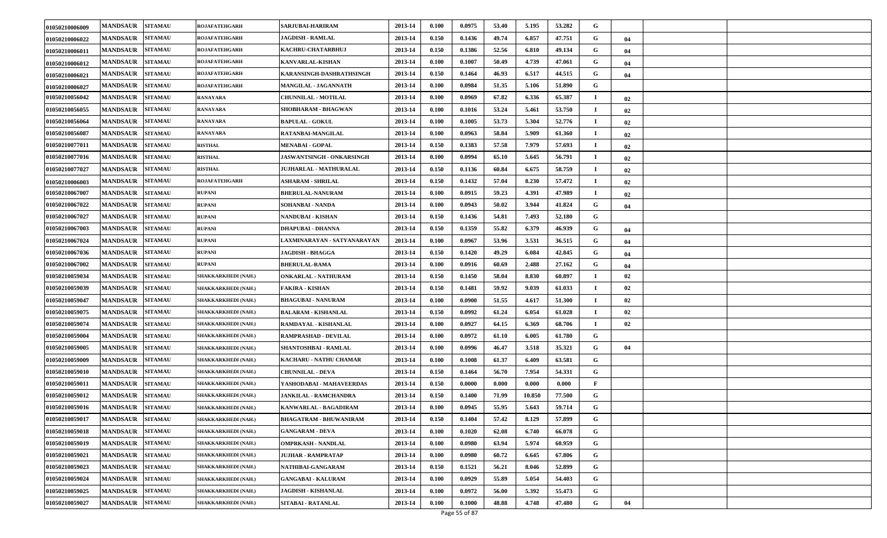| 01050210006009 | <b>MANDSAUR</b> | <b>SITAMAU</b> | <b>ROJAFATEHGARH</b>       | SARJUBAI-HARIRAM                 | 2013-14 | 0.100 | 0.0975 | 53.40 | 5.195  | 53.282 | G        |    |  |
|----------------|-----------------|----------------|----------------------------|----------------------------------|---------|-------|--------|-------|--------|--------|----------|----|--|
| 01050210006022 | <b>MANDSAUR</b> | <b>SITAMAU</b> | <b>ROJAFATEHGARH</b>       | <b>JAGDISH - RAMLAL</b>          | 2013-14 | 0.150 | 0.1436 | 49.74 | 6.857  | 47.751 | G        | 04 |  |
| 01050210006011 | <b>MANDSAUR</b> | <b>SITAMAU</b> | <b>ROJAFATEHGARH</b>       | KACHRU-CHATARBHUJ                | 2013-14 | 0.150 | 0.1386 | 52.56 | 6.810  | 49.134 | G        | 04 |  |
| 01050210006012 | <b>MANDSAUR</b> | <b>SITAMAU</b> | <b>ROJAFATEHGARH</b>       | <b>KANVARLAL-KISHAN</b>          | 2013-14 | 0.100 | 0.1007 | 50.49 | 4.739  | 47.061 | G        | 04 |  |
| 01050210006021 | <b>MANDSAUR</b> | <b>SITAMAU</b> | <b>ROJAFATEHGARH</b>       | KARANSINGH-DASHRATHSINGH         | 2013-14 | 0.150 | 0.1464 | 46.93 | 6.517  | 44.515 | G        | 04 |  |
| 01050210006027 | <b>MANDSAUR</b> | <b>SITAMAU</b> | <b>ROJAFATEHGARH</b>       | MANGILAL - JAGANNATH             | 2013-14 | 0.100 | 0.0984 | 51.35 | 5.106  | 51.890 | G        |    |  |
| 01050210056042 | <b>MANDSAUR</b> | <b>SITAMAU</b> | <b>RANAYARA</b>            | <b>CHUNNILAL - MOTILAL</b>       | 2013-14 | 0.100 | 0.0969 | 67.82 | 6.336  | 65.387 | -1       | 02 |  |
| 01050210056055 | <b>MANDSAUR</b> | <b>SITAMAU</b> | <b>RANAYARA</b>            | SHOBHARAM - BHAGWAN              | 2013-14 | 0.100 | 0.1016 | 53.24 | 5.461  | 53.750 | п.       | 02 |  |
| 01050210056064 | <b>MANDSAUR</b> | <b>SITAMAU</b> | <b>RANAYARA</b>            | <b>BAPULAL - GOKUL</b>           | 2013-14 | 0.100 | 0.1005 | 53.73 | 5.304  | 52.776 | -1       | 02 |  |
| 01050210056087 | <b>MANDSAUR</b> | <b>SITAMAU</b> | <b>RANAYARA</b>            | RATANBAI-MANGILAL                | 2013-14 | 0.100 | 0.0963 | 58.84 | 5.909  | 61.360 | п.       | 02 |  |
| 01050210077011 | <b>MANDSAUR</b> | <b>SITAMAU</b> | <b>RISTHAL</b>             | <b>MENABAI - GOPAL</b>           | 2013-14 | 0.150 | 0.1383 | 57.58 | 7.979  | 57.693 | -1       | 02 |  |
| 01050210077016 | <b>MANDSAUR</b> | <b>SITAMAU</b> | <b>RISTHAL</b>             | <b>JASWANTSINGH - ONKARSINGH</b> | 2013-14 | 0.100 | 0.0994 | 65.10 | 5.645  | 56.791 | -1       | 02 |  |
| 01050210077027 | <b>MANDSAUR</b> | <b>SITAMAU</b> | <b>RISTHAL</b>             | <b>JUJHARLAL - MATHURALAL</b>    | 2013-14 | 0.150 | 0.1136 | 60.84 | 6.675  | 58.759 | -1       | 02 |  |
| 01050210006003 | <b>MANDSAUR</b> | <b>SITAMAU</b> | <b>ROJAFATEHGARH</b>       | ASHARAM - SHRILAL                | 2013-14 | 0.150 | 0.1432 | 57.04 | 8.230  | 57.472 | п.       | 02 |  |
| 01050210067007 | <b>MANDSAUR</b> | <b>SITAMAU</b> | <b>RUPANI</b>              | <b>BHERULAL-NANURAM</b>          | 2013-14 | 0.100 | 0.0915 | 59.23 | 4.391  | 47.989 | -1       | 02 |  |
| 01050210067022 | <b>MANDSAUR</b> | <b>SITAMAU</b> | <b>RUPANI</b>              | SOHANBAI - NANDA                 | 2013-14 | 0.100 | 0.0943 | 50.02 | 3.944  | 41.824 | G        | 04 |  |
| 01050210067027 | <b>MANDSAUR</b> | <b>SITAMAU</b> | <b>RUPANI</b>              | NANDUBAI - KISHAN                | 2013-14 | 0.150 | 0.1436 | 54.81 | 7.493  | 52.180 | G        |    |  |
| 01050210067003 | <b>MANDSAUR</b> | <b>SITAMAU</b> | <b>RUPANI</b>              | DHAPUBAI - DHANNA                | 2013-14 | 0.150 | 0.1359 | 55.82 | 6.379  | 46.939 | G        | 04 |  |
| 01050210067024 | <b>MANDSAUR</b> | <b>SITAMAU</b> | <b>RUPANI</b>              | LAXMINARAYAN - SATYANARAYAN      | 2013-14 | 0.100 | 0.0967 | 53.96 | 3.531  | 36.515 | G        | 04 |  |
| 01050210067036 | <b>MANDSAUR</b> | <b>SITAMAU</b> | <b>RUPANI</b>              | JAGDISH - BHAGGA                 | 2013-14 | 0.150 | 0.1420 | 49.29 | 6.084  | 42.845 | G        | 04 |  |
| 01050210067002 | <b>MANDSAUR</b> | <b>SITAMAU</b> | <b>RUPANI</b>              | <b>BHERULAL-RAMA</b>             | 2013-14 | 0.100 | 0.0916 | 60.69 | 2.488  | 27.162 | G        | 04 |  |
| 01050210059034 | <b>MANDSAUR</b> | <b>SITAMAU</b> | SHAKKARKHEDI (NAH.)        | <b>ONKARLAL - NATHURAM</b>       | 2013-14 | 0.150 | 0.1450 | 58.04 | 8.830  | 60.897 | -1       | 02 |  |
| 01050210059039 | <b>MANDSAUR</b> | <b>SITAMAU</b> | SHAKKARKHEDI (NAH.)        | FAKIRA - KISHAN                  | 2013-14 | 0.150 | 0.1481 | 59.92 | 9.039  | 61.033 | $\bf{I}$ | 02 |  |
| 01050210059047 | <b>MANDSAUR</b> | <b>SITAMAU</b> | SHAKKARKHEDI (NAH.)        | <b>BHAGUBAI - NANURAM</b>        | 2013-14 | 0.100 | 0.0900 | 51.55 | 4.617  | 51.300 | -1       | 02 |  |
| 01050210059075 | <b>MANDSAUR</b> | <b>SITAMAU</b> | SHAKKARKHEDI (NAH.)        | <b>BALARAM - KISHANLAL</b>       | 2013-14 | 0.150 | 0.0992 | 61.24 | 6.054  | 61.028 | п.       | 02 |  |
| 01050210059074 | <b>MANDSAUR</b> | <b>SITAMAU</b> | SHAKKARKHEDI (NAH.)        | RAMDAYAL - KISHANLAL             | 2013-14 | 0.100 | 0.0927 | 64.15 | 6.369  | 68.706 | $\bf{I}$ | 02 |  |
| 01050210059004 | <b>MANDSAUR</b> | <b>SITAMAU</b> | SHAKKARKHEDI (NAH.)        | RAMPRASHAD - DEVILAL             | 2013-14 | 0.100 | 0.0972 | 61.10 | 6.005  | 61.780 | G        |    |  |
| 01050210059005 | <b>MANDSAUR</b> | <b>SITAMAU</b> | SHAKKARKHEDI (NAH.)        | SHANTOSHBAI - RAMLAL             | 2013-14 | 0.100 | 0.0996 | 46.47 | 3.518  | 35.321 | G        | 04 |  |
| 01050210059009 | <b>MANDSAUR</b> | <b>SITAMAU</b> | SHAKKARKHEDI (NAH.)        | KACHARU - NATHU CHAMAR           | 2013-14 | 0.100 | 0.1008 | 61.37 | 6.409  | 63.581 | G        |    |  |
| 01050210059010 | <b>MANDSAUR</b> | <b>SITAMAU</b> | SHAKKARKHEDI (NAH.)        | <b>CHUNNILAL - DEVA</b>          | 2013-14 | 0.150 | 0.1464 | 56.70 | 7.954  | 54.331 | G        |    |  |
| 01050210059011 | <b>MANDSAUR</b> | <b>SITAMAU</b> | SHAKKARKHEDI (NAH.)        | YASHODABAI - MAHAVEERDAS         | 2013-14 | 0.150 | 0.0000 | 0.000 | 0.000  | 0.000  | F        |    |  |
| 01050210059012 | <b>MANDSAUR</b> | <b>SITAMAU</b> | SHAKKARKHEDI (NAH.)        | <b>JANKILAL - RAMCHANDRA</b>     | 2013-14 | 0.150 | 0.1400 | 71.99 | 10.850 | 77.500 | G        |    |  |
| 01050210059016 | <b>MANDSAUR</b> | <b>SITAMAU</b> | SHAKKARKHEDI (NAH.)        | KANWARLAL - BAGADIRAM            | 2013-14 | 0.100 | 0.0945 | 55.95 | 5.643  | 59.714 | G        |    |  |
| 01050210059017 | <b>MANDSAUR</b> | <b>SITAMAU</b> | SHAKKARKHEDI (NAH.)        | <b>BHAGATRAM - BHUWANIRAM</b>    | 2013-14 | 0.150 | 0.1404 | 57.42 | 8.129  | 57.899 | G        |    |  |
| 01050210059018 | <b>MANDSAUR</b> | <b>SITAMAU</b> | SHAKKARKHEDI (NAH.)        | <b>GANGARAM - DEVA</b>           | 2013-14 | 0.100 | 0.1020 | 62.08 | 6.740  | 66.078 | G        |    |  |
| 01050210059019 | <b>MANDSAUR</b> | <b>SITAMAU</b> | SHAKKARKHEDI (NAH.)        | <b>OMPRKASH - NANDLAL</b>        | 2013-14 | 0.100 | 0.0980 | 63.94 | 5.974  | 60.959 | G        |    |  |
| 01050210059021 | <b>MANDSAUR</b> | <b>SITAMAU</b> | SHAKKARKHEDI (NAH.)        | <b>JUJHAR - RAMPRATAP</b>        | 2013-14 | 0.100 | 0.0980 | 60.72 | 6.645  | 67.806 | G        |    |  |
| 01050210059023 | <b>MANDSAUR</b> | <b>SITAMAU</b> | SHAKKARKHEDI (NAH.)        | NATHIBAI-GANGARAM                | 2013-14 | 0.150 | 0.1521 | 56.21 | 8.046  | 52.899 | G        |    |  |
| 01050210059024 | <b>MANDSAUR</b> | <b>SITAMAU</b> | SHAKKARKHEDI (NAH.)        | <b>GANGABAI - KALURAM</b>        | 2013-14 | 0.100 | 0.0929 | 55.89 | 5.054  | 54.403 | G        |    |  |
| 01050210059025 | <b>MANDSAUR</b> | <b>SITAMAU</b> | <b>SHAKKARKHEDI (NAH.)</b> | <b>JAGDISH - KISHANLAL</b>       | 2013-14 | 0.100 | 0.0972 | 56.00 | 5.392  | 55.473 | G        |    |  |
| 01050210059027 | <b>MANDSAUR</b> | <b>SITAMAU</b> | SHAKKARKHEDI (NAH.)        | <b>SITABAI - RATANLAL</b>        | 2013-14 | 0.100 | 0.1000 | 48.88 | 4.748  | 47.480 | G        | 04 |  |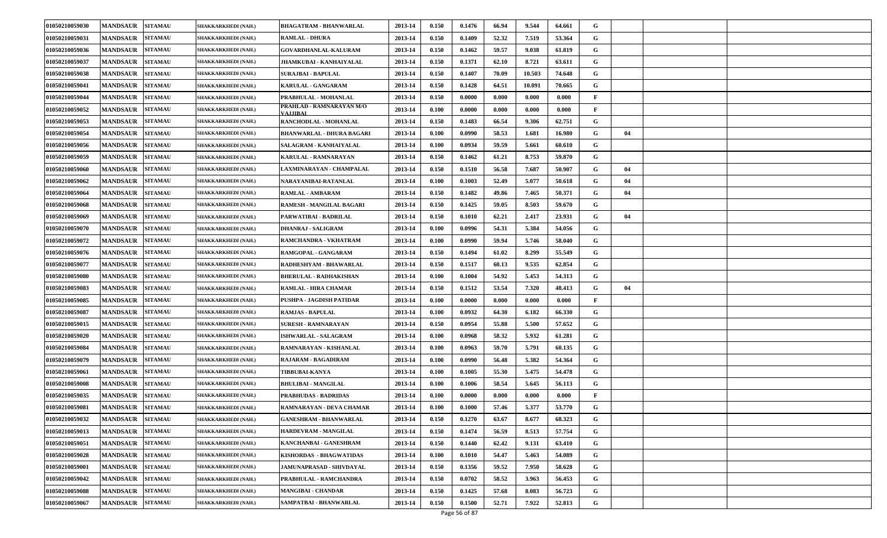| 01050210059030 | <b>MANDSAUR</b> | <b>SITAMAU</b> | SHAKKARKHEDI (NAH.)        | <b>BHAGATRAM - BHANWARLAL</b>        | 2013-14 | 0.150 | 0.1476 | 66.94 | 9.544  | 64.661 | G            |    |  |
|----------------|-----------------|----------------|----------------------------|--------------------------------------|---------|-------|--------|-------|--------|--------|--------------|----|--|
| 01050210059031 | <b>MANDSAUR</b> | <b>SITAMAU</b> | SHAKKARKHEDI (NAH.)        | <b>RAMLAL - DHURA</b>                | 2013-14 | 0.150 | 0.1409 | 52.32 | 7.519  | 53.364 | G            |    |  |
| 01050210059036 | <b>MANDSAUR</b> | <b>SITAMAU</b> | SHAKKARKHEDI (NAH.)        | <b>GOVARDHANLAL-KALURAM</b>          | 2013-14 | 0.150 | 0.1462 | 59.57 | 9.038  | 61.819 | G            |    |  |
| 01050210059037 | <b>MANDSAUR</b> | <b>SITAMAU</b> | SHAKKARKHEDI (NAH.)        | JHAMKUBAI - KANHAIYALAL              | 2013-14 | 0.150 | 0.1371 | 62.10 | 8.721  | 63.611 | G            |    |  |
| 01050210059038 | <b>MANDSAUR</b> | <b>SITAMAU</b> | SHAKKARKHEDI (NAH.)        | <b>SURAJBAI - BAPULAL</b>            | 2013-14 | 0.150 | 0.1407 | 70.09 | 10.503 | 74.648 | G            |    |  |
| 01050210059041 | <b>MANDSAUR</b> | <b>SITAMAU</b> | SHAKKARKHEDI (NAH.)        | <b>KARULAL - GANGARAM</b>            | 2013-14 | 0.150 | 0.1428 | 64.51 | 10.091 | 70.665 | G            |    |  |
| 01050210059044 | <b>MANDSAUR</b> | <b>SITAMAU</b> | SHAKKARKHEDI (NAH.)        | PRABHULAL - MOHANLAL                 | 2013-14 | 0.150 | 0.0000 | 0.000 | 0.000  | 0.000  | $\mathbf F$  |    |  |
| 01050210059052 | <b>MANDSAUR</b> | <b>SITAMAU</b> | SHAKKARKHEDI (NAH.)        | PRAHLAD - RAMNARAYAN M/O<br>VAJJIBAI | 2013-14 | 0.100 | 0.0000 | 0.000 | 0.000  | 0.000  | F            |    |  |
| 01050210059053 | <b>MANDSAUR</b> | <b>SITAMAU</b> | SHAKKARKHEDI (NAH.)        | RANCHODLAL - MOHANLAL                | 2013-14 | 0.150 | 0.1483 | 66.54 | 9.306  | 62.751 | G            |    |  |
| 01050210059054 | <b>MANDSAUR</b> | <b>SITAMAU</b> | SHAKKARKHEDI (NAH.)        | <b>BHANWARLAL - DHURA BAGARI</b>     | 2013-14 | 0.100 | 0.0990 | 58.53 | 1.681  | 16.980 | G            | 04 |  |
| 01050210059056 | <b>MANDSAUR</b> | <b>SITAMAU</b> | SHAKKARKHEDI (NAH.)        | SALAGRAM - KANHAIYALAL               | 2013-14 | 0.100 | 0.0934 | 59.59 | 5.661  | 60.610 | G            |    |  |
| 01050210059059 | <b>MANDSAUR</b> | <b>SITAMAU</b> | SHAKKARKHEDI (NAH.)        | <b>KARULAL - RAMNARAYAN</b>          | 2013-14 | 0.150 | 0.1462 | 61.21 | 8.753  | 59.870 | G            |    |  |
| 01050210059060 | <b>MANDSAUR</b> | <b>SITAMAU</b> | SHAKKARKHEDI (NAH.)        | LAXMINARAYAN - CHAMPALAL             | 2013-14 | 0.150 | 0.1510 | 56.58 | 7.687  | 50.907 | G            | 04 |  |
| 01050210059062 | <b>MANDSAUR</b> | <b>SITAMAU</b> | SHAKKARKHEDI (NAH.)        | NARAYANIBAI-RATANLAL                 | 2013-14 | 0.100 | 0.1003 | 52.49 | 5.077  | 50.618 | G            | 04 |  |
| 01050210059064 | <b>MANDSAUR</b> | <b>SITAMAU</b> | SHAKKARKHEDI (NAH.)        | RAMLAL - AMBARAM                     | 2013-14 | 0.150 | 0.1482 | 49.86 | 7.465  | 50.371 | G            | 04 |  |
| 01050210059068 | <b>MANDSAUR</b> | <b>SITAMAU</b> | SHAKKARKHEDI (NAH.)        | RAMESH - MANGILAL BAGARI             | 2013-14 | 0.150 | 0.1425 | 59.05 | 8.503  | 59.670 | G            |    |  |
| 01050210059069 | <b>MANDSAUR</b> | <b>SITAMAU</b> | SHAKKARKHEDI (NAH.)        | PARWATIBAI - BADRILAL                | 2013-14 | 0.150 | 0.1010 | 62.21 | 2.417  | 23.931 | G            | 04 |  |
| 01050210059070 | <b>MANDSAUR</b> | <b>SITAMAU</b> | SHAKKARKHEDI (NAH.)        | <b>DHANRAJ - SALIGRAM</b>            | 2013-14 | 0.100 | 0.0996 | 54.31 | 5.384  | 54.056 | G            |    |  |
| 01050210059072 | <b>MANDSAUR</b> | <b>SITAMAU</b> | SHAKKARKHEDI (NAH.)        | RAMCHANDRA - VKHATRAM                | 2013-14 | 0.100 | 0.0990 | 59.94 | 5.746  | 58.040 | G            |    |  |
| 01050210059076 | <b>MANDSAUR</b> | <b>SITAMAU</b> | SHAKKARKHEDI (NAH.)        | RAMGOPAL - GANGARAM                  | 2013-14 | 0.150 | 0.1494 | 61.02 | 8.299  | 55.549 | G            |    |  |
| 01050210059077 | <b>MANDSAUR</b> | <b>SITAMAU</b> | SHAKKARKHEDI (NAH.)        | RADHESHYAM - BHAWARLAL               | 2013-14 | 0.150 | 0.1517 | 60.13 | 9.535  | 62.854 | G            |    |  |
| 01050210059080 | <b>MANDSAUR</b> | <b>SITAMAU</b> | SHAKKARKHEDI (NAH.)        | <b>BHERULAL - RADHAKISHAN</b>        | 2013-14 | 0.100 | 0.1004 | 54.92 | 5.453  | 54.313 | G            |    |  |
| 01050210059083 | <b>MANDSAUR</b> | <b>SITAMAU</b> | SHAKKARKHEDI (NAH.)        | RAMLAL - HIRA CHAMAR                 | 2013-14 | 0.150 | 0.1512 | 53.54 | 7.320  | 48.413 | G            | 04 |  |
| 01050210059085 | <b>MANDSAUR</b> | <b>SITAMAU</b> | SHAKKARKHEDI (NAH.)        | PUSHPA - JAGDISH PATIDAR             | 2013-14 | 0.100 | 0.0000 | 0.000 | 0.000  | 0.000  | $\mathbf{F}$ |    |  |
| 01050210059087 | <b>MANDSAUR</b> | <b>SITAMAU</b> | SHAKKARKHEDI (NAH.)        | <b>RAMJAS - BAPULAL</b>              | 2013-14 | 0.100 | 0.0932 | 64.30 | 6.182  | 66.330 | G            |    |  |
| 01050210059015 | <b>MANDSAUR</b> | <b>SITAMAU</b> | SHAKKARKHEDI (NAH.)        | <b>SURESH - RAMNARAYAN</b>           | 2013-14 | 0.150 | 0.0954 | 55.88 | 5.500  | 57.652 | G            |    |  |
| 01050210059020 | <b>MANDSAUR</b> | <b>SITAMAU</b> | SHAKKARKHEDI (NAH.)        | ISHWARLAL - SALAGRAM                 | 2013-14 | 0.100 | 0.0968 | 58.32 | 5.932  | 61.281 | G            |    |  |
| 01050210059084 | <b>MANDSAUR</b> | <b>SITAMAU</b> | SHAKKARKHEDI (NAH.)        | RAMNARAYAN - KISHANLAL               | 2013-14 | 0.100 | 0.0963 | 59.70 | 5.791  | 60.135 | G            |    |  |
| 01050210059079 | <b>MANDSAUR</b> | <b>SITAMAU</b> | SHAKKARKHEDI (NAH.)        | RAJARAM - BAGADIRAM                  | 2013-14 | 0.100 | 0.0990 | 56.48 | 5.382  | 54.364 | G            |    |  |
| 01050210059061 | <b>MANDSAUR</b> | <b>SITAMAU</b> | SHAKKARKHEDI (NAH.)        | <b>TIBBUBAI-KANYA</b>                | 2013-14 | 0.100 | 0.1005 | 55.30 | 5.475  | 54.478 | G            |    |  |
| 01050210059008 | <b>MANDSAUR</b> | <b>SITAMAU</b> | SHAKKARKHEDI (NAH.)        | <b>BHULIBAI - MANGILAL</b>           | 2013-14 | 0.100 | 0.1006 | 58.54 | 5.645  | 56.113 | G            |    |  |
| 01050210059035 | <b>MANDSAUR</b> | <b>SITAMAU</b> | SHAKKARKHEDI (NAH.)        | PRABHUDAS - BADRIDAS                 | 2013-14 | 0.100 | 0.0000 | 0.000 | 0.000  | 0.000  | F            |    |  |
| 01050210059081 | <b>MANDSAUR</b> | <b>SITAMAU</b> | SHAKKARKHEDI (NAH.)        | RAMNARAYAN - DEVA CHAMAR             | 2013-14 | 0.100 | 0.1000 | 57.46 | 5.377  | 53.770 | G            |    |  |
| 01050210059032 | <b>MANDSAUR</b> | <b>SITAMAU</b> | SHAKKARKHEDI (NAH.)        | <b>GANESHRAM - BHANWARLAL</b>        | 2013-14 | 0.150 | 0.1270 | 63.67 | 8.677  | 68.323 | G            |    |  |
| 01050210059013 | <b>MANDSAUR</b> | <b>SITAMAU</b> | SHAKKARKHEDI (NAH.)        | HARDEVRAM - MANGILAL                 | 2013-14 | 0.150 | 0.1474 | 56.59 | 8.513  | 57.754 | G            |    |  |
| 01050210059051 | <b>MANDSAUR</b> | <b>SITAMAU</b> | SHAKKARKHEDI (NAH.)        | KANCHANBAI - GANESHRAM               | 2013-14 | 0.150 | 0.1440 | 62.42 | 9.131  | 63.410 | G            |    |  |
| 01050210059028 | <b>MANDSAUR</b> | <b>SITAMAU</b> | <b>SHAKKARKHEDI (NAH.)</b> | KISHORDAS - BHAGWATIDAS              | 2013-14 | 0.100 | 0.1010 | 54.47 | 5.463  | 54.089 | G            |    |  |
| 01050210059001 | <b>MANDSAUR</b> | <b>SITAMAU</b> | SHAKKARKHEDI (NAH.)        | JAMUNAPRASAD - SHIVDAYAL             | 2013-14 | 0.150 | 0.1356 | 59.52 | 7.950  | 58.628 | G            |    |  |
| 01050210059042 | <b>MANDSAUR</b> | <b>SITAMAU</b> | SHAKKARKHEDI (NAH.)        | PRABHULAL - RAMCHANDRA               | 2013-14 | 0.150 | 0.0702 | 58.52 | 3.963  | 56.453 | G            |    |  |
| 01050210059088 | <b>MANDSAUR</b> | <b>SITAMAU</b> | <b>SHAKKARKHEDI (NAH.)</b> | <b>MANGIBAI - CHANDAR</b>            | 2013-14 | 0.150 | 0.1425 | 57.68 | 8.083  | 56.723 | G            |    |  |
| 01050210059067 | <b>MANDSAUR</b> | <b>SITAMAU</b> | SHAKKARKHEDI (NAH.)        | SAMPATBAI - BHANWARLAL               | 2013-14 | 0.150 | 0.1500 | 52.71 | 7.922  | 52.813 | G            |    |  |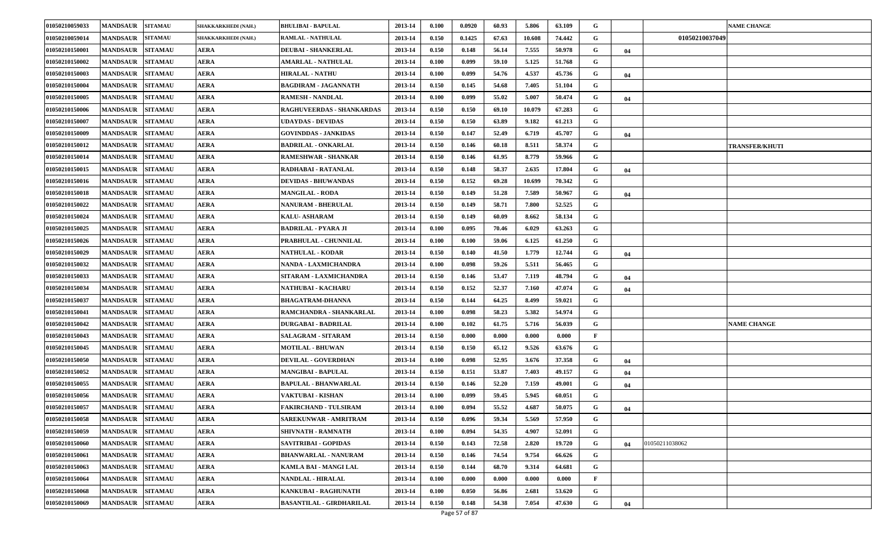| 01050210059033 | <b>MANDSAUR</b><br><b>SITAMAU</b> | SHAKKARKHEDI (NAH.) | <b>BHULIBAI - BAPULAL</b>        | 2013-14 | 0.100 | 0.0920               | 60.93 | 5.806  | 63.109 | G            |    |                | <b>NAME CHANGE</b>    |
|----------------|-----------------------------------|---------------------|----------------------------------|---------|-------|----------------------|-------|--------|--------|--------------|----|----------------|-----------------------|
| 01050210059014 | <b>MANDSAUR</b><br><b>SITAMAU</b> | SHAKKARKHEDI (NAH.) | RAMLAL - NATHULAL                | 2013-14 | 0.150 | 0.1425               | 67.63 | 10.608 | 74.442 | G            |    | 01050210037049 |                       |
| 01050210150001 | <b>MANDSAUR</b><br><b>SITAMAU</b> | <b>AERA</b>         | <b>DEUBAI - SHANKERLAL</b>       | 2013-14 | 0.150 | 0.148                | 56.14 | 7.555  | 50.978 | G            | 04 |                |                       |
| 01050210150002 | <b>MANDSAUR</b><br><b>SITAMAU</b> | AERA                | <b>AMARLAL - NATHULAL</b>        | 2013-14 | 0.100 | 0.099                | 59.10 | 5.125  | 51.768 | G            |    |                |                       |
| 01050210150003 | <b>MANDSAUR</b><br><b>SITAMAU</b> | AERA                | <b>HIRALAL - NATHU</b>           | 2013-14 | 0.100 | 0.099                | 54.76 | 4.537  | 45.736 | G            | 04 |                |                       |
| 01050210150004 | <b>MANDSAUR</b><br><b>SITAMAU</b> | <b>AERA</b>         | <b>BAGDIRAM - JAGANNATH</b>      | 2013-14 | 0.150 | 0.145                | 54.68 | 7.405  | 51.104 | G            |    |                |                       |
| 01050210150005 | <b>MANDSAUR</b><br><b>SITAMAU</b> | <b>AERA</b>         | <b>RAMESH - NANDLAL</b>          | 2013-14 | 0.100 | 0.099                | 55.02 | 5.007  | 50.474 | G            | 04 |                |                       |
| 01050210150006 | <b>MANDSAUR</b><br><b>SITAMAU</b> | AERA                | <b>RAGHUVEERDAS - SHANKARDAS</b> | 2013-14 | 0.150 | 0.150                | 69.10 | 10.079 | 67.283 | G            |    |                |                       |
| 01050210150007 | <b>MANDSAUR</b><br><b>SITAMAU</b> | <b>AERA</b>         | <b>UDAYDAS - DEVIDAS</b>         | 2013-14 | 0.150 | 0.150                | 63.89 | 9.182  | 61.213 | G            |    |                |                       |
| 01050210150009 | <b>MANDSAUR</b><br><b>SITAMAU</b> | <b>AERA</b>         | <b>GOVINDDAS - JANKIDAS</b>      | 2013-14 | 0.150 | 0.147                | 52.49 | 6.719  | 45.707 | G            | 04 |                |                       |
| 01050210150012 | <b>MANDSAUR</b><br><b>SITAMAU</b> | <b>AERA</b>         | <b>BADRILAL - ONKARLAL</b>       | 2013-14 | 0.150 | 0.146                | 60.18 | 8.511  | 58.374 | G            |    |                | <b>TRANSFER/KHUTI</b> |
| 01050210150014 | <b>MANDSAUR</b><br><b>SITAMAU</b> | <b>AERA</b>         | <b>RAMESHWAR - SHANKAR</b>       | 2013-14 | 0.150 | 0.146                | 61.95 | 8.779  | 59.966 | G            |    |                |                       |
| 01050210150015 | <b>MANDSAUR</b><br><b>SITAMAU</b> | <b>AERA</b>         | RADHABAI - RATANLAL              | 2013-14 | 0.150 | 0.148                | 58.37 | 2.635  | 17.804 | G            | 04 |                |                       |
| 01050210150016 | <b>MANDSAUR</b><br><b>SITAMAU</b> | <b>AERA</b>         | <b>DEVIDAS - BHUWANDAS</b>       | 2013-14 | 0.150 | 0.152                | 69.28 | 10.699 | 70.342 | G            |    |                |                       |
| 01050210150018 | <b>MANDSAUR</b><br><b>SITAMAU</b> | <b>AERA</b>         | <b>MANGILAL - RODA</b>           | 2013-14 | 0.150 | 0.149                | 51.28 | 7.589  | 50.967 | G            | 04 |                |                       |
| 01050210150022 | <b>MANDSAUR</b><br><b>SITAMAU</b> | AERA                | <b>NANURAM - BHERULAL</b>        | 2013-14 | 0.150 | 0.149                | 58.71 | 7.800  | 52.525 | G            |    |                |                       |
| 01050210150024 | <b>MANDSAUR</b><br><b>SITAMAU</b> | AERA                | <b>KALU- ASHARAM</b>             | 2013-14 | 0.150 | 0.149                | 60.09 | 8.662  | 58.134 | G            |    |                |                       |
| 01050210150025 | <b>MANDSAUR</b><br><b>SITAMAU</b> | <b>AERA</b>         | <b>BADRILAL - PYARA JI</b>       | 2013-14 | 0.100 | 0.095                | 70.46 | 6.029  | 63.263 | G            |    |                |                       |
| 01050210150026 | <b>MANDSAUR</b><br><b>SITAMAU</b> | AERA                | PRABHULAL - CHUNNILAL            | 2013-14 | 0.100 | 0.100                | 59.06 | 6.125  | 61.250 | G            |    |                |                       |
| 01050210150029 | <b>MANDSAUR</b><br><b>SITAMAU</b> | AERA                | <b>NATHULAL - KODAR</b>          | 2013-14 | 0.150 | 0.140                | 41.50 | 1.779  | 12.744 | G            | 04 |                |                       |
| 01050210150032 | <b>MANDSAUR</b><br><b>SITAMAU</b> | AERA                | NANDA - LAXMICHANDRA             | 2013-14 | 0.100 | 0.098                | 59.26 | 5.511  | 56.465 | G            |    |                |                       |
| 01050210150033 | <b>MANDSAUR</b><br><b>SITAMAU</b> | <b>AERA</b>         | SITARAM - LAXMICHANDRA           | 2013-14 | 0.150 | 0.146                | 53.47 | 7.119  | 48.794 | G            | 04 |                |                       |
| 01050210150034 | <b>MANDSAUR</b><br><b>SITAMAU</b> | AERA                | NATHUBAI - KACHARU               | 2013-14 | 0.150 | 0.152                | 52.37 | 7.160  | 47.074 | G            | 04 |                |                       |
| 01050210150037 | <b>MANDSAUR</b><br><b>SITAMAU</b> | AERA                | <b>BHAGATRAM-DHANNA</b>          | 2013-14 | 0.150 | 0.144                | 64.25 | 8.499  | 59.021 | G            |    |                |                       |
| 01050210150041 | <b>MANDSAUR</b><br><b>SITAMAU</b> | AERA                | RAMCHANDRA - SHANKARLAL          | 2013-14 | 0.100 | 0.098                | 58.23 | 5.382  | 54.974 | G            |    |                |                       |
| 01050210150042 | <b>MANDSAUR</b><br><b>SITAMAU</b> | <b>AERA</b>         | <b>DURGABAI - BADRILAL</b>       | 2013-14 | 0.100 | 0.102                | 61.75 | 5.716  | 56.039 | G            |    |                | <b>NAME CHANGE</b>    |
| 01050210150043 | <b>MANDSAUR</b><br><b>SITAMAU</b> | AERA                | <b>SALAGRAM - SITARAM</b>        | 2013-14 | 0.150 | 0.000                | 0.000 | 0.000  | 0.000  | F            |    |                |                       |
| 01050210150045 | <b>MANDSAUR</b><br><b>SITAMAU</b> | AERA                | <b>MOTILAL - BHUWAN</b>          | 2013-14 | 0.150 | 0.150                | 65.12 | 9.526  | 63.676 | G            |    |                |                       |
| 01050210150050 | <b>MANDSAUR</b><br><b>SITAMAU</b> | <b>AERA</b>         | <b>DEVILAL - GOVERDHAN</b>       | 2013-14 | 0.100 | 0.098                | 52.95 | 3.676  | 37.358 | G            | 04 |                |                       |
| 01050210150052 | <b>MANDSAUR</b><br><b>SITAMAU</b> | <b>AERA</b>         | <b>MANGIBAI - BAPULAL</b>        | 2013-14 | 0.150 | 0.151                | 53.87 | 7.403  | 49.157 | G            | 04 |                |                       |
| 01050210150055 | <b>MANDSAUR</b><br><b>SITAMAU</b> | <b>AERA</b>         | <b>BAPULAL - BHANWARLAL</b>      | 2013-14 | 0.150 | 0.146                | 52.20 | 7.159  | 49.001 | G            | 04 |                |                       |
| 01050210150056 | <b>MANDSAUR</b><br><b>SITAMAU</b> | AERA                | VAKTUBAI - KISHAN                | 2013-14 | 0.100 | 0.099                | 59.45 | 5.945  | 60.051 | G            |    |                |                       |
| 01050210150057 | <b>MANDSAUR</b><br><b>SITAMAU</b> | <b>AERA</b>         | <b>FAKIRCHAND - TULSIRAM</b>     | 2013-14 | 0.100 | 0.094                | 55.52 | 4.687  | 50.075 | G            | 04 |                |                       |
| 01050210150058 | MANDSAUR SITAMAU                  | <b>AERA</b>         | <b>SAREKUNWAR - AMRITRAM</b>     | 2013-14 | 0.150 | 0.096                | 59.34 | 5.569  | 57.950 | G            |    |                |                       |
| 01050210150059 | <b>MANDSAUR</b><br><b>SITAMAU</b> | <b>AERA</b>         | SHIVNATH - RAMNATH               | 2013-14 | 0.100 | 0.094                | 54.35 | 4.907  | 52.091 | G            |    |                |                       |
| 01050210150060 | <b>MANDSAUR</b><br><b>SITAMAU</b> | <b>AERA</b>         | SAVITRIBAI - GOPIDAS             | 2013-14 | 0.150 | 0.143                | 72.58 | 2.820  | 19.720 | G            | 04 | 01050211038062 |                       |
| 01050210150061 | <b>MANDSAUR</b><br><b>SITAMAU</b> | <b>AERA</b>         | <b>BHANWARLAL - NANURAM</b>      | 2013-14 | 0.150 | 0.146                | 74.54 | 9.754  | 66.626 | G            |    |                |                       |
| 01050210150063 | <b>MANDSAUR</b><br><b>SITAMAU</b> | <b>AERA</b>         | KAMLA BAI - MANGI LAL            | 2013-14 | 0.150 | 0.144                | 68.70 | 9.314  | 64.681 | G            |    |                |                       |
| 01050210150064 | <b>SITAMAU</b><br><b>MANDSAUR</b> | <b>AERA</b>         | NANDLAL - HIRALAL                | 2013-14 | 0.100 | 0.000                | 0.000 | 0.000  | 0.000  | $\mathbf{F}$ |    |                |                       |
| 01050210150068 | <b>MANDSAUR</b><br><b>SITAMAU</b> | <b>AERA</b>         | KANKUBAI - RAGHUNATH             | 2013-14 | 0.100 | 0.050                | 56.86 | 2.681  | 53.620 | G            |    |                |                       |
| 01050210150069 | <b>MANDSAUR</b><br><b>SITAMAU</b> | <b>AERA</b>         | <b>BASANTILAL - GIRDHARILAL</b>  | 2013-14 | 0.150 | 0.148<br>$-77 - 607$ | 54.38 | 7.054  | 47.630 | G            | 04 |                |                       |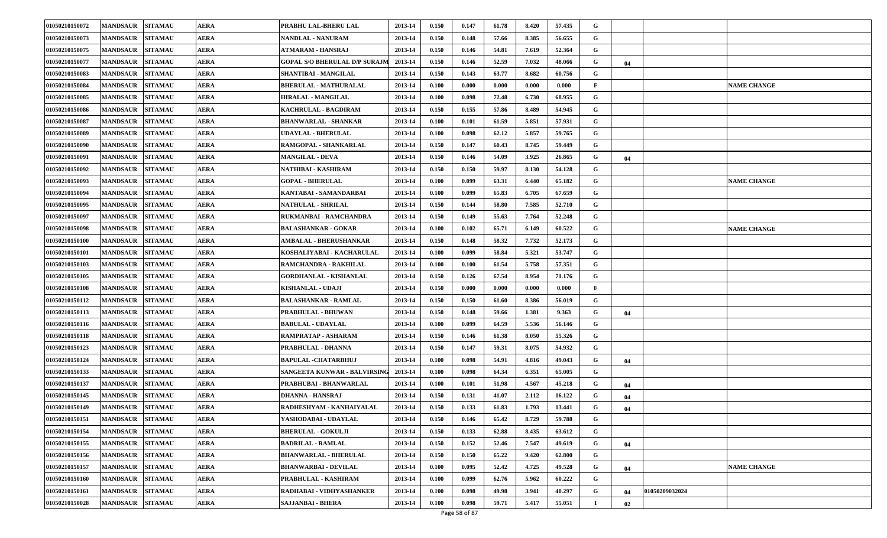| 01050210150072 | <b>MANDSAUR</b>  | <b>SITAMAU</b> | <b>AERA</b> | PRABHU LAL-BHERU LAL                 | 2013-14 | 0.150 | 0.147 | 61.78 | 8.420 | 57.435 | G |     |                |                    |
|----------------|------------------|----------------|-------------|--------------------------------------|---------|-------|-------|-------|-------|--------|---|-----|----------------|--------------------|
| 01050210150073 | <b>MANDSAUR</b>  | <b>SITAMAU</b> | <b>AERA</b> | <b>NANDLAL - NANURAM</b>             | 2013-14 | 0.150 | 0.148 | 57.66 | 8.385 | 56.655 | G |     |                |                    |
| 01050210150075 | <b>MANDSAUR</b>  | <b>SITAMAU</b> | <b>AERA</b> | ATMARAM - HANSRAJ                    | 2013-14 | 0.150 | 0.146 | 54.81 | 7.619 | 52.364 | G |     |                |                    |
| 01050210150077 | <b>MANDSAUR</b>  | <b>SITAMAU</b> | <b>AERA</b> | <b>GOPAL S/O BHERULAL D/P SURAJM</b> | 2013-14 | 0.150 | 0.146 | 52.59 | 7.032 | 48.066 | G | 04  |                |                    |
| 01050210150083 | <b>MANDSAUR</b>  | <b>SITAMAU</b> | <b>AERA</b> | SHANTIBAI - MANGILAL                 | 2013-14 | 0.150 | 0.143 | 63.77 | 8.682 | 60.756 | G |     |                |                    |
| 01050210150084 | <b>MANDSAUR</b>  | <b>SITAMAU</b> | AERA        | <b>BHERULAL - MATHURALAL</b>         | 2013-14 | 0.100 | 0.000 | 0.000 | 0.000 | 0.000  | F |     |                | <b>NAME CHANGE</b> |
| 01050210150085 | <b>MANDSAUR</b>  | <b>SITAMAU</b> | <b>AERA</b> | <b>HIRALAL - MANGILAL</b>            | 2013-14 | 0.100 | 0.098 | 72.48 | 6.730 | 68.955 | G |     |                |                    |
| 01050210150086 | <b>MANDSAUR</b>  | <b>SITAMAU</b> | AERA        | <b>KACHRULAL - BAGDIRAM</b>          | 2013-14 | 0.150 | 0.155 | 57.86 | 8.489 | 54.945 | G |     |                |                    |
| 01050210150087 | <b>MANDSAUR</b>  | <b>SITAMAU</b> | AERA        | <b>BHANWARLAL - SHANKAR</b>          | 2013-14 | 0.100 | 0.101 | 61.59 | 5.851 | 57.931 | G |     |                |                    |
| 01050210150089 | <b>MANDSAUR</b>  | <b>SITAMAU</b> | AERA        | UDAYLAL - BHERULAL                   | 2013-14 | 0.100 | 0.098 | 62.12 | 5.857 | 59.765 | G |     |                |                    |
| 01050210150090 | <b>MANDSAUR</b>  | <b>SITAMAU</b> | AERA        | RAMGOPAL - SHANKARLAL                | 2013-14 | 0.150 | 0.147 | 60.43 | 8.745 | 59.449 | G |     |                |                    |
| 01050210150091 | <b>MANDSAUR</b>  | <b>SITAMAU</b> | AERA        | <b>MANGILAL - DEVA</b>               | 2013-14 | 0.150 | 0.146 | 54.09 | 3.925 | 26.865 | G | 04  |                |                    |
| 01050210150092 | <b>MANDSAUR</b>  | <b>SITAMAU</b> | AERA        | NATHIBAI - KASHIRAM                  | 2013-14 | 0.150 | 0.150 | 59.97 | 8.130 | 54.128 | G |     |                |                    |
| 01050210150093 | <b>MANDSAUR</b>  | <b>SITAMAU</b> | AERA        | <b>GOPAL - BHERULAL</b>              | 2013-14 | 0.100 | 0.099 | 63.31 | 6.440 | 65.182 | G |     |                | <b>NAME CHANGE</b> |
| 01050210150094 | <b>MANDSAUR</b>  | <b>SITAMAU</b> | AERA        | KANTABAI - SAMANDARBAI               | 2013-14 | 0.100 | 0.099 | 65.83 | 6.705 | 67.659 | G |     |                |                    |
| 01050210150095 | <b>MANDSAUR</b>  | <b>SITAMAU</b> | AERA        | <b>NATHULAL - SHRILAL</b>            | 2013-14 | 0.150 | 0.144 | 58.80 | 7.585 | 52.710 | G |     |                |                    |
| 01050210150097 | <b>MANDSAUR</b>  | <b>SITAMAU</b> | AERA        | RUKMANBAI - RAMCHANDRA               | 2013-14 | 0.150 | 0.149 | 55.63 | 7.764 | 52.248 | G |     |                |                    |
| 01050210150098 | <b>MANDSAUR</b>  | <b>SITAMAU</b> | AERA        | <b>BALASHANKAR - GOKAR</b>           | 2013-14 | 0.100 | 0.102 | 65.71 | 6.149 | 60.522 | G |     |                | <b>NAME CHANGE</b> |
| 01050210150100 | <b>MANDSAUR</b>  | <b>SITAMAU</b> | AERA        | AMBALAL - BHERUSHANKAR               | 2013-14 | 0.150 | 0.148 | 58.32 | 7.732 | 52.173 | G |     |                |                    |
| 01050210150101 | <b>MANDSAUR</b>  | <b>SITAMAU</b> | AERA        | KOSHALIYABAI - KACHARULAL            | 2013-14 | 0.100 | 0.099 | 58.84 | 5.321 | 53.747 | G |     |                |                    |
| 01050210150103 | <b>MANDSAUR</b>  | <b>SITAMAU</b> | AERA        | RAMCHANDRA - RAKHILAL                | 2013-14 | 0.100 | 0.100 | 61.54 | 5.758 | 57.351 | G |     |                |                    |
| 01050210150105 | <b>MANDSAUR</b>  | <b>SITAMAU</b> | AERA        | <b>GORDHANLAL - KISHANLAL</b>        | 2013-14 | 0.150 | 0.126 | 67.54 | 8.954 | 71.176 | G |     |                |                    |
| 01050210150108 | <b>MANDSAUR</b>  | <b>SITAMAU</b> | AERA        | KISHANLAL - UDAJI                    | 2013-14 | 0.150 | 0.000 | 0.000 | 0.000 | 0.000  | F |     |                |                    |
| 01050210150112 | <b>MANDSAUR</b>  | <b>SITAMAU</b> | <b>AERA</b> | <b>BALASHANKAR - RAMLAL</b>          | 2013-14 | 0.150 | 0.150 | 61.60 | 8.386 | 56.019 | G |     |                |                    |
| 01050210150113 | <b>MANDSAUR</b>  | <b>SITAMAU</b> | <b>AERA</b> | PRABHULAL - BHUWAN                   | 2013-14 | 0.150 | 0.148 | 59.66 | 1.381 | 9.363  | G | 04  |                |                    |
| 01050210150116 | <b>MANDSAUR</b>  | <b>SITAMAU</b> | <b>AERA</b> | <b>BABULAL - UDAYLAL</b>             | 2013-14 | 0.100 | 0.099 | 64.59 | 5.536 | 56.146 | G |     |                |                    |
| 01050210150118 | <b>MANDSAUR</b>  | <b>SITAMAU</b> | <b>AERA</b> | RAMPRATAP - ASHARAM                  | 2013-14 | 0.150 | 0.146 | 61.38 | 8.050 | 55.326 | G |     |                |                    |
| 01050210150123 | <b>MANDSAUR</b>  | <b>SITAMAU</b> | <b>AERA</b> | PRABHULAL - DHANNA                   | 2013-14 | 0.150 | 0.147 | 59.31 | 8.075 | 54.932 | G |     |                |                    |
| 01050210150124 | <b>MANDSAUR</b>  | <b>SITAMAU</b> | AERA        | <b>BAPULAL -CHATARBHUJ</b>           | 2013-14 | 0.100 | 0.098 | 54.91 | 4.816 | 49.043 | G | 04  |                |                    |
| 01050210150133 | <b>MANDSAUR</b>  | <b>SITAMAU</b> | <b>AERA</b> | SANGEETA KUNWAR - BALVIRSING         | 2013-14 | 0.100 | 0.098 | 64.34 | 6.351 | 65.005 | G |     |                |                    |
| 01050210150137 | <b>MANDSAUR</b>  | <b>SITAMAU</b> | AERA        | PRABHUBAI - BHANWARLAL               | 2013-14 | 0.100 | 0.101 | 51.98 | 4.567 | 45.218 | G | 04  |                |                    |
| 01050210150145 | <b>MANDSAUR</b>  | <b>SITAMAU</b> | AERA        | <b>DHANNA - HANSRAJ</b>              | 2013-14 | 0.150 | 0.131 | 41.07 | 2.112 | 16.122 | G | 04  |                |                    |
| 01050210150149 | <b>MANDSAUR</b>  | <b>SITAMAU</b> | AERA        | RADHESHYAM - KANHAIYALAL             | 2013-14 | 0.150 | 0.133 | 61.83 | 1.793 | 13.441 | G | -04 |                |                    |
| 01050210150151 | MANDSAUR SITAMAU |                | AERA        | YASHODABAI - UDAYLAL                 | 2013-14 | 0.150 | 0.146 | 65.42 | 8.729 | 59.788 | G |     |                |                    |
| 01050210150154 | <b>MANDSAUR</b>  | <b>SITAMAU</b> | AERA        | <b>BHERULAL - GOKULJI</b>            | 2013-14 | 0.150 | 0.133 | 62.88 | 8.435 | 63.612 | G |     |                |                    |
| 01050210150155 | <b>MANDSAUR</b>  | <b>SITAMAU</b> | AERA        | <b>BADRILAL - RAMLAL</b>             | 2013-14 | 0.150 | 0.152 | 52.46 | 7.547 | 49.619 | G | 04  |                |                    |
| 01050210150156 | <b>MANDSAUR</b>  | <b>SITAMAU</b> | AERA        | <b>BHANWARLAL - BHERULAL</b>         | 2013-14 | 0.150 | 0.150 | 65.22 | 9.420 | 62.800 | G |     |                |                    |
| 01050210150157 | <b>MANDSAUR</b>  | <b>SITAMAU</b> | AERA        | <b>BHANWARBAI - DEVILAL</b>          | 2013-14 | 0.100 | 0.095 | 52.42 | 4.725 | 49.528 | G | 04  |                | <b>NAME CHANGE</b> |
| 01050210150160 | <b>MANDSAUR</b>  | <b>SITAMAU</b> | AERA        | PRABHULAL - KASHIRAM                 | 2013-14 | 0.100 | 0.099 | 62.76 | 5.962 | 60.222 | G |     |                |                    |
| 01050210150161 | <b>MANDSAUR</b>  | <b>SITAMAU</b> | AERA        | RADHABAI - VIDHYASHANKER             | 2013-14 | 0.100 | 0.098 | 49.98 | 3.941 | 40.297 | G | -04 | 01050209032024 |                    |
| 01050210150028 | <b>MANDSAUR</b>  | <b>SITAMAU</b> | AERA        | <b>SAJJANBAI - BHERA</b>             | 2013-14 | 0.100 | 0.098 | 59.71 | 5.417 | 55.051 |   | 02  |                |                    |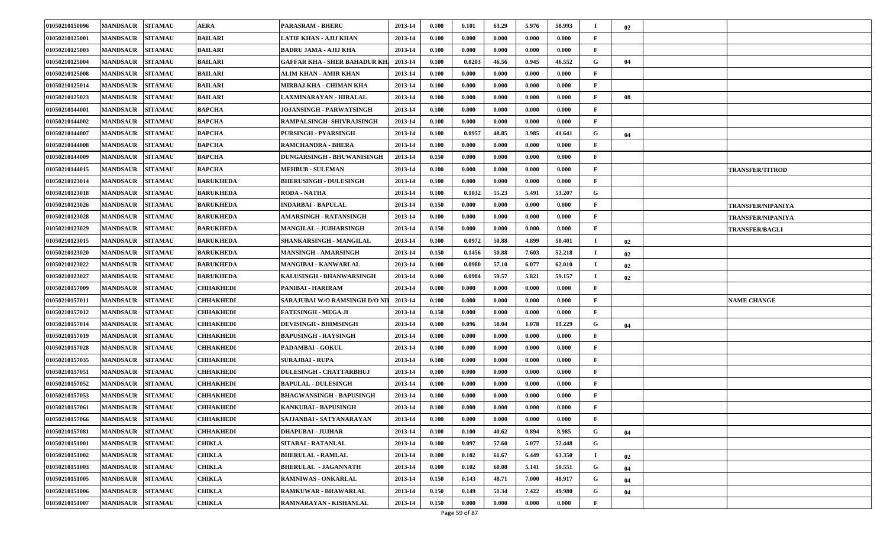| 01050210150096 | <b>MANDSAUR</b>  | <b>SITAMAU</b> | <b>AERA</b>      | PARASRAM - BHERU               | 2013-14 | 0.100 | 0.101                       | 63.29 | 5.976 | 58.993 |          | 02 |                        |
|----------------|------------------|----------------|------------------|--------------------------------|---------|-------|-----------------------------|-------|-------|--------|----------|----|------------------------|
| 01050210125001 | <b>MANDSAUR</b>  | <b>SITAMAU</b> | <b>BAILARI</b>   | LATIF KHAN - AJIJ KHAN         | 2013-14 | 0.100 | 0.000                       | 0.000 | 0.000 | 0.000  | F        |    |                        |
| 01050210125003 | <b>MANDSAUR</b>  | <b>SITAMAU</b> | <b>BAILARI</b>   | <b>BADRU JAMA - AJIJ KHA</b>   | 2013-14 | 0.100 | 0.000                       | 0.000 | 0.000 | 0.000  | F        |    |                        |
| 01050210125004 | <b>MANDSAUR</b>  | <b>SITAMAU</b> | <b>BAILARI</b>   | GAFFAR KHA - SHER BAHADUR KH.  | 2013-14 | 0.100 | 0.0203                      | 46.56 | 0.945 | 46.552 | G        | 04 |                        |
| 01050210125008 | <b>MANDSAUR</b>  | <b>SITAMAU</b> | <b>BAILARI</b>   | ALIM KHAN - AMIR KHAN          | 2013-14 | 0.100 | 0.000                       | 0.000 | 0.000 | 0.000  | F        |    |                        |
| 01050210125014 | <b>MANDSAUR</b>  | <b>SITAMAU</b> | <b>BAILARI</b>   | MIRBAJ KHA - CHIMAN KHA        | 2013-14 | 0.100 | 0.000                       | 0.000 | 0.000 | 0.000  | F        |    |                        |
| 01050210125023 | <b>MANDSAUR</b>  | <b>SITAMAU</b> | <b>BAILARI</b>   | LAXMINARAYAN - HIRALAL         | 2013-14 | 0.100 | 0.000                       | 0.000 | 0.000 | 0.000  | F        | 08 |                        |
| 01050210144001 | <b>MANDSAUR</b>  | <b>SITAMAU</b> | <b>BAPCHA</b>    | JOJANSINGH - PARWATSINGH       | 2013-14 | 0.100 | 0.000                       | 0.000 | 0.000 | 0.000  | F        |    |                        |
| 01050210144002 | <b>MANDSAUR</b>  | <b>SITAMAU</b> | <b>BAPCHA</b>    | RAMPALSINGH- SHIVRAJSINGH      | 2013-14 | 0.100 | 0.000                       | 0.000 | 0.000 | 0.000  | F        |    |                        |
| 01050210144007 | <b>MANDSAUR</b>  | <b>SITAMAU</b> | <b>BAPCHA</b>    | <b>PURSINGH - PYARSINGH</b>    | 2013-14 | 0.100 | 0.0957                      | 48.85 | 3.985 | 41.641 | G        | 04 |                        |
| 01050210144008 | <b>MANDSAUR</b>  | <b>SITAMAU</b> | <b>BAPCHA</b>    | RAMCHANDRA - BHERA             | 2013-14 | 0.100 | 0.000                       | 0.000 | 0.000 | 0.000  | F        |    |                        |
| 01050210144009 | <b>MANDSAUR</b>  | <b>SITAMAU</b> | <b>BAPCHA</b>    | DUNGARSINGH - BHUWANISINGH     | 2013-14 | 0.150 | 0.000                       | 0.000 | 0.000 | 0.000  | F        |    |                        |
| 01050210144015 | <b>MANDSAUR</b>  | <b>SITAMAU</b> | <b>BAPCHA</b>    | <b>MEHBUB - SULEMAN</b>        | 2013-14 | 0.100 | 0.000                       | 0.000 | 0.000 | 0.000  | F        |    | <b>TRANSFER/TITROD</b> |
| 01050210123014 | <b>MANDSAUR</b>  | <b>SITAMAU</b> | <b>BARUKHEDA</b> | <b>BHERUSINGH - DULESINGH</b>  | 2013-14 | 0.100 | 0.000                       | 0.000 | 0.000 | 0.000  | F        |    |                        |
| 01050210123018 | <b>MANDSAUR</b>  | <b>SITAMAU</b> | <b>BARUKHEDA</b> | <b>RODA - NATHA</b>            | 2013-14 | 0.100 | 0.1032                      | 55.23 | 5.491 | 53.207 | G        |    |                        |
| 01050210123026 | <b>MANDSAUR</b>  | <b>SITAMAU</b> | <b>BARUKHEDA</b> | INDARBAI - BAPULAL             | 2013-14 | 0.150 | 0.000                       | 0.000 | 0.000 | 0.000  | F        |    | TRANSFER/NIPANIYA      |
| 01050210123028 | <b>MANDSAUR</b>  | <b>SITAMAU</b> | <b>BARUKHEDA</b> | AMARSINGH - RATANSINGH         | 2013-14 | 0.100 | 0.000                       | 0.000 | 0.000 | 0.000  | F        |    | TRANSFER/NIPANIYA      |
| 01050210123029 | <b>MANDSAUR</b>  | <b>SITAMAU</b> | <b>BARUKHEDA</b> | <b>MANGILAL - JUJHARSINGH</b>  | 2013-14 | 0.150 | 0.000                       | 0.000 | 0.000 | 0.000  | F        |    | <b>TRANSFER/BAGLI</b>  |
| 01050210123015 | <b>MANDSAUR</b>  | <b>SITAMAU</b> | <b>BARUKHEDA</b> | SHANKARSINGH - MANGILAL        | 2013-14 | 0.100 | 0.0972                      | 50.88 | 4.899 | 50.401 |          | 02 |                        |
| 01050210123020 | <b>MANDSAUR</b>  | <b>SITAMAU</b> | <b>BARUKHEDA</b> | MANSINGH - AMARSINGH           | 2013-14 | 0.150 | 0.1456                      | 50.88 | 7.603 | 52.218 | $\bf{I}$ | 02 |                        |
| 01050210123022 | <b>MANDSAUR</b>  | <b>SITAMAU</b> | <b>BARUKHEDA</b> | MANGIBAI - KANWARLAL           | 2013-14 | 0.100 | 0.0980                      | 57.10 | 6.077 | 62.010 | $\bf{I}$ | 02 |                        |
| 01050210123027 | <b>MANDSAUR</b>  | <b>SITAMAU</b> | <b>BARUKHEDA</b> | KALUSINGH - BHANWARSINGH       | 2013-14 | 0.100 | 0.0984                      | 59.57 | 5.821 | 59.157 | <b>I</b> | 02 |                        |
| 01050210157009 | <b>MANDSAUR</b>  | <b>SITAMAU</b> | CHHAKHEDI        | PANIBAI - HARIRAM              | 2013-14 | 0.100 | 0.000                       | 0.000 | 0.000 | 0.000  | F        |    |                        |
| 01050210157011 | <b>MANDSAUR</b>  | <b>SITAMAU</b> | CHHAKHEDI        | SARAJUBAI W/O RAMSINGH D/O NII | 2013-14 | 0.100 | 0.000                       | 0.000 | 0.000 | 0.000  | F        |    | <b>NAME CHANGE</b>     |
| 01050210157012 | <b>MANDSAUR</b>  | <b>SITAMAU</b> | CHHAKHEDI        | FATESINGH - MEGA JI            | 2013-14 | 0.150 | 0.000                       | 0.000 | 0.000 | 0.000  | F        |    |                        |
| 01050210157014 | <b>MANDSAUR</b>  | <b>SITAMAU</b> | CHHAKHEDI        | <b>DEVISINGH - BHIMSINGH</b>   | 2013-14 | 0.100 | 0.096                       | 58.04 | 1.078 | 11.229 | G        | 04 |                        |
| 01050210157019 | <b>MANDSAUR</b>  | <b>SITAMAU</b> | CHHAKHEDI        | <b>BAPUSINGH - RAYSINGH</b>    | 2013-14 | 0.100 | 0.000                       | 0.000 | 0.000 | 0.000  | F        |    |                        |
| 01050210157028 | <b>MANDSAUR</b>  | <b>SITAMAU</b> | CHHAKHEDI        | PADAMBAI - GOKUL               | 2013-14 | 0.100 | 0.000                       | 0.000 | 0.000 | 0.000  | F        |    |                        |
| 01050210157035 | <b>MANDSAUR</b>  | <b>SITAMAU</b> | CHHAKHEDI        | <b>SURAJBAI - RUPA</b>         | 2013-14 | 0.100 | 0.000                       | 0.000 | 0.000 | 0.000  | F        |    |                        |
| 01050210157051 | <b>MANDSAUR</b>  | <b>SITAMAU</b> | CHHAKHEDI        | <b>DULESINGH - CHATTARBHUJ</b> | 2013-14 | 0.100 | 0.000                       | 0.000 | 0.000 | 0.000  |          |    |                        |
| 01050210157052 | <b>MANDSAUR</b>  | <b>SITAMAU</b> | CHHAKHEDI        | <b>BAPULAL - DULESINGH</b>     | 2013-14 | 0.100 | 0.000                       | 0.000 | 0.000 | 0.000  | F        |    |                        |
| 01050210157053 | <b>MANDSAUR</b>  | <b>SITAMAU</b> | CHHAKHEDI        | BHAGWANSINGH - BAPUSINGH       | 2013-14 | 0.100 | 0.000                       | 0.000 | 0.000 | 0.000  |          |    |                        |
| 01050210157061 | MANDSAUR SITAMAU |                | CHHAKHEDI        | <b>KANKUBAI - BAPUSINGH</b>    | 2013-14 | 0.100 | 0.000                       | 0.000 | 0.000 | 0.000  | F        |    |                        |
| 01050210157066 | MANDSAUR SITAMAU |                | CHHAKHEDI        | SAJJANBAI - SATYANARAYAN       | 2013-14 | 0.100 | 0.000                       | 0.000 | 0.000 | 0.000  | F        |    |                        |
| 01050210157081 | <b>MANDSAUR</b>  | <b>SITAMAU</b> | CHHAKHEDI        | DHAPUBAI - JUJHAR              | 2013-14 | 0.100 | 0.100                       | 40.62 | 0.894 | 8.985  | G        | 04 |                        |
| 01050210151001 | <b>MANDSAUR</b>  | <b>SITAMAU</b> | CHIKLA           | SITABAI - RATANLAL             | 2013-14 | 0.100 | 0.097                       | 57.60 | 5.077 | 52.448 | G        |    |                        |
| 01050210151002 | <b>MANDSAUR</b>  | <b>SITAMAU</b> | CHIKLA           | <b>BHERULAL - RAMLAL</b>       | 2013-14 | 0.100 | 0.102                       | 61.67 | 6.449 | 63.350 | -1       | 02 |                        |
| 01050210151003 | <b>MANDSAUR</b>  | <b>SITAMAU</b> | CHIKLA           | <b>BHERULAL - JAGANNATH</b>    | 2013-14 | 0.100 | 0.102                       | 60.08 | 5.141 | 50.551 | G        | 04 |                        |
| 01050210151005 | <b>MANDSAUR</b>  | <b>SITAMAU</b> | CHIKLA           | <b>RAMNIWAS - ONKARLAL</b>     | 2013-14 | 0.150 | 0.143                       | 48.71 | 7.000 | 48.917 | G        | 04 |                        |
| 01050210151006 | <b>MANDSAUR</b>  | <b>SITAMAU</b> | CHIKLA           | RAMKUWAR - BHAWARLAL           | 2013-14 | 0.150 | 0.149                       | 51.34 | 7.422 | 49.980 | G        | 04 |                        |
| 01050210151007 | <b>MANDSAUR</b>  | <b>SITAMAU</b> | CHIKLA           | RAMNARAYAN - KISHANLAL         | 2013-14 | 0.150 | 0.000<br>$D = -5.50 - 5.07$ | 0.000 | 0.000 | 0.000  | F        |    |                        |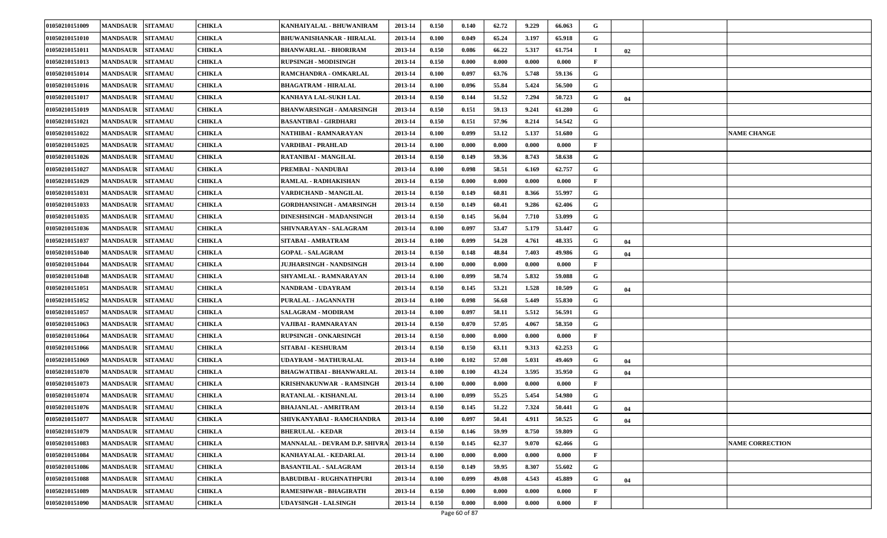| 01050210151009 | <b>MANDSAUR</b><br><b>SITAMAU</b> | <b>CHIKLA</b> | KANHAIYALAL - BHUWANIRAM             | 2013-14 | 0.150 | 0.140 | 62.72 | 9.229 | 66.063 | G            |    |                        |
|----------------|-----------------------------------|---------------|--------------------------------------|---------|-------|-------|-------|-------|--------|--------------|----|------------------------|
| 01050210151010 | <b>MANDSAUR</b><br><b>SITAMAU</b> | <b>CHIKLA</b> | BHUWANISHANKAR - HIRALAL             | 2013-14 | 0.100 | 0.049 | 65.24 | 3.197 | 65.918 | G            |    |                        |
| 01050210151011 | <b>MANDSAUR</b><br><b>SITAMAU</b> | <b>CHIKLA</b> | <b>BHANWARLAL - BHORIRAM</b>         | 2013-14 | 0.150 | 0.086 | 66.22 | 5.317 | 61.754 | -1           | 02 |                        |
| 01050210151013 | <b>MANDSAUR</b><br><b>SITAMAU</b> | <b>CHIKLA</b> | <b>RUPSINGH - MODISINGH</b>          | 2013-14 | 0.150 | 0.000 | 0.000 | 0.000 | 0.000  | F            |    |                        |
| 01050210151014 | <b>MANDSAUR</b><br><b>SITAMAU</b> | <b>CHIKLA</b> | RAMCHANDRA - OMKARLAL                | 2013-14 | 0.100 | 0.097 | 63.76 | 5.748 | 59.136 | G            |    |                        |
| 01050210151016 | <b>MANDSAUR</b><br><b>SITAMAU</b> | <b>CHIKLA</b> | <b>BHAGATRAM - HIRALAL</b>           | 2013-14 | 0.100 | 0.096 | 55.84 | 5.424 | 56.500 | G            |    |                        |
| 01050210151017 | <b>SITAMAU</b><br><b>MANDSAUR</b> | <b>CHIKLA</b> | KANHAYA LAL-SUKH LAL                 | 2013-14 | 0.150 | 0.144 | 51.52 | 7.294 | 50.723 | G            | 04 |                        |
| 01050210151019 | <b>MANDSAUR</b><br><b>SITAMAU</b> | <b>CHIKLA</b> | BHANWARSINGH - AMARSINGH             | 2013-14 | 0.150 | 0.151 | 59.13 | 9.241 | 61.280 | G            |    |                        |
| 01050210151021 | <b>MANDSAUR</b><br><b>SITAMAU</b> | <b>CHIKLA</b> | <b>BASANTIBAI - GIRDHARI</b>         | 2013-14 | 0.150 | 0.151 | 57.96 | 8.214 | 54.542 | G            |    |                        |
| 01050210151022 | <b>MANDSAUR</b><br><b>SITAMAU</b> | <b>CHIKLA</b> | NATHIBAI - RAMNARAYAN                | 2013-14 | 0.100 | 0.099 | 53.12 | 5.137 | 51.680 | G            |    | <b>NAME CHANGE</b>     |
| 01050210151025 | <b>MANDSAUR</b><br><b>SITAMAU</b> | <b>CHIKLA</b> | VARDIBAI - PRAHLAD                   | 2013-14 | 0.100 | 0.000 | 0.000 | 0.000 | 0.000  | F            |    |                        |
| 01050210151026 | <b>MANDSAUR</b><br><b>SITAMAU</b> | <b>CHIKLA</b> | RATANIBAI - MANGILAL                 | 2013-14 | 0.150 | 0.149 | 59.36 | 8.743 | 58.638 | G            |    |                        |
| 01050210151027 | <b>MANDSAUR</b><br><b>SITAMAU</b> | <b>CHIKLA</b> | PREMBAI - NANDUBAI                   | 2013-14 | 0.100 | 0.098 | 58.51 | 6.169 | 62.757 | G            |    |                        |
| 01050210151029 | <b>MANDSAUR</b><br><b>SITAMAU</b> | <b>CHIKLA</b> | RAMLAL - RADHAKISHAN                 | 2013-14 | 0.150 | 0.000 | 0.000 | 0.000 | 0.000  | F            |    |                        |
| 01050210151031 | <b>MANDSAUR</b><br><b>SITAMAU</b> | <b>CHIKLA</b> | VARDICHAND - MANGILAL                | 2013-14 | 0.150 | 0.149 | 60.81 | 8.366 | 55.997 | G            |    |                        |
| 01050210151033 | <b>MANDSAUR</b><br><b>SITAMAU</b> | <b>CHIKLA</b> | GORDHANSINGH - AMARSINGH             | 2013-14 | 0.150 | 0.149 | 60.41 | 9.286 | 62.406 | G            |    |                        |
| 01050210151035 | <b>MANDSAUR</b><br><b>SITAMAU</b> | <b>CHIKLA</b> | DINESHSINGH - MADANSINGH             | 2013-14 | 0.150 | 0.145 | 56.04 | 7.710 | 53.099 | G            |    |                        |
| 01050210151036 | <b>MANDSAUR</b><br><b>SITAMAU</b> | <b>CHIKLA</b> | SHIVNARAYAN - SALAGRAM               | 2013-14 | 0.100 | 0.097 | 53.47 | 5.179 | 53.447 | G            |    |                        |
| 01050210151037 | <b>MANDSAUR</b><br><b>SITAMAU</b> | <b>CHIKLA</b> | SITABAI - AMRATRAM                   | 2013-14 | 0.100 | 0.099 | 54.28 | 4.761 | 48.335 | G            | 04 |                        |
| 01050210151040 | <b>MANDSAUR</b><br><b>SITAMAU</b> | <b>CHIKLA</b> | <b>GOPAL - SALAGRAM</b>              | 2013-14 | 0.150 | 0.148 | 48.84 | 7.403 | 49.986 | G            | 04 |                        |
| 01050210151044 | <b>MANDSAUR</b><br><b>SITAMAU</b> | <b>CHIKLA</b> | <b>JUJHARSINGH - NANDSINGH</b>       | 2013-14 | 0.100 | 0.000 | 0.000 | 0.000 | 0.000  | F            |    |                        |
| 01050210151048 | <b>MANDSAUR</b><br><b>SITAMAU</b> | <b>CHIKLA</b> | SHYAMLAL - RAMNARAYAN                | 2013-14 | 0.100 | 0.099 | 58.74 | 5.832 | 59.088 | G            |    |                        |
| 01050210151051 | <b>MANDSAUR</b><br><b>SITAMAU</b> | <b>CHIKLA</b> | NANDRAM - UDAYRAM                    | 2013-14 | 0.150 | 0.145 | 53.21 | 1.528 | 10.509 | G            | 04 |                        |
| 01050210151052 | <b>MANDSAUR</b><br><b>SITAMAU</b> | <b>CHIKLA</b> | PURALAL - JAGANNATH                  | 2013-14 | 0.100 | 0.098 | 56.68 | 5.449 | 55.830 | G            |    |                        |
| 01050210151057 | <b>MANDSAUR</b><br><b>SITAMAU</b> | <b>CHIKLA</b> | <b>SALAGRAM - MODIRAM</b>            | 2013-14 | 0.100 | 0.097 | 58.11 | 5.512 | 56.591 | G            |    |                        |
| 01050210151063 | <b>MANDSAUR</b><br><b>SITAMAU</b> | <b>CHIKLA</b> | VAJIBAI - RAMNARAYAN                 | 2013-14 | 0.150 | 0.070 | 57.05 | 4.067 | 58.350 | G            |    |                        |
| 01050210151064 | <b>MANDSAUR</b><br><b>SITAMAU</b> | <b>CHIKLA</b> | <b>RUPSINGH - ONKARSINGH</b>         | 2013-14 | 0.150 | 0.000 | 0.000 | 0.000 | 0.000  | F            |    |                        |
| 01050210151066 | <b>MANDSAUR</b><br><b>SITAMAU</b> | <b>CHIKLA</b> | SITABAI - KESHURAM                   | 2013-14 | 0.150 | 0.150 | 63.11 | 9.313 | 62.253 | G            |    |                        |
| 01050210151069 | <b>MANDSAUR</b><br><b>SITAMAU</b> | <b>CHIKLA</b> | UDAYRAM - MATHURALAL                 | 2013-14 | 0.100 | 0.102 | 57.08 | 5.031 | 49.469 | G            | 04 |                        |
| 01050210151070 | <b>MANDSAUR</b><br><b>SITAMAU</b> | <b>CHIKLA</b> | <b>BHAGWATIBAI - BHANWARLAL</b>      | 2013-14 | 0.100 | 0.100 | 43.24 | 3.595 | 35.950 | G            | 04 |                        |
| 01050210151073 | <b>MANDSAUR</b><br><b>SITAMAU</b> | <b>CHIKLA</b> | <b>KRISHNAKUNWAR - RAMSINGH</b>      | 2013-14 | 0.100 | 0.000 | 0.000 | 0.000 | 0.000  | F            |    |                        |
| 01050210151074 | <b>MANDSAUR</b><br><b>SITAMAU</b> | <b>CHIKLA</b> | RATANLAL - KISHANLAL                 | 2013-14 | 0.100 | 0.099 | 55.25 | 5.454 | 54.980 | G            |    |                        |
| 01050210151076 | <b>SITAMAU</b><br><b>MANDSAUR</b> | <b>CHIKLA</b> | BHAJANLAL - AMRITRAM                 | 2013-14 | 0.150 | 0.145 | 51.22 | 7.324 | 50.441 | G            | 04 |                        |
| 01050210151077 | MANDSAUR SITAMAU                  | <b>CHIKLA</b> | SHIVKANYABAI - RAMCHANDRA            | 2013-14 | 0.100 | 0.097 | 50.41 | 4.911 | 50.525 | G            | 04 |                        |
| 01050210151079 | MANDSAUR SITAMAU                  | <b>CHIKLA</b> | <b>BHERULAL - KEDAR</b>              | 2013-14 | 0.150 | 0.146 | 59.99 | 8.750 | 59.809 | G            |    |                        |
| 01050210151083 | MANDSAUR SITAMAU                  | <b>CHIKLA</b> | <b>MANNALAL - DEVRAM D.P. SHIVRA</b> | 2013-14 | 0.150 | 0.145 | 62.37 | 9.070 | 62.466 | G            |    | <b>NAME CORRECTION</b> |
| 01050210151084 | <b>MANDSAUR</b><br><b>SITAMAU</b> | <b>CHIKLA</b> | KANHAYALAL - KEDARLAL                | 2013-14 | 0.100 | 0.000 | 0.000 | 0.000 | 0.000  | F            |    |                        |
| 01050210151086 | MANDSAUR SITAMAU                  | <b>CHIKLA</b> | <b>BASANTILAL - SALAGRAM</b>         | 2013-14 | 0.150 | 0.149 | 59.95 | 8.307 | 55.602 | G            |    |                        |
| 01050210151088 | <b>MANDSAUR</b><br><b>SITAMAU</b> | <b>CHIKLA</b> | <b>BABUDIBAI - RUGHNATHPURI</b>      | 2013-14 | 0.100 | 0.099 | 49.08 | 4.543 | 45.889 | G            | 04 |                        |
| 01050210151089 | <b>MANDSAUR</b><br><b>SITAMAU</b> | <b>CHIKLA</b> | RAMESHWAR - BHAGIRATH                | 2013-14 | 0.150 | 0.000 | 0.000 | 0.000 | 0.000  | F            |    |                        |
| 01050210151090 | <b>MANDSAUR</b><br><b>SITAMAU</b> | <b>CHIKLA</b> | UDAYSINGH - LALSINGH                 | 2013-14 | 0.150 | 0.000 | 0.000 | 0.000 | 0.000  | $\mathbf{F}$ |    |                        |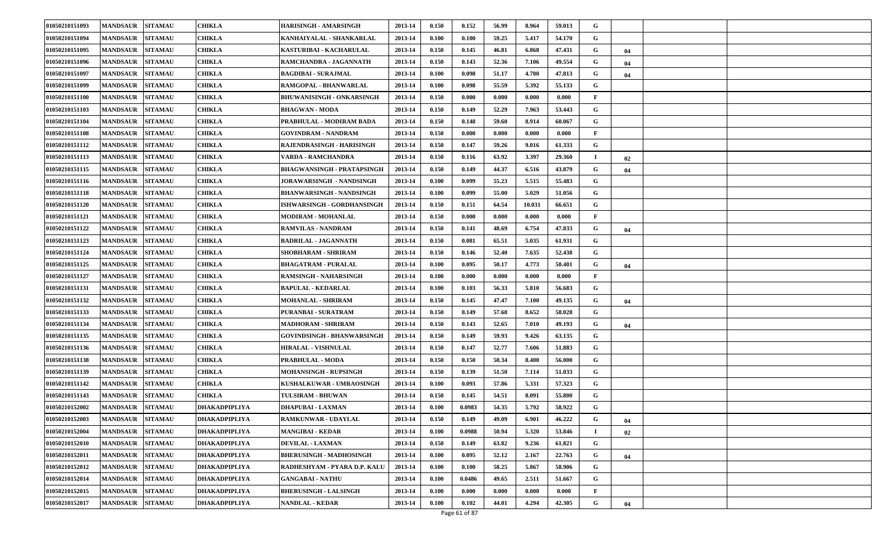| 01050210151093 | <b>MANDSAUR</b>  | <b>SITAMAU</b> | <b>CHIKLA</b>        | HARISINGH - AMARSINGH            | 2013-14 | 0.150 | 0.152  | 56.99 | 8.964  | 59.013 | G |    |  |
|----------------|------------------|----------------|----------------------|----------------------------------|---------|-------|--------|-------|--------|--------|---|----|--|
| 01050210151094 | <b>MANDSAUR</b>  | <b>SITAMAU</b> | CHIKLA               | KANHAIYALAL - SHANKARLAL         | 2013-14 | 0.100 | 0.100  | 59.25 | 5.417  | 54.170 | G |    |  |
| 01050210151095 | <b>MANDSAUR</b>  | <b>SITAMAU</b> | <b>CHIKLA</b>        | KASTURIBAI - KACHARULAL          | 2013-14 | 0.150 | 0.145  | 46.81 | 6.868  | 47.431 | G | 04 |  |
| 01050210151096 | <b>MANDSAUR</b>  | <b>SITAMAU</b> | CHIKLA               | RAMCHANDRA - JAGANNATH           | 2013-14 | 0.150 | 0.143  | 52.36 | 7.106  | 49.554 | G | 04 |  |
| 01050210151097 | <b>MANDSAUR</b>  | <b>SITAMAU</b> | CHIKLA               | <b>BAGDIBAI - SURAJMAL</b>       | 2013-14 | 0.100 | 0.098  | 51.17 | 4.700  | 47.813 | G | 04 |  |
| 01050210151099 | <b>MANDSAUR</b>  | <b>SITAMAU</b> | CHIKLA               | RAMGOPAL - BHANWARLAL            | 2013-14 | 0.100 | 0.098  | 55.59 | 5.392  | 55.133 | G |    |  |
| 01050210151100 | <b>MANDSAUR</b>  | <b>SITAMAU</b> | <b>CHIKLA</b>        | <b>BHUWANISINGH - ONKARSINGH</b> | 2013-14 | 0.150 | 0.000  | 0.000 | 0.000  | 0.000  | F |    |  |
| 01050210151103 | <b>MANDSAUR</b>  | <b>SITAMAU</b> | CHIKLA               | <b>BHAGWAN - MODA</b>            | 2013-14 | 0.150 | 0.149  | 52.29 | 7.963  | 53.443 | G |    |  |
| 01050210151104 | <b>MANDSAUR</b>  | <b>SITAMAU</b> | CHIKLA               | PRABHULAL - MODIRAM BADA         | 2013-14 | 0.150 | 0.148  | 59.60 | 8.914  | 60.067 | G |    |  |
| 01050210151108 | <b>MANDSAUR</b>  | <b>SITAMAU</b> | CHIKLA               | <b>GOVINDRAM - NANDRAM</b>       | 2013-14 | 0.150 | 0.000  | 0.000 | 0.000  | 0.000  | F |    |  |
| 01050210151112 | <b>MANDSAUR</b>  | <b>SITAMAU</b> | CHIKLA               | RAJENDRASINGH - HARISINGH        | 2013-14 | 0.150 | 0.147  | 59.26 | 9.016  | 61.333 | G |    |  |
| 01050210151113 | <b>MANDSAUR</b>  | <b>SITAMAU</b> | CHIKLA               | VARDA - RAMCHANDRA               | 2013-14 | 0.150 | 0.116  | 63.92 | 3.397  | 29.360 |   | 02 |  |
| 01050210151115 | <b>MANDSAUR</b>  | <b>SITAMAU</b> | CHIKLA               | BHAGWANSINGH - PRATAPSINGH       | 2013-14 | 0.150 | 0.149  | 44.37 | 6.516  | 43.879 | G | 04 |  |
| 01050210151116 | <b>MANDSAUR</b>  | <b>SITAMAU</b> | CHIKLA               | JORAWARSINGH - NANDSINGH         | 2013-14 | 0.100 | 0.099  | 55.23 | 5.515  | 55.483 | G |    |  |
| 01050210151118 | <b>MANDSAUR</b>  | <b>SITAMAU</b> | CHIKLA               | <b>BHANWARSINGH - NANDSINGH</b>  | 2013-14 | 0.100 | 0.099  | 55.00 | 5.029  | 51.056 | G |    |  |
| 01050210151120 | <b>MANDSAUR</b>  | <b>SITAMAU</b> | CHIKLA               | ISHWARSINGH - GORDHANSINGH       | 2013-14 | 0.150 | 0.151  | 64.54 | 10.031 | 66.651 | G |    |  |
| 01050210151121 | <b>MANDSAUR</b>  | <b>SITAMAU</b> | CHIKLA               | <b>MODIRAM - MOHANLAL</b>        | 2013-14 | 0.150 | 0.000  | 0.000 | 0.000  | 0.000  | F |    |  |
| 01050210151122 | <b>MANDSAUR</b>  | <b>SITAMAU</b> | CHIKLA               | <b>RAMVILAS - NANDRAM</b>        | 2013-14 | 0.150 | 0.141  | 48.69 | 6.754  | 47.833 | G | 04 |  |
| 01050210151123 | <b>MANDSAUR</b>  | <b>SITAMAU</b> | CHIKLA               | <b>BADRILAL - JAGANNATH</b>      | 2013-14 | 0.150 | 0.081  | 65.51 | 5.035  | 61.931 | G |    |  |
| 01050210151124 | <b>MANDSAUR</b>  | <b>SITAMAU</b> | CHIKLA               | SHOBHARAM - SHRIRAM              | 2013-14 | 0.150 | 0.146  | 52.40 | 7.635  | 52.438 | G |    |  |
| 01050210151125 | <b>MANDSAUR</b>  | <b>SITAMAU</b> | CHIKLA               | <b>BHAGATRAM - PURALAL</b>       | 2013-14 | 0.100 | 0.095  | 50.17 | 4.773  | 50.401 | G | 04 |  |
| 01050210151127 | <b>MANDSAUR</b>  | <b>SITAMAU</b> | CHIKLA               | <b>RAMSINGH - NAHARSINGH</b>     | 2013-14 | 0.100 | 0.000  | 0.000 | 0.000  | 0.000  | F |    |  |
| 01050210151131 | <b>MANDSAUR</b>  | <b>SITAMAU</b> | CHIKLA               | <b>BAPULAL - KEDARLAL</b>        | 2013-14 | 0.100 | 0.103  | 56.33 | 5.810  | 56.683 | G |    |  |
| 01050210151132 | <b>MANDSAUR</b>  | <b>SITAMAU</b> | CHIKLA               | <b>MOHANLAL - SHRIRAM</b>        | 2013-14 | 0.150 | 0.145  | 47.47 | 7.100  | 49.135 | G | 04 |  |
| 01050210151133 | <b>MANDSAUR</b>  | <b>SITAMAU</b> | CHIKLA               | PURANBAI - SURATRAM              | 2013-14 | 0.150 | 0.149  | 57.68 | 8.652  | 58.028 | G |    |  |
| 01050210151134 | <b>MANDSAUR</b>  | <b>SITAMAU</b> | <b>CHIKLA</b>        | <b>MADHORAM - SHRIRAM</b>        | 2013-14 | 0.150 | 0.143  | 52.65 | 7.010  | 49.193 | G | 04 |  |
| 01050210151135 | <b>MANDSAUR</b>  | <b>SITAMAU</b> | CHIKLA               | GOVINDSINGH - BHANWARSINGH       | 2013-14 | 0.150 | 0.149  | 59.93 | 9.426  | 63.135 | G |    |  |
| 01050210151136 | <b>MANDSAUR</b>  | <b>SITAMAU</b> | CHIKLA               | HIRALAL - VISHNULAL              | 2013-14 | 0.150 | 0.147  | 52.77 | 7.606  | 51.883 | G |    |  |
| 01050210151138 | <b>MANDSAUR</b>  | <b>SITAMAU</b> | CHIKLA               | PRABHULAL - MODA                 | 2013-14 | 0.150 | 0.150  | 50.34 | 8.400  | 56.000 | G |    |  |
| 01050210151139 | <b>MANDSAUR</b>  | <b>SITAMAU</b> | CHIKLA               | <b>MOHANSINGH - RUPSINGH</b>     | 2013-14 | 0.150 | 0.139  | 51.50 | 7.114  | 51.033 | G |    |  |
| 01050210151142 | <b>MANDSAUR</b>  | <b>SITAMAU</b> | CHIKLA               | KUSHALKUWAR - UMRAOSINGH         | 2013-14 | 0.100 | 0.093  | 57.86 | 5.331  | 57.323 | G |    |  |
| 01050210151143 | <b>MANDSAUR</b>  | <b>SITAMAU</b> | CHIKLA               | <b>TULSIRAM - BHUWAN</b>         | 2013-14 | 0.150 | 0.145  | 54.51 | 8.091  | 55.800 | G |    |  |
| 01050210152002 | MANDSAUR SITAMAU |                | DHAKADPIPLIYA        | <b>DHAPUBAI - LAXMAN</b>         | 2013-14 | 0.100 | 0.0983 | 54.35 | 5.792  | 58.922 | G |    |  |
| 01050210152003 | MANDSAUR SITAMAU |                | <b>DHAKADPIPLIYA</b> | <b>RAMKUNWAR - UDAYLAL</b>       | 2013-14 | 0.150 | 0.149  | 49.09 | 6.901  | 46.222 | G | 04 |  |
| 01050210152004 | <b>MANDSAUR</b>  | <b>SITAMAU</b> | DHAKADPIPLIYA        | MANGIBAI - KEDAR                 | 2013-14 | 0.100 | 0.0988 | 50.94 | 5.320  | 53.846 |   | 02 |  |
| 01050210152010 | <b>MANDSAUR</b>  | <b>SITAMAU</b> | DHAKADPIPLIYA        | <b>DEVILAL - LAXMAN</b>          | 2013-14 | 0.150 | 0.149  | 63.82 | 9.236  | 61.821 | G |    |  |
| 01050210152011 | <b>MANDSAUR</b>  | <b>SITAMAU</b> | DHAKADPIPLIYA        | <b>BHERUSINGH - MADHOSINGH</b>   | 2013-14 | 0.100 | 0.095  | 52.12 | 2.167  | 22.763 | G | 04 |  |
| 01050210152012 | <b>MANDSAUR</b>  | <b>SITAMAU</b> | DHAKADPIPLIYA        | RADHESHYAM - PYARA D.P. KALU     | 2013-14 | 0.100 | 0.100  | 58.25 | 5.867  | 58.906 | G |    |  |
| 01050210152014 | <b>MANDSAUR</b>  | <b>SITAMAU</b> | DHAKADPIPLIYA        | <b>GANGABAI - NATHU</b>          | 2013-14 | 0.100 | 0.0486 | 49.65 | 2.511  | 51.667 | G |    |  |
| 01050210152015 | <b>MANDSAUR</b>  | <b>SITAMAU</b> | DHAKADPIPLIYA        | <b>BHERUSINGH - LALSINGH</b>     | 2013-14 | 0.100 | 0.000  | 0.000 | 0.000  | 0.000  | F |    |  |
| 01050210152017 | <b>MANDSAUR</b>  | <b>SITAMAU</b> | DHAKADPIPLIYA        | <b>NANDLAL - KEDAR</b>           | 2013-14 | 0.100 | 0.102  | 44.01 | 4.294  | 42.305 | G | 04 |  |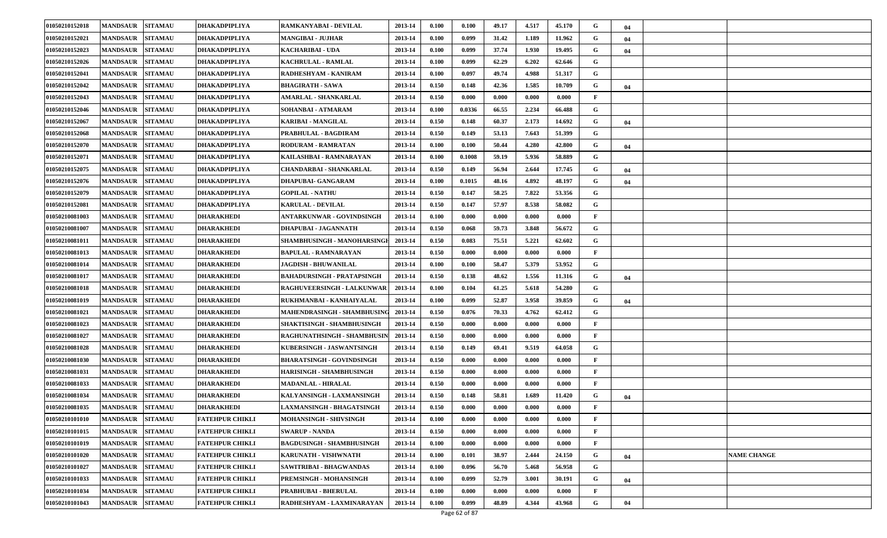| 01050210152018 | <b>MANDSAUR</b>  | <b>SITAMAU</b> | DHAKADPIPLIYA          | RAMKANYABAI - DEVILAL              | 2013-14 | 0.100 | 0.100  | 49.17 | 4.517 | 45.170 | G           | 04 |                    |
|----------------|------------------|----------------|------------------------|------------------------------------|---------|-------|--------|-------|-------|--------|-------------|----|--------------------|
| 01050210152021 | <b>MANDSAUR</b>  | <b>SITAMAU</b> | DHAKADPIPLIYA          | <b>MANGIBAI - JUJHAR</b>           | 2013-14 | 0.100 | 0.099  | 31.42 | 1.189 | 11.962 | G           | 04 |                    |
| 01050210152023 | <b>MANDSAUR</b>  | <b>SITAMAU</b> | DHAKADPIPLIYA          | <b>KACHARIBAI - UDA</b>            | 2013-14 | 0.100 | 0.099  | 37.74 | 1.930 | 19.495 | G           | 04 |                    |
| 01050210152026 | <b>MANDSAUR</b>  | <b>SITAMAU</b> | DHAKADPIPLIYA          | <b>KACHRULAL - RAMLAL</b>          | 2013-14 | 0.100 | 0.099  | 62.29 | 6.202 | 62.646 | G           |    |                    |
| 01050210152041 | <b>MANDSAUR</b>  | <b>SITAMAU</b> | DHAKADPIPLIYA          | RADHESHYAM - KANIRAM               | 2013-14 | 0.100 | 0.097  | 49.74 | 4.988 | 51.317 | G           |    |                    |
| 01050210152042 | <b>MANDSAUR</b>  | <b>SITAMAU</b> | <b>DHAKADPIPLIYA</b>   | <b>BHAGIRATH - SAWA</b>            | 2013-14 | 0.150 | 0.148  | 42.36 | 1.585 | 10.709 | G           | 04 |                    |
| 01050210152043 | <b>MANDSAUR</b>  | <b>SITAMAU</b> | DHAKADPIPLIYA          | AMARLAL - SHANKARLAL               | 2013-14 | 0.150 | 0.000  | 0.000 | 0.000 | 0.000  |             |    |                    |
| 01050210152046 | <b>MANDSAUR</b>  | <b>SITAMAU</b> | DHAKADPIPLIYA          | SOHANBAI - ATMARAM                 | 2013-14 | 0.100 | 0.0336 | 66.55 | 2.234 | 66.488 | G           |    |                    |
| 01050210152067 | <b>MANDSAUR</b>  | <b>SITAMAU</b> | DHAKADPIPLIYA          | <b>KARIBAI - MANGILAL</b>          | 2013-14 | 0.150 | 0.148  | 60.37 | 2.173 | 14.692 | G           | 04 |                    |
| 01050210152068 | <b>MANDSAUR</b>  | <b>SITAMAU</b> | DHAKADPIPLIYA          | PRABHULAL - BAGDIRAM               | 2013-14 | 0.150 | 0.149  | 53.13 | 7.643 | 51.399 | G           |    |                    |
| 01050210152070 | <b>MANDSAUR</b>  | <b>SITAMAU</b> | DHAKADPIPLIYA          | <b>RODURAM - RAMRATAN</b>          | 2013-14 | 0.100 | 0.100  | 50.44 | 4.280 | 42.800 | G           | 04 |                    |
| 01050210152071 | <b>MANDSAUR</b>  | <b>SITAMAU</b> | <b>DHAKADPIPLIYA</b>   | KAILASHBAI - RAMNARAYAN            | 2013-14 | 0.100 | 0.1008 | 59.19 | 5.936 | 58.889 | G           |    |                    |
| 01050210152075 | <b>MANDSAUR</b>  | <b>SITAMAU</b> | DHAKADPIPLIYA          | CHANDARBAI - SHANKARLAL            | 2013-14 | 0.150 | 0.149  | 56.94 | 2.644 | 17.745 | G           | 04 |                    |
| 01050210152076 | <b>MANDSAUR</b>  | <b>SITAMAU</b> | <b>DHAKADPIPLIYA</b>   | <b>DHAPUBAI- GANGARAM</b>          | 2013-14 | 0.100 | 0.1015 | 48.16 | 4.892 | 48.197 | G           | 04 |                    |
| 01050210152079 | <b>MANDSAUR</b>  | <b>SITAMAU</b> | DHAKADPIPLIYA          | <b>GOPILAL - NATHU</b>             | 2013-14 | 0.150 | 0.147  | 58.25 | 7.822 | 53.356 | G           |    |                    |
| 01050210152081 | <b>MANDSAUR</b>  | <b>SITAMAU</b> | <b>DHAKADPIPLIYA</b>   | <b>KARULAL - DEVILAL</b>           | 2013-14 | 0.150 | 0.147  | 57.97 | 8.538 | 58.082 | G           |    |                    |
| 01050210081003 | <b>MANDSAUR</b>  | <b>SITAMAU</b> | <b>DHARAKHEDI</b>      | ANTARKUNWAR - GOVINDSINGH          | 2013-14 | 0.100 | 0.000  | 0.000 | 0.000 | 0.000  | $\mathbf F$ |    |                    |
| 01050210081007 | <b>MANDSAUR</b>  | <b>SITAMAU</b> | <b>DHARAKHEDI</b>      | <b>DHAPUBAI - JAGANNATH</b>        | 2013-14 | 0.150 | 0.068  | 59.73 | 3.848 | 56.672 | G           |    |                    |
| 01050210081011 | <b>MANDSAUR</b>  | <b>SITAMAU</b> | <b>DHARAKHEDI</b>      | SHAMBHUSINGH - MANOHARSING         | 2013-14 | 0.150 | 0.083  | 75.51 | 5.221 | 62.602 | G           |    |                    |
| 01050210081013 | <b>MANDSAUR</b>  | <b>SITAMAU</b> | <b>DHARAKHEDI</b>      | BAPULAL - RAMNARAYAN               | 2013-14 | 0.150 | 0.000  | 0.000 | 0.000 | 0.000  | F           |    |                    |
| 01050210081014 | <b>MANDSAUR</b>  | <b>SITAMAU</b> | <b>DHARAKHEDI</b>      | <b>JAGDISH - BHUWANILAL</b>        | 2013-14 | 0.100 | 0.100  | 58.47 | 5.379 | 53.952 | G           |    |                    |
| 01050210081017 | <b>MANDSAUR</b>  | <b>SITAMAU</b> | <b>DHARAKHEDI</b>      | <b>BAHADURSINGH - PRATAPSINGH</b>  | 2013-14 | 0.150 | 0.138  | 48.62 | 1.556 | 11.316 | G           | 04 |                    |
| 01050210081018 | <b>MANDSAUR</b>  | <b>SITAMAU</b> | <b>DHARAKHEDI</b>      | RAGHUVEERSINGH - LALKUNWAR         | 2013-14 | 0.100 | 0.104  | 61.25 | 5.618 | 54.280 | G           |    |                    |
| 01050210081019 | <b>MANDSAUR</b>  | <b>SITAMAU</b> | <b>DHARAKHEDI</b>      | RUKHMANBAI - KANHAIYALAL           | 2013-14 | 0.100 | 0.099  | 52.87 | 3.958 | 39.859 | G           | 04 |                    |
| 01050210081021 | <b>MANDSAUR</b>  | <b>SITAMAU</b> | <b>DHARAKHEDI</b>      | <b>MAHENDRASINGH - SHAMBHUSING</b> | 2013-14 | 0.150 | 0.076  | 70.33 | 4.762 | 62.412 | G           |    |                    |
| 01050210081023 | <b>MANDSAUR</b>  | <b>SITAMAU</b> | <b>DHARAKHEDI</b>      | <b>SHAKTISINGH - SHAMBHUSINGH</b>  | 2013-14 | 0.150 | 0.000  | 0.000 | 0.000 | 0.000  | F           |    |                    |
| 01050210081027 | <b>MANDSAUR</b>  | <b>SITAMAU</b> | DHARAKHEDI             | RAGHUNATHSINGH - SHAMBHUSIN        | 2013-14 | 0.150 | 0.000  | 0.000 | 0.000 | 0.000  | F           |    |                    |
| 01050210081028 | <b>MANDSAUR</b>  | <b>SITAMAU</b> | <b>DHARAKHEDI</b>      | KUBERSINGH - JASWANTSINGH          | 2013-14 | 0.150 | 0.149  | 69.41 | 9.519 | 64.058 | G           |    |                    |
| 01050210081030 | <b>MANDSAUR</b>  | <b>SITAMAU</b> | <b>DHARAKHEDI</b>      | <b>BHARATSINGH - GOVINDSINGH</b>   | 2013-14 | 0.150 | 0.000  | 0.000 | 0.000 | 0.000  | F           |    |                    |
| 01050210081031 | <b>MANDSAUR</b>  | <b>SITAMAU</b> | <b>DHARAKHEDI</b>      | HARISINGH - SHAMBHUSINGH           | 2013-14 | 0.150 | 0.000  | 0.000 | 0.000 | 0.000  | F           |    |                    |
| 01050210081033 | <b>MANDSAUR</b>  | <b>SITAMAU</b> | <b>DHARAKHEDI</b>      | <b>MADANLAL - HIRALAL</b>          | 2013-14 | 0.150 | 0.000  | 0.000 | 0.000 | 0.000  | F           |    |                    |
| 01050210081034 | <b>MANDSAUR</b>  | <b>SITAMAU</b> | <b>DHARAKHEDI</b>      | KALYANSINGH - LAXMANSINGH          | 2013-14 | 0.150 | 0.148  | 58.81 | 1.689 | 11.420 | G           | 04 |                    |
| 01050210081035 | <b>MANDSAUR</b>  | <b>SITAMAU</b> | <b>DHARAKHEDI</b>      | LAXMANSINGH - BHAGATSINGH          | 2013-14 | 0.150 | 0.000  | 0.000 | 0.000 | 0.000  | $\mathbf F$ |    |                    |
| 01050210101010 | MANDSAUR SITAMAU |                | <b>FATEHPUR CHIKLI</b> | MOHANSINGH - SHIVSINGH             | 2013-14 | 0.100 | 0.000  | 0.000 | 0.000 | 0.000  |             |    |                    |
| 01050210101015 | <b>MANDSAUR</b>  | <b>SITAMAU</b> | FATEHPUR CHIKLI        | <b>SWARUP - NANDA</b>              | 2013-14 | 0.150 | 0.000  | 0.000 | 0.000 | 0.000  | F           |    |                    |
| 01050210101019 | <b>MANDSAUR</b>  | <b>SITAMAU</b> | <b>FATEHPUR CHIKLI</b> | <b>BAGDUSINGH - SHAMBHUSINGH</b>   | 2013-14 | 0.100 | 0.000  | 0.000 | 0.000 | 0.000  | F           |    |                    |
| 01050210101020 | <b>MANDSAUR</b>  | <b>SITAMAU</b> | <b>FATEHPUR CHIKLI</b> | <b>KARUNATH - VISHWNATH</b>        | 2013-14 | 0.100 | 0.101  | 38.97 | 2.444 | 24.150 | G           | 04 | <b>NAME CHANGE</b> |
| 01050210101027 | <b>MANDSAUR</b>  | <b>SITAMAU</b> | <b>FATEHPUR CHIKLI</b> | <b>SAWITRIBAI - BHAGWANDAS</b>     | 2013-14 | 0.100 | 0.096  | 56.70 | 5.468 | 56.958 | G           |    |                    |
| 01050210101033 | <b>MANDSAUR</b>  | <b>SITAMAU</b> | <b>FATEHPUR CHIKLI</b> | PREMSINGH - MOHANSINGH             | 2013-14 | 0.100 | 0.099  | 52.79 | 3.001 | 30.191 | G           | 04 |                    |
| 01050210101034 | <b>MANDSAUR</b>  | <b>SITAMAU</b> | <b>FATEHPUR CHIKLI</b> | PRABHUBAI - BHERULAL               | 2013-14 | 0.100 | 0.000  | 0.000 | 0.000 | 0.000  | $\mathbf F$ |    |                    |
| 01050210101043 | <b>MANDSAUR</b>  | <b>SITAMAU</b> | <b>FATEHPUR CHIKLI</b> | RADHESHYAM - LAXMINARAYAN          | 2013-14 | 0.100 | 0.099  | 48.89 | 4.344 | 43.968 | G           | 04 |                    |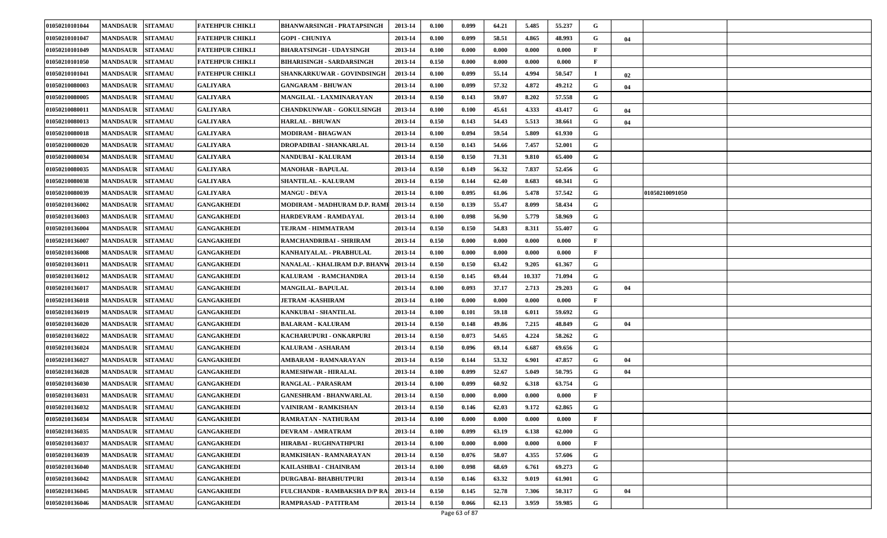| 01050210101044 | <b>MANDSAUR</b> | <b>SITAMAU</b> | <b>FATEHPUR CHIKLI</b> | <b>BHANWARSINGH - PRATAPSINGH</b>   | 2013-14 | 0.100 | 0.099 | 64.21 | 5.485  | 55.237 | G           |                |  |
|----------------|-----------------|----------------|------------------------|-------------------------------------|---------|-------|-------|-------|--------|--------|-------------|----------------|--|
| 01050210101047 | <b>MANDSAUR</b> | <b>SITAMAU</b> | FATEHPUR CHIKLI        | <b>GOPI - CHUNIYA</b>               | 2013-14 | 0.100 | 0.099 | 58.51 | 4.865  | 48.993 | G           | 04             |  |
| 01050210101049 | <b>MANDSAUR</b> | <b>SITAMAU</b> | <b>FATEHPUR CHIKLI</b> | <b>BHARATSINGH - UDAYSINGH</b>      | 2013-14 | 0.100 | 0.000 | 0.000 | 0.000  | 0.000  | $\mathbf F$ |                |  |
| 01050210101050 | <b>MANDSAUR</b> | <b>SITAMAU</b> | <b>FATEHPUR CHIKLI</b> | BIHARISINGH - SARDARSINGH           | 2013-14 | 0.150 | 0.000 | 0.000 | 0.000  | 0.000  | $\mathbf F$ |                |  |
| 01050210101041 | <b>MANDSAUR</b> | <b>SITAMAU</b> | <b>FATEHPUR CHIKLI</b> | SHANKARKUWAR - GOVINDSINGH          | 2013-14 | 0.100 | 0.099 | 55.14 | 4.994  | 50.547 |             | 02             |  |
| 01050210080003 | <b>MANDSAUR</b> | <b>SITAMAU</b> | <b>GALIYARA</b>        | <b>GANGARAM - BHUWAN</b>            | 2013-14 | 0.100 | 0.099 | 57.32 | 4.872  | 49.212 | G           | 04             |  |
| 01050210080005 | <b>MANDSAUR</b> | <b>SITAMAU</b> | <b>GALIYARA</b>        | MANGILAL - LAXMINARAYAN             | 2013-14 | 0.150 | 0.143 | 59.07 | 8.202  | 57.558 | G           |                |  |
| 01050210080011 | <b>MANDSAUR</b> | <b>SITAMAU</b> | <b>GALIYARA</b>        | <b>CHANDKUNWAR - GOKULSINGH</b>     | 2013-14 | 0.100 | 0.100 | 45.61 | 4.333  | 43.417 | G           | 04             |  |
| 01050210080013 | <b>MANDSAUR</b> | <b>SITAMAU</b> | <b>GALIYARA</b>        | <b>HARLAL - BHUWAN</b>              | 2013-14 | 0.150 | 0.143 | 54.43 | 5.513  | 38.661 | G           | 04             |  |
| 01050210080018 | <b>MANDSAUR</b> | <b>SITAMAU</b> | <b>GALIYARA</b>        | <b>MODIRAM - BHAGWAN</b>            | 2013-14 | 0.100 | 0.094 | 59.54 | 5.809  | 61.930 | G           |                |  |
| 01050210080020 | <b>MANDSAUR</b> | <b>SITAMAU</b> | <b>GALIYARA</b>        | DROPADIBAI - SHANKARLAL             | 2013-14 | 0.150 | 0.143 | 54.66 | 7.457  | 52.001 | G           |                |  |
| 01050210080034 | <b>MANDSAUR</b> | <b>SITAMAU</b> | <b>GALIYARA</b>        | <b>NANDUBAI - KALURAM</b>           | 2013-14 | 0.150 | 0.150 | 71.31 | 9.810  | 65.400 | G           |                |  |
| 01050210080035 | <b>MANDSAUR</b> | <b>SITAMAU</b> | <b>GALIYARA</b>        | <b>MANOHAR - BAPULAL</b>            | 2013-14 | 0.150 | 0.149 | 56.32 | 7.837  | 52.456 | G           |                |  |
| 01050210080038 | <b>MANDSAUR</b> | <b>SITAMAU</b> | <b>GALIYARA</b>        | SHANTILAL - KALURAM                 | 2013-14 | 0.150 | 0.144 | 62.40 | 8.683  | 60.341 | G           |                |  |
| 01050210080039 | <b>MANDSAUR</b> | <b>SITAMAU</b> | <b>GALIYARA</b>        | <b>MANGU - DEVA</b>                 | 2013-14 | 0.100 | 0.095 | 61.06 | 5.478  | 57.542 | G           | 01050210091050 |  |
| 01050210136002 | <b>MANDSAUR</b> | <b>SITAMAU</b> | GANGAKHEDI             | MODIRAM - MADHURAM D.P. RAMI        | 2013-14 | 0.150 | 0.139 | 55.47 | 8.099  | 58.434 | G           |                |  |
| 01050210136003 | <b>MANDSAUR</b> | <b>SITAMAU</b> | GANGAKHEDI             | HARDEVRAM - RAMDAYAL                | 2013-14 | 0.100 | 0.098 | 56.90 | 5.779  | 58.969 | G           |                |  |
| 01050210136004 | <b>MANDSAUR</b> | <b>SITAMAU</b> | <b>GANGAKHEDI</b>      | <b>TEJRAM - HIMMATRAM</b>           | 2013-14 | 0.150 | 0.150 | 54.83 | 8.311  | 55.407 | G           |                |  |
| 01050210136007 | <b>MANDSAUR</b> | <b>SITAMAU</b> | <b>GANGAKHEDI</b>      | RAMCHANDRIBAI - SHRIRAM             | 2013-14 | 0.150 | 0.000 | 0.000 | 0.000  | 0.000  | $\mathbf F$ |                |  |
| 01050210136008 | <b>MANDSAUR</b> | <b>SITAMAU</b> | <b>GANGAKHEDI</b>      | KANHAIYALAL - PRABHULAL             | 2013-14 | 0.100 | 0.000 | 0.000 | 0.000  | 0.000  | F           |                |  |
| 01050210136011 | <b>MANDSAUR</b> | <b>SITAMAU</b> | <b>GANGAKHEDI</b>      | NANALAL - KHALIRAM D.P. BHANV       | 2013-14 | 0.150 | 0.150 | 63.42 | 9.205  | 61.367 | G           |                |  |
| 01050210136012 | <b>MANDSAUR</b> | <b>SITAMAU</b> | <b>GANGAKHEDI</b>      | KALURAM - RAMCHANDRA                | 2013-14 | 0.150 | 0.145 | 69.44 | 10.337 | 71.094 | G           |                |  |
| 01050210136017 | <b>MANDSAUR</b> | <b>SITAMAU</b> | GANGAKHEDI             | MANGILAL-BAPULAL                    | 2013-14 | 0.100 | 0.093 | 37.17 | 2.713  | 29.203 | G           | 04             |  |
| 01050210136018 | <b>MANDSAUR</b> | <b>SITAMAU</b> | <b>GANGAKHEDI</b>      | <b>JETRAM - KASHIRAM</b>            | 2013-14 | 0.100 | 0.000 | 0.000 | 0.000  | 0.000  | F           |                |  |
| 01050210136019 | <b>MANDSAUR</b> | <b>SITAMAU</b> | <b>GANGAKHEDI</b>      | KANKUBAI - SHANTILAL                | 2013-14 | 0.100 | 0.101 | 59.18 | 6.011  | 59.692 | G           |                |  |
| 01050210136020 | <b>MANDSAUR</b> | <b>SITAMAU</b> | <b>GANGAKHEDI</b>      | <b>BALARAM - KALURAM</b>            | 2013-14 | 0.150 | 0.148 | 49.86 | 7.215  | 48.849 | G           | 04             |  |
| 01050210136022 | <b>MANDSAUR</b> | <b>SITAMAU</b> | GANGAKHEDI             | KACHARUPURI - ONKARPURI             | 2013-14 | 0.150 | 0.073 | 54.65 | 4.224  | 58.262 | G           |                |  |
| 01050210136024 | <b>MANDSAUR</b> | <b>SITAMAU</b> | <b>GANGAKHEDI</b>      | <b>KALURAM - ASHARAM</b>            | 2013-14 | 0.150 | 0.096 | 69.14 | 6.687  | 69.656 | G           |                |  |
| 01050210136027 | <b>MANDSAUR</b> | <b>SITAMAU</b> | <b>GANGAKHEDI</b>      | AMBARAM - RAMNARAYAN                | 2013-14 | 0.150 | 0.144 | 53.32 | 6.901  | 47.857 | G           | 04             |  |
| 01050210136028 | <b>MANDSAUR</b> | <b>SITAMAU</b> | <b>GANGAKHEDI</b>      | RAMESHWAR - HIRALAL                 | 2013-14 | 0.100 | 0.099 | 52.67 | 5.049  | 50.795 | G           | 04             |  |
| 01050210136030 | <b>MANDSAUR</b> | <b>SITAMAU</b> | GANGAKHEDI             | RANGLAL - PARASRAM                  | 2013-14 | 0.100 | 0.099 | 60.92 | 6.318  | 63.754 | G           |                |  |
| 01050210136031 | <b>MANDSAUR</b> | <b>SITAMAU</b> | GANGAKHEDI             | <b>GANESHRAM - BHANWARLAL</b>       | 2013-14 | 0.150 | 0.000 | 0.000 | 0.000  | 0.000  | F           |                |  |
| 01050210136032 | <b>MANDSAUR</b> | <b>SITAMAU</b> | <b>GANGAKHEDI</b>      | VAINIRAM - RAMKISHAN                | 2013-14 | 0.150 | 0.146 | 62.03 | 9.172  | 62.865 | G           |                |  |
| 01050210136034 | <b>MANDSAUR</b> | <b>SITAMAU</b> | <b>GANGAKHEDI</b>      | RAMRATAN - NATHURAM                 | 2013-14 | 0.100 | 0.000 | 0.000 | 0.000  | 0.000  | $\mathbf F$ |                |  |
| 01050210136035 | <b>MANDSAUR</b> | <b>SITAMAU</b> | GANGAKHEDI             | DEVRAM - AMRATRAM                   | 2013-14 | 0.100 | 0.099 | 63.19 | 6.138  | 62.000 | G           |                |  |
| 01050210136037 | <b>MANDSAUR</b> | <b>SITAMAU</b> | <b>GANGAKHEDI</b>      | HIRABAI - RUGHNATHPURI              | 2013-14 | 0.100 | 0.000 | 0.000 | 0.000  | 0.000  | $\mathbf F$ |                |  |
| 01050210136039 | <b>MANDSAUR</b> | <b>SITAMAU</b> | <b>GANGAKHEDI</b>      | RAMKISHAN - RAMNARAYAN              | 2013-14 | 0.150 | 0.076 | 58.07 | 4.355  | 57.606 | G           |                |  |
| 01050210136040 | <b>MANDSAUR</b> | <b>SITAMAU</b> | <b>GANGAKHEDI</b>      | KAILASHBAI - CHAINRAM               | 2013-14 | 0.100 | 0.098 | 68.69 | 6.761  | 69.273 | G           |                |  |
| 01050210136042 | <b>MANDSAUR</b> | <b>SITAMAU</b> | <b>GANGAKHEDI</b>      | <b>DURGABAI- BHABHUTPURI</b>        | 2013-14 | 0.150 | 0.146 | 63.32 | 9.019  | 61.901 | G           |                |  |
| 01050210136045 | <b>MANDSAUR</b> | <b>SITAMAU</b> | <b>GANGAKHEDI</b>      | <b>FULCHANDR - RAMBAKSHA D/P RA</b> | 2013-14 | 0.150 | 0.145 | 52.78 | 7.306  | 50.317 | G           | 04             |  |
| 01050210136046 | <b>MANDSAUR</b> | <b>SITAMAU</b> | <b>GANGAKHEDI</b>      | <b>RAMPRASAD - PATITRAM</b>         | 2013-14 | 0.150 | 0.066 | 62.13 | 3.959  | 59.985 | G           |                |  |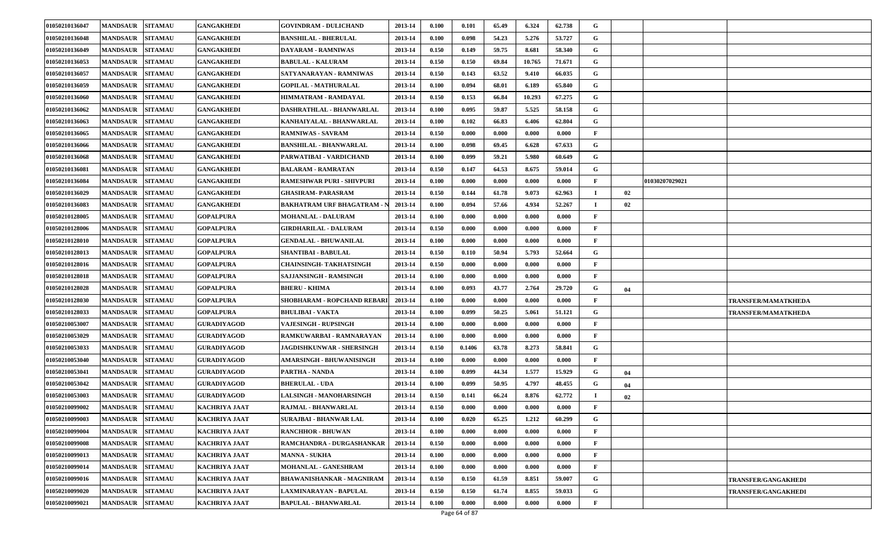| 01050210136047 | <b>MANDSAUR</b>  | <b>SITAMAU</b> | <b>GANGAKHEDI</b>    | <b>GOVINDRAM - DULICHAND</b>       | 2013-14 | 0.100 | 0.101  | 65.49 | 6.324  | 62.738 | G            |                |                            |
|----------------|------------------|----------------|----------------------|------------------------------------|---------|-------|--------|-------|--------|--------|--------------|----------------|----------------------------|
| 01050210136048 | <b>MANDSAUR</b>  | <b>SITAMAU</b> | <b>GANGAKHEDI</b>    | <b>BANSHILAL - BHERULAL</b>        | 2013-14 | 0.100 | 0.098  | 54.23 | 5.276  | 53.727 | G            |                |                            |
| 01050210136049 | <b>MANDSAUR</b>  | <b>SITAMAU</b> | GANGAKHEDI           | <b>DAYARAM - RAMNIWAS</b>          | 2013-14 | 0.150 | 0.149  | 59.75 | 8.681  | 58.340 | G            |                |                            |
| 01050210136053 | <b>MANDSAUR</b>  | <b>SITAMAU</b> | <b>GANGAKHEDI</b>    | <b>BABULAL - KALURAM</b>           | 2013-14 | 0.150 | 0.150  | 69.84 | 10.765 | 71.671 | G            |                |                            |
| 01050210136057 | <b>MANDSAUR</b>  | <b>SITAMAU</b> | GANGAKHEDI           | SATYANARAYAN - RAMNIWAS            | 2013-14 | 0.150 | 0.143  | 63.52 | 9.410  | 66.035 | G            |                |                            |
| 01050210136059 | <b>MANDSAUR</b>  | <b>SITAMAU</b> | <b>GANGAKHEDI</b>    | <b>GOPILAL - MATHURALAL</b>        | 2013-14 | 0.100 | 0.094  | 68.01 | 6.189  | 65.840 | G            |                |                            |
| 01050210136060 | <b>MANDSAUR</b>  | <b>SITAMAU</b> | GANGAKHEDI           | HIMMATRAM - RAMDAYAL               | 2013-14 | 0.150 | 0.153  | 66.84 | 10.293 | 67.275 | G            |                |                            |
| 01050210136062 | <b>MANDSAUR</b>  | <b>SITAMAU</b> | GANGAKHEDI           | DASHRATHLAL - BHANWARLAL           | 2013-14 | 0.100 | 0.095  | 59.87 | 5.525  | 58.158 | G            |                |                            |
| 01050210136063 | <b>MANDSAUR</b>  | <b>SITAMAU</b> | GANGAKHEDI           | KANHAIYALAL - BHANWARLAL           | 2013-14 | 0.100 | 0.102  | 66.83 | 6.406  | 62.804 | G            |                |                            |
| 01050210136065 | <b>MANDSAUR</b>  | <b>SITAMAU</b> | <b>GANGAKHEDI</b>    | <b>RAMNIWAS - SAVRAM</b>           | 2013-14 | 0.150 | 0.000  | 0.000 | 0.000  | 0.000  | $\mathbf F$  |                |                            |
| 01050210136066 | <b>MANDSAUR</b>  | <b>SITAMAU</b> | GANGAKHEDI           | <b>BANSHILAL - BHANWARLAL</b>      | 2013-14 | 0.100 | 0.098  | 69.45 | 6.628  | 67.633 | G            |                |                            |
| 01050210136068 | <b>MANDSAUR</b>  | <b>SITAMAU</b> | GANGAKHEDI           | PARWATIBAI - VARDICHAND            | 2013-14 | 0.100 | 0.099  | 59.21 | 5.980  | 60.649 | G            |                |                            |
| 01050210136081 | <b>MANDSAUR</b>  | <b>SITAMAU</b> | <b>GANGAKHEDI</b>    | <b>BALARAM - RAMRATAN</b>          | 2013-14 | 0.150 | 0.147  | 64.53 | 8.675  | 59.014 | G            |                |                            |
| 01050210136084 | <b>MANDSAUR</b>  | <b>SITAMAU</b> | <b>GANGAKHEDI</b>    | <b>RAMESHWAR PURI - SHIVPURI</b>   | 2013-14 | 0.100 | 0.000  | 0.000 | 0.000  | 0.000  | F            | 01030207029021 |                            |
| 01050210136029 | <b>MANDSAUR</b>  | <b>SITAMAU</b> | <b>GANGAKHEDI</b>    | <b>GHASIRAM- PARASRAM</b>          | 2013-14 | 0.150 | 0.144  | 61.78 | 9.073  | 62.963 | $\mathbf I$  | 02             |                            |
| 01050210136083 | <b>MANDSAUR</b>  | <b>SITAMAU</b> | <b>GANGAKHEDI</b>    | <b>BAKHATRAM URF BHAGATRAM - N</b> | 2013-14 | 0.100 | 0.094  | 57.66 | 4.934  | 52.267 | $\mathbf I$  | 02             |                            |
| 01050210128005 | <b>MANDSAUR</b>  | <b>SITAMAU</b> | <b>GOPALPURA</b>     | MOHANLAL - DALURAM                 | 2013-14 | 0.100 | 0.000  | 0.000 | 0.000  | 0.000  | F            |                |                            |
| 01050210128006 | <b>MANDSAUR</b>  | <b>SITAMAU</b> | <b>GOPALPURA</b>     | <b>GIRDHARILAL - DALURAM</b>       | 2013-14 | 0.150 | 0.000  | 0.000 | 0.000  | 0.000  | F            |                |                            |
| 01050210128010 | <b>MANDSAUR</b>  | <b>SITAMAU</b> | <b>GOPALPURA</b>     | <b>GENDALAL - BHUWANILAL</b>       | 2013-14 | 0.100 | 0.000  | 0.000 | 0.000  | 0.000  | F            |                |                            |
| 01050210128013 | <b>MANDSAUR</b>  | <b>SITAMAU</b> | GOPALPURA            | <b>SHANTIBAI - BABULAL</b>         | 2013-14 | 0.150 | 0.110  | 50.94 | 5.793  | 52.664 | G            |                |                            |
| 01050210128016 | <b>MANDSAUR</b>  | <b>SITAMAU</b> | <b>GOPALPURA</b>     | <b>CHAINSINGH- TAKHATSINGH</b>     | 2013-14 | 0.150 | 0.000  | 0.000 | 0.000  | 0.000  | F            |                |                            |
| 01050210128018 | <b>MANDSAUR</b>  | <b>SITAMAU</b> | <b>GOPALPURA</b>     | <b>SAJJANSINGH - RAMSINGH</b>      | 2013-14 | 0.100 | 0.000  | 0.000 | 0.000  | 0.000  | F            |                |                            |
| 01050210128028 | <b>MANDSAUR</b>  | <b>SITAMAU</b> | <b>GOPALPURA</b>     | <b>BHERU - KHIMA</b>               | 2013-14 | 0.100 | 0.093  | 43.77 | 2.764  | 29.720 | G            | 04             |                            |
| 01050210128030 | <b>MANDSAUR</b>  | <b>SITAMAU</b> | <b>GOPALPURA</b>     | SHOBHARAM - ROPCHAND REBARI        | 2013-14 | 0.100 | 0.000  | 0.000 | 0.000  | 0.000  | F            |                | TRANSFER/MAMATKHEDA        |
| 01050210128033 | <b>MANDSAUR</b>  | <b>SITAMAU</b> | <b>GOPALPURA</b>     | <b>BHULIBAI - VAKTA</b>            | 2013-14 | 0.100 | 0.099  | 50.25 | 5.061  | 51.121 | G            |                | TRANSFER/MAMATKHEDA        |
| 01050210053007 | <b>MANDSAUR</b>  | <b>SITAMAU</b> | <b>GURADIYAGOD</b>   | VAJESINGH - RUPSINGH               | 2013-14 | 0.100 | 0.000  | 0.000 | 0.000  | 0.000  | $\mathbf F$  |                |                            |
| 01050210053029 | <b>MANDSAUR</b>  | <b>SITAMAU</b> | <b>GURADIYAGOD</b>   | RAMKUWARBAI - RAMNARAYAN           | 2013-14 | 0.100 | 0.000  | 0.000 | 0.000  | 0.000  | F            |                |                            |
| 01050210053033 | <b>MANDSAUR</b>  | <b>SITAMAU</b> | <b>GURADIYAGOD</b>   | JAGDISHKUNWAR - SHERSINGH          | 2013-14 | 0.150 | 0.1406 | 63.78 | 8.273  | 58.841 | G            |                |                            |
| 01050210053040 | <b>MANDSAUR</b>  | <b>SITAMAU</b> | <b>GURADIYAGOD</b>   | AMARSINGH - BHUWANISINGH           | 2013-14 | 0.100 | 0.000  | 0.000 | 0.000  | 0.000  | F            |                |                            |
| 01050210053041 | <b>MANDSAUR</b>  | <b>SITAMAU</b> | <b>GURADIYAGOD</b>   | PARTHA - NANDA                     | 2013-14 | 0.100 | 0.099  | 44.34 | 1.577  | 15.929 | G            | 04             |                            |
| 01050210053042 | <b>MANDSAUR</b>  | <b>SITAMAU</b> | <b>GURADIYAGOD</b>   | <b>BHERULAL - UDA</b>              | 2013-14 | 0.100 | 0.099  | 50.95 | 4.797  | 48.455 | G            | 04             |                            |
| 01050210053003 | <b>MANDSAUR</b>  | <b>SITAMAU</b> | <b>GURADIYAGOD</b>   | <b>LALSINGH - MANOHARSINGH</b>     | 2013-14 | 0.150 | 0.141  | 66.24 | 8.876  | 62.772 |              | 02             |                            |
| 01050210099002 | <b>MANDSAUR</b>  | <b>SITAMAU</b> | <b>KACHRIYA JAAT</b> | <b>RAJMAL - BHANWARLAL</b>         | 2013-14 | 0.150 | 0.000  | 0.000 | 0.000  | 0.000  | $\mathbf F$  |                |                            |
| 01050210099003 | MANDSAUR SITAMAU |                | <b>KACHRIYA JAAT</b> | <b>SURAJBAI - BHANWAR LAL</b>      | 2013-14 | 0.100 | 0.020  | 65.25 | 1.212  | 60.299 | G            |                |                            |
| 01050210099004 | <b>MANDSAUR</b>  | <b>SITAMAU</b> | KACHRIYA JAAT        | <b>RANCHHOR - BHUWAN</b>           | 2013-14 | 0.100 | 0.000  | 0.000 | 0.000  | 0.000  | F            |                |                            |
| 01050210099008 | <b>MANDSAUR</b>  | <b>SITAMAU</b> | <b>KACHRIYA JAAT</b> | RAMCHANDRA - DURGASHANKAR          | 2013-14 | 0.150 | 0.000  | 0.000 | 0.000  | 0.000  | $\mathbf{F}$ |                |                            |
| 01050210099013 | <b>MANDSAUR</b>  | <b>SITAMAU</b> | <b>KACHRIYA JAAT</b> | <b>MANNA - SUKHA</b>               | 2013-14 | 0.100 | 0.000  | 0.000 | 0.000  | 0.000  | F            |                |                            |
| 01050210099014 | <b>MANDSAUR</b>  | <b>SITAMAU</b> | <b>KACHRIYA JAAT</b> | <b>MOHANLAL - GANESHRAM</b>        | 2013-14 | 0.100 | 0.000  | 0.000 | 0.000  | 0.000  | F            |                |                            |
| 01050210099016 | <b>MANDSAUR</b>  | <b>SITAMAU</b> | <b>KACHRIYA JAAT</b> | BHAWANISHANKAR - MAGNIRAM          | 2013-14 | 0.150 | 0.150  | 61.59 | 8.851  | 59.007 | G            |                | <b>TRANSFER/GANGAKHEDI</b> |
| 01050210099020 | <b>MANDSAUR</b>  | <b>SITAMAU</b> | <b>KACHRIYA JAAT</b> | LAXMINARAYAN - BAPULAL             | 2013-14 | 0.150 | 0.150  | 61.74 | 8.855  | 59.033 | G            |                | <b>TRANSFER/GANGAKHEDI</b> |
| 01050210099021 | <b>MANDSAUR</b>  | <b>SITAMAU</b> | <b>KACHRIYA JAAT</b> | <b>BAPULAL - BHANWARLAL</b>        | 2013-14 | 0.100 | 0.000  | 0.000 | 0.000  | 0.000  | $\mathbf{F}$ |                |                            |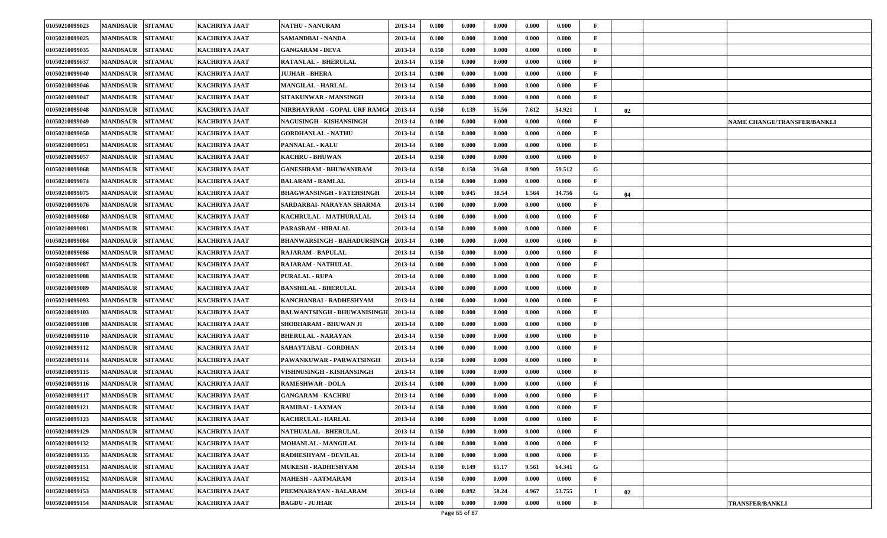| 01050210099023 | <b>MANDSAUR</b> | <b>SITAMAU</b> | KACHRIYA JAAT        | NATHU - NANURAM                    | 2013-14 | 0.100 | 0.000 | 0.000 | 0.000 | 0.000  | F           |    |                             |
|----------------|-----------------|----------------|----------------------|------------------------------------|---------|-------|-------|-------|-------|--------|-------------|----|-----------------------------|
| 01050210099025 | <b>MANDSAUR</b> | <b>SITAMAU</b> | KACHRIYA JAAT        | SAMANDBAI - NANDA                  | 2013-14 | 0.100 | 0.000 | 0.000 | 0.000 | 0.000  | F           |    |                             |
| 01050210099035 | <b>MANDSAUR</b> | <b>SITAMAU</b> | <b>KACHRIYA JAAT</b> | <b>GANGARAM - DEVA</b>             | 2013-14 | 0.150 | 0.000 | 0.000 | 0.000 | 0.000  | F           |    |                             |
| 01050210099037 | <b>MANDSAUR</b> | <b>SITAMAU</b> | KACHRIYA JAAT        | RATANLAL - BHERULAL                | 2013-14 | 0.150 | 0.000 | 0.000 | 0.000 | 0.000  | F           |    |                             |
| 01050210099040 | <b>MANDSAUR</b> | <b>SITAMAU</b> | KACHRIYA JAAT        | <b>JUJHAR - BHERA</b>              | 2013-14 | 0.100 | 0.000 | 0.000 | 0.000 | 0.000  | F           |    |                             |
| 01050210099046 | <b>MANDSAUR</b> | <b>SITAMAU</b> | <b>KACHRIYA JAAT</b> | <b>MANGILAL - HARLAL</b>           | 2013-14 | 0.150 | 0.000 | 0.000 | 0.000 | 0.000  | F           |    |                             |
| 01050210099047 | <b>MANDSAUR</b> | <b>SITAMAU</b> | KACHRIYA JAAT        | SITAKUNWAR - MANSINGH              | 2013-14 | 0.150 | 0.000 | 0.000 | 0.000 | 0.000  | F           |    |                             |
| 01050210099048 | <b>MANDSAUR</b> | <b>SITAMAU</b> | <b>KACHRIYA JAAT</b> | NIRBHAYRAM - GOPAL URF RAMG(       | 2013-14 | 0.150 | 0.139 | 55.56 | 7.612 | 54.921 | $\mathbf I$ | 02 |                             |
| 01050210099049 | <b>MANDSAUR</b> | <b>SITAMAU</b> | <b>KACHRIYA JAAT</b> | <b>NAGUSINGH - KISHANSINGH</b>     | 2013-14 | 0.100 | 0.000 | 0.000 | 0.000 | 0.000  | F           |    | NAME CHANGE/TRANSFER/BANKLI |
| 01050210099050 | <b>MANDSAUR</b> | <b>SITAMAU</b> | <b>KACHRIYA JAAT</b> | <b>GORDHANLAL - NATHU</b>          | 2013-14 | 0.150 | 0.000 | 0.000 | 0.000 | 0.000  | F           |    |                             |
| 01050210099051 | <b>MANDSAUR</b> | <b>SITAMAU</b> | KACHRIYA JAAT        | <b>PANNALAL - KALU</b>             | 2013-14 | 0.100 | 0.000 | 0.000 | 0.000 | 0.000  | F           |    |                             |
| 01050210099057 | <b>MANDSAUR</b> | <b>SITAMAU</b> | <b>KACHRIYA JAAT</b> | <b>KACHRU - BHUWAN</b>             | 2013-14 | 0.150 | 0.000 | 0.000 | 0.000 | 0.000  | F           |    |                             |
| 01050210099068 | <b>MANDSAUR</b> | <b>SITAMAU</b> | KACHRIYA JAAT        | <b>GANESHRAM - BHUWANIRAM</b>      | 2013-14 | 0.150 | 0.150 | 59.68 | 8.909 | 59.512 | G           |    |                             |
| 01050210099074 | <b>MANDSAUR</b> | <b>SITAMAU</b> | <b>KACHRIYA JAAT</b> | <b>BALARAM - RAMLAL</b>            | 2013-14 | 0.150 | 0.000 | 0.000 | 0.000 | 0.000  | F           |    |                             |
| 01050210099075 | <b>MANDSAUR</b> | <b>SITAMAU</b> | KACHRIYA JAAT        | <b>BHAGWANSINGH - FATEHSINGH</b>   | 2013-14 | 0.100 | 0.045 | 38.54 | 1.564 | 34.756 | G           | 04 |                             |
| 01050210099076 | <b>MANDSAUR</b> | <b>SITAMAU</b> | <b>KACHRIYA JAAT</b> | SARDARBAI- NARAYAN SHARMA          | 2013-14 | 0.100 | 0.000 | 0.000 | 0.000 | 0.000  | F           |    |                             |
| 01050210099080 | <b>MANDSAUR</b> | <b>SITAMAU</b> | <b>KACHRIYA JAAT</b> | KACHRULAL - MATHURALAL             | 2013-14 | 0.100 | 0.000 | 0.000 | 0.000 | 0.000  | F           |    |                             |
| 01050210099081 | <b>MANDSAUR</b> | <b>SITAMAU</b> | KACHRIYA JAAT        | PARASRAM - HIRALAL                 | 2013-14 | 0.150 | 0.000 | 0.000 | 0.000 | 0.000  | F           |    |                             |
| 01050210099084 | <b>MANDSAUR</b> | <b>SITAMAU</b> | KACHRIYA JAAT        | BHANWARSINGH - BAHADURSINGH        | 2013-14 | 0.100 | 0.000 | 0.000 | 0.000 | 0.000  | F           |    |                             |
| 01050210099086 | <b>MANDSAUR</b> | <b>SITAMAU</b> | KACHRIYA JAAT        | RAJARAM - BAPULAL                  | 2013-14 | 0.150 | 0.000 | 0.000 | 0.000 | 0.000  | F           |    |                             |
| 01050210099087 | <b>MANDSAUR</b> | <b>SITAMAU</b> | KACHRIYA JAAT        | RAJARAM - NATHULAL                 | 2013-14 | 0.100 | 0.000 | 0.000 | 0.000 | 0.000  | F           |    |                             |
| 01050210099088 | <b>MANDSAUR</b> | <b>SITAMAU</b> | KACHRIYA JAAT        | <b>PURALAL - RUPA</b>              | 2013-14 | 0.100 | 0.000 | 0.000 | 0.000 | 0.000  | F           |    |                             |
| 01050210099089 | <b>MANDSAUR</b> | <b>SITAMAU</b> | KACHRIYA JAAT        | <b>BANSHILAL - BHERULAL</b>        | 2013-14 | 0.100 | 0.000 | 0.000 | 0.000 | 0.000  | F           |    |                             |
| 01050210099093 | <b>MANDSAUR</b> | <b>SITAMAU</b> | <b>KACHRIYA JAAT</b> | KANCHANBAI - RADHESHYAM            | 2013-14 | 0.100 | 0.000 | 0.000 | 0.000 | 0.000  |             |    |                             |
| 01050210099103 | <b>MANDSAUR</b> | <b>SITAMAU</b> | <b>KACHRIYA JAAT</b> | <b>BALWANTSINGH - BHUWANISINGH</b> | 2013-14 | 0.100 | 0.000 | 0.000 | 0.000 | 0.000  | F           |    |                             |
| 01050210099108 | <b>MANDSAUR</b> | <b>SITAMAU</b> | KACHRIYA JAAT        | <b>SHOBHARAM - BHUWAN JI</b>       | 2013-14 | 0.100 | 0.000 | 0.000 | 0.000 | 0.000  | F           |    |                             |
| 01050210099110 | <b>MANDSAUR</b> | <b>SITAMAU</b> | KACHRIYA JAAT        | <b>BHERULAL - NARAYAN</b>          | 2013-14 | 0.150 | 0.000 | 0.000 | 0.000 | 0.000  | F           |    |                             |
| 01050210099112 | <b>MANDSAUR</b> | <b>SITAMAU</b> | <b>KACHRIYA JAAT</b> | SAHAYTABAI - GORDHAN               | 2013-14 | 0.100 | 0.000 | 0.000 | 0.000 | 0.000  | F           |    |                             |
| 01050210099114 | <b>MANDSAUR</b> | <b>SITAMAU</b> | <b>KACHRIYA JAAT</b> | PAWANKUWAR - PARWATSINGH           | 2013-14 | 0.150 | 0.000 | 0.000 | 0.000 | 0.000  | F           |    |                             |
| 01050210099115 | <b>MANDSAUR</b> | <b>SITAMAU</b> | KACHRIYA JAAT        | VISHNUSINGH - KISHANSINGH          | 2013-14 | 0.100 | 0.000 | 0.000 | 0.000 | 0.000  | F           |    |                             |
| 01050210099116 | <b>MANDSAUR</b> | <b>SITAMAU</b> | KACHRIYA JAAT        | <b>RAMESHWAR - DOLA</b>            | 2013-14 | 0.100 | 0.000 | 0.000 | 0.000 | 0.000  | F           |    |                             |
| 01050210099117 | <b>MANDSAUR</b> | <b>SITAMAU</b> | KACHRIYA JAAT        | <b>GANGARAM - KACHRU</b>           | 2013-14 | 0.100 | 0.000 | 0.000 | 0.000 | 0.000  | F           |    |                             |
| 01050210099121 | <b>MANDSAUR</b> | <b>SITAMAU</b> | <b>KACHRIYA JAAT</b> | <b>RAMIBAI - LAXMAN</b>            | 2013-14 | 0.150 | 0.000 | 0.000 | 0.000 | 0.000  | F           |    |                             |
| 01050210099123 | <b>MANDSAUR</b> | <b>SITAMAU</b> | <b>KACHRIYA JAAT</b> | <b>KACHRULAL-HARLAL</b>            | 2013-14 | 0.100 | 0.000 | 0.000 | 0.000 | 0.000  | F           |    |                             |
| 01050210099129 | <b>MANDSAUR</b> | <b>SITAMAU</b> | <b>KACHRIYA JAAT</b> | <b>NATHUALAL - BHERULAL</b>        | 2013-14 | 0.150 | 0.000 | 0.000 | 0.000 | 0.000  | F           |    |                             |
| 01050210099132 | <b>MANDSAUR</b> | <b>SITAMAU</b> | KACHRIYA JAAT        | MOHANLAL - MANGILAL                | 2013-14 | 0.100 | 0.000 | 0.000 | 0.000 | 0.000  | F           |    |                             |
| 01050210099135 | <b>MANDSAUR</b> | <b>SITAMAU</b> | <b>KACHRIYA JAAT</b> | RADHESHYAM - DEVILAL               | 2013-14 | 0.100 | 0.000 | 0.000 | 0.000 | 0.000  | F           |    |                             |
| 01050210099151 | <b>MANDSAUR</b> | <b>SITAMAU</b> | <b>KACHRIYA JAAT</b> | <b>MUKESH - RADHESHYAM</b>         | 2013-14 | 0.150 | 0.149 | 65.17 | 9.561 | 64.341 | G           |    |                             |
| 01050210099152 | <b>MANDSAUR</b> | <b>SITAMAU</b> | KACHRIYA JAAT        | MAHESH - AATMARAM                  | 2013-14 | 0.150 | 0.000 | 0.000 | 0.000 | 0.000  | F           |    |                             |
| 01050210099153 | <b>MANDSAUR</b> | <b>SITAMAU</b> | <b>KACHRIYA JAAT</b> | PREMNARAYAN - BALARAM              | 2013-14 | 0.100 | 0.092 | 58.24 | 4.967 | 53.755 | <b>I</b>    | 02 |                             |
| 01050210099154 | <b>MANDSAUR</b> | <b>SITAMAU</b> | KACHRIYA JAAT        | <b>BAGDU - JUJHAR</b>              | 2013-14 | 0.100 | 0.000 | 0.000 | 0.000 | 0.000  | F           |    | <b>TRANSFER/BANKLI</b>      |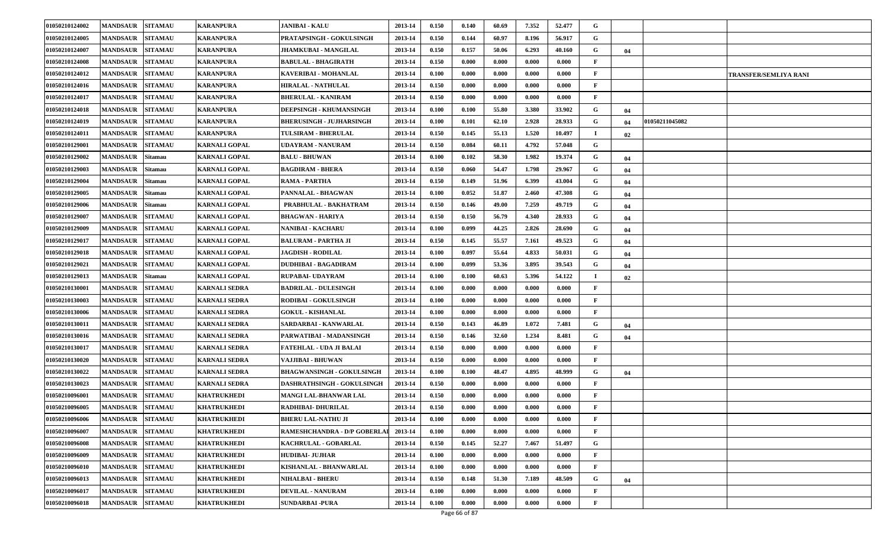| 01050210124002 | <b>MANDSAUR</b>  | <b>SITAMAU</b> | <b>KARANPURA</b>     | <b>JANIBAI - KALU</b>             | 2013-14 | 0.150 | 0.140 | 60.69 | 7.352 | 52.477 | G            |    |                |                       |
|----------------|------------------|----------------|----------------------|-----------------------------------|---------|-------|-------|-------|-------|--------|--------------|----|----------------|-----------------------|
| 01050210124005 | <b>MANDSAUR</b>  | <b>SITAMAU</b> | KARANPURA            | PRATAPSINGH - GOKULSINGH          | 2013-14 | 0.150 | 0.144 | 60.97 | 8.196 | 56.917 | G            |    |                |                       |
| 01050210124007 | <b>MANDSAUR</b>  | <b>SITAMAU</b> | <b>KARANPURA</b>     | <b>JHAMKUBAI - MANGILAL</b>       | 2013-14 | 0.150 | 0.157 | 50.06 | 6.293 | 40.160 | G            | 04 |                |                       |
| 01050210124008 | <b>MANDSAUR</b>  | <b>SITAMAU</b> | KARANPURA            | <b>BABULAL - BHAGIRATH</b>        | 2013-14 | 0.150 | 0.000 | 0.000 | 0.000 | 0.000  | F            |    |                |                       |
| 01050210124012 | <b>MANDSAUR</b>  | <b>SITAMAU</b> | <b>KARANPURA</b>     | KAVERIBAI - MOHANLAL              | 2013-14 | 0.100 | 0.000 | 0.000 | 0.000 | 0.000  | $\mathbf{F}$ |    |                | TRANSFER/SEMLIYA RANI |
| 01050210124016 | <b>MANDSAUR</b>  | <b>SITAMAU</b> | <b>KARANPURA</b>     | <b>HIRALAL - NATHULAL</b>         | 2013-14 | 0.150 | 0.000 | 0.000 | 0.000 | 0.000  | F            |    |                |                       |
| 01050210124017 | <b>MANDSAUR</b>  | <b>SITAMAU</b> | <b>KARANPURA</b>     | <b>BHERULAL - KANIRAM</b>         | 2013-14 | 0.150 | 0.000 | 0.000 | 0.000 | 0.000  | F            |    |                |                       |
| 01050210124018 | <b>MANDSAUR</b>  | <b>SITAMAU</b> | <b>KARANPURA</b>     | DEEPSINGH - KHUMANSINGH           | 2013-14 | 0.100 | 0.100 | 55.80 | 3.380 | 33.902 | G            | 04 |                |                       |
| 01050210124019 | <b>MANDSAUR</b>  | <b>SITAMAU</b> | <b>KARANPURA</b>     | <b>BHERUSINGH - JUJHARSINGH</b>   | 2013-14 | 0.100 | 0.101 | 62.10 | 2.928 | 28.933 | G            | 04 | 01050211045082 |                       |
| 01050210124011 | <b>MANDSAUR</b>  | <b>SITAMAU</b> | <b>KARANPURA</b>     | <b>TULSIRAM - BHERULAL</b>        | 2013-14 | 0.150 | 0.145 | 55.13 | 1.520 | 10.497 | -1           | 02 |                |                       |
| 01050210129001 | <b>MANDSAUR</b>  | <b>SITAMAU</b> | <b>KARNALI GOPAL</b> | UDAYRAM - NANURAM                 | 2013-14 | 0.150 | 0.084 | 60.11 | 4.792 | 57.048 | G            |    |                |                       |
| 01050210129002 | <b>MANDSAUR</b>  | Sitamau        | KARNALI GOPAL        | <b>BALU - BHUWAN</b>              | 2013-14 | 0.100 | 0.102 | 58.30 | 1.982 | 19.374 | G            | 04 |                |                       |
| 01050210129003 | <b>MANDSAUR</b>  | Sitamau        | <b>KARNALI GOPAL</b> | <b>BAGDIRAM - BHERA</b>           | 2013-14 | 0.150 | 0.060 | 54.47 | 1.798 | 29.967 | G            | 04 |                |                       |
| 01050210129004 | <b>MANDSAUR</b>  | Sitamau        | <b>KARNALI GOPAL</b> | <b>RAMA - PARTHA</b>              | 2013-14 | 0.150 | 0.149 | 51.96 | 6.399 | 43.004 | G            | 04 |                |                       |
| 01050210129005 | <b>MANDSAUR</b>  | Sitamau        | KARNALI GOPAL        | PANNALAL - BHAGWAN                | 2013-14 | 0.100 | 0.052 | 51.87 | 2.460 | 47.308 | G            | 04 |                |                       |
| 01050210129006 | <b>MANDSAUR</b>  | Sitamau        | <b>KARNALI GOPAL</b> | PRABHULAL - BAKHATRAM             | 2013-14 | 0.150 | 0.146 | 49.00 | 7.259 | 49.719 | G            | 04 |                |                       |
| 01050210129007 | <b>MANDSAUR</b>  | <b>SITAMAU</b> | KARNALI GOPAL        | <b>BHAGWAN - HARIYA</b>           | 2013-14 | 0.150 | 0.150 | 56.79 | 4.340 | 28.933 | G            | 04 |                |                       |
| 01050210129009 | <b>MANDSAUR</b>  | <b>SITAMAU</b> | <b>KARNALI GOPAL</b> | NANIBAI - KACHARU                 | 2013-14 | 0.100 | 0.099 | 44.25 | 2.826 | 28.690 | G            | 04 |                |                       |
| 01050210129017 | <b>MANDSAUR</b>  | <b>SITAMAU</b> | KARNALI GOPAL        | <b>BALURAM - PARTHA JI</b>        | 2013-14 | 0.150 | 0.145 | 55.57 | 7.161 | 49.523 | G            | 04 |                |                       |
| 01050210129018 | <b>MANDSAUR</b>  | <b>SITAMAU</b> | <b>KARNALI GOPAL</b> | <b>JAGDISH - RODILAL</b>          | 2013-14 | 0.100 | 0.097 | 55.64 | 4.833 | 50.031 | G            | 04 |                |                       |
| 01050210129021 | <b>MANDSAUR</b>  | <b>SITAMAU</b> | <b>KARNALI GOPAL</b> | <b>DUDHIBAI - BAGADIRAM</b>       | 2013-14 | 0.100 | 0.099 | 53.36 | 3.895 | 39.543 | G            | 04 |                |                       |
| 01050210129013 | <b>MANDSAUR</b>  | Sitamau        | <b>KARNALI GOPAL</b> | <b>RUPABAI- UDAYRAM</b>           | 2013-14 | 0.100 | 0.100 | 60.63 | 5.396 | 54.122 | $\mathbf I$  | 02 |                |                       |
| 01050210130001 | <b>MANDSAUR</b>  | <b>SITAMAU</b> | KARNALI SEDRA        | <b>BADRILAL - DULESINGH</b>       | 2013-14 | 0.100 | 0.000 | 0.000 | 0.000 | 0.000  | F            |    |                |                       |
| 01050210130003 | <b>MANDSAUR</b>  | <b>SITAMAU</b> | <b>KARNALI SEDRA</b> | <b>RODIBAI - GOKULSINGH</b>       | 2013-14 | 0.100 | 0.000 | 0.000 | 0.000 | 0.000  | F            |    |                |                       |
| 01050210130006 | <b>MANDSAUR</b>  | <b>SITAMAU</b> | KARNALI SEDRA        | <b>GOKUL - KISHANLAL</b>          | 2013-14 | 0.100 | 0.000 | 0.000 | 0.000 | 0.000  | F            |    |                |                       |
| 01050210130011 | <b>MANDSAUR</b>  | <b>SITAMAU</b> | KARNALI SEDRA        | SARDARBAI - KANWARLAL             | 2013-14 | 0.150 | 0.143 | 46.89 | 1.072 | 7.481  | G            | 04 |                |                       |
| 01050210130016 | <b>MANDSAUR</b>  | <b>SITAMAU</b> | KARNALI SEDRA        | PARWATIBAI - MADANSINGH           | 2013-14 | 0.150 | 0.146 | 32.60 | 1.234 | 8.481  | G            | 04 |                |                       |
| 01050210130017 | <b>MANDSAUR</b>  | <b>SITAMAU</b> | <b>KARNALI SEDRA</b> | FATEHLAL - UDA JI BALAI           | 2013-14 | 0.150 | 0.000 | 0.000 | 0.000 | 0.000  | $\mathbf{F}$ |    |                |                       |
| 01050210130020 | <b>MANDSAUR</b>  | <b>SITAMAU</b> | <b>KARNALI SEDRA</b> | VAJJIBAI - BHUWAN                 | 2013-14 | 0.150 | 0.000 | 0.000 | 0.000 | 0.000  | F            |    |                |                       |
| 01050210130022 | <b>MANDSAUR</b>  | <b>SITAMAU</b> | KARNALI SEDRA        | <b>BHAGWANSINGH - GOKULSINGH</b>  | 2013-14 | 0.100 | 0.100 | 48.47 | 4.895 | 48.999 | G            | 04 |                |                       |
| 01050210130023 | <b>MANDSAUR</b>  | <b>SITAMAU</b> | KARNALI SEDRA        | <b>DASHRATHSINGH - GOKULSINGH</b> | 2013-14 | 0.150 | 0.000 | 0.000 | 0.000 | 0.000  | F            |    |                |                       |
| 01050210096001 | <b>MANDSAUR</b>  | <b>SITAMAU</b> | KHATRUKHEDI          | MANGI LAL-BHANWAR LAL             | 2013-14 | 0.150 | 0.000 | 0.000 | 0.000 | 0.000  | F            |    |                |                       |
| 01050210096005 | MANDSAUR SITAMAU |                | <b>KHATRUKHEDI</b>   | <b>RADHIBAI- DHURILAL</b>         | 2013-14 | 0.150 | 0.000 | 0.000 | 0.000 | 0.000  | F            |    |                |                       |
| 01050210096006 | MANDSAUR SITAMAU |                | <b>KHATRUKHEDI</b>   | <b>BHERU LAL-NATHU JI</b>         | 2013-14 | 0.100 | 0.000 | 0.000 | 0.000 | 0.000  | F            |    |                |                       |
| 01050210096007 | <b>MANDSAUR</b>  | <b>SITAMAU</b> | <b>KHATRUKHEDI</b>   | RAMESHCHANDRA - D/P GOBERLAI      | 2013-14 | 0.100 | 0.000 | 0.000 | 0.000 | 0.000  | $\mathbf{F}$ |    |                |                       |
| 01050210096008 | <b>MANDSAUR</b>  | <b>SITAMAU</b> | <b>KHATRUKHEDI</b>   | KACHRULAL - GOBARLAL              | 2013-14 | 0.150 | 0.145 | 52.27 | 7.467 | 51.497 | G            |    |                |                       |
| 01050210096009 | <b>MANDSAUR</b>  | <b>SITAMAU</b> | <b>KHATRUKHEDI</b>   | <b>HUDIBAI- JUJHAR</b>            | 2013-14 | 0.100 | 0.000 | 0.000 | 0.000 | 0.000  | F            |    |                |                       |
| 01050210096010 | <b>MANDSAUR</b>  | <b>SITAMAU</b> | <b>KHATRUKHEDI</b>   | KISHANLAL - BHANWARLAL            | 2013-14 | 0.100 | 0.000 | 0.000 | 0.000 | 0.000  | F            |    |                |                       |
| 01050210096013 | <b>MANDSAUR</b>  | <b>SITAMAU</b> | <b>KHATRUKHEDI</b>   | NIHALBAI - BHERU                  | 2013-14 | 0.150 | 0.148 | 51.30 | 7.189 | 48.509 | G            | 04 |                |                       |
| 01050210096017 | <b>MANDSAUR</b>  | <b>SITAMAU</b> | KHATRUKHEDI          | <b>DEVILAL - NANURAM</b>          | 2013-14 | 0.100 | 0.000 | 0.000 | 0.000 | 0.000  | F            |    |                |                       |
| 01050210096018 | <b>MANDSAUR</b>  | <b>SITAMAU</b> | <b>KHATRUKHEDI</b>   | <b>SUNDARBAI -PURA</b>            | 2013-14 | 0.100 | 0.000 | 0.000 | 0.000 | 0.000  | $\mathbf{F}$ |    |                |                       |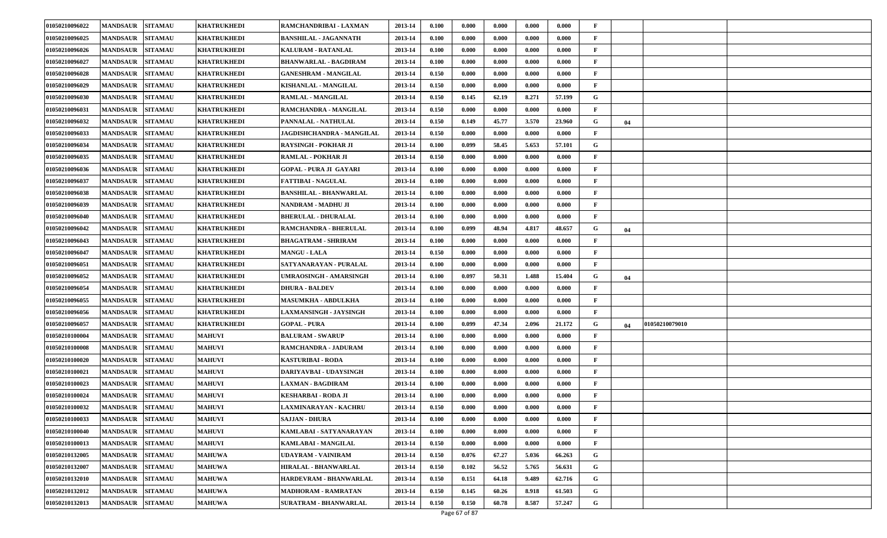| 01050210096022 | <b>MANDSAUR</b> | <b>SITAMAU</b> | <b>KHATRUKHEDI</b> | RAMCHANDRIBAI - LAXMAN        | 2013-14 | 0.100 | 0.000 | 0.000 | 0.000 | 0.000  | $\mathbf F$ |                      |  |
|----------------|-----------------|----------------|--------------------|-------------------------------|---------|-------|-------|-------|-------|--------|-------------|----------------------|--|
| 01050210096025 | <b>MANDSAUR</b> | <b>SITAMAU</b> | KHATRUKHEDI        | <b>BANSHILAL - JAGANNATH</b>  | 2013-14 | 0.100 | 0.000 | 0.000 | 0.000 | 0.000  | $\mathbf F$ |                      |  |
| 01050210096026 | <b>MANDSAUR</b> | <b>SITAMAU</b> | <b>KHATRUKHEDI</b> | <b>KALURAM - RATANLAL</b>     | 2013-14 | 0.100 | 0.000 | 0.000 | 0.000 | 0.000  | $\mathbf F$ |                      |  |
| 01050210096027 | <b>MANDSAUR</b> | <b>SITAMAU</b> | <b>KHATRUKHEDI</b> | <b>BHANWARLAL - BAGDIRAM</b>  | 2013-14 | 0.100 | 0.000 | 0.000 | 0.000 | 0.000  | $\mathbf F$ |                      |  |
| 01050210096028 | <b>MANDSAUR</b> | <b>SITAMAU</b> | <b>KHATRUKHEDI</b> | <b>GANESHRAM - MANGILAL</b>   | 2013-14 | 0.150 | 0.000 | 0.000 | 0.000 | 0.000  | F           |                      |  |
| 01050210096029 | <b>MANDSAUR</b> | <b>SITAMAU</b> | <b>KHATRUKHEDI</b> | KISHANLAL - MANGILAL          | 2013-14 | 0.150 | 0.000 | 0.000 | 0.000 | 0.000  | F           |                      |  |
| 01050210096030 | <b>MANDSAUR</b> | <b>SITAMAU</b> | <b>KHATRUKHEDI</b> | RAMLAL - MANGILAL             | 2013-14 | 0.150 | 0.145 | 62.19 | 8.271 | 57.199 | G           |                      |  |
| 01050210096031 | <b>MANDSAUR</b> | <b>SITAMAU</b> | KHATRUKHEDI        | RAMCHANDRA - MANGILAL         | 2013-14 | 0.150 | 0.000 | 0.000 | 0.000 | 0.000  | F           |                      |  |
| 01050210096032 | <b>MANDSAUR</b> | <b>SITAMAU</b> | KHATRUKHEDI        | PANNALAL - NATHULAL           | 2013-14 | 0.150 | 0.149 | 45.77 | 3.570 | 23.960 | G           | 04                   |  |
| 01050210096033 | <b>MANDSAUR</b> | <b>SITAMAU</b> | <b>KHATRUKHEDI</b> | JAGDISHCHANDRA - MANGILAL     | 2013-14 | 0.150 | 0.000 | 0.000 | 0.000 | 0.000  | F           |                      |  |
| 01050210096034 | <b>MANDSAUR</b> | <b>SITAMAU</b> | KHATRUKHEDI        | <b>RAYSINGH - POKHAR JI</b>   | 2013-14 | 0.100 | 0.099 | 58.45 | 5.653 | 57.101 | G           |                      |  |
| 01050210096035 | <b>MANDSAUR</b> | <b>SITAMAU</b> | KHATRUKHEDI        | <b>RAMLAL - POKHAR JI</b>     | 2013-14 | 0.150 | 0.000 | 0.000 | 0.000 | 0.000  | F           |                      |  |
| 01050210096036 | <b>MANDSAUR</b> | <b>SITAMAU</b> | <b>KHATRUKHEDI</b> | GOPAL - PURA JI  GAYARI       | 2013-14 | 0.100 | 0.000 | 0.000 | 0.000 | 0.000  | $\mathbf F$ |                      |  |
| 01050210096037 | <b>MANDSAUR</b> | <b>SITAMAU</b> | <b>KHATRUKHEDI</b> | <b>FATTIBAI - NAGULAL</b>     | 2013-14 | 0.100 | 0.000 | 0.000 | 0.000 | 0.000  | $\mathbf F$ |                      |  |
| 01050210096038 | <b>MANDSAUR</b> | <b>SITAMAU</b> | KHATRUKHEDI        | <b>BANSHILAL - BHANWARLAL</b> | 2013-14 | 0.100 | 0.000 | 0.000 | 0.000 | 0.000  |             |                      |  |
| 01050210096039 | <b>MANDSAUR</b> | <b>SITAMAU</b> | KHATRUKHEDI        | NANDRAM - MADHU JI            | 2013-14 | 0.100 | 0.000 | 0.000 | 0.000 | 0.000  | F           |                      |  |
| 01050210096040 | <b>MANDSAUR</b> | <b>SITAMAU</b> | <b>KHATRUKHEDI</b> | <b>BHERULAL - DHURALAL</b>    | 2013-14 | 0.100 | 0.000 | 0.000 | 0.000 | 0.000  | F           |                      |  |
| 01050210096042 | <b>MANDSAUR</b> | <b>SITAMAU</b> | <b>KHATRUKHEDI</b> | RAMCHANDRA - BHERULAL         | 2013-14 | 0.100 | 0.099 | 48.94 | 4.817 | 48.657 | G           | 04                   |  |
| 01050210096043 | <b>MANDSAUR</b> | <b>SITAMAU</b> | <b>KHATRUKHEDI</b> | BHAGATRAM - SHRIRAM           | 2013-14 | 0.100 | 0.000 | 0.000 | 0.000 | 0.000  | $\mathbf F$ |                      |  |
| 01050210096047 | <b>MANDSAUR</b> | <b>SITAMAU</b> | <b>KHATRUKHEDI</b> | <b>MANGU - LALA</b>           | 2013-14 | 0.150 | 0.000 | 0.000 | 0.000 | 0.000  | F           |                      |  |
| 01050210096051 | <b>MANDSAUR</b> | <b>SITAMAU</b> | KHATRUKHEDI        | SATYANARAYAN - PURALAL        | 2013-14 | 0.100 | 0.000 | 0.000 | 0.000 | 0.000  | $\mathbf F$ |                      |  |
| 01050210096052 | <b>MANDSAUR</b> | <b>SITAMAU</b> | <b>KHATRUKHEDI</b> | UMRAOSINGH - AMARSINGH        | 2013-14 | 0.100 | 0.097 | 50.31 | 1.488 | 15.404 | G           | 04                   |  |
| 01050210096054 | <b>MANDSAUR</b> | <b>SITAMAU</b> | <b>KHATRUKHEDI</b> | <b>DHURA - BALDEV</b>         | 2013-14 | 0.100 | 0.000 | 0.000 | 0.000 | 0.000  | F           |                      |  |
| 01050210096055 | <b>MANDSAUR</b> | <b>SITAMAU</b> | <b>KHATRUKHEDI</b> | <b>MASUMKHA - ABDULKHA</b>    | 2013-14 | 0.100 | 0.000 | 0.000 | 0.000 | 0.000  | F           |                      |  |
| 01050210096056 | <b>MANDSAUR</b> | <b>SITAMAU</b> | <b>KHATRUKHEDI</b> | <b>LAXMANSINGH - JAYSINGH</b> | 2013-14 | 0.100 | 0.000 | 0.000 | 0.000 | 0.000  | $\mathbf F$ |                      |  |
| 01050210096057 | <b>MANDSAUR</b> | <b>SITAMAU</b> | <b>KHATRUKHEDI</b> | <b>GOPAL - PURA</b>           | 2013-14 | 0.100 | 0.099 | 47.34 | 2.096 | 21.172 | G           | 01050210079010<br>04 |  |
| 01050210100004 | <b>MANDSAUR</b> | <b>SITAMAU</b> | <b>MAHUVI</b>      | <b>BALURAM - SWARUP</b>       | 2013-14 | 0.100 | 0.000 | 0.000 | 0.000 | 0.000  | F           |                      |  |
| 01050210100008 | <b>MANDSAUR</b> | <b>SITAMAU</b> | <b>MAHUVI</b>      | RAMCHANDRA - JADURAM          | 2013-14 | 0.100 | 0.000 | 0.000 | 0.000 | 0.000  | F           |                      |  |
| 01050210100020 | <b>MANDSAUR</b> | <b>SITAMAU</b> | <b>MAHUVI</b>      | <b>KASTURIBAI - RODA</b>      | 2013-14 | 0.100 | 0.000 | 0.000 | 0.000 | 0.000  | F           |                      |  |
| 01050210100021 | <b>MANDSAUR</b> | <b>SITAMAU</b> | <b>MAHUVI</b>      | DARIYAVBAI - UDAYSINGH        | 2013-14 | 0.100 | 0.000 | 0.000 | 0.000 | 0.000  | $\mathbf F$ |                      |  |
| 01050210100023 | <b>MANDSAUR</b> | <b>SITAMAU</b> | <b>MAHUVI</b>      | <b>LAXMAN - BAGDIRAM</b>      | 2013-14 | 0.100 | 0.000 | 0.000 | 0.000 | 0.000  | F           |                      |  |
| 01050210100024 | <b>MANDSAUR</b> | <b>SITAMAU</b> | <b>MAHUVI</b>      | KESHARBAI - RODA JI           | 2013-14 | 0.100 | 0.000 | 0.000 | 0.000 | 0.000  | $\mathbf F$ |                      |  |
| 01050210100032 | <b>MANDSAUR</b> | <b>SITAMAU</b> | <b>MAHUVI</b>      | LAXMINARAYAN - KACHRU         | 2013-14 | 0.150 | 0.000 | 0.000 | 0.000 | 0.000  | $\mathbf F$ |                      |  |
| 01050210100033 | <b>MANDSAUR</b> | <b>SITAMAU</b> | <b>MAHUVI</b>      | <b>SAJJAN - DHURA</b>         | 2013-14 | 0.100 | 0.000 | 0.000 | 0.000 | 0.000  | $\mathbf F$ |                      |  |
| 01050210100040 | <b>MANDSAUR</b> | <b>SITAMAU</b> | <b>MAHUVI</b>      | KAMLABAI - SATYANARAYAN       | 2013-14 | 0.100 | 0.000 | 0.000 | 0.000 | 0.000  | F           |                      |  |
| 01050210100013 | <b>MANDSAUR</b> | <b>SITAMAU</b> | <b>MAHUVI</b>      | KAMLABAI - MANGILAL           | 2013-14 | 0.150 | 0.000 | 0.000 | 0.000 | 0.000  | $\mathbf F$ |                      |  |
| 01050210132005 | <b>MANDSAUR</b> | <b>SITAMAU</b> | <b>MAHUWA</b>      | <b>UDAYRAM - VAINIRAM</b>     | 2013-14 | 0.150 | 0.076 | 67.27 | 5.036 | 66.263 | G           |                      |  |
| 01050210132007 | <b>MANDSAUR</b> | <b>SITAMAU</b> | <b>MAHUWA</b>      | HIRALAL - BHANWARLAL          | 2013-14 | 0.150 | 0.102 | 56.52 | 5.765 | 56.631 | G           |                      |  |
| 01050210132010 | <b>MANDSAUR</b> | <b>SITAMAU</b> | <b>MAHUWA</b>      | HARDEVRAM - BHANWARLAL        | 2013-14 | 0.150 | 0.151 | 64.18 | 9.489 | 62.716 | G           |                      |  |
| 01050210132012 | <b>MANDSAUR</b> | <b>SITAMAU</b> | <b>MAHUWA</b>      | <b>MADHORAM - RAMRATAN</b>    | 2013-14 | 0.150 | 0.145 | 60.26 | 8.918 | 61.503 | G           |                      |  |
| 01050210132013 | <b>MANDSAUR</b> | <b>SITAMAU</b> | <b>MAHUWA</b>      | <b>SURATRAM - BHANWARLAL</b>  | 2013-14 | 0.150 | 0.150 | 60.78 | 8.587 | 57.247 | G           |                      |  |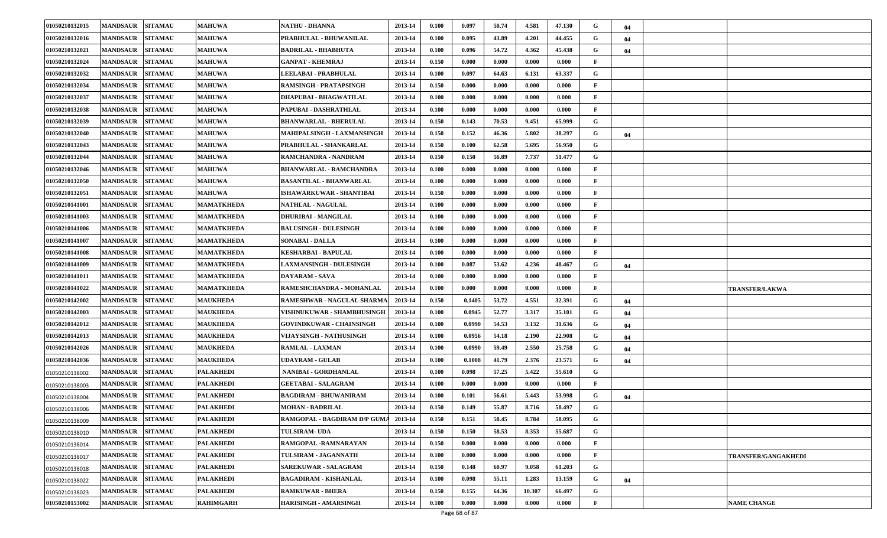| 01050210132015 | <b>MANDSAUR</b>  | <b>SITAMAU</b> | <b>MAHUWA</b>     | NATHU - DHANNA                  | 2013-14 | 0.100 | 0.097  | 50.74 | 4.581  | 47.130 | G | 04 |                            |
|----------------|------------------|----------------|-------------------|---------------------------------|---------|-------|--------|-------|--------|--------|---|----|----------------------------|
| 01050210132016 | <b>MANDSAUR</b>  | <b>SITAMAU</b> | <b>MAHUWA</b>     | PRABHULAL - BHUWANILAL          | 2013-14 | 0.100 | 0.095  | 43.89 | 4.201  | 44.455 | G | 04 |                            |
| 01050210132021 | <b>MANDSAUR</b>  | <b>SITAMAU</b> | <b>MAHUWA</b>     | <b>BADRILAL - BHABHUTA</b>      | 2013-14 | 0.100 | 0.096  | 54.72 | 4.362  | 45.438 | G | 04 |                            |
| 01050210132024 | <b>MANDSAUR</b>  | <b>SITAMAU</b> | <b>MAHUWA</b>     | GANPAT - KHEMRAJ                | 2013-14 | 0.150 | 0.000  | 0.000 | 0.000  | 0.000  | F |    |                            |
| 01050210132032 | <b>MANDSAUR</b>  | <b>SITAMAU</b> | <b>MAHUWA</b>     | <b>LEELABAI - PRABHULAL</b>     | 2013-14 | 0.100 | 0.097  | 64.63 | 6.131  | 63.337 | G |    |                            |
| 01050210132034 | <b>MANDSAUR</b>  | <b>SITAMAU</b> | <b>MAHUWA</b>     | <b>RAMSINGH - PRATAPSINGH</b>   | 2013-14 | 0.150 | 0.000  | 0.000 | 0.000  | 0.000  | F |    |                            |
| 01050210132037 | <b>MANDSAUR</b>  | <b>SITAMAU</b> | <b>MAHUWA</b>     | DHAPUBAI - BHAGWATILAL          | 2013-14 | 0.100 | 0.000  | 0.000 | 0.000  | 0.000  | F |    |                            |
| 01050210132038 | <b>MANDSAUR</b>  | <b>SITAMAU</b> | <b>MAHUWA</b>     | PAPUBAI - DASHRATHLAL           | 2013-14 | 0.100 | 0.000  | 0.000 | 0.000  | 0.000  | F |    |                            |
| 01050210132039 | <b>MANDSAUR</b>  | <b>SITAMAU</b> | <b>MAHUWA</b>     | <b>BHANWARLAL - BHERULAL</b>    | 2013-14 | 0.150 | 0.143  | 70.53 | 9.451  | 65.999 | G |    |                            |
| 01050210132040 | <b>MANDSAUR</b>  | <b>SITAMAU</b> | <b>MAHUWA</b>     | MAHIPALSINGH - LAXMANSINGH      | 2013-14 | 0.150 | 0.152  | 46.36 | 5.802  | 38.297 | G | 04 |                            |
| 01050210132043 | <b>MANDSAUR</b>  | <b>SITAMAU</b> | <b>MAHUWA</b>     | PRABHULAL - SHANKARLAL          | 2013-14 | 0.150 | 0.100  | 62.58 | 5.695  | 56.950 | G |    |                            |
| 01050210132044 | <b>MANDSAUR</b>  | <b>SITAMAU</b> | <b>MAHUWA</b>     | RAMCHANDRA - NANDRAM            | 2013-14 | 0.150 | 0.150  | 56.89 | 7.737  | 51.477 | G |    |                            |
| 01050210132046 | <b>MANDSAUR</b>  | <b>SITAMAU</b> | <b>MAHUWA</b>     | <b>BHANWARLAL - RAMCHANDRA</b>  | 2013-14 | 0.100 | 0.000  | 0.000 | 0.000  | 0.000  | F |    |                            |
| 01050210132050 | <b>MANDSAUR</b>  | <b>SITAMAU</b> | <b>MAHUWA</b>     | <b>BASANTILAL - BHANWARLAL</b>  | 2013-14 | 0.100 | 0.000  | 0.000 | 0.000  | 0.000  | F |    |                            |
| 01050210132051 | <b>MANDSAUR</b>  | <b>SITAMAU</b> | <b>MAHUWA</b>     | ISHAWARKUWAR - SHANTIBAI        | 2013-14 | 0.150 | 0.000  | 0.000 | 0.000  | 0.000  |   |    |                            |
| 01050210141001 | <b>MANDSAUR</b>  | <b>SITAMAU</b> | MAMATKHEDA        | <b>NATHLAL - NAGULAL</b>        | 2013-14 | 0.100 | 0.000  | 0.000 | 0.000  | 0.000  | F |    |                            |
| 01050210141003 | <b>MANDSAUR</b>  | <b>SITAMAU</b> | MAMATKHEDA        | DHURIBAI - MANGILAL             | 2013-14 | 0.100 | 0.000  | 0.000 | 0.000  | 0.000  | F |    |                            |
| 01050210141006 | <b>MANDSAUR</b>  | <b>SITAMAU</b> | <b>MAMATKHEDA</b> | <b>BALUSINGH - DULESINGH</b>    | 2013-14 | 0.100 | 0.000  | 0.000 | 0.000  | 0.000  | F |    |                            |
| 01050210141007 | <b>MANDSAUR</b>  | <b>SITAMAU</b> | MAMATKHEDA        | <b>SONABAI - DALLA</b>          | 2013-14 | 0.100 | 0.000  | 0.000 | 0.000  | 0.000  | F |    |                            |
| 01050210141008 | <b>MANDSAUR</b>  | <b>SITAMAU</b> | MAMATKHEDA        | KESHARBAI - BAPULAL             | 2013-14 | 0.100 | 0.000  | 0.000 | 0.000  | 0.000  | F |    |                            |
| 01050210141009 | <b>MANDSAUR</b>  | <b>SITAMAU</b> | MAMATKHEDA        | <b>LAXMANSINGH - DULESINGH</b>  | 2013-14 | 0.100 | 0.087  | 53.62 | 4.236  | 48.467 | G | 04 |                            |
| 01050210141011 | <b>MANDSAUR</b>  | <b>SITAMAU</b> | <b>MAMATKHEDA</b> | DAYARAM - SAVA                  | 2013-14 | 0.100 | 0.000  | 0.000 | 0.000  | 0.000  | F |    |                            |
| 01050210141022 | <b>MANDSAUR</b>  | <b>SITAMAU</b> | MAMATKHEDA        | RAMESHCHANDRA - MOHANLAL        | 2013-14 | 0.100 | 0.000  | 0.000 | 0.000  | 0.000  | F |    | <b>TRANSFER/LAKWA</b>      |
| 01050210142002 | <b>MANDSAUR</b>  | <b>SITAMAU</b> | <b>MAUKHEDA</b>   | RAMESHWAR - NAGULAL SHARMA      | 2013-14 | 0.150 | 0.1405 | 53.72 | 4.551  | 32.391 | G | 04 |                            |
| 01050210142003 | <b>MANDSAUR</b>  | <b>SITAMAU</b> | <b>MAUKHEDA</b>   | VISHNUKUWAR - SHAMBHUSINGH      | 2013-14 | 0.100 | 0.0945 | 52.77 | 3.317  | 35.101 | G | 04 |                            |
| 01050210142012 | <b>MANDSAUR</b>  | <b>SITAMAU</b> | <b>MAUKHEDA</b>   | <b>GOVINDKUWAR - CHAINSINGH</b> | 2013-14 | 0.100 | 0.0990 | 54.53 | 3.132  | 31.636 | G | 04 |                            |
| 01050210142013 | <b>MANDSAUR</b>  | <b>SITAMAU</b> | <b>MAUKHEDA</b>   | VIJAYSINGH - NATHUSINGH         | 2013-14 | 0.100 | 0.0956 | 54.18 | 2.190  | 22.908 | G | 04 |                            |
| 01050210142026 | <b>MANDSAUR</b>  | <b>SITAMAU</b> | <b>MAUKHEDA</b>   | <b>RAMLAL - LAXMAN</b>          | 2013-14 | 0.100 | 0.0990 | 59.49 | 2.550  | 25.758 | G | 04 |                            |
| 01050210142036 | <b>MANDSAUR</b>  | <b>SITAMAU</b> | <b>MAUKHEDA</b>   | <b>UDAYRAM - GULAB</b>          | 2013-14 | 0.100 | 0.1008 | 41.79 | 2.376  | 23.571 | G | 04 |                            |
| 01050210138002 | <b>MANDSAUR</b>  | <b>SITAMAU</b> | <b>PALAKHEDI</b>  | NANIBAI - GORDHANLAL            | 2013-14 | 0.100 | 0.098  | 57.25 | 5.422  | 55.610 | G |    |                            |
| 01050210138003 | <b>MANDSAUR</b>  | <b>SITAMAU</b> | PALAKHEDI         | <b>GEETABAI - SALAGRAM</b>      | 2013-14 | 0.100 | 0.000  | 0.000 | 0.000  | 0.000  | F |    |                            |
| 01050210138004 | <b>MANDSAUR</b>  | <b>SITAMAU</b> | PALAKHEDI         | BAGDIRAM - BHUWANIRAM           | 2013-14 | 0.100 | 0.101  | 56.61 | 5.443  | 53.998 | G | 04 |                            |
| 01050210138006 | MANDSAUR SITAMAU |                | <b>PALAKHEDI</b>  | <b>MOHAN - BADRILAL</b>         | 2013-14 | 0.150 | 0.149  | 55.87 | 8.716  | 58.497 | G |    |                            |
| 01050210138009 | MANDSAUR SITAMAU |                | <b>PALAKHEDI</b>  | RAMGOPAL - BAGDIRAM D/P GUMA    | 2013-14 | 0.150 | 0.151  | 58.45 | 8.784  | 58.095 | G |    |                            |
| 01050210138010 | <b>MANDSAUR</b>  | <b>SITAMAU</b> | PALAKHEDI         | <b>TULSIRAM- UDA</b>            | 2013-14 | 0.150 | 0.150  | 58.53 | 8.353  | 55.687 | G |    |                            |
| 01050210138014 | <b>MANDSAUR</b>  | <b>SITAMAU</b> | <b>PALAKHEDI</b>  | RAMGOPAL - RAMNARAYAN           | 2013-14 | 0.150 | 0.000  | 0.000 | 0.000  | 0.000  | F |    |                            |
| 01050210138017 | <b>MANDSAUR</b>  | <b>SITAMAU</b> | PALAKHEDI         | TULSIRAM - JAGANNATH            | 2013-14 | 0.100 | 0.000  | 0.000 | 0.000  | 0.000  | F |    | <b>TRANSFER/GANGAKHEDI</b> |
| 01050210138018 | <b>MANDSAUR</b>  | <b>SITAMAU</b> | PALAKHEDI         | <b>SAREKUWAR - SALAGRAM</b>     | 2013-14 | 0.150 | 0.148  | 60.97 | 9.058  | 61.203 | G |    |                            |
| 01050210138022 | <b>MANDSAUR</b>  | <b>SITAMAU</b> | <b>PALAKHEDI</b>  | BAGADIRAM - KISHANLAL           | 2013-14 | 0.100 | 0.098  | 55.11 | 1.283  | 13.159 | G | 04 |                            |
| 01050210138023 | <b>MANDSAUR</b>  | <b>SITAMAU</b> | PALAKHEDI         | <b>RAMKUWAR - BHERA</b>         | 2013-14 | 0.150 | 0.155  | 64.36 | 10.307 | 66.497 | G |    |                            |
| 01050210153002 | <b>MANDSAUR</b>  | <b>SITAMAU</b> | <b>RAHIMGARH</b>  | <b>HARISINGH - AMARSINGH</b>    | 2013-14 | 0.100 | 0.000  | 0.000 | 0.000  | 0.000  | F |    | <b>NAME CHANGE</b>         |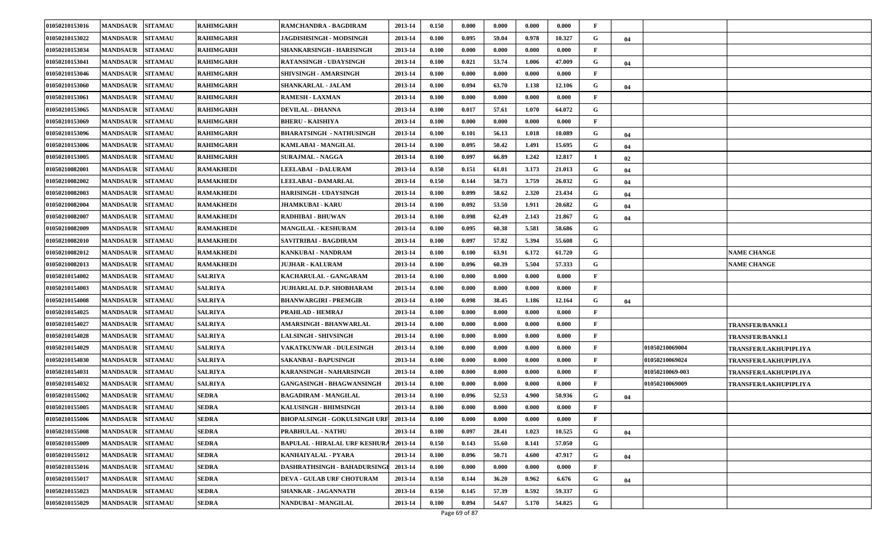| 01050210153016 | <b>MANDSAUR</b><br><b>SITAMAU</b> | <b>RAHIMGARH</b> | RAMCHANDRA - BAGDIRAM               | 2013-14 | 0.150 | 0.000          | 0.000 | 0.000 | 0.000  | F        |    |                        |                        |
|----------------|-----------------------------------|------------------|-------------------------------------|---------|-------|----------------|-------|-------|--------|----------|----|------------------------|------------------------|
| 01050210153022 | <b>MANDSAUR</b><br><b>SITAMAU</b> | <b>RAHIMGARH</b> | JAGDISHSINGH - MODSINGH             | 2013-14 | 0.100 | 0.095          | 59.04 | 0.978 | 10.327 | G        | 04 |                        |                        |
| 01050210153034 | <b>MANDSAUR</b><br><b>SITAMAU</b> | <b>RAHIMGARH</b> | SHANKARSINGH - HARISINGH            | 2013-14 | 0.100 | 0.000          | 0.000 | 0.000 | 0.000  | F        |    |                        |                        |
| 01050210153041 | <b>MANDSAUR</b><br><b>SITAMAU</b> | <b>RAHIMGARH</b> | RATANSINGH - UDAYSINGH              | 2013-14 | 0.100 | 0.021          | 53.74 | 1.006 | 47.009 | G        | 04 |                        |                        |
| 01050210153046 | <b>MANDSAUR</b><br><b>SITAMAU</b> | <b>RAHIMGARH</b> | SHIVSINGH - AMARSINGH               | 2013-14 | 0.100 | 0.000          | 0.000 | 0.000 | 0.000  | F        |    |                        |                        |
| 01050210153060 | <b>MANDSAUR</b><br><b>SITAMAU</b> | <b>RAHIMGARH</b> | <b>SHANKARLAL - JALAM</b>           | 2013-14 | 0.100 | 0.094          | 63.70 | 1.138 | 12.106 | G        | 04 |                        |                        |
| 01050210153061 | <b>MANDSAUR</b><br><b>SITAMAU</b> | <b>RAHIMGARH</b> | <b>RAMESH - LAXMAN</b>              | 2013-14 | 0.100 | 0.000          | 0.000 | 0.000 | 0.000  | F        |    |                        |                        |
| 01050210153065 | <b>MANDSAUR</b><br><b>SITAMAU</b> | <b>RAHIMGARH</b> | <b>DEVILAL - DHANNA</b>             | 2013-14 | 0.100 | 0.017          | 57.61 | 1.070 | 64.072 | G        |    |                        |                        |
| 01050210153069 | <b>MANDSAUR</b><br><b>SITAMAU</b> | <b>RAHIMGARH</b> | <b>BHERU - KAISHIYA</b>             | 2013-14 | 0.100 | 0.000          | 0.000 | 0.000 | 0.000  | F        |    |                        |                        |
| 01050210153096 | <b>MANDSAUR</b><br><b>SITAMAU</b> | <b>RAHIMGARH</b> | <b>BHARATSINGH - NATHUSINGH</b>     | 2013-14 | 0.100 | 0.101          | 56.13 | 1.018 | 10.089 | G        | 04 |                        |                        |
| 01050210153006 | <b>MANDSAUR</b><br><b>SITAMAU</b> | <b>RAHIMGARH</b> | KAMLABAI - MANGILAL                 | 2013-14 | 0.100 | 0.095          | 50.42 | 1.491 | 15.695 | G        | 04 |                        |                        |
| 01050210153005 | <b>MANDSAUR</b><br><b>SITAMAU</b> | <b>RAHIMGARH</b> | <b>SURAJMAL - NAGGA</b>             | 2013-14 | 0.100 | 0.097          | 66.89 | 1.242 | 12.817 | $\bf{I}$ | 02 |                        |                        |
| 01050210082001 | <b>MANDSAUR</b><br><b>SITAMAU</b> | <b>RAMAKHEDI</b> | <b>LEELABAI - DALURAM</b>           | 2013-14 | 0.150 | 0.151          | 61.01 | 3.173 | 21.013 | G        | 04 |                        |                        |
| 01050210082002 | <b>MANDSAUR</b><br><b>SITAMAU</b> | <b>RAMAKHEDI</b> | LEELABAI - DAMARLAL                 | 2013-14 | 0.150 | 0.144          | 58.73 | 3.759 | 26.032 | G        | 04 |                        |                        |
| 01050210082003 | <b>MANDSAUR</b><br><b>SITAMAU</b> | <b>RAMAKHEDI</b> | HARISINGH - UDAYSINGH               | 2013-14 | 0.100 | 0.099          | 58.62 | 2.320 | 23.434 | G        | 04 |                        |                        |
| 01050210082004 | <b>MANDSAUR</b><br><b>SITAMAU</b> | <b>RAMAKHEDI</b> | <b>JHAMKUBAI - KARU</b>             | 2013-14 | 0.100 | 0.092          | 53.50 | 1.911 | 20.682 | G        | 04 |                        |                        |
| 01050210082007 | <b>MANDSAUR</b><br><b>SITAMAU</b> | <b>RAMAKHEDI</b> | RADHIBAI - BHUWAN                   | 2013-14 | 0.100 | 0.098          | 62.49 | 2.143 | 21.867 | G        | 04 |                        |                        |
| 01050210082009 | <b>MANDSAUR</b><br><b>SITAMAU</b> | <b>RAMAKHEDI</b> | MANGILAL - KESHURAM                 | 2013-14 | 0.100 | 0.095          | 60.38 | 5.581 | 58.686 | G        |    |                        |                        |
| 01050210082010 | <b>MANDSAUR</b><br><b>SITAMAU</b> | <b>RAMAKHEDI</b> | SAVITRIBAI - BAGDIRAM               | 2013-14 | 0.100 | 0.097          | 57.82 | 5.394 | 55.608 | G        |    |                        |                        |
| 01050210082012 | <b>MANDSAUR</b><br><b>SITAMAU</b> | <b>RAMAKHEDI</b> | <b>KANKUBAI - NANDRAM</b>           | 2013-14 | 0.100 | 0.100          | 63.91 | 6.172 | 61.720 | G        |    |                        | <b>NAME CHANGE</b>     |
| 01050210082013 | <b>MANDSAUR</b><br><b>SITAMAU</b> | <b>RAMAKHEDI</b> | <b>JUJHAR - KALURAM</b>             | 2013-14 | 0.100 | 0.096          | 60.39 | 5.504 | 57.333 | G        |    |                        | <b>NAME CHANGE</b>     |
| 01050210154002 | <b>MANDSAUR</b><br><b>SITAMAU</b> | <b>SALRIYA</b>   | KACHARULAL - GANGARAM               | 2013-14 | 0.100 | 0.000          | 0.000 | 0.000 | 0.000  | F        |    |                        |                        |
| 01050210154003 | <b>MANDSAUR</b><br><b>SITAMAU</b> | <b>SALRIYA</b>   | JUJHARLAL D.P. SHOBHARAM            | 2013-14 | 0.100 | 0.000          | 0.000 | 0.000 | 0.000  | F        |    |                        |                        |
| 01050210154008 | <b>MANDSAUR</b><br><b>SITAMAU</b> | <b>SALRIYA</b>   | <b>BHANWARGIRI - PREMGIR</b>        | 2013-14 | 0.100 | 0.098          | 38.45 | 1.186 | 12.164 | G        | 04 |                        |                        |
| 01050210154025 | <b>MANDSAUR</b><br><b>SITAMAU</b> | <b>SALRIYA</b>   | PRAHLAD - HEMRAJ                    | 2013-14 | 0.100 | 0.000          | 0.000 | 0.000 | 0.000  | F        |    |                        |                        |
| 01050210154027 | <b>SITAMAU</b><br><b>MANDSAUR</b> | <b>SALRIYA</b>   | AMARSINGH - BHANWARLAL              | 2013-14 | 0.100 | 0.000          | 0.000 | 0.000 | 0.000  |          |    |                        | <b>TRANSFER/BANKLI</b> |
| 01050210154028 | <b>MANDSAUR</b><br><b>SITAMAU</b> | <b>SALRIYA</b>   | LALSINGH - SHIVSINGH                | 2013-14 | 0.100 | 0.000          | 0.000 | 0.000 | 0.000  | F        |    |                        | <b>TRANSFER/BANKLI</b> |
| 01050210154029 | <b>MANDSAUR</b><br><b>SITAMAU</b> | <b>SALRIYA</b>   | VAKATKUNWAR - DULESINGH             | 2013-14 | 0.100 | 0.000          | 0.000 | 0.000 | 0.000  | F        |    | 01050210069004         | TRANSFER/LAKHUPIPLIYA  |
| 01050210154030 | <b>MANDSAUR</b><br><b>SITAMAU</b> | <b>SALRIYA</b>   | SAKANBAI - BAPUSINGH                | 2013-14 | 0.100 | 0.000          | 0.000 | 0.000 | 0.000  | F        |    | 01050210069024         | TRANSFER/LAKHUPIPLIYA  |
| 01050210154031 | <b>MANDSAUR</b><br><b>SITAMAU</b> | <b>SALRIYA</b>   | KARANSINGH - NAHARSINGH             | 2013-14 | 0.100 | 0.000          | 0.000 | 0.000 | 0.000  | F        |    | <b>01050210069-003</b> | TRANSFER/LAKHUPIPLIYA  |
| 01050210154032 | <b>MANDSAUR</b><br><b>SITAMAU</b> | <b>SALRIYA</b>   | GANGASINGH - BHAGWANSINGH           | 2013-14 | 0.100 | 0.000          | 0.000 | 0.000 | 0.000  | F        |    | <b>01050210069009</b>  | TRANSFER/LAKHUPIPLIYA  |
| 01050210155002 | <b>MANDSAUR</b><br><b>SITAMAU</b> | <b>SEDRA</b>     | BAGADIRAM - MANGILAL                | 2013-14 | 0.100 | 0.096          | 52.53 | 4.900 | 50.936 | G        | 04 |                        |                        |
| 01050210155005 | MANDSAUR SITAMAU                  | <b>SEDRA</b>     | <b>KALUSINGH - BHIMSINGH</b>        | 2013-14 | 0.100 | 0.000          | 0.000 | 0.000 | 0.000  | F        |    |                        |                        |
| 01050210155006 | MANDSAUR SITAMAU                  | <b>SEDRA</b>     | <b>BHOPALSINGH - GOKULSINGH URF</b> | 2013-14 | 0.100 | 0.000          | 0.000 | 0.000 | 0.000  |          |    |                        |                        |
| 01050210155008 | MANDSAUR SITAMAU                  | <b>SEDRA</b>     | PRABHULAL - NATHU                   | 2013-14 | 0.100 | 0.097          | 28.41 | 1.023 | 10.525 | G        | 04 |                        |                        |
| 01050210155009 | MANDSAUR SITAMAU                  | <b>SEDRA</b>     | <b>BAPULAL - HIRALAL URF KESHUR</b> | 2013-14 | 0.150 | 0.143          | 55.60 | 8.141 | 57.050 | G        |    |                        |                        |
| 01050210155012 | MANDSAUR SITAMAU                  | <b>SEDRA</b>     | KANHAIYALAL - PYARA                 | 2013-14 | 0.100 | 0.096          | 50.71 | 4.600 | 47.917 | G        | 04 |                        |                        |
| 01050210155016 | <b>MANDSAUR</b><br><b>SITAMAU</b> | <b>SEDRA</b>     | DASHRATHSINGH - BAHADURSINGI        | 2013-14 | 0.100 | 0.000          | 0.000 | 0.000 | 0.000  | F        |    |                        |                        |
| 01050210155017 | <b>MANDSAUR</b><br><b>SITAMAU</b> | <b>SEDRA</b>     | <b>DEVA - GULAB URF CHOTURAM</b>    | 2013-14 | 0.150 | 0.144          | 36.20 | 0.962 | 6.676  | G        | 04 |                        |                        |
| 01050210155023 | <b>MANDSAUR</b><br><b>SITAMAU</b> | <b>SEDRA</b>     | SHANKAR - JAGANNATH                 | 2013-14 | 0.150 | 0.145          | 57.39 | 8.592 | 59.337 | G        |    |                        |                        |
| 01050210155029 | MANDSAUR SITAMAU                  | <b>SEDRA</b>     | NANDUBAI - MANGILAL                 | 2013-14 | 0.100 | 0.094<br>0.000 | 54.67 | 5.170 | 54.825 | G        |    |                        |                        |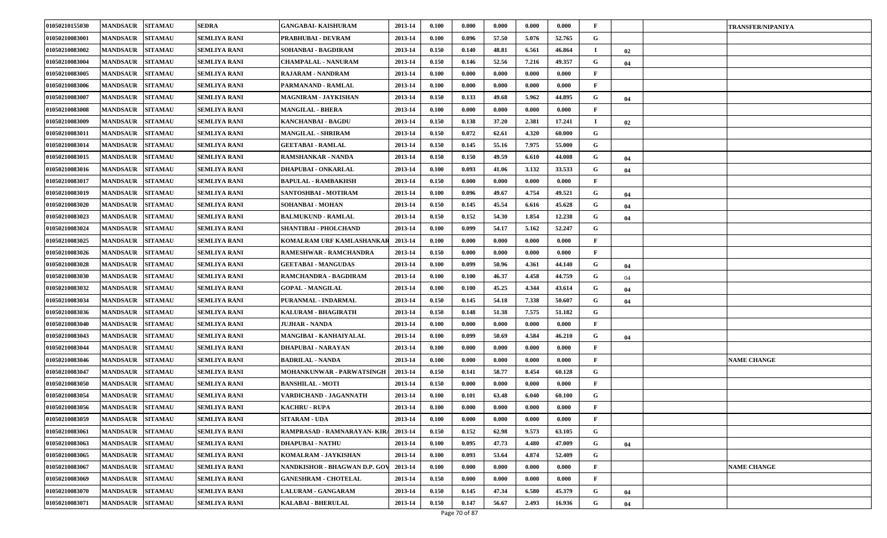| 01050210155030 | <b>MANDSAUR</b> | <b>SITAMAU</b> | <b>SEDRA</b>        | <b>GANGABAI- KAISHURAM</b>    | 2013-14 | 0.100 | 0.000 | 0.000 | 0.000 | 0.000  | $\mathbf F$  |    | <b>TRANSFER/NIPANIYA</b> |
|----------------|-----------------|----------------|---------------------|-------------------------------|---------|-------|-------|-------|-------|--------|--------------|----|--------------------------|
| 01050210083001 | <b>MANDSAUR</b> | <b>SITAMAU</b> | <b>SEMLIYA RANI</b> | PRABHUBAI - DEVRAM            | 2013-14 | 0.100 | 0.096 | 57.50 | 5.076 | 52.765 | G            |    |                          |
| 01050210083002 | <b>MANDSAUR</b> | <b>SITAMAU</b> | <b>SEMLIYA RANI</b> | <b>SOHANBAI - BAGDIRAM</b>    | 2013-14 | 0.150 | 0.140 | 48.81 | 6.561 | 46.864 | $\bf{I}$     | 02 |                          |
| 01050210083004 | <b>MANDSAUR</b> | <b>SITAMAU</b> | <b>SEMLIYA RANI</b> | <b>CHAMPALAL - NANURAM</b>    | 2013-14 | 0.150 | 0.146 | 52.56 | 7.216 | 49.357 | G            | 04 |                          |
| 01050210083005 | <b>MANDSAUR</b> | <b>SITAMAU</b> | <b>SEMLIYA RANI</b> | RAJARAM - NANDRAM             | 2013-14 | 0.100 | 0.000 | 0.000 | 0.000 | 0.000  | F            |    |                          |
| 01050210083006 | <b>MANDSAUR</b> | <b>SITAMAU</b> | <b>SEMLIYA RANI</b> | PARMANAND - RAMLAL            | 2013-14 | 0.100 | 0.000 | 0.000 | 0.000 | 0.000  | F            |    |                          |
| 01050210083007 | <b>MANDSAUR</b> | <b>SITAMAU</b> | <b>SEMLIYA RANI</b> | <b>MAGNIRAM - JAYKISHAN</b>   | 2013-14 | 0.150 | 0.133 | 49.68 | 5.962 | 44.895 | G            | 04 |                          |
| 01050210083008 | <b>MANDSAUR</b> | <b>SITAMAU</b> | <b>SEMLIYA RANI</b> | <b>MANGILAL - BHERA</b>       | 2013-14 | 0.100 | 0.000 | 0.000 | 0.000 | 0.000  | F            |    |                          |
| 01050210083009 | <b>MANDSAUR</b> | <b>SITAMAU</b> | <b>SEMLIYA RANI</b> | <b>KANCHANBAI - BAGDU</b>     | 2013-14 | 0.150 | 0.138 | 37.20 | 2.381 | 17.241 | $\bf{I}$     | 02 |                          |
| 01050210083011 | <b>MANDSAUR</b> | <b>SITAMAU</b> | <b>SEMLIYA RANI</b> | <b>MANGILAL - SHRIRAM</b>     | 2013-14 | 0.150 | 0.072 | 62.61 | 4.320 | 60.000 | G            |    |                          |
| 01050210083014 | <b>MANDSAUR</b> | <b>SITAMAU</b> | <b>SEMLIYA RANI</b> | <b>GEETABAI - RAMLAL</b>      | 2013-14 | 0.150 | 0.145 | 55.16 | 7.975 | 55.000 | G            |    |                          |
| 01050210083015 | <b>MANDSAUR</b> | <b>SITAMAU</b> | <b>SEMLIYA RANI</b> | <b>RAMSHANKAR - NANDA</b>     | 2013-14 | 0.150 | 0.150 | 49.59 | 6.610 | 44.008 | G            | 04 |                          |
| 01050210083016 | <b>MANDSAUR</b> | <b>SITAMAU</b> | <b>SEMLIYA RANI</b> | <b>DHAPUBAI - ONKARLAL</b>    | 2013-14 | 0.100 | 0.093 | 41.06 | 3.132 | 33.533 | G            | 04 |                          |
| 01050210083017 | <b>MANDSAUR</b> | <b>SITAMAU</b> | <b>SEMLIYA RANI</b> | <b>BAPULAL - RAMBAKHSH</b>    | 2013-14 | 0.150 | 0.000 | 0.000 | 0.000 | 0.000  | F            |    |                          |
| 01050210083019 | <b>MANDSAUR</b> | <b>SITAMAU</b> | <b>SEMLIYA RANI</b> | SANTOSHBAI - MOTIRAM          | 2013-14 | 0.100 | 0.096 | 49.67 | 4.754 | 49.521 | G            | 04 |                          |
| 01050210083020 | <b>MANDSAUR</b> | <b>SITAMAU</b> | <b>SEMLIYA RANI</b> | SOHANBAI - MOHAN              | 2013-14 | 0.150 | 0.145 | 45.54 | 6.616 | 45.628 | G            | 04 |                          |
| 01050210083023 | <b>MANDSAUR</b> | <b>SITAMAU</b> | <b>SEMLIYA RANI</b> | <b>BALMUKUND - RAMLAL</b>     | 2013-14 | 0.150 | 0.152 | 54.30 | 1.854 | 12.238 | G            | 04 |                          |
| 01050210083024 | <b>MANDSAUR</b> | <b>SITAMAU</b> | <b>SEMLIYA RANI</b> | <b>SHANTIBAI - PHOLCHAND</b>  | 2013-14 | 0.100 | 0.099 | 54.17 | 5.162 | 52.247 | G            |    |                          |
| 01050210083025 | <b>MANDSAUR</b> | <b>SITAMAU</b> | <b>SEMLIYA RANI</b> | KOMALRAM URF KAMLASHANKAR     | 2013-14 | 0.100 | 0.000 | 0.000 | 0.000 | 0.000  | F            |    |                          |
| 01050210083026 | <b>MANDSAUR</b> | <b>SITAMAU</b> | <b>SEMLIYA RANI</b> | <b>RAMESHWAR - RAMCHANDRA</b> | 2013-14 | 0.150 | 0.000 | 0.000 | 0.000 | 0.000  | F            |    |                          |
| 01050210083028 | <b>MANDSAUR</b> | <b>SITAMAU</b> | <b>SEMLIYA RANI</b> | <b>GEETABAI - MANGUDAS</b>    | 2013-14 | 0.100 | 0.099 | 50.96 | 4.361 | 44.140 | G            | 04 |                          |
| 01050210083030 | <b>MANDSAUR</b> | <b>SITAMAU</b> | <b>SEMLIYA RANI</b> | RAMCHANDRA - BAGDIRAM         | 2013-14 | 0.100 | 0.100 | 46.37 | 4.458 | 44.759 | G            | 04 |                          |
| 01050210083032 | <b>MANDSAUR</b> | <b>SITAMAU</b> | <b>SEMLIYA RANI</b> | <b>GOPAL - MANGILAL</b>       | 2013-14 | 0.100 | 0.100 | 45.25 | 4.344 | 43.614 | G            | 04 |                          |
| 01050210083034 | <b>MANDSAUR</b> | <b>SITAMAU</b> | <b>SEMLIYA RANI</b> | PURANMAL - INDARMAL           | 2013-14 | 0.150 | 0.145 | 54.18 | 7.338 | 50.607 | G            | 04 |                          |
| 01050210083036 | <b>MANDSAUR</b> | <b>SITAMAU</b> | <b>SEMLIYA RANI</b> | KALURAM - BHAGIRATH           | 2013-14 | 0.150 | 0.148 | 51.38 | 7.575 | 51.182 | G            |    |                          |
| 01050210083040 | <b>MANDSAUR</b> | <b>SITAMAU</b> | SEMLIYA RANI        | <b>JUJHAR - NANDA</b>         | 2013-14 | 0.100 | 0.000 | 0.000 | 0.000 | 0.000  | $\mathbf{F}$ |    |                          |
| 01050210083043 | <b>MANDSAUR</b> | <b>SITAMAU</b> | SEMLIYA RANI        | MANGIBAI - KANHAIYALAL        | 2013-14 | 0.100 | 0.099 | 50.69 | 4.584 | 46.210 | G            | 04 |                          |
| 01050210083044 | <b>MANDSAUR</b> | <b>SITAMAU</b> | <b>SEMLIYA RANI</b> | <b>DHAPUBAI - NARAYAN</b>     | 2013-14 | 0.100 | 0.000 | 0.000 | 0.000 | 0.000  | F            |    |                          |
| 01050210083046 | <b>MANDSAUR</b> | <b>SITAMAU</b> | <b>SEMLIYA RANI</b> | <b>BADRILAL - NANDA</b>       | 2013-14 | 0.100 | 0.000 | 0.000 | 0.000 | 0.000  | F            |    | <b>NAME CHANGE</b>       |
| 01050210083047 | <b>MANDSAUR</b> | <b>SITAMAU</b> | <b>SEMLIYA RANI</b> | MOHANKUNWAR - PARWATSINGH     | 2013-14 | 0.150 | 0.141 | 58.77 | 8.454 | 60.128 | G            |    |                          |
| 01050210083050 | <b>MANDSAUR</b> | <b>SITAMAU</b> | <b>SEMLIYA RANI</b> | <b>BANSHILAL - MOTI</b>       | 2013-14 | 0.150 | 0.000 | 0.000 | 0.000 | 0.000  | F            |    |                          |
| 01050210083054 | <b>MANDSAUR</b> | <b>SITAMAU</b> | <b>SEMLIYA RANI</b> | VARDICHAND - JAGANNATH        | 2013-14 | 0.100 | 0.101 | 63.48 | 6.040 | 60.100 | G            |    |                          |
| 01050210083056 | <b>MANDSAUR</b> | <b>SITAMAU</b> | <b>SEMLIYA RANI</b> | <b>KACHRU - RUPA</b>          | 2013-14 | 0.100 | 0.000 | 0.000 | 0.000 | 0.000  | F            |    |                          |
| 01050210083059 | <b>MANDSAUR</b> | <b>SITAMAU</b> | <b>SEMLIYA RANI</b> | <b>SITARAM - UDA</b>          | 2013-14 | 0.100 | 0.000 | 0.000 | 0.000 | 0.000  |              |    |                          |
| 01050210083061 | <b>MANDSAUR</b> | <b>SITAMAU</b> | SEMLIYA RANI        | RAMPRASAD - RAMNARAYAN-KIRA   | 2013-14 | 0.150 | 0.152 | 62.98 | 9.573 | 63.105 | G            |    |                          |
| 01050210083063 | <b>MANDSAUR</b> | <b>SITAMAU</b> | <b>SEMLIYA RANI</b> | <b>DHAPUBAI - NATHU</b>       | 2013-14 | 0.100 | 0.095 | 47.73 | 4.480 | 47.009 | G            | 04 |                          |
| 01050210083065 | <b>MANDSAUR</b> | <b>SITAMAU</b> | <b>SEMLIYA RANI</b> | KOMALRAM - JAYKISHAN          | 2013-14 | 0.100 | 0.093 | 53.64 | 4.874 | 52.409 | G            |    |                          |
| 01050210083067 | <b>MANDSAUR</b> | <b>SITAMAU</b> | <b>SEMLIYA RANI</b> | NANDKISHOR - BHAGWAN D.P. GOV | 2013-14 | 0.100 | 0.000 | 0.000 | 0.000 | 0.000  | F            |    | <b>NAME CHANGE</b>       |
| 01050210083069 | <b>MANDSAUR</b> | <b>SITAMAU</b> | <b>SEMLIYA RANI</b> | <b>GANESHRAM - CHOTELAL</b>   | 2013-14 | 0.150 | 0.000 | 0.000 | 0.000 | 0.000  | F            |    |                          |
| 01050210083070 | <b>MANDSAUR</b> | <b>SITAMAU</b> | <b>SEMLIYA RANI</b> | <b>LALURAM - GANGARAM</b>     | 2013-14 | 0.150 | 0.145 | 47.34 | 6.580 | 45.379 | G            | 04 |                          |
| 01050210083071 | <b>MANDSAUR</b> | <b>SITAMAU</b> | <b>SEMLIYA RANI</b> | <b>KALABAI - BHERULAL</b>     | 2013-14 | 0.150 | 0.147 | 56.67 | 2.493 | 16.936 | G            | 04 |                          |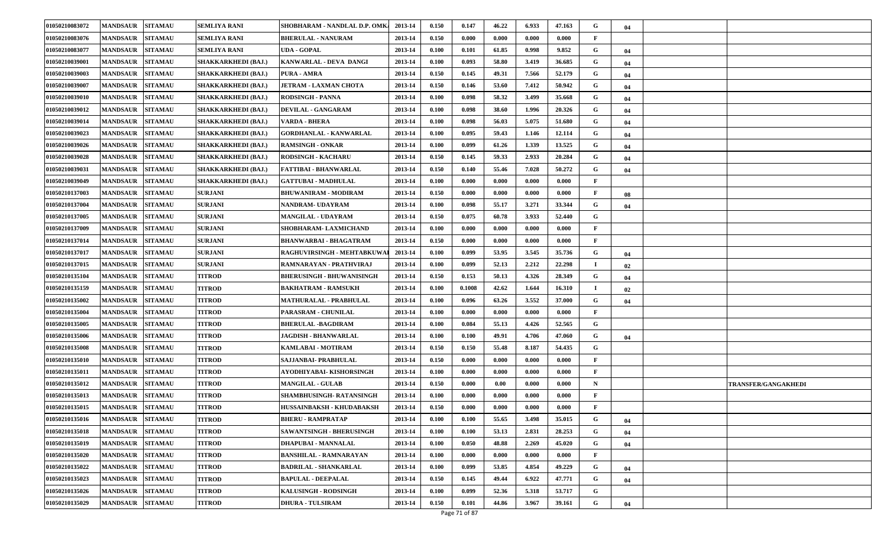| 01050210083072 | <b>MANDSAUR</b>  | <b>SITAMAU</b> | <b>SEMLIYA RANI</b>        | SHOBHARAM - NANDLAL D.P. OMK.    | 2013-14 | 0.150 | 0.147                | 46.22 | 6.933 | 47.163 | G           | 04  |                            |
|----------------|------------------|----------------|----------------------------|----------------------------------|---------|-------|----------------------|-------|-------|--------|-------------|-----|----------------------------|
| 01050210083076 | <b>MANDSAUR</b>  | <b>SITAMAU</b> | SEMLIYA RANI               | <b>BHERULAL - NANURAM</b>        | 2013-14 | 0.150 | 0.000                | 0.000 | 0.000 | 0.000  | $\mathbf F$ |     |                            |
| 01050210083077 | <b>MANDSAUR</b>  | <b>SITAMAU</b> | <b>SEMLIYA RANI</b>        | <b>UDA - GOPAL</b>               | 2013-14 | 0.100 | 0.101                | 61.85 | 0.998 | 9.852  | G           | 04  |                            |
| 01050210039001 | <b>MANDSAUR</b>  | <b>SITAMAU</b> | SHAKKARKHEDI (BAJ.)        | KANWARLAL - DEVA DANGI           | 2013-14 | 0.100 | 0.093                | 58.80 | 3.419 | 36.685 | G           | 04  |                            |
| 01050210039003 | <b>MANDSAUR</b>  | <b>SITAMAU</b> | SHAKKARKHEDI (BAJ.)        | PURA - AMRA                      | 2013-14 | 0.150 | 0.145                | 49.31 | 7.566 | 52.179 | G           | 04  |                            |
| 01050210039007 | <b>MANDSAUR</b>  | <b>SITAMAU</b> | SHAKKARKHEDI (BAJ.)        | <b>JETRAM - LAXMAN CHOTA</b>     | 2013-14 | 0.150 | 0.146                | 53.60 | 7.412 | 50.942 | G           | 04  |                            |
| 01050210039010 | <b>MANDSAUR</b>  | <b>SITAMAU</b> | SHAKKARKHEDI (BAJ.)        | <b>RODSINGH - PANNA</b>          | 2013-14 | 0.100 | 0.098                | 58.32 | 3.499 | 35.668 | G           | 04  |                            |
| 01050210039012 | <b>MANDSAUR</b>  | <b>SITAMAU</b> | SHAKKARKHEDI (BAJ.)        | <b>DEVILAL - GANGARAM</b>        | 2013-14 | 0.100 | 0.098                | 38.60 | 1.996 | 20.326 | G           | 04  |                            |
| 01050210039014 | <b>MANDSAUR</b>  | <b>SITAMAU</b> | SHAKKARKHEDI (BAJ.)        | <b>VARDA - BHERA</b>             | 2013-14 | 0.100 | 0.098                | 56.03 | 5.075 | 51.680 | G           | 04  |                            |
| 01050210039023 | <b>MANDSAUR</b>  | <b>SITAMAU</b> | SHAKKARKHEDI (BAJ.)        | <b>GORDHANLAL - KANWARLAL</b>    | 2013-14 | 0.100 | 0.095                | 59.43 | 1.146 | 12.114 | G           | 04  |                            |
| 01050210039026 | <b>MANDSAUR</b>  | <b>SITAMAU</b> | SHAKKARKHEDI (BAJ.)        | <b>RAMSINGH - ONKAR</b>          | 2013-14 | 0.100 | 0.099                | 61.26 | 1.339 | 13.525 | G           | 04  |                            |
| 01050210039028 | <b>MANDSAUR</b>  | <b>SITAMAU</b> | SHAKKARKHEDI (BAJ.)        | <b>RODSINGH - KACHARU</b>        | 2013-14 | 0.150 | 0.145                | 59.33 | 2.933 | 20.284 | G           | 04  |                            |
| 01050210039031 | <b>MANDSAUR</b>  | <b>SITAMAU</b> | <b>SHAKKARKHEDI (BAJ.)</b> | <b>FATTIBAI - BHANWARLAL</b>     | 2013-14 | 0.150 | 0.140                | 55.46 | 7.028 | 50.272 | G           | 04  |                            |
| 01050210039049 | <b>MANDSAUR</b>  | <b>SITAMAU</b> | <b>SHAKKARKHEDI (BAJ.)</b> | <b>GATTUBAI - MADHULAL</b>       | 2013-14 | 0.100 | 0.000                | 0.000 | 0.000 | 0.000  | F           |     |                            |
| 01050210137003 | <b>MANDSAUR</b>  | <b>SITAMAU</b> | <b>SURJANI</b>             | <b>BHUWANIRAM - MODIRAM</b>      | 2013-14 | 0.150 | 0.000                | 0.000 | 0.000 | 0.000  |             | -08 |                            |
| 01050210137004 | <b>MANDSAUR</b>  | <b>SITAMAU</b> | <b>SURJANI</b>             | NANDRAM- UDAYRAM                 | 2013-14 | 0.100 | 0.098                | 55.17 | 3.271 | 33.344 | G           | 04  |                            |
| 01050210137005 | <b>MANDSAUR</b>  | <b>SITAMAU</b> | <b>SURJANI</b>             | MANGILAL - UDAYRAM               | 2013-14 | 0.150 | 0.075                | 60.78 | 3.933 | 52.440 | G           |     |                            |
| 01050210137009 | <b>MANDSAUR</b>  | <b>SITAMAU</b> | <b>SURJANI</b>             | <b>SHOBHARAM- LAXMICHAND</b>     | 2013-14 | 0.100 | 0.000                | 0.000 | 0.000 | 0.000  | $\mathbf F$ |     |                            |
| 01050210137014 | <b>MANDSAUR</b>  | <b>SITAMAU</b> | <b>SURJANI</b>             | BHANWARBAI - BHAGATRAM           | 2013-14 | 0.150 | 0.000                | 0.000 | 0.000 | 0.000  | F           |     |                            |
| 01050210137017 | <b>MANDSAUR</b>  | <b>SITAMAU</b> | <b>SURJANI</b>             | RAGHUVIRSINGH - MEHTABKUWAI      | 2013-14 | 0.100 | 0.099                | 53.95 | 3.545 | 35.736 | G           | 04  |                            |
| 01050210137015 | <b>MANDSAUR</b>  | <b>SITAMAU</b> | <b>SURJANI</b>             | RAMNARAYAN - PRATHVIRAJ          | 2013-14 | 0.100 | 0.099                | 52.13 | 2.212 | 22.298 | $\mathbf I$ | 02  |                            |
| 01050210135104 | <b>MANDSAUR</b>  | <b>SITAMAU</b> | <b>TITROD</b>              | <b>BHERUSINGH - BHUWANISINGH</b> | 2013-14 | 0.150 | 0.153                | 50.13 | 4.326 | 28.349 | G           | 04  |                            |
| 01050210135159 | <b>MANDSAUR</b>  | <b>SITAMAU</b> | <b>TITROD</b>              | <b>BAKHATRAM - RAMSUKH</b>       | 2013-14 | 0.100 | 0.1008               | 42.62 | 1.644 | 16.310 | $\bf{I}$    | 02  |                            |
| 01050210135002 | <b>MANDSAUR</b>  | <b>SITAMAU</b> | <b>TITROD</b>              | MATHURALAL - PRABHULAL           | 2013-14 | 0.100 | 0.096                | 63.26 | 3.552 | 37.000 | G           | 04  |                            |
| 01050210135004 | <b>MANDSAUR</b>  | <b>SITAMAU</b> | <b>TITROD</b>              | PARASRAM - CHUNILAL              | 2013-14 | 0.100 | 0.000                | 0.000 | 0.000 | 0.000  | F           |     |                            |
| 01050210135005 | <b>MANDSAUR</b>  | <b>SITAMAU</b> | <b>TITROD</b>              | <b>BHERULAL -BAGDIRAM</b>        | 2013-14 | 0.100 | 0.084                | 55.13 | 4.426 | 52.565 | G           |     |                            |
| 01050210135006 | <b>MANDSAUR</b>  | <b>SITAMAU</b> | <b>TITROD</b>              | <b>JAGDISH - BHANWARLAL</b>      | 2013-14 | 0.100 | 0.100                | 49.91 | 4.706 | 47.060 | G           | 04  |                            |
| 01050210135008 | <b>MANDSAUR</b>  | <b>SITAMAU</b> | <b>TITROD</b>              | KAMLABAI - MOTIRAM               | 2013-14 | 0.150 | 0.150                | 55.48 | 8.187 | 54.435 | G           |     |                            |
| 01050210135010 | <b>MANDSAUR</b>  | <b>SITAMAU</b> | <b>TITROD</b>              | SAJJANBAI- PRABHULAL             | 2013-14 | 0.150 | 0.000                | 0.000 | 0.000 | 0.000  | F           |     |                            |
| 01050210135011 | <b>MANDSAUR</b>  | <b>SITAMAU</b> | <b>TITROD</b>              | AYODHIYABAI- KISHORSINGH         | 2013-14 | 0.100 | 0.000                | 0.000 | 0.000 | 0.000  | $\mathbf F$ |     |                            |
| 01050210135012 | <b>MANDSAUR</b>  | <b>SITAMAU</b> | TITROD                     | <b>MANGILAL - GULAB</b>          | 2013-14 | 0.150 | 0.000                | 0.00  | 0.000 | 0.000  | N           |     | <b>TRANSFER/GANGAKHEDI</b> |
| 01050210135013 | <b>MANDSAUR</b>  | <b>SITAMAU</b> | <b>TITROD</b>              | SHAMBHUSINGH- RATANSINGH         | 2013-14 | 0.100 | 0.000                | 0.000 | 0.000 | 0.000  |             |     |                            |
| 01050210135015 | <b>MANDSAUR</b>  | <b>SITAMAU</b> | <b>TITROD</b>              | HUSSAINBAKSH - KHUDABAKSH        | 2013-14 | 0.150 | 0.000                | 0.000 | 0.000 | 0.000  | F           |     |                            |
| 01050210135016 | MANDSAUR SITAMAU |                | <b>TITROD</b>              | <b>BHERU - RAMPRATAP</b>         | 2013-14 | 0.100 | 0.100                | 55.65 | 3.498 | 35.015 | G           | 04  |                            |
| 01050210135018 | <b>MANDSAUR</b>  | <b>SITAMAU</b> | <b>TITROD</b>              | <b>SAWANTSINGH - BHERUSINGH</b>  | 2013-14 | 0.100 | 0.100                | 53.13 | 2.831 | 28.253 | G           | 04  |                            |
| 01050210135019 | <b>MANDSAUR</b>  | <b>SITAMAU</b> | <b>TITROD</b>              | DHAPUBAI - MANNALAL              | 2013-14 | 0.100 | 0.050                | 48.88 | 2.269 | 45.020 | G           | 04  |                            |
| 01050210135020 | <b>MANDSAUR</b>  | <b>SITAMAU</b> | <b>TITROD</b>              | <b>BANSHILAL - RAMNARAYAN</b>    | 2013-14 | 0.100 | 0.000                | 0.000 | 0.000 | 0.000  | F           |     |                            |
| 01050210135022 | <b>MANDSAUR</b>  | <b>SITAMAU</b> | <b>TITROD</b>              | <b>BADRILAL - SHANKARLAL</b>     | 2013-14 | 0.100 | 0.099                | 53.85 | 4.854 | 49.229 | G           | 04  |                            |
| 01050210135023 | <b>MANDSAUR</b>  | <b>SITAMAU</b> | <b>TITROD</b>              | <b>BAPULAL - DEEPALAL</b>        | 2013-14 | 0.150 | 0.145                | 49.44 | 6.922 | 47.771 | G           | 04  |                            |
| 01050210135026 | <b>MANDSAUR</b>  | <b>SITAMAU</b> | <b>TITROD</b>              | <b>KALUSINGH - RODSINGH</b>      | 2013-14 | 0.100 | 0.099                | 52.36 | 5.318 | 53.717 | G           |     |                            |
| 01050210135029 | <b>MANDSAUR</b>  | <b>SITAMAU</b> | <b>TITROD</b>              | <b>DHURA - TULSIRAM</b>          | 2013-14 | 0.150 | 0.101<br>$-74 - 607$ | 44.86 | 3.967 | 39.161 | G           | 04  |                            |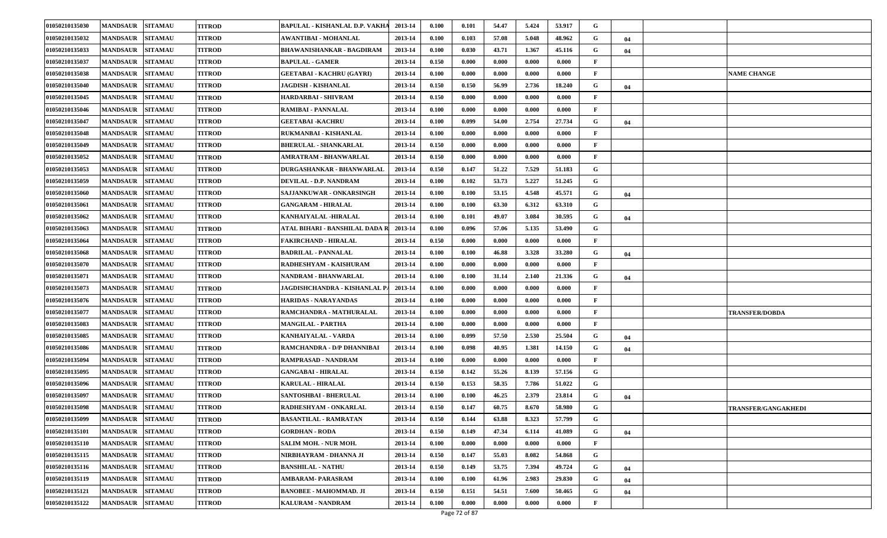| 01050210135030 | <b>MANDSAUR</b>         | <b>SITAMAU</b> | <b>TITROD</b> | <b>BAPULAL - KISHANLAL D.P. VAKHA</b> | 2013-14 | 0.100        | 0.101              | 54.47 | 5.424 | 53.917 | G            |    |                            |
|----------------|-------------------------|----------------|---------------|---------------------------------------|---------|--------------|--------------------|-------|-------|--------|--------------|----|----------------------------|
| 01050210135032 | <b>MANDSAUR</b>         | <b>SITAMAU</b> | <b>TITROD</b> | AWANTIBAI - MOHANLAL                  | 2013-14 | 0.100        | 0.103              | 57.08 | 5.048 | 48.962 | G            | 04 |                            |
| 01050210135033 | <b>MANDSAUR</b>         | <b>SITAMAU</b> | <b>TITROD</b> | <b>BHAWANISHANKAR - BAGDIRAM</b>      | 2013-14 | 0.100        | 0.030              | 43.71 | 1.367 | 45.116 | G            | 04 |                            |
| 01050210135037 | <b>MANDSAUR</b>         | <b>SITAMAU</b> | <b>TITROD</b> | <b>BAPULAL - GAMER</b>                | 2013-14 | 0.150        | 0.000              | 0.000 | 0.000 | 0.000  | F            |    |                            |
| 01050210135038 | <b>MANDSAUR</b>         | <b>SITAMAU</b> | <b>TITROD</b> | GEETABAI - KACHRU (GAYRI)             | 2013-14 | 0.100        | 0.000              | 0.000 | 0.000 | 0.000  | F            |    | <b>NAME CHANGE</b>         |
| 01050210135040 | <b>MANDSAUR</b>         | <b>SITAMAU</b> | <b>TITROD</b> | <b>JAGDISH - KISHANLAL</b>            | 2013-14 | 0.150        | 0.150              | 56.99 | 2.736 | 18.240 | G            | 04 |                            |
| 01050210135045 | <b>MANDSAUR</b>         | <b>SITAMAU</b> | <b>TITROD</b> | HARDARBAI - SHIVRAM                   | 2013-14 | 0.150        | 0.000              | 0.000 | 0.000 | 0.000  | $\mathbf{F}$ |    |                            |
| 01050210135046 | <b>MANDSAUR</b>         | <b>SITAMAU</b> | TITROD        | <b>RAMIBAI - PANNALAL</b>             | 2013-14 | 0.100        | 0.000              | 0.000 | 0.000 | 0.000  | F            |    |                            |
| 01050210135047 | <b>MANDSAUR</b>         | <b>SITAMAU</b> | <b>TITROD</b> | <b>GEETABAI -KACHRU</b>               | 2013-14 | 0.100        | 0.099              | 54.00 | 2.754 | 27.734 | G            | 04 |                            |
| 01050210135048 | <b>MANDSAUR</b>         | <b>SITAMAU</b> | <b>TITROD</b> | RUKMANBAI - KISHANLAL                 | 2013-14 | 0.100        | 0.000              | 0.000 | 0.000 | 0.000  | $\mathbf F$  |    |                            |
| 01050210135049 | <b>MANDSAUR</b>         | <b>SITAMAU</b> | <b>TITROD</b> | <b>BHERULAL - SHANKARLAL</b>          | 2013-14 | 0.150        | 0.000              | 0.000 | 0.000 | 0.000  | $\mathbf{F}$ |    |                            |
| 01050210135052 | <b>MANDSAUR</b>         | <b>SITAMAU</b> | <b>TITROD</b> | AMRATRAM - BHANWARLAL                 | 2013-14 | 0.150        | 0.000              | 0.000 | 0.000 | 0.000  | F            |    |                            |
| 01050210135053 | <b>MANDSAUR</b>         | <b>SITAMAU</b> | <b>TITROD</b> | DURGASHANKAR - BHANWARLAL             | 2013-14 | 0.150        | 0.147              | 51.22 | 7.529 | 51.183 | G            |    |                            |
| 01050210135059 | <b>MANDSAUR</b>         | <b>SITAMAU</b> | <b>TITROD</b> | DEVILAL - D.P. NANDRAM                | 2013-14 | 0.100        | 0.102              | 53.73 | 5.227 | 51.245 | G            |    |                            |
| 01050210135060 | <b>MANDSAUR</b>         | <b>SITAMAU</b> | <b>TITROD</b> | <b>SAJJANKUWAR - ONKARSINGH</b>       | 2013-14 | 0.100        | 0.100              | 53.15 | 4.548 | 45.571 | G            | 04 |                            |
| 01050210135061 | <b>MANDSAUR</b>         | <b>SITAMAU</b> | <b>TITROD</b> | <b>GANGARAM - HIRALAL</b>             | 2013-14 | 0.100        | 0.100              | 63.30 | 6.312 | 63.310 | G            |    |                            |
| 01050210135062 | <b>MANDSAUR</b>         | <b>SITAMAU</b> | <b>TITROD</b> | KANHAIYALAL -HIRALAL                  | 2013-14 | 0.100        | 0.101              | 49.07 | 3.084 | 30.595 | G            | 04 |                            |
| 01050210135063 | <b>MANDSAUR</b>         | <b>SITAMAU</b> | <b>TITROD</b> | ATAL BIHARI - BANSHILAL DADA R        | 2013-14 | 0.100        | 0.096              | 57.06 | 5.135 | 53.490 | G            |    |                            |
| 01050210135064 | <b>MANDSAUR</b>         | <b>SITAMAU</b> | <b>TITROD</b> | <b>FAKIRCHAND - HIRALAL</b>           | 2013-14 | 0.150        | 0.000              | 0.000 | 0.000 | 0.000  | F            |    |                            |
| 01050210135068 | <b>MANDSAUR</b>         | <b>SITAMAU</b> | <b>TITROD</b> | <b>BADRILAL - PANNALAL</b>            | 2013-14 | 0.100        | 0.100              | 46.88 | 3.328 | 33.280 | G            | 04 |                            |
| 01050210135070 | <b>MANDSAUR</b>         | <b>SITAMAU</b> | <b>TITROD</b> | RADHESHYAM - KAISHURAM                | 2013-14 | 0.100        | 0.000              | 0.000 | 0.000 | 0.000  | F            |    |                            |
| 01050210135071 | <b>MANDSAUR</b>         | <b>SITAMAU</b> | <b>TITROD</b> | NANDRAM - BHANWARLAL                  | 2013-14 | 0.100        | 0.100              | 31.14 | 2.140 | 21.336 | G            | 04 |                            |
| 01050210135073 | <b>MANDSAUR</b>         | <b>SITAMAU</b> | <b>TITROD</b> | JAGDISHCHANDRA - KISHANLAL PA         | 2013-14 | 0.100        | 0.000              | 0.000 | 0.000 | 0.000  | F            |    |                            |
| 01050210135076 | <b>MANDSAUR</b>         | <b>SITAMAU</b> | <b>TITROD</b> | <b>HARIDAS - NARAYANDAS</b>           | 2013-14 | 0.100        | 0.000              | 0.000 | 0.000 | 0.000  | F            |    |                            |
| 01050210135077 | <b>MANDSAUR</b>         | <b>SITAMAU</b> | <b>TITROD</b> | RAMCHANDRA - MATHURALAL               | 2013-14 | 0.100        | 0.000              | 0.000 | 0.000 | 0.000  | $\mathbf{F}$ |    | <b>TRANSFER/DOBDA</b>      |
| 01050210135083 | <b>MANDSAUR</b>         | <b>SITAMAU</b> | <b>TITROD</b> | <b>MANGILAL - PARTHA</b>              | 2013-14 | 0.100        | 0.000              | 0.000 | 0.000 | 0.000  | $\mathbf{F}$ |    |                            |
| 01050210135085 | <b>MANDSAUR</b>         | <b>SITAMAU</b> | <b>TITROD</b> | <b>KANHAIYALAL - VARDA</b>            | 2013-14 | 0.100        | 0.099              | 57.50 | 2.530 | 25.504 | G            | 04 |                            |
| 01050210135086 | <b>MANDSAUR</b>         | <b>SITAMAU</b> | <b>TITROD</b> | RAMCHANDRA - D/P DHANNIBAI            | 2013-14 | 0.100        | 0.098              | 40.95 | 1.381 | 14.150 | G            | 04 |                            |
| 01050210135094 | <b>MANDSAUR</b>         | <b>SITAMAU</b> | <b>TITROD</b> | <b>RAMPRASAD - NANDRAM</b>            | 2013-14 | 0.100        | 0.000              | 0.000 | 0.000 | 0.000  | $\mathbf{F}$ |    |                            |
| 01050210135095 | <b>MANDSAUR</b>         | <b>SITAMAU</b> | <b>TITROD</b> | <b>GANGABAI - HIRALAL</b>             | 2013-14 | 0.150        | 0.142              | 55.26 | 8.139 | 57.156 | G            |    |                            |
| 01050210135096 | <b>MANDSAUR</b>         | <b>SITAMAU</b> | TITROD        | KARULAL - HIRALAL                     | 2013-14 | 0.150        | 0.153              | 58.35 | 7.786 | 51.022 | G            |    |                            |
| 01050210135097 | <b>MANDSAUR</b>         | <b>SITAMAU</b> | <b>TITROD</b> | SANTOSHBAI - BHERULAL                 | 2013-14 | 0.100        | 0.100              | 46.25 | 2.379 | 23.814 | G            | 04 |                            |
| 01050210135098 | <b>MANDSAUR SITAMAU</b> |                | <b>TITROD</b> | RADHESHYAM - ONKARLAL                 | 2013-14 | 0.150        | 0.147              | 60.75 | 8.670 | 58.980 | G            |    | <b>TRANSFER/GANGAKHEDI</b> |
| 01050210135099 | MANDSAUR SITAMAU        |                | <b>TITROD</b> | <b>BASANTILAL - RAMRATAN</b>          | 2013-14 | 0.150        | 0.144              | 63.88 | 8.323 | 57.799 | G            |    |                            |
| 01050210135101 | <b>MANDSAUR</b>         | <b>SITAMAU</b> | TITROD        | <b>GORDHAN - RODA</b>                 | 2013-14 | 0.150        | 0.149              | 47.34 | 6.114 | 41.089 | G            | 04 |                            |
| 01050210135110 | <b>MANDSAUR</b>         | <b>SITAMAU</b> | <b>TITROD</b> | <b>SALIM MOH. - NUR MOH.</b>          | 2013-14 | 0.100        | 0.000              | 0.000 | 0.000 | 0.000  | F            |    |                            |
| 01050210135115 | <b>MANDSAUR</b>         | <b>SITAMAU</b> | TITROD        | NIRBHAYRAM - DHANNA JI                | 2013-14 | 0.150        | 0.147              | 55.03 | 8.082 | 54.868 | G            |    |                            |
| 01050210135116 | <b>MANDSAUR</b>         | <b>SITAMAU</b> | <b>TITROD</b> | <b>BANSHILAL - NATHU</b>              | 2013-14 | 0.150        | 0.149              | 53.75 | 7.394 | 49.724 | G            | 04 |                            |
| 01050210135119 | <b>MANDSAUR</b>         | <b>SITAMAU</b> | <b>TITROD</b> | AMBARAM- PARASRAM                     | 2013-14 | 0.100        | 0.100              | 61.96 | 2.983 | 29.830 | G            | 04 |                            |
| 01050210135121 | <b>MANDSAUR</b>         | <b>SITAMAU</b> | <b>TITROD</b> | <b>BANOBEE - MAHOMMAD. JI</b>         | 2013-14 | 0.150        | 0.151              | 54.51 | 7.600 | 50.465 | G            | 04 |                            |
| 01050210135122 | <b>MANDSAUR</b>         | <b>SITAMAU</b> | <b>TITROD</b> | <b>KALURAM - NANDRAM</b>              | 2013-14 | 0.100<br>Dog | 0.000<br>$-72.407$ | 0.000 | 0.000 | 0.000  | F            |    |                            |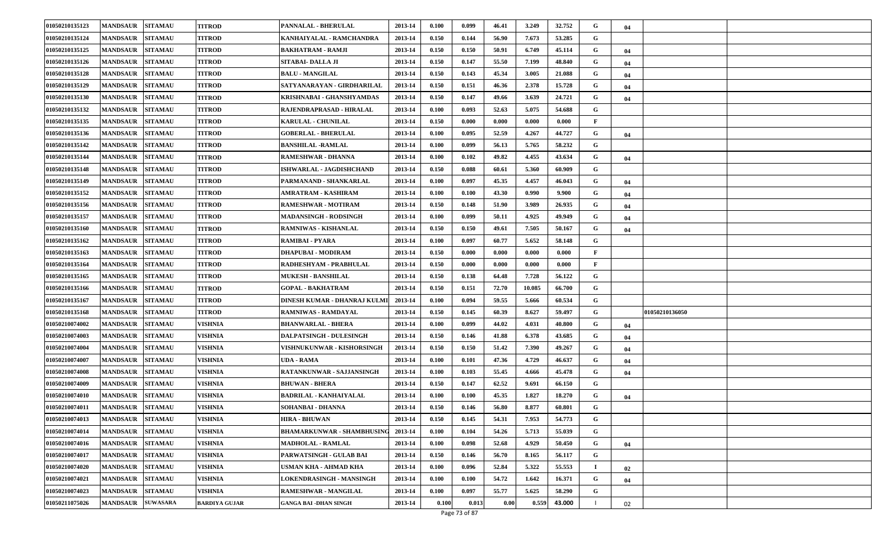| 01050210135123 | <b>SITAMAU</b><br><b>MANDSAUR</b>  | <b>TITROD</b>        | PANNALAL - BHERULAL               | 2013-14 | 0.100 | 0.099 | 46.41 | 3.249  | 32.752 | G        | 04 |                |  |
|----------------|------------------------------------|----------------------|-----------------------------------|---------|-------|-------|-------|--------|--------|----------|----|----------------|--|
| 01050210135124 | <b>MANDSAUR</b><br><b>SITAMAU</b>  | <b>TITROD</b>        | KANHAIYALAL - RAMCHANDRA          | 2013-14 | 0.150 | 0.144 | 56.90 | 7.673  | 53.285 | G        |    |                |  |
| 01050210135125 | <b>MANDSAUR</b><br><b>SITAMAU</b>  | <b>TITROD</b>        | <b>BAKHATRAM - RAMJI</b>          | 2013-14 | 0.150 | 0.150 | 50.91 | 6.749  | 45.114 | G        | 04 |                |  |
| 01050210135126 | <b>MANDSAUR</b><br><b>SITAMAU</b>  | <b>TITROD</b>        | SITABAI- DALLA JI                 | 2013-14 | 0.150 | 0.147 | 55.50 | 7.199  | 48.840 | G        | 04 |                |  |
| 01050210135128 | <b>MANDSAUR</b><br><b>SITAMAU</b>  | <b>TITROD</b>        | <b>BALU - MANGILAL</b>            | 2013-14 | 0.150 | 0.143 | 45.34 | 3.005  | 21.088 | G        | 04 |                |  |
| 01050210135129 | <b>MANDSAUR</b><br><b>SITAMAU</b>  | <b>TITROD</b>        | SATYANARAYAN - GIRDHARILAL        | 2013-14 | 0.150 | 0.151 | 46.36 | 2.378  | 15.728 | G        | 04 |                |  |
| 01050210135130 | <b>MANDSAUR</b><br><b>SITAMAU</b>  | <b>TITROD</b>        | KRISHNABAI - GHANSHYAMDAS         | 2013-14 | 0.150 | 0.147 | 49.66 | 3.639  | 24.721 | G        | 04 |                |  |
| 01050210135132 | <b>MANDSAUR</b><br><b>SITAMAU</b>  | <b>TITROD</b>        | RAJENDRAPRASAD - HIRALAL          | 2013-14 | 0.100 | 0.093 | 52.63 | 5.075  | 54.688 | G        |    |                |  |
| 01050210135135 | <b>MANDSAUR</b><br><b>SITAMAU</b>  | <b>TITROD</b>        | <b>KARULAL - CHUNILAL</b>         | 2013-14 | 0.150 | 0.000 | 0.000 | 0.000  | 0.000  | F        |    |                |  |
| 01050210135136 | <b>MANDSAUR</b><br><b>SITAMAU</b>  | <b>TITROD</b>        | <b>GOBERLAL - BHERULAL</b>        | 2013-14 | 0.100 | 0.095 | 52.59 | 4.267  | 44.727 | G        | 04 |                |  |
| 01050210135142 | <b>SITAMAU</b><br><b>MANDSAUR</b>  | <b>TITROD</b>        | <b>BANSHILAL -RAMLAL</b>          | 2013-14 | 0.100 | 0.099 | 56.13 | 5.765  | 58.232 | G        |    |                |  |
| 01050210135144 | <b>MANDSAUR</b><br><b>SITAMAU</b>  | <b>TITROD</b>        | RAMESHWAR - DHANNA                | 2013-14 | 0.100 | 0.102 | 49.82 | 4.455  | 43.634 | G        | 04 |                |  |
| 01050210135148 | <b>MANDSAUR</b><br><b>SITAMAU</b>  | <b>TITROD</b>        | ISHWARLAL - JAGDISHCHAND          | 2013-14 | 0.150 | 0.088 | 60.61 | 5.360  | 60.909 | G        |    |                |  |
| 01050210135149 | <b>MANDSAUR</b><br><b>SITAMAU</b>  | <b>TITROD</b>        | PARMANAND - SHANKARLAL            | 2013-14 | 0.100 | 0.097 | 45.35 | 4.457  | 46.043 | G        | 04 |                |  |
| 01050210135152 | <b>MANDSAUR</b><br><b>SITAMAU</b>  | <b>TITROD</b>        | AMRATRAM - KASHIRAM               | 2013-14 | 0.100 | 0.100 | 43.30 | 0.990  | 9.900  | G        | 04 |                |  |
| 01050210135156 | <b>MANDSAUR</b><br><b>SITAMAU</b>  | <b>TITROD</b>        | RAMESHWAR - MOTIRAM               | 2013-14 | 0.150 | 0.148 | 51.90 | 3.989  | 26.935 | G        | 04 |                |  |
| 01050210135157 | <b>MANDSAUR</b><br><b>SITAMAU</b>  | <b>TITROD</b>        | <b>MADANSINGH - RODSINGH</b>      | 2013-14 | 0.100 | 0.099 | 50.11 | 4.925  | 49.949 | G        | 04 |                |  |
| 01050210135160 | <b>MANDSAUR</b><br><b>SITAMAU</b>  | <b>TITROD</b>        | RAMNIWAS - KISHANLAL              | 2013-14 | 0.150 | 0.150 | 49.61 | 7.505  | 50.167 | G        | 04 |                |  |
| 01050210135162 | <b>MANDSAUR</b><br><b>SITAMAU</b>  | <b>TITROD</b>        | <b>RAMIBAI - PYARA</b>            | 2013-14 | 0.100 | 0.097 | 60.77 | 5.652  | 58.148 | G        |    |                |  |
| 01050210135163 | <b>MANDSAUR</b><br><b>SITAMAU</b>  | <b>TITROD</b>        | <b>DHAPUBAI - MODIRAM</b>         | 2013-14 | 0.150 | 0.000 | 0.000 | 0.000  | 0.000  | F        |    |                |  |
| 01050210135164 | <b>MANDSAUR</b><br><b>SITAMAU</b>  | <b>TITROD</b>        | RADHESHYAM - PRABHULAL            | 2013-14 | 0.150 | 0.000 | 0.000 | 0.000  | 0.000  | F        |    |                |  |
| 01050210135165 | <b>MANDSAUR</b><br><b>SITAMAU</b>  | <b>TITROD</b>        | <b>MUKESH - BANSHILAL</b>         | 2013-14 | 0.150 | 0.138 | 64.48 | 7.728  | 56.122 | G        |    |                |  |
| 01050210135166 | <b>MANDSAUR</b><br><b>SITAMAU</b>  | <b>TITROD</b>        | <b>GOPAL - BAKHATRAM</b>          | 2013-14 | 0.150 | 0.151 | 72.70 | 10.085 | 66.700 | G        |    |                |  |
| 01050210135167 | <b>MANDSAUR</b><br><b>SITAMAU</b>  | <b>TITROD</b>        | DINESH KUMAR - DHANRAJ KULMI      | 2013-14 | 0.100 | 0.094 | 59.55 | 5.666  | 60.534 | G        |    |                |  |
| 01050210135168 | <b>MANDSAUR</b><br><b>SITAMAU</b>  | <b>TITROD</b>        | <b>RAMNIWAS - RAMDAYAL</b>        | 2013-14 | 0.150 | 0.145 | 60.39 | 8.627  | 59.497 | G        |    | 01050210136050 |  |
| 01050210074002 | <b>MANDSAUR</b><br><b>SITAMAU</b>  | <b>VISHNIA</b>       | <b>BHANWARLAL - BHERA</b>         | 2013-14 | 0.100 | 0.099 | 44.02 | 4.031  | 40.800 | G        | 04 |                |  |
| 01050210074003 | <b>MANDSAUR</b><br><b>SITAMAU</b>  | <b>VISHNIA</b>       | <b>DALPATSINGH - DULESINGH</b>    | 2013-14 | 0.150 | 0.146 | 41.88 | 6.378  | 43.685 | G        | 04 |                |  |
| 01050210074004 | <b>MANDSAUR</b><br><b>SITAMAU</b>  | <b>VISHNIA</b>       | VISHNUKUNWAR - KISHORSINGH        | 2013-14 | 0.150 | 0.150 | 51.42 | 7.390  | 49.267 | G        | 04 |                |  |
| 01050210074007 | <b>MANDSAUR</b><br><b>SITAMAU</b>  | <b>VISHNIA</b>       | UDA - RAMA                        | 2013-14 | 0.100 | 0.101 | 47.36 | 4.729  | 46.637 | G        | 04 |                |  |
| 01050210074008 | <b>MANDSAUR</b><br><b>SITAMAU</b>  | <b>VISHNIA</b>       | RATANKUNWAR - SAJJANSINGH         | 2013-14 | 0.100 | 0.103 | 55.45 | 4.666  | 45.478 | G        | 04 |                |  |
| 01050210074009 | <b>MANDSAUR</b><br><b>SITAMAU</b>  | VISHNIA              | <b>BHUWAN - BHERA</b>             | 2013-14 | 0.150 | 0.147 | 62.52 | 9.691  | 66.150 | G        |    |                |  |
| 01050210074010 | <b>MANDSAUR</b><br><b>SITAMAU</b>  | <b>VISHNIA</b>       | BADRILAL - KANHAIYALAL            | 2013-14 | 0.100 | 0.100 | 45.35 | 1.827  | 18.270 | G        | 04 |                |  |
| 01050210074011 | <b>MANDSAUR SITAMAU</b>            | <b>VISHNIA</b>       | SOHANBAI - DHANNA                 | 2013-14 | 0.150 | 0.146 | 56.80 | 8.877  | 60.801 | G        |    |                |  |
| 01050210074013 | MANDSAUR SITAMAU                   | <b>VISHNIA</b>       | <b>HIRA - BHUWAN</b>              | 2013-14 | 0.150 | 0.145 | 54.31 | 7.953  | 54.773 | G        |    |                |  |
| 01050210074014 | <b>MANDSAUR</b><br><b>SITAMAU</b>  | VISHNIA              | <b>BHAMARKUNWAR - SHAMBHUSING</b> | 2013-14 | 0.100 | 0.104 | 54.26 | 5.713  | 55.039 | G        |    |                |  |
| 01050210074016 | <b>MANDSAUR</b><br><b>SITAMAU</b>  | <b>VISHNIA</b>       | <b>MADHOLAL - RAMLAL</b>          | 2013-14 | 0.100 | 0.098 | 52.68 | 4.929  | 50.450 | G        | 04 |                |  |
| 01050210074017 | <b>MANDSAUR</b><br><b>SITAMAU</b>  | <b>VISHNIA</b>       | PARWATSINGH - GULAB BAI           | 2013-14 | 0.150 | 0.146 | 56.70 | 8.165  | 56.117 | G        |    |                |  |
| 01050210074020 | <b>MANDSAUR</b><br><b>SITAMAU</b>  | <b>VISHNIA</b>       | USMAN KHA - AHMAD KHA             | 2013-14 | 0.100 | 0.096 | 52.84 | 5.322  | 55.553 | $\bf{I}$ | 02 |                |  |
| 01050210074021 | <b>MANDSAUR</b><br><b>SITAMAU</b>  | VISHNIA              | LOKENDRASINGH - MANSINGH          | 2013-14 | 0.100 | 0.100 | 54.72 | 1.642  | 16.371 | G        | 04 |                |  |
| 01050210074023 | <b>MANDSAUR</b><br><b>SITAMAU</b>  | <b>VISHNIA</b>       | RAMESHWAR - MANGILAL              | 2013-14 | 0.100 | 0.097 | 55.77 | 5.625  | 58.290 | G        |    |                |  |
| 01050211075026 | <b>MANDSAUR</b><br><b>SUWASARA</b> | <b>BARDIYA GUJAR</b> | <b>GANGA BAI -DHAN SINGH</b>      | 2013-14 | 0.100 | 0.013 | 0.00  | 0.559  | 43.000 |          | 02 |                |  |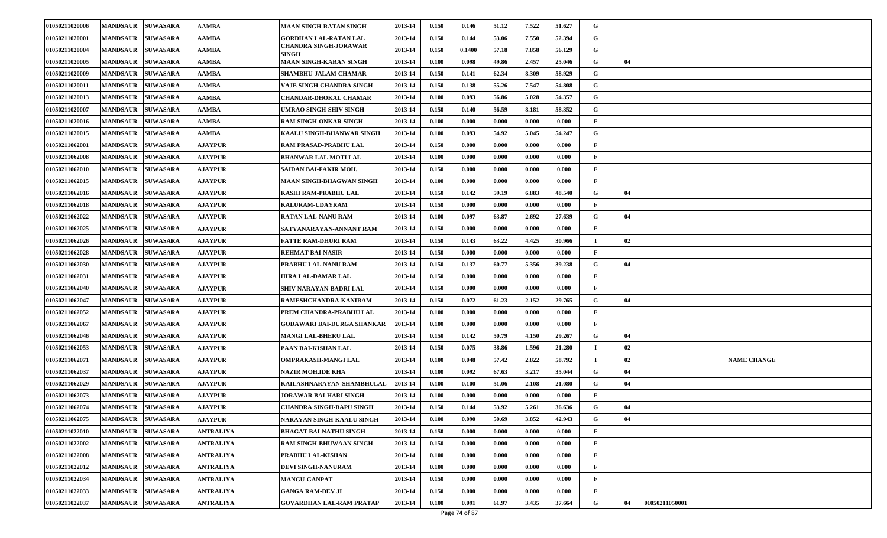| 01050211020006        | <b>MANDSAUR</b>   | <b>SUWASARA</b> | AAMBA            | MAAN SINGH-RATAN SINGH                | 2013-14 | 0.150          | 0.146                | 51.12 | 7.522 | 51.627 | G           |    |                |                    |
|-----------------------|-------------------|-----------------|------------------|---------------------------------------|---------|----------------|----------------------|-------|-------|--------|-------------|----|----------------|--------------------|
| 01050211020001        | <b>MANDSAUR</b>   | <b>SUWASARA</b> | AAMBA            | GORDHAN LAL-RATAN LAL                 | 2013-14 | 0.150          | 0.144                | 53.06 | 7.550 | 52.394 | G           |    |                |                    |
| 01050211020004        | <b>MANDSAUR</b>   | <b>SUWASARA</b> | <b>AAMBA</b>     | CHANDRA SINGH-JORAWAR<br><b>SINGH</b> | 2013-14 | 0.150          | 0.1400               | 57.18 | 7.858 | 56.129 | G           |    |                |                    |
| 01050211020005        | <b>MANDSAUR</b>   | <b>SUWASARA</b> | AAMBA            | MAAN SINGH-KARAN SINGH                | 2013-14 | 0.100          | 0.098                | 49.86 | 2.457 | 25.046 | G           | 04 |                |                    |
| 01050211020009        | <b>MANDSAUR</b>   | <b>SUWASARA</b> | AAMBA            | SHAMBHU-JALAM CHAMAR                  | 2013-14 | 0.150          | 0.141                | 62.34 | 8.309 | 58.929 | G           |    |                |                    |
| 01050211020011        | <b>MANDSAUR</b>   | <b>SUWASARA</b> | AAMBA            | VAJE SINGH-CHANDRA SINGH              | 2013-14 | 0.150          | 0.138                | 55.26 | 7.547 | 54.808 | G           |    |                |                    |
| 01050211020013        | <b>MANDSAUR</b>   | <b>SUWASARA</b> | AAMBA            | CHANDAR-DHOKAL CHAMAR                 | 2013-14 | 0.100          | 0.093                | 56.86 | 5.028 | 54.357 | G           |    |                |                    |
| <b>01050211020007</b> | <b>MANDSAUR</b>   | <b>SUWASARA</b> | AAMBA            | UMRAO SINGH-SHIV SINGH                | 2013-14 | 0.150          | 0.140                | 56.59 | 8.181 | 58.352 | G           |    |                |                    |
| 01050211020016        | <b>MANDSAUR</b>   | <b>SUWASARA</b> | AAMBA            | RAM SINGH-ONKAR SINGH                 | 2013-14 | 0.100          | 0.000                | 0.000 | 0.000 | 0.000  | F           |    |                |                    |
| 01050211020015        | <b>MANDSAUR</b>   | <b>SUWASARA</b> | AAMBA            | KAALU SINGH-BHANWAR SINGH             | 2013-14 | 0.100          | 0.093                | 54.92 | 5.045 | 54.247 | G           |    |                |                    |
| 01050211062001        | <b>MANDSAUR</b>   | <b>SUWASARA</b> | <b>AJAYPUR</b>   | <b>RAM PRASAD-PRABHU LAL</b>          | 2013-14 | 0.150          | 0.000                | 0.000 | 0.000 | 0.000  |             |    |                |                    |
| 01050211062008        | <b>MANDSAUR</b>   | <b>SUWASARA</b> | <b>AJAYPUR</b>   | BHANWAR LAL-MOTI LAL                  | 2013-14 | 0.100          | 0.000                | 0.000 | 0.000 | 0.000  | F           |    |                |                    |
| 01050211062010        | <b>MANDSAUR</b>   | <b>SUWASARA</b> | <b>AJAYPUR</b>   | SAIDAN BAI-FAKIR MOH.                 | 2013-14 | 0.150          | 0.000                | 0.000 | 0.000 | 0.000  | F           |    |                |                    |
| 01050211062015        | <b>MANDSAUR</b>   | <b>SUWASARA</b> | <b>AJAYPUR</b>   | MAAN SINGH-BHAGWAN SINGH              | 2013-14 | 0.100          | 0.000                | 0.000 | 0.000 | 0.000  | F           |    |                |                    |
| 01050211062016        | <b>MANDSAUR</b>   | <b>SUWASARA</b> | <b>AJAYPUR</b>   | KASHI RAM-PRABHU LAL                  | 2013-14 | 0.150          | 0.142                | 59.19 | 6.883 | 48.540 | G           | 04 |                |                    |
| 01050211062018        | <b>MANDSAUR</b>   | <b>SUWASARA</b> | <b>AJAYPUR</b>   | KALURAM-UDAYRAM                       | 2013-14 | 0.150          | 0.000                | 0.000 | 0.000 | 0.000  | F           |    |                |                    |
| 01050211062022        | <b>MANDSAUR</b>   | <b>SUWASARA</b> | <b>AJAYPUR</b>   | <b>RATAN LAL-NANU RAM</b>             | 2013-14 | 0.100          | 0.097                | 63.87 | 2.692 | 27.639 | G           | 04 |                |                    |
| 01050211062025        | <b>MANDSAUR</b>   | <b>SUWASARA</b> | <b>AJAYPUR</b>   | SATYANARAYAN-ANNANT RAM               | 2013-14 | 0.150          | 0.000                | 0.000 | 0.000 | 0.000  | F           |    |                |                    |
| 01050211062026        | <b>MANDSAUR</b>   | <b>SUWASARA</b> | <b>AJAYPUR</b>   | FATTE RAM-DHURI RAM                   | 2013-14 | 0.150          | 0.143                | 63.22 | 4.425 | 30.966 |             | 02 |                |                    |
| 01050211062028        | <b>MANDSAUR</b>   | <b>SUWASARA</b> | <b>AJAYPUR</b>   | REHMAT BAI-NASIR                      | 2013-14 | 0.150          | 0.000                | 0.000 | 0.000 | 0.000  | F           |    |                |                    |
| 01050211062030        | <b>MANDSAUR</b>   | <b>SUWASARA</b> | <b>AJAYPUR</b>   | PRABHU LAL-NANU RAM                   | 2013-14 | 0.150          | 0.137                | 60.77 | 5.356 | 39.238 | G           | 04 |                |                    |
| 01050211062031        | <b>MANDSAUR</b>   | <b>SUWASARA</b> | <b>AJAYPUR</b>   | <b>HIRA LAL-DAMAR LAL</b>             | 2013-14 | 0.150          | 0.000                | 0.000 | 0.000 | 0.000  | F           |    |                |                    |
| 01050211062040        | <b>MANDSAUR</b>   | <b>SUWASARA</b> | <b>AJAYPUR</b>   | SHIV NARAYAN-BADRI LAL                | 2013-14 | 0.150          | 0.000                | 0.000 | 0.000 | 0.000  | F           |    |                |                    |
| 01050211062047        | <b>MANDSAUR</b>   | <b>SUWASARA</b> | <b>AJAYPUR</b>   | RAMESHCHANDRA-KANIRAM                 | 2013-14 | 0.150          | 0.072                | 61.23 | 2.152 | 29.765 | G           | 04 |                |                    |
| 01050211062052        | <b>MANDSAUR</b>   | <b>SUWASARA</b> | <b>AJAYPUR</b>   | PREM CHANDRA-PRABHU LAL               | 2013-14 | 0.100          | 0.000                | 0.000 | 0.000 | 0.000  | F           |    |                |                    |
| 01050211062067        | <b>MANDSAUR</b>   | <b>SUWASARA</b> | <b>AJAYPUR</b>   | GODAWARI BAI-DURGA SHANKAR            | 2013-14 | 0.100          | 0.000                | 0.000 | 0.000 | 0.000  | F           |    |                |                    |
| 01050211062046        | <b>MANDSAUR</b>   | <b>SUWASARA</b> | <b>AJAYPUR</b>   | MANGI LAL-BHERU LAL                   | 2013-14 | 0.150          | 0.142                | 50.79 | 4.150 | 29.267 | G           | 04 |                |                    |
| 01050211062053        | <b>MANDSAUR</b>   | <b>SUWASARA</b> | <b>AJAYPUR</b>   | PAAN BAI-KISHAN LAL                   | 2013-14 | 0.150          | 0.075                | 38.86 | 1.596 | 21.280 |             | 02 |                |                    |
| 01050211062071        | <b>MANDSAUR</b>   | <b>SUWASARA</b> | <b>AJAYPUR</b>   | OMPRAKASH-MANGI LAL                   | 2013-14 | 0.100          | 0.048                | 57.42 | 2.822 | 58.792 | $\mathbf I$ | 02 |                | <b>NAME CHANGE</b> |
| 01050211062037        | <b>MANDSAUR</b>   | <b>SUWASARA</b> | <b>AJAYPUR</b>   | NAZIR MOH.IDE KHA                     | 2013-14 | 0.100          | 0.092                | 67.63 | 3.217 | 35.044 | G           | 04 |                |                    |
| 01050211062029        | <b>MANDSAUR</b>   | <b>SUWASARA</b> | <b>AJAYPUR</b>   | KAILASHNARAYAN-SHAMBHULAL             | 2013-14 | 0.100          | 0.100                | 51.06 | 2.108 | 21.080 | G           | 04 |                |                    |
| 01050211062073        | <b>MANDSAUR</b>   | <b>SUWASARA</b> | <b>AJAYPUR</b>   | JORAWAR BAI-HARI SINGH                | 2013-14 | 0.100          | 0.000                | 0.000 | 0.000 | 0.000  | F           |    |                |                    |
| 01050211062074        | MANDSAUR SUWASARA |                 | <b>AJAYPUR</b>   | CHANDRA SINGH-BAPU SINGH              | 2013-14 | 0.150          | 0.144                | 53.92 | 5.261 | 36.636 | G           | 04 |                |                    |
| 01050211062075        | MANDSAUR SUWASARA |                 | <b>AJAYPUR</b>   | NARAYAN SINGH-KAALU SINGH             | 2013-14 | 0.100          | 0.090                | 50.69 | 3.852 | 42.943 | G           | 04 |                |                    |
| 01050211022010        | <b>MANDSAUR</b>   | <b>SUWASARA</b> | ANTRALIYA        | BHAGAT BAI-NATHU SINGH                | 2013-14 | 0.150          | 0.000                | 0.000 | 0.000 | 0.000  | F           |    |                |                    |
| 01050211022002        | <b>MANDSAUR</b>   | <b>SUWASARA</b> | <b>ANTRALIYA</b> | RAM SINGH-BHUWAAN SINGH               | 2013-14 | 0.150          | 0.000                | 0.000 | 0.000 | 0.000  | F           |    |                |                    |
| 01050211022008        | <b>MANDSAUR</b>   | <b>SUWASARA</b> | ANTRALIYA        | PRABHU LAL-KISHAN                     | 2013-14 | 0.100          | 0.000                | 0.000 | 0.000 | 0.000  | F           |    |                |                    |
| 01050211022012        | MANDSAUR SUWASARA |                 | ANTRALIYA        | DEVI SINGH-NANURAM                    | 2013-14 | 0.100          | 0.000                | 0.000 | 0.000 | 0.000  | F           |    |                |                    |
| 01050211022034        | <b>MANDSAUR</b>   | <b>SUWASARA</b> | ANTRALIYA        | <b>MANGU-GANPAT</b>                   | 2013-14 | 0.150          | 0.000                | 0.000 | 0.000 | 0.000  | F           |    |                |                    |
| 01050211022033        | <b>MANDSAUR</b>   | <b>SUWASARA</b> | ANTRALIYA        | GANGA RAM-DEV JI                      | 2013-14 | 0.150          | 0.000                | 0.000 | 0.000 | 0.000  | F           |    |                |                    |
| 01050211022037        | MANDSAUR SUWASARA |                 | <b>ANTRALIYA</b> | GOVARDHAN LAL-RAM PRATAP              | 2013-14 | 0.100<br>$D -$ | 0.091<br>$-74 - 607$ | 61.97 | 3.435 | 37.664 | G           | 04 | 01050211050001 |                    |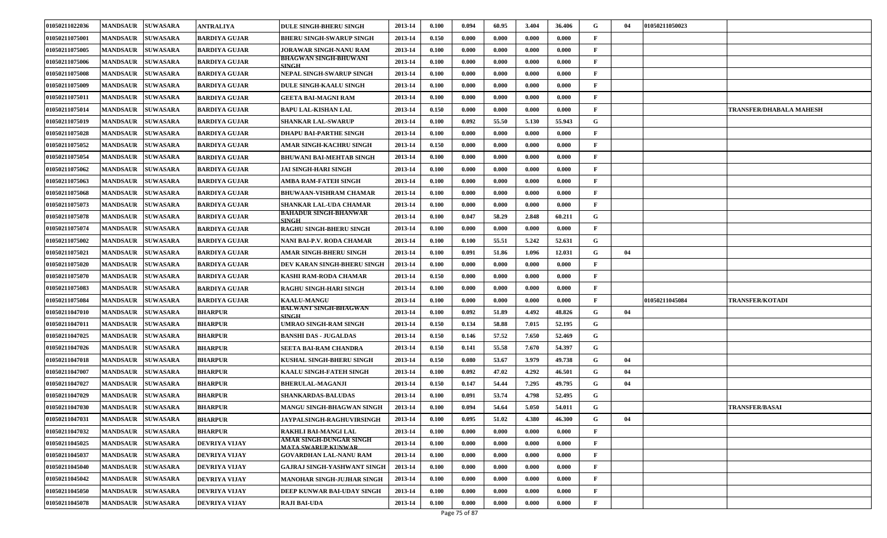| 01050211022036 | <b>MANDSAUR</b>   | <b>SUWASARA</b> | <b>ANTRALIYA</b>     | <b>DULE SINGH-BHERU SINGH</b>                   | 2013-14 | 0.100 | 0.094 | 60.95 | 3.404 | 36.406 | G            | -04 | 01050211050023        |                         |
|----------------|-------------------|-----------------|----------------------|-------------------------------------------------|---------|-------|-------|-------|-------|--------|--------------|-----|-----------------------|-------------------------|
| 01050211075001 | <b>MANDSAUR</b>   | <b>SUWASARA</b> | BARDIYA GUJAR        | BHERU SINGH-SWARUP SINGH                        | 2013-14 | 0.150 | 0.000 | 0.000 | 0.000 | 0.000  | F            |     |                       |                         |
| 01050211075005 | <b>MANDSAUR</b>   | <b>SUWASARA</b> | <b>BARDIYA GUJAR</b> | <b>JORAWAR SINGH-NANU RAM</b>                   | 2013-14 | 0.100 | 0.000 | 0.000 | 0.000 | 0.000  | F            |     |                       |                         |
| 01050211075006 | <b>MANDSAUR</b>   | <b>SUWASARA</b> | <b>BARDIYA GUJAR</b> | <b>BHAGWAN SINGH-BHUWANI</b><br><b>SINGH</b>    | 2013-14 | 0.100 | 0.000 | 0.000 | 0.000 | 0.000  | F            |     |                       |                         |
| 01050211075008 | <b>MANDSAUR</b>   | <b>SUWASARA</b> | <b>BARDIYA GUJAR</b> | NEPAL SINGH-SWARUP SINGH                        | 2013-14 | 0.100 | 0.000 | 0.000 | 0.000 | 0.000  | F            |     |                       |                         |
| 01050211075009 | <b>MANDSAUR</b>   | <b>SUWASARA</b> | <b>BARDIYA GUJAR</b> | <b>DULE SINGH-KAALU SINGH</b>                   | 2013-14 | 0.100 | 0.000 | 0.000 | 0.000 | 0.000  | F            |     |                       |                         |
| 01050211075011 | <b>MANDSAUR</b>   | <b>SUWASARA</b> | <b>BARDIYA GUJAR</b> | <b>GEETA BAI-MAGNI RAM</b>                      | 2013-14 | 0.100 | 0.000 | 0.000 | 0.000 | 0.000  | F            |     |                       |                         |
| 01050211075014 | <b>MANDSAUR</b>   | <b>SUWASARA</b> | <b>BARDIYA GUJAR</b> | <b>BAPU LAL-KISHAN LAL</b>                      | 2013-14 | 0.150 | 0.000 | 0.000 | 0.000 | 0.000  | F            |     |                       | TRANSFER/DHABALA MAHESH |
| 01050211075019 | <b>MANDSAUR</b>   | <b>SUWASARA</b> | <b>BARDIYA GUJAR</b> | <b>SHANKAR LAL-SWARUP</b>                       | 2013-14 | 0.100 | 0.092 | 55.50 | 5.130 | 55.943 | G            |     |                       |                         |
| 01050211075028 | <b>MANDSAUR</b>   | <b>SUWASARA</b> | <b>BARDIYA GUJAR</b> | <b>DHAPU BAI-PARTHE SINGH</b>                   | 2013-14 | 0.100 | 0.000 | 0.000 | 0.000 | 0.000  | F            |     |                       |                         |
| 01050211075052 | <b>MANDSAUR</b>   | <b>SUWASARA</b> | <b>BARDIYA GUJAR</b> | AMAR SINGH-KACHRU SINGH                         | 2013-14 | 0.150 | 0.000 | 0.000 | 0.000 | 0.000  | $\mathbf{F}$ |     |                       |                         |
| 01050211075054 | <b>MANDSAUR</b>   | <b>SUWASARA</b> | <b>BARDIYA GUJAR</b> | <b>BHUWANI BAI-MEHTAB SINGH</b>                 | 2013-14 | 0.100 | 0.000 | 0.000 | 0.000 | 0.000  | F            |     |                       |                         |
| 01050211075062 | <b>MANDSAUR</b>   | <b>SUWASARA</b> | <b>BARDIYA GUJAR</b> | <b>JAI SINGH-HARI SINGH</b>                     | 2013-14 | 0.100 | 0.000 | 0.000 | 0.000 | 0.000  | F            |     |                       |                         |
| 01050211075063 | <b>MANDSAUR</b>   | <b>SUWASARA</b> | <b>BARDIYA GUJAR</b> | AMBA RAM-FATEH SINGH                            | 2013-14 | 0.100 | 0.000 | 0.000 | 0.000 | 0.000  | F            |     |                       |                         |
| 01050211075068 | <b>MANDSAUR</b>   | <b>SUWASARA</b> | <b>BARDIYA GUJAR</b> | <b>BHUWAAN-VISHRAM CHAMAR</b>                   | 2013-14 | 0.100 | 0.000 | 0.000 | 0.000 | 0.000  | $\mathbf{F}$ |     |                       |                         |
| 01050211075073 | <b>MANDSAUR</b>   | <b>SUWASARA</b> | <b>BARDIYA GUJAR</b> | SHANKAR LAL-UDA CHAMAR                          | 2013-14 | 0.100 | 0.000 | 0.000 | 0.000 | 0.000  | F            |     |                       |                         |
| 01050211075078 | <b>MANDSAUR</b>   | <b>SUWASARA</b> | <b>BARDIYA GUJAR</b> | BAHADUR SINGH-BHANWAR<br><b>SINGH</b>           | 2013-14 | 0.100 | 0.047 | 58.29 | 2.848 | 60.211 | G            |     |                       |                         |
| 01050211075074 | <b>MANDSAUR</b>   | <b>SUWASARA</b> | <b>BARDIYA GUJAR</b> | RAGHU SINGH-BHERU SINGH                         | 2013-14 | 0.100 | 0.000 | 0.000 | 0.000 | 0.000  | $\mathbf F$  |     |                       |                         |
| 01050211075002 | <b>MANDSAUR</b>   | <b>SUWASARA</b> | <b>BARDIYA GUJAR</b> | NANI BAI-P.V. RODA CHAMAR                       | 2013-14 | 0.100 | 0.100 | 55.51 | 5.242 | 52.631 | G            |     |                       |                         |
| 01050211075021 | <b>MANDSAUR</b>   | <b>SUWASARA</b> | <b>BARDIYA GUJAR</b> | AMAR SINGH-BHERU SINGH                          | 2013-14 | 0.100 | 0.091 | 51.86 | 1.096 | 12.031 | G            | 04  |                       |                         |
| 01050211075020 | <b>MANDSAUR</b>   | <b>SUWASARA</b> | <b>BARDIYA GUJAR</b> | DEV KARAN SINGH-BHERU SINGH                     | 2013-14 | 0.100 | 0.000 | 0.000 | 0.000 | 0.000  | F            |     |                       |                         |
| 01050211075070 | <b>MANDSAUR</b>   | <b>SUWASARA</b> | <b>BARDIYA GUJAR</b> | <b>KASHI RAM-RODA CHAMAR</b>                    | 2013-14 | 0.150 | 0.000 | 0.000 | 0.000 | 0.000  | F            |     |                       |                         |
| 01050211075083 | <b>MANDSAUR</b>   | <b>SUWASARA</b> | <b>BARDIYA GUJAR</b> | RAGHU SINGH-HARI SINGH                          | 2013-14 | 0.100 | 0.000 | 0.000 | 0.000 | 0.000  | $\mathbf F$  |     |                       |                         |
| 01050211075084 | <b>MANDSAUR</b>   | <b>SUWASARA</b> | <b>BARDIYA GUJAR</b> | <b>KAALU-MANGU</b>                              | 2013-14 | 0.100 | 0.000 | 0.000 | 0.000 | 0.000  | F            |     | <b>01050211045084</b> | <b>TRANSFER/KOTADI</b>  |
| 01050211047010 | <b>MANDSAUR</b>   | <b>SUWASARA</b> | <b>BHARPUR</b>       | BALWANT SINGH-BHAGWAN<br><b>SINGH</b>           | 2013-14 | 0.100 | 0.092 | 51.89 | 4.492 | 48.826 | G            | 04  |                       |                         |
| 01050211047011 | <b>MANDSAUR</b>   | <b>SUWASARA</b> | <b>BHARPUR</b>       | UMRAO SINGH-RAM SINGH                           | 2013-14 | 0.150 | 0.134 | 58.88 | 7.015 | 52.195 | G            |     |                       |                         |
| 01050211047025 | <b>MANDSAUR</b>   | <b>SUWASARA</b> | <b>BHARPUR</b>       | <b>BANSHI DAS - JUGALDAS</b>                    | 2013-14 | 0.150 | 0.146 | 57.52 | 7.650 | 52.469 | G            |     |                       |                         |
| 01050211047026 | <b>MANDSAUR</b>   | <b>SUWASARA</b> | <b>BHARPUR</b>       | SEETA BAI-RAM CHANDRA                           | 2013-14 | 0.150 | 0.141 | 55.58 | 7.670 | 54.397 | G            |     |                       |                         |
| 01050211047018 | <b>MANDSAUR</b>   | <b>SUWASARA</b> | <b>BHARPUR</b>       | <b>KUSHAL SINGH-BHERU SINGH</b>                 | 2013-14 | 0.150 | 0.080 | 53.67 | 3.979 | 49.738 | G            | 04  |                       |                         |
| 01050211047007 | <b>MANDSAUR</b>   | <b>SUWASARA</b> | <b>BHARPUR</b>       | <b>KAALU SINGH-FATEH SINGH</b>                  | 2013-14 | 0.100 | 0.092 | 47.02 | 4.292 | 46.501 | G            | 04  |                       |                         |
| 01050211047027 | <b>MANDSAUR</b>   | <b>SUWASARA</b> | <b>BHARPUR</b>       | <b>BHERULAL-MAGANJI</b>                         | 2013-14 | 0.150 | 0.147 | 54.44 | 7.295 | 49.795 | G            | 04  |                       |                         |
| 01050211047029 | <b>MANDSAUR</b>   | <b>SUWASARA</b> | <b>BHARPUR</b>       | SHANKARDAS-BALUDAS                              | 2013-14 | 0.100 | 0.091 | 53.74 | 4.798 | 52.495 | G            |     |                       |                         |
| 01050211047030 | <b>MANDSAUR</b>   | <b>SUWASARA</b> | <b>BHARPUR</b>       | <b>MANGU SINGH-BHAGWAN SINGH</b>                | 2013-14 | 0.100 | 0.094 | 54.64 | 5.050 | 54.011 | G            |     |                       | <b>TRANSFER/BASAI</b>   |
| 01050211047031 | MANDSAUR SUWASARA |                 | <b>BHARPUR</b>       | JAYPALSINGH-RAGHUVIRSINGH                       | 2013-14 | 0.100 | 0.095 | 51.02 | 4.380 | 46.300 | G            | 04  |                       |                         |
| 01050211047032 | MANDSAUR SUWASARA |                 | <b>BHARPUR</b>       | RAKHLI BAI-MANGI LAL                            | 2013-14 | 0.100 | 0.000 | 0.000 | 0.000 | 0.000  | F            |     |                       |                         |
| 01050211045025 | <b>MANDSAUR</b>   | <b>SUWASARA</b> | DEVRIYA VIJAY        | AMAR SINGH-DUNGAR SINGH<br>MATA SWARIIP KIINWAR | 2013-14 | 0.100 | 0.000 | 0.000 | 0.000 | 0.000  | $\mathbf{F}$ |     |                       |                         |
| 01050211045037 | <b>MANDSAUR</b>   | <b>SUWASARA</b> | DEVRIYA VIJAY        | <b>GOVARDHAN LAL-NANU RAM</b>                   | 2013-14 | 0.100 | 0.000 | 0.000 | 0.000 | 0.000  | $\mathbf{F}$ |     |                       |                         |
| 01050211045040 | <b>MANDSAUR</b>   | <b>SUWASARA</b> | DEVRIYA VIJAY        | <b>GAJRAJ SINGH-YASHWANT SINGH</b>              | 2013-14 | 0.100 | 0.000 | 0.000 | 0.000 | 0.000  | $\mathbf{F}$ |     |                       |                         |
| 01050211045042 | <b>MANDSAUR</b>   | <b>SUWASARA</b> | DEVRIYA VIJAY        | <b>MANOHAR SINGH-JUJHAR SINGH</b>               | 2013-14 | 0.100 | 0.000 | 0.000 | 0.000 | 0.000  | F            |     |                       |                         |
| 01050211045050 | <b>MANDSAUR</b>   | <b>SUWASARA</b> | DEVRIYA VIJAY        | DEEP KUNWAR BAI-UDAY SINGH                      | 2013-14 | 0.100 | 0.000 | 0.000 | 0.000 | 0.000  | $\mathbf{F}$ |     |                       |                         |
| 01050211045078 | <b>MANDSAUR</b>   | <b>SUWASARA</b> | <b>DEVRIYA VIJAY</b> | <b>RAJI BAI-UDA</b>                             | 2013-14 | 0.100 | 0.000 | 0.000 | 0.000 | 0.000  | $\mathbf{F}$ |     |                       |                         |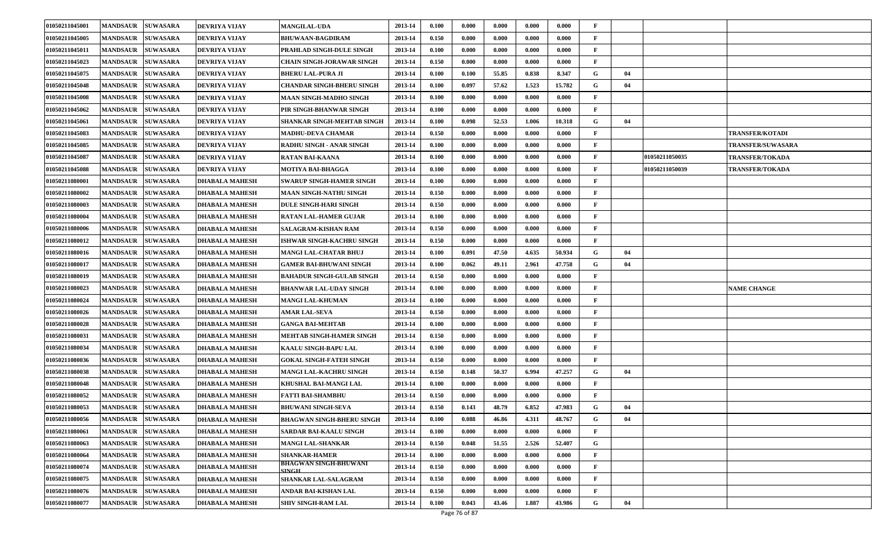| 01050211045001 | <b>MANDSAUR</b>   | <b>SUWASARA</b> | <b>DEVRIYA VIJAY</b>  | <b>MANGILAL-UDA</b>              | 2013-14 | 0.100 | 0.000 | 0.000 | 0.000 | 0.000  | $\mathbf F$ |                       |                          |
|----------------|-------------------|-----------------|-----------------------|----------------------------------|---------|-------|-------|-------|-------|--------|-------------|-----------------------|--------------------------|
| 01050211045005 | <b>MANDSAUR</b>   | <b>SUWASARA</b> | DEVRIYA VIJAY         | <b>BHUWAAN-BAGDIRAM</b>          | 2013-14 | 0.150 | 0.000 | 0.000 | 0.000 | 0.000  | $\mathbf F$ |                       |                          |
| 01050211045011 | <b>MANDSAUR</b>   | <b>SUWASARA</b> | <b>DEVRIYA VIJAY</b>  | PRAHLAD SINGH-DULE SINGH         | 2013-14 | 0.100 | 0.000 | 0.000 | 0.000 | 0.000  | $\mathbf F$ |                       |                          |
| 01050211045023 | <b>MANDSAUR</b>   | <b>SUWASARA</b> | <b>DEVRIYA VIJAY</b>  | CHAIN SINGH-JORAWAR SINGH        | 2013-14 | 0.150 | 0.000 | 0.000 | 0.000 | 0.000  | F           |                       |                          |
| 01050211045075 | <b>MANDSAUR</b>   | <b>SUWASARA</b> | <b>DEVRIYA VIJAY</b>  | <b>BHERU LAL-PURA JI</b>         | 2013-14 | 0.100 | 0.100 | 55.85 | 0.838 | 8.347  | G           | 04                    |                          |
| 01050211045048 | <b>MANDSAUR</b>   | <b>SUWASARA</b> | <b>DEVRIYA VIJAY</b>  | CHANDAR SINGH-BHERU SINGH        | 2013-14 | 0.100 | 0.097 | 57.62 | 1.523 | 15.782 | G           | 04                    |                          |
| 01050211045008 | <b>MANDSAUR</b>   | <b>SUWASARA</b> | <b>DEVRIYA VIJAY</b>  | <b>MAAN SINGH-MADHO SINGH</b>    | 2013-14 | 0.100 | 0.000 | 0.000 | 0.000 | 0.000  | $\mathbf F$ |                       |                          |
| 01050211045062 | <b>MANDSAUR</b>   | <b>SUWASARA</b> | DEVRIYA VIJAY         | PIR SINGH-BHANWAR SINGH          | 2013-14 | 0.100 | 0.000 | 0.000 | 0.000 | 0.000  | F           |                       |                          |
| 01050211045061 | <b>MANDSAUR</b>   | <b>SUWASARA</b> | <b>DEVRIYA VIJAY</b>  | SHANKAR SINGH-MEHTAB SINGH       | 2013-14 | 0.100 | 0.098 | 52.53 | 1.006 | 10.318 | G           | 04                    |                          |
| 01050211045083 | <b>MANDSAUR</b>   | <b>SUWASARA</b> | <b>DEVRIYA VIJAY</b>  | <b>MADHU-DEVA CHAMAR</b>         | 2013-14 | 0.150 | 0.000 | 0.000 | 0.000 | 0.000  | F           |                       | <b>TRANSFER/KOTADI</b>   |
| 01050211045085 | <b>MANDSAUR</b>   | <b>SUWASARA</b> | DEVRIYA VIJAY         | <b>RADHU SINGH - ANAR SINGH</b>  | 2013-14 | 0.100 | 0.000 | 0.000 | 0.000 | 0.000  | $\mathbf F$ |                       | <b>TRANSFER/SUWASARA</b> |
| 01050211045087 | <b>MANDSAUR</b>   | <b>SUWASARA</b> | <b>DEVRIYA VIJAY</b>  | RATAN BAI-KAANA                  | 2013-14 | 0.100 | 0.000 | 0.000 | 0.000 | 0.000  | F           | <b>01050211050035</b> | <b>TRANSFER/TOKADA</b>   |
| 01050211045088 | <b>MANDSAUR</b>   | <b>SUWASARA</b> | DEVRIYA VIJAY         | <b>MOTIYA BAI-BHAGGA</b>         | 2013-14 | 0.100 | 0.000 | 0.000 | 0.000 | 0.000  |             | 01050211050039        | <b>TRANSFER/TOKADA</b>   |
| 01050211080001 | <b>MANDSAUR</b>   | <b>SUWASARA</b> | <b>DHABALA MAHESH</b> | <b>SWARUP SINGH-HAMER SINGH</b>  | 2013-14 | 0.100 | 0.000 | 0.000 | 0.000 | 0.000  | $\mathbf F$ |                       |                          |
| 01050211080002 | <b>MANDSAUR</b>   | <b>SUWASARA</b> | <b>DHABALA MAHESH</b> | <b>MAAN SINGH-NATHU SINGH</b>    | 2013-14 | 0.150 | 0.000 | 0.000 | 0.000 | 0.000  |             |                       |                          |
| 01050211080003 | <b>MANDSAUR</b>   | <b>SUWASARA</b> | <b>DHABALA MAHESH</b> | <b>DULE SINGH-HARI SINGH</b>     | 2013-14 | 0.150 | 0.000 | 0.000 | 0.000 | 0.000  | F           |                       |                          |
| 01050211080004 | <b>MANDSAUR</b>   | <b>SUWASARA</b> | <b>DHABALA MAHESH</b> | <b>RATAN LAL-HAMER GUJAR</b>     | 2013-14 | 0.100 | 0.000 | 0.000 | 0.000 | 0.000  | F           |                       |                          |
| 01050211080006 | <b>MANDSAUR</b>   | <b>SUWASARA</b> | <b>DHABALA MAHESH</b> | <b>SALAGRAM-KISHAN RAM</b>       | 2013-14 | 0.150 | 0.000 | 0.000 | 0.000 | 0.000  | F           |                       |                          |
| 01050211080012 | <b>MANDSAUR</b>   | <b>SUWASARA</b> | <b>DHABALA MAHESH</b> | ISHWAR SINGH-KACHRU SINGH        | 2013-14 | 0.150 | 0.000 | 0.000 | 0.000 | 0.000  | F           |                       |                          |
| 01050211080016 | <b>MANDSAUR</b>   | <b>SUWASARA</b> | <b>DHABALA MAHESH</b> | MANGI LAL-CHATAR BHUJ            | 2013-14 | 0.100 | 0.091 | 47.50 | 4.635 | 50.934 | G           | 04                    |                          |
| 01050211080017 | <b>MANDSAUR</b>   | <b>SUWASARA</b> | DHABALA MAHESH        | <b>GAMER BAI-BHUWANI SINGH</b>   | 2013-14 | 0.100 | 0.062 | 49.11 | 2.961 | 47.758 | G           | 04                    |                          |
| 01050211080019 | <b>MANDSAUR</b>   | <b>SUWASARA</b> | <b>DHABALA MAHESH</b> | <b>BAHADUR SINGH-GULAB SINGH</b> | 2013-14 | 0.150 | 0.000 | 0.000 | 0.000 | 0.000  | F           |                       |                          |
| 01050211080023 | <b>MANDSAUR</b>   | <b>SUWASARA</b> | <b>DHABALA MAHESH</b> | BHANWAR LAL-UDAY SINGH           | 2013-14 | 0.100 | 0.000 | 0.000 | 0.000 | 0.000  | $\mathbf F$ |                       | <b>NAME CHANGE</b>       |
| 01050211080024 | <b>MANDSAUR</b>   | <b>SUWASARA</b> | <b>DHABALA MAHESH</b> | <b>MANGI LAL-KHUMAN</b>          | 2013-14 | 0.100 | 0.000 | 0.000 | 0.000 | 0.000  | $\mathbf F$ |                       |                          |
| 01050211080026 | <b>MANDSAUR</b>   | <b>SUWASARA</b> | <b>DHABALA MAHESH</b> | <b>AMAR LAL-SEVA</b>             | 2013-14 | 0.150 | 0.000 | 0.000 | 0.000 | 0.000  | $\mathbf F$ |                       |                          |
| 01050211080028 | <b>MANDSAUR</b>   | <b>SUWASARA</b> | <b>DHABALA MAHESH</b> | <b>GANGA BAI-MEHTAB</b>          | 2013-14 | 0.100 | 0.000 | 0.000 | 0.000 | 0.000  | $\mathbf F$ |                       |                          |
| 01050211080031 | <b>MANDSAUR</b>   | <b>SUWASARA</b> | <b>DHABALA MAHESH</b> | <b>MEHTAB SINGH-HAMER SINGH</b>  | 2013-14 | 0.150 | 0.000 | 0.000 | 0.000 | 0.000  | F           |                       |                          |
| 01050211080034 | <b>MANDSAUR</b>   | <b>SUWASARA</b> | <b>DHABALA MAHESH</b> | <b>KAALU SINGH-BAPU LAL</b>      | 2013-14 | 0.100 | 0.000 | 0.000 | 0.000 | 0.000  | F           |                       |                          |
| 01050211080036 | <b>MANDSAUR</b>   | <b>SUWASARA</b> | <b>DHABALA MAHESH</b> | <b>GOKAL SINGH-FATEH SINGH</b>   | 2013-14 | 0.150 | 0.000 | 0.000 | 0.000 | 0.000  | F           |                       |                          |
| 01050211080038 | <b>MANDSAUR</b>   | <b>SUWASARA</b> | <b>DHABALA MAHESH</b> | <b>MANGI LAL-KACHRU SINGH</b>    | 2013-14 | 0.150 | 0.148 | 50.37 | 6.994 | 47.257 | G           | 04                    |                          |
| 01050211080048 | <b>MANDSAUR</b>   | <b>SUWASARA</b> | <b>DHABALA MAHESH</b> | KHUSHAL BAI-MANGI LAL            | 2013-14 | 0.100 | 0.000 | 0.000 | 0.000 | 0.000  | F           |                       |                          |
| 01050211080052 | <b>MANDSAUR</b>   | <b>SUWASARA</b> | <b>DHABALA MAHESH</b> | <b>FATTI BAI-SHAMBHU</b>         | 2013-14 | 0.150 | 0.000 | 0.000 | 0.000 | 0.000  | F           |                       |                          |
| 01050211080053 | <b>MANDSAUR</b>   | <b>SUWASARA</b> | <b>DHABALA MAHESH</b> | <b>BHUWANI SINGH-SEVA</b>        | 2013-14 | 0.150 | 0.143 | 48.79 | 6.852 | 47.983 | G           | 04                    |                          |
| 01050211080056 | MANDSAUR SUWASARA |                 | <b>DHABALA MAHESH</b> | <b>BHAGWAN SINGH-BHERU SINGH</b> | 2013-14 | 0.100 | 0.088 | 46.86 | 4.311 | 48.767 | G           | 04                    |                          |
| 01050211080061 | <b>MANDSAUR</b>   | <b>SUWASARA</b> | <b>DHABALA MAHESH</b> | <b>SARDAR BAI-KAALU SINGH</b>    | 2013-14 | 0.100 | 0.000 | 0.000 | 0.000 | 0.000  | F           |                       |                          |
| 01050211080063 | <b>MANDSAUR</b>   | <b>SUWASARA</b> | <b>DHABALA MAHESH</b> | <b>MANGI LAL-SHANKAR</b>         | 2013-14 | 0.150 | 0.048 | 51.55 | 2.526 | 52.407 | G           |                       |                          |
| 01050211080064 | <b>MANDSAUR</b>   | <b>SUWASARA</b> | <b>DHABALA MAHESH</b> | <b>SHANKAR-HAMER</b>             | 2013-14 | 0.100 | 0.000 | 0.000 | 0.000 | 0.000  | F           |                       |                          |
| 01050211080074 | <b>MANDSAUR</b>   | <b>SUWASARA</b> | <b>DHABALA MAHESH</b> | BHAGWAN SINGH-BHUWANI<br>SINGH   | 2013-14 | 0.150 | 0.000 | 0.000 | 0.000 | 0.000  | F           |                       |                          |
| 01050211080075 | <b>MANDSAUR</b>   | <b>SUWASARA</b> | <b>DHABALA MAHESH</b> | <b>SHANKAR LAL-SALAGRAM</b>      | 2013-14 | 0.150 | 0.000 | 0.000 | 0.000 | 0.000  | F           |                       |                          |
| 01050211080076 | <b>MANDSAUR</b>   | <b>SUWASARA</b> | <b>DHABALA MAHESH</b> | ANDAR BAI-KISHAN LAL             | 2013-14 | 0.150 | 0.000 | 0.000 | 0.000 | 0.000  | F           |                       |                          |
| 01050211080077 | <b>MANDSAUR</b>   | <b>SUWASARA</b> | <b>DHABALA MAHESH</b> | <b>SHIV SINGH-RAM LAL</b>        | 2013-14 | 0.100 | 0.043 | 43.46 | 1.887 | 43.986 | G           | 04                    |                          |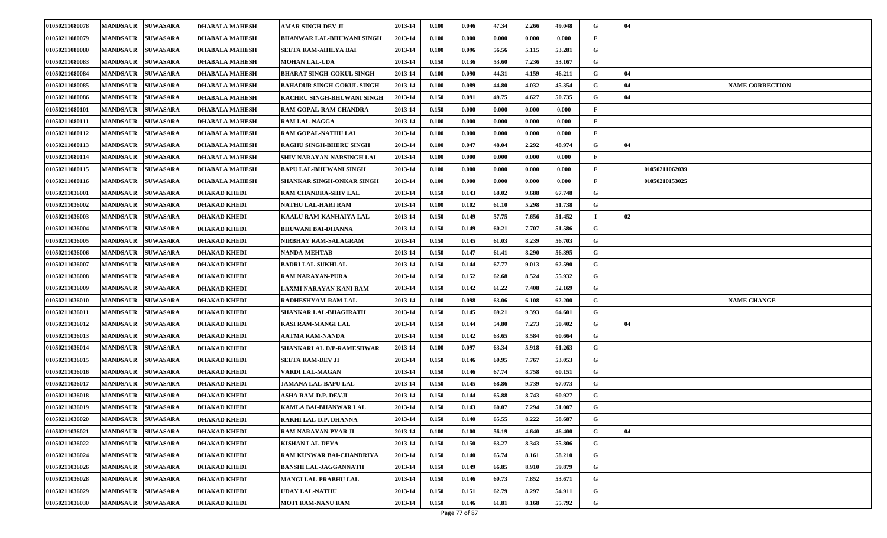| 01050211080078 | <b>MANDSAUR</b>   | <b>SUWASARA</b> | <b>DHABALA MAHESH</b> | AMAR SINGH-DEV JI                | 2013-14 | 0.100 | 0.046          | 47.34 | 2.266 | 49.048 | G           | 04             |                        |
|----------------|-------------------|-----------------|-----------------------|----------------------------------|---------|-------|----------------|-------|-------|--------|-------------|----------------|------------------------|
| 01050211080079 | <b>MANDSAUR</b>   | <b>SUWASARA</b> | <b>DHABALA MAHESH</b> | BHANWAR LAL-BHUWANI SINGH        | 2013-14 | 0.100 | 0.000          | 0.000 | 0.000 | 0.000  | $\mathbf F$ |                |                        |
| 01050211080080 | <b>MANDSAUR</b>   | <b>SUWASARA</b> | <b>DHABALA MAHESH</b> | <b>SEETA RAM-AHILYA BAI</b>      | 2013-14 | 0.100 | 0.096          | 56.56 | 5.115 | 53.281 | G           |                |                        |
| 01050211080083 | <b>MANDSAUR</b>   | <b>SUWASARA</b> | <b>DHABALA MAHESH</b> | <b>MOHAN LAL-UDA</b>             | 2013-14 | 0.150 | 0.136          | 53.60 | 7.236 | 53.167 | G           |                |                        |
| 01050211080084 | <b>MANDSAUR</b>   | <b>SUWASARA</b> | <b>DHABALA MAHESH</b> | <b>BHARAT SINGH-GOKUL SINGH</b>  | 2013-14 | 0.100 | 0.090          | 44.31 | 4.159 | 46.211 | G           | 04             |                        |
| 01050211080085 | <b>MANDSAUR</b>   | <b>SUWASARA</b> | <b>DHABALA MAHESH</b> | <b>BAHADUR SINGH-GOKUL SINGH</b> | 2013-14 | 0.100 | 0.089          | 44.80 | 4.032 | 45.354 | G           | 04             | <b>NAME CORRECTION</b> |
| 01050211080086 | <b>MANDSAUR</b>   | <b>SUWASARA</b> | <b>DHABALA MAHESH</b> | KACHRU SINGH-BHUWANI SINGH       | 2013-14 | 0.150 | 0.091          | 49.75 | 4.627 | 50.735 | G           | 04             |                        |
| 01050211080101 | <b>MANDSAUR</b>   | <b>SUWASARA</b> | <b>DHABALA MAHESH</b> | RAM GOPAL-RAM CHANDRA            | 2013-14 | 0.150 | 0.000          | 0.000 | 0.000 | 0.000  | F           |                |                        |
| 01050211080111 | <b>MANDSAUR</b>   | <b>SUWASARA</b> | <b>DHABALA MAHESH</b> | <b>RAM LAL-NAGGA</b>             | 2013-14 | 0.100 | 0.000          | 0.000 | 0.000 | 0.000  | F           |                |                        |
| 01050211080112 | <b>MANDSAUR</b>   | <b>SUWASARA</b> | <b>DHABALA MAHESH</b> | RAM GOPAL-NATHU LAL              | 2013-14 | 0.100 | 0.000          | 0.000 | 0.000 | 0.000  | F           |                |                        |
| 01050211080113 | <b>MANDSAUR</b>   | <b>SUWASARA</b> | <b>DHABALA MAHESH</b> | <b>RAGHU SINGH-BHERU SINGH</b>   | 2013-14 | 0.100 | 0.047          | 48.04 | 2.292 | 48.974 | G           | 04             |                        |
| 01050211080114 | <b>MANDSAUR</b>   | <b>SUWASARA</b> | <b>DHABALA MAHESH</b> | <b>SHIV NARAYAN-NARSINGH LAL</b> | 2013-14 | 0.100 | 0.000          | 0.000 | 0.000 | 0.000  | F           |                |                        |
| 01050211080115 | <b>MANDSAUR</b>   | <b>SUWASARA</b> | <b>DHABALA MAHESH</b> | <b>BAPU LAL-BHUWANI SINGH</b>    | 2013-14 | 0.100 | 0.000          | 0.000 | 0.000 | 0.000  |             | 01050211062039 |                        |
| 01050211080116 | <b>MANDSAUR</b>   | <b>SUWASARA</b> | <b>DHABALA MAHESH</b> | <b>SHANKAR SINGH-ONKAR SINGH</b> | 2013-14 | 0.100 | 0.000          | 0.000 | 0.000 | 0.000  | F           | 01050210153025 |                        |
| 01050211036001 | <b>MANDSAUR</b>   | <b>SUWASARA</b> | <b>DHAKAD KHEDI</b>   | RAM CHANDRA-SHIV LAL             | 2013-14 | 0.150 | 0.143          | 68.02 | 9.688 | 67.748 | G           |                |                        |
| 01050211036002 | <b>MANDSAUR</b>   | <b>SUWASARA</b> | <b>DHAKAD KHEDI</b>   | NATHU LAL-HARI RAM               | 2013-14 | 0.100 | 0.102          | 61.10 | 5.298 | 51.738 | G           |                |                        |
| 01050211036003 | <b>MANDSAUR</b>   | <b>SUWASARA</b> | <b>DHAKAD KHEDI</b>   | KAALU RAM-KANHAIYA LAL           | 2013-14 | 0.150 | 0.149          | 57.75 | 7.656 | 51.452 |             | 02             |                        |
| 01050211036004 | <b>MANDSAUR</b>   | <b>SUWASARA</b> | <b>DHAKAD KHEDI</b>   | <b>BHUWANI BAI-DHANNA</b>        | 2013-14 | 0.150 | 0.149          | 60.21 | 7.707 | 51.586 | G           |                |                        |
| 01050211036005 | <b>MANDSAUR</b>   | <b>SUWASARA</b> | <b>DHAKAD KHEDI</b>   | NIRBHAY RAM-SALAGRAM             | 2013-14 | 0.150 | 0.145          | 61.03 | 8.239 | 56.703 | G           |                |                        |
| 01050211036006 | <b>MANDSAUR</b>   | <b>SUWASARA</b> | <b>DHAKAD KHEDI</b>   | <b>NANDA-MEHTAB</b>              | 2013-14 | 0.150 | 0.147          | 61.41 | 8.290 | 56.395 | G           |                |                        |
| 01050211036007 | <b>MANDSAUR</b>   | <b>SUWASARA</b> | DHAKAD KHEDI          | <b>BADRI LAL-SUKHLAL</b>         | 2013-14 | 0.150 | 0.144          | 67.77 | 9.013 | 62.590 | G           |                |                        |
| 01050211036008 | <b>MANDSAUR</b>   | <b>SUWASARA</b> | <b>DHAKAD KHEDI</b>   | <b>RAM NARAYAN-PURA</b>          | 2013-14 | 0.150 | 0.152          | 62.68 | 8.524 | 55.932 | G           |                |                        |
| 01050211036009 | <b>MANDSAUR</b>   | <b>SUWASARA</b> | <b>DHAKAD KHEDI</b>   | LAXMI NARAYAN-KANI RAM           | 2013-14 | 0.150 | 0.142          | 61.22 | 7.408 | 52.169 | G           |                |                        |
| 01050211036010 | <b>MANDSAUR</b>   | <b>SUWASARA</b> | <b>DHAKAD KHEDI</b>   | RADHESHYAM-RAM LAL               | 2013-14 | 0.100 | 0.098          | 63.06 | 6.108 | 62.200 | G           |                | <b>NAME CHANGE</b>     |
| 01050211036011 | <b>MANDSAUR</b>   | <b>SUWASARA</b> | <b>DHAKAD KHEDI</b>   | <b>SHANKAR LAL-BHAGIRATH</b>     | 2013-14 | 0.150 | 0.145          | 69.21 | 9.393 | 64.601 | G           |                |                        |
| 01050211036012 | <b>MANDSAUR</b>   | <b>SUWASARA</b> | <b>DHAKAD KHEDI</b>   | <b>KASI RAM-MANGI LAL</b>        | 2013-14 | 0.150 | 0.144          | 54.80 | 7.273 | 50.402 | G           | 04             |                        |
| 01050211036013 | <b>MANDSAUR</b>   | <b>SUWASARA</b> | <b>DHAKAD KHEDI</b>   | AATMA RAM-NANDA                  | 2013-14 | 0.150 | 0.142          | 63.65 | 8.584 | 60.664 | G           |                |                        |
| 01050211036014 | <b>MANDSAUR</b>   | <b>SUWASARA</b> | <b>DHAKAD KHEDI</b>   | SHANKARLAL D/P-RAMESHWAR         | 2013-14 | 0.100 | 0.097          | 63.34 | 5.918 | 61.263 | G           |                |                        |
| 01050211036015 | <b>MANDSAUR</b>   | <b>SUWASARA</b> | <b>DHAKAD KHEDI</b>   | <b>SEETA RAM-DEV JI</b>          | 2013-14 | 0.150 | 0.146          | 60.95 | 7.767 | 53.053 | G           |                |                        |
| 01050211036016 | <b>MANDSAUR</b>   | <b>SUWASARA</b> | <b>DHAKAD KHEDI</b>   | <b>VARDI LAL-MAGAN</b>           | 2013-14 | 0.150 | 0.146          | 67.74 | 8.758 | 60.151 | G           |                |                        |
| 01050211036017 | <b>MANDSAUR</b>   | <b>SUWASARA</b> | <b>DHAKAD KHEDI</b>   | <b>JAMANA LAL-BAPU LAL</b>       | 2013-14 | 0.150 | 0.145          | 68.86 | 9.739 | 67.073 | G           |                |                        |
| 01050211036018 | <b>MANDSAUR</b>   | <b>SUWASARA</b> | <b>DHAKAD KHEDI</b>   | ASHA RAM-D.P. DEVJI              | 2013-14 | 0.150 | 0.144          | 65.88 | 8.743 | 60.927 | G           |                |                        |
| 01050211036019 | <b>MANDSAUR</b>   | <b>SUWASARA</b> | <b>DHAKAD KHEDI</b>   | KAMLA BAI-BHANWAR LAL            | 2013-14 | 0.150 | 0.143          | 60.07 | 7.294 | 51.007 | G           |                |                        |
| 01050211036020 | MANDSAUR SUWASARA |                 | <b>DHAKAD KHEDI</b>   | RAKHI LAL-D.P. DHANNA            | 2013-14 | 0.150 | 0.140          | 65.55 | 8.222 | 58.687 | G           |                |                        |
| 01050211036021 | <b>MANDSAUR</b>   | <b>SUWASARA</b> | <b>DHAKAD KHEDI</b>   | RAM NARAYAN-PYAR JI              | 2013-14 | 0.100 | 0.100          | 56.19 | 4.640 | 46.400 | G           | 04             |                        |
| 01050211036022 | <b>MANDSAUR</b>   | <b>SUWASARA</b> | <b>DHAKAD KHEDI</b>   | KISHAN LAL-DEVA                  | 2013-14 | 0.150 | 0.150          | 63.27 | 8.343 | 55.806 | G           |                |                        |
| 01050211036024 | <b>MANDSAUR</b>   | <b>SUWASARA</b> | <b>DHAKAD KHEDI</b>   | <b>RAM KUNWAR BAI-CHANDRIYA</b>  | 2013-14 | 0.150 | 0.140          | 65.74 | 8.161 | 58.210 | G           |                |                        |
| 01050211036026 | <b>MANDSAUR</b>   | <b>SUWASARA</b> | <b>DHAKAD KHEDI</b>   | <b>BANSHI LAL-JAGGANNATH</b>     | 2013-14 | 0.150 | 0.149          | 66.85 | 8.910 | 59.879 | G           |                |                        |
| 01050211036028 | <b>MANDSAUR</b>   | <b>SUWASARA</b> | <b>DHAKAD KHEDI</b>   | MANGI LAL-PRABHU LAL             | 2013-14 | 0.150 | 0.146          | 60.73 | 7.852 | 53.671 | G           |                |                        |
| 01050211036029 | <b>MANDSAUR</b>   | <b>SUWASARA</b> | <b>DHAKAD KHEDI</b>   | <b>UDAY LAL-NATHU</b>            | 2013-14 | 0.150 | 0.151          | 62.79 | 8.297 | 54.911 | G           |                |                        |
| 01050211036030 | <b>MANDSAUR</b>   | <b>SUWASARA</b> | <b>DHAKAD KHEDI</b>   | <b>MOTI RAM-NANU RAM</b>         | 2013-14 | 0.150 | 0.146<br>77.07 | 61.81 | 8.168 | 55.792 | G           |                |                        |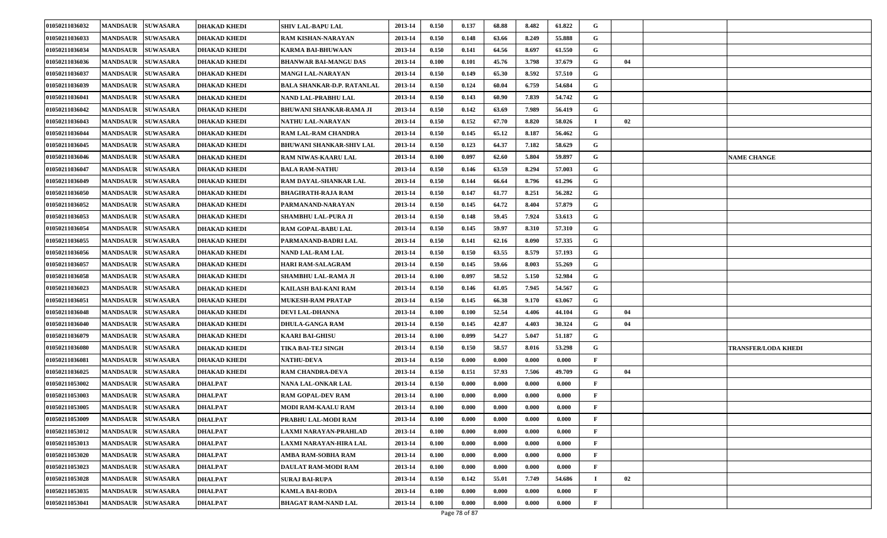| 01050211036032 | <b>MANDSAUR</b>   | <b>SUWASARA</b> | <b>DHAKAD KHEDI</b> | <b>SHIV LAL-BAPU LAL</b>        | 2013-14 | 0.150                 | 0.137               | 68.88 | 8.482 | 61.822 | G            |    |                            |
|----------------|-------------------|-----------------|---------------------|---------------------------------|---------|-----------------------|---------------------|-------|-------|--------|--------------|----|----------------------------|
| 01050211036033 | <b>MANDSAUR</b>   | <b>SUWASARA</b> | DHAKAD KHEDI        | <b>RAM KISHAN-NARAYAN</b>       | 2013-14 | 0.150                 | 0.148               | 63.66 | 8.249 | 55.888 | G            |    |                            |
| 01050211036034 | <b>MANDSAUR</b>   | <b>SUWASARA</b> | <b>DHAKAD KHEDI</b> | <b>KARMA BAI-BHUWAAN</b>        | 2013-14 | 0.150                 | 0.141               | 64.56 | 8.697 | 61.550 | G            |    |                            |
| 01050211036036 | <b>MANDSAUR</b>   | <b>SUWASARA</b> | DHAKAD KHEDI        | BHANWAR BAI-MANGU DAS           | 2013-14 | 0.100                 | 0.101               | 45.76 | 3.798 | 37.679 | G            | 04 |                            |
| 01050211036037 | <b>MANDSAUR</b>   | <b>SUWASARA</b> | DHAKAD KHEDI        | <b>MANGI LAL-NARAYAN</b>        | 2013-14 | 0.150                 | 0.149               | 65.30 | 8.592 | 57.510 | G            |    |                            |
| 01050211036039 | <b>MANDSAUR</b>   | <b>SUWASARA</b> | <b>DHAKAD KHEDI</b> | BALA SHANKAR-D.P. RATANLAL      | 2013-14 | 0.150                 | 0.124               | 60.04 | 6.759 | 54.684 | G            |    |                            |
| 01050211036041 | <b>MANDSAUR</b>   | <b>SUWASARA</b> | DHAKAD KHEDI        | NAND LAL-PRABHU LAL             | 2013-14 | 0.150                 | 0.143               | 60.90 | 7.839 | 54.742 | G            |    |                            |
| 01050211036042 | <b>MANDSAUR</b>   | <b>SUWASARA</b> | DHAKAD KHEDI        | BHUWANI SHANKAR-RAMA JI         | 2013-14 | 0.150                 | 0.142               | 63.69 | 7.989 | 56.419 | G            |    |                            |
| 01050211036043 | <b>MANDSAUR</b>   | <b>SUWASARA</b> | DHAKAD KHEDI        | NATHU LAL-NARAYAN               | 2013-14 | 0.150                 | 0.152               | 67.70 | 8.820 | 58.026 |              | 02 |                            |
| 01050211036044 | <b>MANDSAUR</b>   | <b>SUWASARA</b> | <b>DHAKAD KHEDI</b> | <b>RAM LAL-RAM CHANDRA</b>      | 2013-14 | 0.150                 | 0.145               | 65.12 | 8.187 | 56.462 | G            |    |                            |
| 01050211036045 | <b>MANDSAUR</b>   | <b>SUWASARA</b> | DHAKAD KHEDI        | <b>BHUWANI SHANKAR-SHIV LAL</b> | 2013-14 | 0.150                 | 0.123               | 64.37 | 7.182 | 58.629 | G            |    |                            |
| 01050211036046 | <b>MANDSAUR</b>   | <b>SUWASARA</b> | <b>DHAKAD KHEDI</b> | RAM NIWAS-KAARU LAL             | 2013-14 | 0.100                 | 0.097               | 62.60 | 5.804 | 59.897 | G            |    | <b>NAME CHANGE</b>         |
| 01050211036047 | <b>MANDSAUR</b>   | <b>SUWASARA</b> | <b>DHAKAD KHEDI</b> | <b>BALA RAM-NATHU</b>           | 2013-14 | 0.150                 | 0.146               | 63.59 | 8.294 | 57.003 | G            |    |                            |
| 01050211036049 | <b>MANDSAUR</b>   | <b>SUWASARA</b> | <b>DHAKAD KHEDI</b> | <b>RAM DAYAL-SHANKAR LAL</b>    | 2013-14 | 0.150                 | 0.144               | 66.64 | 8.796 | 61.296 | G            |    |                            |
| 01050211036050 | <b>MANDSAUR</b>   | <b>SUWASARA</b> | DHAKAD KHEDI        | BHAGIRATH-RAJA RAM              | 2013-14 | 0.150                 | 0.147               | 61.77 | 8.251 | 56.282 | G            |    |                            |
| 01050211036052 | <b>MANDSAUR</b>   | <b>SUWASARA</b> | <b>DHAKAD KHEDI</b> | PARMANAND-NARAYAN               | 2013-14 | 0.150                 | 0.145               | 64.72 | 8.404 | 57.879 | G            |    |                            |
| 01050211036053 | <b>MANDSAUR</b>   | <b>SUWASARA</b> | DHAKAD KHEDI        | SHAMBHU LAL-PURA JI             | 2013-14 | 0.150                 | 0.148               | 59.45 | 7.924 | 53.613 | G            |    |                            |
| 01050211036054 | <b>MANDSAUR</b>   | <b>SUWASARA</b> | <b>DHAKAD KHEDI</b> | <b>RAM GOPAL-BABU LAL</b>       | 2013-14 | 0.150                 | 0.145               | 59.97 | 8.310 | 57.310 | G            |    |                            |
| 01050211036055 | <b>MANDSAUR</b>   | <b>SUWASARA</b> | DHAKAD KHEDI        | PARMANAND-BADRI LAL             | 2013-14 | 0.150                 | 0.141               | 62.16 | 8.090 | 57.335 | G            |    |                            |
| 01050211036056 | <b>MANDSAUR</b>   | <b>SUWASARA</b> | <b>DHAKAD KHEDI</b> | NAND LAL-RAM LAL                | 2013-14 | 0.150                 | 0.150               | 63.55 | 8.579 | 57.193 | G            |    |                            |
| 01050211036057 | <b>MANDSAUR</b>   | <b>SUWASARA</b> | DHAKAD KHEDI        | HARI RAM-SALAGRAM               | 2013-14 | 0.150                 | 0.145               | 59.66 | 8.003 | 55.269 | G            |    |                            |
| 01050211036058 | <b>MANDSAUR</b>   | <b>SUWASARA</b> | <b>DHAKAD KHEDI</b> | SHAMBHU LAL-RAMA JI             | 2013-14 | 0.100                 | 0.097               | 58.52 | 5.150 | 52.984 | G            |    |                            |
| 01050211036023 | <b>MANDSAUR</b>   | <b>SUWASARA</b> | DHAKAD KHEDI        | KAILASH BAI-KANI RAM            | 2013-14 | 0.150                 | 0.146               | 61.05 | 7.945 | 54.567 | G            |    |                            |
| 01050211036051 | <b>MANDSAUR</b>   | <b>SUWASARA</b> | DHAKAD KHEDI        | <b>MUKESH-RAM PRATAP</b>        | 2013-14 | 0.150                 | 0.145               | 66.38 | 9.170 | 63.067 | G            |    |                            |
| 01050211036048 | <b>MANDSAUR</b>   | <b>SUWASARA</b> | DHAKAD KHEDI        | DEVI LAL-DHANNA                 | 2013-14 | 0.100                 | 0.100               | 52.54 | 4.406 | 44.104 | G            | 04 |                            |
| 01050211036040 | <b>MANDSAUR</b>   | <b>SUWASARA</b> | <b>DHAKAD KHEDI</b> | <b>DHULA-GANGA RAM</b>          | 2013-14 | 0.150                 | 0.145               | 42.87 | 4.403 | 30.324 | G            | 04 |                            |
| 01050211036079 | <b>MANDSAUR</b>   | <b>SUWASARA</b> | DHAKAD KHEDI        | KAARI BAI-GHISU                 | 2013-14 | 0.100                 | 0.099               | 54.27 | 5.047 | 51.187 | G            |    |                            |
| 01050211036080 | <b>MANDSAUR</b>   | <b>SUWASARA</b> | DHAKAD KHEDI        | TIKA BAI-TEJ SINGH              | 2013-14 | 0.150                 | 0.150               | 58.57 | 8.016 | 53.298 | G            |    | <b>TRANSFER/LODA KHEDI</b> |
| 01050211036081 | <b>MANDSAUR</b>   | <b>SUWASARA</b> | <b>DHAKAD KHEDI</b> | <b>NATHU-DEVA</b>               | 2013-14 | 0.150                 | 0.000               | 0.000 | 0.000 | 0.000  | F            |    |                            |
| 01050211036025 | <b>MANDSAUR</b>   | <b>SUWASARA</b> | DHAKAD KHEDI        | <b>RAM CHANDRA-DEVA</b>         | 2013-14 | 0.150                 | 0.151               | 57.93 | 7.506 | 49.709 | G            | 04 |                            |
| 01050211053002 | <b>MANDSAUR</b>   | <b>SUWASARA</b> | <b>DHALPAT</b>      | NANA LAL-ONKAR LAL              | 2013-14 | 0.150                 | 0.000               | 0.000 | 0.000 | 0.000  | F            |    |                            |
| 01050211053003 | <b>MANDSAUR</b>   | <b>SUWASARA</b> | <b>DHALPAT</b>      | <b>RAM GOPAL-DEV RAM</b>        | 2013-14 | 0.100                 | 0.000               | 0.000 | 0.000 | 0.000  | F            |    |                            |
| 01050211053005 | MANDSAUR SUWASARA |                 | <b>DHALPAT</b>      | MODI RAM-KAALU RAM              | 2013-14 | 0.100                 | 0.000               | 0.000 | 0.000 | 0.000  | F            |    |                            |
| 01050211053009 | MANDSAUR SUWASARA |                 | <b>DHALPAT</b>      | PRABHU LAL-MODI RAM             | 2013-14 | 0.100                 | 0.000               | 0.000 | 0.000 | 0.000  |              |    |                            |
| 01050211053012 | MANDSAUR SUWASARA |                 | <b>DHALPAT</b>      | LAXMI NARAYAN-PRAHLAD           | 2013-14 | 0.100                 | 0.000               | 0.000 | 0.000 | 0.000  | F            |    |                            |
| 01050211053013 | <b>MANDSAUR</b>   | <b>SUWASARA</b> | <b>DHALPAT</b>      | LAXMI NARAYAN-HIRA LAL          | 2013-14 | 0.100                 | 0.000               | 0.000 | 0.000 | 0.000  | F            |    |                            |
| 01050211053020 | MANDSAUR SUWASARA |                 | <b>DHALPAT</b>      | AMBA RAM-SOBHA RAM              | 2013-14 | 0.100                 | 0.000               | 0.000 | 0.000 | 0.000  | F            |    |                            |
| 01050211053023 | MANDSAUR SUWASARA |                 | <b>DHALPAT</b>      | DAULAT RAM-MODI RAM             | 2013-14 | 0.100                 | 0.000               | 0.000 | 0.000 | 0.000  | F            |    |                            |
| 01050211053028 | <b>MANDSAUR</b>   | <b>SUWASARA</b> | <b>DHALPAT</b>      | <b>SURAJ BAI-RUPA</b>           | 2013-14 | 0.150                 | 0.142               | 55.01 | 7.749 | 54.686 |              | 02 |                            |
| 01050211053035 | <b>MANDSAUR</b>   | <b>SUWASARA</b> | <b>DHALPAT</b>      | <b>KAMLA BAI-RODA</b>           | 2013-14 | 0.100                 | 0.000               | 0.000 | 0.000 | 0.000  | F            |    |                            |
| 01050211053041 | MANDSAUR SUWASARA |                 | <b>DHALPAT</b>      | <b>BHAGAT RAM-NAND LAL</b>      | 2013-14 | 0.100<br>$\mathbf{D}$ | 0.000<br>$70 - 507$ | 0.000 | 0.000 | 0.000  | $\mathbf{F}$ |    |                            |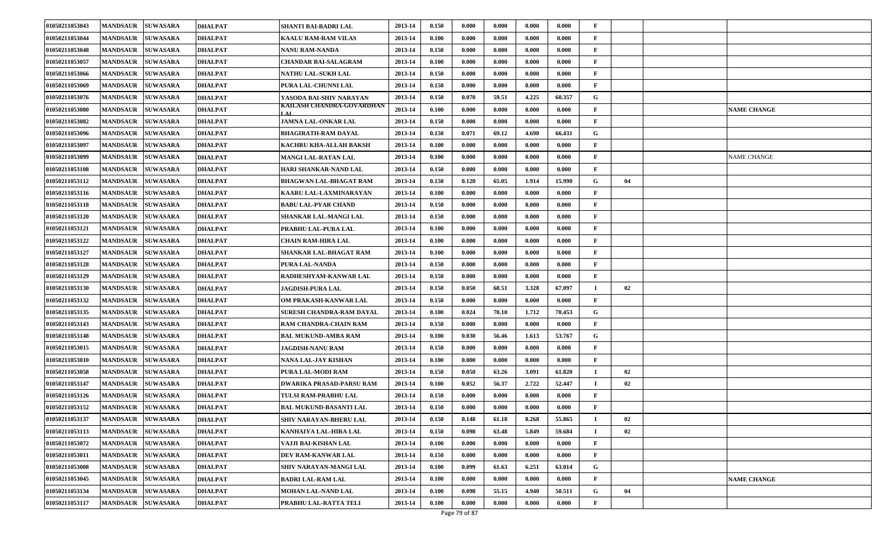| 01050211053043 | <b>MANDSAUR</b>   | <b>SUWASARA</b> | <b>DHALPAT</b> | SHANTI BAI-BADRI LAL            | 2013-14 | 0.150 | 0.000                | 0.000 | 0.000 | 0.000  | $\mathbf F$  |    |                    |
|----------------|-------------------|-----------------|----------------|---------------------------------|---------|-------|----------------------|-------|-------|--------|--------------|----|--------------------|
| 01050211053044 | <b>MANDSAUR</b>   | <b>SUWASARA</b> | <b>DHALPAT</b> | <b>KAALU RAM-RAM VILAS</b>      | 2013-14 | 0.100 | 0.000                | 0.000 | 0.000 | 0.000  | $\mathbf F$  |    |                    |
| 01050211053048 | <b>MANDSAUR</b>   | <b>SUWASARA</b> | <b>DHALPAT</b> | <b>NANU RAM-NANDA</b>           | 2013-14 | 0.150 | 0.000                | 0.000 | 0.000 | 0.000  | $\mathbf F$  |    |                    |
| 01050211053057 | <b>MANDSAUR</b>   | <b>SUWASARA</b> | <b>DHALPAT</b> | CHANDAR BAI-SALAGRAM            | 2013-14 | 0.100 | 0.000                | 0.000 | 0.000 | 0.000  | $\mathbf F$  |    |                    |
| 01050211053066 | <b>MANDSAUR</b>   | <b>SUWASARA</b> | <b>DHALPAT</b> | NATHU LAL-SUKH LAL              | 2013-14 | 0.150 | 0.000                | 0.000 | 0.000 | 0.000  | F            |    |                    |
| 01050211053069 | <b>MANDSAUR</b>   | <b>SUWASARA</b> | <b>DHALPAT</b> | PURA LAL-CHUNNI LAL             | 2013-14 | 0.150 | 0.000                | 0.000 | 0.000 | 0.000  | F            |    |                    |
| 01050211053076 | <b>MANDSAUR</b>   | <b>SUWASARA</b> | <b>DHALPAT</b> | YASODA BAI-SHIV NARAYAN         | 2013-14 | 0.150 | 0.070                | 59.51 | 4.225 | 60.357 | G            |    |                    |
| 01050211053080 | <b>MANDSAUR</b>   | <b>SUWASARA</b> | <b>DHALPAT</b> | KAILASH CHANDRA-GOVARDHAN       | 2013-14 | 0.100 | 0.000                | 0.000 | 0.000 | 0.000  | F            |    | <b>NAME CHANGE</b> |
| 01050211053082 | <b>MANDSAUR</b>   | <b>SUWASARA</b> | <b>DHALPAT</b> | <b>JAMNA LAL-ONKAR LAL</b>      | 2013-14 | 0.150 | 0.000                | 0.000 | 0.000 | 0.000  | $\mathbf F$  |    |                    |
| 01050211053096 | <b>MANDSAUR</b>   | <b>SUWASARA</b> | <b>DHALPAT</b> | <b>BHAGIRATH-RAM DAYAL</b>      | 2013-14 | 0.150 | 0.071                | 69.12 | 4.690 | 66.431 | G            |    |                    |
| 01050211053097 | <b>MANDSAUR</b>   | <b>SUWASARA</b> | <b>DHALPAT</b> | KACHRU KHA-ALLAH BAKSH          | 2013-14 | 0.100 | 0.000                | 0.000 | 0.000 | 0.000  | $\mathbf F$  |    |                    |
| 01050211053099 | <b>MANDSAUR</b>   | <b>SUWASARA</b> | <b>DHALPAT</b> | <b>MANGI LAL-RATAN LAL</b>      | 2013-14 | 0.100 | 0.000                | 0.000 | 0.000 | 0.000  | F            |    | NAME CHANGE        |
| 01050211053108 | <b>MANDSAUR</b>   | <b>SUWASARA</b> | <b>DHALPAT</b> | HARI SHANKAR-NAND LAL           | 2013-14 | 0.150 | 0.000                | 0.000 | 0.000 | 0.000  | $\mathbf F$  |    |                    |
| 01050211053112 | <b>MANDSAUR</b>   | <b>SUWASARA</b> | <b>DHALPAT</b> | <b>BHAGWAN LAL-BHAGAT RAM</b>   | 2013-14 | 0.150 | 0.120                | 65.05 | 1.914 | 15.990 | G            | 04 |                    |
| 01050211053116 | <b>MANDSAUR</b>   | <b>SUWASARA</b> | <b>DHALPAT</b> | KAARU LAL-LAXMINARAYAN          | 2013-14 | 0.100 | 0.000                | 0.000 | 0.000 | 0.000  |              |    |                    |
| 01050211053118 | <b>MANDSAUR</b>   | <b>SUWASARA</b> | <b>DHALPAT</b> | <b>BABU LAL-PYAR CHAND</b>      | 2013-14 | 0.150 | 0.000                | 0.000 | 0.000 | 0.000  | F            |    |                    |
| 01050211053120 | <b>MANDSAUR</b>   | <b>SUWASARA</b> | <b>DHALPAT</b> | <b>SHANKAR LAL-MANGI LAL</b>    | 2013-14 | 0.150 | 0.000                | 0.000 | 0.000 | 0.000  | F            |    |                    |
| 01050211053121 | <b>MANDSAUR</b>   | <b>SUWASARA</b> | <b>DHALPAT</b> | PRABHU LAL-PURA LAL             | 2013-14 | 0.100 | 0.000                | 0.000 | 0.000 | 0.000  | $\mathbf F$  |    |                    |
| 01050211053122 | <b>MANDSAUR</b>   | <b>SUWASARA</b> | <b>DHALPAT</b> | CHAIN RAM-HIRA LAL              | 2013-14 | 0.100 | 0.000                | 0.000 | 0.000 | 0.000  | $\mathbf F$  |    |                    |
| 01050211053127 | <b>MANDSAUR</b>   | <b>SUWASARA</b> | <b>DHALPAT</b> | SHANKAR LAL-BHAGAT RAM          | 2013-14 | 0.100 | 0.000                | 0.000 | 0.000 | 0.000  | $\mathbf F$  |    |                    |
| 01050211053128 | <b>MANDSAUR</b>   | <b>SUWASARA</b> | <b>DHALPAT</b> | PURA LAL-NANDA                  | 2013-14 | 0.150 | 0.000                | 0.000 | 0.000 | 0.000  | $\mathbf F$  |    |                    |
| 01050211053129 | <b>MANDSAUR</b>   | <b>SUWASARA</b> | <b>DHALPAT</b> | RADHESHYAM-KANWAR LAL           | 2013-14 | 0.150 | 0.000                | 0.000 | 0.000 | 0.000  | $\mathbf F$  |    |                    |
| 01050211053130 | <b>MANDSAUR</b>   | <b>SUWASARA</b> | <b>DHALPAT</b> | <b>JAGDISH-PURA LAL</b>         | 2013-14 | 0.150 | 0.050                | 68.51 | 3.328 | 67.097 | $\mathbf I$  | 02 |                    |
| 01050211053132 | <b>MANDSAUR</b>   | <b>SUWASARA</b> | <b>DHALPAT</b> | OM PRAKASH-KANWAR LAL           | 2013-14 | 0.150 | 0.000                | 0.000 | 0.000 | 0.000  | $\mathbf F$  |    |                    |
| 01050211053135 | <b>MANDSAUR</b>   | <b>SUWASARA</b> | <b>DHALPAT</b> | SURESH CHANDRA-RAM DAYAL        | 2013-14 | 0.100 | 0.024                | 70.10 | 1.712 | 70.453 | G            |    |                    |
| 01050211053143 | <b>MANDSAUR</b>   | <b>SUWASARA</b> | <b>DHALPAT</b> | RAM CHANDRA-CHAIN RAM           | 2013-14 | 0.150 | 0.000                | 0.000 | 0.000 | 0.000  | $\mathbf F$  |    |                    |
| 01050211053148 | <b>MANDSAUR</b>   | <b>SUWASARA</b> | <b>DHALPAT</b> | <b>BAL MUKUND-AMBA RAM</b>      | 2013-14 | 0.100 | 0.030                | 56.46 | 1.613 | 53.767 | G            |    |                    |
| 01050211053015 | <b>MANDSAUR</b>   | <b>SUWASARA</b> | <b>DHALPAT</b> | <b>JAGDISH-NANU RAM</b>         | 2013-14 | 0.150 | 0.000                | 0.000 | 0.000 | 0.000  | F            |    |                    |
| 01050211053010 | <b>MANDSAUR</b>   | <b>SUWASARA</b> | <b>DHALPAT</b> | NANA LAL-JAY KISHAN             | 2013-14 | 0.100 | 0.000                | 0.000 | 0.000 | 0.000  | F            |    |                    |
| 01050211053058 | <b>MANDSAUR</b>   | <b>SUWASARA</b> | <b>DHALPAT</b> | PURA LAL-MODI RAM               | 2013-14 | 0.150 | 0.050                | 63.26 | 3.091 | 61.820 |              | 02 |                    |
| 01050211053147 | <b>MANDSAUR</b>   | <b>SUWASARA</b> | <b>DHALPAT</b> | <b>DWARIKA PRASAD-PARSU RAM</b> | 2013-14 | 0.100 | 0.052                | 56.37 | 2.722 | 52.447 | $\mathbf I$  | 02 |                    |
| 01050211053126 | <b>MANDSAUR</b>   | <b>SUWASARA</b> | <b>DHALPAT</b> | TULSI RAM-PRABHU LAL            | 2013-14 | 0.150 | 0.000                | 0.000 | 0.000 | 0.000  | F            |    |                    |
| 01050211053152 | <b>MANDSAUR</b>   | <b>SUWASARA</b> | <b>DHALPAT</b> | <b>BAL MUKUND-BASANTI LAL</b>   | 2013-14 | 0.150 | 0.000                | 0.000 | 0.000 | 0.000  | $\mathbf{F}$ |    |                    |
| 01050211053137 | MANDSAUR SUWASARA |                 | <b>DHALPAT</b> | SHIV NARAYAN-BHERU LAL          | 2013-14 | 0.150 | 0.148                | 61.18 | 8.268 | 55.865 |              | 02 |                    |
| 01050211053113 | <b>MANDSAUR</b>   | <b>SUWASARA</b> | <b>DHALPAT</b> | KANHAIYA LAL-HIRA LAL           | 2013-14 | 0.150 | 0.098                | 63.48 | 5.849 | 59.684 |              | 02 |                    |
| 01050211053072 | <b>MANDSAUR</b>   | <b>SUWASARA</b> | <b>DHALPAT</b> | VAJJI BAI-KISHAN LAL            | 2013-14 | 0.100 | 0.000                | 0.000 | 0.000 | 0.000  | F            |    |                    |
| 01050211053011 | <b>MANDSAUR</b>   | <b>SUWASARA</b> | <b>DHALPAT</b> | DEV RAM-KANWAR LAL              | 2013-14 | 0.150 | 0.000                | 0.000 | 0.000 | 0.000  | $\mathbf F$  |    |                    |
| 01050211053008 | <b>MANDSAUR</b>   | <b>SUWASARA</b> | <b>DHALPAT</b> | SHIV NARAYAN-MANGI LAL          | 2013-14 | 0.100 | 0.099                | 61.63 | 6.251 | 63.014 | G            |    |                    |
| 01050211053045 | <b>MANDSAUR</b>   | <b>SUWASARA</b> | <b>DHALPAT</b> | <b>BADRI LAL-RAM LAL</b>        | 2013-14 | 0.100 | 0.000                | 0.000 | 0.000 | 0.000  | F            |    | <b>NAME CHANGE</b> |
| 01050211053134 | <b>MANDSAUR</b>   | <b>SUWASARA</b> | <b>DHALPAT</b> | <b>MOHAN LAL-NAND LAL</b>       | 2013-14 | 0.100 | 0.098                | 55.15 | 4.940 | 50.511 | G            | 04 |                    |
| 01050211053117 | <b>MANDSAUR</b>   | <b>SUWASARA</b> | <b>DHALPAT</b> | PRABHU LAL-RATTA TELI           | 2013-14 | 0.100 | 0.000<br>$-70 - 607$ | 0.000 | 0.000 | 0.000  | F            |    |                    |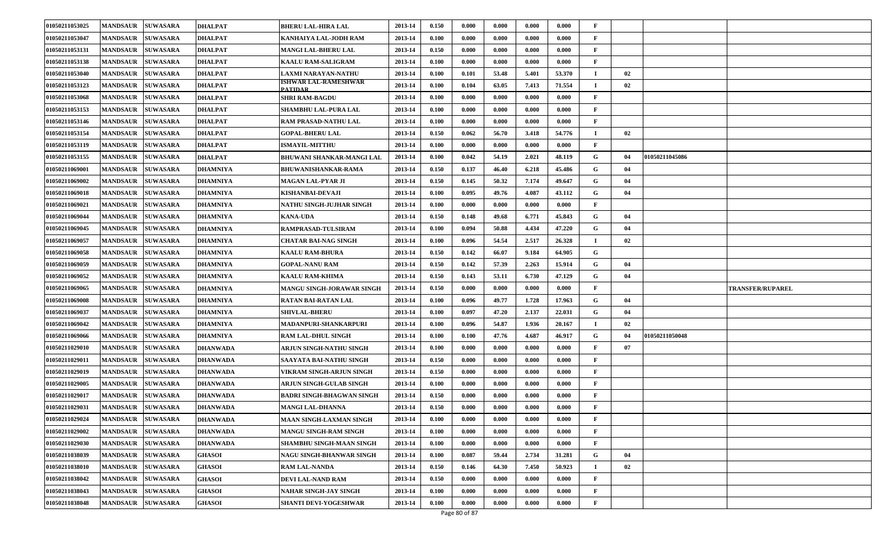| 01050211053025 | <b>MANDSAUR</b><br><b>SUWASARA</b> | <b>DHALPAT</b>  | <b>BHERU LAL-HIRA LAL</b>              | 2013-14 | 0.150 | 0.000                  | 0.000 | 0.000 | 0.000  | F            |    |                |                         |
|----------------|------------------------------------|-----------------|----------------------------------------|---------|-------|------------------------|-------|-------|--------|--------------|----|----------------|-------------------------|
| 01050211053047 | <b>MANDSAUR</b><br><b>SUWASARA</b> | <b>DHALPAT</b>  | KANHAIYA LAL-JODH RAM                  | 2013-14 | 0.100 | 0.000                  | 0.000 | 0.000 | 0.000  | F            |    |                |                         |
| 01050211053131 | MANDSAUR SUWASARA                  | <b>DHALPAT</b>  | MANGI LAL-BHERU LAL                    | 2013-14 | 0.150 | 0.000                  | 0.000 | 0.000 | 0.000  | F            |    |                |                         |
| 01050211053138 | <b>MANDSAUR</b><br><b>SUWASARA</b> | <b>DHALPAT</b>  | <b>KAALU RAM-SALIGRAM</b>              | 2013-14 | 0.100 | 0.000                  | 0.000 | 0.000 | 0.000  | F            |    |                |                         |
| 01050211053040 | <b>MANDSAUR</b><br><b>SUWASARA</b> | <b>DHALPAT</b>  | LAXMI NARAYAN-NATHU                    | 2013-14 | 0.100 | 0.101                  | 53.48 | 5.401 | 53.370 | $\mathbf I$  | 02 |                |                         |
| 01050211053123 | <b>MANDSAUR</b><br><b>SUWASARA</b> | <b>DHALPAT</b>  | ISHWAR LAL-RAMESHWAR<br><b>PATIDAR</b> | 2013-14 | 0.100 | 0.104                  | 63.05 | 7.413 | 71.554 | -1           | 02 |                |                         |
| 01050211053068 | <b>MANDSAUR</b><br><b>SUWASARA</b> | <b>DHALPAT</b>  | <b>SHRI RAM-BAGDU</b>                  | 2013-14 | 0.100 | 0.000                  | 0.000 | 0.000 | 0.000  | $\mathbf{F}$ |    |                |                         |
| 01050211053153 | <b>SUWASARA</b><br><b>MANDSAUR</b> | <b>DHALPAT</b>  | SHAMBHU LAL-PURA LAL                   | 2013-14 | 0.100 | 0.000                  | 0.000 | 0.000 | 0.000  | F            |    |                |                         |
| 01050211053146 | <b>MANDSAUR</b><br><b>SUWASARA</b> | <b>DHALPAT</b>  | <b>RAM PRASAD-NATHU LAL</b>            | 2013-14 | 0.100 | 0.000                  | 0.000 | 0.000 | 0.000  | F            |    |                |                         |
| 01050211053154 | <b>MANDSAUR</b><br><b>SUWASARA</b> | <b>DHALPAT</b>  | <b>GOPAL-BHERU LAL</b>                 | 2013-14 | 0.150 | 0.062                  | 56.70 | 3.418 | 54.776 | -1           | 02 |                |                         |
| 01050211053119 | <b>MANDSAUR</b><br><b>SUWASARA</b> | <b>DHALPAT</b>  | <b>ISMAYIL-MITTHU</b>                  | 2013-14 | 0.100 | 0.000                  | 0.000 | 0.000 | 0.000  | F            |    |                |                         |
| 01050211053155 | <b>SUWASARA</b><br><b>MANDSAUR</b> | <b>DHALPAT</b>  | BHUWANI SHANKAR-MANGI LAL              | 2013-14 | 0.100 | 0.042                  | 54.19 | 2.021 | 48.119 | G            | 04 | 01050211045086 |                         |
| 01050211069001 | <b>MANDSAUR</b><br><b>SUWASARA</b> | <b>DHAMNIYA</b> | <b>BHUWANISHANKAR-RAMA</b>             | 2013-14 | 0.150 | 0.137                  | 46.40 | 6.218 | 45.486 | G            | 04 |                |                         |
| 01050211069002 | <b>MANDSAUR</b><br><b>SUWASARA</b> | <b>DHAMNIYA</b> | MAGAN LAL-PYAR JI                      | 2013-14 | 0.150 | 0.145                  | 50.32 | 7.174 | 49.647 | G            | 04 |                |                         |
| 01050211069018 | <b>MANDSAUR</b><br><b>SUWASARA</b> | <b>DHAMNIYA</b> | KISHANBAI-DEVAJI                       | 2013-14 | 0.100 | 0.095                  | 49.76 | 4.087 | 43.112 | G            | 04 |                |                         |
| 01050211069021 | <b>SUWASARA</b><br><b>MANDSAUR</b> | <b>DHAMNIYA</b> | NATHU SINGH-JUJHAR SINGH               | 2013-14 | 0.100 | 0.000                  | 0.000 | 0.000 | 0.000  | F            |    |                |                         |
| 01050211069044 | <b>MANDSAUR</b><br><b>SUWASARA</b> | <b>DHAMNIYA</b> | <b>KANA-UDA</b>                        | 2013-14 | 0.150 | 0.148                  | 49.68 | 6.771 | 45.843 | G            | 04 |                |                         |
| 01050211069045 | <b>MANDSAUR</b><br><b>SUWASARA</b> | <b>DHAMNIYA</b> | RAMPRASAD-TULSIRAM                     | 2013-14 | 0.100 | 0.094                  | 50.88 | 4.434 | 47.220 | G            | 04 |                |                         |
| 01050211069057 | <b>MANDSAUR</b><br><b>SUWASARA</b> | <b>DHAMNIYA</b> | CHATAR BAI-NAG SINGH                   | 2013-14 | 0.100 | 0.096                  | 54.54 | 2.517 | 26.328 | $\bf{I}$     | 02 |                |                         |
| 01050211069058 | <b>MANDSAUR</b><br><b>SUWASARA</b> | <b>DHAMNIYA</b> | KAALU RAM-BHURA                        | 2013-14 | 0.150 | 0.142                  | 66.07 | 9.184 | 64.905 | G            |    |                |                         |
| 01050211069059 | <b>MANDSAUR</b><br><b>SUWASARA</b> | <b>DHAMNIYA</b> | <b>GOPAL-NANU RAM</b>                  | 2013-14 | 0.150 | 0.142                  | 57.39 | 2.263 | 15.914 | G            | 04 |                |                         |
| 01050211069052 | <b>MANDSAUR</b><br><b>SUWASARA</b> | <b>DHAMNIYA</b> | <b>KAALU RAM-KHIMA</b>                 | 2013-14 | 0.150 | 0.143                  | 53.11 | 6.730 | 47.129 | G            | 04 |                |                         |
| 01050211069065 | <b>MANDSAUR</b><br><b>SUWASARA</b> | <b>DHAMNIYA</b> | MANGU SINGH-JORAWAR SINGH              | 2013-14 | 0.150 | 0.000                  | 0.000 | 0.000 | 0.000  | F            |    |                | <b>TRANSFER/RUPAREL</b> |
| 01050211069008 | <b>MANDSAUR</b><br><b>SUWASARA</b> | <b>DHAMNIYA</b> | RATAN BAI-RATAN LAL                    | 2013-14 | 0.100 | 0.096                  | 49.77 | 1.728 | 17.963 | G            | 04 |                |                         |
| 01050211069037 | <b>MANDSAUR</b><br><b>SUWASARA</b> | <b>DHAMNIYA</b> | <b>SHIVLAL-BHERU</b>                   | 2013-14 | 0.100 | 0.097                  | 47.20 | 2.137 | 22.031 | G            | 04 |                |                         |
| 01050211069042 | <b>MANDSAUR</b><br><b>SUWASARA</b> | <b>DHAMNIYA</b> | MADANPURI-SHANKARPURI                  | 2013-14 | 0.100 | 0.096                  | 54.87 | 1.936 | 20.167 |              | 02 |                |                         |
| 01050211069066 | <b>MANDSAUR</b><br><b>SUWASARA</b> | <b>DHAMNIYA</b> | <b>RAM LAL-DHUL SINGH</b>              | 2013-14 | 0.100 | 0.100                  | 47.76 | 4.687 | 46.917 | G            | 04 | 01050211050048 |                         |
| 01050211029010 | <b>MANDSAUR</b><br><b>SUWASARA</b> | <b>DHANWADA</b> | ARJUN SINGH-NATHU SINGH                | 2013-14 | 0.100 | 0.000                  | 0.000 | 0.000 | 0.000  | F            | 07 |                |                         |
| 01050211029011 | <b>MANDSAUR</b><br><b>SUWASARA</b> | <b>DHANWADA</b> | SAAYATA BAI-NATHU SINGH                | 2013-14 | 0.150 | 0.000                  | 0.000 | 0.000 | 0.000  | F            |    |                |                         |
| 01050211029019 | <b>MANDSAUR</b><br><b>SUWASARA</b> | <b>DHANWADA</b> | VIKRAM SINGH-ARJUN SINGH               | 2013-14 | 0.150 | 0.000                  | 0.000 | 0.000 | 0.000  | F            |    |                |                         |
| 01050211029005 | <b>SUWASARA</b><br><b>MANDSAUR</b> | <b>DHANWADA</b> | ARJUN SINGH-GULAB SINGH                | 2013-14 | 0.100 | 0.000                  | 0.000 | 0.000 | 0.000  | F            |    |                |                         |
| 01050211029017 | <b>MANDSAUR</b><br><b>SUWASARA</b> | <b>DHANWADA</b> | BADRI SINGH-BHAGWAN SINGH              | 2013-14 | 0.150 | 0.000                  | 0.000 | 0.000 | 0.000  | F            |    |                |                         |
| 01050211029031 | <b>MANDSAUR SUWASARA</b>           | <b>DHANWADA</b> | MANGI LAL-DHANNA                       | 2013-14 | 0.150 | 0.000                  | 0.000 | 0.000 | 0.000  | F            |    |                |                         |
| 01050211029024 | MANDSAUR SUWASARA                  | <b>DHANWADA</b> | MAAN SINGH-LAXMAN SINGH                | 2013-14 | 0.100 | 0.000                  | 0.000 | 0.000 | 0.000  |              |    |                |                         |
| 01050211029002 | <b>MANDSAUR SUWASARA</b>           | <b>DHANWADA</b> | MANGU SINGH-RAM SINGH                  | 2013-14 | 0.100 | 0.000                  | 0.000 | 0.000 | 0.000  | F            |    |                |                         |
| 01050211029030 | MANDSAUR SUWASARA                  | <b>DHANWADA</b> | SHAMBHU SINGH-MAAN SINGH               | 2013-14 | 0.100 | 0.000                  | 0.000 | 0.000 | 0.000  | F            |    |                |                         |
| 01050211038039 | MANDSAUR SUWASARA                  | <b>GHASOI</b>   | NAGU SINGH-BHANWAR SINGH               | 2013-14 | 0.100 | 0.087                  | 59.44 | 2.734 | 31.281 | G            | 04 |                |                         |
| 01050211038010 | MANDSAUR SUWASARA                  | <b>GHASOI</b>   | <b>RAM LAL-NANDA</b>                   | 2013-14 | 0.150 | 0.146                  | 64.30 | 7.450 | 50.923 |              | 02 |                |                         |
| 01050211038042 | MANDSAUR SUWASARA                  | <b>GHASOI</b>   | DEVI LAL-NAND RAM                      | 2013-14 | 0.150 | 0.000                  | 0.000 | 0.000 | 0.000  | F            |    |                |                         |
| 01050211038043 | <b>MANDSAUR</b><br><b>SUWASARA</b> | <b>GHASOI</b>   | NAHAR SINGH-JAY SINGH                  | 2013-14 | 0.100 | 0.000                  | 0.000 | 0.000 | 0.000  | F            |    |                |                         |
| 01050211038048 | MANDSAUR SUWASARA                  | <b>GHASOI</b>   | SHANTI DEVI-YOGESHWAR                  | 2013-14 | 0.100 | 0.000<br>$D = 00 - 07$ | 0.000 | 0.000 | 0.000  | $\mathbf{F}$ |    |                |                         |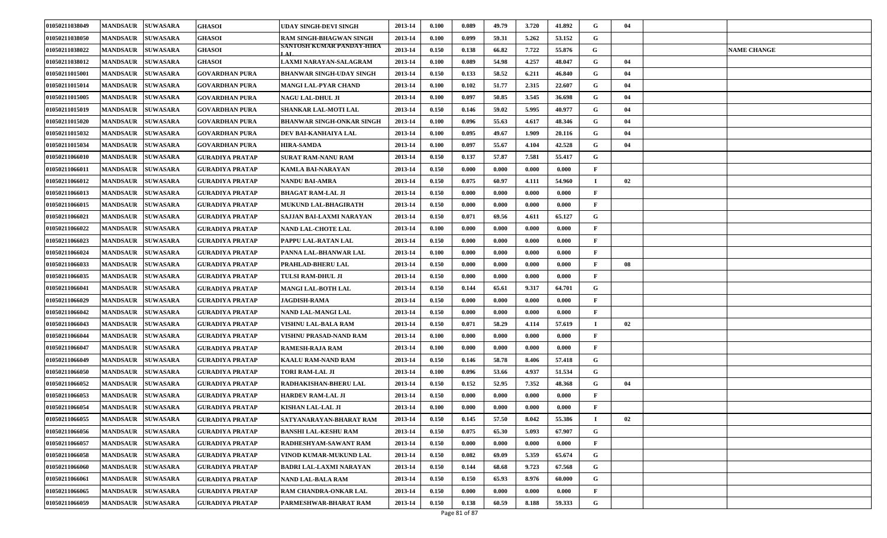| 01050211038049 | MANDSAUR SUWASARA                  | <b>GHASOI</b>          | UDAY SINGH-DEVI SINGH            | 2013-14 | 0.100 | 0.089 | 49.79 | 3.720 | 41.892 | G  | 04 |                    |
|----------------|------------------------------------|------------------------|----------------------------------|---------|-------|-------|-------|-------|--------|----|----|--------------------|
| 01050211038050 | <b>MANDSAUR</b><br><b>SUWASARA</b> | <b>GHASOI</b>          | RAM SINGH-BHAGWAN SINGH          | 2013-14 | 0.100 | 0.099 | 59.31 | 5.262 | 53.152 | G  |    |                    |
| 01050211038022 | MANDSAUR SUWASARA                  | <b>GHASOI</b>          | SANTOSH KUMAR PANDAY-HIRA        | 2013-14 | 0.150 | 0.138 | 66.82 | 7.722 | 55.876 | G  |    | <b>NAME CHANGE</b> |
| 01050211038012 | <b>MANDSAUR</b><br><b>SUWASARA</b> | <b>GHASOI</b>          | LAXMI NARAYAN-SALAGRAM           | 2013-14 | 0.100 | 0.089 | 54.98 | 4.257 | 48.047 | G  | 04 |                    |
| 01050211015001 | <b>MANDSAUR</b><br><b>SUWASARA</b> | <b>GOVARDHAN PURA</b>  | <b>BHANWAR SINGH-UDAY SINGH</b>  | 2013-14 | 0.150 | 0.133 | 58.52 | 6.211 | 46.840 | G  | 04 |                    |
| 01050211015014 | <b>SUWASARA</b><br><b>MANDSAUR</b> | <b>GOVARDHAN PURA</b>  | MANGI LAL-PYAR CHAND             | 2013-14 | 0.100 | 0.102 | 51.77 | 2.315 | 22.607 | G  | 04 |                    |
| 01050211015005 | <b>MANDSAUR</b><br><b>SUWASARA</b> | <b>GOVARDHAN PURA</b>  | NAGU LAL-DHUL JI                 | 2013-14 | 0.100 | 0.097 | 50.85 | 3.545 | 36.698 | G  | 04 |                    |
| 01050211015019 | <b>SUWASARA</b><br><b>MANDSAUR</b> | <b>GOVARDHAN PURA</b>  | SHANKAR LAL-MOTI LAL             | 2013-14 | 0.150 | 0.146 | 59.02 | 5.995 | 40.977 | G  | 04 |                    |
| 01050211015020 | <b>MANDSAUR</b><br><b>SUWASARA</b> | <b>GOVARDHAN PURA</b>  | <b>BHANWAR SINGH-ONKAR SINGH</b> | 2013-14 | 0.100 | 0.096 | 55.63 | 4.617 | 48.346 | G  | 04 |                    |
| 01050211015032 | <b>MANDSAUR</b><br><b>SUWASARA</b> | <b>GOVARDHAN PURA</b>  | DEV BAI-KANHAIYA LAL             | 2013-14 | 0.100 | 0.095 | 49.67 | 1.909 | 20.116 | G  | 04 |                    |
| 01050211015034 | <b>MANDSAUR</b><br><b>SUWASARA</b> | <b>GOVARDHAN PURA</b>  | <b>HIRA-SAMDA</b>                | 2013-14 | 0.100 | 0.097 | 55.67 | 4.104 | 42.528 | G  | 04 |                    |
| 01050211066010 | <b>SUWASARA</b><br><b>MANDSAUR</b> | <b>GURADIYA PRATAP</b> | SURAT RAM-NANU RAM               | 2013-14 | 0.150 | 0.137 | 57.87 | 7.581 | 55.417 | G  |    |                    |
| 01050211066011 | <b>MANDSAUR</b><br><b>SUWASARA</b> | <b>GURADIYA PRATAP</b> | KAMLA BAI-NARAYAN                | 2013-14 | 0.150 | 0.000 | 0.000 | 0.000 | 0.000  | F  |    |                    |
| 01050211066012 | <b>MANDSAUR</b><br><b>SUWASARA</b> | <b>GURADIYA PRATAP</b> | <b>NANDU BAI-AMRA</b>            | 2013-14 | 0.150 | 0.075 | 60.97 | 4.111 | 54.960 | -1 | 02 |                    |
| 01050211066013 | <b>MANDSAUR</b><br><b>SUWASARA</b> | <b>GURADIYA PRATAP</b> | <b>BHAGAT RAM-LAL JI</b>         | 2013-14 | 0.150 | 0.000 | 0.000 | 0.000 | 0.000  | F  |    |                    |
| 01050211066015 | <b>SUWASARA</b><br><b>MANDSAUR</b> | <b>GURADIYA PRATAP</b> | <b>MUKUND LAL-BHAGIRATH</b>      | 2013-14 | 0.150 | 0.000 | 0.000 | 0.000 | 0.000  | F  |    |                    |
| 01050211066021 | <b>MANDSAUR</b><br><b>SUWASARA</b> | <b>GURADIYA PRATAP</b> | SAJJAN BAI-LAXMI NARAYAN         | 2013-14 | 0.150 | 0.071 | 69.56 | 4.611 | 65.127 | G  |    |                    |
| 01050211066022 | <b>MANDSAUR</b><br><b>SUWASARA</b> | <b>GURADIYA PRATAP</b> | NAND LAL-CHOTE LAL               | 2013-14 | 0.100 | 0.000 | 0.000 | 0.000 | 0.000  | F  |    |                    |
| 01050211066023 | <b>MANDSAUR</b><br><b>SUWASARA</b> | <b>GURADIYA PRATAP</b> | PAPPU LAL-RATAN LAL              | 2013-14 | 0.150 | 0.000 | 0.000 | 0.000 | 0.000  | F  |    |                    |
| 01050211066024 | <b>MANDSAUR</b><br><b>SUWASARA</b> | <b>GURADIYA PRATAP</b> | PANNA LAL-BHANWAR LAL            | 2013-14 | 0.100 | 0.000 | 0.000 | 0.000 | 0.000  | F  |    |                    |
| 01050211066033 | <b>MANDSAUR</b><br><b>SUWASARA</b> | <b>GURADIYA PRATAP</b> | PRAHLAD-BHERU LAL                | 2013-14 | 0.150 | 0.000 | 0.000 | 0.000 | 0.000  | F  | 08 |                    |
| 01050211066035 | <b>MANDSAUR</b><br><b>SUWASARA</b> | <b>GURADIYA PRATAP</b> | TULSI RAM-DHUL JI                | 2013-14 | 0.150 | 0.000 | 0.000 | 0.000 | 0.000  | F  |    |                    |
| 01050211066041 | <b>MANDSAUR</b><br><b>SUWASARA</b> | <b>GURADIYA PRATAP</b> | MANGI LAL-BOTH LAL               | 2013-14 | 0.150 | 0.144 | 65.61 | 9.317 | 64.701 | G  |    |                    |
| 01050211066029 | <b>MANDSAUR</b><br><b>SUWASARA</b> | <b>GURADIYA PRATAP</b> | <b>JAGDISH-RAMA</b>              | 2013-14 | 0.150 | 0.000 | 0.000 | 0.000 | 0.000  | F  |    |                    |
| 01050211066042 | <b>MANDSAUR</b><br><b>SUWASARA</b> | <b>GURADIYA PRATAP</b> | NAND LAL-MANGI LAL               | 2013-14 | 0.150 | 0.000 | 0.000 | 0.000 | 0.000  | F  |    |                    |
| 01050211066043 | <b>MANDSAUR</b><br><b>SUWASARA</b> | <b>GURADIYA PRATAP</b> | VISHNU LAL-BALA RAM              | 2013-14 | 0.150 | 0.071 | 58.29 | 4.114 | 57.619 |    | 02 |                    |
| 01050211066044 | <b>MANDSAUR</b><br><b>SUWASARA</b> | <b>GURADIYA PRATAP</b> | VISHNU PRASAD-NAND RAM           | 2013-14 | 0.100 | 0.000 | 0.000 | 0.000 | 0.000  | F  |    |                    |
| 01050211066047 | <b>MANDSAUR</b><br><b>SUWASARA</b> | <b>GURADIYA PRATAP</b> | <b>RAMESH-RAJA RAM</b>           | 2013-14 | 0.100 | 0.000 | 0.000 | 0.000 | 0.000  | F  |    |                    |
| 01050211066049 | <b>MANDSAUR</b><br><b>SUWASARA</b> | <b>GURADIYA PRATAP</b> | <b>KAALU RAM-NAND RAM</b>        | 2013-14 | 0.150 | 0.146 | 58.78 | 8.406 | 57.418 | G  |    |                    |
| 01050211066050 | <b>MANDSAUR</b><br><b>SUWASARA</b> | <b>GURADIYA PRATAP</b> | <b>TORI RAM-LAL JI</b>           | 2013-14 | 0.100 | 0.096 | 53.66 | 4.937 | 51.534 | G  |    |                    |
| 01050211066052 | <b>SUWASARA</b><br><b>MANDSAUR</b> | <b>GURADIYA PRATAP</b> | RADHAKISHAN-BHERU LAL            | 2013-14 | 0.150 | 0.152 | 52.95 | 7.352 | 48.368 | G  | 04 |                    |
| 01050211066053 | <b>MANDSAUR</b><br><b>SUWASARA</b> | <b>GURADIYA PRATAP</b> | HARDEV RAM-LAL JI                | 2013-14 | 0.150 | 0.000 | 0.000 | 0.000 | 0.000  | F  |    |                    |
| 01050211066054 | MANDSAUR SUWASARA                  | <b>GURADIYA PRATAP</b> | KISHAN LAL-LAL JI                | 2013-14 | 0.100 | 0.000 | 0.000 | 0.000 | 0.000  | F  |    |                    |
| 01050211066055 | MANDSAUR SUWASARA                  | <b>GURADIYA PRATAP</b> | SATYANARAYAN-BHARAT RAM          | 2013-14 | 0.150 | 0.145 | 57.50 | 8.042 | 55.386 |    | 02 |                    |
| 01050211066056 | <b>MANDSAUR SUWASARA</b>           | <b>GURADIYA PRATAP</b> | <b>BANSHI LAL-KESHU RAM</b>      | 2013-14 | 0.150 | 0.075 | 65.30 | 5.093 | 67.907 | G  |    |                    |
| 01050211066057 | MANDSAUR SUWASARA                  | <b>GURADIYA PRATAP</b> | RADHESHYAM-SAWANT RAM            | 2013-14 | 0.150 | 0.000 | 0.000 | 0.000 | 0.000  | F  |    |                    |
| 01050211066058 | MANDSAUR SUWASARA                  | <b>GURADIYA PRATAP</b> | VINOD KUMAR-MUKUND LAL           | 2013-14 | 0.150 | 0.082 | 69.09 | 5.359 | 65.674 | G  |    |                    |
| 01050211066060 | MANDSAUR SUWASARA                  | <b>GURADIYA PRATAP</b> | <b>BADRI LAL-LAXMI NARAYAN</b>   | 2013-14 | 0.150 | 0.144 | 68.68 | 9.723 | 67.568 | G  |    |                    |
| 01050211066061 | MANDSAUR SUWASARA                  | <b>GURADIYA PRATAP</b> | NAND LAL-BALA RAM                | 2013-14 | 0.150 | 0.150 | 65.93 | 8.976 | 60.000 | G  |    |                    |
| 01050211066065 | <b>MANDSAUR</b><br><b>SUWASARA</b> | <b>GURADIYA PRATAP</b> | RAM CHANDRA-ONKAR LAL            | 2013-14 | 0.150 | 0.000 | 0.000 | 0.000 | 0.000  | F  |    |                    |
| 01050211066059 | MANDSAUR SUWASARA                  | <b>GURADIYA PRATAP</b> | PARMESHWAR-BHARAT RAM            | 2013-14 | 0.150 | 0.138 | 60.59 | 8.188 | 59.333 | G  |    |                    |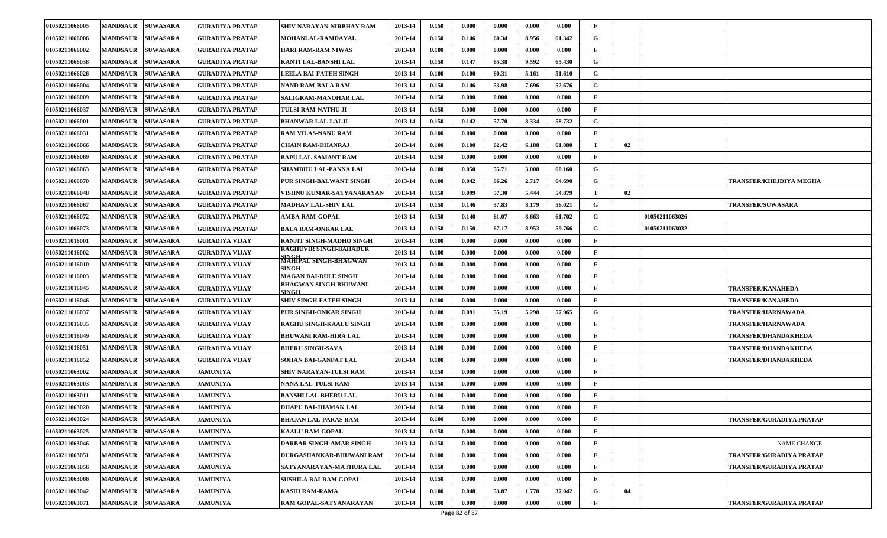| 01050211066005 | <b>MANDSAUR</b>          | <b>SUWASARA</b> | GURADIYA PRATAP        | <b>SHIV NARAYAN-NIRBHAY RAM</b>                       | 2013-14 | 0.150 | 0.000              | 0.000 | 0.000 | 0.000  |              |                |                             |
|----------------|--------------------------|-----------------|------------------------|-------------------------------------------------------|---------|-------|--------------------|-------|-------|--------|--------------|----------------|-----------------------------|
| 01050211066006 | <b>MANDSAUR</b>          | <b>SUWASARA</b> | GURADIYA PRATAP        | MOHANLAL-RAMDAYAL                                     | 2013-14 | 0.150 | 0.146              | 60.34 | 8.956 | 61.342 | G            |                |                             |
| 01050211066002 | <b>MANDSAUR</b>          | <b>SUWASARA</b> | GURADIYA PRATAP        | HARI RAM-RAM NIWAS                                    | 2013-14 | 0.100 | 0.000              | 0.000 | 0.000 | 0.000  |              |                |                             |
| 01050211066038 | <b>MANDSAUR</b>          | <b>SUWASARA</b> | <b>GURADIYA PRATAP</b> | KANTI LAL-BANSHI LAL                                  | 2013-14 | 0.150 | 0.147              | 65.38 | 9.592 | 65.430 | G            |                |                             |
| 01050211066026 | <b>MANDSAUR</b>          | <b>SUWASARA</b> | GURADIYA PRATAP        | <b>LEELA BAI-FATEH SINGH</b>                          | 2013-14 | 0.100 | 0.100              | 60.31 | 5.161 | 51.610 | G            |                |                             |
| 01050211066004 | <b>MANDSAUR</b>          | <b>SUWASARA</b> | <b>GURADIYA PRATAP</b> | NAND RAM-BALA RAM                                     | 2013-14 | 0.150 | 0.146              | 53.98 | 7.696 | 52.676 | G            |                |                             |
| 01050211066009 | <b>MANDSAUR</b>          | <b>SUWASARA</b> | GURADIYA PRATAP        | SALIGRAM-MANOHAR LAL                                  | 2013-14 | 0.150 | 0.000              | 0.000 | 0.000 | 0.000  | F            |                |                             |
| 01050211066037 | <b>MANDSAUR</b>          | <b>SUWASARA</b> | GURADIYA PRATAP        | <b>TULSI RAM-NATHU JI</b>                             | 2013-14 | 0.150 | 0.000              | 0.000 | 0.000 | 0.000  | $\mathbf F$  |                |                             |
| 01050211066001 | <b>MANDSAUR</b>          | <b>SUWASARA</b> | <b>GURADIYA PRATAP</b> | <b>BHANWAR LAL-LALJI</b>                              | 2013-14 | 0.150 | 0.142              | 57.70 | 8.334 | 58.732 | G            |                |                             |
| 01050211066031 | <b>MANDSAUR</b>          | <b>SUWASARA</b> | <b>GURADIYA PRATAP</b> | <b>RAM VILAS-NANU RAM</b>                             | 2013-14 | 0.100 | 0.000              | 0.000 | 0.000 | 0.000  | $\mathbf F$  |                |                             |
| 01050211066066 | <b>MANDSAUR</b>          | <b>SUWASARA</b> | GURADIYA PRATAP        | <b>CHAIN RAM-DHANRAJ</b>                              | 2013-14 | 0.100 | 0.100              | 62.42 | 6.188 | 61.880 |              | 02             |                             |
| 01050211066069 | <b>MANDSAUR</b>          | <b>SUWASARA</b> | <b>GURADIYA PRATAP</b> | <b>BAPU LAL-SAMANT RAM</b>                            | 2013-14 | 0.150 | 0.000              | 0.000 | 0.000 | 0.000  | $\mathbf F$  |                |                             |
| 01050211066063 | <b>MANDSAUR</b>          | <b>SUWASARA</b> | <b>GURADIYA PRATAP</b> | <b>SHAMBHU LAL-PANNA LAL</b>                          | 2013-14 | 0.100 | 0.050              | 55.71 | 3.008 | 60.160 | G            |                |                             |
| 01050211066070 | <b>MANDSAUR</b>          | <b>SUWASARA</b> | <b>GURADIYA PRATAP</b> | <b>PUR SINGH-BALWANT SINGH</b>                        | 2013-14 | 0.100 | 0.042              | 66.26 | 2.717 | 64.690 | G            |                | TRANSFER/KHEJDIYA MEGHA     |
| 01050211066048 | <b>MANDSAUR</b>          | <b>SUWASARA</b> | <b>GURADIYA PRATAP</b> | VISHNU KUMAR-SATYANARAYAN                             | 2013-14 | 0.150 | 0.099              | 57.30 | 5.444 | 54.879 | $\mathbf I$  | 02             |                             |
| 01050211066067 | <b>MANDSAUR</b>          | <b>SUWASARA</b> | GURADIYA PRATAP        | <b>MADHAV LAL-SHIV LAL</b>                            | 2013-14 | 0.150 | 0.146              | 57.83 | 8.179 | 56.021 | G            |                | <b>TRANSFER/SUWASARA</b>    |
| 01050211066072 | <b>MANDSAUR</b>          | <b>SUWASARA</b> | <b>GURADIYA PRATAP</b> | <b>AMBA RAM-GOPAL</b>                                 | 2013-14 | 0.150 | 0.140              | 61.07 | 8.663 | 61.702 | G            | 01050211063026 |                             |
| 01050211066073 | <b>MANDSAUR</b>          | <b>SUWASARA</b> | <b>GURADIYA PRATAP</b> | <b>BALA RAM-ONKAR LAL</b>                             | 2013-14 | 0.150 | 0.150              | 67.17 | 8.953 | 59.766 | G            | 01050211063032 |                             |
| 01050211016001 | <b>MANDSAUR</b>          | <b>SUWASARA</b> | GURADIYA VIJAY         | RANJIT SINGH-MADHO SINGH                              | 2013-14 | 0.100 | 0.000              | 0.000 | 0.000 | 0.000  | F            |                |                             |
| 01050211016002 | <b>MANDSAUR</b>          | <b>SUWASARA</b> | GURADIYA VIJAY         | RAGHUVIR SINGH-BAHADUR                                | 2013-14 | 0.100 | 0.000              | 0.000 | 0.000 | 0.000  | F            |                |                             |
| 01050211016010 | <b>MANDSAUR</b>          | <b>SUWASARA</b> | <b>GURADIYA VIJAY</b>  | <u>SINGH</u><br>MAHIPAL SINGH-BHAGWAN<br><b>SINGH</b> | 2013-14 | 0.100 | 0.000              | 0.000 | 0.000 | 0.000  | F            |                |                             |
| 01050211016003 | <b>MANDSAUR</b>          | <b>SUWASARA</b> | GURADIYA VIJAY         | <b>MAGAN BAI-DULE SINGH</b>                           | 2013-14 | 0.100 | 0.000              | 0.000 | 0.000 | 0.000  | $\mathbf F$  |                |                             |
| 01050211016045 | <b>MANDSAUR</b>          | <b>SUWASARA</b> | GURADIYA VIJAY         | BHAGWAN SINGH-BHUWANI<br><b>SINGH</b>                 | 2013-14 | 0.100 | 0.000              | 0.000 | 0.000 | 0.000  | F            |                | <b>TRANSFER/KANAHEDA</b>    |
| 01050211016046 | <b>MANDSAUR</b>          | <b>SUWASARA</b> | GURADIYA VIJAY         | <b>SHIV SINGH-FATEH SINGH</b>                         | 2013-14 | 0.100 | 0.000              | 0.000 | 0.000 | 0.000  |              |                | <b>TRANSFER/KANAHEDA</b>    |
| 01050211016037 | <b>MANDSAUR</b>          | <b>SUWASARA</b> | <b>GURADIYA VIJAY</b>  | PUR SINGH-ONKAR SINGH                                 | 2013-14 | 0.100 | 0.091              | 55.19 | 5.298 | 57.965 | G            |                | TRANSFER/HARNAWADA          |
| 01050211016035 | <b>MANDSAUR</b>          | <b>SUWASARA</b> | GURADIYA VIJAY         | <b>RAGHU SINGH-KAALU SINGH</b>                        | 2013-14 | 0.100 | 0.000              | 0.000 | 0.000 | 0.000  |              |                | TRANSFER/HARNAWADA          |
| 01050211016049 | <b>MANDSAUR</b>          | <b>SUWASARA</b> | GURADIYA VIJAY         | <b>BHUWANI RAM-HIRA LAL</b>                           | 2013-14 | 0.100 | 0.000              | 0.000 | 0.000 | 0.000  | F            |                | TRANSFER/DHANDAKHEDA        |
| 01050211016051 | <b>MANDSAUR</b>          | <b>SUWASARA</b> | GURADIYA VIJAY         | <b>BHERU SINGH-SAVA</b>                               | 2013-14 | 0.100 | 0.000              | 0.000 | 0.000 | 0.000  | $\mathbf F$  |                | TRANSFER/DHANDAKHEDA        |
| 01050211016052 | <b>MANDSAUR</b>          | <b>SUWASARA</b> | <b>GURADIYA VIJAY</b>  | <b>SOHAN BAI-GANPAT LAL</b>                           | 2013-14 | 0.100 | 0.000              | 0.000 | 0.000 | 0.000  | $\mathbf F$  |                | <b>TRANSFER/DHANDAKHEDA</b> |
| 01050211063002 | <b>MANDSAUR</b>          | <b>SUWASARA</b> | <b>JAMUNIYA</b>        | SHIV NARAYAN-TULSI RAM                                | 2013-14 | 0.150 | 0.000              | 0.000 | 0.000 | 0.000  | $\mathbf F$  |                |                             |
| 01050211063003 | <b>MANDSAUR</b>          | <b>SUWASARA</b> | <b>JAMUNIYA</b>        | NANA LAL-TULSI RAM                                    | 2013-14 | 0.150 | 0.000              | 0.000 | 0.000 | 0.000  | F            |                |                             |
| 01050211063011 | <b>MANDSAUR</b>          | <b>SUWASARA</b> | <b>JAMUNIYA</b>        | BANSHI LAL-BHERU LAL                                  | 2013-14 | 0.100 | 0.000              | 0.000 | 0.000 | 0.000  | $\mathbf F$  |                |                             |
| 01050211063020 | <b>MANDSAUR SUWASARA</b> |                 | <b>JAMUNIYA</b>        | <b>DHAPU BAI-JHAMAK LAL</b>                           | 2013-14 | 0.150 | 0.000              | 0.000 | 0.000 | 0.000  | $\mathbf F$  |                |                             |
| 01050211063024 | <b>MANDSAUR</b>          | <b>SUWASARA</b> | <b>JAMUNIYA</b>        | BHAJAN LAL-PARAS RAM                                  | 2013-14 | 0.100 | 0.000              | 0.000 | 0.000 | 0.000  | $\mathbf F$  |                | TRANSFER/GURADIYA PRATAP    |
| 01050211063025 | <b>MANDSAUR</b>          | <b>SUWASARA</b> | <b>JAMUNIYA</b>        | <b>KAALU RAM-GOPAL</b>                                | 2013-14 | 0.150 | 0.000              | 0.000 | 0.000 | 0.000  | $\mathbf F$  |                |                             |
| 01050211063046 | <b>MANDSAUR</b>          | <b>SUWASARA</b> | <b>JAMUNIYA</b>        | <b>DARBAR SINGH-AMAR SINGH</b>                        | 2013-14 | 0.150 | 0.000              | 0.000 | 0.000 | 0.000  | F            |                | <b>NAME CHANGE</b>          |
| 01050211063051 | <b>MANDSAUR</b>          | <b>SUWASARA</b> | <b>JAMUNIYA</b>        | DURGASHANKAR-BHUWANI RAM                              | 2013-14 | 0.100 | 0.000              | 0.000 | 0.000 | 0.000  | $\mathbf{F}$ |                | TRANSFER/GURADIYA PRATAP    |
| 01050211063056 | <b>MANDSAUR</b>          | <b>SUWASARA</b> | <b>JAMUNIYA</b>        | SATYANARAYAN-MATHURA LAL                              | 2013-14 | 0.150 | 0.000              | 0.000 | 0.000 | 0.000  | F            |                | TRANSFER/GURADIYA PRATAP    |
| 01050211063066 | <b>MANDSAUR</b>          | <b>SUWASARA</b> | <b>JAMUNIYA</b>        | <b>SUSHILA BAI-RAM GOPAL</b>                          | 2013-14 | 0.150 | 0.000              | 0.000 | 0.000 | 0.000  | F            |                |                             |
| 01050211063042 | <b>MANDSAUR</b>          | <b>SUWASARA</b> | <b>JAMUNIYA</b>        | <b>KASHI RAM-RAMA</b>                                 | 2013-14 | 0.100 | 0.048              | 53.87 | 1.778 | 37.042 | G            | 04             |                             |
| 01050211063071 | <b>MANDSAUR</b>          | <b>SUWASARA</b> | <b>JAMUNIYA</b>        | RAM GOPAL-SATYANARAYAN                                | 2013-14 | 0.100 | 0.000<br>$02 - 07$ | 0.000 | 0.000 | 0.000  | $\mathbf{F}$ |                | TRANSFER/GURADIYA PRATAP    |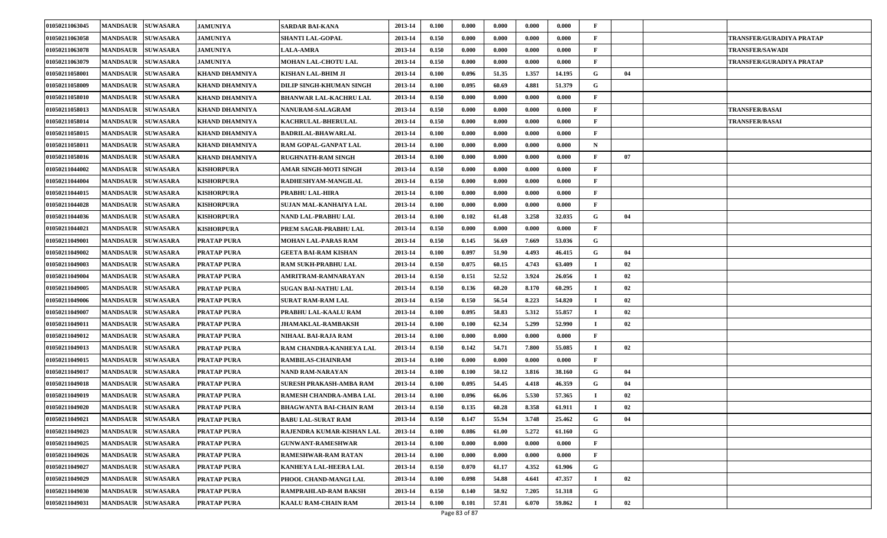| 01050211063045 | <b>MANDSAUR</b>          | <b>SUWASARA</b> | <b>JAMUNIYA</b>       | SARDAR BAI-KANA                | 2013-14 | 0.100 | 0.000 | 0.000 | 0.000 | 0.000  | F           |    |                          |
|----------------|--------------------------|-----------------|-----------------------|--------------------------------|---------|-------|-------|-------|-------|--------|-------------|----|--------------------------|
| 01050211063058 | <b>MANDSAUR</b>          | <b>SUWASARA</b> | <b>JAMUNIYA</b>       | <b>SHANTI LAL-GOPAL</b>        | 2013-14 | 0.150 | 0.000 | 0.000 | 0.000 | 0.000  | F           |    | TRANSFER/GURADIYA PRATAP |
| 01050211063078 | <b>MANDSAUR</b>          | <b>SUWASARA</b> | <b>JAMUNIYA</b>       | <b>LALA-AMRA</b>               | 2013-14 | 0.150 | 0.000 | 0.000 | 0.000 | 0.000  | F           |    | <b>TRANSFER/SAWADI</b>   |
| 01050211063079 | <b>MANDSAUR</b>          | <b>SUWASARA</b> | <b>JAMUNIYA</b>       | MOHAN LAL-CHOTU LAL            | 2013-14 | 0.150 | 0.000 | 0.000 | 0.000 | 0.000  | F           |    | TRANSFER/GURADIYA PRATAP |
| 01050211058001 | <b>MANDSAUR</b>          | <b>SUWASARA</b> | <b>KHAND DHAMNIYA</b> | KISHAN LAL-BHIM JI             | 2013-14 | 0.100 | 0.096 | 51.35 | 1.357 | 14.195 | G           | 04 |                          |
| 01050211058009 | <b>MANDSAUR</b>          | <b>SUWASARA</b> | KHAND DHAMNIYA        | DILIP SINGH-KHUMAN SINGH       | 2013-14 | 0.100 | 0.095 | 60.69 | 4.881 | 51.379 | G           |    |                          |
| 01050211058010 | <b>MANDSAUR</b>          | <b>SUWASARA</b> | KHAND DHAMNIYA        | <b>BHANWAR LAL-KACHRU LAL</b>  | 2013-14 | 0.150 | 0.000 | 0.000 | 0.000 | 0.000  | F           |    |                          |
| 01050211058013 | <b>MANDSAUR</b>          | <b>SUWASARA</b> | KHAND DHAMNIYA        | <b>NANURAM-SALAGRAM</b>        | 2013-14 | 0.150 | 0.000 | 0.000 | 0.000 | 0.000  | F           |    | TRANSFER/BASAI           |
| 01050211058014 | <b>MANDSAUR</b>          | <b>SUWASARA</b> | KHAND DHAMNIYA        | <b>KACHRULAL-BHERULAL</b>      | 2013-14 | 0.150 | 0.000 | 0.000 | 0.000 | 0.000  | F           |    | <b>TRANSFER/BASAI</b>    |
| 01050211058015 | <b>MANDSAUR</b>          | <b>SUWASARA</b> | KHAND DHAMNIYA        | <b>BADRILAL-BHAWARLAL</b>      | 2013-14 | 0.100 | 0.000 | 0.000 | 0.000 | 0.000  | F           |    |                          |
| 01050211058011 | <b>MANDSAUR</b>          | <b>SUWASARA</b> | KHAND DHAMNIYA        | RAM GOPAL-GANPAT LAL           | 2013-14 | 0.100 | 0.000 | 0.000 | 0.000 | 0.000  | N           |    |                          |
| 01050211058016 | <b>MANDSAUR</b>          | <b>SUWASARA</b> | KHAND DHAMNIYA        | RUGHNATH-RAM SINGH             | 2013-14 | 0.100 | 0.000 | 0.000 | 0.000 | 0.000  | F           | 07 |                          |
| 01050211044002 | <b>MANDSAUR</b>          | <b>SUWASARA</b> | <b>KISHORPURA</b>     | AMAR SINGH-MOTI SINGH          | 2013-14 | 0.150 | 0.000 | 0.000 | 0.000 | 0.000  | F           |    |                          |
| 01050211044004 | <b>MANDSAUR</b>          | <b>SUWASARA</b> | KISHORPURA            | RADHESHYAM-MANGILAL            | 2013-14 | 0.150 | 0.000 | 0.000 | 0.000 | 0.000  | F           |    |                          |
| 01050211044015 | <b>MANDSAUR</b>          | <b>SUWASARA</b> | <b>KISHORPURA</b>     | PRABHU LAL-HIRA                | 2013-14 | 0.100 | 0.000 | 0.000 | 0.000 | 0.000  |             |    |                          |
| 01050211044028 | <b>MANDSAUR</b>          | <b>SUWASARA</b> | KISHORPURA            | SUJAN MAL-KANHAIYA LAL         | 2013-14 | 0.100 | 0.000 | 0.000 | 0.000 | 0.000  | F           |    |                          |
| 01050211044036 | <b>MANDSAUR</b>          | <b>SUWASARA</b> | <b>KISHORPURA</b>     | NAND LAL-PRABHU LAL            | 2013-14 | 0.100 | 0.102 | 61.48 | 3.258 | 32.035 | G           | 04 |                          |
| 01050211044021 | <b>MANDSAUR</b>          | <b>SUWASARA</b> | <b>KISHORPURA</b>     | PREM SAGAR-PRABHU LAL          | 2013-14 | 0.150 | 0.000 | 0.000 | 0.000 | 0.000  | F           |    |                          |
| 01050211049001 | <b>MANDSAUR</b>          | <b>SUWASARA</b> | PRATAP PURA           | MOHAN LAL-PARAS RAM            | 2013-14 | 0.150 | 0.145 | 56.69 | 7.669 | 53.036 | G           |    |                          |
| 01050211049002 | <b>MANDSAUR</b>          | <b>SUWASARA</b> | <b>PRATAP PURA</b>    | GEETA BAI-RAM KISHAN           | 2013-14 | 0.100 | 0.097 | 51.90 | 4.493 | 46.415 | G           | 04 |                          |
| 01050211049003 | <b>MANDSAUR</b>          | <b>SUWASARA</b> | PRATAP PURA           | RAM SUKH-PRABHU LAL            | 2013-14 | 0.150 | 0.075 | 60.15 | 4.743 | 63.409 |             | 02 |                          |
| 01050211049004 | <b>MANDSAUR</b>          | <b>SUWASARA</b> | <b>PRATAP PURA</b>    | AMRITRAM-RAMNARAYAN            | 2013-14 | 0.150 | 0.151 | 52.52 | 3.924 | 26.056 | $\mathbf I$ | 02 |                          |
| 01050211049005 | <b>MANDSAUR</b>          | <b>SUWASARA</b> | PRATAP PURA           | SUGAN BAI-NATHU LAL            | 2013-14 | 0.150 | 0.136 | 60.20 | 8.170 | 60.295 | $\mathbf I$ | 02 |                          |
| 01050211049006 | <b>MANDSAUR</b>          | <b>SUWASARA</b> | <b>PRATAP PURA</b>    | <b>SURAT RAM-RAM LAL</b>       | 2013-14 | 0.150 | 0.150 | 56.54 | 8.223 | 54.820 |             | 02 |                          |
| 01050211049007 | <b>MANDSAUR</b>          | <b>SUWASARA</b> | PRATAP PURA           | PRABHU LAL-KAALU RAM           | 2013-14 | 0.100 | 0.095 | 58.83 | 5.312 | 55.857 |             | 02 |                          |
| 01050211049011 | <b>MANDSAUR</b>          | <b>SUWASARA</b> | <b>PRATAP PURA</b>    | <b>JHAMAKLAL-RAMBAKSH</b>      | 2013-14 | 0.100 | 0.100 | 62.34 | 5.299 | 52.990 | $\bf{I}$    | 02 |                          |
| 01050211049012 | <b>MANDSAUR</b>          | <b>SUWASARA</b> | <b>PRATAP PURA</b>    | NIHAAL BAI-RAJA RAM            | 2013-14 | 0.100 | 0.000 | 0.000 | 0.000 | 0.000  | F           |    |                          |
| 01050211049013 | <b>MANDSAUR</b>          | <b>SUWASARA</b> | <b>PRATAP PURA</b>    | RAM CHANDRA-KANHEYA LAL        | 2013-14 | 0.150 | 0.142 | 54.71 | 7.800 | 55.085 |             | 02 |                          |
| 01050211049015 | <b>MANDSAUR</b>          | <b>SUWASARA</b> | <b>PRATAP PURA</b>    | <b>RAMBILAS-CHAINRAM</b>       | 2013-14 | 0.100 | 0.000 | 0.000 | 0.000 | 0.000  | F           |    |                          |
| 01050211049017 | <b>MANDSAUR</b>          | <b>SUWASARA</b> | <b>PRATAP PURA</b>    | NAND RAM-NARAYAN               | 2013-14 | 0.100 | 0.100 | 50.12 | 3.816 | 38.160 | G           | 04 |                          |
| 01050211049018 | <b>MANDSAUR</b>          | <b>SUWASARA</b> | PRATAP PURA           | SURESH PRAKASH-AMBA RAM        | 2013-14 | 0.100 | 0.095 | 54.45 | 4.418 | 46.359 | G           | 04 |                          |
| 01050211049019 | <b>MANDSAUR</b>          | <b>SUWASARA</b> | PRATAP PURA           | RAMESH CHANDRA-AMBA LAL        | 2013-14 | 0.100 | 0.096 | 66.06 | 5.530 | 57.365 |             | 02 |                          |
| 01050211049020 | <b>MANDSAUR SUWASARA</b> |                 | <b>PRATAP PURA</b>    | <b>BHAGWANTA BAI-CHAIN RAM</b> | 2013-14 | 0.150 | 0.135 | 60.28 | 8.358 | 61.911 | $\bf{I}$    | 02 |                          |
| 01050211049021 | MANDSAUR SUWASARA        |                 | <b>PRATAP PURA</b>    | <b>BABU LAL-SURAT RAM</b>      | 2013-14 | 0.150 | 0.147 | 55.94 | 3.748 | 25.462 | G           | 04 |                          |
| 01050211049023 | <b>MANDSAUR</b>          | <b>SUWASARA</b> | PRATAP PURA           | RAJENDRA KUMAR-KISHAN LAL      | 2013-14 | 0.100 | 0.086 | 61.00 | 5.272 | 61.160 | G           |    |                          |
| 01050211049025 | <b>MANDSAUR</b>          | <b>SUWASARA</b> | PRATAP PURA           | <b>GUNWANT-RAMESHWAR</b>       | 2013-14 | 0.100 | 0.000 | 0.000 | 0.000 | 0.000  | F           |    |                          |
| 01050211049026 | <b>MANDSAUR</b>          | <b>SUWASARA</b> | <b>PRATAP PURA</b>    | <b>RAMESHWAR-RAM RATAN</b>     | 2013-14 | 0.100 | 0.000 | 0.000 | 0.000 | 0.000  | F           |    |                          |
| 01050211049027 | MANDSAUR SUWASARA        |                 | PRATAP PURA           | KANHEYA LAL-HEERA LAL          | 2013-14 | 0.150 | 0.070 | 61.17 | 4.352 | 61.906 | G           |    |                          |
| 01050211049029 | <b>MANDSAUR</b>          | <b>SUWASARA</b> | <b>PRATAP PURA</b>    | PHOOL CHAND-MANGI LAL          | 2013-14 | 0.100 | 0.098 | 54.88 | 4.641 | 47.357 | -1          | 02 |                          |
| 01050211049030 | <b>MANDSAUR</b>          | <b>SUWASARA</b> | PRATAP PURA           | RAMPRAHLAD-RAM BAKSH           | 2013-14 | 0.150 | 0.140 | 58.92 | 7.205 | 51.318 | G           |    |                          |
| 01050211049031 | MANDSAUR SUWASARA        |                 | PRATAP PURA           | <b>KAALU RAM-CHAIN RAM</b>     | 2013-14 | 0.100 | 0.101 | 57.81 | 6.070 | 59.862 |             | 02 |                          |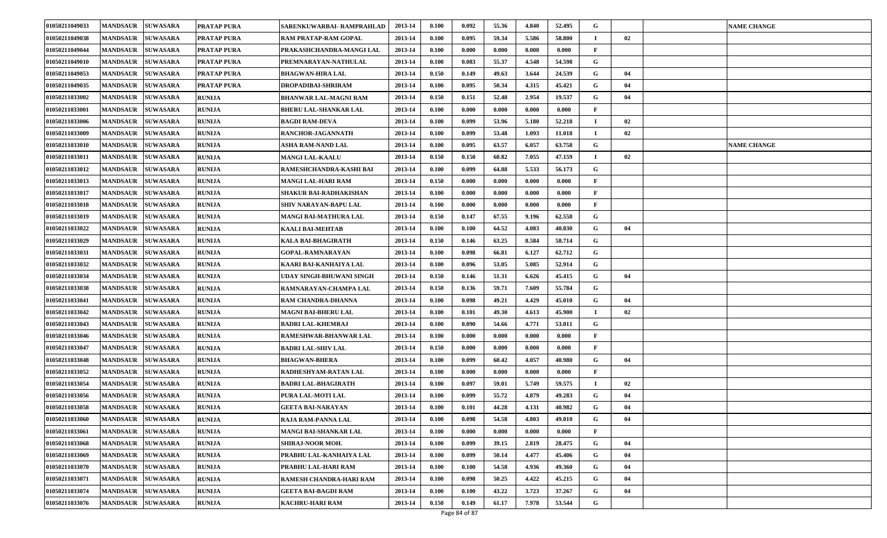| 01050211049033 | MANDSAUR SUWASARA                  | <b>PRATAP PURA</b> | SARENKUWARBAI- RAMPRAHLAD     | 2013-14 | 0.100 | 0.092                  | 55.36 | 4.840 | 52.495 | G            |    | <b>NAME CHANGE</b> |
|----------------|------------------------------------|--------------------|-------------------------------|---------|-------|------------------------|-------|-------|--------|--------------|----|--------------------|
| 01050211049038 | <b>MANDSAUR</b><br><b>SUWASARA</b> | <b>PRATAP PURA</b> | <b>RAM PRATAP-RAM GOPAL</b>   | 2013-14 | 0.100 | 0.095                  | 59.34 | 5.586 | 58.800 |              | 02 |                    |
| 01050211049044 | <b>MANDSAUR</b><br><b>SUWASARA</b> | <b>PRATAP PURA</b> | PRAKASHCHANDRA-MANGI LAL      | 2013-14 | 0.100 | 0.000                  | 0.000 | 0.000 | 0.000  | F            |    |                    |
| 01050211049010 | <b>MANDSAUR SUWASARA</b>           | <b>PRATAP PURA</b> | PREMNARAYAN-NATHULAL          | 2013-14 | 0.100 | 0.083                  | 55.37 | 4.548 | 54.598 | G            |    |                    |
| 01050211049053 | <b>SUWASARA</b><br><b>MANDSAUR</b> | <b>PRATAP PURA</b> | <b>BHAGWAN-HIRA LAL</b>       | 2013-14 | 0.150 | 0.149                  | 49.63 | 3.644 | 24.539 | G            | 04 |                    |
| 01050211049035 | <b>MANDSAUR</b><br><b>SUWASARA</b> | <b>PRATAP PURA</b> | <b>DROPADIBAI-SHRIRAM</b>     | 2013-14 | 0.100 | 0.095                  | 50.34 | 4.315 | 45.421 | G            | 04 |                    |
| 01050211033002 | MANDSAUR SUWASARA                  | <b>RUNIJA</b>      | <b>BHANWAR LAL-MAGNI RAM</b>  | 2013-14 | 0.150 | 0.151                  | 52.48 | 2.954 | 19.537 | G            | 04 |                    |
| 01050211033001 | <b>MANDSAUR</b><br><b>SUWASARA</b> | <b>RUNIJA</b>      | <b>BHERU LAL-SHANKAR LAL</b>  | 2013-14 | 0.100 | 0.000                  | 0.000 | 0.000 | 0.000  | F            |    |                    |
| 01050211033006 | <b>MANDSAUR</b><br><b>SUWASARA</b> | <b>RUNIJA</b>      | <b>BAGDI RAM-DEVA</b>         | 2013-14 | 0.100 | 0.099                  | 53.96 | 5.180 | 52.218 | и.           | 02 |                    |
| 01050211033009 | <b>MANDSAUR</b><br><b>SUWASARA</b> | <b>RUNIJA</b>      | RANCHOR-JAGANNATH             | 2013-14 | 0.100 | 0.099                  | 53.48 | 1.093 | 11.018 | $\mathbf I$  | 02 |                    |
| 01050211033010 | <b>MANDSAUR</b><br><b>SUWASARA</b> | <b>RUNIJA</b>      | ASHA RAM-NAND LAL             | 2013-14 | 0.100 | 0.095                  | 63.57 | 6.057 | 63.758 | G            |    | <b>NAME CHANGE</b> |
| 01050211033011 | <b>SUWASARA</b><br><b>MANDSAUR</b> | <b>RUNIJA</b>      | <b>MANGI LAL-KAALU</b>        | 2013-14 | 0.150 | 0.150                  | 60.82 | 7.055 | 47.159 |              | 02 |                    |
| 01050211033012 | <b>MANDSAUR</b><br><b>SUWASARA</b> | <b>RUNIJA</b>      | RAMESHCHANDRA-KASHI BAI       | 2013-14 | 0.100 | 0.099                  | 64.88 | 5.533 | 56.173 | G            |    |                    |
| 01050211033013 | <b>MANDSAUR</b><br><b>SUWASARA</b> | <b>RUNIJA</b>      | MANGI LAL-HARI RAM            | 2013-14 | 0.150 | 0.000                  | 0.000 | 0.000 | 0.000  | $\mathbf{F}$ |    |                    |
| 01050211033017 | MANDSAUR SUWASARA                  | <b>RUNIJA</b>      | <b>SHAKUR BAI-RADHAKISHAN</b> | 2013-14 | 0.100 | 0.000                  | 0.000 | 0.000 | 0.000  | F            |    |                    |
| 01050211033018 | <b>MANDSAUR</b><br><b>SUWASARA</b> | <b>RUNIJA</b>      | SHIV NARAYAN-BAPU LAL         | 2013-14 | 0.100 | 0.000                  | 0.000 | 0.000 | 0.000  | F            |    |                    |
| 01050211033019 | <b>MANDSAUR</b><br><b>SUWASARA</b> | <b>RUNIJA</b>      | MANGI BAI-MATHURA LAL         | 2013-14 | 0.150 | 0.147                  | 67.55 | 9.196 | 62.558 | G            |    |                    |
| 01050211033022 | <b>MANDSAUR</b><br><b>SUWASARA</b> | <b>RUNIJA</b>      | <b>KAALI BAI-MEHTAB</b>       | 2013-14 | 0.100 | 0.100                  | 64.52 | 4.083 | 40.830 | G            | 04 |                    |
| 01050211033029 | <b>MANDSAUR</b><br><b>SUWASARA</b> | <b>RUNIJA</b>      | KALA BAI-BHAGIRATH            | 2013-14 | 0.150 | 0.146                  | 63.25 | 8.584 | 58.714 | G            |    |                    |
| 01050211033031 | <b>SUWASARA</b><br><b>MANDSAUR</b> | <b>RUNIJA</b>      | <b>GOPAL-RAMNARAYAN</b>       | 2013-14 | 0.100 | 0.098                  | 66.81 | 6.127 | 62.712 | G            |    |                    |
| 01050211033032 | <b>MANDSAUR</b><br><b>SUWASARA</b> | <b>RUNIJA</b>      | KAARI BAI-KANHAIYA LAL        | 2013-14 | 0.100 | 0.096                  | 53.05 | 5.085 | 52.914 | G            |    |                    |
| 01050211033034 | <b>MANDSAUR</b><br><b>SUWASARA</b> | <b>RUNIJA</b>      | UDAY SINGH-BHUWANI SINGH      | 2013-14 | 0.150 | 0.146                  | 51.31 | 6.626 | 45.415 | G            | 04 |                    |
| 01050211033038 | <b>MANDSAUR</b><br><b>SUWASARA</b> | <b>RUNIJA</b>      | RAMNARAYAN-CHAMPA LAL         | 2013-14 | 0.150 | 0.136                  | 59.71 | 7.609 | 55.784 | G            |    |                    |
| 01050211033041 | <b>SUWASARA</b><br><b>MANDSAUR</b> | <b>RUNIJA</b>      | RAM CHANDRA-DHANNA            | 2013-14 | 0.100 | 0.098                  | 49.21 | 4.429 | 45.010 | G            | 04 |                    |
| 01050211033042 | <b>MANDSAUR</b><br><b>SUWASARA</b> | <b>RUNIJA</b>      | MAGNI BAI-BHERU LAL           | 2013-14 | 0.100 | 0.101                  | 49.30 | 4.613 | 45.900 |              | 02 |                    |
| 01050211033043 | <b>MANDSAUR</b><br><b>SUWASARA</b> | <b>RUNIJA</b>      | <b>BADRI LAL-KHEMRAJ</b>      | 2013-14 | 0.100 | 0.090                  | 54.66 | 4.771 | 53.011 | G            |    |                    |
| 01050211033046 | <b>MANDSAUR SUWASARA</b>           | <b>RUNIJA</b>      | <b>RAMESHWAR-BHANWAR LAL</b>  | 2013-14 | 0.100 | 0.000                  | 0.000 | 0.000 | 0.000  | F            |    |                    |
| 01050211033047 | <b>MANDSAUR</b><br><b>SUWASARA</b> | <b>RUNIJA</b>      | BADRI LAL-SHIV LAL            | 2013-14 | 0.150 | 0.000                  | 0.000 | 0.000 | 0.000  | F            |    |                    |
| 01050211033048 | <b>MANDSAUR</b><br><b>SUWASARA</b> | <b>RUNIJA</b>      | <b>BHAGWAN-BHERA</b>          | 2013-14 | 0.100 | 0.099                  | 60.42 | 4.057 | 40.980 | G            | 04 |                    |
| 01050211033052 | <b>MANDSAUR</b><br><b>SUWASARA</b> | <b>RUNIJA</b>      | RADHESHYAM-RATAN LAL          | 2013-14 | 0.100 | 0.000                  | 0.000 | 0.000 | 0.000  | F            |    |                    |
| 01050211033054 | <b>MANDSAUR</b><br><b>SUWASARA</b> | <b>RUNIJA</b>      | <b>BADRI LAL-BHAGIRATH</b>    | 2013-14 | 0.100 | 0.097                  | 59.01 | 5.749 | 59.575 | $\mathbf I$  | 02 |                    |
| 01050211033056 | <b>MANDSAUR</b><br><b>SUWASARA</b> | <b>RUNIJA</b>      | PURA LAL-MOTI LAL             | 2013-14 | 0.100 | 0.099                  | 55.72 | 4.879 | 49.283 | G            | 04 |                    |
| 01050211033058 | MANDSAUR SUWASARA                  | <b>RUNIJA</b>      | GEETA BAI-NARAYAN             | 2013-14 | 0.100 | 0.101                  | 44.28 | 4.131 | 40.982 | G            | 04 |                    |
| 01050211033060 | MANDSAUR SUWASARA                  | <b>RUNIJA</b>      | RAJA RAM-PANNA LAL            | 2013-14 | 0.100 | 0.098                  | 54.58 | 4.803 | 49.010 | G            | 04 |                    |
| 01050211033061 | MANDSAUR SUWASARA                  | <b>RUNIJA</b>      | MANGI BAI-SHANKAR LAL         | 2013-14 | 0.100 | 0.000                  | 0.000 | 0.000 | 0.000  | $\mathbf{F}$ |    |                    |
| 01050211033068 | MANDSAUR SUWASARA                  | <b>RUNIJA</b>      | <b>SHIRAJ-NOOR MOH.</b>       | 2013-14 | 0.100 | 0.099                  | 39.15 | 2.819 | 28.475 | G            | 04 |                    |
| 01050211033069 | MANDSAUR SUWASARA                  | <b>RUNIJA</b>      | PRABHU LAL-KANHAIYA LAL       | 2013-14 | 0.100 | 0.099                  | 50.14 | 4.477 | 45.406 | G            | 04 |                    |
| 01050211033070 | MANDSAUR SUWASARA                  | <b>RUNIJA</b>      | PRABHU LAL-HARI RAM           | 2013-14 | 0.100 | 0.100                  | 54.58 | 4.936 | 49.360 | G            | 04 |                    |
| 01050211033071 | MANDSAUR SUWASARA                  | <b>RUNIJA</b>      | RAMESH CHANDRA-HARI RAM       | 2013-14 | 0.100 | 0.098                  | 50.25 | 4.422 | 45.215 | G            | 04 |                    |
| 01050211033074 | MANDSAUR SUWASARA                  | <b>RUNIJA</b>      | GEETA BAI-BAGDI RAM           | 2013-14 | 0.100 | 0.100                  | 43.22 | 3.723 | 37.267 | G            | 04 |                    |
| 01050211033076 | MANDSAUR SUWASARA                  | <b>RUNIJA</b>      | <b>KACHRU-HARI RAM</b>        | 2013-14 | 0.150 | 0.149<br>$0.01 - 0.07$ | 61.17 | 7.978 | 53.544 | G            |    |                    |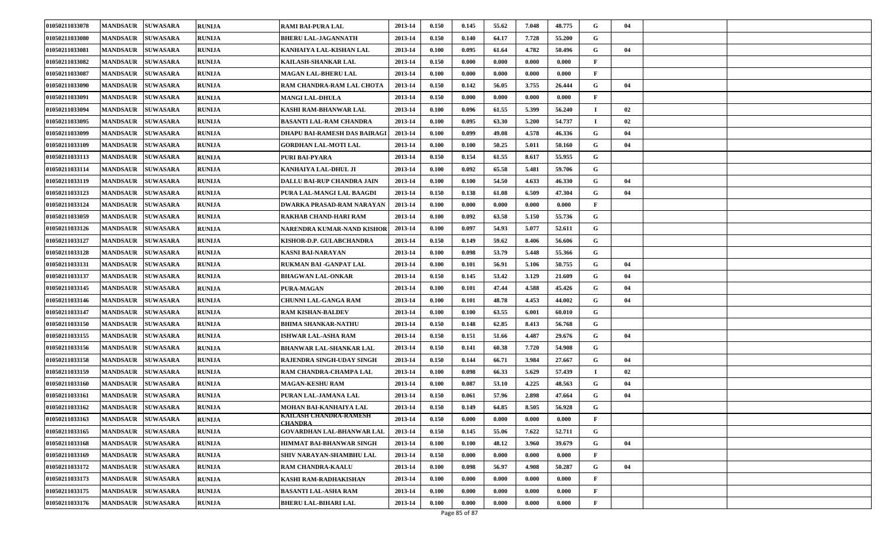| 01050211033078 | <b>MANDSAUR</b>   | <b>SUWASARA</b> | <b>RUNIJA</b> | <b>RAMI BAI-PURA LAL</b>                | 2013-14 | 0.150 | 0.145 | 55.62 | 7.048 | 48.775 | G           | 04 |  |
|----------------|-------------------|-----------------|---------------|-----------------------------------------|---------|-------|-------|-------|-------|--------|-------------|----|--|
| 01050211033080 | <b>MANDSAUR</b>   | <b>SUWASARA</b> | RUNIJA        | <b>BHERU LAL-JAGANNATH</b>              | 2013-14 | 0.150 | 0.140 | 64.17 | 7.728 | 55.200 | G           |    |  |
| 01050211033081 | <b>MANDSAUR</b>   | <b>SUWASARA</b> | <b>RUNIJA</b> | KANHAIYA LAL-KISHAN LAL                 | 2013-14 | 0.100 | 0.095 | 61.64 | 4.782 | 50.496 | G           | 04 |  |
| 01050211033082 | <b>MANDSAUR</b>   | <b>SUWASARA</b> | <b>RUNIJA</b> | KAILASH-SHANKAR LAL                     | 2013-14 | 0.150 | 0.000 | 0.000 | 0.000 | 0.000  | F           |    |  |
| 01050211033087 | <b>MANDSAUR</b>   | <b>SUWASARA</b> | <b>RUNIJA</b> | <b>MAGAN LAL-BHERU LAL</b>              | 2013-14 | 0.100 | 0.000 | 0.000 | 0.000 | 0.000  | F           |    |  |
| 01050211033090 | <b>MANDSAUR</b>   | <b>SUWASARA</b> | <b>RUNIJA</b> | RAM CHANDRA-RAM LAL CHOTA               | 2013-14 | 0.150 | 0.142 | 56.05 | 3.755 | 26.444 | G           | 04 |  |
| 01050211033091 | <b>MANDSAUR</b>   | <b>SUWASARA</b> | <b>RUNIJA</b> | <b>MANGI LAL-DHULA</b>                  | 2013-14 | 0.150 | 0.000 | 0.000 | 0.000 | 0.000  | F           |    |  |
| 01050211033094 | <b>MANDSAUR</b>   | <b>SUWASARA</b> | <b>RUNIJA</b> | KASHI RAM-BHANWAR LAL                   | 2013-14 | 0.100 | 0.096 | 61.55 | 5.399 | 56.240 | $\mathbf I$ | 02 |  |
| 01050211033095 | <b>MANDSAUR</b>   | <b>SUWASARA</b> | <b>RUNIJA</b> | BASANTI LAL-RAM CHANDRA                 | 2013-14 | 0.100 | 0.095 | 63.30 | 5.200 | 54.737 | $\mathbf I$ | 02 |  |
| 01050211033099 | <b>MANDSAUR</b>   | <b>SUWASARA</b> | <b>RUNIJA</b> | DHAPU BAI-RAMESH DAS BAIRAGI            | 2013-14 | 0.100 | 0.099 | 49.08 | 4.578 | 46.336 | G           | 04 |  |
| 01050211033109 | <b>MANDSAUR</b>   | <b>SUWASARA</b> | <b>RUNIJA</b> | GORDHAN LAL-MOTI LAL                    | 2013-14 | 0.100 | 0.100 | 50.25 | 5.011 | 50.160 | G           | 04 |  |
| 01050211033113 | <b>MANDSAUR</b>   | <b>SUWASARA</b> | <b>RUNIJA</b> | PURI BAI-PYARA                          | 2013-14 | 0.150 | 0.154 | 61.55 | 8.617 | 55.955 | G           |    |  |
| 01050211033114 | <b>MANDSAUR</b>   | <b>SUWASARA</b> | <b>RUNIJA</b> | KANHAIYA LAL-DHUL JI                    | 2013-14 | 0.100 | 0.092 | 65.58 | 5.481 | 59.706 | G           |    |  |
| 01050211033119 | <b>MANDSAUR</b>   | <b>SUWASARA</b> | <b>RUNIJA</b> | DALLU BAI-RUP CHANDRA JAIN              | 2013-14 | 0.100 | 0.100 | 54.50 | 4.633 | 46.330 | G           | 04 |  |
| 01050211033123 | <b>MANDSAUR</b>   | <b>SUWASARA</b> | <b>RUNIJA</b> | PURA LAL-MANGI LAL BAAGDI               | 2013-14 | 0.150 | 0.138 | 61.08 | 6.509 | 47.304 | G           | 04 |  |
| 01050211033124 | <b>MANDSAUR</b>   | <b>SUWASARA</b> | <b>RUNIJA</b> | DWARKA PRASAD-RAM NARAYAN               | 2013-14 | 0.100 | 0.000 | 0.000 | 0.000 | 0.000  | F           |    |  |
| 01050211033059 | <b>MANDSAUR</b>   | <b>SUWASARA</b> | <b>RUNIJA</b> | RAKHAB CHAND-HARI RAM                   | 2013-14 | 0.100 | 0.092 | 63.58 | 5.150 | 55.736 | G           |    |  |
| 01050211033126 | <b>MANDSAUR</b>   | <b>SUWASARA</b> | <b>RUNIJA</b> | NARENDRA KUMAR-NAND KISHOR              | 2013-14 | 0.100 | 0.097 | 54.93 | 5.077 | 52.611 | G           |    |  |
| 01050211033127 | <b>MANDSAUR</b>   | <b>SUWASARA</b> | <b>RUNIJA</b> | KISHOR-D.P. GULABCHANDRA                | 2013-14 | 0.150 | 0.149 | 59.62 | 8.406 | 56.606 | G           |    |  |
| 01050211033128 | <b>MANDSAUR</b>   | <b>SUWASARA</b> | <b>RUNIJA</b> | KASNI BAI-NARAYAN                       | 2013-14 | 0.100 | 0.098 | 53.79 | 5.448 | 55.366 | G           |    |  |
| 01050211033131 | <b>MANDSAUR</b>   | <b>SUWASARA</b> | <b>RUNIJA</b> | RUKMAN BAI -GANPAT LAL                  | 2013-14 | 0.100 | 0.101 | 56.91 | 5.106 | 50.755 | G           | 04 |  |
| 01050211033137 | <b>MANDSAUR</b>   | <b>SUWASARA</b> | <b>RUNIJA</b> | <b>BHAGWAN LAL-ONKAR</b>                | 2013-14 | 0.150 | 0.145 | 53.42 | 3.129 | 21.609 | G           | 04 |  |
| 01050211033145 | <b>MANDSAUR</b>   | <b>SUWASARA</b> | <b>RUNIJA</b> | <b>PURA-MAGAN</b>                       | 2013-14 | 0.100 | 0.101 | 47.44 | 4.588 | 45.426 | G           | 04 |  |
| 01050211033146 | <b>MANDSAUR</b>   | <b>SUWASARA</b> | <b>RUNIJA</b> | CHUNNI LAL-GANGA RAM                    | 2013-14 | 0.100 | 0.101 | 48.78 | 4.453 | 44.002 | G           | 04 |  |
| 01050211033147 | <b>MANDSAUR</b>   | <b>SUWASARA</b> | RUNIJA        | <b>RAM KISHAN-BALDEV</b>                | 2013-14 | 0.100 | 0.100 | 63.55 | 6.001 | 60.010 | G           |    |  |
| 01050211033150 | <b>MANDSAUR</b>   | <b>SUWASARA</b> | <b>RUNIJA</b> | <b>BHIMA SHANKAR-NATHU</b>              | 2013-14 | 0.150 | 0.148 | 62.85 | 8.413 | 56.768 | G           |    |  |
| 01050211033155 | <b>MANDSAUR</b>   | <b>SUWASARA</b> | <b>RUNIJA</b> | ISHWAR LAL-ASHA RAM                     | 2013-14 | 0.150 | 0.151 | 51.66 | 4.487 | 29.676 | G           | 04 |  |
| 01050211033156 | <b>MANDSAUR</b>   | <b>SUWASARA</b> | <b>RUNIJA</b> | <b>BHANWAR LAL-SHANKAR LAL</b>          | 2013-14 | 0.150 | 0.141 | 60.38 | 7.720 | 54.908 | G           |    |  |
| 01050211033158 | <b>MANDSAUR</b>   | <b>SUWASARA</b> | <b>RUNIJA</b> | RAJENDRA SINGH-UDAY SINGH               | 2013-14 | 0.150 | 0.144 | 66.71 | 3.984 | 27.667 | G           | 04 |  |
| 01050211033159 | <b>MANDSAUR</b>   | <b>SUWASARA</b> | <b>RUNIJA</b> | RAM CHANDRA-CHAMPA LAL                  | 2013-14 | 0.100 | 0.098 | 66.33 | 5.629 | 57.439 | $\mathbf I$ | 02 |  |
| 01050211033160 | <b>MANDSAUR</b>   | <b>SUWASARA</b> | <b>RUNIJA</b> | <b>MAGAN-KESHU RAM</b>                  | 2013-14 | 0.100 | 0.087 | 53.10 | 4.225 | 48.563 | G           | 04 |  |
| 01050211033161 | <b>MANDSAUR</b>   | <b>SUWASARA</b> | <b>RUNIJA</b> | PURAN LAL-JAMANA LAL                    | 2013-14 | 0.150 | 0.061 | 57.96 | 2.898 | 47.664 | G           | 04 |  |
| 01050211033162 | <b>MANDSAUR</b>   | <b>SUWASARA</b> | <b>RUNIJA</b> | MOHAN BAI-KANHAIYA LAL                  | 2013-14 | 0.150 | 0.149 | 64.85 | 8.505 | 56.928 | G           |    |  |
| 01050211033163 | MANDSAUR SUWASARA |                 | <b>RUNIJA</b> | KAILASH CHANDRA-RAMESH<br><b>HANDRA</b> | 2013-14 | 0.150 | 0.000 | 0.000 | 0.000 | 0.000  | F           |    |  |
| 01050211033165 | MANDSAUR SUWASARA |                 | <b>RUNIJA</b> | GOVARDHAN LAL-BHANWAR LAL               | 2013-14 | 0.150 | 0.145 | 55.06 | 7.622 | 52.711 | G           |    |  |
| 01050211033168 | <b>MANDSAUR</b>   | <b>SUWASARA</b> | <b>RUNIJA</b> | HIMMAT BAI-BHANWAR SINGH                | 2013-14 | 0.100 | 0.100 | 48.12 | 3.960 | 39.679 | G           | 04 |  |
| 01050211033169 | <b>MANDSAUR</b>   | <b>SUWASARA</b> | <b>RUNIJA</b> | SHIV NARAYAN-SHAMBHU LAL                | 2013-14 | 0.150 | 0.000 | 0.000 | 0.000 | 0.000  | F           |    |  |
| 01050211033172 | MANDSAUR SUWASARA |                 | <b>RUNIJA</b> | <b>RAM CHANDRA-KAALU</b>                | 2013-14 | 0.100 | 0.098 | 56.97 | 4.908 | 50.287 | G           | 04 |  |
| 01050211033173 | <b>MANDSAUR</b>   | <b>SUWASARA</b> | <b>RUNIJA</b> | KASHI RAM-RADHAKISHAN                   | 2013-14 | 0.100 | 0.000 | 0.000 | 0.000 | 0.000  | F           |    |  |
| 01050211033175 | <b>MANDSAUR</b>   | <b>SUWASARA</b> | <b>RUNIJA</b> | <b>BASANTI LAL-ASHA RAM</b>             | 2013-14 | 0.100 | 0.000 | 0.000 | 0.000 | 0.000  | F           |    |  |
| 01050211033176 | <b>MANDSAUR</b>   | <b>SUWASARA</b> | <b>RUNIJA</b> | <b>BHERU LAL-BIHARI LAL</b>             | 2013-14 | 0.100 | 0.000 | 0.000 | 0.000 | 0.000  | F           |    |  |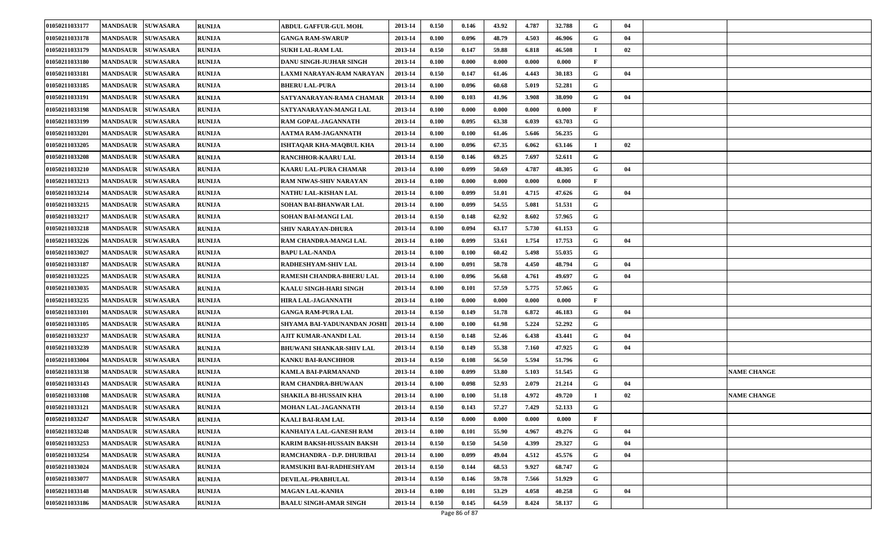| 01050211033177 | <b>MANDSAUR</b><br><b>SUWASARA</b> | <b>RUNIJA</b> | ABDUL GAFFUR-GUL MOH.         | 2013-14 | 0.150 | 0.146              | 43.92 | 4.787 | 32.788 | G            | 04 |                    |
|----------------|------------------------------------|---------------|-------------------------------|---------|-------|--------------------|-------|-------|--------|--------------|----|--------------------|
| 01050211033178 | <b>MANDSAUR</b><br><b>SUWASARA</b> | <b>RUNIJA</b> | <b>GANGA RAM-SWARUP</b>       | 2013-14 | 0.100 | 0.096              | 48.79 | 4.503 | 46.906 | G            | 04 |                    |
| 01050211033179 | <b>MANDSAUR</b><br><b>SUWASARA</b> | <b>RUNIJA</b> | <b>SUKH LAL-RAM LAL</b>       | 2013-14 | 0.150 | 0.147              | 59.88 | 6.818 | 46.508 | $\mathbf I$  | 02 |                    |
| 01050211033180 | <b>MANDSAUR</b><br><b>SUWASARA</b> | <b>RUNIJA</b> | DANU SINGH-JUJHAR SINGH       | 2013-14 | 0.100 | 0.000              | 0.000 | 0.000 | 0.000  | F            |    |                    |
| 01050211033181 | <b>MANDSAUR</b><br><b>SUWASARA</b> | <b>RUNIJA</b> | LAXMI NARAYAN-RAM NARAYAN     | 2013-14 | 0.150 | 0.147              | 61.46 | 4.443 | 30.183 | G            | 04 |                    |
| 01050211033185 | <b>MANDSAUR</b><br><b>SUWASARA</b> | <b>RUNIJA</b> | <b>BHERU LAL-PURA</b>         | 2013-14 | 0.100 | 0.096              | 60.68 | 5.019 | 52.281 | G            |    |                    |
| 01050211033191 | MANDSAUR SUWASARA                  | <b>RUNIJA</b> | SATYANARAYAN-RAMA CHAMAR      | 2013-14 | 0.100 | 0.103              | 41.96 | 3.908 | 38.090 | G            | 04 |                    |
| 01050211033198 | <b>MANDSAUR</b><br><b>SUWASARA</b> | <b>RUNIJA</b> | SATYANARAYAN-MANGI LAL        | 2013-14 | 0.100 | 0.000              | 0.000 | 0.000 | 0.000  | F            |    |                    |
| 01050211033199 | <b>SUWASARA</b><br><b>MANDSAUR</b> | <b>RUNIJA</b> | RAM GOPAL-JAGANNATH           | 2013-14 | 0.100 | 0.095              | 63.38 | 6.039 | 63.703 | G            |    |                    |
| 01050211033201 | <b>MANDSAUR</b><br><b>SUWASARA</b> | <b>RUNIJA</b> | AATMA RAM-JAGANNATH           | 2013-14 | 0.100 | 0.100              | 61.46 | 5.646 | 56.235 | G            |    |                    |
| 01050211033205 | <b>SUWASARA</b><br><b>MANDSAUR</b> | <b>RUNIJA</b> | ISHTAQAR KHA-MAQBUL KHA       | 2013-14 | 0.100 | 0.096              | 67.35 | 6.062 | 63.146 |              | 02 |                    |
| 01050211033208 | <b>SUWASARA</b><br><b>MANDSAUR</b> | <b>RUNIJA</b> | <b>RANCHHOR-KAARU LAL</b>     | 2013-14 | 0.150 | 0.146              | 69.25 | 7.697 | 52.611 | G            |    |                    |
| 01050211033210 | <b>MANDSAUR</b><br><b>SUWASARA</b> | <b>RUNIJA</b> | KAARU LAL-PURA CHAMAR         | 2013-14 | 0.100 | 0.099              | 50.69 | 4.787 | 48.305 | G            | 04 |                    |
| 01050211033213 | <b>MANDSAUR</b><br><b>SUWASARA</b> | <b>RUNIJA</b> | RAM NIWAS-SHIV NARAYAN        | 2013-14 | 0.100 | 0.000              | 0.000 | 0.000 | 0.000  | F            |    |                    |
| 01050211033214 | <b>MANDSAUR</b><br><b>SUWASARA</b> | <b>RUNIJA</b> | NATHU LAL-KISHAN LAL          | 2013-14 | 0.100 | 0.099              | 51.01 | 4.715 | 47.626 | G            | 04 |                    |
| 01050211033215 | <b>SUWASARA</b><br><b>MANDSAUR</b> | <b>RUNIJA</b> | SOHAN BAI-BHANWAR LAL         | 2013-14 | 0.100 | 0.099              | 54.55 | 5.081 | 51.531 | G            |    |                    |
| 01050211033217 | <b>MANDSAUR</b><br><b>SUWASARA</b> | <b>RUNIJA</b> | SOHAN BAI-MANGI LAL           | 2013-14 | 0.150 | 0.148              | 62.92 | 8.602 | 57.965 | G            |    |                    |
| 01050211033218 | <b>SUWASARA</b><br><b>MANDSAUR</b> | <b>RUNIJA</b> | SHIV NARAYAN-DHURA            | 2013-14 | 0.100 | 0.094              | 63.17 | 5.730 | 61.153 | G            |    |                    |
| 01050211033226 | <b>MANDSAUR</b><br><b>SUWASARA</b> | <b>RUNIJA</b> | RAM CHANDRA-MANGI LAL         | 2013-14 | 0.100 | 0.099              | 53.61 | 1.754 | 17.753 | G            | 04 |                    |
| 01050211033027 | <b>MANDSAUR</b><br><b>SUWASARA</b> | <b>RUNIJA</b> | <b>BAPU LAL-NANDA</b>         | 2013-14 | 0.100 | 0.100              | 60.42 | 5.498 | 55.035 | G            |    |                    |
| 01050211033187 | <b>MANDSAUR</b><br><b>SUWASARA</b> | <b>RUNIJA</b> | RADHESHYAM-SHIV LAL           | 2013-14 | 0.100 | 0.091              | 58.78 | 4.450 | 48.794 | G            | 04 |                    |
| 01050211033225 | <b>MANDSAUR</b><br><b>SUWASARA</b> | <b>RUNIJA</b> | RAMESH CHANDRA-BHERU LAL      | 2013-14 | 0.100 | 0.096              | 56.68 | 4.761 | 49.697 | G            | 04 |                    |
| 01050211033035 | MANDSAUR SUWASARA                  | <b>RUNIJA</b> | KAALU SINGH-HARI SINGH        | 2013-14 | 0.100 | 0.101              | 57.59 | 5.775 | 57.065 | G            |    |                    |
| 01050211033235 | <b>MANDSAUR</b><br><b>SUWASARA</b> | <b>RUNIJA</b> | <b>HIRA LAL-JAGANNATH</b>     | 2013-14 | 0.100 | 0.000              | 0.000 | 0.000 | 0.000  | F            |    |                    |
| 01050211033101 | <b>MANDSAUR</b><br><b>SUWASARA</b> | <b>RUNIJA</b> | <b>GANGA RAM-PURA LAL</b>     | 2013-14 | 0.150 | 0.149              | 51.78 | 6.872 | 46.183 | G            | 04 |                    |
| 01050211033105 | <b>MANDSAUR</b><br><b>SUWASARA</b> | <b>RUNIJA</b> | SHYAMA BAI-YADUNANDAN JOSHI   | 2013-14 | 0.100 | 0.100              | 61.98 | 5.224 | 52,292 | G            |    |                    |
| 01050211033237 | <b>MANDSAUR</b><br><b>SUWASARA</b> | <b>RUNIJA</b> | AJIT KUMAR-ANANDI LAL         | 2013-14 | 0.150 | 0.148              | 52.46 | 6.438 | 43.441 | G            | 04 |                    |
| 01050211033239 | <b>MANDSAUR</b><br><b>SUWASARA</b> | <b>RUNIJA</b> | BHUWANI SHANKAR-SHIV LAL      | 2013-14 | 0.150 | 0.149              | 55.38 | 7.160 | 47.925 | G            | 04 |                    |
| 01050211033004 | <b>MANDSAUR</b><br><b>SUWASARA</b> | <b>RUNIJA</b> | <b>KANKU BAI-RANCHHOR</b>     | 2013-14 | 0.150 | 0.108              | 56.50 | 5.594 | 51.796 | G            |    |                    |
| 01050211033138 | <b>SUWASARA</b><br><b>MANDSAUR</b> | <b>RUNIJA</b> | <b>KAMLA BAI-PARMANAND</b>    | 2013-14 | 0.100 | 0.099              | 53.80 | 5.103 | 51.545 | G            |    | <b>NAME CHANGE</b> |
| 01050211033143 | <b>MANDSAUR</b><br><b>SUWASARA</b> | <b>RUNIJA</b> | RAM CHANDRA-BHUWAAN           | 2013-14 | 0.100 | 0.098              | 52.93 | 2.079 | 21.214 | G            | 04 |                    |
| 01050211033108 | <b>MANDSAUR</b><br><b>SUWASARA</b> | <b>RUNIJA</b> | SHAKILA BI-HUSSAIN KHA        | 2013-14 | 0.100 | 0.100              | 51.18 | 4.972 | 49.720 |              | 02 | <b>NAME CHANGE</b> |
| 01050211033121 | MANDSAUR SUWASARA                  | <b>RUNIJA</b> | <b>MOHAN LAL-JAGANNATH</b>    | 2013-14 | 0.150 | 0.143              | 57.27 | 7.429 | 52.133 | G            |    |                    |
| 01050211033247 | MANDSAUR SUWASARA                  | <b>RUNIJA</b> | <b>KAALI BAI-RAM LAL</b>      | 2013-14 | 0.150 | 0.000              | 0.000 | 0.000 | 0.000  | $\mathbf{F}$ |    |                    |
| 01050211033248 | MANDSAUR SUWASARA                  | <b>RUNIJA</b> | KANHAIYA LAL-GANESH RAM       | 2013-14 | 0.100 | 0.101              | 55.90 | 4.967 | 49.276 | G            | 04 |                    |
| 01050211033253 | MANDSAUR SUWASARA                  | <b>RUNIJA</b> | KARIM BAKSH-HUSSAIN BAKSH     | 2013-14 | 0.150 | 0.150              | 54.50 | 4.399 | 29.327 | G            | 04 |                    |
| 01050211033254 | MANDSAUR SUWASARA                  | <b>RUNIJA</b> | RAMCHANDRA - D.P. DHURIBAI    | 2013-14 | 0.100 | 0.099              | 49.04 | 4.512 | 45.576 | G            | 04 |                    |
| 01050211033024 | MANDSAUR SUWASARA                  | <b>RUNIJA</b> | RAMSUKHI BAI-RADHESHYAM       | 2013-14 | 0.150 | 0.144              | 68.53 | 9.927 | 68.747 | G            |    |                    |
| 01050211033077 | <b>SUWASARA</b><br><b>MANDSAUR</b> | <b>RUNIJA</b> | DEVILAL-PRABHULAL             | 2013-14 | 0.150 | 0.146              | 59.78 | 7.566 | 51.929 | G            |    |                    |
| 01050211033148 | <b>MANDSAUR</b><br><b>SUWASARA</b> | <b>RUNIJA</b> | MAGAN LAL-KANHA               | 2013-14 | 0.100 | 0.101              | 53.29 | 4.058 | 40.258 | G            | 04 |                    |
| 01050211033186 | MANDSAUR SUWASARA                  | <b>RUNIJA</b> | <b>BAALU SINGH-AMAR SINGH</b> | 2013-14 | 0.150 | 0.145<br>$00 - 07$ | 64.59 | 8.424 | 58.137 | G            |    |                    |